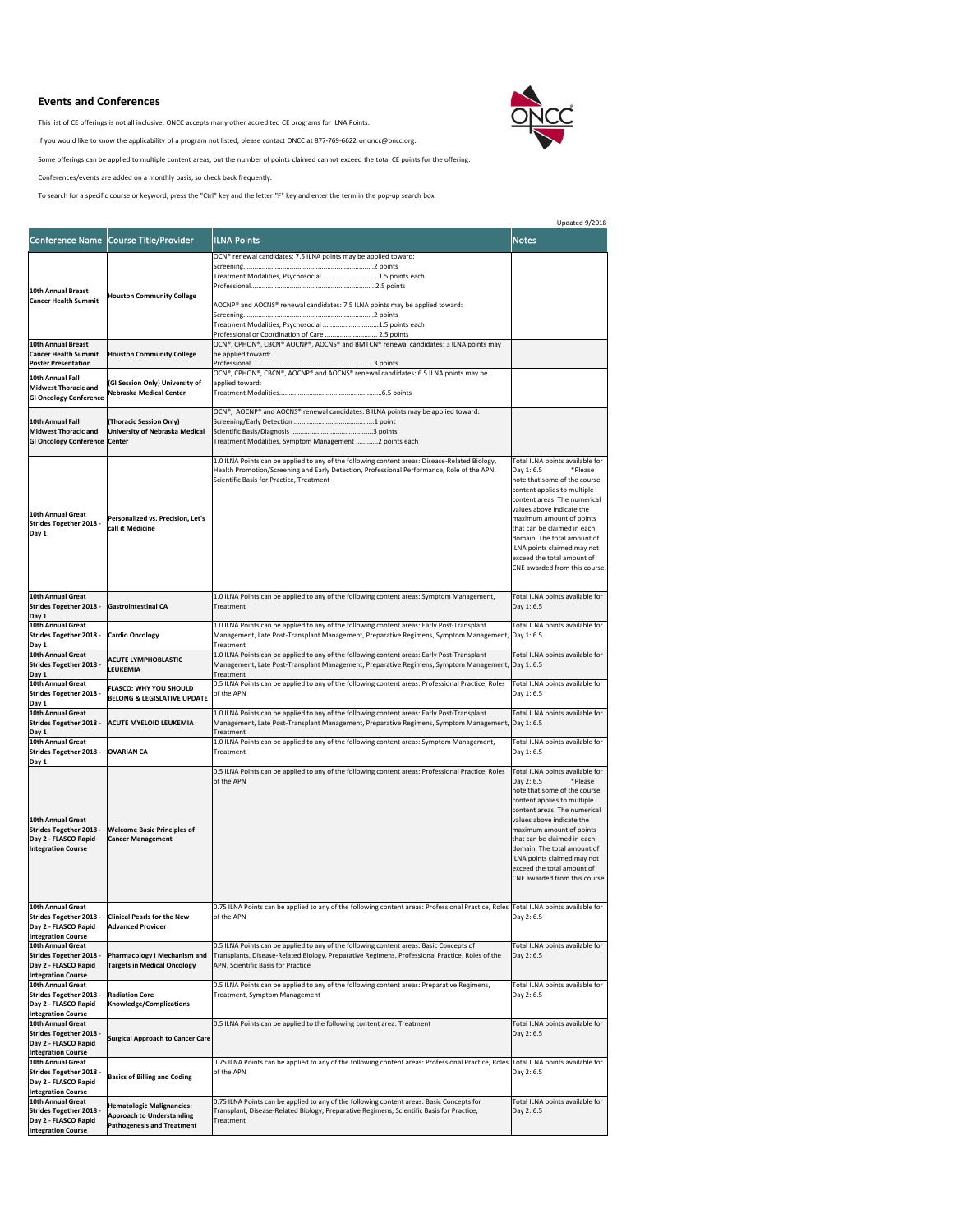Updated 9/2018



|                                                                                                                 |                                                                                                           |                                                                                                                                                                                                                                                                                                                 | Opdated 9/2018                                                                                                                                                                                                                                                                                                                                                               |
|-----------------------------------------------------------------------------------------------------------------|-----------------------------------------------------------------------------------------------------------|-----------------------------------------------------------------------------------------------------------------------------------------------------------------------------------------------------------------------------------------------------------------------------------------------------------------|------------------------------------------------------------------------------------------------------------------------------------------------------------------------------------------------------------------------------------------------------------------------------------------------------------------------------------------------------------------------------|
|                                                                                                                 | Conference Name Course Title/Provider                                                                     | <b>ILNA Points</b>                                                                                                                                                                                                                                                                                              | <b>Notes</b>                                                                                                                                                                                                                                                                                                                                                                 |
| <b>10th Annual Breast</b><br><b>Cancer Health Summit</b>                                                        | <b>Houston Community College</b>                                                                          | OCN® renewal candidates: 7.5 ILNA points may be applied toward:<br>Treatment Modalities, Psychosocial 1.5 points each<br>AOCNP® and AOCNS® renewal candidates: 7.5 ILNA points may be applied toward:<br>Treatment Modalities, Psychosocial 1.5 points each<br>Professional or Coordination of Care  2.5 points |                                                                                                                                                                                                                                                                                                                                                                              |
| <b>10th Annual Breast</b><br><b>Cancer Health Summit</b><br><b>Poster Presentation</b>                          | <b>Houston Community College</b>                                                                          | OCN®, CPHON®, CBCN® AOCNP®, AOCNS® and BMTCN® renewal candidates: 3 ILNA points may<br>be applied toward:                                                                                                                                                                                                       |                                                                                                                                                                                                                                                                                                                                                                              |
| 10th Annual Fall<br><b>Midwest Thoracic and</b><br><b>GI Oncology Conference</b>                                | (GI Session Only) University of<br>Nebraska Medical Center                                                | OCN®, CPHON®, CBCN®, AOCNP® and AOCNS® renewal candidates: 6.5 ILNA points may be<br>applied toward:                                                                                                                                                                                                            |                                                                                                                                                                                                                                                                                                                                                                              |
| 10th Annual Fall<br><b>Midwest Thoracic and</b><br><b>GI Oncology Conference Center</b>                         | (Thoracic Session Only)<br><b>University of Nebraska Medical</b>                                          | OCN®, AOCNP® and AOCNS® renewal candidates: 8 ILNA points may be applied toward:<br>Treatment Modalities, Symptom Management 2 points each                                                                                                                                                                      |                                                                                                                                                                                                                                                                                                                                                                              |
| 10th Annual Great<br><b>Strides Together 2018 -</b><br>Day 1                                                    | Personalized vs. Precision, Let's<br>lcall it Medicine                                                    | 1.0 ILNA Points can be applied to any of the following content areas: Disease-Related Biology,<br>Health Promotion/Screening and Early Detection, Professional Performance, Role of the APN,<br>Scientific Basis for Practice, Treatment                                                                        | Total ILNA points available for<br>Day 1: 6.5<br>*Please<br>note that some of the course<br>content applies to multiple<br>content areas. The numerical<br>values above indicate the<br>maximum amount of points<br>that can be claimed in each<br>domain. The total amount of<br>ILNA points claimed may not<br>exceed the total amount of<br>CNE awarded from this course. |
| 10th Annual Great<br><b>Strides Together 2018 -</b><br>Day 1                                                    | <b>Gastrointestinal CA</b>                                                                                | 1.0 ILNA Points can be applied to any of the following content areas: Symptom Management,<br>Treatment                                                                                                                                                                                                          | Total ILNA points available for<br>Day 1:6.5                                                                                                                                                                                                                                                                                                                                 |
| 10th Annual Great<br><b>Strides Together 2018 -</b><br>Day 1                                                    | <b>Cardio Oncology</b>                                                                                    | 1.0 ILNA Points can be applied to any of the following content areas: Early Post-Transplant<br>Management, Late Post-Transplant Management, Preparative Regimens, Symptom Management, Day 1: 6.5<br>Treatment                                                                                                   | Total ILNA points available for                                                                                                                                                                                                                                                                                                                                              |
| <b>10th Annual Great</b><br><b>Strides Together 2018 -</b><br>Day 1                                             | <b>ACUTE LYMPHOBLASTIC</b><br><b>LEUKEMIA</b>                                                             | 1.0 ILNA Points can be applied to any of the following content areas: Early Post-Transplant<br>Management, Late Post-Transplant Management, Preparative Regimens, Symptom Management, Day 1: 6.5<br>Treatment                                                                                                   | Total ILNA points available for                                                                                                                                                                                                                                                                                                                                              |
| 10th Annual Great<br><b>Strides Together 2018 -</b><br>Day 1                                                    | <b>FLASCO: WHY YOU SHOULD</b><br><b>BELONG &amp; LEGISLATIVE UPDATE</b>                                   | 0.5 ILNA Points can be applied to any of the following content areas: Professional Practice, Roles<br>of the APN                                                                                                                                                                                                | Total ILNA points available for<br>Day 1:6.5                                                                                                                                                                                                                                                                                                                                 |
| <b>10th Annual Great</b><br><b>Strides Together 2018 -</b><br>Day 1                                             | <b>ACUTE MYELOID LEUKEMIA</b>                                                                             | 1.0 ILNA Points can be applied to any of the following content areas: Early Post-Transplant<br>Management, Late Post-Transplant Management, Preparative Regimens, Symptom Management, Day 1: 6.5<br>Treatment                                                                                                   | Total ILNA points available for                                                                                                                                                                                                                                                                                                                                              |
| <b>10th Annual Great</b><br><b>Strides Together 2018 -</b><br>Day 1                                             | <b>OVARIAN CA</b>                                                                                         | 1.0 ILNA Points can be applied to any of the following content areas: Symptom Management,<br>Treatment                                                                                                                                                                                                          | Total ILNA points available for<br>Day 1: 6.5                                                                                                                                                                                                                                                                                                                                |
| <b>10th Annual Great</b><br><b>Strides Together 2018 -</b><br>Day 2 - FLASCO Rapid<br><b>Integration Course</b> | <b>Welcome Basic Principles of</b><br><b>Cancer Management</b>                                            | 0.5 ILNA Points can be applied to any of the following content areas: Professional Practice, Roles<br>of the APN                                                                                                                                                                                                | Total ILNA points available for<br>Day 2: 6.5<br>*Please<br>note that some of the course<br>content applies to multiple<br>content areas. The numerical<br>values above indicate the<br>maximum amount of points<br>that can be claimed in each<br>domain. The total amount of<br>ILNA points claimed may not<br>exceed the total amount of<br>CNE awarded from this course. |
| 10th Annual Great<br><b>Strides Together 2018 -</b><br>Day 2 - FLASCO Rapid<br><b>Integration Course</b>        | <b>Clinical Pearls for the New</b><br><b>Advanced Provider</b>                                            | 0.75 ILNA Points can be applied to any of the following content areas: Professional Practice, Roles<br>of the APN                                                                                                                                                                                               | Total ILNA points available for<br>Day 2: 6.5                                                                                                                                                                                                                                                                                                                                |
| 10th Annual Great<br><b>Strides Together 2018 -</b><br>Day 2 - FLASCO Rapid<br><b>Integration Course</b>        | <b>Pharmacology I Mechanism and</b><br><b>Targets in Medical Oncology</b>                                 | 0.5 ILNA Points can be applied to any of the following content areas: Basic Concepts of<br>Transplants, Disease-Related Biology, Preparative Regimens, Professional Practice, Roles of the<br>APN, Scientific Basis for Practice                                                                                | Total ILNA points available for<br>Day 2:6.5                                                                                                                                                                                                                                                                                                                                 |
| 10th Annual Great<br><b>Strides Together 2018 -</b><br>Day 2 - FLASCO Rapid<br><b>Integration Course</b>        | <b>Radiation Core</b><br>Knowledge/Complications                                                          | 0.5 ILNA Points can be applied to any of the following content areas: Preparative Regimens,<br>Treatment, Symptom Management                                                                                                                                                                                    | Total ILNA points available for<br>Day 2: 6.5                                                                                                                                                                                                                                                                                                                                |
| <b>10th Annual Great</b><br><b>Strides Together 2018 -</b><br>Day 2 - FLASCO Rapid<br><b>Integration Course</b> | <b>Surgical Approach to Cancer Care</b>                                                                   | 0.5 ILNA Points can be applied to the following content area: Treatment                                                                                                                                                                                                                                         | Total ILNA points available for<br>Day 2: 6.5                                                                                                                                                                                                                                                                                                                                |
| 10th Annual Great<br><b>Strides Together 2018 -</b><br>Day 2 - FLASCO Rapid<br><b>Integration Course</b>        | <b>Basics of Billing and Coding</b>                                                                       | 0.75 ILNA Points can be applied to any of the following content areas: Professional Practice, Roles<br>of the APN                                                                                                                                                                                               | Total ILNA points available for<br>Day 2: 6.5                                                                                                                                                                                                                                                                                                                                |
| 10th Annual Great<br><b>Strides Together 2018 -</b><br>Day 2 - FLASCO Rapid<br><b>Integration Course</b>        | <b>Hematologic Malignancies:</b><br><b>Approach to Understanding</b><br><b>Pathogenesis and Treatment</b> | 0.75 ILNA Points can be applied to any of the following content areas: Basic Concepts for<br>Transplant, Disease-Related Biology, Preparative Regimens, Scientific Basis for Practice,<br>Treatment                                                                                                             | Total ILNA points available for<br>Day 2:6.5                                                                                                                                                                                                                                                                                                                                 |

## **Events and Conferences**

This list of CE offerings is not all inclusive. ONCC accepts many other accredited CE programs for ILNA Points.

If you would like to know the applicability of a program not listed, please contact ONCC at 877-769-6622 or oncc@oncc.org.

Some offerings can be applied to multiple content areas, but the number of points claimed cannot exceed the total CE points for the offering.

Conferences/events are added on a monthly basis, so check back frequently.

To search for a specific course or keyword, press the "Ctrl" key and the letter "F" key and enter the term in the pop-up search box.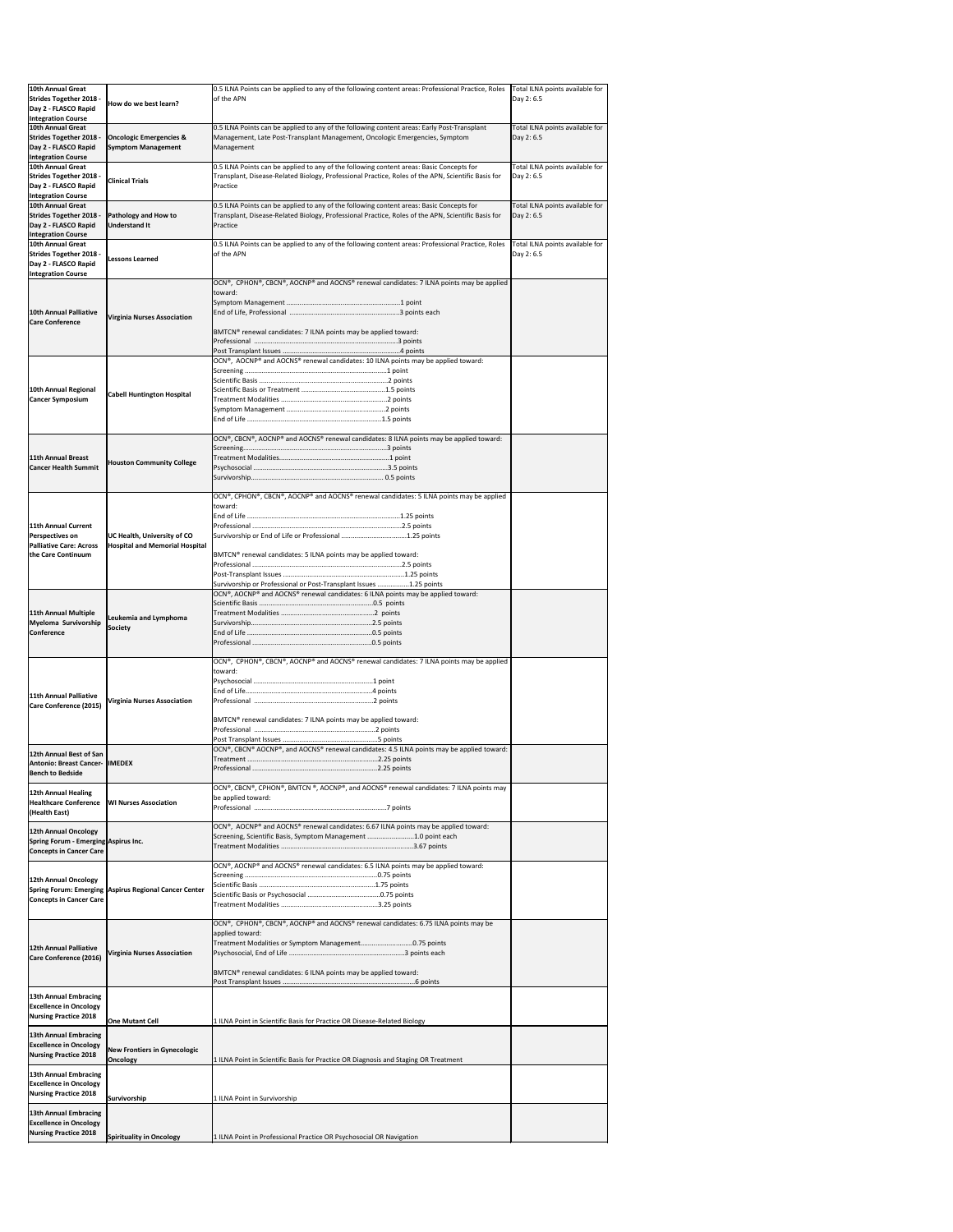| 10th Annual Great<br><b>Strides Together 2018 -</b><br>Day 2 - FLASCO Rapid<br><b>Integration Course</b> | How do we best learn?                                                | 0.5 ILNA Points can be applied to any of the following content areas: Professional Practice, Roles<br>of the APN                                                                                                                                                                                       | Total ILNA points available for<br>Day 2: 6.5 |
|----------------------------------------------------------------------------------------------------------|----------------------------------------------------------------------|--------------------------------------------------------------------------------------------------------------------------------------------------------------------------------------------------------------------------------------------------------------------------------------------------------|-----------------------------------------------|
| 10th Annual Great<br><b>Strides Together 2018 -</b><br>Day 2 - FLASCO Rapid<br><b>Integration Course</b> | <b>Oncologic Emergencies &amp;</b><br><b>Symptom Management</b>      | 0.5 ILNA Points can be applied to any of the following content areas: Early Post-Transplant<br>Management, Late Post-Transplant Management, Oncologic Emergencies, Symptom<br>Management                                                                                                               | Total ILNA points available for<br>Day 2: 6.5 |
| 10th Annual Great<br><b>Strides Together 2018 -</b><br>Day 2 - FLASCO Rapid<br><b>Integration Course</b> | <b>Clinical Trials</b>                                               | 0.5 ILNA Points can be applied to any of the following content areas: Basic Concepts for<br>Transplant, Disease-Related Biology, Professional Practice, Roles of the APN, Scientific Basis for<br>Practice                                                                                             | Total ILNA points available for<br>Day 2: 6.5 |
| 10th Annual Great<br><b>Strides Together 2018 -</b><br>Day 2 - FLASCO Rapid<br><b>Integration Course</b> | <b>Pathology and How to</b><br><b>Understand It</b>                  | 0.5 ILNA Points can be applied to any of the following content areas: Basic Concepts for<br>Transplant, Disease-Related Biology, Professional Practice, Roles of the APN, Scientific Basis for<br>Practice                                                                                             | Total ILNA points available for<br>Day 2: 6.5 |
| 10th Annual Great<br><b>Strides Together 2018 -</b><br>Day 2 - FLASCO Rapid<br><b>Integration Course</b> | <b>Lessons Learned</b>                                               | 0.5 ILNA Points can be applied to any of the following content areas: Professional Practice, Roles<br>of the APN                                                                                                                                                                                       | Total ILNA points available for<br>Day 2: 6.5 |
| 10th Annual Palliative<br><b>Care Conference</b>                                                         | <b>Virginia Nurses Association</b>                                   | OCN®, CPHON®, CBCN®, AOCNP® and AOCNS® renewal candidates: 7 ILNA points may be applied<br>toward:<br>BMTCN® renewal candidates: 7 ILNA points may be applied toward:                                                                                                                                  |                                               |
| 10th Annual Regional<br><b>Cancer Symposium</b>                                                          | <b>Cabell Huntington Hospital</b>                                    | OCN®, AOCNP® and AOCNS® renewal candidates: 10 ILNA points may be applied toward:                                                                                                                                                                                                                      |                                               |
| 11th Annual Breast<br><b>Cancer Health Summit</b>                                                        | <b>Houston Community College</b>                                     | OCN®, CBCN®, AOCNP® and AOCNS® renewal candidates: 8 ILNA points may be applied toward:                                                                                                                                                                                                                |                                               |
| 11th Annual Current<br>Perspectives on<br><b>Palliative Care: Across</b><br>the Care Continuum           | UC Health, University of CO<br><b>Hospital and Memorial Hospital</b> | OCN®, CPHON®, CBCN®, AOCNP® and AOCNS® renewal candidates: 5 ILNA points may be applied<br>toward:<br>Survivorship or End of Life or Professional 1.25 points<br>BMTCN® renewal candidates: 5 ILNA points may be applied toward:<br>Survivorship or Professional or Post-Transplant Issues 1.25 points |                                               |
| 11th Annual Multiple<br>Myeloma Survivorship<br>Conference                                               | Leukemia and Lymphoma<br><b>Society</b>                              | OCN®, AOCNP® and AOCNS® renewal candidates: 6 ILNA points may be applied toward:                                                                                                                                                                                                                       |                                               |
| 11th Annual Palliative<br>Care Conference (2015)                                                         | <b>Virginia Nurses Association</b>                                   | OCN®, CPHON®, CBCN®, AOCNP® and AOCNS® renewal candidates: 7 ILNA points may be applied<br>toward:<br>BMTCN® renewal candidates: 7 ILNA points may be applied toward:                                                                                                                                  |                                               |
| 12th Annual Best of San<br><b>Antonio: Breast Cancer- IIMEDEX</b><br><b>Bench to Bedside</b>             |                                                                      | OCN®, CBCN® AOCNP®, and AOCNS® renewal candidates: 4.5 ILNA points may be applied toward:                                                                                                                                                                                                              |                                               |
| 12th Annual Healing<br><b>Healthcare Conference</b><br>(Health East)                                     | <b>WI Nurses Association</b>                                         | OCN®, CBCN®, CPHON®, BMTCN ®, AOCNP®, and AOCNS® renewal candidates: 7 ILNA points may<br>be applied toward:                                                                                                                                                                                           |                                               |
| 12th Annual Oncology<br>Spring Forum - Emerging Aspirus Inc.<br><b>Concepts in Cancer Care</b>           |                                                                      | OCN®, AOCNP® and AOCNS® renewal candidates: 6.67 ILNA points may be applied toward:<br>Screening, Scientific Basis, Symptom Management 1.0 point each                                                                                                                                                  |                                               |
| 12th Annual Oncology<br><b>Concepts in Cancer Care</b>                                                   | Spring Forum: Emerging Aspirus Regional Cancer Center                | OCN®, AOCNP® and AOCNS® renewal candidates: 6.5 ILNA points may be applied toward:                                                                                                                                                                                                                     |                                               |
| 12th Annual Palliative<br>Care Conference (2016)                                                         | <b>Virginia Nurses Association</b>                                   | OCN®, CPHON®, CBCN®, AOCNP® and AOCNS® renewal candidates: 6.75 ILNA points may be<br>applied toward:<br>Treatment Modalities or Symptom Management0.75 points<br>BMTCN® renewal candidates: 6 ILNA points may be applied toward:                                                                      |                                               |
| 13th Annual Embracing<br><b>Excellence in Oncology</b><br>Nursing Practice 2018                          | <b>One Mutant Cell</b>                                               | 1 ILNA Point in Scientific Basis for Practice OR Disease-Related Biology                                                                                                                                                                                                                               |                                               |
| <b>13th Annual Embracing</b><br><b>Excellence in Oncology</b><br><b>Nursing Practice 2018</b>            | <b>New Frontiers in Gynecologic</b><br>Oncology                      | 1 ILNA Point in Scientific Basis for Practice OR Diagnosis and Staging OR Treatment                                                                                                                                                                                                                    |                                               |
| <b>13th Annual Embracing</b><br><b>Excellence in Oncology</b><br><b>Nursing Practice 2018</b>            | Survivorship                                                         | 1 ILNA Point in Survivorship                                                                                                                                                                                                                                                                           |                                               |
| <b>13th Annual Embracing</b><br><b>Excellence in Oncology</b><br><b>Nursing Practice 2018</b>            | <b>Spirituality in Oncology</b>                                      | 1 ILNA Point in Professional Practice OR Psychosocial OR Navigation                                                                                                                                                                                                                                    |                                               |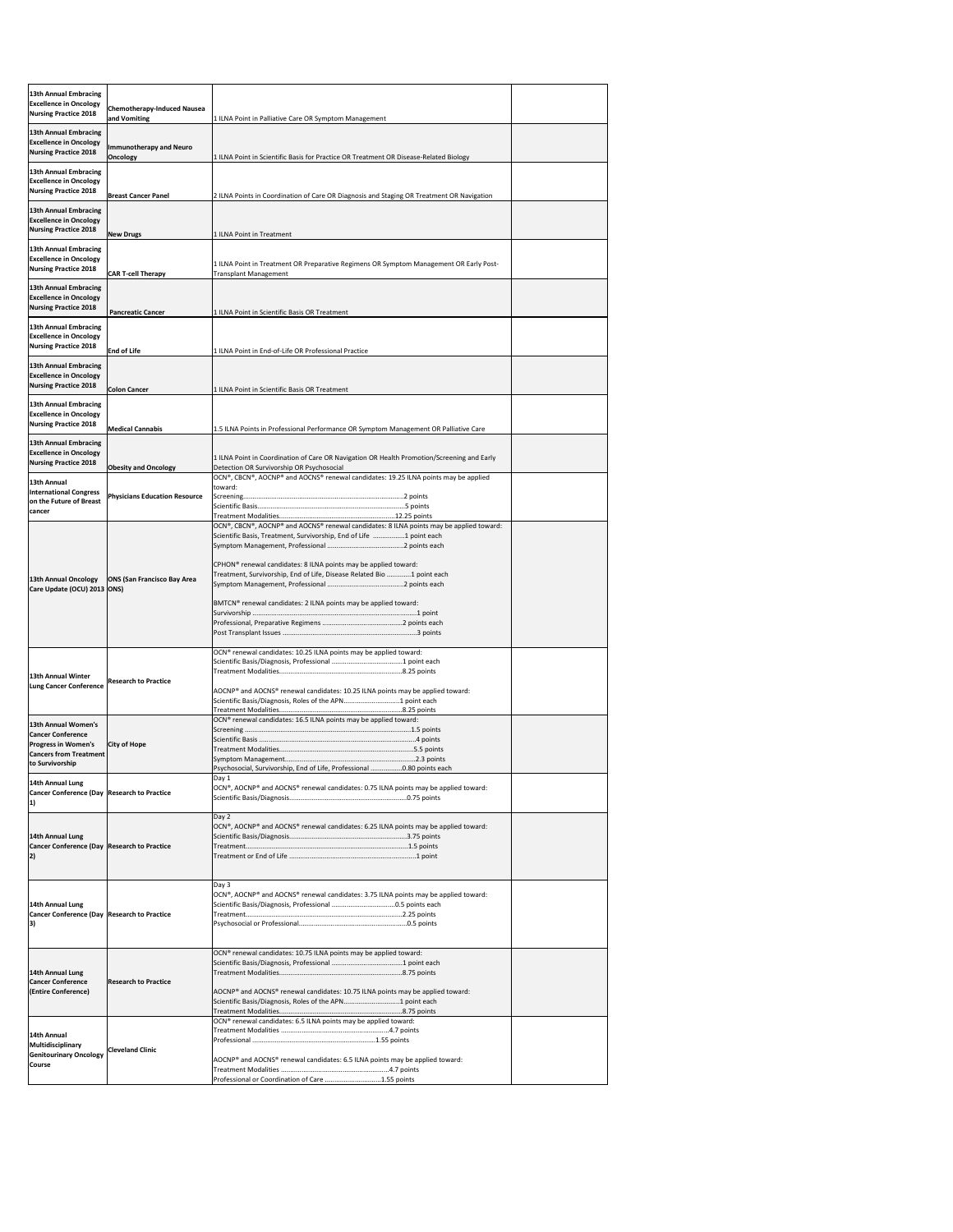| <b>13th Annual Embracing</b>                                                   |                                                    |                                                                                                                                                                   |  |
|--------------------------------------------------------------------------------|----------------------------------------------------|-------------------------------------------------------------------------------------------------------------------------------------------------------------------|--|
| <b>Excellence in Oncology</b><br><b>Nursing Practice 2018</b>                  | <b>Chemotherapy-Induced Nausea</b><br>and Vomiting | 1 ILNA Point in Palliative Care OR Symptom Management                                                                                                             |  |
| <b>13th Annual Embracing</b>                                                   |                                                    |                                                                                                                                                                   |  |
| <b>Excellence in Oncology</b><br><b>Nursing Practice 2018</b>                  | <b>Immunotherapy and Neuro</b><br><b>Oncology</b>  | 1 ILNA Point in Scientific Basis for Practice OR Treatment OR Disease-Related Biology                                                                             |  |
| <b>13th Annual Embracing</b>                                                   |                                                    |                                                                                                                                                                   |  |
| <b>Excellence in Oncology</b><br><b>Nursing Practice 2018</b>                  | <b>Breast Cancer Panel</b>                         | 2 ILNA Points in Coordination of Care OR Diagnosis and Staging OR Treatment OR Navigation                                                                         |  |
| <b>13th Annual Embracing</b>                                                   |                                                    |                                                                                                                                                                   |  |
| <b>Excellence in Oncology</b><br><b>Nursing Practice 2018</b>                  | <b>New Drugs</b>                                   | 1 ILNA Point in Treatment                                                                                                                                         |  |
| 13th Annual Embracing<br><b>Excellence in Oncology</b>                         |                                                    |                                                                                                                                                                   |  |
| <b>Nursing Practice 2018</b>                                                   | <b>CAR T-cell Therapy</b>                          | 1 ILNA Point in Treatment OR Preparative Regimens OR Symptom Management OR Early Post-<br><b>Transplant Management</b>                                            |  |
| <b>13th Annual Embracing</b><br><b>Excellence in Oncology</b>                  |                                                    |                                                                                                                                                                   |  |
| <b>Nursing Practice 2018</b>                                                   | <b>Pancreatic Cancer</b>                           | 1 ILNA Point in Scientific Basis OR Treatment                                                                                                                     |  |
| <b>13th Annual Embracing</b><br><b>Excellence in Oncology</b>                  |                                                    |                                                                                                                                                                   |  |
| <b>Nursing Practice 2018</b>                                                   | <b>End of Life</b>                                 | 1 ILNA Point in End-of-Life OR Professional Practice                                                                                                              |  |
| <b>13th Annual Embracing</b><br><b>Excellence in Oncology</b>                  |                                                    |                                                                                                                                                                   |  |
| <b>Nursing Practice 2018</b>                                                   | <b>Colon Cancer</b>                                | 1 ILNA Point in Scientific Basis OR Treatment                                                                                                                     |  |
| 13th Annual Embracing<br><b>Excellence in Oncology</b>                         |                                                    |                                                                                                                                                                   |  |
| <b>Nursing Practice 2018</b>                                                   | <b>Medical Cannabis</b>                            | 1.5 ILNA Points in Professional Performance OR Symptom Management OR Palliative Care                                                                              |  |
| <b>13th Annual Embracing</b><br><b>Excellence in Oncology</b>                  |                                                    | 1 ILNA Point in Coordination of Care OR Navigation OR Health Promotion/Screening and Early                                                                        |  |
| <b>Nursing Practice 2018</b><br>13th Annual                                    | <b>Obesity and Oncology</b>                        | Detection OR Survivorship OR Psychosocial<br>OCN®, CBCN®, AOCNP® and AOCNS® renewal candidates: 19.25 ILNA points may be applied                                  |  |
| <b>International Congress</b>                                                  | <b>Physicians Education Resource</b>               | toward:                                                                                                                                                           |  |
| on the Future of Breast<br>cancer                                              |                                                    |                                                                                                                                                                   |  |
|                                                                                |                                                    | $[OCN®, CBCN®, AOCNP® and AOCNS® renewal candidates: 8 ILNA points may be applied toward:$<br>Scientific Basis, Treatment, Survivorship, End of Life 1 point each |  |
|                                                                                |                                                    |                                                                                                                                                                   |  |
| 13th Annual Oncology                                                           | <b>ONS (San Francisco Bay Area</b>                 | CPHON <sup>®</sup> renewal candidates: 8 ILNA points may be applied toward:<br>Treatment, Survivorship, End of Life, Disease Related Bio 1 point each             |  |
| Care Update (OCU) 2013 ONS)                                                    |                                                    |                                                                                                                                                                   |  |
|                                                                                |                                                    | BMTCN® renewal candidates: 2 ILNA points may be applied toward:                                                                                                   |  |
|                                                                                |                                                    |                                                                                                                                                                   |  |
|                                                                                |                                                    | OCN <sup>®</sup> renewal candidates: 10.25 ILNA points may be applied toward:                                                                                     |  |
| 13th Annual Winter                                                             | <b>Research to Practice</b>                        |                                                                                                                                                                   |  |
| <b>Lung Cancer Conference</b>                                                  |                                                    | AOCNP® and AOCNS® renewal candidates: 10.25 ILNA points may be applied toward:<br>Scientific Basis/Diagnosis, Roles of the APN1 point each                        |  |
|                                                                                |                                                    | OCN® renewal candidates: 16.5 ILNA points may be applied toward:                                                                                                  |  |
| 13th Annual Women's<br><b>Cancer Conference</b>                                |                                                    |                                                                                                                                                                   |  |
| <b>Progress in Women's</b><br><b>Cancers from Treatment</b><br>to Survivorship | <b>City of Hope</b>                                |                                                                                                                                                                   |  |
| 14th Annual Lung                                                               |                                                    | Psychosocial, Survivorship, End of Life, Professional 0.80 points each<br>Day 1                                                                                   |  |
| <b>Cancer Conference (Day Research to Practice</b>                             |                                                    | OCN®, AOCNP® and AOCNS® renewal candidates: 0.75 ILNA points may be applied toward:                                                                               |  |
|                                                                                |                                                    | Day 2                                                                                                                                                             |  |
| 14th Annual Lung                                                               |                                                    | OCN®, AOCNP® and AOCNS® renewal candidates: 6.25 ILNA points may be applied toward:                                                                               |  |
| Cancer Conference (Day Research to Practice                                    |                                                    |                                                                                                                                                                   |  |
|                                                                                |                                                    |                                                                                                                                                                   |  |
| 14th Annual Lung                                                               |                                                    | Day 3<br>OCN®, AOCNP® and AOCNS® renewal candidates: 3.75 ILNA points may be applied toward:                                                                      |  |
| <b>Cancer Conference (Day Research to Practice</b>                             |                                                    |                                                                                                                                                                   |  |
|                                                                                |                                                    |                                                                                                                                                                   |  |
|                                                                                |                                                    | OCN <sup>®</sup> renewal candidates: 10.75 ILNA points may be applied toward:                                                                                     |  |
| 14th Annual Lung<br><b>Cancer Conference</b>                                   | <b>Research to Practice</b>                        |                                                                                                                                                                   |  |
| (Entire Conference)                                                            |                                                    | AOCNP® and AOCNS® renewal candidates: 10.75 ILNA points may be applied toward:<br>Scientific Basis/Diagnosis, Roles of the APN1 point each                        |  |
|                                                                                |                                                    | OCN <sup>®</sup> renewal candidates: 6.5 ILNA points may be applied toward:                                                                                       |  |
| 14th Annual<br>Multidisciplinary                                               |                                                    |                                                                                                                                                                   |  |
| <b>Genitourinary Oncology</b><br> Course                                       | <b>Cleveland Clinic</b>                            | AOCNP® and AOCNS® renewal candidates: 6.5 ILNA points may be applied toward:                                                                                      |  |
|                                                                                |                                                    | Professional or Coordination of Care 1.55 points                                                                                                                  |  |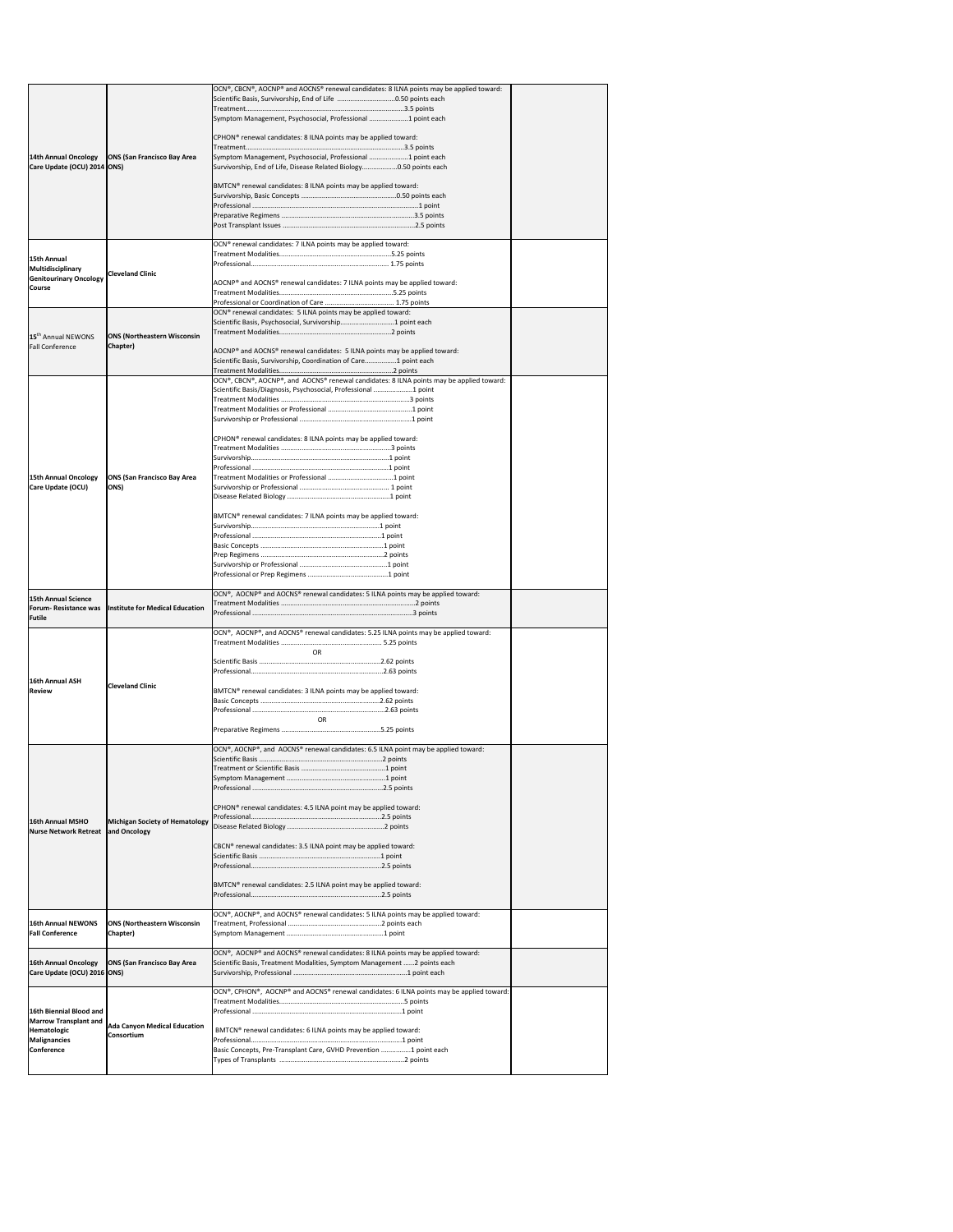|                                                         |                                                        | $[OCN®, CBCN®, AOCNP® and AOCNS® renewal candidates: 8 ILNA points may be applied toward:$                                                                    |  |
|---------------------------------------------------------|--------------------------------------------------------|---------------------------------------------------------------------------------------------------------------------------------------------------------------|--|
|                                                         |                                                        |                                                                                                                                                               |  |
|                                                         |                                                        | Symptom Management, Psychosocial, Professional 1 point each                                                                                                   |  |
|                                                         |                                                        | CPHON <sup>®</sup> renewal candidates: 8 ILNA points may be applied toward:                                                                                   |  |
| <b>14th Annual Oncology</b>                             | <b>ONS (San Francisco Bay Area</b>                     | Symptom Management, Psychosocial, Professional 1 point each                                                                                                   |  |
| Care Update (OCU) 2014   ONS)                           |                                                        | Survivorship, End of Life, Disease Related Biology0.50 points each                                                                                            |  |
|                                                         |                                                        | BMTCN® renewal candidates: 8 ILNA points may be applied toward:                                                                                               |  |
|                                                         |                                                        |                                                                                                                                                               |  |
|                                                         |                                                        |                                                                                                                                                               |  |
|                                                         |                                                        |                                                                                                                                                               |  |
|                                                         |                                                        | OCN <sup>®</sup> renewal candidates: 7 ILNA points may be applied toward:                                                                                     |  |
| <b>15th Annual</b>                                      |                                                        |                                                                                                                                                               |  |
| Multidisciplinary<br><b>Genitourinary Oncology</b>      | <b>Cleveland Clinic</b>                                |                                                                                                                                                               |  |
| <b>Course</b>                                           |                                                        | AOCNP® and AOCNS® renewal candidates: 7 ILNA points may be applied toward:                                                                                    |  |
|                                                         |                                                        |                                                                                                                                                               |  |
|                                                         |                                                        | OCN <sup>®</sup> renewal candidates: 5 ILNA points may be applied toward:<br>Scientific Basis, Psychosocial, Survivorship1 point each                         |  |
| 15 <sup>th</sup> Annual NEWONS                          | <b>ONS (Northeastern Wisconsin</b>                     |                                                                                                                                                               |  |
| <b>Fall Conference</b>                                  | Chapter)                                               | AOCNP® and AOCNS® renewal candidates: 5 ILNA points may be applied toward:                                                                                    |  |
|                                                         |                                                        | Scientific Basis, Survivorship, Coordination of Care1 point each                                                                                              |  |
|                                                         |                                                        | OCN®, CBCN®, AOCNP®, and AOCNS® renewal candidates: 8 ILNA points may be applied toward:                                                                      |  |
|                                                         |                                                        | Scientific Basis/Diagnosis, Psychosocial, Professional 1 point                                                                                                |  |
|                                                         |                                                        |                                                                                                                                                               |  |
|                                                         |                                                        |                                                                                                                                                               |  |
|                                                         |                                                        | CPHON <sup>®</sup> renewal candidates: 8 ILNA points may be applied toward:                                                                                   |  |
|                                                         |                                                        |                                                                                                                                                               |  |
|                                                         |                                                        |                                                                                                                                                               |  |
| <b>15th Annual Oncology</b><br>Care Update (OCU)        | <b>ONS (San Francisco Bay Area</b><br>ONS)             |                                                                                                                                                               |  |
|                                                         |                                                        |                                                                                                                                                               |  |
|                                                         |                                                        | BMTCN® renewal candidates: 7 ILNA points may be applied toward:                                                                                               |  |
|                                                         |                                                        |                                                                                                                                                               |  |
|                                                         |                                                        |                                                                                                                                                               |  |
|                                                         |                                                        |                                                                                                                                                               |  |
|                                                         |                                                        |                                                                                                                                                               |  |
|                                                         |                                                        |                                                                                                                                                               |  |
| <b>15th Annual Science</b>                              |                                                        | OCN®, AOCNP® and AOCNS® renewal candidates: 5 ILNA points may be applied toward:                                                                              |  |
| <b>Forum- Resistance was</b><br><b>Futile</b>           | Institute for Medical Education                        |                                                                                                                                                               |  |
|                                                         |                                                        | OCN®, AOCNP®, and AOCNS® renewal candidates: 5.25 ILNA points may be applied toward:                                                                          |  |
|                                                         |                                                        |                                                                                                                                                               |  |
|                                                         |                                                        | <b>OR</b>                                                                                                                                                     |  |
|                                                         |                                                        |                                                                                                                                                               |  |
|                                                         |                                                        |                                                                                                                                                               |  |
| <b>16th Annual ASH</b><br><b>Review</b>                 | <b>Cleveland Clinic</b>                                | BMTCN <sup>®</sup> renewal candidates: 3 ILNA points may be applied toward:                                                                                   |  |
|                                                         |                                                        |                                                                                                                                                               |  |
|                                                         |                                                        | OR.                                                                                                                                                           |  |
|                                                         |                                                        |                                                                                                                                                               |  |
|                                                         |                                                        | OCN®, AOCNP®, and AOCNS® renewal candidates: 6.5 ILNA point may be applied toward:                                                                            |  |
|                                                         |                                                        |                                                                                                                                                               |  |
|                                                         |                                                        |                                                                                                                                                               |  |
|                                                         |                                                        |                                                                                                                                                               |  |
|                                                         |                                                        | CPHON <sup>®</sup> renewal candidates: 4.5 ILNA point may be applied toward:                                                                                  |  |
| <b>16th Annual MSHO</b>                                 | Michigan Society of Hematology                         |                                                                                                                                                               |  |
| <b>Nurse Network Retreat</b>                            | and Oncology                                           |                                                                                                                                                               |  |
|                                                         |                                                        | CBCN® renewal candidates: 3.5 ILNA point may be applied toward:                                                                                               |  |
|                                                         |                                                        |                                                                                                                                                               |  |
|                                                         |                                                        | BMTCN® renewal candidates: 2.5 ILNA point may be applied toward:                                                                                              |  |
|                                                         |                                                        |                                                                                                                                                               |  |
|                                                         |                                                        | OCN®, AOCNP®, and AOCNS® renewal candidates: 5 ILNA points may be applied toward:                                                                             |  |
| <b>16th Annual NEWONS</b><br><b>Fall Conference</b>     | <b>ONS (Northeastern Wisconsin</b><br><b>Chapter</b> ) |                                                                                                                                                               |  |
|                                                         |                                                        |                                                                                                                                                               |  |
| <b>16th Annual Oncology</b>                             | <b>ONS (San Francisco Bay Area</b>                     | OCN®, AOCNP® and AOCNS® renewal candidates: 8 ILNA points may be applied toward:<br>Scientific Basis, Treatment Modalities, Symptom Management  2 points each |  |
| Care Update (OCU) 2016   ONS)                           |                                                        |                                                                                                                                                               |  |
|                                                         |                                                        | $[OCN®, CPHON®, AOCNP® and AOCNS® renewal candidates: 6 ILNA points may be applied toward:$                                                                   |  |
|                                                         |                                                        |                                                                                                                                                               |  |
| 16th Biennial Blood and<br><b>Marrow Transplant and</b> |                                                        |                                                                                                                                                               |  |
| Hematologic                                             | <b>Ada Canyon Medical Education</b><br>Consortium      | BMTCN® renewal candidates: 6 ILNA points may be applied toward:                                                                                               |  |
| <b>Malignancies</b><br>Conference                       |                                                        | Basic Concepts, Pre-Transplant Care, GVHD Prevention 1 point each                                                                                             |  |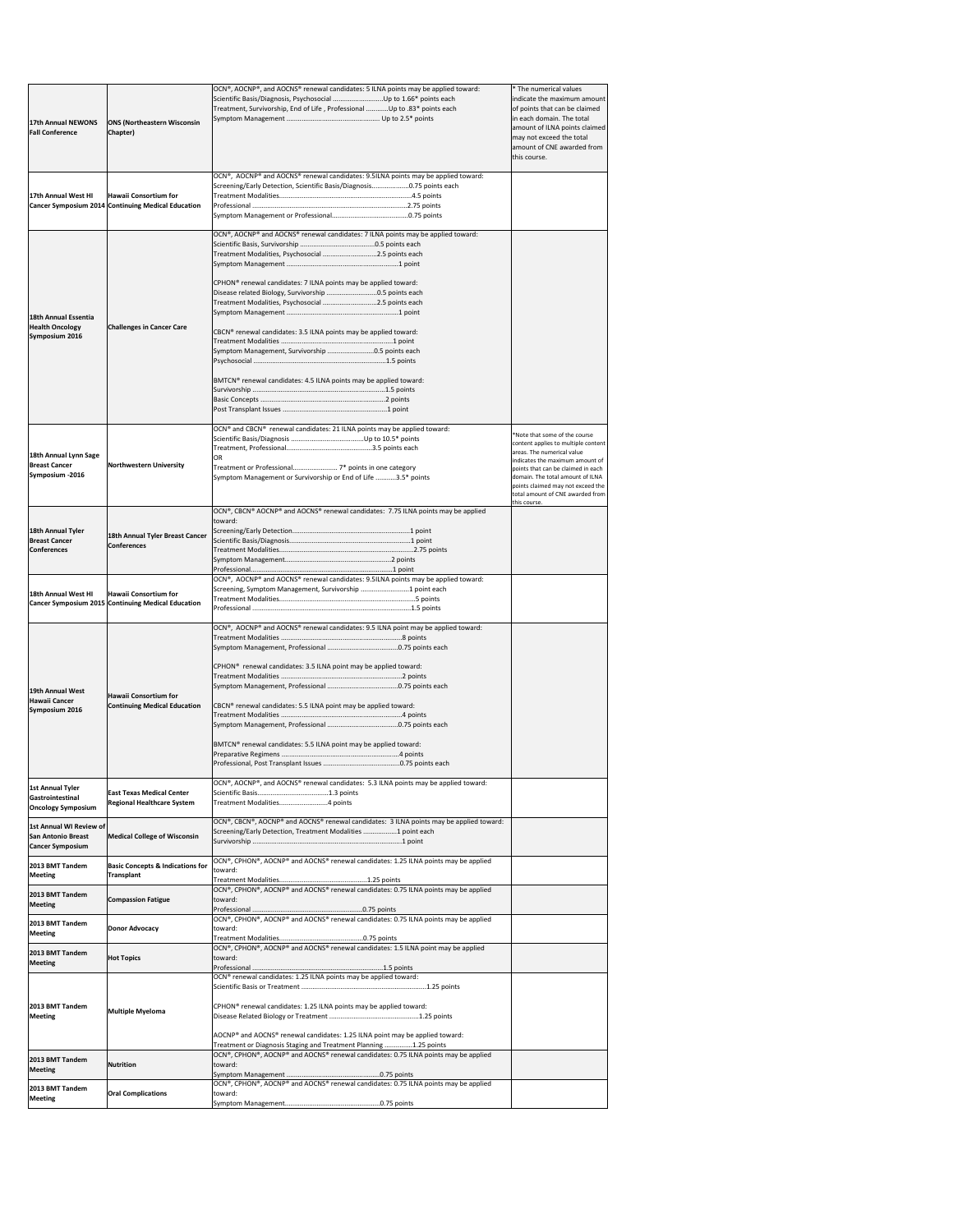| 17th Annual NEWONS<br><b>Fall Conference</b>                                    | <b>ONS (Northeastern Wisconsin</b><br>Chapter)                                                   | OCN®, AOCNP®, and AOCNS® renewal candidates: 5 ILNA points may be applied toward:<br>Treatment, Survivorship, End of Life, Professional Up to .83* points each                                                                                                                                                                                                                                                                                                                                                                    | * The numerical values<br>indicate the maximum amount<br>of points that can be claimed<br>in each domain. The total<br>amount of ILNA points claimed<br>may not exceed the total<br>amount of CNE awarded from<br>this course.                                                                           |
|---------------------------------------------------------------------------------|--------------------------------------------------------------------------------------------------|-----------------------------------------------------------------------------------------------------------------------------------------------------------------------------------------------------------------------------------------------------------------------------------------------------------------------------------------------------------------------------------------------------------------------------------------------------------------------------------------------------------------------------------|----------------------------------------------------------------------------------------------------------------------------------------------------------------------------------------------------------------------------------------------------------------------------------------------------------|
| 17th Annual West HI                                                             | Hawaii Consortium for<br><b>Cancer Symposium 2014 Continuing Medical Education</b>               | $\vert$ OCN®, AOCNP® and AOCNS® renewal candidates: 9.5ILNA points may be applied toward:<br>Screening/Early Detection, Scientific Basis/Diagnosis0.75 points each                                                                                                                                                                                                                                                                                                                                                                |                                                                                                                                                                                                                                                                                                          |
| 18th Annual Essentia<br><b>Health Oncology</b><br>Symposium 2016                | <b>Challenges in Cancer Care</b>                                                                 | OCN®, AOCNP® and AOCNS® renewal candidates: 7 ILNA points may be applied toward:<br>Treatment Modalities, Psychosocial 2.5 points each<br>CPHON <sup>®</sup> renewal candidates: 7 ILNA points may be applied toward:<br>Disease related Biology, Survivorship 0.5 points each<br>Treatment Modalities, Psychosocial 2.5 points each<br>CBCN® renewal candidates: 3.5 ILNA points may be applied toward:<br>Symptom Management, Survivorship 0.5 points each<br>BMTCN® renewal candidates: 4.5 ILNA points may be applied toward: |                                                                                                                                                                                                                                                                                                          |
| 18th Annual Lynn Sage<br><b>Breast Cancer</b><br>Symposium -2016                | Northwestern University                                                                          | OCN® and CBCN® renewal candidates: 21 ILNA points may be applied toward:<br><b>OR</b><br>Symptom Management or Survivorship or End of Life 3.5* points                                                                                                                                                                                                                                                                                                                                                                            | *Note that some of the course<br>content applies to multiple content<br>areas. The numerical value<br>indicates the maximum amount of<br>points that can be claimed in each<br>domain. The total amount of ILNA<br>points claimed may not exceed the<br>total amount of CNE awarded from<br>this course. |
| 18th Annual Tyler<br><b>Breast Cancer</b><br><b>Conferences</b>                 | 18th Annual Tyler Breast Cancer<br><b>Conferences</b>                                            | OCN®, CBCN® AOCNP® and AOCNS® renewal candidates: 7.75 ILNA points may be applied<br>toward:                                                                                                                                                                                                                                                                                                                                                                                                                                      |                                                                                                                                                                                                                                                                                                          |
| 18th Annual West HI                                                             | Hawaii Consortium for<br><b>Cancer Symposium 2015 Continuing Medical Education</b>               | $\overline{OCN^{\circ}}$ , AOCNP® and AOCNS® renewal candidates: 9.5ILNA points may be applied toward:<br>Screening, Symptom Management, Survivorship 1 point each                                                                                                                                                                                                                                                                                                                                                                |                                                                                                                                                                                                                                                                                                          |
| 19th Annual West<br>Hawaii Cancer<br>Symposium 2016<br><b>1st Annual Tyler</b>  | Hawaii Consortium for<br><b>Continuing Medical Education</b><br><b>East Texas Medical Center</b> | OCN®, AOCNP® and AOCNS® renewal candidates: 9.5 ILNA point may be applied toward:<br>CPHON <sup>®</sup> renewal candidates: 3.5 ILNA point may be applied toward:<br>CBCN <sup>®</sup> renewal candidates: 5.5 ILNA point may be applied toward:<br>BMTCN <sup>®</sup> renewal candidates: 5.5 ILNA point may be applied toward:<br>OCN®, AOCNP®, and AOCNS® renewal candidates: 5.3 ILNA points may be applied toward:                                                                                                           |                                                                                                                                                                                                                                                                                                          |
| Gastrointestinal<br><b>Oncology Symposium</b><br><b>1st Annual WI Review of</b> | <b>Regional Healthcare System</b>                                                                | Treatment Modalities4 points<br>OCN®, CBCN®, AOCNP® and AOCNS® renewal candidates: 3 ILNA points may be applied toward:                                                                                                                                                                                                                                                                                                                                                                                                           |                                                                                                                                                                                                                                                                                                          |
| <b>San Antonio Breast</b><br><b>Cancer Symposium</b>                            | <b>Medical College of Wisconsin</b>                                                              | Screening/Early Detection, Treatment Modalities 1 point each<br>$\overline{)$ OCN®, CPHON®, AOCNP® and AOCNS® renewal candidates: 1.25 ILNA points may be applied                                                                                                                                                                                                                                                                                                                                                                 |                                                                                                                                                                                                                                                                                                          |
| 2013 BMT Tandem<br><b>Meeting</b>                                               | <b>Basic Concepts &amp; Indications for</b><br><b>Transplant</b>                                 | toward:<br>$\vert$ OCN®, CPHON®, AOCNP® and AOCNS® renewal candidates: 0.75 ILNA points may be applied                                                                                                                                                                                                                                                                                                                                                                                                                            |                                                                                                                                                                                                                                                                                                          |
| 2013 BMT Tandem<br><b>Meeting</b>                                               | <b>Compassion Fatigue</b>                                                                        | toward:<br>OCN®, CPHON®, AOCNP® and AOCNS® renewal candidates: 0.75 ILNA points may be applied                                                                                                                                                                                                                                                                                                                                                                                                                                    |                                                                                                                                                                                                                                                                                                          |
| 2013 BMT Tandem<br><b>Meeting</b>                                               | <b>Donor Advocacy</b>                                                                            | toward:<br>OCN®, CPHON®, AOCNP® and AOCNS® renewal candidates: 1.5 ILNA point may be applied                                                                                                                                                                                                                                                                                                                                                                                                                                      |                                                                                                                                                                                                                                                                                                          |
| 2013 BMT Tandem<br><b>Meeting</b><br>2013 BMT Tandem<br><b>Meeting</b>          | <b>Hot Topics</b><br>Multiple Myeloma                                                            | toward:<br>OCN® renewal candidates: 1.25 ILNA points may be applied toward:<br>CPHON <sup>®</sup> renewal candidates: 1.25 ILNA points may be applied toward:<br>$AOCNP®$ and AOCNS <sup>®</sup> renewal candidates: 1.25 ILNA point may be applied toward:                                                                                                                                                                                                                                                                       |                                                                                                                                                                                                                                                                                                          |
| 2013 BMT Tandem<br><b>Meeting</b>                                               | Nutrition                                                                                        | Treatment or Diagnosis Staging and Treatment Planning 1.25 points<br>OCN®, CPHON®, AOCNP® and AOCNS® renewal candidates: 0.75 ILNA points may be applied<br>toward:                                                                                                                                                                                                                                                                                                                                                               |                                                                                                                                                                                                                                                                                                          |
| 2013 BMT Tandem<br><b>Meeting</b>                                               | <b>Oral Complications</b>                                                                        | $\vert$ OCN®, CPHON®, AOCNP® and AOCNS® renewal candidates: 0.75 ILNA points may be applied<br>toward:                                                                                                                                                                                                                                                                                                                                                                                                                            |                                                                                                                                                                                                                                                                                                          |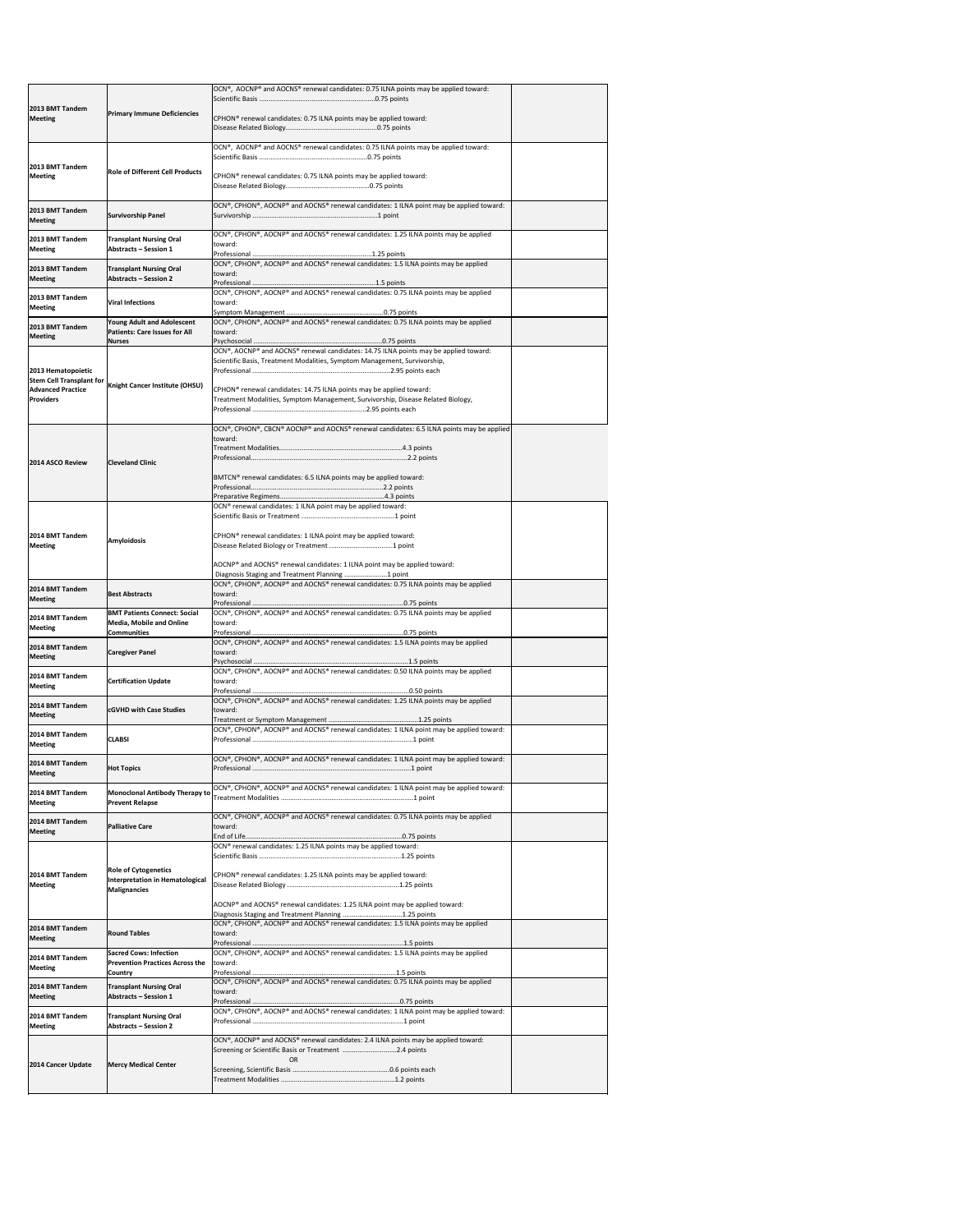|                                                       |                                                                        | OCN®, AOCNP® and AOCNS® renewal candidates: 0.75 ILNA points may be applied toward:                                                                                 |  |
|-------------------------------------------------------|------------------------------------------------------------------------|---------------------------------------------------------------------------------------------------------------------------------------------------------------------|--|
| 2013 BMT Tandem                                       | <b>Primary Immune Deficiencies</b>                                     |                                                                                                                                                                     |  |
| <b>Meeting</b>                                        |                                                                        | CPHON <sup>®</sup> renewal candidates: 0.75 ILNA points may be applied toward:                                                                                      |  |
|                                                       |                                                                        |                                                                                                                                                                     |  |
|                                                       |                                                                        | OCN®, AOCNP® and AOCNS® renewal candidates: 0.75 ILNA points may be applied toward:                                                                                 |  |
| <b>2013 BMT Tandem</b><br><b>Meeting</b>              | <b>Role of Different Cell Products</b>                                 | CPHON <sup>®</sup> renewal candidates: 0.75 ILNA points may be applied toward:                                                                                      |  |
|                                                       |                                                                        |                                                                                                                                                                     |  |
|                                                       |                                                                        | OCN®, CPHON®, AOCNP® and AOCNS® renewal candidates: 1 ILNA point may be applied toward:                                                                             |  |
| 2013 BMT Tandem<br><b>Meeting</b>                     | <b>Survivorship Panel</b>                                              |                                                                                                                                                                     |  |
| 2013 BMT Tandem                                       | <b>Transplant Nursing Oral</b>                                         | OCN®, CPHON®, AOCNP® and AOCNS® renewal candidates: 1.25 ILNA points may be applied                                                                                 |  |
| <b>Meeting</b>                                        | <b>Abstracts - Session 1</b>                                           | toward:                                                                                                                                                             |  |
| 2013 BMT Tandem                                       | <b>Transplant Nursing Oral</b>                                         | OCN®, CPHON®, AOCNP® and AOCNS® renewal candidates: 1.5 ILNA points may be applied                                                                                  |  |
| <b>Meeting</b>                                        | <b>Abstracts - Session 2</b>                                           | toward:                                                                                                                                                             |  |
| 2013 BMT Tandem                                       | <b>Viral Infections</b>                                                | OCN®, CPHON®, AOCNP® and AOCNS® renewal candidates: 0.75 ILNA points may be applied<br>toward:                                                                      |  |
| <b>Meeting</b>                                        | <b>Young Adult and Adolescent</b>                                      | OCN®, CPHON®, AOCNP® and AOCNS® renewal candidates: 0.75 ILNA points may be applied                                                                                 |  |
| 2013 BMT Tandem<br><b>Meeting</b>                     | <b>Patients: Care Issues for All</b>                                   | toward:                                                                                                                                                             |  |
|                                                       | <b>Nurses</b>                                                          | OCN®, AOCNP® and AOCNS® renewal candidates: 14.75 ILNA points may be applied toward:                                                                                |  |
|                                                       |                                                                        | Scientific Basis, Treatment Modalities, Symptom Management, Survivorship,                                                                                           |  |
| 2013 Hematopoietic<br><b>Stem Cell Transplant for</b> | <b>Knight Cancer Institute (OHSU)</b>                                  |                                                                                                                                                                     |  |
| <b>Advanced Practice</b><br><b>Providers</b>          |                                                                        | CPHON <sup>®</sup> renewal candidates: 14.75 ILNA points may be applied toward:<br>Treatment Modalities, Symptom Management, Survivorship, Disease Related Biology, |  |
|                                                       |                                                                        |                                                                                                                                                                     |  |
|                                                       |                                                                        | OCN®, CPHON®, CBCN® AOCNP® and AOCNS® renewal candidates: 6.5 ILNA points may be applied                                                                            |  |
|                                                       |                                                                        | toward:                                                                                                                                                             |  |
| 2014 ASCO Review                                      | <b>Cleveland Clinic</b>                                                |                                                                                                                                                                     |  |
|                                                       |                                                                        | BMTCN® renewal candidates: 6.5 ILNA points may be applied toward:                                                                                                   |  |
|                                                       |                                                                        |                                                                                                                                                                     |  |
|                                                       |                                                                        | OCN® renewal candidates: 1 ILNA point may be applied toward:                                                                                                        |  |
|                                                       |                                                                        |                                                                                                                                                                     |  |
| 2014 BMT Tandem<br><b>Meeting</b>                     | Amyloidosis                                                            | CPHON <sup>®</sup> renewal candidates: 1 ILNA point may be applied toward:                                                                                          |  |
|                                                       |                                                                        |                                                                                                                                                                     |  |
|                                                       |                                                                        | AOCNP® and AOCNS® renewal candidates: 1 ILNA point may be applied toward:<br>Diagnosis Staging and Treatment Planning  point                                        |  |
| 2014 BMT Tandem                                       | <b>Best Abstracts</b>                                                  | OCN®, CPHON®, AOCNP® and AOCNS® renewal candidates: 0.75 ILNA points may be applied<br>toward:                                                                      |  |
| <b>Meeting</b>                                        |                                                                        |                                                                                                                                                                     |  |
| 2014 BMT Tandem<br><b>Meeting</b>                     | <b>BMT Patients Connect: Social</b><br><b>Media, Mobile and Online</b> | OCN®, CPHON®, AOCNP® and AOCNS® renewal candidates: 0.75 ILNA points may be applied<br>toward:                                                                      |  |
|                                                       | <b>Communities</b>                                                     | OCN®, CPHON®, AOCNP® and AOCNS® renewal candidates: 1.5 ILNA points may be applied                                                                                  |  |
| 2014 BMT Tandem<br><b>Meeting</b>                     | <b>Caregiver Panel</b>                                                 | toward:                                                                                                                                                             |  |
| 2014 BMT Tandem                                       |                                                                        | OCN®, CPHON®, AOCNP® and AOCNS® renewal candidates: 0.50 ILNA points may be applied                                                                                 |  |
| Meeting                                               | <b>Certification Update</b>                                            | toward:                                                                                                                                                             |  |
| 2014 BMT Tandem                                       | <b>cGVHD with Case Studies</b>                                         | OCN®, CPHON®, AOCNP® and AOCNS® renewal candidates: 1.25 ILNA points may be applied<br>toward:                                                                      |  |
| Meeting                                               |                                                                        |                                                                                                                                                                     |  |
| 2014 BMT Tandem                                       | <b>CLABSI</b>                                                          | OCN®, CPHON®, AOCNP® and AOCNS® renewal candidates: 1 ILNA point may be applied toward:                                                                             |  |
| <b>Meeting</b>                                        |                                                                        | OCN®, CPHON®, AOCNP® and AOCNS® renewal candidates: 1 ILNA point may be applied toward:                                                                             |  |
| 2014 BMT Tandem<br>Meeting                            | <b>Hot Topics</b>                                                      |                                                                                                                                                                     |  |
| 2014 BMT Tandem                                       |                                                                        | OCN®, CPHON®, AOCNP® and AOCNS® renewal candidates: 1 ILNA point may be applied toward:                                                                             |  |
| <b>Meeting</b>                                        | Monoclonal Antibody Therapy to<br><b>Prevent Relapse</b>               |                                                                                                                                                                     |  |
| 2014 BMT Tandem                                       |                                                                        | OCN®, CPHON®, AOCNP® and AOCNS® renewal candidates: 0.75 ILNA points may be applied                                                                                 |  |
| Meeting                                               | <b>Palliative Care</b>                                                 | toward:                                                                                                                                                             |  |
|                                                       |                                                                        | OCN <sup>®</sup> renewal candidates: 1.25 ILNA points may be applied toward:                                                                                        |  |
|                                                       | <b>Role of Cytogenetics</b>                                            |                                                                                                                                                                     |  |
| 2014 BMT Tandem<br><b>Meeting</b>                     | Interpretation in Hematological<br><b>Malignancies</b>                 | CPHON <sup>®</sup> renewal candidates: 1.25 ILNA points may be applied toward:                                                                                      |  |
|                                                       |                                                                        | AOCNP® and AOCNS® renewal candidates: 1.25 ILNA point may be applied toward:                                                                                        |  |
|                                                       |                                                                        | Diagnosis Staging and Treatment Planning 1.25 points                                                                                                                |  |
| 2014 BMT Tandem<br><b>Meeting</b>                     | <b>Round Tables</b>                                                    | OCN®, CPHON®, AOCNP® and AOCNS® renewal candidates: 1.5 ILNA points may be applied<br>toward:                                                                       |  |
|                                                       | <b>Sacred Cows: Infection</b>                                          | OCN®, CPHON®, AOCNP® and AOCNS® renewal candidates: 1.5 ILNA points may be applied                                                                                  |  |
| 2014 BMT Tandem<br>Meeting                            | <b>Prevention Practices Across the</b>                                 | toward:                                                                                                                                                             |  |
| 2014 BMT Tandem                                       | <b>Country</b><br><b>Transplant Nursing Oral</b>                       | OCN®, CPHON®, AOCNP® and AOCNS® renewal candidates: 0.75 ILNA points may be applied                                                                                 |  |
| Meeting                                               | <b>Abstracts - Session 1</b>                                           | toward:                                                                                                                                                             |  |
| 2014 BMT Tandem                                       | <b>Transplant Nursing Oral</b>                                         | OCN®, CPHON®, AOCNP® and AOCNS® renewal candidates: 1 ILNA point may be applied toward:                                                                             |  |
| Meeting                                               | <b>Abstracts - Session 2</b>                                           |                                                                                                                                                                     |  |
|                                                       |                                                                        | OCN®, AOCNP® and AOCNS® renewal candidates: 2.4 ILNA points may be applied toward:<br>Screening or Scientific Basis or Treatment 2.4 points                         |  |
| 2014 Cancer Update                                    | <b>Mercy Medical Center</b>                                            | <b>OR</b>                                                                                                                                                           |  |
|                                                       |                                                                        |                                                                                                                                                                     |  |
|                                                       |                                                                        |                                                                                                                                                                     |  |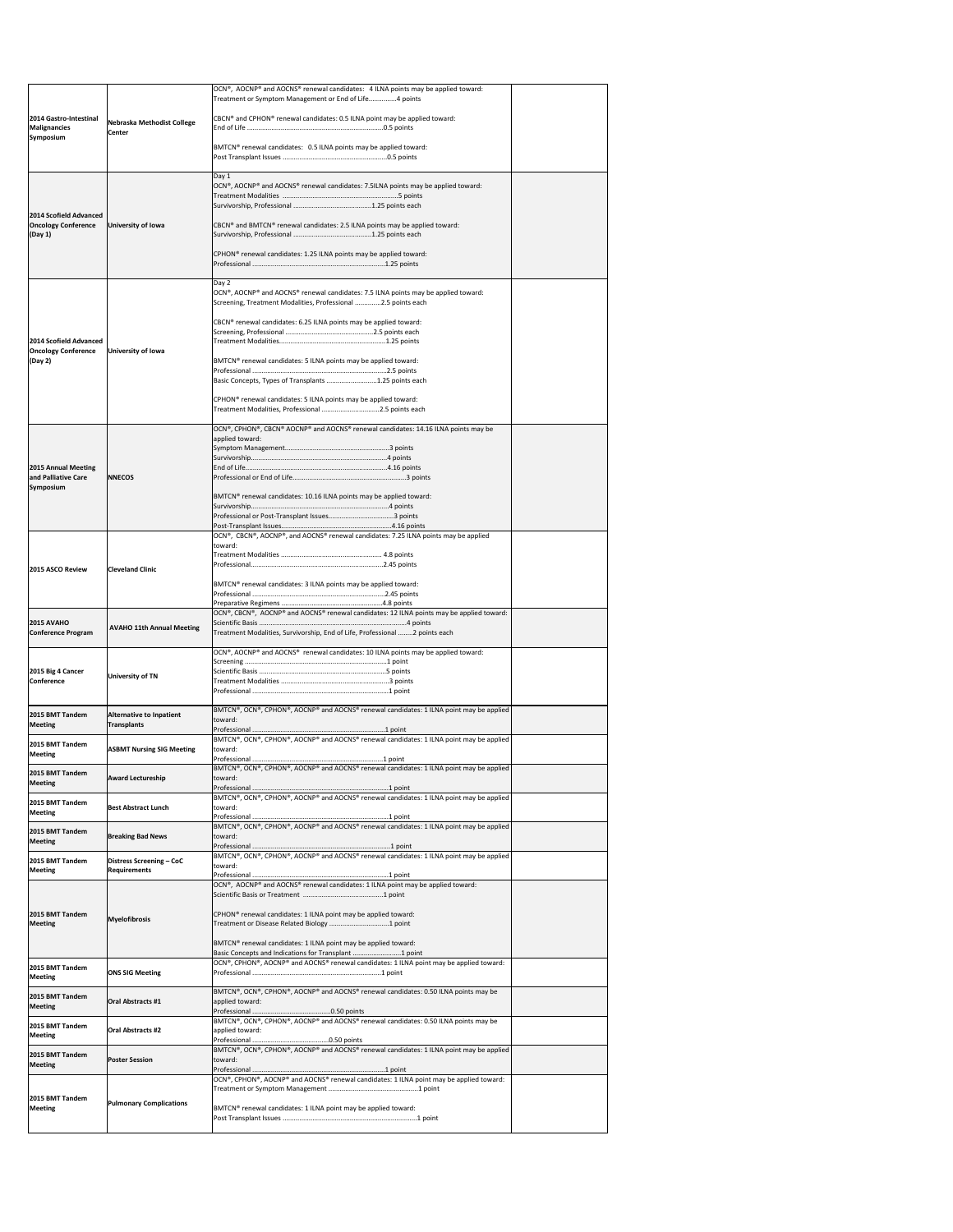|                                                      |                                                       | OCN®, AOCNP® and AOCNS® renewal candidates: 4 ILNA points may be applied toward:<br>Treatment or Symptom Management or End of Life4 points        |  |
|------------------------------------------------------|-------------------------------------------------------|---------------------------------------------------------------------------------------------------------------------------------------------------|--|
| 2014 Gastro-Intestinal                               | Nebraska Methodist College                            | CBCN <sup>®</sup> and CPHON <sup>®</sup> renewal candidates: 0.5 ILNA point may be applied toward:                                                |  |
| <b>Malignancies</b><br>Symposium                     | <b>Center</b>                                         |                                                                                                                                                   |  |
|                                                      |                                                       | BMTCN® renewal candidates: 0.5 ILNA points may be applied toward:                                                                                 |  |
|                                                      |                                                       | Day 1<br>OCN®, AOCNP® and AOCNS® renewal candidates: 7.5ILNA points may be applied toward:                                                        |  |
|                                                      |                                                       |                                                                                                                                                   |  |
| 2014 Scofield Advanced<br><b>Oncology Conference</b> | University of Iowa                                    | CBCN <sup>®</sup> and BMTCN <sup>®</sup> renewal candidates: 2.5 ILNA points may be applied toward:                                               |  |
| (Day 1)                                              |                                                       | CPHON <sup>®</sup> renewal candidates: 1.25 ILNA points may be applied toward:                                                                    |  |
|                                                      |                                                       |                                                                                                                                                   |  |
|                                                      |                                                       | Day 2<br>OCN®, AOCNP® and AOCNS® renewal candidates: 7.5 ILNA points may be applied toward:                                                       |  |
|                                                      |                                                       | Screening, Treatment Modalities, Professional 2.5 points each                                                                                     |  |
| 2014 Scofield Advanced                               |                                                       | CBCN <sup>®</sup> renewal candidates: 6.25 ILNA points may be applied toward:                                                                     |  |
| <b>Oncology Conference</b><br> (Day 2)               | University of Iowa                                    | BMTCN® renewal candidates: 5 ILNA points may be applied toward:                                                                                   |  |
|                                                      |                                                       | Basic Concepts, Types of Transplants 1.25 points each                                                                                             |  |
|                                                      |                                                       | CPHON <sup>®</sup> renewal candidates: 5 ILNA points may be applied toward:                                                                       |  |
|                                                      |                                                       | Treatment Modalities, Professional 2.5 points each<br>OCN®, CPHON®, CBCN® AOCNP® and AOCNS® renewal candidates: 14.16 ILNA points may be          |  |
|                                                      |                                                       | applied toward:                                                                                                                                   |  |
| 2015 Annual Meeting                                  |                                                       |                                                                                                                                                   |  |
| and Palliative Care<br>Symposium                     | <b>INNECOS</b>                                        |                                                                                                                                                   |  |
|                                                      |                                                       | BMTCN® renewal candidates: 10.16 ILNA points may be applied toward:                                                                               |  |
|                                                      |                                                       |                                                                                                                                                   |  |
|                                                      |                                                       | OCN®, CBCN®, AOCNP®, and AOCNS® renewal candidates: 7.25 ILNA points may be applied<br>toward:                                                    |  |
|                                                      |                                                       |                                                                                                                                                   |  |
| 2015 ASCO Review                                     | <b>Cleveland Clinic</b>                               | BMTCN® renewal candidates: 3 ILNA points may be applied toward:                                                                                   |  |
|                                                      |                                                       |                                                                                                                                                   |  |
| 2015 AVAHO                                           |                                                       | OCN®, CBCN®, AOCNP® and AOCNS® renewal candidates: 12 ILNA points may be applied toward:                                                          |  |
| Conference Program                                   | <b>AVAHO 11th Annual Meeting</b>                      | Treatment Modalities, Survivorship, End of Life, Professional  2 points each                                                                      |  |
|                                                      |                                                       | OCN®, AOCNP® and AOCNS® renewal candidates: 10 ILNA points may be applied toward:                                                                 |  |
| 2015 Big 4 Cancer<br>Conference                      | <b>University of TN</b>                               |                                                                                                                                                   |  |
|                                                      |                                                       | $\vert$ BMTCN®, OCN®, CPHON®, AOCNP® and AOCNS® renewal candidates: 1 ILNA point may be applied                                                   |  |
| 2015 BMT Tandem<br><b>Meeting</b>                    | <b>Alternative to Inpatient</b><br><b>Transplants</b> | toward:                                                                                                                                           |  |
| 2015 BMT Tandem<br><b>Meeting</b>                    | <b>ASBMT Nursing SIG Meeting</b>                      | BMTCN®, OCN®, CPHON®, AOCNP® and AOCNS® renewal candidates: 1 ILNA point may be applied<br>toward:                                                |  |
| 2015 BMT Tandem                                      | <b>Award Lectureship</b>                              | BMTCN®, OCN®, CPHON®, AOCNP® and AOCNS® renewal candidates: 1 ILNA point may be applied<br>toward:                                                |  |
| <b>Meeting</b>                                       |                                                       | $\vert$ BMTCN®, OCN®, CPHON®, AOCNP® and AOCNS® renewal candidates: 1 ILNA point may be applied                                                   |  |
| 2015 BMT Tandem<br><b>Meeting</b>                    | <b>Best Abstract Lunch</b>                            | toward:                                                                                                                                           |  |
| 2015 BMT Tandem<br><b>Meeting</b>                    | <b>Breaking Bad News</b>                              | BMTCN®, OCN®, CPHON®, AOCNP® and AOCNS® renewal candidates: 1 ILNA point may be applied<br>toward:                                                |  |
| 2015 BMT Tandem                                      | Distress Screening - CoC                              | $\vert$ BMTCN®, OCN®, CPHON®, AOCNP® and AOCNS® renewal candidates: 1 ILNA point may be applied                                                   |  |
| <b>Meeting</b>                                       | <b>Requirements</b>                                   | toward:<br>OCN®, AOCNP® and AOCNS® renewal candidates: 1 ILNA point may be applied toward:                                                        |  |
|                                                      |                                                       |                                                                                                                                                   |  |
| 2015 BMT Tandem<br><b>Meeting</b>                    | <b>Myelofibrosis</b>                                  | CPHON <sup>®</sup> renewal candidates: 1 ILNA point may be applied toward:                                                                        |  |
|                                                      |                                                       | BMTCN <sup>®</sup> renewal candidates: 1 ILNA point may be applied toward:                                                                        |  |
| 2015 BMT Tandem                                      |                                                       | Basic Concepts and Indications for Transplant 1 point<br> OCN®, CPHON®, AOCNP® and AOCNS® renewal candidates: 1 ILNA point may be applied toward: |  |
| Meeting                                              | <b>ONS SIG Meeting</b>                                | BMTCN®, OCN®, CPHON®, AOCNP® and AOCNS® renewal candidates: 0.50 ILNA points may be                                                               |  |
| 2015 BMT Tandem<br>Meeting                           | <b>Oral Abstracts #1</b>                              | applied toward:                                                                                                                                   |  |
| 2015 BMT Tandem<br><b>Meeting</b>                    | <b>Oral Abstracts #2</b>                              | BMTCN®, OCN®, CPHON®, AOCNP® and AOCNS® renewal candidates: 0.50 ILNA points may be<br>applied toward:                                            |  |
| 2015 BMT Tandem                                      | <b>Poster Session</b>                                 | $\vert$ BMTCN®, OCN®, CPHON®, AOCNP® and AOCNS® renewal candidates: 1 ILNA point may be applied<br>toward:                                        |  |
| <b>Meeting</b>                                       |                                                       | OCN®, CPHON®, AOCNP® and AOCNS® renewal candidates: 1 ILNA point may be applied toward:                                                           |  |
| 2015 BMT Tandem                                      | <b>Pulmonary Complications</b>                        |                                                                                                                                                   |  |
| <b>Meeting</b>                                       |                                                       | BMTCN <sup>®</sup> renewal candidates: 1 ILNA point may be applied toward:                                                                        |  |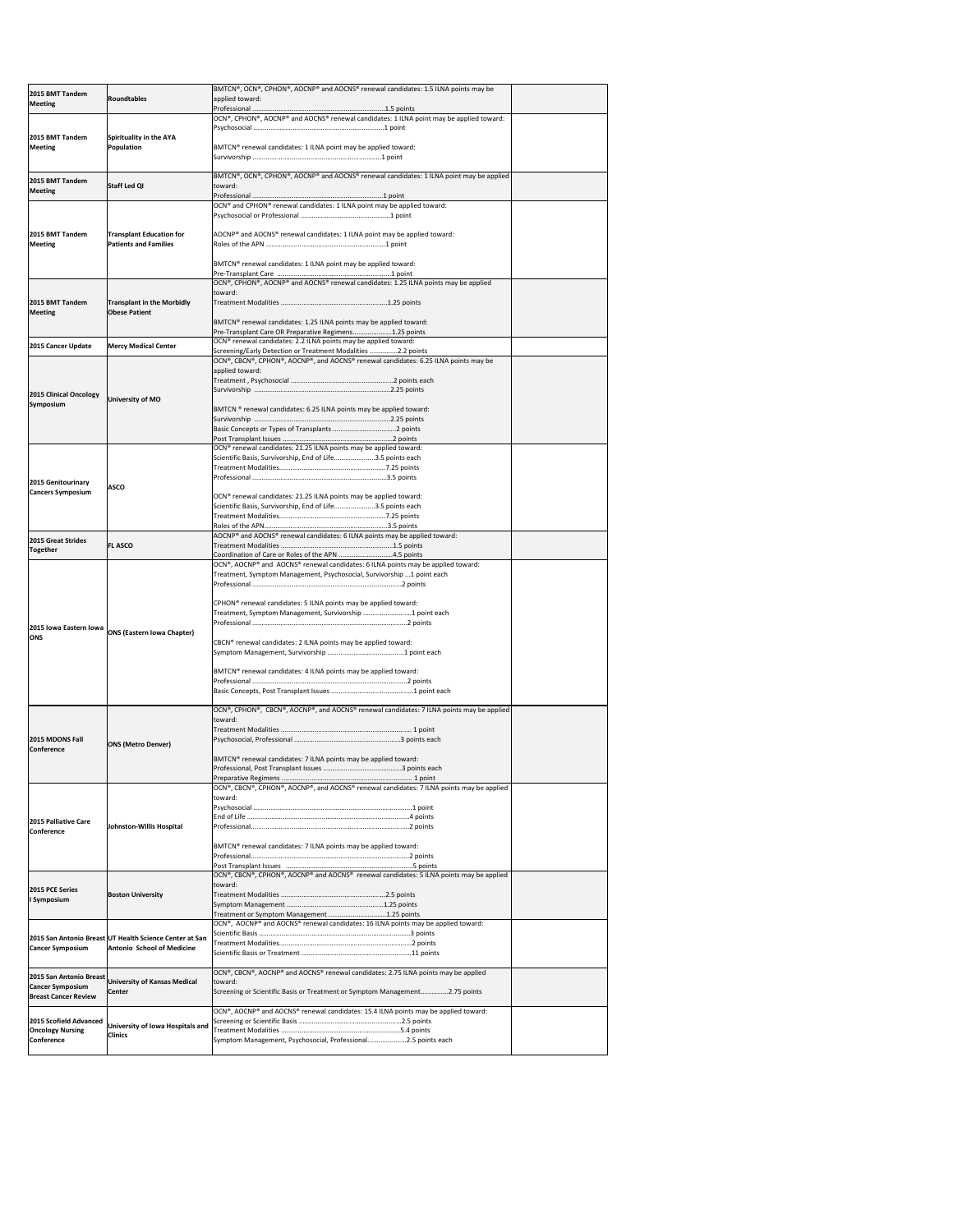| 2015 BMT Tandem                              |                                                         | BMTCN®, OCN®, CPHON®, AOCNP® and AOCNS® renewal candidates: 1.5 ILNA points may be                                               |  |
|----------------------------------------------|---------------------------------------------------------|----------------------------------------------------------------------------------------------------------------------------------|--|
| <b>Meeting</b>                               | Roundtables                                             | applied toward:                                                                                                                  |  |
|                                              |                                                         | OCN®, CPHON®, AOCNP® and AOCNS® renewal candidates: 1 ILNA point may be applied toward:                                          |  |
|                                              |                                                         |                                                                                                                                  |  |
| 2015 BMT Tandem<br><b>Meeting</b>            | Spirituality in the AYA<br>Population                   | BMTCN® renewal candidates: 1 ILNA point may be applied toward:                                                                   |  |
|                                              |                                                         |                                                                                                                                  |  |
|                                              |                                                         |                                                                                                                                  |  |
| 2015 BMT Tandem                              | <b>Staff Led QI</b>                                     | BMTCN®, OCN®, CPHON®, AOCNP® and AOCNS® renewal candidates: 1 ILNA point may be applied<br>toward:                               |  |
| <b>Meeting</b>                               |                                                         |                                                                                                                                  |  |
|                                              |                                                         | OCN® and CPHON® renewal candidates: 1 ILNA point may be applied toward:                                                          |  |
|                                              |                                                         |                                                                                                                                  |  |
| 2015 BMT Tandem                              | <b>Transplant Education for</b>                         | AOCNP <sup>®</sup> and AOCNS <sup>®</sup> renewal candidates: 1 ILNA point may be applied toward:                                |  |
| <b>Meeting</b>                               | <b>Patients and Families</b>                            |                                                                                                                                  |  |
|                                              |                                                         | BMTCN® renewal candidates: 1 ILNA point may be applied toward:                                                                   |  |
|                                              |                                                         |                                                                                                                                  |  |
|                                              |                                                         | $\overline{)$ OCN®, CPHON®, AOCNP® and AOCNS® renewal candidates: 1.25 ILNA points may be applied<br>toward:                     |  |
| 2015 BMT Tandem                              | <b>Transplant in the Morbidly</b>                       |                                                                                                                                  |  |
| <b>Meeting</b>                               | <b>Obese Patient</b>                                    |                                                                                                                                  |  |
|                                              |                                                         | BMTCN® renewal candidates: 1.25 ILNA points may be applied toward:                                                               |  |
|                                              |                                                         | Pre-Transplant Care OR Preparative Regimens1.25 points<br>OCN® renewal candidates: 2.2 ILNA points may be applied toward:        |  |
| 2015 Cancer Update                           | <b>Mercy Medical Center</b>                             | Screening/Early Detection or Treatment Modalities 2.2 points                                                                     |  |
|                                              |                                                         | OCN®, CBCN®, CPHON®, AOCNP®, and AOCNS® renewal candidates: 6.25 ILNA points may be<br>applied toward:                           |  |
|                                              |                                                         |                                                                                                                                  |  |
| 2015 Clinical Oncology                       |                                                         |                                                                                                                                  |  |
| Symposium                                    | University of MO                                        | BMTCN ® renewal candidates: 6.25 ILNA points may be applied toward:                                                              |  |
|                                              |                                                         |                                                                                                                                  |  |
|                                              |                                                         |                                                                                                                                  |  |
|                                              |                                                         | OCN® renewal candidates: 21.25 ILNA points may be applied toward:                                                                |  |
|                                              |                                                         | Scientific Basis, Survivorship, End of Life3.5 points each                                                                       |  |
|                                              |                                                         |                                                                                                                                  |  |
| 2015 Genitourinary                           | <b>ASCO</b>                                             |                                                                                                                                  |  |
| <b>Cancers Symposium</b>                     |                                                         | OCN® renewal candidates: 21.25 ILNA points may be applied toward:                                                                |  |
|                                              |                                                         | Scientific Basis, Survivorship, End of Life3.5 points each                                                                       |  |
|                                              |                                                         |                                                                                                                                  |  |
| <b>2015 Great Strides</b>                    |                                                         | AOCNP® and AOCNS® renewal candidates: 6 ILNA points may be applied toward:                                                       |  |
| <b>Together</b>                              | <b>FL ASCO</b>                                          | Coordination of Care or Roles of the APN 4.5 points                                                                              |  |
|                                              |                                                         |                                                                                                                                  |  |
|                                              |                                                         | OCN®, AOCNP® and AOCNS® renewal candidates: 6 ILNA points may be applied toward:                                                 |  |
|                                              |                                                         | Treatment, Symptom Management, Psychosocial, Survivorship 1 point each                                                           |  |
|                                              |                                                         |                                                                                                                                  |  |
|                                              |                                                         | CPHON <sup>®</sup> renewal candidates: 5 ILNA points may be applied toward:                                                      |  |
|                                              |                                                         | Treatment, Symptom Management, Survivorship 1 point each                                                                         |  |
| 2015 Iowa Eastern Iowa                       | <b>ONS (Eastern Iowa Chapter)</b>                       |                                                                                                                                  |  |
| <b>ONS</b>                                   |                                                         | CBCN <sup>®</sup> renewal candidates: 2 ILNA points may be applied toward:                                                       |  |
|                                              |                                                         |                                                                                                                                  |  |
|                                              |                                                         | BMTCN® renewal candidates: 4 ILNA points may be applied toward:                                                                  |  |
|                                              |                                                         |                                                                                                                                  |  |
|                                              |                                                         |                                                                                                                                  |  |
|                                              |                                                         | OCN®, CPHON®, CBCN®, AOCNP®, and AOCNS® renewal candidates: 7 ILNA points may be applied                                         |  |
|                                              |                                                         | toward:                                                                                                                          |  |
| 2015 MDONS Fall                              |                                                         |                                                                                                                                  |  |
| lConference                                  | <b>ONS (Metro Denver)</b>                               |                                                                                                                                  |  |
|                                              |                                                         | BMTCN <sup>®</sup> renewal candidates: 7 ILNA points may be applied toward:                                                      |  |
|                                              |                                                         |                                                                                                                                  |  |
|                                              |                                                         | OCN®, CBCN®, CPHON®, AOCNP®, and AOCNS® renewal candidates: 7 ILNA points may be applied                                         |  |
|                                              |                                                         | toward:                                                                                                                          |  |
|                                              |                                                         |                                                                                                                                  |  |
| 2015 Palliative Care<br>lConference          | Johnston-Willis Hospital                                |                                                                                                                                  |  |
|                                              |                                                         | BMTCN® renewal candidates: 7 ILNA points may be applied toward:                                                                  |  |
|                                              |                                                         |                                                                                                                                  |  |
|                                              |                                                         |                                                                                                                                  |  |
|                                              |                                                         | $[OCN®, CBCN®, CPHON®, AOCNP® and AOCNS® renewal candidates: 5 ILNA points may be applied$<br>toward:                            |  |
| 2015 PCE Series<br>I Symposium               | <b>Boston University</b>                                |                                                                                                                                  |  |
|                                              |                                                         |                                                                                                                                  |  |
|                                              |                                                         | Treatment or Symptom Management 1.25 points<br>OCN®, AOCNP® and AOCNS® renewal candidates: 16 ILNA points may be applied toward: |  |
|                                              | 2015 San Antonio Breast UT Health Science Center at San |                                                                                                                                  |  |
| <b>Cancer Symposium</b>                      | Antonio School of Medicine                              |                                                                                                                                  |  |
|                                              |                                                         |                                                                                                                                  |  |
| 2015 San Antonio Breast                      |                                                         | $[OCN®, CBCN®, AOCNP® and AOCNS® renewal candidates: 2.75 ILNA points may be applied$                                            |  |
| <b>Cancer Symposium</b>                      | <b>University of Kansas Medical</b><br><b>Center</b>    | toward:<br>Screening or Scientific Basis or Treatment or Symptom Management2.75 points                                           |  |
| <b>Breast Cancer Review</b>                  |                                                         |                                                                                                                                  |  |
| 2015 Scofield Advanced                       |                                                         | OCN®, AOCNP® and AOCNS® renewal candidates: 15.4 ILNA points may be applied toward:                                              |  |
| <b>Oncology Nursing</b><br><b>Conference</b> | University of Iowa Hospitals and<br><b>Clinics</b>      | Symptom Management, Psychosocial, Professional2.5 points each                                                                    |  |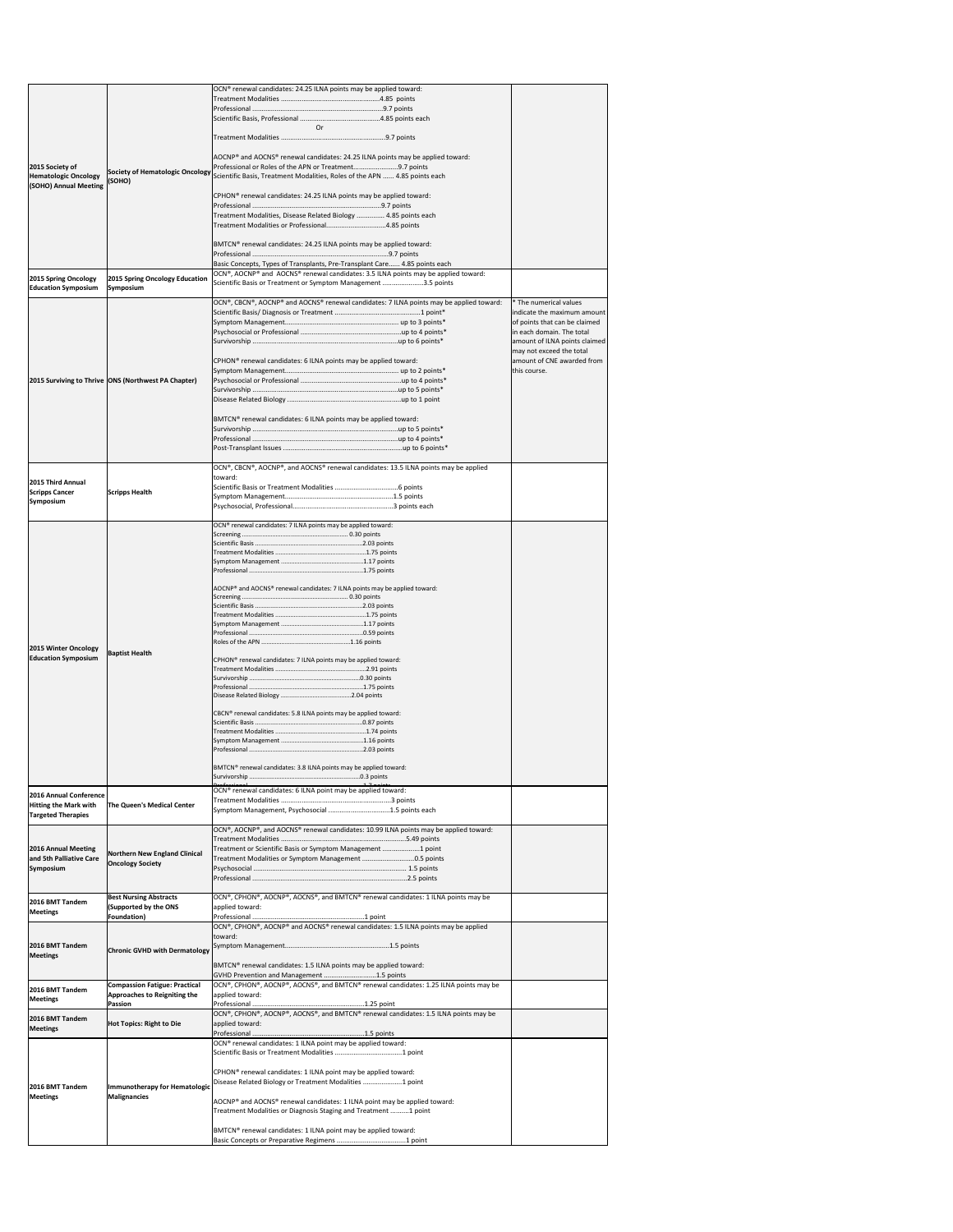|                                                        |                                                                             | OCN® renewal candidates: 24.25 ILNA points may be applied toward:                                                                                    |                                                            |
|--------------------------------------------------------|-----------------------------------------------------------------------------|------------------------------------------------------------------------------------------------------------------------------------------------------|------------------------------------------------------------|
|                                                        |                                                                             |                                                                                                                                                      |                                                            |
|                                                        |                                                                             | Or                                                                                                                                                   |                                                            |
|                                                        |                                                                             |                                                                                                                                                      |                                                            |
|                                                        |                                                                             | AOCNP® and AOCNS® renewal candidates: 24.25 ILNA points may be applied toward:                                                                       |                                                            |
| 2015 Society of<br><b>Hematologic Oncology</b>         | <b>Society of Hematologic Oncology</b>                                      | Professional or Roles of the APN or Treatment9.7 points<br>Scientific Basis, Treatment Modalities, Roles of the APN  4.85 points each                |                                                            |
| (SOHO) Annual Meeting                                  | (SOHO)                                                                      |                                                                                                                                                      |                                                            |
|                                                        |                                                                             | CPHON <sup>®</sup> renewal candidates: 24.25 ILNA points may be applied toward:                                                                      |                                                            |
|                                                        |                                                                             | Treatment Modalities, Disease Related Biology  4.85 points each                                                                                      |                                                            |
|                                                        |                                                                             | Treatment Modalities or Professional4.85 points                                                                                                      |                                                            |
|                                                        |                                                                             | BMTCN® renewal candidates: 24.25 ILNA points may be applied toward:                                                                                  |                                                            |
|                                                        |                                                                             | Basic Concepts, Types of Transplants, Pre-Transplant Care 4.85 points each                                                                           |                                                            |
| 2015 Spring Oncology<br><b>Education Symposium</b>     | 2015 Spring Oncology Education<br>Symposium                                 | OCN®, AOCNP® and AOCNS® renewal candidates: 3.5 ILNA points may be applied toward:<br>Scientific Basis or Treatment or Symptom Management 3.5 points |                                                            |
|                                                        |                                                                             | OCN®, CBCN®, AOCNP® and AOCNS® renewal candidates: 7 ILNA points may be applied toward:                                                              | * The numerical values                                     |
|                                                        |                                                                             |                                                                                                                                                      | indicate the maximum amount                                |
|                                                        |                                                                             |                                                                                                                                                      | of points that can be claimed<br>in each domain. The total |
|                                                        |                                                                             |                                                                                                                                                      | amount of ILNA points claimed<br>may not exceed the total  |
|                                                        |                                                                             | CPHON <sup>®</sup> renewal candidates: 6 ILNA points may be applied toward:                                                                          | amount of CNE awarded from                                 |
|                                                        | 2015 Surviving to Thrive   ONS (Northwest PA Chapter)                       |                                                                                                                                                      | this course.                                               |
|                                                        |                                                                             |                                                                                                                                                      |                                                            |
|                                                        |                                                                             |                                                                                                                                                      |                                                            |
|                                                        |                                                                             | BMTCN <sup>®</sup> renewal candidates: 6 ILNA points may be applied toward:                                                                          |                                                            |
|                                                        |                                                                             |                                                                                                                                                      |                                                            |
|                                                        |                                                                             |                                                                                                                                                      |                                                            |
|                                                        |                                                                             | OCN®, CBCN®, AOCNP®, and AOCNS® renewal candidates: 13.5 ILNA points may be applied<br>toward:                                                       |                                                            |
| 2015 Third Annual<br><b>Scripps Cancer</b>             | <b>Scripps Health</b>                                                       |                                                                                                                                                      |                                                            |
| Symposium                                              |                                                                             |                                                                                                                                                      |                                                            |
|                                                        |                                                                             |                                                                                                                                                      |                                                            |
|                                                        |                                                                             | OCN® renewal candidates: 7 ILNA points may be applied toward:                                                                                        |                                                            |
|                                                        |                                                                             |                                                                                                                                                      |                                                            |
|                                                        |                                                                             |                                                                                                                                                      |                                                            |
|                                                        |                                                                             |                                                                                                                                                      |                                                            |
|                                                        |                                                                             | AOCNP® and AOCNS® renewal candidates: 7 ILNA points may be applied toward:                                                                           |                                                            |
|                                                        |                                                                             |                                                                                                                                                      |                                                            |
|                                                        |                                                                             |                                                                                                                                                      |                                                            |
| 2015 Winter Oncology                                   |                                                                             |                                                                                                                                                      |                                                            |
| <b>Education Symposium</b>                             | <b>Baptist Health</b>                                                       | CPHON <sup>®</sup> renewal candidates: 7 ILNA points may be applied toward:                                                                          |                                                            |
|                                                        |                                                                             |                                                                                                                                                      |                                                            |
|                                                        |                                                                             |                                                                                                                                                      |                                                            |
|                                                        |                                                                             | CBCN® renewal candidates: 5.8 ILNA points may be applied toward:                                                                                     |                                                            |
|                                                        |                                                                             |                                                                                                                                                      |                                                            |
|                                                        |                                                                             |                                                                                                                                                      |                                                            |
|                                                        |                                                                             |                                                                                                                                                      |                                                            |
|                                                        |                                                                             | BMTCN® renewal candidates: 3.8 ILNA points may be applied toward:                                                                                    |                                                            |
|                                                        |                                                                             | OCN <sup>®</sup> renewal candidates: 6 ILNA point may be applied toward:                                                                             |                                                            |
| 2016 Annual Conference<br><b>Hitting the Mark with</b> | The Queen's Medical Center                                                  |                                                                                                                                                      |                                                            |
| <b>Targeted Therapies</b>                              |                                                                             | Symptom Management, Psychosocial 1.5 points each                                                                                                     |                                                            |
|                                                        |                                                                             | OCN®, AOCNP®, and AOCNS® renewal candidates: 10.99 ILNA points may be applied toward:                                                                |                                                            |
| 2016 Annual Meeting                                    | <b>Northern New England Clinical</b>                                        | Treatment or Scientific Basis or Symptom Management 1 point                                                                                          |                                                            |
| and 5th Palliative Care<br>Symposium                   | <b>Oncology Society</b>                                                     | Treatment Modalities or Symptom Management 0.5 points                                                                                                |                                                            |
|                                                        |                                                                             |                                                                                                                                                      |                                                            |
| 2016 BMT Tandem                                        | <b>Best Nursing Abstracts</b>                                               | OCN®, CPHON®, AOCNP®, AOCNS®, and BMTCN® renewal candidates: 1 ILNA points may be                                                                    |                                                            |
| <b>Meetings</b>                                        | (Supported by the ONS<br>Foundation)                                        | applied toward:                                                                                                                                      |                                                            |
|                                                        |                                                                             | OCN®, CPHON®, AOCNP® and AOCNS® renewal candidates: 1.5 ILNA points may be applied                                                                   |                                                            |
| 2016 BMT Tandem                                        | <b>Chronic GVHD with Dermatology</b>                                        | toward:                                                                                                                                              |                                                            |
| <b>Meetings</b>                                        |                                                                             | BMTCN® renewal candidates: 1.5 ILNA points may be applied toward:                                                                                    |                                                            |
|                                                        |                                                                             | GVHD Prevention and Management 1.5 points                                                                                                            |                                                            |
| 2016 BMT Tandem<br><b>Meetings</b>                     | <b>Compassion Fatigue: Practical</b><br><b>Approaches to Reigniting the</b> | $\vert$ OCN®, CPHON®, AOCNP®, AOCNS®, and BMTCN® renewal candidates: 1.25 ILNA points may be<br>applied toward:                                      |                                                            |
|                                                        | Passion                                                                     | Professional<br>OCN®, CPHON®, AOCNP®, AOCNS®, and BMTCN® renewal candidates: 1.5 ILNA points may be                                                  |                                                            |
| 2016 BMT Tandem<br><b>Meetings</b>                     | <b>Hot Topics: Right to Die</b>                                             | applied toward:                                                                                                                                      |                                                            |
|                                                        |                                                                             | OCN <sup>®</sup> renewal candidates: 1 ILNA point may be applied toward:                                                                             |                                                            |
|                                                        |                                                                             |                                                                                                                                                      |                                                            |
|                                                        |                                                                             | CPHON <sup>®</sup> renewal candidates: 1 ILNA point may be applied toward:                                                                           |                                                            |
| 2016 BMT Tandem                                        | <b>Immunotherapy for Hematologic</b>                                        | Disease Related Biology or Treatment Modalities 1 point                                                                                              |                                                            |
| <b>Meetings</b>                                        | <b>Malignancies</b>                                                         | AOCNP® and AOCNS® renewal candidates: 1 ILNA point may be applied toward:                                                                            |                                                            |
|                                                        |                                                                             | Treatment Modalities or Diagnosis Staging and Treatment 1 point                                                                                      |                                                            |
|                                                        |                                                                             | BMTCN® renewal candidates: 1 ILNA point may be applied toward:                                                                                       |                                                            |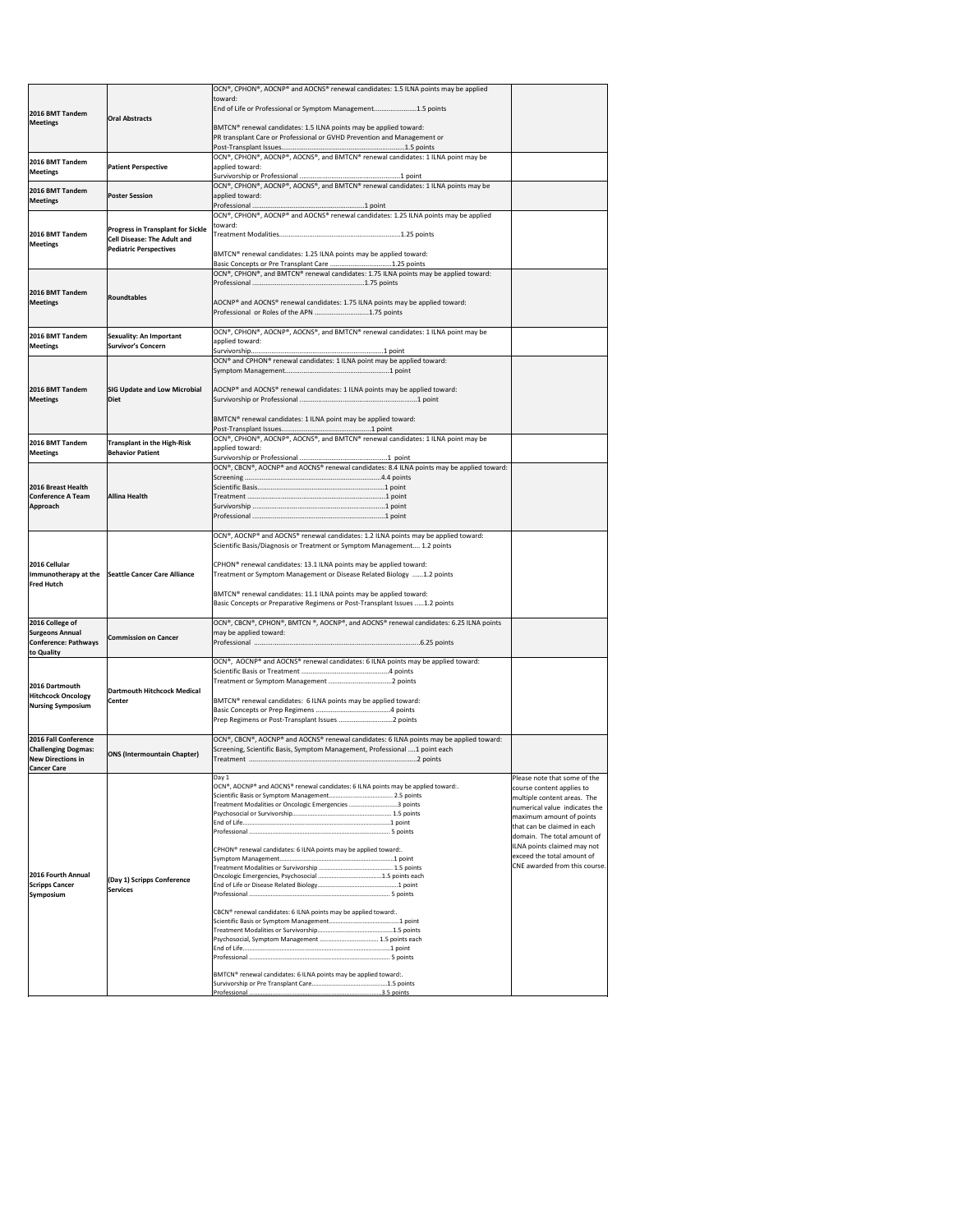|                                                       |                                                                                | OCN®, CPHON®, AOCNP® and AOCNS® renewal candidates: 1.5 ILNA points may be applied                                                                                     |                                                              |
|-------------------------------------------------------|--------------------------------------------------------------------------------|------------------------------------------------------------------------------------------------------------------------------------------------------------------------|--------------------------------------------------------------|
|                                                       |                                                                                | toward:<br>End of Life or Professional or Symptom Management1.5 points                                                                                                 |                                                              |
| 2016 BMT Tandem<br><b>Meetings</b>                    | <b>Oral Abstracts</b>                                                          |                                                                                                                                                                        |                                                              |
|                                                       |                                                                                | BMTCN® renewal candidates: 1.5 ILNA points may be applied toward:                                                                                                      |                                                              |
|                                                       |                                                                                | PR transplant Care or Professional or GVHD Prevention and Management or                                                                                                |                                                              |
| 2016 BMT Tandem                                       |                                                                                | OCN®, CPHON®, AOCNP®, AOCNS®, and BMTCN® renewal candidates: 1 ILNA point may be                                                                                       |                                                              |
| <b>Meetings</b>                                       | <b>Patient Perspective</b>                                                     | applied toward:                                                                                                                                                        |                                                              |
|                                                       |                                                                                | OCN®, CPHON®, AOCNP®, AOCNS®, and BMTCN® renewal candidates: 1 ILNA points may be                                                                                      |                                                              |
| 2016 BMT Tandem<br><b>Meetings</b>                    | <b>Poster Session</b>                                                          | applied toward:                                                                                                                                                        |                                                              |
|                                                       |                                                                                | $\overline{OCN^{\circ}}$ , CPHON <sup>®</sup> , AOCNP <sup>®</sup> and AOCNS <sup>®</sup> renewal candidates: 1.25 ILNA points may be applied                          |                                                              |
|                                                       |                                                                                | toward:                                                                                                                                                                |                                                              |
| 2016 BMT Tandem                                       | <b>Progress in Transplant for Sickle</b><br><b>Cell Disease: The Adult and</b> |                                                                                                                                                                        |                                                              |
| <b>Meetings</b>                                       | <b>Pediatric Perspectives</b>                                                  | BMTCN® renewal candidates: 1.25 ILNA points may be applied toward:                                                                                                     |                                                              |
|                                                       |                                                                                | Basic Concepts or Pre Transplant Care 1.25 points                                                                                                                      |                                                              |
|                                                       |                                                                                | OCN®, CPHON®, and BMTCN® renewal candidates: 1.75 ILNA points may be applied toward:                                                                                   |                                                              |
| 2016 BMT Tandem                                       | Roundtables                                                                    |                                                                                                                                                                        |                                                              |
| <b>Meetings</b>                                       |                                                                                | AOCNP® and AOCNS® renewal candidates: 1.75 ILNA points may be applied toward:                                                                                          |                                                              |
|                                                       |                                                                                | Professional or Roles of the APN 1.75 points                                                                                                                           |                                                              |
| 2016 BMT Tandem                                       | <b>Sexuality: An Important</b>                                                 | OCN®, CPHON®, AOCNP®, AOCNS®, and BMTCN® renewal candidates: 1 ILNA point may be                                                                                       |                                                              |
| <b>Meetings</b>                                       | <b>Survivor's Concern</b>                                                      | applied toward:                                                                                                                                                        |                                                              |
|                                                       |                                                                                | OCN® and CPHON® renewal candidates: 1 ILNA point may be applied toward:                                                                                                |                                                              |
|                                                       |                                                                                |                                                                                                                                                                        |                                                              |
| 2016 BMT Tandem                                       |                                                                                | SIG Update and Low Microbial   AOCNP® and AOCNS® renewal candidates: 1 ILNA points may be applied toward:                                                              |                                                              |
| <b>Meetings</b>                                       | Diet                                                                           |                                                                                                                                                                        |                                                              |
|                                                       |                                                                                | BMTCN® renewal candidates: 1 ILNA point may be applied toward:                                                                                                         |                                                              |
|                                                       |                                                                                |                                                                                                                                                                        |                                                              |
| 2016 BMT Tandem                                       | <b>Transplant in the High-Risk</b>                                             | OCN®, CPHON®, AOCNP®, AOCNS®, and BMTCN® renewal candidates: 1 ILNA point may be                                                                                       |                                                              |
| <b>Meetings</b>                                       | <b>Behavior Patient</b>                                                        | applied toward:                                                                                                                                                        |                                                              |
|                                                       |                                                                                | OCN®, CBCN®, AOCNP® and AOCNS® renewal candidates: 8.4 ILNA points may be applied toward:                                                                              |                                                              |
| 2016 Breast Health                                    |                                                                                |                                                                                                                                                                        |                                                              |
| <b>Conference A Team</b>                              | <b>Allina Health</b>                                                           |                                                                                                                                                                        |                                                              |
| Approach                                              |                                                                                |                                                                                                                                                                        |                                                              |
|                                                       |                                                                                |                                                                                                                                                                        |                                                              |
|                                                       |                                                                                | OCN®, AOCNP® and AOCNS® renewal candidates: 1.2 ILNA points may be applied toward:                                                                                     |                                                              |
|                                                       |                                                                                | Scientific Basis/Diagnosis or Treatment or Symptom Management 1.2 points                                                                                               |                                                              |
| 2016 Cellular                                         |                                                                                | CPHON <sup>®</sup> renewal candidates: 13.1 ILNA points may be applied toward:                                                                                         |                                                              |
| <b>Fred Hutch</b>                                     | Immunotherapy at the Seattle Cancer Care Alliance                              | Treatment or Symptom Management or Disease Related Biology 1.2 points                                                                                                  |                                                              |
|                                                       |                                                                                | BMTCN® renewal candidates: 11.1 ILNA points may be applied toward:                                                                                                     |                                                              |
|                                                       |                                                                                | Basic Concepts or Preparative Regimens or Post-Transplant Issues 1.2 points                                                                                            |                                                              |
| 2016 College of                                       |                                                                                | OCN®, CBCN®, CPHON®, BMTCN ®, AOCNP®, and AOCNS® renewal candidates: 6.25 ILNA points                                                                                  |                                                              |
| <b>Surgeons Annual</b><br><b>Conference: Pathways</b> | <b>Commission on Cancer</b>                                                    | may be applied toward:                                                                                                                                                 |                                                              |
| to Quality                                            |                                                                                |                                                                                                                                                                        |                                                              |
|                                                       |                                                                                | OCN®, AOCNP® and AOCNS® renewal candidates: 6 ILNA points may be applied toward:                                                                                       |                                                              |
|                                                       |                                                                                |                                                                                                                                                                        |                                                              |
| 2016 Dartmouth<br><b>Hitchcock Oncology</b>           | Dartmouth Hitchcock Medical                                                    |                                                                                                                                                                        |                                                              |
| <b>Nursing Symposium</b>                              | <b>Center</b>                                                                  | BMTCN® renewal candidates: 6 ILNA points may be applied toward:                                                                                                        |                                                              |
|                                                       |                                                                                |                                                                                                                                                                        |                                                              |
| 2016 Fall Conference                                  |                                                                                |                                                                                                                                                                        |                                                              |
| <b>Challenging Dogmas:</b>                            |                                                                                | OCN®, CBCN®, AOCNP® and AOCNS® renewal candidates: 6 ILNA points may be applied toward:<br>Screening, Scientific Basis, Symptom Management, Professional  1 point each |                                                              |
| <b>New Directions in</b>                              | <b>ONS (Intermountain Chapter)</b>                                             |                                                                                                                                                                        |                                                              |
| <b>Cancer Care</b>                                    |                                                                                | Day 1                                                                                                                                                                  | Please note that some of the                                 |
|                                                       |                                                                                | OCN®, AOCNP® and AOCNS® renewal candidates: 6 ILNA points may be applied toward:.                                                                                      | course content applies to                                    |
|                                                       |                                                                                | Treatment Modalities or Oncologic Emergencies 3 points                                                                                                                 | multiple content areas. The<br>numerical value indicates the |
|                                                       |                                                                                |                                                                                                                                                                        | maximum amount of points                                     |
|                                                       |                                                                                |                                                                                                                                                                        | that can be claimed in each                                  |
|                                                       |                                                                                |                                                                                                                                                                        | domain. The total amount of<br>ILNA points claimed may not   |
|                                                       |                                                                                | CPHON <sup>®</sup> renewal candidates: 6 ILNA points may be applied toward:.                                                                                           | exceed the total amount of                                   |
| 2016 Fourth Annual                                    |                                                                                |                                                                                                                                                                        | CNE awarded from this course.                                |
| <b>Scripps Cancer</b>                                 | (Day 1) Scripps Conference<br><b>Services</b>                                  |                                                                                                                                                                        |                                                              |
| <b>Symposium</b>                                      |                                                                                |                                                                                                                                                                        |                                                              |
|                                                       |                                                                                |                                                                                                                                                                        |                                                              |
|                                                       |                                                                                | CBCN® renewal candidates: 6 ILNA points may be applied toward:.                                                                                                        |                                                              |
|                                                       |                                                                                |                                                                                                                                                                        |                                                              |
|                                                       |                                                                                |                                                                                                                                                                        |                                                              |
|                                                       |                                                                                |                                                                                                                                                                        |                                                              |
|                                                       |                                                                                |                                                                                                                                                                        |                                                              |
|                                                       |                                                                                | BMTCN® renewal candidates: 6 ILNA points may be applied toward:.                                                                                                       |                                                              |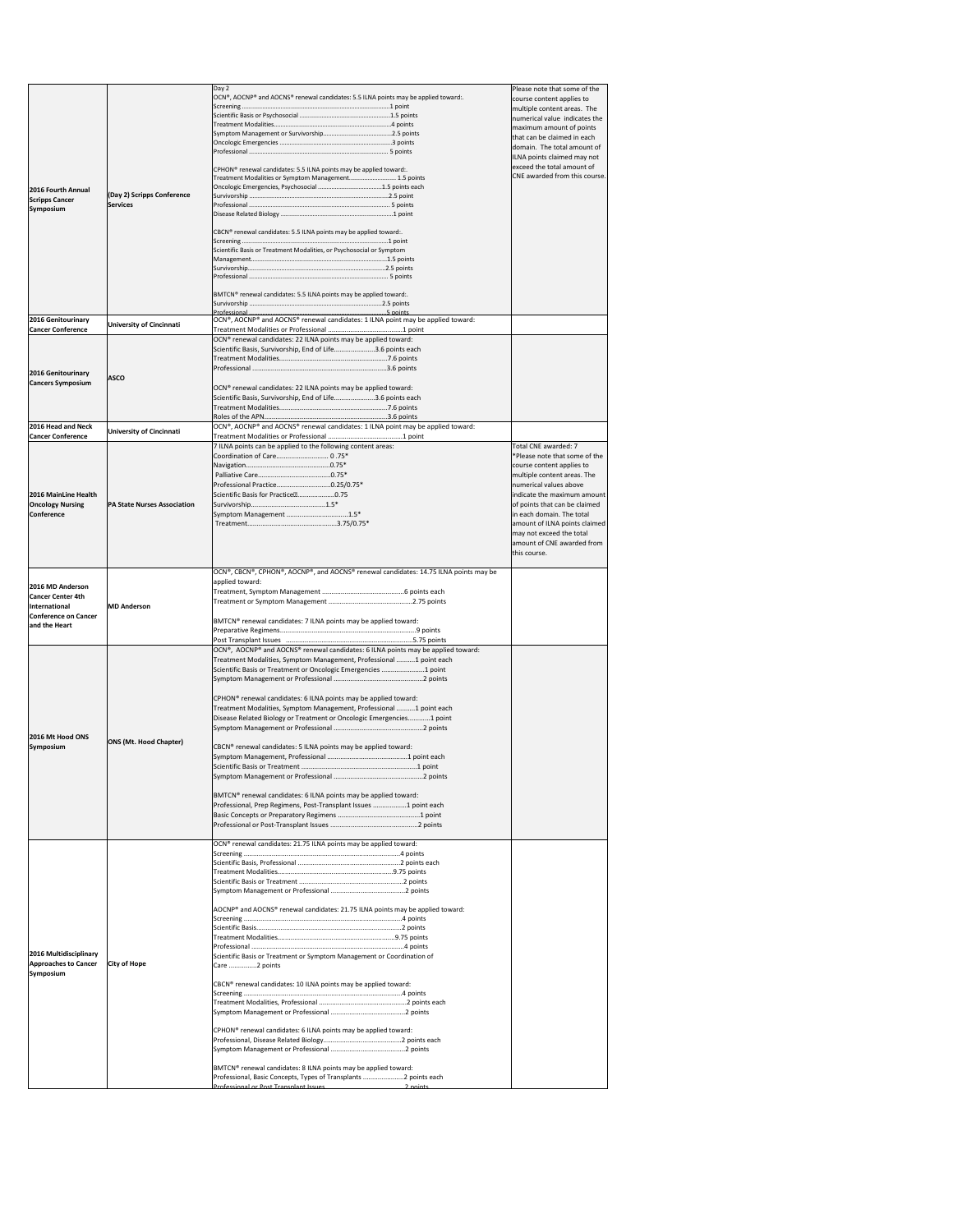|                                                                                                         |                                               | Day 2<br>OCN®, AOCNP® and AOCNS® renewal candidates: 5.5 ILNA points may be applied toward:.                                                                                                                                                                                                                                                                                                                                                                                                                                                                                                                                                                                                                                          | Please note that some of the<br>course content applies to<br>multiple content areas. The<br>numerical value indicates the<br>maximum amount of points<br>that can be claimed in each<br>domain. The total amount of<br>ILNA points claimed may not                                                                                                  |
|---------------------------------------------------------------------------------------------------------|-----------------------------------------------|---------------------------------------------------------------------------------------------------------------------------------------------------------------------------------------------------------------------------------------------------------------------------------------------------------------------------------------------------------------------------------------------------------------------------------------------------------------------------------------------------------------------------------------------------------------------------------------------------------------------------------------------------------------------------------------------------------------------------------------|-----------------------------------------------------------------------------------------------------------------------------------------------------------------------------------------------------------------------------------------------------------------------------------------------------------------------------------------------------|
| 2016 Fourth Annual<br><b>Scripps Cancer</b><br>Symposium                                                | (Day 2) Scripps Conference<br><b>Services</b> | CPHON <sup>®</sup> renewal candidates: 5.5 ILNA points may be applied toward:.<br>Treatment Modalities or Symptom Management 1.5 points                                                                                                                                                                                                                                                                                                                                                                                                                                                                                                                                                                                               | exceed the total amount of<br>CNE awarded from this course.                                                                                                                                                                                                                                                                                         |
|                                                                                                         |                                               | CBCN® renewal candidates: 5.5 ILNA points may be applied toward:.<br>Scientific Basis or Treatment Modalities, or Psychosocial or Symptom                                                                                                                                                                                                                                                                                                                                                                                                                                                                                                                                                                                             |                                                                                                                                                                                                                                                                                                                                                     |
|                                                                                                         |                                               | BMTCN® renewal candidates: 5.5 ILNA points may be applied toward:.                                                                                                                                                                                                                                                                                                                                                                                                                                                                                                                                                                                                                                                                    |                                                                                                                                                                                                                                                                                                                                                     |
| 2016 Genitourinary                                                                                      | <b>University of Cincinnati</b>               | Professional<br>5 points<br>OCN®, AOCNP® and AOCNS® renewal candidates: 1 ILNA point may be applied toward:                                                                                                                                                                                                                                                                                                                                                                                                                                                                                                                                                                                                                           |                                                                                                                                                                                                                                                                                                                                                     |
| <b>Cancer Conference</b>                                                                                |                                               | OCN® renewal candidates: 22 ILNA points may be applied toward:                                                                                                                                                                                                                                                                                                                                                                                                                                                                                                                                                                                                                                                                        |                                                                                                                                                                                                                                                                                                                                                     |
| 2016 Genitourinary<br><b>Cancers Symposium</b>                                                          | <b>ASCO</b>                                   | Scientific Basis, Survivorship, End of Life3.6 points each                                                                                                                                                                                                                                                                                                                                                                                                                                                                                                                                                                                                                                                                            |                                                                                                                                                                                                                                                                                                                                                     |
|                                                                                                         |                                               | OCN® renewal candidates: 22 ILNA points may be applied toward:<br>Scientific Basis, Survivorship, End of Life3.6 points each                                                                                                                                                                                                                                                                                                                                                                                                                                                                                                                                                                                                          |                                                                                                                                                                                                                                                                                                                                                     |
| 2016 Head and Neck<br><b>Cancer Conference</b>                                                          | <b>University of Cincinnati</b>               | OCN®, AOCNP® and AOCNS® renewal candidates: 1 ILNA point may be applied toward:                                                                                                                                                                                                                                                                                                                                                                                                                                                                                                                                                                                                                                                       |                                                                                                                                                                                                                                                                                                                                                     |
| 2016 MainLine Health<br><b>Oncology Nursing</b><br>Conference                                           | <b>PA State Nurses Association</b>            | 7 ILNA points can be applied to the following content areas:<br>Coordination of Care 0.75*<br>Professional Practice0.25/0.75*<br>Scientific Basis for Practice <sup>[2]</sup> 0.75<br>Symptom Management 1.5*                                                                                                                                                                                                                                                                                                                                                                                                                                                                                                                         | Total CNE awarded: 7<br>*Please note that some of the<br>course content applies to<br>multiple content areas. The<br>numerical values above<br>indicate the maximum amount<br>of points that can be claimed<br>in each domain. The total<br>amount of ILNA points claimed<br>may not exceed the total<br>amount of CNE awarded from<br>this course. |
| 2016 MD Anderson<br><b>Cancer Center 4th</b><br>International<br>lConference on Cancer<br>and the Heart | <b>MD Anderson</b>                            | OCN®, CBCN®, CPHON®, AOCNP®, and AOCNS® renewal candidates: 14.75 ILNA points may be<br>applied toward:<br>BMTCN® renewal candidates: 7 ILNA points may be applied toward:                                                                                                                                                                                                                                                                                                                                                                                                                                                                                                                                                            |                                                                                                                                                                                                                                                                                                                                                     |
|                                                                                                         |                                               |                                                                                                                                                                                                                                                                                                                                                                                                                                                                                                                                                                                                                                                                                                                                       |                                                                                                                                                                                                                                                                                                                                                     |
| 2016 Mt Hood ONS<br><b>Symposium</b>                                                                    | <b>ONS (Mt. Hood Chapter)</b>                 | OCN®, AOCNP® and AOCNS® renewal candidates: 6 ILNA points may be applied toward:<br>Treatment Modalities, Symptom Management, Professional 1 point each<br>Scientific Basis or Treatment or Oncologic Emergencies 1 point<br>CPHON <sup>®</sup> renewal candidates: 6 ILNA points may be applied toward:<br>Treatment Modalities, Symptom Management, Professional 1 point each<br>Disease Related Biology or Treatment or Oncologic Emergencies1 point<br>CBCN® renewal candidates: 5 ILNA points may be applied toward:<br>BMTCN® renewal candidates: 6 ILNA points may be applied toward:<br>Professional, Prep Regimens, Post-Transplant Issues 1 point each<br>OCN® renewal candidates: 21.75 ILNA points may be applied toward: |                                                                                                                                                                                                                                                                                                                                                     |
| 2016 Multidisciplinary<br><b>Approaches to Cancer</b><br>Symposium                                      | <b>City of Hope</b>                           | AOCNP® and AOCNS® renewal candidates: 21.75 ILNA points may be applied toward:<br>Scientific Basis or Treatment or Symptom Management or Coordination of<br>Care 2 points<br>CBCN® renewal candidates: 10 ILNA points may be applied toward:<br>CPHON <sup>®</sup> renewal candidates: 6 ILNA points may be applied toward:<br>BMTCN® renewal candidates: 8 ILNA points may be applied toward:<br>Professional, Basic Concepts, Types of Transplants  points each<br>Professional or Post Transplant Issues<br>2 noints                                                                                                                                                                                                               |                                                                                                                                                                                                                                                                                                                                                     |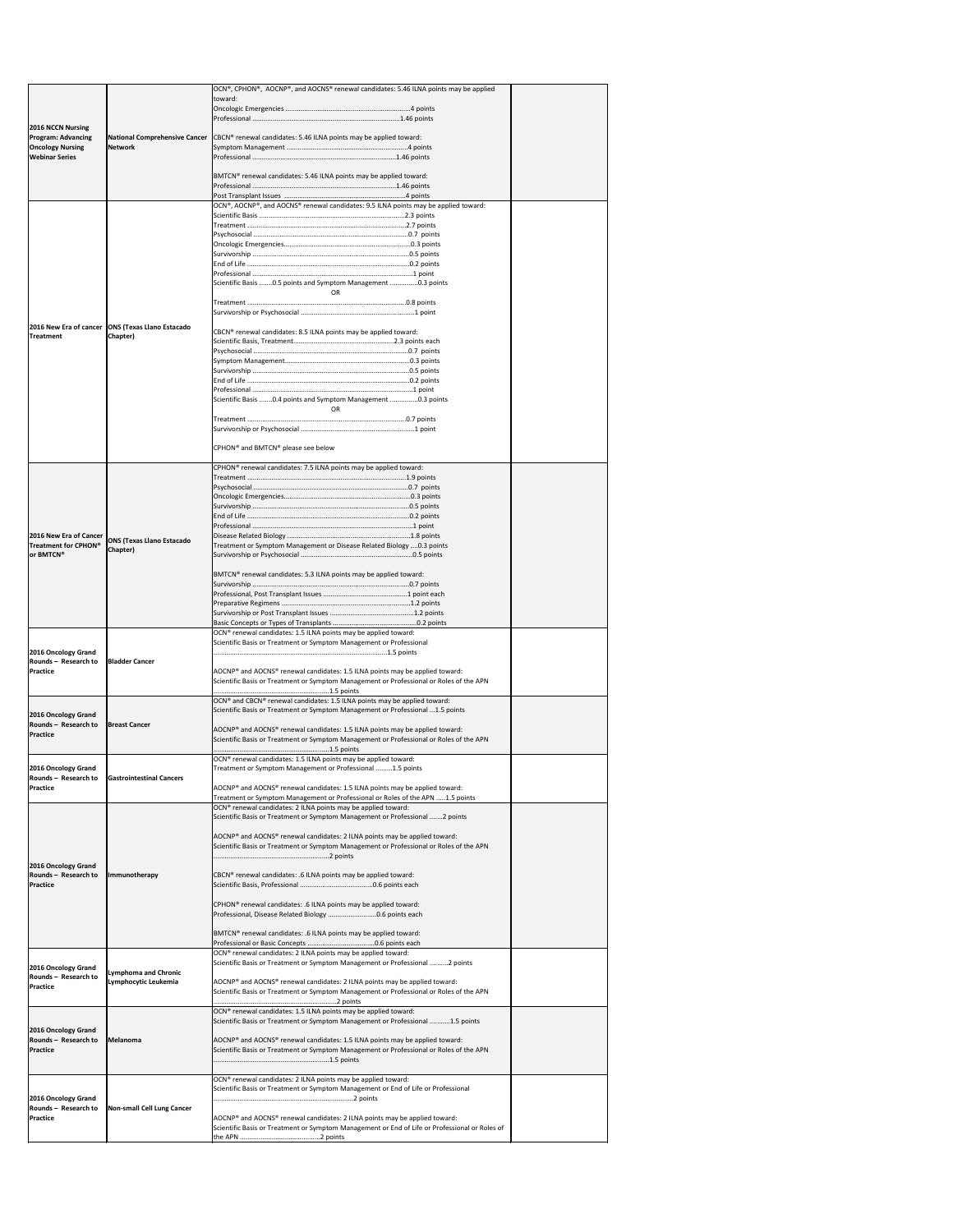|                                                                                                           |                                                    | $[OCN®, CPHON®, AOCNP®, and AOCNS® renewal candidates: 5.46 ILNA points may be applied$<br>toward:                                                                                    |  |
|-----------------------------------------------------------------------------------------------------------|----------------------------------------------------|---------------------------------------------------------------------------------------------------------------------------------------------------------------------------------------|--|
| <b>2016 NCCN Nursing</b><br><b>Program: Advancing</b><br><b>Oncology Nursing</b><br><b>Webinar Series</b> | National Comprehensive Cancer                      |                                                                                                                                                                                       |  |
|                                                                                                           |                                                    | CBCN <sup>®</sup> renewal candidates: 5.46 ILNA points may be applied toward:                                                                                                         |  |
|                                                                                                           | <b>Network</b>                                     |                                                                                                                                                                                       |  |
|                                                                                                           |                                                    | BMTCN® renewal candidates: 5.46 ILNA points may be applied toward:                                                                                                                    |  |
|                                                                                                           |                                                    |                                                                                                                                                                                       |  |
|                                                                                                           |                                                    | OCN®, AOCNP®, and AOCNS® renewal candidates: 9.5 ILNA points may be applied toward:                                                                                                   |  |
|                                                                                                           |                                                    |                                                                                                                                                                                       |  |
|                                                                                                           |                                                    |                                                                                                                                                                                       |  |
|                                                                                                           |                                                    |                                                                                                                                                                                       |  |
|                                                                                                           |                                                    |                                                                                                                                                                                       |  |
|                                                                                                           |                                                    | Scientific Basis 0.5 points and Symptom Management 0.3 points<br><b>OR</b>                                                                                                            |  |
|                                                                                                           |                                                    |                                                                                                                                                                                       |  |
|                                                                                                           | 2016 New Era of cancer   ONS (Texas Llano Estacado | CBCN® renewal candidates: 8.5 ILNA points may be applied toward:                                                                                                                      |  |
| <b>Treatment</b>                                                                                          | Chapter)                                           |                                                                                                                                                                                       |  |
|                                                                                                           |                                                    |                                                                                                                                                                                       |  |
|                                                                                                           |                                                    |                                                                                                                                                                                       |  |
|                                                                                                           |                                                    |                                                                                                                                                                                       |  |
|                                                                                                           |                                                    | Scientific Basis 0.4 points and Symptom Management 0.3 points<br>OR                                                                                                                   |  |
|                                                                                                           |                                                    |                                                                                                                                                                                       |  |
|                                                                                                           |                                                    | CPHON <sup>®</sup> and BMTCN <sup>®</sup> please see below                                                                                                                            |  |
|                                                                                                           |                                                    | CPHON <sup>®</sup> renewal candidates: 7.5 ILNA points may be applied toward:                                                                                                         |  |
|                                                                                                           |                                                    |                                                                                                                                                                                       |  |
|                                                                                                           |                                                    |                                                                                                                                                                                       |  |
|                                                                                                           |                                                    |                                                                                                                                                                                       |  |
|                                                                                                           |                                                    |                                                                                                                                                                                       |  |
| 2016 New Era of Cancer                                                                                    | <b>ONS (Texas Llano Estacado</b>                   |                                                                                                                                                                                       |  |
| Treatment for CPHON®<br>or BMTCN®                                                                         | <b>Chapter</b> )                                   | Treatment or Symptom Management or Disease Related Biology  0.3 points                                                                                                                |  |
|                                                                                                           |                                                    | BMTCN <sup>®</sup> renewal candidates: 5.3 ILNA points may be applied toward:                                                                                                         |  |
|                                                                                                           |                                                    |                                                                                                                                                                                       |  |
|                                                                                                           |                                                    |                                                                                                                                                                                       |  |
|                                                                                                           |                                                    |                                                                                                                                                                                       |  |
|                                                                                                           |                                                    |                                                                                                                                                                                       |  |
|                                                                                                           |                                                    | OCN® renewal candidates: 1.5 ILNA points may be applied toward:<br>Scientific Basis or Treatment or Symptom Management or Professional                                                |  |
| 2016 Oncology Grand                                                                                       |                                                    |                                                                                                                                                                                       |  |
| Rounds - Research to<br><b>Practice</b>                                                                   | <b>Bladder Cancer</b>                              | AOCNP® and AOCNS® renewal candidates: 1.5 ILNA points may be applied toward:                                                                                                          |  |
|                                                                                                           |                                                    | Scientific Basis or Treatment or Symptom Management or Professional or Roles of the APN                                                                                               |  |
|                                                                                                           |                                                    | OCN® and CBCN® renewal candidates: 1.5 ILNA points may be applied toward:                                                                                                             |  |
| 2016 Oncology Grand                                                                                       |                                                    | Scientific Basis or Treatment or Symptom Management or Professional 1.5 points                                                                                                        |  |
| Rounds - Research to<br><b>Practice</b>                                                                   | <b>Breast Cancer</b>                               | $AOCNP®$ and AOCNS <sup>®</sup> renewal candidates: 1.5 ILNA points may be applied toward:<br>Scientific Basis or Treatment or Symptom Management or Professional or Roles of the APN |  |
|                                                                                                           |                                                    |                                                                                                                                                                                       |  |
| 2016 Oncology Grand                                                                                       |                                                    | OCN® renewal candidates: 1.5 ILNA points may be applied toward:<br>Treatment or Symptom Management or Professional 1.5 points                                                         |  |
| Rounds - Research to<br><b>Practice</b>                                                                   | <b>Gastrointestinal Cancers</b>                    | AOCNP® and AOCNS® renewal candidates: 1.5 ILNA points may be applied toward:                                                                                                          |  |
|                                                                                                           |                                                    | Treatment or Symptom Management or Professional or Roles of the APN 1.5 points<br>OCN <sup>®</sup> renewal candidates: 2 ILNA points may be applied toward:                           |  |
|                                                                                                           |                                                    | Scientific Basis or Treatment or Symptom Management or Professional  2 points                                                                                                         |  |
|                                                                                                           |                                                    | AOCNP® and AOCNS® renewal candidates: 2 ILNA points may be applied toward:                                                                                                            |  |
|                                                                                                           |                                                    | Scientific Basis or Treatment or Symptom Management or Professional or Roles of the APN                                                                                               |  |
| 2016 Oncology Grand<br>Rounds - Research to                                                               | Immunotherapy                                      | CBCN® renewal candidates: .6 ILNA points may be applied toward:                                                                                                                       |  |
| <b>Practice</b>                                                                                           |                                                    |                                                                                                                                                                                       |  |
|                                                                                                           |                                                    | CPHON <sup>®</sup> renewal candidates: .6 ILNA points may be applied toward:<br>Professional, Disease Related Biology 0.6 points each                                                 |  |
|                                                                                                           |                                                    | BMTCN® renewal candidates: .6 ILNA points may be applied toward:                                                                                                                      |  |
|                                                                                                           |                                                    | OCN <sup>®</sup> renewal candidates: 2 ILNA points may be applied toward:                                                                                                             |  |
| 2016 Oncology Grand<br>Rounds - Research to                                                               | <b>Lymphoma and Chronic</b>                        | Scientific Basis or Treatment or Symptom Management or Professional 2 points                                                                                                          |  |
| <b>Practice</b>                                                                                           | Lymphocytic Leukemia                               | AOCNP® and AOCNS® renewal candidates: 2 ILNA points may be applied toward:<br>Scientific Basis or Treatment or Symptom Management or Professional or Roles of the APN                 |  |
|                                                                                                           |                                                    | OCN <sup>®</sup> renewal candidates: 1.5 ILNA points may be applied toward:<br>Scientific Basis or Treatment or Symptom Management or Professional 1.5 points                         |  |
| 2016 Oncology Grand                                                                                       |                                                    |                                                                                                                                                                                       |  |
| Rounds - Research to<br><b>Practice</b>                                                                   | Melanoma                                           | AOCNP® and AOCNS® renewal candidates: 1.5 ILNA points may be applied toward:<br>Scientific Basis or Treatment or Symptom Management or Professional or Roles of the APN               |  |
|                                                                                                           |                                                    |                                                                                                                                                                                       |  |
|                                                                                                           |                                                    | OCN <sup>®</sup> renewal candidates: 2 ILNA points may be applied toward:<br>Scientific Basis or Treatment or Symptom Management or End of Life or Professional                       |  |
| 2016 Oncology Grand                                                                                       |                                                    |                                                                                                                                                                                       |  |
| Rounds - Research to<br>Practice                                                                          | <b>Non-small Cell Lung Cancer</b>                  | AOCNP® and AOCNS® renewal candidates: 2 ILNA points may be applied toward:<br>Scientific Basis or Treatment or Symptom Management or End of Life or Professional or Roles of          |  |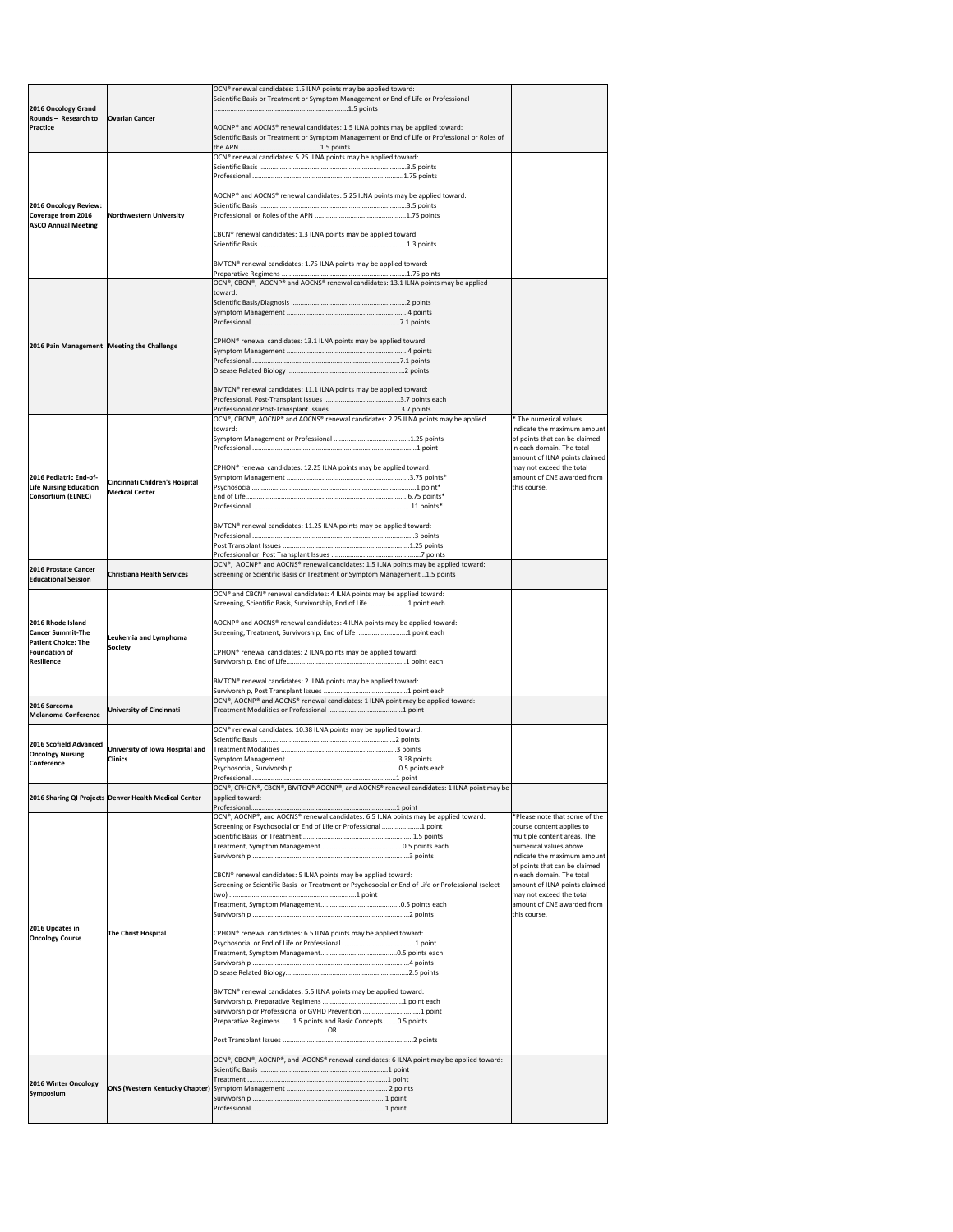| 2016 Oncology Grand                                                         |                                                       | OCN <sup>®</sup> renewal candidates: 1.5 ILNA points may be applied toward:<br>Scientific Basis or Treatment or Symptom Management or End of Life or Professional              |                                                                                                                         |
|-----------------------------------------------------------------------------|-------------------------------------------------------|--------------------------------------------------------------------------------------------------------------------------------------------------------------------------------|-------------------------------------------------------------------------------------------------------------------------|
| <b>Rounds - Research to</b><br><b>Practice</b>                              | <b>Ovarian Cancer</b>                                 | AOCNP® and AOCNS® renewal candidates: 1.5 ILNA points may be applied toward:<br>Scientific Basis or Treatment or Symptom Management or End of Life or Professional or Roles of |                                                                                                                         |
|                                                                             |                                                       | OCN <sup>®</sup> renewal candidates: 5.25 ILNA points may be applied toward:                                                                                                   |                                                                                                                         |
| 2016 Oncology Review:<br>Coverage from 2016                                 | Northwestern University                               | AOCNP® and AOCNS® renewal candidates: 5.25 ILNA points may be applied toward:                                                                                                  |                                                                                                                         |
| <b>ASCO Annual Meeting</b>                                                  |                                                       | CBCN® renewal candidates: 1.3 ILNA points may be applied toward:                                                                                                               |                                                                                                                         |
|                                                                             |                                                       | BMTCN® renewal candidates: 1.75 ILNA points may be applied toward:                                                                                                             |                                                                                                                         |
|                                                                             |                                                       | OCN®, CBCN®, AOCNP® and AOCNS® renewal candidates: 13.1 ILNA points may be applied<br>toward:                                                                                  |                                                                                                                         |
|                                                                             |                                                       |                                                                                                                                                                                |                                                                                                                         |
| 2016 Pain Management   Meeting the Challenge                                |                                                       | CPHON <sup>®</sup> renewal candidates: 13.1 ILNA points may be applied toward:                                                                                                 |                                                                                                                         |
|                                                                             |                                                       | BMTCN <sup>®</sup> renewal candidates: 11.1 ILNA points may be applied toward:                                                                                                 |                                                                                                                         |
|                                                                             |                                                       | $[OCN®, CBCN®, AOCNP® and AOCNS® renewal candidates: 2.25 ILNA points may be applied$                                                                                          | * The numerical values                                                                                                  |
|                                                                             |                                                       | toward:                                                                                                                                                                        | indicate the maximum amount                                                                                             |
|                                                                             |                                                       | CPHON <sup>®</sup> renewal candidates: 12.25 ILNA points may be applied toward:                                                                                                | of points that can be claimed<br>in each domain. The total<br>amount of ILNA points claimed<br>may not exceed the total |
| 2016 Pediatric End-of-                                                      | Cincinnati Children's Hospital                        |                                                                                                                                                                                | amount of CNE awarded from                                                                                              |
| <b>Life Nursing Education</b><br>Consortium (ELNEC)                         | <b>Medical Center</b>                                 |                                                                                                                                                                                | this course.                                                                                                            |
|                                                                             |                                                       |                                                                                                                                                                                |                                                                                                                         |
|                                                                             |                                                       | BMTCN® renewal candidates: 11.25 ILNA points may be applied toward:                                                                                                            |                                                                                                                         |
|                                                                             |                                                       |                                                                                                                                                                                |                                                                                                                         |
| 2016 Prostate Cancer<br><b>Educational Session</b>                          | <b>Christiana Health Services</b>                     | OCN®, AOCNP® and AOCNS® renewal candidates: 1.5 ILNA points may be applied toward:<br>Screening or Scientific Basis or Treatment or Symptom Management 1.5 points              |                                                                                                                         |
|                                                                             |                                                       | OCN® and CBCN® renewal candidates: 4 ILNA points may be applied toward:<br>Screening, Scientific Basis, Survivorship, End of Life 1 point each                                 |                                                                                                                         |
| 2016 Rhode Island<br><b>Cancer Summit-The</b><br><b>Patient Choice: The</b> | Leukemia and Lymphoma                                 | AOCNP <sup>®</sup> and AOCNS <sup>®</sup> renewal candidates: 4 ILNA points may be applied toward:<br>Screening, Treatment, Survivorship, End of Life 1 point each             |                                                                                                                         |
| Foundation of<br><b>Resilience</b>                                          | <b>Society</b>                                        | CPHON <sup>®</sup> renewal candidates: 2 ILNA points may be applied toward:                                                                                                    |                                                                                                                         |
|                                                                             |                                                       | BMTCN <sup>®</sup> renewal candidates: 2 ILNA points may be applied toward:<br> OCN®, AOCNP® and AOCNS® renewal candidates: 1 ILNA point may be applied toward:                |                                                                                                                         |
| 2016 Sarcoma<br><b>Melanoma Conference</b>                                  | <b>University of Cincinnati</b>                       |                                                                                                                                                                                |                                                                                                                         |
| 2016 Scofield Advanced                                                      |                                                       | OCN <sup>®</sup> renewal candidates: 10.38 ILNA points may be applied toward:                                                                                                  |                                                                                                                         |
| <b>Oncology Nursing</b>                                                     | University of Iowa Hospital and<br><b>Clinics</b>     |                                                                                                                                                                                |                                                                                                                         |
| <b>Conference</b>                                                           |                                                       |                                                                                                                                                                                |                                                                                                                         |
|                                                                             | 2016 Sharing QI Projects Denver Health Medical Center | OCN®, CPHON®, CBCN®, BMTCN® AOCNP®, and AOCNS® renewal candidates: 1 ILNA point may be<br>applied toward:                                                                      |                                                                                                                         |
|                                                                             |                                                       | OCN®, AOCNP®, and AOCNS® renewal candidates: 6.5 ILNA points may be applied toward:                                                                                            | *Please note that some of the                                                                                           |
|                                                                             |                                                       | Screening or Psychosocial or End of Life or Professional 1 point                                                                                                               | course content applies to                                                                                               |
|                                                                             |                                                       |                                                                                                                                                                                | multiple content areas. The<br>numerical values above                                                                   |
|                                                                             |                                                       |                                                                                                                                                                                | indicate the maximum amount<br>of points that can be claimed                                                            |
|                                                                             |                                                       | CBCN® renewal candidates: 5 ILNA points may be applied toward:<br>Screening or Scientific Basis or Treatment or Psychosocial or End of Life or Professional (select            | in each domain. The total<br>amount of ILNA points claimed                                                              |
|                                                                             |                                                       |                                                                                                                                                                                | may not exceed the total<br>amount of CNE awarded from<br>this course.                                                  |
| 2016 Updates in                                                             | <b>The Christ Hospital</b>                            | CPHON <sup>®</sup> renewal candidates: 6.5 ILNA points may be applied toward:                                                                                                  |                                                                                                                         |
| <b>Oncology Course</b>                                                      |                                                       |                                                                                                                                                                                |                                                                                                                         |
|                                                                             |                                                       |                                                                                                                                                                                |                                                                                                                         |
|                                                                             |                                                       |                                                                                                                                                                                |                                                                                                                         |
|                                                                             |                                                       | BMTCN® renewal candidates: 5.5 ILNA points may be applied toward:                                                                                                              |                                                                                                                         |
|                                                                             |                                                       | Survivorship or Professional or GVHD Prevention 1 point<br>Preparative Regimens 1.5 points and Basic Concepts 0.5 points<br><b>OR</b>                                          |                                                                                                                         |
|                                                                             |                                                       |                                                                                                                                                                                |                                                                                                                         |
|                                                                             |                                                       | OCN®, CBCN®, AOCNP®, and AOCNS® renewal candidates: 6 ILNA point may be applied toward:                                                                                        |                                                                                                                         |
| 2016 Winter Oncology<br><b>Symposium</b>                                    |                                                       |                                                                                                                                                                                |                                                                                                                         |
|                                                                             |                                                       |                                                                                                                                                                                |                                                                                                                         |
|                                                                             |                                                       |                                                                                                                                                                                |                                                                                                                         |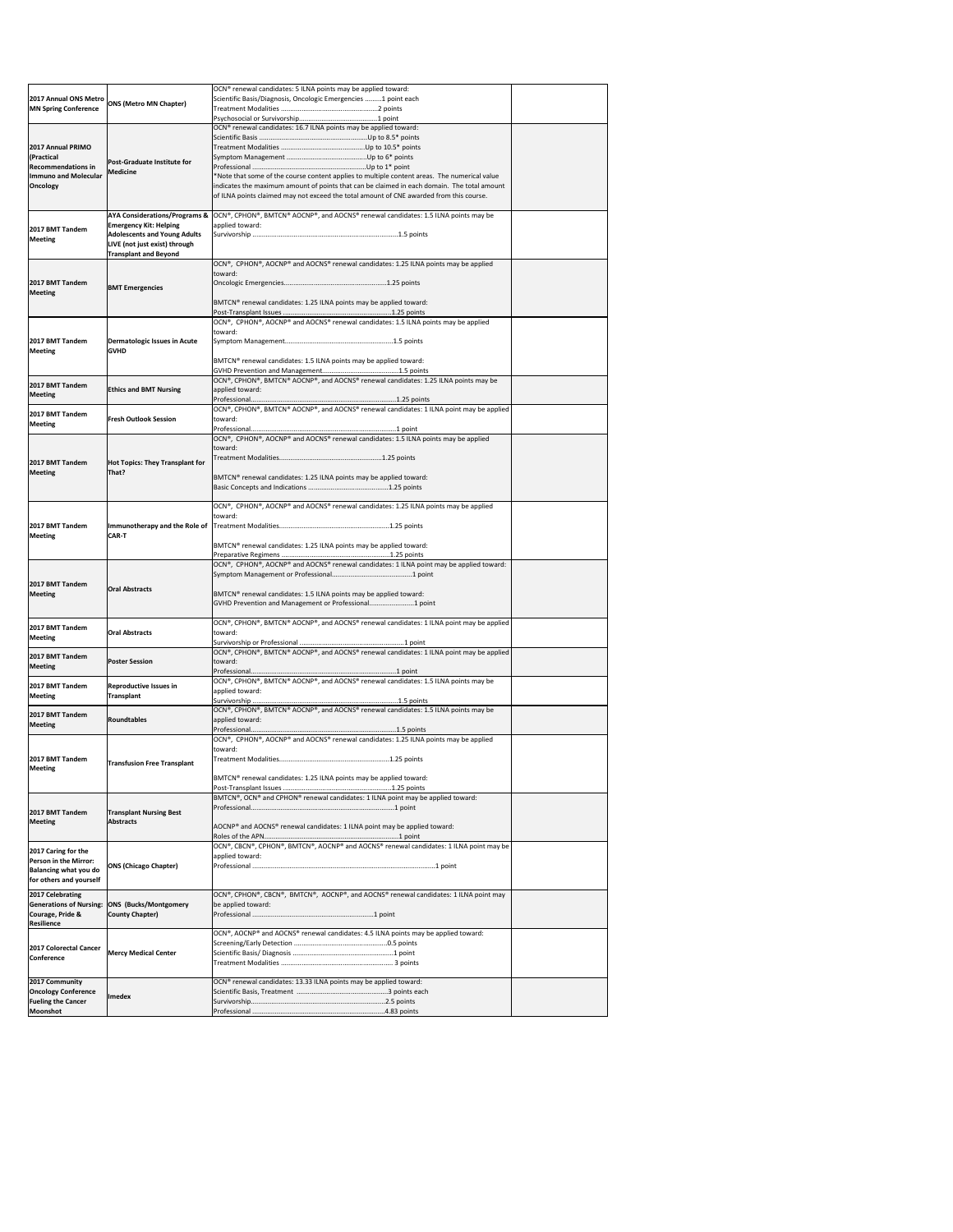|                                                         |                                                 | OCN <sup>®</sup> renewal candidates: 5 ILNA points may be applied toward:<br>Scientific Basis/Diagnosis, Oncologic Emergencies  1 point each      |  |
|---------------------------------------------------------|-------------------------------------------------|---------------------------------------------------------------------------------------------------------------------------------------------------|--|
| <b>MN Spring Conference</b>                             | 2017 Annual ONS Metro ONS (Metro MN Chapter)    |                                                                                                                                                   |  |
|                                                         |                                                 |                                                                                                                                                   |  |
|                                                         |                                                 | OCN® renewal candidates: 16.7 ILNA points may be applied toward:                                                                                  |  |
|                                                         |                                                 |                                                                                                                                                   |  |
| 2017 Annual PRIMO<br>(Practical                         |                                                 |                                                                                                                                                   |  |
| <b>Recommendations in</b>                               | <b>Post-Graduate Institute for</b>              |                                                                                                                                                   |  |
| <b>Immuno and Molecular</b>                             | <b>Medicine</b>                                 | *Note that some of the course content applies to multiple content areas. The numerical value                                                      |  |
| <b>Oncology</b>                                         |                                                 | indicates the maximum amount of points that can be claimed in each domain. The total amount                                                       |  |
|                                                         |                                                 | of ILNA points claimed may not exceed the total amount of CNE awarded from this course.                                                           |  |
|                                                         |                                                 | AYA Considerations/Programs & $\vert$ OCN®, CPHON®, BMTCN® AOCNP®, and AOCNS® renewal candidates: 1.5 ILNA points may be                          |  |
|                                                         | <b>Emergency Kit: Helping</b>                   | applied toward:                                                                                                                                   |  |
| 2017 BMT Tandem<br><b>Meeting</b>                       | <b>Adolescents and Young Adults</b>             |                                                                                                                                                   |  |
|                                                         | LIVE (not just exist) through                   |                                                                                                                                                   |  |
|                                                         | <b>Transplant and Beyond</b>                    | OCN®, CPHON®, AOCNP® and AOCNS® renewal candidates: 1.25 ILNA points may be applied                                                               |  |
|                                                         |                                                 | toward:                                                                                                                                           |  |
| 2017 BMT Tandem                                         | <b>BMT Emergencies</b>                          |                                                                                                                                                   |  |
| <b>Meeting</b>                                          |                                                 |                                                                                                                                                   |  |
|                                                         |                                                 | BMTCN® renewal candidates: 1.25 ILNA points may be applied toward:                                                                                |  |
|                                                         |                                                 | OCN®, CPHON®, AOCNP® and AOCNS® renewal candidates: 1.5 ILNA points may be applied                                                                |  |
|                                                         |                                                 | toward:                                                                                                                                           |  |
| 2017 BMT Tandem                                         | Dermatologic Issues in Acute                    |                                                                                                                                                   |  |
| <b>Meeting</b>                                          | <b>GVHD</b>                                     |                                                                                                                                                   |  |
|                                                         |                                                 | BMTCN <sup>®</sup> renewal candidates: 1.5 ILNA points may be applied toward:                                                                     |  |
|                                                         |                                                 | OCN®, CPHON®, BMTCN® AOCNP®, and AOCNS® renewal candidates: 1.25 ILNA points may be                                                               |  |
| 2017 BMT Tandem                                         | <b>Ethics and BMT Nursing</b>                   | applied toward:                                                                                                                                   |  |
| Meeting                                                 |                                                 |                                                                                                                                                   |  |
| 2017 BMT Tandem                                         |                                                 | OCN®, CPHON®, BMTCN® AOCNP®, and AOCNS® renewal candidates: 1 ILNA point may be applied                                                           |  |
| <b>Meeting</b>                                          | <b>Fresh Outlook Session</b>                    | toward:                                                                                                                                           |  |
|                                                         |                                                 | OCN®, CPHON®, AOCNP® and AOCNS® renewal candidates: 1.5 ILNA points may be applied                                                                |  |
|                                                         |                                                 | toward:                                                                                                                                           |  |
| 2017 BMT Tandem                                         | <b>Hot Topics: They Transplant for</b>          |                                                                                                                                                   |  |
| <b>Meeting</b>                                          | That?                                           |                                                                                                                                                   |  |
|                                                         |                                                 | BMTCN® renewal candidates: 1.25 ILNA points may be applied toward:                                                                                |  |
|                                                         |                                                 |                                                                                                                                                   |  |
|                                                         |                                                 | $\overline{OCN^{\circ}}$ , CPHON <sup>®</sup> , AOCNP® and AOCNS® renewal candidates: 1.25 ILNA points may be applied                             |  |
|                                                         |                                                 | toward:                                                                                                                                           |  |
| 2017 BMT Tandem                                         |                                                 |                                                                                                                                                   |  |
| <b>Meeting</b>                                          | <b>CAR-T</b>                                    | BMTCN® renewal candidates: 1.25 ILNA points may be applied toward:                                                                                |  |
|                                                         |                                                 |                                                                                                                                                   |  |
|                                                         |                                                 | $\overline{OCN^{\circ}}$ , CPHON <sup>®</sup> , AOCNP <sup>®</sup> and AOCNS <sup>®</sup> renewal candidates: 1 ILNA point may be applied toward: |  |
|                                                         |                                                 |                                                                                                                                                   |  |
| 2017 BMT Tandem<br><b>Meeting</b>                       | <b>Oral Abstracts</b>                           | BMTCN <sup>®</sup> renewal candidates: 1.5 ILNA points may be applied toward:                                                                     |  |
|                                                         |                                                 | GVHD Prevention and Management or Professional1 point                                                                                             |  |
|                                                         |                                                 |                                                                                                                                                   |  |
| 2017 BMT Tandem                                         | <b>Oral Abstracts</b>                           | OCN®, CPHON®, BMTCN® AOCNP®, and AOCNS® renewal candidates: 1 ILNA point may be applied<br>toward:                                                |  |
| <b>Meeting</b>                                          |                                                 |                                                                                                                                                   |  |
|                                                         |                                                 | OCN®, CPHON®, BMTCN® AOCNP®, and AOCNS® renewal candidates: 1 ILNA point may be applied                                                           |  |
| 2017 BMT Tandem<br><b>Meeting</b>                       | <b>Poster Session</b>                           | toward:                                                                                                                                           |  |
|                                                         |                                                 |                                                                                                                                                   |  |
| 2017 BMT Tandem                                         | <b>Reproductive Issues in</b>                   | OCN®, CPHON®, BMTCN® AOCNP®, and AOCNS® renewal candidates: 1.5 ILNA points may be<br>applied toward:                                             |  |
| <b>Meeting</b>                                          | <b>Transplant</b>                               |                                                                                                                                                   |  |
| 2017 BMT Tandem                                         |                                                 | $\vert$ OCN®, CPHON®, BMTCN® AOCNP®, and AOCNS® renewal candidates: 1.5 ILNA points may be                                                        |  |
| <b>Meeting</b>                                          | Roundtables                                     | applied toward:                                                                                                                                   |  |
|                                                         |                                                 | $\overline{O}$ CN®, CPHON®, AOCNP® and AOCNS® renewal candidates: 1.25 ILNA points may be applied                                                 |  |
|                                                         |                                                 | toward:                                                                                                                                           |  |
| 2017 BMT Tandem                                         |                                                 |                                                                                                                                                   |  |
| <b>Meeting</b>                                          | <b>Transfusion Free Transplant</b>              |                                                                                                                                                   |  |
|                                                         |                                                 | BMTCN® renewal candidates: 1.25 ILNA points may be applied toward:                                                                                |  |
|                                                         |                                                 | BMTCN®, OCN® and CPHON® renewal candidates: 1 ILNA point may be applied toward:                                                                   |  |
|                                                         |                                                 |                                                                                                                                                   |  |
| 2017 BMT Tandem                                         | <b>Transplant Nursing Best</b>                  |                                                                                                                                                   |  |
| <b>Meeting</b>                                          | <b>Abstracts</b>                                | AOCNP® and AOCNS® renewal candidates: 1 ILNA point may be applied toward:                                                                         |  |
|                                                         |                                                 | OCN®, CBCN®, CPHON®, BMTCN®, AOCNP® and AOCNS® renewal candidates: 1 ILNA point may be                                                            |  |
| 2017 Caring for the                                     |                                                 | applied toward:                                                                                                                                   |  |
| <b>Person in the Mirror:</b>                            | <b>ONS (Chicago Chapter)</b>                    |                                                                                                                                                   |  |
| <b>Balancing what you do</b><br>for others and yourself |                                                 |                                                                                                                                                   |  |
| 2017 Celebrating                                        |                                                 | OCN®, CPHON®, CBCN®, BMTCN®, AOCNP®, and AOCNS® renewal candidates: 1 ILNA point may                                                              |  |
|                                                         |                                                 |                                                                                                                                                   |  |
|                                                         |                                                 |                                                                                                                                                   |  |
| <b>Generations of Nursing:</b><br>Courage, Pride &      | <b>ONS (Bucks/Montgomery</b><br>County Chapter) | be applied toward:                                                                                                                                |  |
| <b>Resilience</b>                                       |                                                 |                                                                                                                                                   |  |
|                                                         |                                                 | OCN®, AOCNP® and AOCNS® renewal candidates: 4.5 ILNA points may be applied toward:                                                                |  |
| 2017 Colorectal Cancer                                  |                                                 |                                                                                                                                                   |  |
| Conference                                              | <b>Mercy Medical Center</b>                     |                                                                                                                                                   |  |
|                                                         |                                                 |                                                                                                                                                   |  |
| 2017 Community                                          |                                                 | OCN <sup>®</sup> renewal candidates: 13.33 ILNA points may be applied toward:                                                                     |  |
| <b>Oncology Conference</b><br><b>Fueling the Cancer</b> | Imedex                                          |                                                                                                                                                   |  |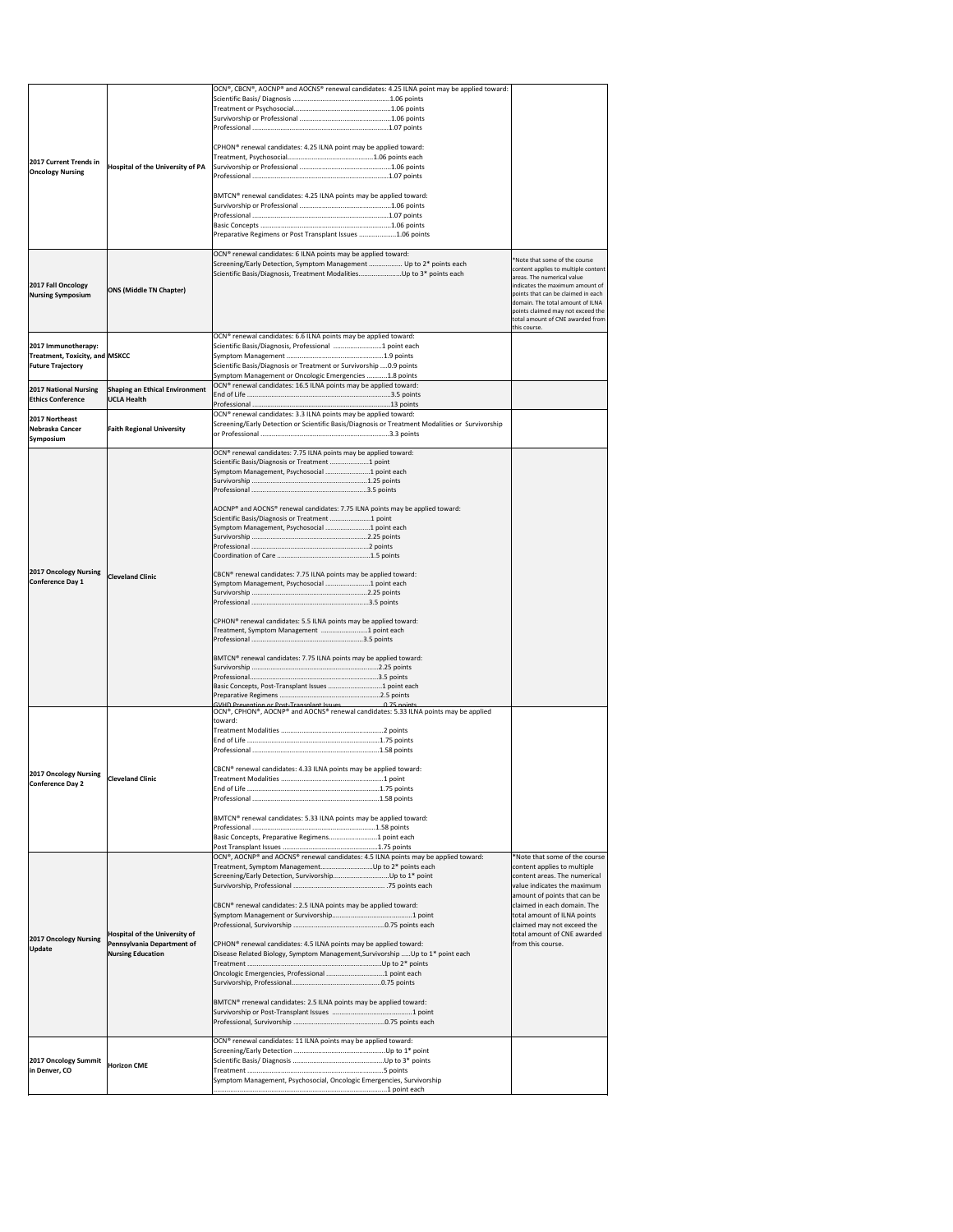|                                                                                        |                                                                              | $[OCN®, CBCN®, AOCNP® and AOCNS® renewal candidates: 4.25 ILNA point may be applied toward:$                                                      |                                                                        |
|----------------------------------------------------------------------------------------|------------------------------------------------------------------------------|---------------------------------------------------------------------------------------------------------------------------------------------------|------------------------------------------------------------------------|
|                                                                                        |                                                                              |                                                                                                                                                   |                                                                        |
|                                                                                        |                                                                              |                                                                                                                                                   |                                                                        |
|                                                                                        |                                                                              |                                                                                                                                                   |                                                                        |
|                                                                                        |                                                                              |                                                                                                                                                   |                                                                        |
|                                                                                        |                                                                              | CPHON <sup>®</sup> renewal candidates: 4.25 ILNA point may be applied toward:                                                                     |                                                                        |
| 2017 Current Trends in                                                                 | Hospital of the University of PA                                             |                                                                                                                                                   |                                                                        |
| <b>Oncology Nursing</b>                                                                |                                                                              |                                                                                                                                                   |                                                                        |
|                                                                                        |                                                                              |                                                                                                                                                   |                                                                        |
|                                                                                        |                                                                              | BMTCN® renewal candidates: 4.25 ILNA points may be applied toward:                                                                                |                                                                        |
|                                                                                        |                                                                              |                                                                                                                                                   |                                                                        |
|                                                                                        |                                                                              |                                                                                                                                                   |                                                                        |
|                                                                                        |                                                                              | Preparative Regimens or Post Transplant Issues 1.06 points                                                                                        |                                                                        |
|                                                                                        |                                                                              |                                                                                                                                                   |                                                                        |
|                                                                                        |                                                                              | OCN <sup>®</sup> renewal candidates: 6 ILNA points may be applied toward:<br>Screening/Early Detection, Symptom Management  Up to 2* points each  | *Note that some of the course                                          |
|                                                                                        |                                                                              | Scientific Basis/Diagnosis, Treatment ModalitiesUp to 3* points each                                                                              | content applies to multiple content<br>areas. The numerical value      |
| 2017 Fall Oncology                                                                     | <b>ONS (Middle TN Chapter)</b>                                               |                                                                                                                                                   | indicates the maximum amount of                                        |
| <b>Nursing Symposium</b>                                                               |                                                                              |                                                                                                                                                   | points that can be claimed in each<br>domain. The total amount of ILNA |
|                                                                                        |                                                                              |                                                                                                                                                   | points claimed may not exceed the                                      |
|                                                                                        |                                                                              |                                                                                                                                                   | total amount of CNE awarded from<br>this course.                       |
|                                                                                        |                                                                              | OCN <sup>®</sup> renewal candidates: 6.6 ILNA points may be applied toward:                                                                       |                                                                        |
| 2017 Immunotherapy:                                                                    |                                                                              | Scientific Basis/Diagnosis, Professional 1 point each                                                                                             |                                                                        |
| Treatment, Toxicity, and MSKCC                                                         |                                                                              |                                                                                                                                                   |                                                                        |
| <b>Future Trajectory</b>                                                               |                                                                              | Scientific Basis/Diagnosis or Treatment or Survivorship 0.9 points<br>Symptom Management or Oncologic Emergencies 1.8 points                      |                                                                        |
|                                                                                        |                                                                              | OCN® renewal candidates: 16.5 ILNA points may be applied toward:                                                                                  |                                                                        |
| <b>Ethics Conference</b>                                                               | 2017 National Nursing   Shaping an Ethical Environment<br><b>UCLA Health</b> |                                                                                                                                                   |                                                                        |
|                                                                                        |                                                                              |                                                                                                                                                   |                                                                        |
| 2017 Northeast                                                                         |                                                                              | OCN® renewal candidates: 3.3 ILNA points may be applied toward:                                                                                   |                                                                        |
| Nebraska Cancer                                                                        | <b>Faith Regional University</b>                                             | Screening/Early Detection or Scientific Basis/Diagnosis or Treatment Modalities or Survivorship                                                   |                                                                        |
| Symposium                                                                              |                                                                              |                                                                                                                                                   |                                                                        |
|                                                                                        |                                                                              | OCN® renewal candidates: 7.75 ILNA points may be applied toward:                                                                                  |                                                                        |
|                                                                                        |                                                                              | Scientific Basis/Diagnosis or Treatment  1 point<br>Symptom Management, Psychosocial 1 point each                                                 |                                                                        |
|                                                                                        |                                                                              |                                                                                                                                                   |                                                                        |
|                                                                                        |                                                                              |                                                                                                                                                   |                                                                        |
|                                                                                        |                                                                              |                                                                                                                                                   |                                                                        |
|                                                                                        |                                                                              | AOCNP® and AOCNS® renewal candidates: 7.75 ILNA points may be applied toward:<br>Scientific Basis/Diagnosis or Treatment  1 point                 |                                                                        |
|                                                                                        |                                                                              | Symptom Management, Psychosocial 1 point each                                                                                                     |                                                                        |
|                                                                                        |                                                                              |                                                                                                                                                   |                                                                        |
|                                                                                        |                                                                              |                                                                                                                                                   |                                                                        |
|                                                                                        |                                                                              |                                                                                                                                                   |                                                                        |
| <b>2017 Oncology Nursing</b>                                                           | <b>Cleveland Clinic</b>                                                      | CBCN® renewal candidates: 7.75 ILNA points may be applied toward:                                                                                 |                                                                        |
| <b>Conference Day 1</b>                                                                |                                                                              | Symptom Management, Psychosocial 1 point each                                                                                                     |                                                                        |
|                                                                                        |                                                                              |                                                                                                                                                   |                                                                        |
|                                                                                        |                                                                              |                                                                                                                                                   |                                                                        |
|                                                                                        |                                                                              | CPHON <sup>®</sup> renewal candidates: 5.5 ILNA points may be applied toward:                                                                     |                                                                        |
|                                                                                        |                                                                              | Treatment, Symptom Management 1 point each                                                                                                        |                                                                        |
|                                                                                        |                                                                              |                                                                                                                                                   |                                                                        |
|                                                                                        |                                                                              | BMTCN® renewal candidates: 7.75 ILNA points may be applied toward:                                                                                |                                                                        |
|                                                                                        |                                                                              |                                                                                                                                                   |                                                                        |
|                                                                                        |                                                                              | Basic Concepts, Post-Transplant Issues 1 point each                                                                                               |                                                                        |
|                                                                                        |                                                                              |                                                                                                                                                   |                                                                        |
|                                                                                        |                                                                              | GVHD Prevention or Post-Transplant Issues<br>$0.75$ noints<br>OCN®, CPHON®, AOCNP® and AOCNS® renewal candidates: 5.33 ILNA points may be applied |                                                                        |
|                                                                                        |                                                                              | toward:                                                                                                                                           |                                                                        |
|                                                                                        |                                                                              |                                                                                                                                                   |                                                                        |
|                                                                                        |                                                                              |                                                                                                                                                   |                                                                        |
|                                                                                        |                                                                              |                                                                                                                                                   |                                                                        |
|                                                                                        |                                                                              | CBCN® renewal candidates: 4.33 ILNA points may be applied toward:                                                                                 |                                                                        |
| <b>2017 Oncology Nursing</b>                                                           | <b>Cleveland Clinic</b>                                                      |                                                                                                                                                   |                                                                        |
| <b>Conference Day 2</b>                                                                |                                                                              |                                                                                                                                                   |                                                                        |
|                                                                                        |                                                                              |                                                                                                                                                   |                                                                        |
|                                                                                        |                                                                              | BMTCN <sup>®</sup> renewal candidates: 5.33 ILNA points may be applied toward:                                                                    |                                                                        |
|                                                                                        |                                                                              |                                                                                                                                                   |                                                                        |
|                                                                                        |                                                                              | Basic Concepts, Preparative Regimens 1 point each                                                                                                 |                                                                        |
|                                                                                        |                                                                              |                                                                                                                                                   |                                                                        |
|                                                                                        |                                                                              | OCN®, AOCNP® and AOCNS® renewal candidates: 4.5 ILNA points may be applied toward:<br>Treatment, Symptom ManagementUp to 2* points each           | *Note that some of the course                                          |
|                                                                                        |                                                                              |                                                                                                                                                   | content applies to multiple<br>content areas. The numerical            |
|                                                                                        |                                                                              |                                                                                                                                                   | value indicates the maximum                                            |
|                                                                                        |                                                                              |                                                                                                                                                   | amount of points that can be                                           |
|                                                                                        |                                                                              | CBCN® renewal candidates: 2.5 ILNA points may be applied toward:                                                                                  | claimed in each domain. The                                            |
|                                                                                        |                                                                              |                                                                                                                                                   | total amount of ILNA points<br>claimed may not exceed the              |
|                                                                                        | Hospital of the University of                                                |                                                                                                                                                   | total amount of CNE awarded                                            |
|                                                                                        |                                                                              | CPHON <sup>®</sup> renewal candidates: 4.5 ILNA points may be applied toward:                                                                     | from this course.                                                      |
|                                                                                        | Pennsylvania Department of                                                   |                                                                                                                                                   |                                                                        |
|                                                                                        | <b>Nursing Education</b>                                                     | Disease Related Biology, Symptom Management, Survivorship  Up to 1* point each                                                                    |                                                                        |
|                                                                                        |                                                                              |                                                                                                                                                   |                                                                        |
|                                                                                        |                                                                              | Oncologic Emergencies, Professional 1 point each                                                                                                  |                                                                        |
|                                                                                        |                                                                              |                                                                                                                                                   |                                                                        |
|                                                                                        |                                                                              | BMTCN® rrenewal candidates: 2.5 ILNA points may be applied toward:                                                                                |                                                                        |
|                                                                                        |                                                                              |                                                                                                                                                   |                                                                        |
|                                                                                        |                                                                              |                                                                                                                                                   |                                                                        |
|                                                                                        |                                                                              | OCN® renewal candidates: 11 ILNA points may be applied toward:                                                                                    |                                                                        |
|                                                                                        |                                                                              |                                                                                                                                                   |                                                                        |
|                                                                                        | <b>Horizon CME</b>                                                           |                                                                                                                                                   |                                                                        |
| <b>2017 Oncology Nursing</b><br><b>Update</b><br>2017 Oncology Summit<br>in Denver, CO |                                                                              | Symptom Management, Psychosocial, Oncologic Emergencies, Survivorship                                                                             |                                                                        |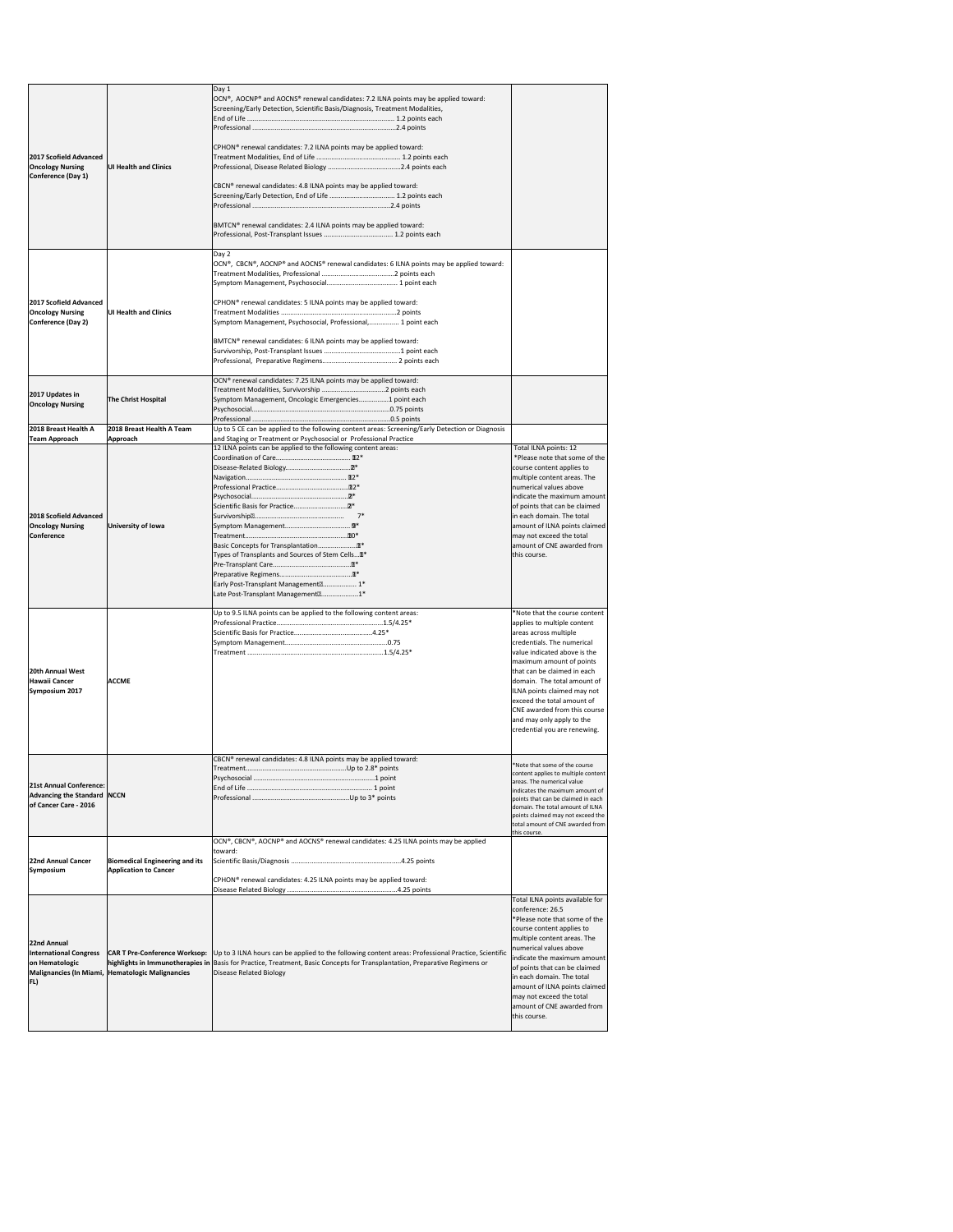|                                                                                   |                                                                                          | Day 1<br>OCN®, AOCNP® and AOCNS® renewal candidates: 7.2 ILNA points may be applied toward:<br>Screening/Early Detection, Scientific Basis/Diagnosis, Treatment Modalities,                                                                                          |                                                                                                                                                                                                                                                                                                                                                                                                         |
|-----------------------------------------------------------------------------------|------------------------------------------------------------------------------------------|----------------------------------------------------------------------------------------------------------------------------------------------------------------------------------------------------------------------------------------------------------------------|---------------------------------------------------------------------------------------------------------------------------------------------------------------------------------------------------------------------------------------------------------------------------------------------------------------------------------------------------------------------------------------------------------|
| 2017 Scofield Advanced<br><b>Oncology Nursing</b>                                 | <b>UI Health and Clinics</b>                                                             | CPHON <sup>®</sup> renewal candidates: 7.2 ILNA points may be applied toward:                                                                                                                                                                                        |                                                                                                                                                                                                                                                                                                                                                                                                         |
| Conference (Day 1)                                                                |                                                                                          | CBCN® renewal candidates: 4.8 ILNA points may be applied toward:<br>Screening/Early Detection, End of Life  1.2 points each                                                                                                                                          |                                                                                                                                                                                                                                                                                                                                                                                                         |
|                                                                                   |                                                                                          | BMTCN <sup>®</sup> renewal candidates: 2.4 ILNA points may be applied toward:                                                                                                                                                                                        |                                                                                                                                                                                                                                                                                                                                                                                                         |
|                                                                                   |                                                                                          | Day 2<br> OCN®, CBCN®, AOCNP® and AOCNS® renewal candidates: 6 ILNA points may be applied toward:                                                                                                                                                                    |                                                                                                                                                                                                                                                                                                                                                                                                         |
| 2017 Scofield Advanced<br><b>Oncology Nursing</b><br>Conference (Day 2)           | <b>UI Health and Clinics</b>                                                             | CPHON <sup>®</sup> renewal candidates: 5 ILNA points may be applied toward:<br>Symptom Management, Psychosocial, Professional, 1 point each                                                                                                                          |                                                                                                                                                                                                                                                                                                                                                                                                         |
|                                                                                   |                                                                                          | BMTCN® renewal candidates: 6 ILNA points may be applied toward:                                                                                                                                                                                                      |                                                                                                                                                                                                                                                                                                                                                                                                         |
| 2017 Updates in<br><b>Oncology Nursing</b>                                        | The Christ Hospital                                                                      | OCN® renewal candidates: 7.25 ILNA points may be applied toward:<br>Symptom Management, Oncologic Emergencies1 point each                                                                                                                                            |                                                                                                                                                                                                                                                                                                                                                                                                         |
| 2018 Breast Health A                                                              | 2018 Breast Health A Team                                                                | Up to 5 CE can be applied to the following content areas: Screening/Early Detection or Diagnosis                                                                                                                                                                     |                                                                                                                                                                                                                                                                                                                                                                                                         |
| Team Approach                                                                     | Approach                                                                                 | and Staging or Treatment or Psychosocial or Professional Practice                                                                                                                                                                                                    |                                                                                                                                                                                                                                                                                                                                                                                                         |
| 2018 Scofield Advanced<br><b>Oncology Nursing</b><br><b>Conference</b>            | University of Iowa                                                                       | 12 ILNA points can be applied to the following content areas:<br>Types of Transplants and Sources of Stem Cells In*<br>Early Post-Transplant Management <sup>[7]</sup> 1*<br>Late Post-Transplant Management <sup>[2]</sup> 1*                                       | Total ILNA points: 12<br>*Please note that some of the<br>course content applies to<br>multiple content areas. The<br>numerical values above<br>indicate the maximum amount<br>of points that can be claimed<br>in each domain. The total<br>amount of ILNA points claimed<br>may not exceed the total<br>amount of CNE awarded from<br>this course.                                                    |
| 20th Annual West<br>Hawaii Cancer<br>Symposium 2017                               | <b>ACCME</b>                                                                             | Up to 9.5 ILNA points can be applied to the following content areas:                                                                                                                                                                                                 | *Note that the course content<br>applies to multiple content<br>areas across multiple<br>credentials. The numerical<br>value indicated above is the<br>maximum amount of points<br>that can be claimed in each<br>domain. The total amount of<br>ILNA points claimed may not<br>exceed the total amount of<br>CNE awarded from this course<br>and may only apply to the<br>credential you are renewing. |
| 21st Annual Conference:<br>Advancing the Standard   NCCN<br>of Cancer Care - 2016 |                                                                                          | CBCN® renewal candidates: 4.8 ILNA points may be applied toward:                                                                                                                                                                                                     | *Note that some of the course<br>content applies to multiple content<br>areas. The numerical value<br>indicates the maximum amount of<br>points that can be claimed in each<br>domain. The total amount of ILNA<br>points claimed may not exceed the<br>total amount of CNE awarded from<br>this course.                                                                                                |
| 22nd Annual Cancer<br><b>Symposium</b>                                            | <b>Biomedical Engineering and its</b><br><b>Application to Cancer</b>                    | OCN®, CBCN®, AOCNP® and AOCNS® renewal candidates: 4.25 ILNA points may be applied<br>toward:<br>CPHON <sup>®</sup> renewal candidates: 4.25 ILNA points may be applied toward:                                                                                      |                                                                                                                                                                                                                                                                                                                                                                                                         |
| 22nd Annual<br><b>International Congress</b><br>on Hematologic<br>FL)             | <b>CAR T Pre-Conference Worksop:</b><br>Malignancies (In Miami, Hematologic Malignancies | Up to 3 ILNA hours can be applied to the following content areas: Professional Practice, Scientific<br>highlights in Immunotherapies in Basis for Practice, Treatment, Basic Concepts for Transplantation, Preparative Regimens or<br><b>Disease Related Biology</b> | Total ILNA points available for<br>conference: 26.5<br>*Please note that some of the<br>course content applies to<br>multiple content areas. The<br>numerical values above<br>indicate the maximum amount<br>of points that can be claimed<br>in each domain. The total<br>amount of ILNA points claimed<br>may not exceed the total<br>amount of CNE awarded from<br>this course.                      |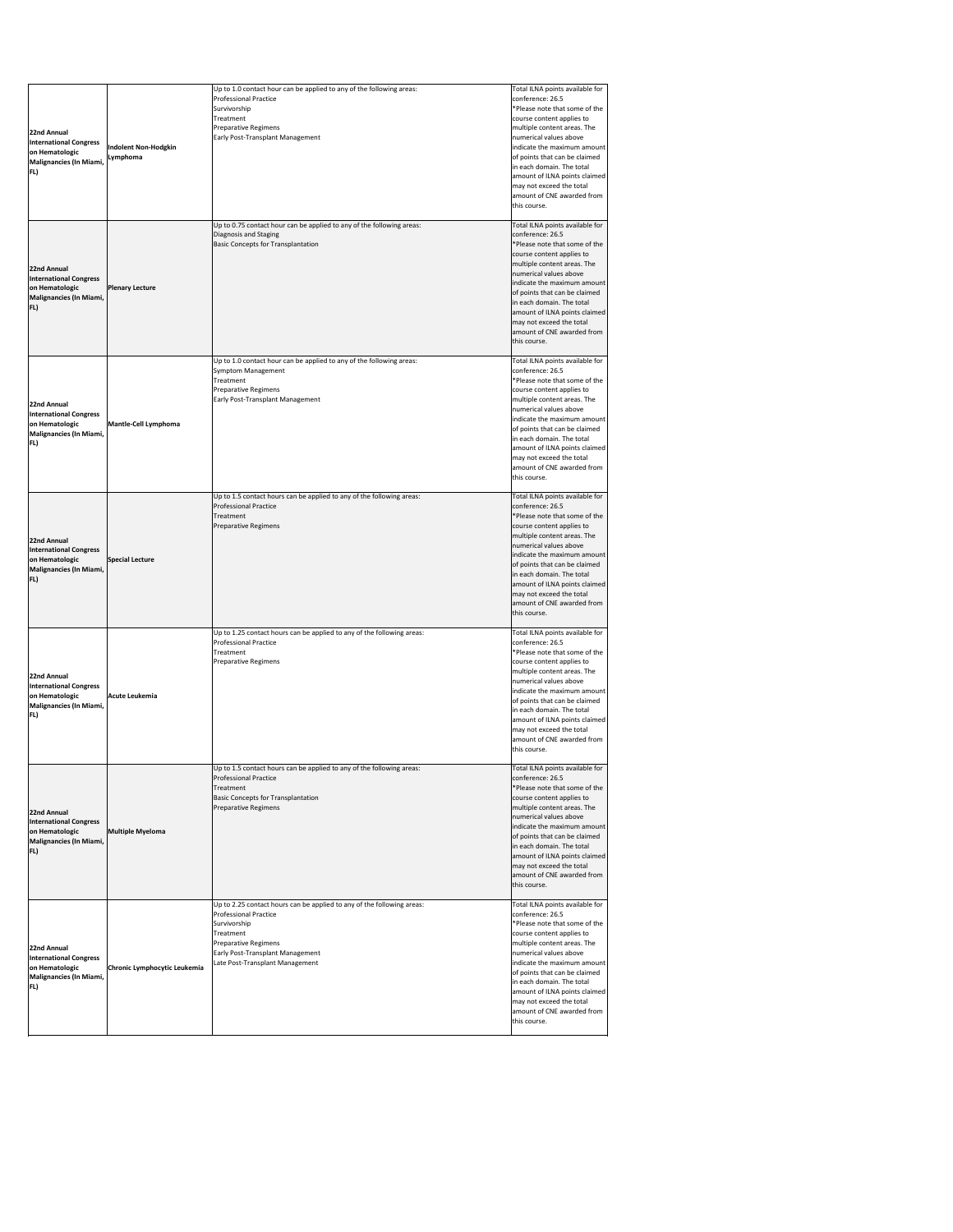| 22nd Annual<br>International Congress<br>on Hematologic<br>Malignancies (In Miami,<br>FL)        | <b>Indolent Non-Hodgkin</b><br>Lymphoma | Up to 1.0 contact hour can be applied to any of the following areas:<br><b>Professional Practice</b><br>Survivorship<br>Treatment<br><b>Preparative Regimens</b><br>Early Post-Transplant Management                                      | Total ILNA points available for<br>conference: 26.5<br>*Please note that some of the<br>course content applies to<br>multiple content areas. The<br>numerical values above<br>indicate the maximum amount<br>of points that can be claimed<br>in each domain. The total<br>amount of ILNA points claimed<br>may not exceed the total<br>amount of CNE awarded from<br>this course. |
|--------------------------------------------------------------------------------------------------|-----------------------------------------|-------------------------------------------------------------------------------------------------------------------------------------------------------------------------------------------------------------------------------------------|------------------------------------------------------------------------------------------------------------------------------------------------------------------------------------------------------------------------------------------------------------------------------------------------------------------------------------------------------------------------------------|
| 22nd Annual<br><b>International Congress</b><br>on Hematologic<br>Malignancies (In Miami,<br>FL) | <b>Plenary Lecture</b>                  | Up to 0.75 contact hour can be applied to any of the following areas:<br>Diagnosis and Staging<br><b>Basic Concepts for Transplantation</b>                                                                                               | Total ILNA points available for<br>conference: 26.5<br>*Please note that some of the<br>course content applies to<br>multiple content areas. The<br>numerical values above<br>indicate the maximum amount<br>of points that can be claimed<br>in each domain. The total<br>amount of ILNA points claimed<br>may not exceed the total<br>amount of CNE awarded from<br>this course. |
| 22nd Annual<br><b>International Congress</b><br>on Hematologic<br>Malignancies (In Miami,<br>FL) | <b>Mantle-Cell Lymphoma</b>             | Up to 1.0 contact hour can be applied to any of the following areas:<br><b>Symptom Management</b><br>Treatment<br><b>Preparative Regimens</b><br>Early Post-Transplant Management                                                         | Total ILNA points available for<br>conference: 26.5<br>*Please note that some of the<br>course content applies to<br>multiple content areas. The<br>numerical values above<br>indicate the maximum amount<br>of points that can be claimed<br>in each domain. The total<br>amount of ILNA points claimed<br>may not exceed the total<br>amount of CNE awarded from<br>this course. |
| 22nd Annual<br><b>International Congress</b><br>on Hematologic<br>Malignancies (In Miami,<br>FL) | <b>Special Lecture</b>                  | Up to 1.5 contact hours can be applied to any of the following areas:<br><b>Professional Practice</b><br>Treatment<br><b>Preparative Regimens</b>                                                                                         | Total ILNA points available for<br>conference: 26.5<br>*Please note that some of the<br>course content applies to<br>multiple content areas. The<br>numerical values above<br>indicate the maximum amount<br>of points that can be claimed<br>in each domain. The total<br>amount of ILNA points claimed<br>may not exceed the total<br>amount of CNE awarded from<br>this course. |
| 22nd Annual<br><b>International Congress</b><br>on Hematologic<br>Malignancies (In Miami,<br>FL) | Acute Leukemia                          | Up to 1.25 contact hours can be applied to any of the following areas:<br><b>Professional Practice</b><br>Treatment<br>Preparative Regimens                                                                                               | Total ILNA points available for<br>conference: 26.5<br>*Please note that some of the<br>course content applies to<br>multiple content areas. The<br>numerical values above<br>indicate the maximum amount<br>of points that can be claimed<br>in each domain. The total<br>amount of ILNA points claimed<br>may not exceed the total<br>amount of CNE awarded from<br>this course. |
| 22nd Annual<br><b>International Congress</b><br>on Hematologic<br>Malignancies (In Miami,<br>FL) | <b>Multiple Myeloma</b>                 | Up to 1.5 contact hours can be applied to any of the following areas:<br><b>Professional Practice</b><br>Treatment<br><b>Basic Concepts for Transplantation</b><br><b>Preparative Regimens</b>                                            | Total ILNA points available for<br>conference: 26.5<br>*Please note that some of the<br>course content applies to<br>multiple content areas. The<br>numerical values above<br>indicate the maximum amount<br>of points that can be claimed<br>in each domain. The total<br>amount of ILNA points claimed<br>may not exceed the total<br>amount of CNE awarded from<br>this course. |
| 22nd Annual<br><b>International Congress</b><br>on Hematologic<br>Malignancies (In Miami,<br>FL) | Chronic Lymphocytic Leukemia            | Up to 2.25 contact hours can be applied to any of the following areas:<br><b>Professional Practice</b><br>Survivorship<br>Treatment<br><b>Preparative Regimens</b><br>Early Post-Transplant Management<br>Late Post-Transplant Management | Total ILNA points available for<br>conference: 26.5<br>*Please note that some of the<br>course content applies to<br>multiple content areas. The<br>numerical values above<br>indicate the maximum amount<br>of points that can be claimed<br>in each domain. The total<br>amount of ILNA points claimed<br>may not exceed the total<br>amount of CNE awarded from<br>this course. |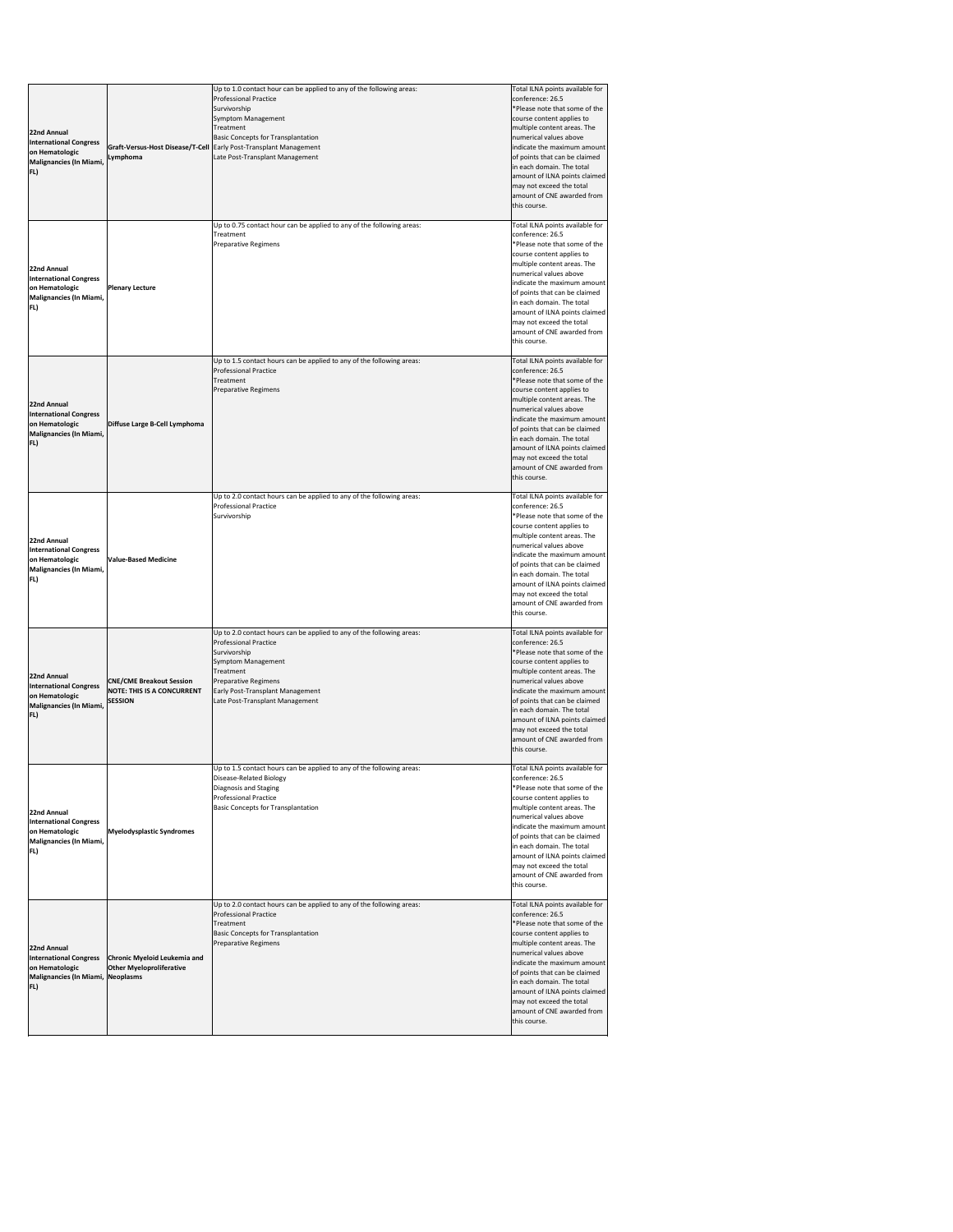| 22nd Annual<br>International Congress<br>on Hematologic<br>Malignancies (In Miami,<br>FL)                  | Lymphoma                                                                               | Up to 1.0 contact hour can be applied to any of the following areas:<br><b>Professional Practice</b><br>Survivorship<br><b>Symptom Management</b><br>Treatment<br><b>Basic Concepts for Transplantation</b><br>Graft-Versus-Host Disease/T-Cell   Early Post-Transplant Management<br>Late Post-Transplant Management | Total ILNA points available for<br>conference: 26.5<br>*Please note that some of the<br>course content applies to<br>multiple content areas. The<br>numerical values above<br>indicate the maximum amount<br>of points that can be claimed<br>in each domain. The total<br>amount of ILNA points claimed<br>may not exceed the total<br>amount of CNE awarded from<br>this course. |
|------------------------------------------------------------------------------------------------------------|----------------------------------------------------------------------------------------|-----------------------------------------------------------------------------------------------------------------------------------------------------------------------------------------------------------------------------------------------------------------------------------------------------------------------|------------------------------------------------------------------------------------------------------------------------------------------------------------------------------------------------------------------------------------------------------------------------------------------------------------------------------------------------------------------------------------|
| 22nd Annual<br><b>International Congress</b><br>on Hematologic<br>Malignancies (In Miami,<br>FL)           | <b>Plenary Lecture</b>                                                                 | Up to 0.75 contact hour can be applied to any of the following areas:<br>Treatment<br><b>Preparative Regimens</b>                                                                                                                                                                                                     | Total ILNA points available for<br>conference: 26.5<br>*Please note that some of the<br>course content applies to<br>multiple content areas. The<br>numerical values above<br>indicate the maximum amount<br>of points that can be claimed<br>in each domain. The total<br>amount of ILNA points claimed<br>may not exceed the total<br>amount of CNE awarded from<br>this course. |
| 22nd Annual<br><b>International Congress</b><br>on Hematologic<br>Malignancies (In Miami,<br>FL)           | Diffuse Large B-Cell Lymphoma                                                          | Up to 1.5 contact hours can be applied to any of the following areas:<br><b>Professional Practice</b><br>Treatment<br>Preparative Regimens                                                                                                                                                                            | Total ILNA points available for<br>conference: 26.5<br>*Please note that some of the<br>course content applies to<br>multiple content areas. The<br>numerical values above<br>indicate the maximum amount<br>of points that can be claimed<br>in each domain. The total<br>amount of ILNA points claimed<br>may not exceed the total<br>amount of CNE awarded from<br>this course. |
| 22nd Annual<br><b>International Congress</b><br>on Hematologic<br>Malignancies (In Miami,<br>FL)           | <b>Value-Based Medicine</b>                                                            | Up to 2.0 contact hours can be applied to any of the following areas:<br><b>Professional Practice</b><br>Survivorship                                                                                                                                                                                                 | Total ILNA points available for<br>conference: 26.5<br>*Please note that some of the<br>course content applies to<br>multiple content areas. The<br>numerical values above<br>indicate the maximum amount<br>of points that can be claimed<br>in each domain. The total<br>amount of ILNA points claimed<br>may not exceed the total<br>amount of CNE awarded from<br>this course. |
| 22nd Annual<br><b>International Congress</b><br>on Hematologic<br>Malignancies (In Miami,<br>FL)           | <b>CNE/CME Breakout Session</b><br><b>NOTE: THIS IS A CONCURRENT</b><br><b>SESSION</b> | Up to 2.0 contact hours can be applied to any of the following areas:<br><b>Professional Practice</b><br>Survivorship<br><b>Symptom Management</b><br>Treatment<br><b>Preparative Regimens</b><br>Early Post-Transplant Management<br>Late Post-Transplant Management                                                 | Total ILNA points available for<br>conference: 26.5<br>*Please note that some of the<br>course content applies to<br>multiple content areas. The<br>numerical values above<br>indicate the maximum amount<br>of points that can be claimed<br>in each domain. The total<br>amount of ILNA points claimed<br>may not exceed the total<br>amount of CNE awarded from<br>this course. |
| 22nd Annual<br><b>International Congress</b><br>on Hematologic<br>Malignancies (In Miami,<br>FL)           | <b>Myelodysplastic Syndromes</b>                                                       | Up to 1.5 contact hours can be applied to any of the following areas:<br>Disease-Related Biology<br>Diagnosis and Staging<br><b>Professional Practice</b><br><b>Basic Concepts for Transplantation</b>                                                                                                                | Total ILNA points available for<br>conference: 26.5<br>*Please note that some of the<br>course content applies to<br>multiple content areas. The<br>numerical values above<br>indicate the maximum amount<br>of points that can be claimed<br>in each domain. The total<br>amount of ILNA points claimed<br>may not exceed the total<br>amount of CNE awarded from<br>this course. |
| 22nd Annual<br><b>International Congress</b><br>on Hematologic<br>Malignancies (In Miami, Neoplasms<br>FL) | <b>Chronic Myeloid Leukemia and</b><br><b>Other Myeloproliferative</b>                 | Up to 2.0 contact hours can be applied to any of the following areas:<br><b>Professional Practice</b><br>Treatment<br><b>Basic Concepts for Transplantation</b><br><b>Preparative Regimens</b>                                                                                                                        | Total ILNA points available for<br>conference: 26.5<br>*Please note that some of the<br>course content applies to<br>multiple content areas. The<br>numerical values above<br>indicate the maximum amount<br>of points that can be claimed<br>in each domain. The total<br>amount of ILNA points claimed<br>may not exceed the total<br>amount of CNE awarded from<br>this course. |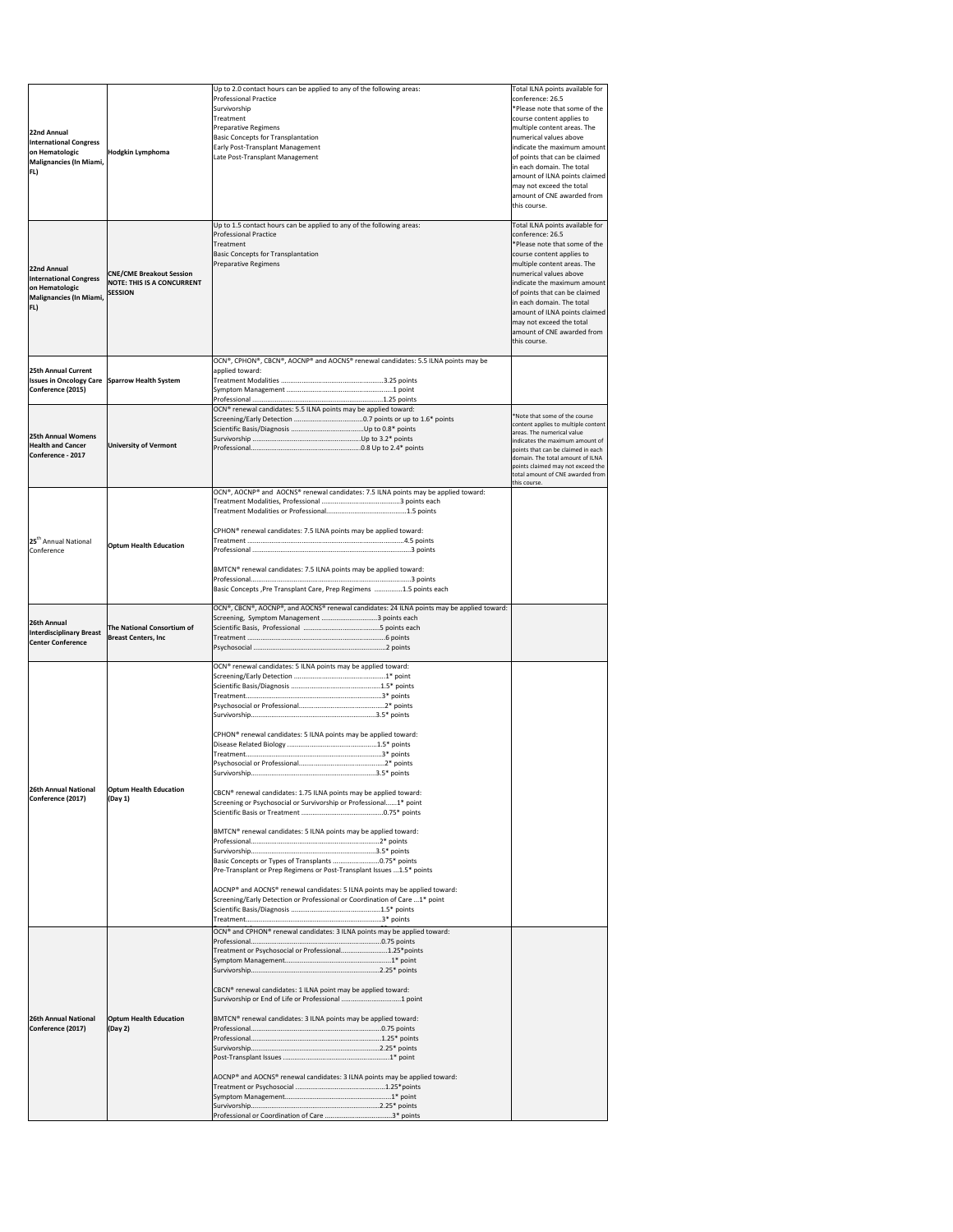| 22nd Annual<br><b>International Congress</b><br>on Hematologic<br>Malignancies (In Miami,<br>FL) | Hodgkin Lymphoma                                                                       | Up to 2.0 contact hours can be applied to any of the following areas:<br><b>Professional Practice</b><br>Survivorship<br>Treatment<br><b>Preparative Regimens</b><br><b>Basic Concepts for Transplantation</b><br>Early Post-Transplant Management<br>Late Post-Transplant Management                                                                                                                                                                                                                                                                                                                                                                             | Total ILNA points available for<br>conference: 26.5<br>*Please note that some of the<br>course content applies to<br>multiple content areas. The<br>numerical values above<br>indicate the maximum amount<br>of points that can be claimed<br>in each domain. The total<br>amount of ILNA points claimed<br>may not exceed the total<br>amount of CNE awarded from<br>this course. |
|--------------------------------------------------------------------------------------------------|----------------------------------------------------------------------------------------|-------------------------------------------------------------------------------------------------------------------------------------------------------------------------------------------------------------------------------------------------------------------------------------------------------------------------------------------------------------------------------------------------------------------------------------------------------------------------------------------------------------------------------------------------------------------------------------------------------------------------------------------------------------------|------------------------------------------------------------------------------------------------------------------------------------------------------------------------------------------------------------------------------------------------------------------------------------------------------------------------------------------------------------------------------------|
| 22nd Annual<br><b>International Congress</b><br>on Hematologic<br>Malignancies (In Miami,<br>FL) | <b>CNE/CME Breakout Session</b><br><b>NOTE: THIS IS A CONCURRENT</b><br><b>SESSION</b> | Up to 1.5 contact hours can be applied to any of the following areas:<br><b>Professional Practice</b><br>Treatment<br><b>Basic Concepts for Transplantation</b><br><b>Preparative Regimens</b>                                                                                                                                                                                                                                                                                                                                                                                                                                                                    | Total ILNA points available for<br>conference: 26.5<br>*Please note that some of the<br>course content applies to<br>multiple content areas. The<br>numerical values above<br>indicate the maximum amount<br>of points that can be claimed<br>in each domain. The total<br>amount of ILNA points claimed<br>may not exceed the total<br>amount of CNE awarded from<br>this course. |
| 25th Annual Current<br><b>Issues in Oncology Care</b><br>Conference (2015)                       | Sparrow Health System                                                                  | OCN®, CPHON®, CBCN®, AOCNP® and AOCNS® renewal candidates: 5.5 ILNA points may be<br>applied toward:<br>OCN® renewal candidates: 5.5 ILNA points may be applied toward:                                                                                                                                                                                                                                                                                                                                                                                                                                                                                           |                                                                                                                                                                                                                                                                                                                                                                                    |
| <b>25th Annual Womens</b><br><b>Health and Cancer</b><br>Conference - 2017                       | <b>University of Vermont</b>                                                           |                                                                                                                                                                                                                                                                                                                                                                                                                                                                                                                                                                                                                                                                   | *Note that some of the course<br>content applies to multiple content<br>areas. The numerical value<br>indicates the maximum amount of<br>points that can be claimed in each<br>domain. The total amount of ILNA<br>points claimed may not exceed the<br>total amount of CNE awarded from<br>this course.                                                                           |
| 125 <sup>th</sup> Annual National<br>Conference                                                  | <b>Optum Health Education</b>                                                          | $\overline{OCN^{\circ}}$ , AOCNP® and AOCNS® renewal candidates: 7.5 ILNA points may be applied toward:<br>CPHON® renewal candidates: 7.5 ILNA points may be applied toward:<br>BMTCN® renewal candidates: 7.5 ILNA points may be applied toward:<br>Basic Concepts, Pre Transplant Care, Prep Regimens 1.5 points each                                                                                                                                                                                                                                                                                                                                           |                                                                                                                                                                                                                                                                                                                                                                                    |
| 26th Annual<br><b>Interdisciplinary Breast</b><br><b>Center Conference</b>                       | The National Consortium of<br><b>Breast Centers, Inc</b>                               | OCN®, CBCN®, AOCNP®, and AOCNS® renewal candidates: 24 ILNA points may be applied toward:<br>Screening, Symptom Management 3 points each                                                                                                                                                                                                                                                                                                                                                                                                                                                                                                                          |                                                                                                                                                                                                                                                                                                                                                                                    |
| 26th Annual National<br>Conference (2017)                                                        | <b>Optum Health Education</b><br>(Day 1)                                               | OCN <sup>®</sup> renewal candidates: 5 ILNA points may be applied toward:<br>CPHON <sup>®</sup> renewal candidates: 5 ILNA points may be applied toward:<br>CBCN® renewal candidates: 1.75 ILNA points may be applied toward:<br>Screening or Psychosocial or Survivorship or Professional1* point<br>BMTCN® renewal candidates: 5 ILNA points may be applied toward:<br>Basic Concepts or Types of Transplants 0.75* points<br>Pre-Transplant or Prep Regimens or Post-Transplant Issues 1.5* points<br>AOCNP® and AOCNS® renewal candidates: 5 ILNA points may be applied toward:<br>Screening/Early Detection or Professional or Coordination of Care 1* point |                                                                                                                                                                                                                                                                                                                                                                                    |
| 26th Annual National<br>Conference (2017)                                                        | <b>Optum Health Education</b><br>(Day 2)                                               | OCN® and CPHON® renewal candidates: 3 ILNA points may be applied toward:<br>Treatment or Psychosocial or Professional1.25*points<br>CBCN <sup>®</sup> renewal candidates: 1 ILNA point may be applied toward:<br>Survivorship or End of Life or Professional 1 point<br>BMTCN® renewal candidates: 3 ILNA points may be applied toward:<br>AOCNP® and AOCNS® renewal candidates: 3 ILNA points may be applied toward:                                                                                                                                                                                                                                             |                                                                                                                                                                                                                                                                                                                                                                                    |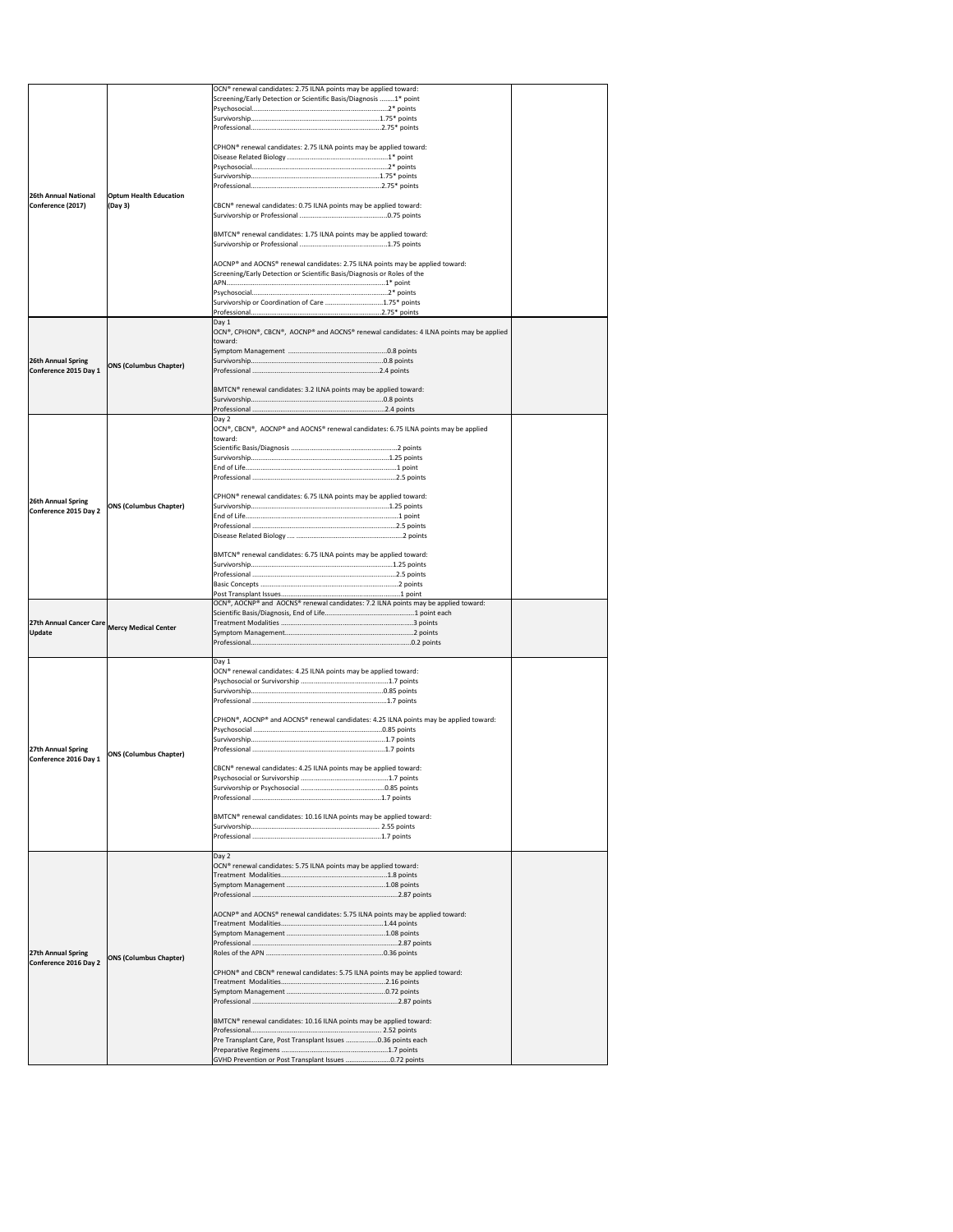|                                                                                                                                                             |                               | OCN <sup>®</sup> renewal candidates: 2.75 ILNA points may be applied toward:            |  |
|-------------------------------------------------------------------------------------------------------------------------------------------------------------|-------------------------------|-----------------------------------------------------------------------------------------|--|
|                                                                                                                                                             |                               | Screening/Early Detection or Scientific Basis/Diagnosis 1* point                        |  |
|                                                                                                                                                             |                               |                                                                                         |  |
|                                                                                                                                                             |                               |                                                                                         |  |
|                                                                                                                                                             |                               |                                                                                         |  |
|                                                                                                                                                             |                               |                                                                                         |  |
|                                                                                                                                                             |                               | CPHON <sup>®</sup> renewal candidates: 2.75 ILNA points may be applied toward:          |  |
|                                                                                                                                                             |                               |                                                                                         |  |
|                                                                                                                                                             |                               |                                                                                         |  |
|                                                                                                                                                             |                               |                                                                                         |  |
|                                                                                                                                                             |                               |                                                                                         |  |
| <b>26th Annual National</b>                                                                                                                                 | <b>Optum Health Education</b> |                                                                                         |  |
| Conference (2017)                                                                                                                                           | $($ Day 3 $)$                 | CBCN® renewal candidates: 0.75 ILNA points may be applied toward:                       |  |
|                                                                                                                                                             |                               |                                                                                         |  |
|                                                                                                                                                             |                               | BMTCN <sup>®</sup> renewal candidates: 1.75 ILNA points may be applied toward:          |  |
|                                                                                                                                                             |                               |                                                                                         |  |
|                                                                                                                                                             |                               |                                                                                         |  |
|                                                                                                                                                             |                               | AOCNP® and AOCNS® renewal candidates: 2.75 ILNA points may be applied toward:           |  |
|                                                                                                                                                             |                               | Screening/Early Detection or Scientific Basis/Diagnosis or Roles of the                 |  |
|                                                                                                                                                             |                               |                                                                                         |  |
|                                                                                                                                                             |                               |                                                                                         |  |
|                                                                                                                                                             |                               | Survivorship or Coordination of Care 1.75* points                                       |  |
|                                                                                                                                                             |                               |                                                                                         |  |
|                                                                                                                                                             |                               | Day 1                                                                                   |  |
|                                                                                                                                                             |                               | OCN®, CPHON®, CBCN®, AOCNP® and AOCNS® renewal candidates: 4 ILNA points may be applied |  |
|                                                                                                                                                             |                               | Itoward:                                                                                |  |
| <b>26th Annual Spring</b>                                                                                                                                   |                               |                                                                                         |  |
| Conference 2015 Day 1                                                                                                                                       | <b>ONS (Columbus Chapter)</b> |                                                                                         |  |
|                                                                                                                                                             |                               |                                                                                         |  |
|                                                                                                                                                             |                               | BMTCN® renewal candidates: 3.2 ILNA points may be applied toward:                       |  |
|                                                                                                                                                             |                               |                                                                                         |  |
|                                                                                                                                                             |                               |                                                                                         |  |
|                                                                                                                                                             |                               | Day 2                                                                                   |  |
|                                                                                                                                                             |                               | OCN®, CBCN®, AOCNP® and AOCNS® renewal candidates: 6.75 ILNA points may be applied      |  |
|                                                                                                                                                             |                               | toward:                                                                                 |  |
|                                                                                                                                                             |                               |                                                                                         |  |
|                                                                                                                                                             |                               |                                                                                         |  |
|                                                                                                                                                             |                               |                                                                                         |  |
|                                                                                                                                                             |                               |                                                                                         |  |
|                                                                                                                                                             |                               |                                                                                         |  |
| <b>26th Annual Spring</b>                                                                                                                                   |                               | CPHON <sup>®</sup> renewal candidates: 6.75 ILNA points may be applied toward:          |  |
| Conference 2015 Day 2                                                                                                                                       | <b>ONS (Columbus Chapter)</b> |                                                                                         |  |
|                                                                                                                                                             |                               |                                                                                         |  |
|                                                                                                                                                             |                               |                                                                                         |  |
|                                                                                                                                                             |                               |                                                                                         |  |
|                                                                                                                                                             |                               | BMTCN <sup>®</sup> renewal candidates: 6.75 ILNA points may be applied toward:          |  |
|                                                                                                                                                             |                               |                                                                                         |  |
|                                                                                                                                                             |                               |                                                                                         |  |
|                                                                                                                                                             |                               |                                                                                         |  |
|                                                                                                                                                             |                               |                                                                                         |  |
|                                                                                                                                                             |                               |                                                                                         |  |
|                                                                                                                                                             |                               |                                                                                         |  |
|                                                                                                                                                             |                               | OCN®, AOCNP® and AOCNS® renewal candidates: 7.2 ILNA points may be applied toward:      |  |
|                                                                                                                                                             |                               |                                                                                         |  |
|                                                                                                                                                             |                               |                                                                                         |  |
|                                                                                                                                                             |                               |                                                                                         |  |
|                                                                                                                                                             |                               |                                                                                         |  |
|                                                                                                                                                             |                               | $\Box$ Day 1                                                                            |  |
|                                                                                                                                                             |                               | OCN <sup>®</sup> renewal candidates: 4.25 ILNA points may be applied toward:            |  |
|                                                                                                                                                             |                               |                                                                                         |  |
|                                                                                                                                                             |                               |                                                                                         |  |
|                                                                                                                                                             |                               |                                                                                         |  |
|                                                                                                                                                             |                               | CPHON®, AOCNP® and AOCNS® renewal candidates: 4.25 ILNA points may be applied toward:   |  |
|                                                                                                                                                             |                               |                                                                                         |  |
|                                                                                                                                                             |                               |                                                                                         |  |
|                                                                                                                                                             |                               |                                                                                         |  |
|                                                                                                                                                             | <b>ONS (Columbus Chapter)</b> |                                                                                         |  |
|                                                                                                                                                             |                               | CBCN® renewal candidates: 4.25 ILNA points may be applied toward:                       |  |
|                                                                                                                                                             |                               |                                                                                         |  |
|                                                                                                                                                             |                               |                                                                                         |  |
|                                                                                                                                                             |                               |                                                                                         |  |
|                                                                                                                                                             |                               |                                                                                         |  |
|                                                                                                                                                             |                               | BMTCN® renewal candidates: 10.16 ILNA points may be applied toward:                     |  |
|                                                                                                                                                             |                               |                                                                                         |  |
|                                                                                                                                                             |                               |                                                                                         |  |
|                                                                                                                                                             |                               | Day 2                                                                                   |  |
|                                                                                                                                                             |                               | OCN <sup>®</sup> renewal candidates: 5.75 ILNA points may be applied toward:            |  |
|                                                                                                                                                             |                               |                                                                                         |  |
|                                                                                                                                                             |                               |                                                                                         |  |
|                                                                                                                                                             |                               |                                                                                         |  |
|                                                                                                                                                             |                               |                                                                                         |  |
|                                                                                                                                                             |                               | AOCNP® and AOCNS® renewal candidates: 5.75 ILNA points may be applied toward:           |  |
|                                                                                                                                                             |                               |                                                                                         |  |
|                                                                                                                                                             |                               |                                                                                         |  |
|                                                                                                                                                             |                               |                                                                                         |  |
|                                                                                                                                                             | <b>ONS (Columbus Chapter)</b> |                                                                                         |  |
|                                                                                                                                                             |                               | CPHON® and CBCN® renewal candidates: 5.75 ILNA points may be applied toward:            |  |
|                                                                                                                                                             |                               |                                                                                         |  |
|                                                                                                                                                             |                               |                                                                                         |  |
|                                                                                                                                                             |                               |                                                                                         |  |
|                                                                                                                                                             |                               |                                                                                         |  |
|                                                                                                                                                             |                               | BMTCN® renewal candidates: 10.16 ILNA points may be applied toward:                     |  |
|                                                                                                                                                             |                               |                                                                                         |  |
| 27th Annual Cancer Care Mercy Medical Center<br><b>Update</b><br>27th Annual Spring<br>Conference 2016 Day 1<br>27th Annual Spring<br>Conference 2016 Day 2 |                               | Pre Transplant Care, Post Transplant Issues 0.36 points each                            |  |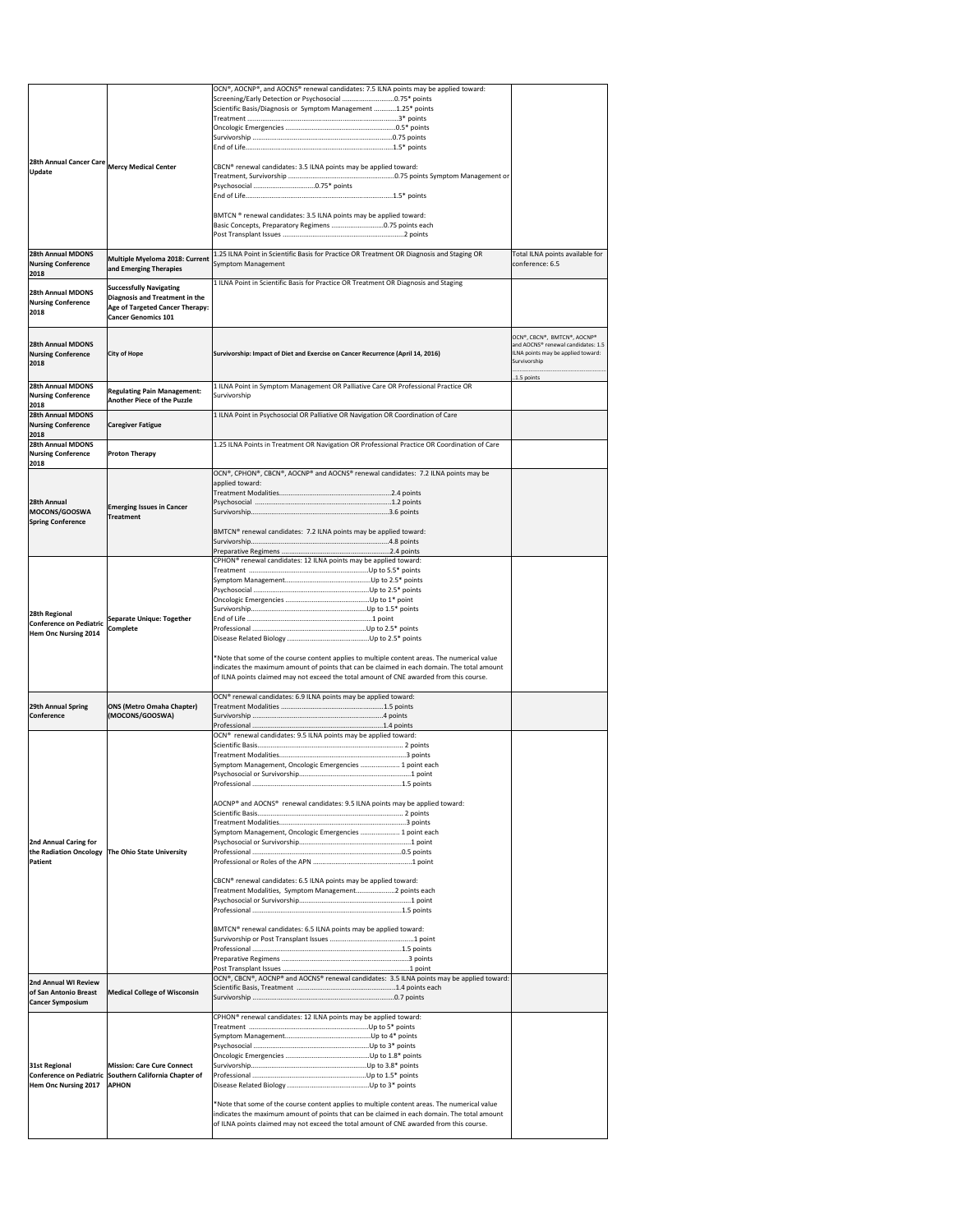|                                                       |                                                                      | OCN®, AOCNP®, and AOCNS® renewal candidates: 7.5 ILNA points may be applied toward:                                                              |                                                                   |
|-------------------------------------------------------|----------------------------------------------------------------------|--------------------------------------------------------------------------------------------------------------------------------------------------|-------------------------------------------------------------------|
|                                                       |                                                                      | Screening/Early Detection or Psychosocial 0.75* points                                                                                           |                                                                   |
|                                                       |                                                                      | Scientific Basis/Diagnosis or Symptom Management 1.25* points                                                                                    |                                                                   |
|                                                       |                                                                      |                                                                                                                                                  |                                                                   |
|                                                       |                                                                      |                                                                                                                                                  |                                                                   |
|                                                       |                                                                      |                                                                                                                                                  |                                                                   |
| 28th Annual Cancer Care Mercy Medical Center          |                                                                      |                                                                                                                                                  |                                                                   |
| <b>Update</b>                                         |                                                                      | CBCN® renewal candidates: 3.5 ILNA points may be applied toward:<br>Treatment, Survivorship …………………………………………………0.75 points Symptom Management or |                                                                   |
|                                                       |                                                                      |                                                                                                                                                  |                                                                   |
|                                                       |                                                                      |                                                                                                                                                  |                                                                   |
|                                                       |                                                                      |                                                                                                                                                  |                                                                   |
|                                                       |                                                                      | BMTCN ® renewal candidates: 3.5 ILNA points may be applied toward:<br>Basic Concepts, Preparatory Regimens 0.75 points each                      |                                                                   |
|                                                       |                                                                      |                                                                                                                                                  |                                                                   |
| 28th Annual MDONS                                     |                                                                      | 1.25 ILNA Point in Scientific Basis for Practice OR Treatment OR Diagnosis and Staging OR                                                        |                                                                   |
| <b>Nursing Conference</b>                             | Multiple Myeloma 2018: Current                                       | Symptom Management                                                                                                                               | Total ILNA points available for<br>conference: 6.5                |
| 2018                                                  | and Emerging Therapies                                               |                                                                                                                                                  |                                                                   |
| 28th Annual MDONS                                     | <b>Successfully Navigating</b>                                       | 1 ILNA Point in Scientific Basis for Practice OR Treatment OR Diagnosis and Staging                                                              |                                                                   |
| <b>Nursing Conference</b>                             | <b>Diagnosis and Treatment in the</b>                                |                                                                                                                                                  |                                                                   |
| 2018                                                  | <b>Age of Targeted Cancer Therapy:</b><br><b>Cancer Genomics 101</b> |                                                                                                                                                  |                                                                   |
|                                                       |                                                                      |                                                                                                                                                  |                                                                   |
| 28th Annual MDONS                                     |                                                                      |                                                                                                                                                  | OCN®, CBCN®, BMTCN®, AOCNP®<br>and AOCNS® renewal candidates: 1.5 |
| <b>Nursing Conference</b>                             | <b>City of Hope</b>                                                  | Survivorship: Impact of Diet and Exercise on Cancer Recurrence (April 14, 2016)                                                                  | ILNA points may be applied toward:                                |
| 2018                                                  |                                                                      |                                                                                                                                                  | Survivorship                                                      |
|                                                       |                                                                      |                                                                                                                                                  | 1.5 points                                                        |
| <b>28th Annual MDONS</b><br><b>Nursing Conference</b> | <b>Regulating Pain Management:</b>                                   | 1 ILNA Point in Symptom Management OR Palliative Care OR Professional Practice OR<br>Survivorship                                                |                                                                   |
| 2018                                                  | <b>Another Piece of the Puzzle</b>                                   |                                                                                                                                                  |                                                                   |
| <b>28th Annual MDONS</b>                              |                                                                      | 1 ILNA Point in Psychosocial OR Palliative OR Navigation OR Coordination of Care                                                                 |                                                                   |
| <b>Nursing Conference</b><br>2018                     | <b>Caregiver Fatigue</b>                                             |                                                                                                                                                  |                                                                   |
| <b>28th Annual MDONS</b>                              |                                                                      | 1.25 ILNA Points in Treatment OR Navigation OR Professional Practice OR Coordination of Care                                                     |                                                                   |
| <b>Nursing Conference</b>                             | <b>Proton Therapy</b>                                                |                                                                                                                                                  |                                                                   |
| 2018                                                  |                                                                      | OCN®, CPHON®, CBCN®, AOCNP® and AOCNS® renewal candidates: 7.2 ILNA points may be                                                                |                                                                   |
|                                                       |                                                                      | applied toward:                                                                                                                                  |                                                                   |
|                                                       |                                                                      |                                                                                                                                                  |                                                                   |
| 28th Annual                                           | <b>Emerging Issues in Cancer</b>                                     |                                                                                                                                                  |                                                                   |
| MOCONS/GOOSWA<br><b>Spring Conference</b>             | <b>Treatment</b>                                                     |                                                                                                                                                  |                                                                   |
|                                                       |                                                                      | BMTCN® renewal candidates: 7.2 ILNA points may be applied toward:                                                                                |                                                                   |
|                                                       |                                                                      |                                                                                                                                                  |                                                                   |
|                                                       |                                                                      | CPHON <sup>®</sup> renewal candidates: 12 ILNA points may be applied toward:                                                                     |                                                                   |
|                                                       |                                                                      |                                                                                                                                                  |                                                                   |
|                                                       |                                                                      |                                                                                                                                                  |                                                                   |
|                                                       |                                                                      |                                                                                                                                                  |                                                                   |
|                                                       |                                                                      |                                                                                                                                                  |                                                                   |
| 28th Regional<br>Conference on Pediatric              | <b>Separate Unique: Together</b>                                     |                                                                                                                                                  |                                                                   |
| Hem Onc Nursing 2014                                  | <b>Complete</b>                                                      |                                                                                                                                                  |                                                                   |
|                                                       |                                                                      |                                                                                                                                                  |                                                                   |
|                                                       |                                                                      | *Note that some of the course content applies to multiple content areas. The numerical value                                                     |                                                                   |
|                                                       |                                                                      | indicates the maximum amount of points that can be claimed in each domain. The total amount                                                      |                                                                   |
|                                                       |                                                                      | of ILNA points claimed may not exceed the total amount of CNE awarded from this course.                                                          |                                                                   |
|                                                       |                                                                      | OCN <sup>®</sup> renewal candidates: 6.9 ILNA points may be applied toward:                                                                      |                                                                   |
| <b>29th Annual Spring</b><br><b>Conference</b>        | <b>ONS (Metro Omaha Chapter)</b><br>(MOCONS/GOOSWA)                  |                                                                                                                                                  |                                                                   |
|                                                       |                                                                      |                                                                                                                                                  |                                                                   |
|                                                       |                                                                      | OCN <sup>®</sup> renewal candidates: 9.5 ILNA points may be applied toward:                                                                      |                                                                   |
|                                                       |                                                                      |                                                                                                                                                  |                                                                   |
|                                                       |                                                                      | Symptom Management, Oncologic Emergencies  1 point each                                                                                          |                                                                   |
|                                                       |                                                                      |                                                                                                                                                  |                                                                   |
|                                                       |                                                                      |                                                                                                                                                  |                                                                   |
|                                                       |                                                                      | AOCNP® and AOCNS® renewal candidates: 9.5 ILNA points may be applied toward:                                                                     |                                                                   |
|                                                       |                                                                      |                                                                                                                                                  |                                                                   |
|                                                       |                                                                      | Symptom Management, Oncologic Emergencies  1 point each                                                                                          |                                                                   |
| 2nd Annual Caring for                                 |                                                                      |                                                                                                                                                  |                                                                   |
|                                                       | the Radiation Oncology The Ohio State University                     |                                                                                                                                                  |                                                                   |
| Patient                                               |                                                                      |                                                                                                                                                  |                                                                   |
|                                                       |                                                                      | CBCN® renewal candidates: 6.5 ILNA points may be applied toward:                                                                                 |                                                                   |
|                                                       |                                                                      | Treatment Modalities, Symptom Management2 points each                                                                                            |                                                                   |
|                                                       |                                                                      |                                                                                                                                                  |                                                                   |
|                                                       |                                                                      |                                                                                                                                                  |                                                                   |
|                                                       |                                                                      | BMTCN® renewal candidates: 6.5 ILNA points may be applied toward:                                                                                |                                                                   |
|                                                       |                                                                      |                                                                                                                                                  |                                                                   |
|                                                       |                                                                      |                                                                                                                                                  |                                                                   |
|                                                       |                                                                      |                                                                                                                                                  |                                                                   |
| 2nd Annual WI Review                                  |                                                                      | OCN®, CBCN®, AOCNP® and AOCNS® renewal candidates: 3.5 ILNA points may be applied toward:                                                        |                                                                   |
| of San Antonio Breast<br><b>Cancer Symposium</b>      | <b>Medical College of Wisconsin</b>                                  |                                                                                                                                                  |                                                                   |
|                                                       |                                                                      |                                                                                                                                                  |                                                                   |
|                                                       |                                                                      | CPHON <sup>®</sup> renewal candidates: 12 ILNA points may be applied toward:                                                                     |                                                                   |
|                                                       |                                                                      |                                                                                                                                                  |                                                                   |
|                                                       |                                                                      |                                                                                                                                                  |                                                                   |
| 31st Regional                                         | <b>Mission: Care Cure Connect</b>                                    |                                                                                                                                                  |                                                                   |
|                                                       | Conference on Pediatric Southern California Chapter of               |                                                                                                                                                  |                                                                   |
| Hem Onc Nursing 2017                                  | <b>APHON</b>                                                         |                                                                                                                                                  |                                                                   |
|                                                       |                                                                      | *Note that some of the course content applies to multiple content areas. The numerical value                                                     |                                                                   |
|                                                       |                                                                      | indicates the maximum amount of points that can be claimed in each domain. The total amount                                                      |                                                                   |
|                                                       |                                                                      | of ILNA points claimed may not exceed the total amount of CNE awarded from this course.                                                          |                                                                   |
|                                                       |                                                                      |                                                                                                                                                  |                                                                   |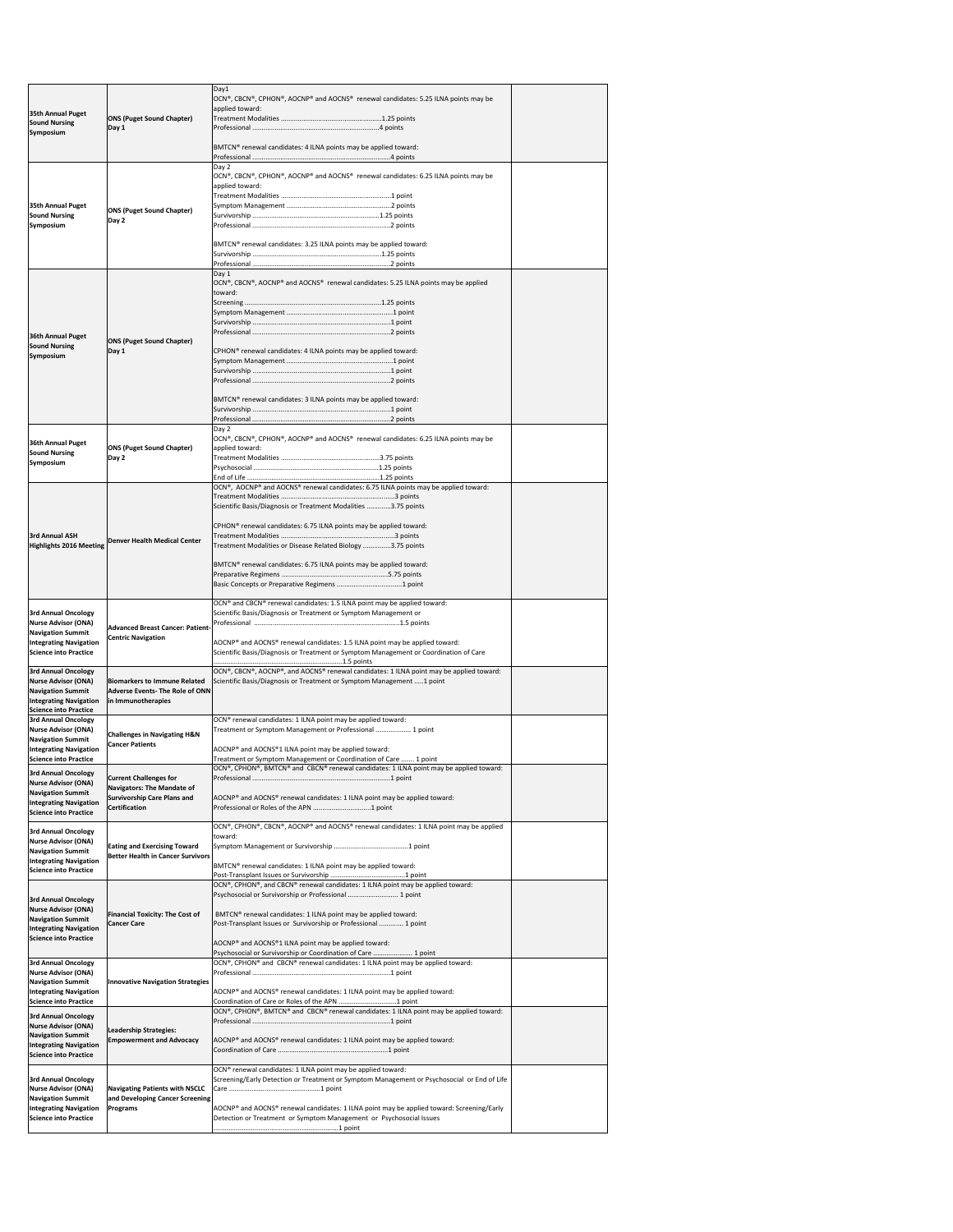| 35th Annual Puget<br><b>Sound Nursing</b>                                                                                                             | <b>ONS (Puget Sound Chapter)</b><br>Day 1                                                                                 | Day1<br>OCN®, CBCN®, CPHON®, AOCNP® and AOCNS® renewal candidates: 5.25 ILNA points may be<br>applied toward:                                                                                                                                                                                                                                                                                          |  |
|-------------------------------------------------------------------------------------------------------------------------------------------------------|---------------------------------------------------------------------------------------------------------------------------|--------------------------------------------------------------------------------------------------------------------------------------------------------------------------------------------------------------------------------------------------------------------------------------------------------------------------------------------------------------------------------------------------------|--|
| <b>Symposium</b>                                                                                                                                      |                                                                                                                           | BMTCN® renewal candidates: 4 ILNA points may be applied toward:                                                                                                                                                                                                                                                                                                                                        |  |
| 35th Annual Puget<br><b>Sound Nursing</b><br><b>Symposium</b>                                                                                         | <b>ONS (Puget Sound Chapter)</b><br>Day 2                                                                                 | Day 2<br>OCN®, CBCN®, CPHON®, AOCNP® and AOCNS® renewal candidates: 6.25 ILNA points may be<br>applied toward:<br>BMTCN® renewal candidates: 3.25 ILNA points may be applied toward:                                                                                                                                                                                                                   |  |
| 36th Annual Puget<br><b>Sound Nursing</b><br>Symposium                                                                                                | <b>ONS (Puget Sound Chapter)</b><br>Day 1                                                                                 | Day 1<br>$[OCN®, CBCN®, AOCNP® and AOCNS® renewal candidates: 5.25 ILNA points may be applied$<br>toward:<br>CPHON® renewal candidates: 4 ILNA points may be applied toward:<br>BMTCN® renewal candidates: 3 ILNA points may be applied toward:                                                                                                                                                        |  |
| <b>36th Annual Puget</b><br><b>Sound Nursing</b><br>Symposium                                                                                         | <b>ONS (Puget Sound Chapter)</b><br>Day 2                                                                                 | Day 2<br>OCN®, CBCN®, CPHON®, AOCNP® and AOCNS® renewal candidates: 6.25 ILNA points may be<br>applied toward:                                                                                                                                                                                                                                                                                         |  |
| <b>3rd Annual ASH</b><br><b>Highlights 2016 Meeting</b>                                                                                               | <b>Denver Health Medical Center</b>                                                                                       | OCN®, AOCNP® and AOCNS® renewal candidates: 6.75 ILNA points may be applied toward:<br>Scientific Basis/Diagnosis or Treatment Modalities 3.75 points<br>CPHON <sup>®</sup> renewal candidates: 6.75 ILNA points may be applied toward:<br>Treatment Modalities or Disease Related Biology 3.75 points<br>BMTCN® renewal candidates: 6.75 ILNA points may be applied toward:                           |  |
| <b>3rd Annual Oncology</b><br>Nurse Advisor (ONA)<br><b>Navigation Summit</b><br><b>Integrating Navigation</b><br>Science into Practice               | <b>Advanced Breast Cancer: Patient-</b><br><b>Centric Navigation</b>                                                      | OCN® and CBCN® renewal candidates: 1.5 ILNA point may be applied toward:<br>Scientific Basis/Diagnosis or Treatment or Symptom Management or<br>AOCNP® and AOCNS® renewal candidates: 1.5 ILNA point may be applied toward:<br>Scientific Basis/Diagnosis or Treatment or Symptom Management or Coordination of Care                                                                                   |  |
| <b>3rd Annual Oncology</b><br><b>Nurse Advisor (ONA)</b><br><b>Navigation Summit</b><br><b>Integrating Navigation</b><br><b>Science into Practice</b> | <b>Biomarkers to Immune Related</b><br><b>Adverse Events- The Role of ONN</b><br>in Immunotherapies                       | OCN®, CBCN®, AOCNP®, and AOCNS® renewal candidates: 1 ILNA point may be applied toward:<br>Scientific Basis/Diagnosis or Treatment or Symptom Management 1 point                                                                                                                                                                                                                                       |  |
| <b>3rd Annual Oncology</b><br><b>Nurse Advisor (ONA)</b><br><b>Navigation Summit</b><br><b>Integrating Navigation</b><br><b>Science into Practice</b> | <b>Challenges in Navigating H&amp;N</b><br><b>Cancer Patients</b>                                                         | OCN <sup>®</sup> renewal candidates: 1 ILNA point may be applied toward:<br>Treatment or Symptom Management or Professional  1 point<br>AOCNP® and AOCNS®1 ILNA point may be applied toward:<br>Treatment or Symptom Management or Coordination of Care  1 point                                                                                                                                       |  |
| <b>3rd Annual Oncology</b><br><b>Nurse Advisor (ONA)</b><br><b>Navigation Summit</b><br><b>Integrating Navigation</b><br><b>Science into Practice</b> | <b>Current Challenges for</b><br>Navigators: The Mandate of<br><b>Survivorship Care Plans and</b><br><b>Certification</b> | OCN®, CPHON®, BMTCN® and CBCN® renewal candidates: 1 ILNA point may be applied toward:<br>AOCNP® and AOCNS® renewal candidates: 1 ILNA point may be applied toward:                                                                                                                                                                                                                                    |  |
| <b>3rd Annual Oncology</b><br>Nurse Advisor (ONA)<br><b>Navigation Summit</b><br><b>Integrating Navigation</b><br><b>Science into Practice</b>        | <b>Eating and Exercising Toward</b><br><b>Better Health in Cancer Survivors</b>                                           | OCN®, CPHON®, CBCN®, AOCNP® and AOCNS® renewal candidates: 1 ILNA point may be applied<br>toward:<br>BMTCN® renewal candidates: 1 ILNA point may be applied toward:                                                                                                                                                                                                                                    |  |
| <b>3rd Annual Oncology</b><br>Nurse Advisor (ONA)<br><b>Navigation Summit</b><br><b>Integrating Navigation</b><br><b>Science into Practice</b>        | <b>Financial Toxicity: The Cost of</b><br><b>Cancer Care</b>                                                              | OCN®, CPHON®, and CBCN® renewal candidates: 1 ILNA point may be applied toward:<br>Psychosocial or Survivorship or Professional  1 point<br>BMTCN® renewal candidates: 1 ILNA point may be applied toward:<br>Post-Transplant Issues or Survivorship or Professional  1 point<br>AOCNP® and AOCNS®1 ILNA point may be applied toward:<br>Psychosocial or Survivorship or Coordination of Care  1 point |  |
| <b>3rd Annual Oncology</b><br>Nurse Advisor (ONA)<br><b>Navigation Summit</b><br><b>Integrating Navigation</b><br>Science into Practice               | <b>Innovative Navigation Strategies</b>                                                                                   | OCN®, CPHON® and CBCN® renewal candidates: 1 ILNA point may be applied toward:<br>AOCNP® and AOCNS® renewal candidates: 1 ILNA point may be applied toward:<br>Coordination of Care or Roles of the APN 1 point                                                                                                                                                                                        |  |
| <b>3rd Annual Oncology</b><br>Nurse Advisor (ONA)<br><b>Navigation Summit</b><br><b>Integrating Navigation</b><br><b>Science into Practice</b>        | Leadership Strategies:<br><b>Empowerment and Advocacy</b>                                                                 | OCN®, CPHON®, BMTCN® and CBCN® renewal candidates: 1 ILNA point may be applied toward:<br>AOCNP® and AOCNS® renewal candidates: 1 ILNA point may be applied toward:                                                                                                                                                                                                                                    |  |
| <b>3rd Annual Oncology</b><br>Nurse Advisor (ONA)<br><b>Navigation Summit</b><br><b>Integrating Navigation</b><br>Science into Practice               | <b>Navigating Patients with NSCLC</b><br>and Developing Cancer Screening<br>Programs                                      | OCN® renewal candidates: 1 ILNA point may be applied toward:<br>Screening/Early Detection or Treatment or Symptom Management or Psychosocial or End of Life<br>AOCNP® and AOCNS® renewal candidates: 1 ILNA point may be applied toward: Screening/Early<br>Detection or Treatment or Symptom Management or Psychosocial Issues                                                                        |  |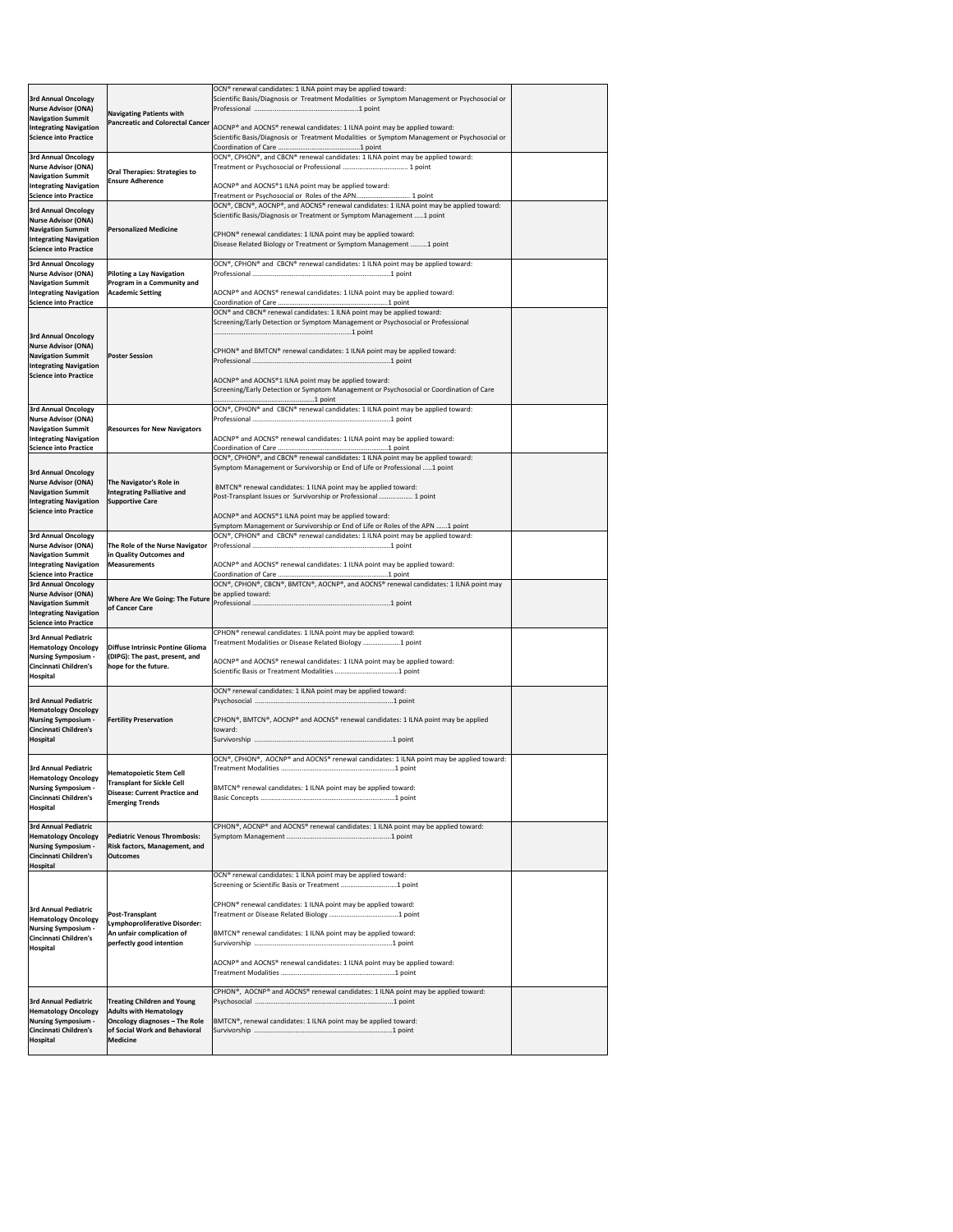| <b>3rd Annual Oncology</b><br><b>Nurse Advisor (ONA)</b>                                 |                                                                                   | OCN <sup>®</sup> renewal candidates: 1 ILNA point may be applied toward:<br>Scientific Basis/Diagnosis or Treatment Modalities or Symptom Management or Psychosocial or  |  |
|------------------------------------------------------------------------------------------|-----------------------------------------------------------------------------------|--------------------------------------------------------------------------------------------------------------------------------------------------------------------------|--|
| <b>Navigation Summit</b>                                                                 | <b>Navigating Patients with</b><br><b>Pancreatic and Colorectal Cancer</b>        |                                                                                                                                                                          |  |
| <b>Integrating Navigation</b><br><b>Science into Practice</b>                            |                                                                                   | AOCNP® and AOCNS® renewal candidates: 1 ILNA point may be applied toward:<br>Scientific Basis/Diagnosis or Treatment Modalities or Symptom Management or Psychosocial or |  |
| <b>3rd Annual Oncology</b>                                                               |                                                                                   | OCN®, CPHON®, and CBCN® renewal candidates: 1 ILNA point may be applied toward:                                                                                          |  |
| <b>Nurse Advisor (ONA)</b><br><b>Navigation Summit</b>                                   | <b>Oral Therapies: Strategies to</b><br><b>Ensure Adherence</b>                   |                                                                                                                                                                          |  |
| <b>Integrating Navigation</b><br><b>Science into Practice</b>                            |                                                                                   | AOCNP® and AOCNS®1 ILNA point may be applied toward:<br>Treatment or Psychosocial or Roles of the APN 1 point                                                            |  |
| <b>3rd Annual Oncology</b>                                                               |                                                                                   | OCN®, CBCN®, AOCNP®, and AOCNS® renewal candidates: 1 ILNA point may be applied toward:<br>Scientific Basis/Diagnosis or Treatment or Symptom Management 1 point         |  |
| <b>Nurse Advisor (ONA)</b><br><b>Navigation Summit</b>                                   | <b>Personalized Medicine</b>                                                      | CPHON <sup>®</sup> renewal candidates: 1 ILNA point may be applied toward:                                                                                               |  |
| <b>Integrating Navigation</b><br>Science into Practice                                   |                                                                                   | Disease Related Biology or Treatment or Symptom Management 1 point                                                                                                       |  |
| <b>3rd Annual Oncology</b><br><b>Nurse Advisor (ONA)</b>                                 | <b>Piloting a Lay Navigation</b>                                                  | OCN®, CPHON® and CBCN® renewal candidates: 1 ILNA point may be applied toward:                                                                                           |  |
| <b>Navigation Summit</b><br><b>Integrating Navigation</b>                                | <b>Program in a Community and</b><br><b>Academic Setting</b>                      | AOCNP® and AOCNS® renewal candidates: 1 ILNA point may be applied toward:                                                                                                |  |
| <b>Science into Practice</b>                                                             |                                                                                   | OCN <sup>®</sup> and CBCN <sup>®</sup> renewal candidates: 1 ILNA point may be applied toward:                                                                           |  |
|                                                                                          |                                                                                   | Screening/Early Detection or Symptom Management or Psychosocial or Professional                                                                                          |  |
| <b>3rd Annual Oncology</b><br><b>Nurse Advisor (ONA)</b>                                 |                                                                                   |                                                                                                                                                                          |  |
| <b>Navigation Summit</b><br><b>Integrating Navigation</b>                                | <b>Poster Session</b>                                                             | CPHON <sup>®</sup> and BMTCN <sup>®</sup> renewal candidates: 1 ILNA point may be applied toward:                                                                        |  |
| Science into Practice                                                                    |                                                                                   | AOCNP <sup>®</sup> and AOCNS <sup>®</sup> 1 ILNA point may be applied toward:                                                                                            |  |
|                                                                                          |                                                                                   | Screening/Early Detection or Symptom Management or Psychosocial or Coordination of Care                                                                                  |  |
| <b>3rd Annual Oncology</b><br>Nurse Advisor (ONA)                                        |                                                                                   | OCN®, CPHON® and CBCN® renewal candidates: 1 ILNA point may be applied toward:                                                                                           |  |
| <b>Navigation Summit</b><br><b>Integrating Navigation</b>                                | <b>Resources for New Navigators</b>                                               | AOCNP <sup>®</sup> and AOCNS <sup>®</sup> renewal candidates: 1 ILNA point may be applied toward:                                                                        |  |
| <b>Science into Practice</b>                                                             |                                                                                   | OCN®, CPHON®, and CBCN® renewal candidates: 1 ILNA point may be applied toward:                                                                                          |  |
| <b>3rd Annual Oncology</b>                                                               |                                                                                   | Symptom Management or Survivorship or End of Life or Professional 1 point                                                                                                |  |
| Nurse Advisor (ONA)<br><b>Navigation Summit</b>                                          | The Navigator's Role in<br>Integrating Palliative and                             | BMTCN® renewal candidates: 1 ILNA point may be applied toward:<br>Post-Transplant Issues or Survivorship or Professional  1 point                                        |  |
| <b>Integrating Navigation</b><br><b>Science into Practice</b>                            | <b>Supportive Care</b>                                                            | AOCNP <sup>®</sup> and AOCNS <sup>®</sup> 1 ILNA point may be applied toward:                                                                                            |  |
| <b>3rd Annual Oncology</b>                                                               |                                                                                   | Symptom Management or Survivorship or End of Life or Roles of the APN 1 point<br>OCN®, CPHON® and CBCN® renewal candidates: 1 ILNA point may be applied toward:          |  |
| Nurse Advisor (ONA)<br><b>Navigation Summit</b>                                          | The Role of the Nurse Navigator<br>in Quality Outcomes and                        |                                                                                                                                                                          |  |
| <b>Integrating Navigation</b>                                                            | <b>Measurements</b>                                                               | AOCNP® and AOCNS® renewal candidates: 1 ILNA point may be applied toward:                                                                                                |  |
|                                                                                          |                                                                                   |                                                                                                                                                                          |  |
| <b>Science into Practice</b><br><b>3rd Annual Oncology</b>                               |                                                                                   | OCN®, CPHON®, CBCN®, BMTCN®, AOCNP®, and AOCNS® renewal candidates: 1 ILNA point may                                                                                     |  |
| Nurse Advisor (ONA)<br><b>Navigation Summit</b>                                          | <b>Where Are We Going: The Future</b><br>of Cancer Care                           | be applied toward:                                                                                                                                                       |  |
| <b>Integrating Navigation</b><br><b>Science into Practice</b>                            |                                                                                   |                                                                                                                                                                          |  |
| <b>3rd Annual Pediatric</b><br><b>Hematology Oncology</b>                                | Diffuse Intrinsic Pontine Glioma                                                  | CPHON <sup>®</sup> renewal candidates: 1 ILNA point may be applied toward:<br>Treatment Modalities or Disease Related Biology 1 point                                    |  |
| <b>Nursing Symposium -</b><br>Cincinnati Children's                                      | (DIPG): The past, present, and<br>hope for the future.                            | AOCNP® and AOCNS® renewal candidates: 1 ILNA point may be applied toward:                                                                                                |  |
| Hospital                                                                                 |                                                                                   |                                                                                                                                                                          |  |
| <b>3rd Annual Pediatric</b>                                                              |                                                                                   | OCN <sup>®</sup> renewal candidates: 1 ILNA point may be applied toward:                                                                                                 |  |
| <b>Hematology Oncology</b><br><b>Nursing Symposium</b>                                   | <b>Fertility Preservation</b>                                                     | CPHON®, BMTCN®, AOCNP® and AOCNS® renewal candidates: 1 ILNA point may be applied                                                                                        |  |
| Cincinnati Children's<br>Hospital                                                        |                                                                                   | Itoward:                                                                                                                                                                 |  |
|                                                                                          |                                                                                   | OCN®, CPHON®, AOCNP® and AOCNS® renewal candidates: 1 ILNA point may be applied toward:                                                                                  |  |
| <b>3rd Annual Pediatric</b><br><b>Hematology Oncology</b>                                | <b>Hematopoietic Stem Cell</b><br><b>Transplant for Sickle Cell</b>               |                                                                                                                                                                          |  |
| <b>Nursing Symposium -</b><br><b>Cincinnati Children's</b>                               | Disease: Current Practice and<br><b>Emerging Trends</b>                           | BMTCN® renewal candidates: 1 ILNA point may be applied toward:                                                                                                           |  |
| Hospital                                                                                 |                                                                                   |                                                                                                                                                                          |  |
| <b>3rd Annual Pediatric</b><br><b>Hematology Oncology</b>                                | <b>Pediatric Venous Thrombosis:</b>                                               | CPHON®, AOCNP® and AOCNS® renewal candidates: 1 ILNA point may be applied toward:                                                                                        |  |
| <b>Nursing Symposium -</b><br><b>Cincinnati Children's</b>                               | <b>Risk factors, Management, and</b><br><b>Outcomes</b>                           |                                                                                                                                                                          |  |
| Hospital                                                                                 |                                                                                   | OCN <sup>®</sup> renewal candidates: 1 ILNA point may be applied toward:                                                                                                 |  |
|                                                                                          |                                                                                   | Screening or Scientific Basis or Treatment 1 point                                                                                                                       |  |
| <b>3rd Annual Pediatric</b>                                                              | <b>Post-Transplant</b>                                                            | CPHON <sup>®</sup> renewal candidates: 1 ILNA point may be applied toward:                                                                                               |  |
| <b>Hematology Oncology</b><br><b>Nursing Symposium -</b><br><b>Cincinnati Children's</b> | <b>Lymphoproliferative Disorder:</b><br>An unfair complication of                 | BMTCN <sup>®</sup> renewal candidates: 1 ILNA point may be applied toward:                                                                                               |  |
| Hospital                                                                                 | perfectly good intention                                                          |                                                                                                                                                                          |  |
|                                                                                          |                                                                                   | AOCNP <sup>®</sup> and AOCNS <sup>®</sup> renewal candidates: 1 ILNA point may be applied toward:                                                                        |  |
|                                                                                          |                                                                                   | CPHON®, AOCNP® and AOCNS® renewal candidates: 1 ILNA point may be applied toward:                                                                                        |  |
| 3rd Annual Pediatric<br><b>Hematology Oncology</b>                                       | <b>Treating Children and Young</b><br><b>Adults with Hematology</b>               |                                                                                                                                                                          |  |
| <b>Nursing Symposium</b><br>Cincinnati Children's<br>Hospital                            | Oncology diagnoses - The Role<br>of Social Work and Behavioral<br><b>Medicine</b> | BMTCN®, renewal candidates: 1 ILNA point may be applied toward:                                                                                                          |  |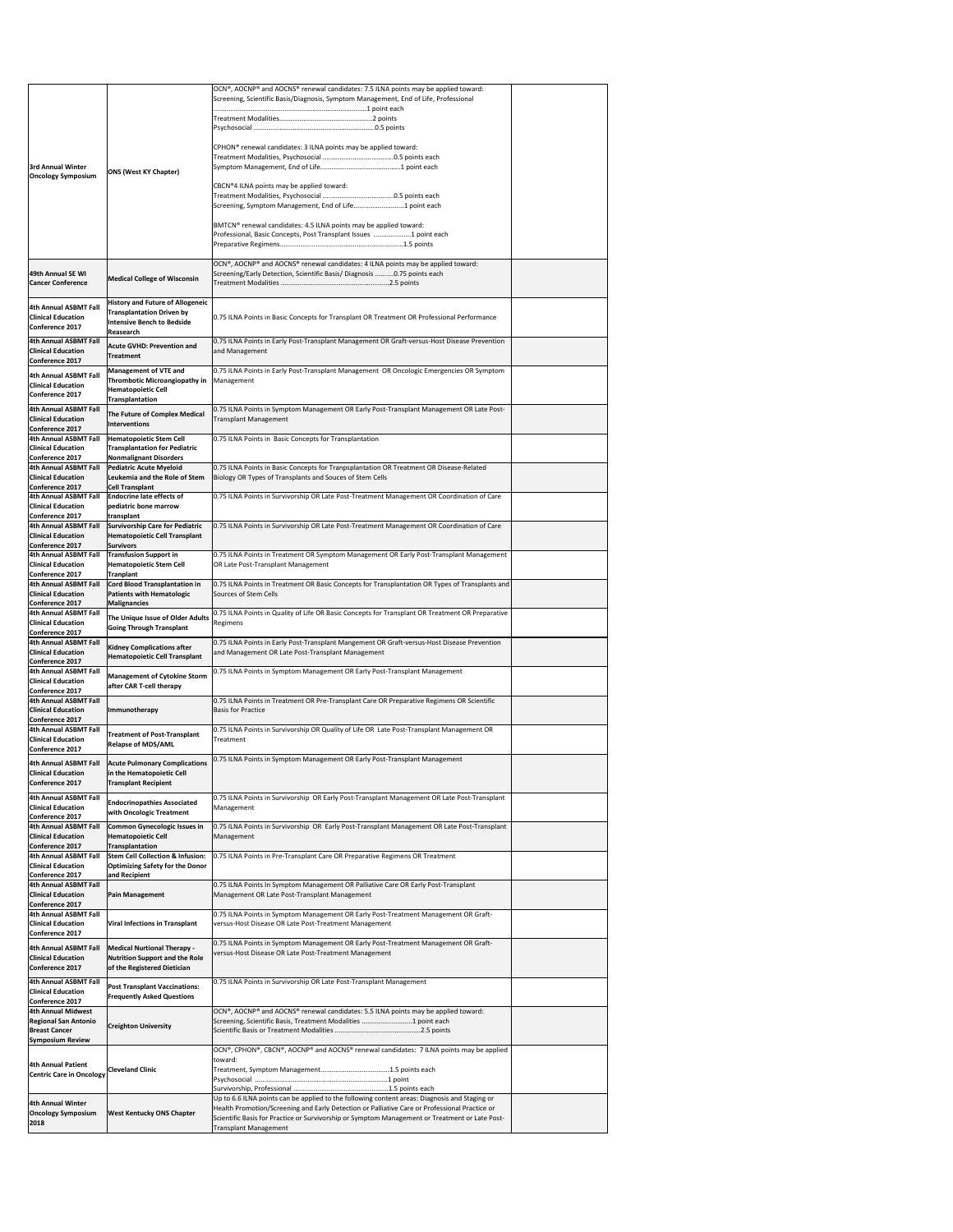|                                                                                                             |                                                                                                                               | OCN®, AOCNP® and AOCNS® renewal candidates: 7.5 ILNA points may be applied toward:<br>Screening, Scientific Basis/Diagnosis, Symptom Management, End of Life, Professional |  |
|-------------------------------------------------------------------------------------------------------------|-------------------------------------------------------------------------------------------------------------------------------|----------------------------------------------------------------------------------------------------------------------------------------------------------------------------|--|
|                                                                                                             |                                                                                                                               |                                                                                                                                                                            |  |
|                                                                                                             |                                                                                                                               | CPHON <sup>®</sup> renewal candidates: 3 ILNA points may be applied toward:                                                                                                |  |
| <b>3rd Annual Winter</b><br><b>Oncology Symposium</b>                                                       | <b>ONS (West KY Chapter)</b>                                                                                                  |                                                                                                                                                                            |  |
|                                                                                                             |                                                                                                                               | CBCN®4 ILNA points may be applied toward:<br>Screening, Symptom Management, End of Life1 point each                                                                        |  |
|                                                                                                             |                                                                                                                               | BMTCN® renewal candidates: 4.5 ILNA points may be applied toward:<br>Professional, Basic Concepts, Post Transplant Issues 1 point each                                     |  |
| 49th Annual SE WI<br><b>Cancer Conference</b>                                                               | <b>Medical College of Wisconsin</b>                                                                                           | OCN®, AOCNP® and AOCNS® renewal candidates: 4 ILNA points may be applied toward:<br>Screening/Early Detection, Scientific Basis/ Diagnosis 0.75 points each                |  |
| 4th Annual ASBMT Fall<br><b>Clinical Education</b><br><b>Conference 2017</b>                                | <b>History and Future of Allogeneic</b><br><b>Transplantation Driven by</b><br><b>Intensive Bench to Bedside</b><br>Reasearch | 0.75 ILNA Points in Basic Concepts for Transplant OR Treatment OR Professional Performance                                                                                 |  |
| <b>4th Annual ASBMT Fall</b><br><b>Clinical Education</b><br><b>Conference 2017</b>                         | <b>Acute GVHD: Prevention and</b><br>Treatment                                                                                | 0.75 ILNA Points in Early Post-Transplant Management OR Graft-versus-Host Disease Prevention<br>and Management                                                             |  |
| <b>4th Annual ASBMT Fall</b><br><b>Clinical Education</b><br><b>Conference 2017</b>                         | <b>Management of VTE and</b><br>Thrombotic Microangiopathy in<br><b>Hematopoietic Cell</b>                                    | 0.75 ILNA Points in Early Post-Transplant Management OR Oncologic Emergencies OR Symptom<br>Management                                                                     |  |
| <b>4th Annual ASBMT Fall</b><br><b>Clinical Education</b>                                                   | Transplantation<br>The Future of Complex Medical                                                                              | 0.75 ILNA Points in Symptom Management OR Early Post-Transplant Management OR Late Post-<br><b>Transplant Management</b>                                                   |  |
| <b>Conference 2017</b><br><b>4th Annual ASBMT Fall</b>                                                      | Interventions<br><b>Hematopoietic Stem Cell</b>                                                                               | 0.75 ILNA Points in Basic Concepts for Transplantation                                                                                                                     |  |
| <b>Clinical Education</b><br><b>Conference 2017</b><br>4th Annual ASBMT Fall                                | <b>Transplantation for Pediatric</b><br><b>Nonmalignant Disorders</b><br><b>Pediatric Acute Myeloid</b>                       | 0.75 ILNA Points in Basic Concepts for Tranpsplantation OR Treatment OR Disease-Related                                                                                    |  |
| <b>Clinical Education</b><br>Conference 2017<br>4th Annual ASBMT Fall                                       | Leukemia and the Role of Stem<br><b>Cell Transplant</b><br><b>Endocrine late effects of</b>                                   | Biology OR Types of Transplants and Souces of Stem Cells<br>0.75 ILNA Points in Survivorship OR Late Post-Treatment Management OR Coordination of Care                     |  |
| <b>Clinical Education</b><br>Conference 2017                                                                | pediatric bone marrow<br>transplant                                                                                           |                                                                                                                                                                            |  |
| 4th Annual ASBMT Fall<br><b>Clinical Education</b><br><b>Conference 2017</b>                                | <b>Survivorship Care for Pediatric</b><br>Hematopoietic Cell Transplant<br><b>Survivors</b>                                   | 0.75 ILNA Points in Survivorship OR Late Post-Treatment Management OR Coordination of Care                                                                                 |  |
| <b>4th Annual ASBMT Fall</b><br><b>Clinical Education</b><br><b>Conference 2017</b>                         | <b>Transfusion Support in</b><br><b>Hematopoietic Stem Cell</b><br><b>Tranplant</b>                                           | 0.75 ILNA Points in Treatment OR Symptom Management OR Early Post-Transplant Management<br>OR Late Post-Transplant Management                                              |  |
| <b>4th Annual ASBMT Fall</b><br><b>Clinical Education</b><br><b>Conference 2017</b>                         | <b>Cord Blood Transplantation in</b><br><b>Patients with Hematologic</b><br>Malignancies                                      | 0.75 ILNA Points in Treatment OR Basic Concepts for Transplantation OR Types of Transplants and<br>Sources of Stem Cells                                                   |  |
|                                                                                                             |                                                                                                                               | 0.75 ILNA Points in Quality of Life OR Basic Concepts for Transplant OR Treatment OR Preparative                                                                           |  |
| 4th Annual ASBMT Fall<br><b>Clinical Education</b><br><b>Conference 2017</b>                                | The Unique Issue of Older Adults<br><b>Going Through Transplant</b>                                                           | Regimens                                                                                                                                                                   |  |
| 4th Annual ASBMT Fall<br><b>Clinical Education</b>                                                          | <b>Kidney Complications after</b><br>Hematopoietic Cell Transplant                                                            | 0.75 ILNA Points in Early Post-Transplant Mangement OR Graft-versus-Host Disease Prevention<br>and Management OR Late Post-Transplant Management                           |  |
| <b>Conference 2017</b><br><b>4th Annual ASBMT Fall</b><br><b>Clinical Education</b>                         | <b>Management of Cytokine Storm</b><br>after CAR T-cell therapy                                                               | 0.75 ILNA Points in Symptom Management OR Early Post-Transplant Management                                                                                                 |  |
| <b>Conference 2017</b><br>4th Annual ASBMT Fall<br><b>Clinical Education</b>                                | Immunotherapy                                                                                                                 | 0.75 ILNA Points in Treatment OR Pre-Transplant Care OR Preparative Regimens OR Scientific<br><b>Basis for Practice</b>                                                    |  |
| <b>Conference 2017</b><br><b>4th Annual ASBMT Fall</b><br><b>Clinical Education</b>                         | <b>Treatment of Post-Transplant</b>                                                                                           | 0.75 ILNA Points in Survivorship OR Quality of Life OR Late Post-Transplant Management OR<br>Treatment                                                                     |  |
| <b>Conference 2017</b><br><b>4th Annual ASBMT Fall</b><br><b>Clinical Education</b>                         | <b>Relapse of MDS/AML</b><br><b>Acute Pulmonary Complications</b><br>in the Hematopoietic Cell                                | 0.75 ILNA Points in Symptom Management OR Early Post-Transplant Management                                                                                                 |  |
| Conference 2017<br><b>4th Annual ASBMT Fall</b><br><b>Clinical Education</b>                                | <b>Transplant Recipient</b><br><b>Endocrinopathies Associated</b>                                                             | 0.75 ILNA Points in Survivorship OR Early Post-Transplant Management OR Late Post-Transplant<br>Management                                                                 |  |
| <b>Conference 2017</b><br>4th Annual ASBMT Fall<br><b>Clinical Education</b>                                | with Oncologic Treatment<br><b>Common Gynecologic Issues in</b><br><b>Hematopoietic Cell</b>                                  | 0.75 ILNA Points in Survivorship OR Early Post-Transplant Management OR Late Post-Transplant<br>Management                                                                 |  |
| Conference 2017<br>4th Annual ASBMT Fall                                                                    | Transplantation<br><b>Stem Cell Collection &amp; Infusion:</b>                                                                | 0.75 ILNA Points in Pre-Transplant Care OR Preparative Regimens OR Treatment                                                                                               |  |
| <b>Clinical Education</b><br>Conference 2017<br>4th Annual ASBMT Fall<br><b>Clinical Education</b>          | <b>Optimizing Safety for the Donor</b><br>and Recipient<br><b>Pain Management</b>                                             | 0.75 ILNA Points In Symptom Management OR Palliative Care OR Early Post-Transplant<br>Management OR Late Post-Transplant Management                                        |  |
| <b>Conference 2017</b><br><b>4th Annual ASBMT Fall</b>                                                      |                                                                                                                               | 0.75 ILNA Points in Symptom Management OR Early Post-Treatment Management OR Graft-                                                                                        |  |
| <b>Clinical Education</b><br><b>Conference 2017</b>                                                         | <b>Viral Infections in Transplant</b>                                                                                         | versus-Host Disease OR Late Post-Treatment Management<br>0.75 ILNA Points in Symptom Management OR Early Post-Treatment Management OR Graft-                               |  |
| <b>4th Annual ASBMT Fall</b><br><b>Clinical Education</b><br>Conference 2017                                | <b>Medical Nurtional Therapy -</b><br><b>Nutrition Support and the Role</b><br>of the Registered Dietician                    | versus-Host Disease OR Late Post-Treatment Management                                                                                                                      |  |
| 4th Annual ASBMT Fall<br><b>Clinical Education</b><br>Conference 2017                                       | <b>Post Transplant Vaccinations:</b><br><b>Frequently Asked Questions</b>                                                     | 0.75 ILNA Points in Survivorship OR Late Post-Transplant Management                                                                                                        |  |
| <b>4th Annual Midwest</b><br><b>Regional San Antonio</b><br><b>Breast Cancer</b><br><b>Symposium Review</b> | <b>Creighton University</b>                                                                                                   | OCN®, AOCNP® and AOCNS® renewal candidates: 5.5 ILNA points may be applied toward:<br>Screening, Scientific Basis, Treatment Modalities 1 point each                       |  |
| <b>4th Annual Patient</b>                                                                                   |                                                                                                                               | OCN®, CPHON®, CBCN®, AOCNP® and AOCNS® renewal candidates: 7 ILNA points may be applied<br>toward:                                                                         |  |
| <b>Centric Care in Oncology</b>                                                                             | <b>Cleveland Clinic</b>                                                                                                       |                                                                                                                                                                            |  |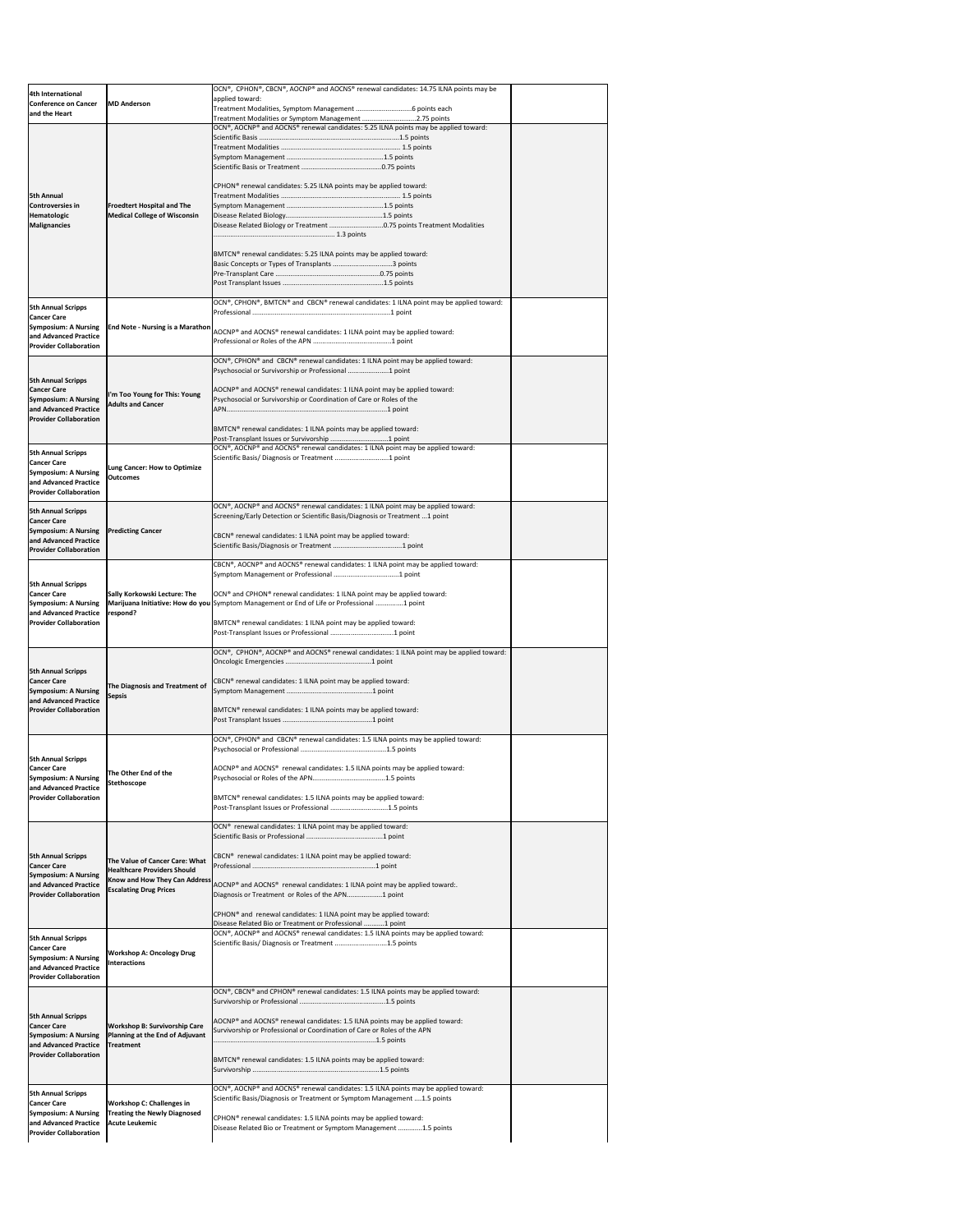| 4th International<br><b>Conference on Cancer</b><br>and the Heart                                                                        | <b>MD Anderson</b>                                                                                                                     | OCN®, CPHON®, CBCN®, AOCNP® and AOCNS® renewal candidates: 14.75 ILNA points may be<br>applied toward:                                                                                                                                                                                                                                                                                                                                 |  |
|------------------------------------------------------------------------------------------------------------------------------------------|----------------------------------------------------------------------------------------------------------------------------------------|----------------------------------------------------------------------------------------------------------------------------------------------------------------------------------------------------------------------------------------------------------------------------------------------------------------------------------------------------------------------------------------------------------------------------------------|--|
| <b>5th Annual</b><br> Controversies in<br>Hematologic<br>Malignancies                                                                    | <b>Froedtert Hospital and The</b><br><b>Medical College of Wisconsin</b>                                                               | Treatment Modalities or Symptom Management 2.75 points<br>OCN®, AOCNP® and AOCNS® renewal candidates: 5.25 ILNA points may be applied toward:<br>CPHON® renewal candidates: 5.25 ILNA points may be applied toward:<br>Disease Related Biology or Treatment 0.75 points Treatment Modalities<br>BMTCN® renewal candidates: 5.25 ILNA points may be applied toward:<br>Basic Concepts or Types of Transplants 3 points                  |  |
| <b>5th Annual Scripps</b><br><b>Cancer Care</b><br><b>Symposium: A Nursing</b><br>and Advanced Practice<br><b>Provider Collaboration</b> | <b>End Note - Nursing is a Marathon</b>                                                                                                | OCN®, CPHON®, BMTCN® and CBCN® renewal candidates: 1 ILNA point may be applied toward:<br>AOCNP® and AOCNS® renewal candidates: 1 ILNA point may be applied toward:                                                                                                                                                                                                                                                                    |  |
| <b>5th Annual Scripps</b><br><b>Cancer Care</b><br><b>Symposium: A Nursing</b><br>and Advanced Practice<br><b>Provider Collaboration</b> | I'm Too Young for This: Young<br><b>Adults and Cancer</b>                                                                              | OCN®, CPHON® and CBCN® renewal candidates: 1 ILNA point may be applied toward:<br>Psychosocial or Survivorship or Professional 1 point<br>AOCNP® and AOCNS® renewal candidates: 1 ILNA point may be applied toward:<br>Psychosocial or Survivorship or Coordination of Care or Roles of the<br>BMTCN <sup>®</sup> renewal candidates: 1 ILNA points may be applied toward:                                                             |  |
| <b>5th Annual Scripps</b><br><b>Cancer Care</b><br><b>Symposium: A Nursing</b><br>and Advanced Practice<br><b>Provider Collaboration</b> | Lung Cancer: How to Optimize<br><b>Outcomes</b>                                                                                        | OCN®, AOCNP® and AOCNS® renewal candidates: 1 ILNA point may be applied toward:<br>Scientific Basis/ Diagnosis or Treatment 1 point                                                                                                                                                                                                                                                                                                    |  |
| <b>5th Annual Scripps</b><br><b>Cancer Care</b><br><b>Symposium: A Nursing</b><br>and Advanced Practice<br><b>Provider Collaboration</b> | <b>Predicting Cancer</b>                                                                                                               | OCN®, AOCNP® and AOCNS® renewal candidates: 1 ILNA point may be applied toward:<br>Screening/Early Detection or Scientific Basis/Diagnosis or Treatment 1 point<br>CBCN <sup>®</sup> renewal candidates: 1 ILNA point may be applied toward:                                                                                                                                                                                           |  |
| <b>5th Annual Scripps</b><br><b>Cancer Care</b><br><b>Symposium: A Nursing</b><br>and Advanced Practice<br><b>Provider Collaboration</b> | <b>Sally Korkowski Lecture: The</b><br>respond?                                                                                        | CBCN®, AOCNP® and AOCNS® renewal candidates: 1 ILNA point may be applied toward:<br>OCN® and CPHON® renewal candidates: 1 ILNA point may be applied toward:<br>Marijuana Initiative: How do you Symptom Management or End of Life or Professional 1 point<br>BMTCN <sup>®</sup> renewal candidates: 1 ILNA point may be applied toward:                                                                                                |  |
| <b>5th Annual Scripps</b><br><b>Cancer Care</b><br><b>Symposium: A Nursing</b><br>and Advanced Practice<br><b>Provider Collaboration</b> | The Diagnosis and Treatment of<br>Sepsis                                                                                               | OCN®, CPHON®, AOCNP® and AOCNS® renewal candidates: 1 ILNA point may be applied toward:<br>CBCN <sup>®</sup> renewal candidates: 1 ILNA point may be applied toward:<br>BMTCN <sup>®</sup> renewal candidates: 1 ILNA points may be applied toward:                                                                                                                                                                                    |  |
| <b>5th Annual Scripps</b><br><b>Cancer Care</b><br><b>Symposium: A Nursing</b><br>and Advanced Practice<br><b>Provider Collaboration</b> | The Other End of the<br>Stethoscope                                                                                                    | OCN®, CPHON® and CBCN® renewal candidates: 1.5 ILNA points may be applied toward:<br>AOCNP® and AOCNS® renewal candidates: 1.5 ILNA points may be applied toward:<br>BMTCN® renewal candidates: 1.5 ILNA points may be applied toward:<br>Post-Transplant Issues or Professional 1.5 points                                                                                                                                            |  |
| <b>5th Annual Scripps</b><br><b>Cancer Care</b><br><b>Symposium: A Nursing</b><br>and Advanced Practice<br><b>Provider Collaboration</b> | The Value of Cancer Care: What<br><b>Healthcare Providers Should</b><br>Know and How They Can Address<br><b>Escalating Drug Prices</b> | OCN <sup>®</sup> renewal candidates: 1 ILNA point may be applied toward:<br>CBCN <sup>®</sup> renewal candidates: 1 ILNA point may be applied toward:<br>AOCNP® and AOCNS® renewal candidates: 1 ILNA point may be applied toward:.<br>Diagnosis or Treatment or Roles of the APN1 point<br>CPHON <sup>®</sup> and renewal candidates: 1 ILNA point may be applied toward:<br>Disease Related Bio or Treatment or Professional 1 point |  |
| <b>5th Annual Scripps</b><br><b>Cancer Care</b><br><b>Symposium: A Nursing</b><br>and Advanced Practice<br><b>Provider Collaboration</b> | <b>Workshop A: Oncology Drug</b><br><b>Interactions</b>                                                                                | OCN®, AOCNP® and AOCNS® renewal candidates: 1.5 ILNA points may be applied toward:<br>Scientific Basis/ Diagnosis or Treatment 1.5 points                                                                                                                                                                                                                                                                                              |  |
| <b>5th Annual Scripps</b><br><b>Cancer Care</b><br><b>Symposium: A Nursing</b><br>and Advanced Practice<br><b>Provider Collaboration</b> | <b>Workshop B: Survivorship Care</b><br>Planning at the End of Adjuvant<br><b>Treatment</b>                                            | OCN®, CBCN® and CPHON® renewal candidates: 1.5 ILNA points may be applied toward:<br>AOCNP® and AOCNS® renewal candidates: 1.5 ILNA points may be applied toward:<br>Survivorship or Professional or Coordination of Care or Roles of the APN<br>BMTCN <sup>®</sup> renewal candidates: 1.5 ILNA points may be applied toward:                                                                                                         |  |
| <b>5th Annual Scripps</b><br><b>Cancer Care</b><br><b>Symposium: A Nursing</b><br>and Advanced Practice<br><b>Provider Collaboration</b> | <b>Workshop C: Challenges in</b><br><b>Treating the Newly Diagnosed</b><br><b>Acute Leukemic</b>                                       | OCN®, AOCNP® and AOCNS® renewal candidates: 1.5 ILNA points may be applied toward:<br>Scientific Basis/Diagnosis or Treatment or Symptom Management 1.5 points<br>CPHON <sup>®</sup> renewal candidates: 1.5 ILNA points may be applied toward:<br>Disease Related Bio or Treatment or Symptom Management 1.5 points                                                                                                                   |  |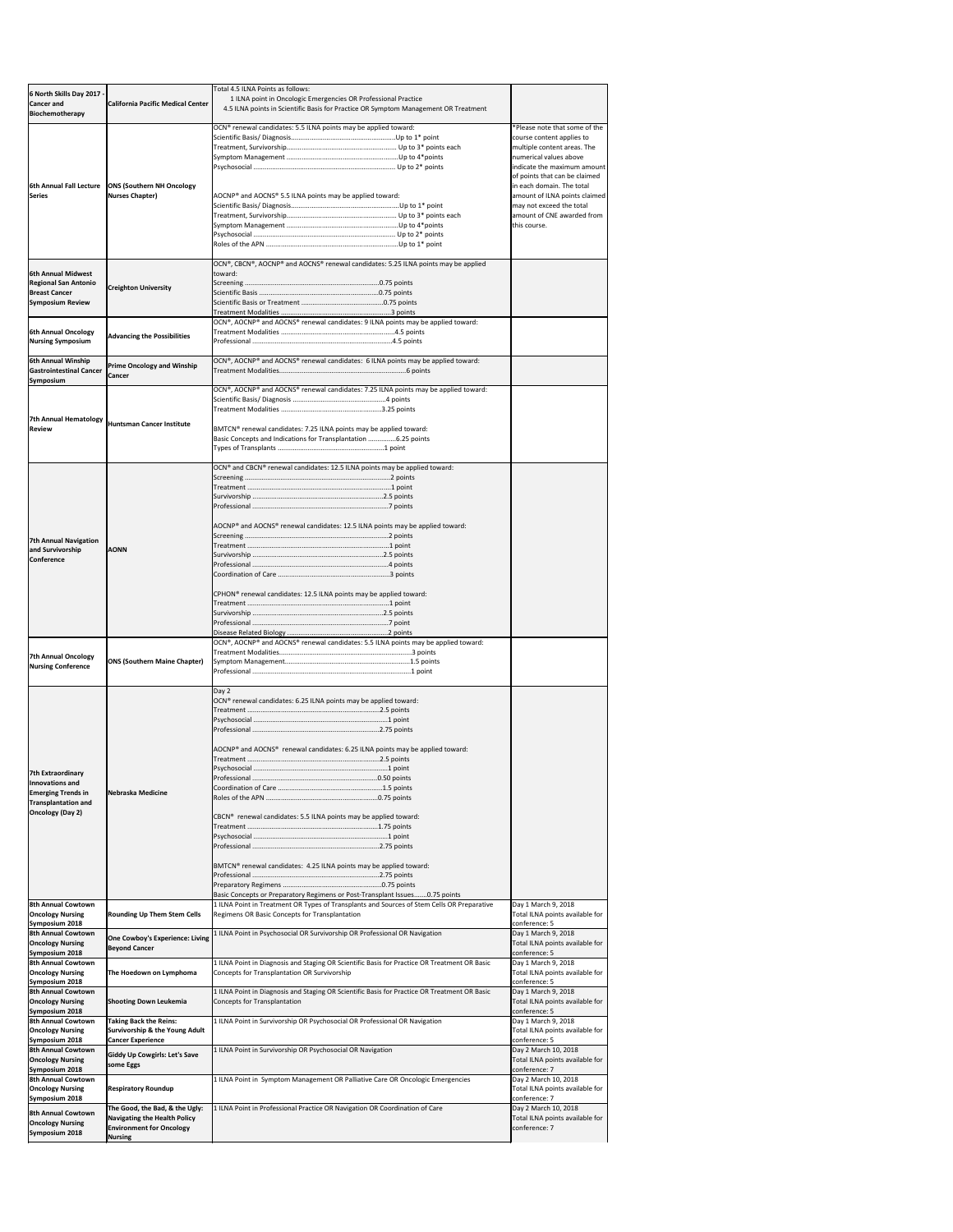| 6 North Skills Day 2017<br><b>Cancer and</b>                                                                                                                                                                                                                                                                    | <b>California Pacific Medical Center</b>                       | Total 4.5 ILNA Points as follows:<br>1 ILNA point in Oncologic Emergencies OR Professional Practice<br>4.5 ILNA points in Scientific Basis for Practice OR Symptom Management OR Treatment |                                                         |
|-----------------------------------------------------------------------------------------------------------------------------------------------------------------------------------------------------------------------------------------------------------------------------------------------------------------|----------------------------------------------------------------|--------------------------------------------------------------------------------------------------------------------------------------------------------------------------------------------|---------------------------------------------------------|
| Biochemotherapy                                                                                                                                                                                                                                                                                                 |                                                                | OCN® renewal candidates: 5.5 ILNA points may be applied toward:                                                                                                                            | *Please note that some of the                           |
|                                                                                                                                                                                                                                                                                                                 |                                                                |                                                                                                                                                                                            | course content applies to                               |
|                                                                                                                                                                                                                                                                                                                 |                                                                |                                                                                                                                                                                            | multiple content areas. The                             |
|                                                                                                                                                                                                                                                                                                                 |                                                                |                                                                                                                                                                                            | numerical values above<br>indicate the maximum amount   |
|                                                                                                                                                                                                                                                                                                                 |                                                                |                                                                                                                                                                                            | of points that can be claimed                           |
| 6th Annual Fall Lecture                                                                                                                                                                                                                                                                                         | <b>ONS (Southern NH Oncology</b>                               |                                                                                                                                                                                            | in each domain. The total                               |
| <b>Series</b>                                                                                                                                                                                                                                                                                                   | Nurses Chapter)                                                | AOCNP® and AOCNS® 5.5 ILNA points may be applied toward:                                                                                                                                   | amount of ILNA points claimed                           |
|                                                                                                                                                                                                                                                                                                                 |                                                                |                                                                                                                                                                                            | may not exceed the total                                |
|                                                                                                                                                                                                                                                                                                                 |                                                                |                                                                                                                                                                                            | amount of CNE awarded from                              |
|                                                                                                                                                                                                                                                                                                                 |                                                                |                                                                                                                                                                                            | this course.                                            |
|                                                                                                                                                                                                                                                                                                                 |                                                                |                                                                                                                                                                                            |                                                         |
|                                                                                                                                                                                                                                                                                                                 |                                                                |                                                                                                                                                                                            |                                                         |
|                                                                                                                                                                                                                                                                                                                 |                                                                | OCN®, CBCN®, AOCNP® and AOCNS® renewal candidates: 5.25 ILNA points may be applied                                                                                                         |                                                         |
| <b>6th Annual Midwest</b>                                                                                                                                                                                                                                                                                       |                                                                | Itoward:                                                                                                                                                                                   |                                                         |
| <b>Regional San Antonio</b><br><b>Breast Cancer</b>                                                                                                                                                                                                                                                             | <b>Creighton University</b>                                    |                                                                                                                                                                                            |                                                         |
| <b>Symposium Review</b>                                                                                                                                                                                                                                                                                         |                                                                |                                                                                                                                                                                            |                                                         |
|                                                                                                                                                                                                                                                                                                                 |                                                                |                                                                                                                                                                                            |                                                         |
|                                                                                                                                                                                                                                                                                                                 |                                                                | OCN®, AOCNP® and AOCNS® renewal candidates: 9 ILNA points may be applied toward:                                                                                                           |                                                         |
| <b>6th Annual Oncology</b>                                                                                                                                                                                                                                                                                      | <b>Advancing the Possibilities</b>                             |                                                                                                                                                                                            |                                                         |
| <b>Nursing Symposium</b>                                                                                                                                                                                                                                                                                        |                                                                |                                                                                                                                                                                            |                                                         |
| 6th Annual Winship                                                                                                                                                                                                                                                                                              |                                                                | OCN®, AOCNP® and AOCNS® renewal candidates: 6 ILNA points may be applied toward:                                                                                                           |                                                         |
| <b>Gastrointestinal Cancer</b>                                                                                                                                                                                                                                                                                  | <b>Prime Oncology and Winship</b>                              |                                                                                                                                                                                            |                                                         |
| <b>Symposium</b>                                                                                                                                                                                                                                                                                                | <b>Cancer</b>                                                  |                                                                                                                                                                                            |                                                         |
|                                                                                                                                                                                                                                                                                                                 |                                                                | OCN®, AOCNP® and AOCNS® renewal candidates: 7.25 ILNA points may be applied toward:                                                                                                        |                                                         |
|                                                                                                                                                                                                                                                                                                                 |                                                                |                                                                                                                                                                                            |                                                         |
| 7th Annual Hematology                                                                                                                                                                                                                                                                                           |                                                                |                                                                                                                                                                                            |                                                         |
| <b>Review</b>                                                                                                                                                                                                                                                                                                   | Huntsman Cancer Institute                                      | BMTCN® renewal candidates: 7.25 ILNA points may be applied toward:                                                                                                                         |                                                         |
|                                                                                                                                                                                                                                                                                                                 |                                                                | Basic Concepts and Indications for Transplantation 6.25 points                                                                                                                             |                                                         |
|                                                                                                                                                                                                                                                                                                                 |                                                                |                                                                                                                                                                                            |                                                         |
|                                                                                                                                                                                                                                                                                                                 |                                                                | OCN® and CBCN® renewal candidates: 12.5 ILNA points may be applied toward:                                                                                                                 |                                                         |
|                                                                                                                                                                                                                                                                                                                 |                                                                |                                                                                                                                                                                            |                                                         |
|                                                                                                                                                                                                                                                                                                                 |                                                                |                                                                                                                                                                                            |                                                         |
|                                                                                                                                                                                                                                                                                                                 |                                                                |                                                                                                                                                                                            |                                                         |
|                                                                                                                                                                                                                                                                                                                 |                                                                |                                                                                                                                                                                            |                                                         |
|                                                                                                                                                                                                                                                                                                                 |                                                                | AOCNP® and AOCNS® renewal candidates: 12.5 ILNA points may be applied toward:                                                                                                              |                                                         |
|                                                                                                                                                                                                                                                                                                                 |                                                                |                                                                                                                                                                                            |                                                         |
| <b>7th Annual Navigation</b>                                                                                                                                                                                                                                                                                    |                                                                |                                                                                                                                                                                            |                                                         |
| and Survivorship<br><b>Conference</b>                                                                                                                                                                                                                                                                           | <b>AONN</b>                                                    |                                                                                                                                                                                            |                                                         |
|                                                                                                                                                                                                                                                                                                                 |                                                                |                                                                                                                                                                                            |                                                         |
|                                                                                                                                                                                                                                                                                                                 |                                                                |                                                                                                                                                                                            |                                                         |
|                                                                                                                                                                                                                                                                                                                 |                                                                | CPHON <sup>®</sup> renewal candidates: 12.5 ILNA points may be applied toward:                                                                                                             |                                                         |
|                                                                                                                                                                                                                                                                                                                 |                                                                |                                                                                                                                                                                            |                                                         |
|                                                                                                                                                                                                                                                                                                                 |                                                                |                                                                                                                                                                                            |                                                         |
|                                                                                                                                                                                                                                                                                                                 |                                                                |                                                                                                                                                                                            |                                                         |
|                                                                                                                                                                                                                                                                                                                 |                                                                | OCN®, AOCNP® and AOCNS® renewal candidates: 5.5 ILNA points may be applied toward:                                                                                                         |                                                         |
|                                                                                                                                                                                                                                                                                                                 |                                                                |                                                                                                                                                                                            |                                                         |
|                                                                                                                                                                                                                                                                                                                 |                                                                |                                                                                                                                                                                            |                                                         |
|                                                                                                                                                                                                                                                                                                                 | <b>ONS (Southern Maine Chapter)</b>                            |                                                                                                                                                                                            |                                                         |
|                                                                                                                                                                                                                                                                                                                 |                                                                |                                                                                                                                                                                            |                                                         |
| <b>7th Annual Oncology</b><br><b>Nursing Conference</b>                                                                                                                                                                                                                                                         |                                                                |                                                                                                                                                                                            |                                                         |
|                                                                                                                                                                                                                                                                                                                 |                                                                | Day 2                                                                                                                                                                                      |                                                         |
|                                                                                                                                                                                                                                                                                                                 |                                                                | OCN® renewal candidates: 6.25 ILNA points may be applied toward:                                                                                                                           |                                                         |
|                                                                                                                                                                                                                                                                                                                 |                                                                |                                                                                                                                                                                            |                                                         |
|                                                                                                                                                                                                                                                                                                                 |                                                                |                                                                                                                                                                                            |                                                         |
|                                                                                                                                                                                                                                                                                                                 |                                                                |                                                                                                                                                                                            |                                                         |
|                                                                                                                                                                                                                                                                                                                 |                                                                | AOCNP® and AOCNS® renewal candidates: 6.25 ILNA points may be applied toward:                                                                                                              |                                                         |
|                                                                                                                                                                                                                                                                                                                 |                                                                |                                                                                                                                                                                            |                                                         |
|                                                                                                                                                                                                                                                                                                                 |                                                                |                                                                                                                                                                                            |                                                         |
| <b>Innovations and</b>                                                                                                                                                                                                                                                                                          | Nebraska Medicine                                              |                                                                                                                                                                                            |                                                         |
| 7th Extraordinary<br><b>Emerging Trends in</b><br><b>Transplantation and</b>                                                                                                                                                                                                                                    |                                                                |                                                                                                                                                                                            |                                                         |
| <b>Oncology (Day 2)</b>                                                                                                                                                                                                                                                                                         |                                                                |                                                                                                                                                                                            |                                                         |
|                                                                                                                                                                                                                                                                                                                 |                                                                | CBCN <sup>®</sup> renewal candidates: 5.5 ILNA points may be applied toward:                                                                                                               |                                                         |
|                                                                                                                                                                                                                                                                                                                 |                                                                |                                                                                                                                                                                            |                                                         |
|                                                                                                                                                                                                                                                                                                                 |                                                                |                                                                                                                                                                                            |                                                         |
|                                                                                                                                                                                                                                                                                                                 |                                                                |                                                                                                                                                                                            |                                                         |
|                                                                                                                                                                                                                                                                                                                 |                                                                | BMTCN® renewal candidates: 4.25 ILNA points may be applied toward:                                                                                                                         |                                                         |
|                                                                                                                                                                                                                                                                                                                 |                                                                |                                                                                                                                                                                            |                                                         |
|                                                                                                                                                                                                                                                                                                                 |                                                                | Basic Concepts or Preparatory Regimens or Post-Transplant Issues0.75 points                                                                                                                |                                                         |
| <b>8th Annual Cowtown</b>                                                                                                                                                                                                                                                                                       |                                                                | 1 ILNA Point in Treatment OR Types of Transplants and Sources of Stem Cells OR Preparative                                                                                                 | Day 1 March 9, 2018                                     |
| <b>Oncology Nursing</b>                                                                                                                                                                                                                                                                                         | <b>Rounding Up Them Stem Cells</b>                             | Regimens OR Basic Concepts for Transplantation                                                                                                                                             | Total ILNA points available for                         |
| Symposium 2018<br><b>8th Annual Cowtown</b>                                                                                                                                                                                                                                                                     |                                                                | 1 ILNA Point in Psychosocial OR Survivorship OR Professional OR Navigation                                                                                                                 | conference: 5                                           |
| <b>Oncology Nursing</b>                                                                                                                                                                                                                                                                                         | One Cowboy's Experience: Living                                |                                                                                                                                                                                            | Day 1 March 9, 2018<br>Total ILNA points available for  |
|                                                                                                                                                                                                                                                                                                                 | <b>Beyond Cancer</b>                                           |                                                                                                                                                                                            | conference: 5                                           |
|                                                                                                                                                                                                                                                                                                                 |                                                                | 1 ILNA Point in Diagnosis and Staging OR Scientific Basis for Practice OR Treatment OR Basic                                                                                               | Day 1 March 9, 2018                                     |
|                                                                                                                                                                                                                                                                                                                 | The Hoedown on Lymphoma                                        | <b>Concepts for Transplantation OR Survivorship</b>                                                                                                                                        | Total ILNA points available for                         |
|                                                                                                                                                                                                                                                                                                                 |                                                                | 1 ILNA Point in Diagnosis and Staging OR Scientific Basis for Practice OR Treatment OR Basic                                                                                               | conference: 5<br>Day 1 March 9, 2018                    |
|                                                                                                                                                                                                                                                                                                                 | <b>Shooting Down Leukemia</b>                                  | Concepts for Transplantation                                                                                                                                                               | Total ILNA points available for                         |
|                                                                                                                                                                                                                                                                                                                 |                                                                |                                                                                                                                                                                            | conference: 5                                           |
|                                                                                                                                                                                                                                                                                                                 | <b>Taking Back the Reins:</b>                                  | 1 ILNA Point in Survivorship OR Psychosocial OR Professional OR Navigation                                                                                                                 | Day 1 March 9, 2018                                     |
|                                                                                                                                                                                                                                                                                                                 | <b>Survivorship &amp; the Young Adult</b>                      |                                                                                                                                                                                            | Total ILNA points available for                         |
| Symposium 2018                                                                                                                                                                                                                                                                                                  | <b>Cancer Experience</b>                                       | 1 ILNA Point in Survivorship OR Psychosocial OR Navigation                                                                                                                                 | conference: 5<br>Day 2 March 10, 2018                   |
| <b>Oncology Nursing</b>                                                                                                                                                                                                                                                                                         | <b>Giddy Up Cowgirls: Let's Save</b>                           |                                                                                                                                                                                            | Total ILNA points available for                         |
| Symposium 2018                                                                                                                                                                                                                                                                                                  | some Eggs                                                      |                                                                                                                                                                                            | conference: 7                                           |
|                                                                                                                                                                                                                                                                                                                 |                                                                | 1 ILNA Point in Symptom Management OR Palliative Care OR Oncologic Emergencies                                                                                                             | Day 2 March 10, 2018                                    |
| Symposium 2018<br><b>8th Annual Cowtown</b><br><b>Oncology Nursing</b><br>Symposium 2018<br><b>8th Annual Cowtown</b><br><b>Oncology Nursing</b><br>Symposium 2018<br><b>8th Annual Cowtown</b><br><b>Oncology Nursing</b><br><b>8th Annual Cowtown</b><br><b>8th Annual Cowtown</b><br><b>Oncology Nursing</b> | <b>Respiratory Roundup</b>                                     |                                                                                                                                                                                            | Total ILNA points available for                         |
| Symposium 2018                                                                                                                                                                                                                                                                                                  |                                                                |                                                                                                                                                                                            | conference: 7                                           |
| <b>8th Annual Cowtown</b>                                                                                                                                                                                                                                                                                       | The Good, the Bad, & the Ugly:<br>Navigating the Health Policy | 1 ILNA Point in Professional Practice OR Navigation OR Coordination of Care                                                                                                                | Day 2 March 10, 2018<br>Total ILNA points available for |
| <b>Oncology Nursing</b><br>Symposium 2018                                                                                                                                                                                                                                                                       | <b>Environment for Oncology</b><br><b>Nursing</b>              |                                                                                                                                                                                            | conference: 7                                           |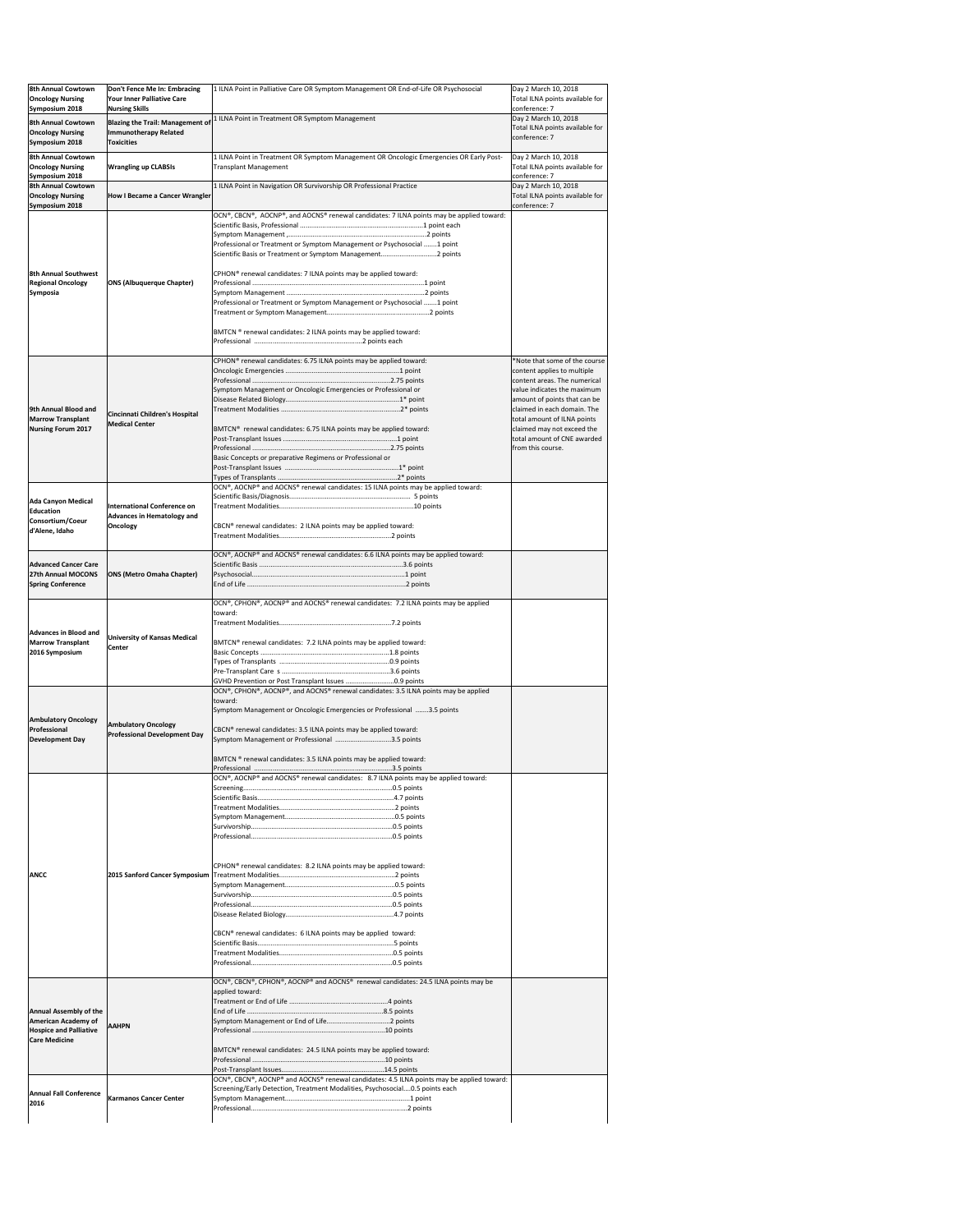| <b>8th Annual Cowtown</b><br><b>Oncology Nursing</b><br>Symposium 2018                                               | Don't Fence Me In: Embracing<br><b>Your Inner Palliative Care</b><br><b>Nursing Skills</b>   | 1 ILNA Point in Palliative Care OR Symptom Management OR End-of-Life OR Psychosocial                                                                                                                                                                                                                                                                                                              | Day 2 March 10, 2018<br>Total ILNA points available for<br>conference: 7                                                                                                                                                                                                                                    |
|----------------------------------------------------------------------------------------------------------------------|----------------------------------------------------------------------------------------------|---------------------------------------------------------------------------------------------------------------------------------------------------------------------------------------------------------------------------------------------------------------------------------------------------------------------------------------------------------------------------------------------------|-------------------------------------------------------------------------------------------------------------------------------------------------------------------------------------------------------------------------------------------------------------------------------------------------------------|
| <b>8th Annual Cowtown</b><br><b>Oncology Nursing</b><br>Symposium 2018                                               | <b>Blazing the Trail: Management of</b><br><b>Immunotherapy Related</b><br><b>Toxicities</b> | 1 ILNA Point in Treatment OR Symptom Management                                                                                                                                                                                                                                                                                                                                                   | Day 2 March 10, 2018<br>Total ILNA points available for<br>conference: 7                                                                                                                                                                                                                                    |
| <b>8th Annual Cowtown</b><br><b>Oncology Nursing</b><br>Symposium 2018                                               | <b>Wrangling up CLABSIs</b>                                                                  | 1 ILNA Point in Treatment OR Symptom Management OR Oncologic Emergencies OR Early Post-<br><b>Transplant Management</b>                                                                                                                                                                                                                                                                           | Day 2 March 10, 2018<br>Total ILNA points available for<br>conference: 7                                                                                                                                                                                                                                    |
| <b>8th Annual Cowtown</b><br><b>Oncology Nursing</b><br>Symposium 2018                                               | How I Became a Cancer Wrangler                                                               | 1 ILNA Point in Navigation OR Survivorship OR Professional Practice                                                                                                                                                                                                                                                                                                                               | Day 2 March 10, 2018<br>Total ILNA points available for<br>conference: 7                                                                                                                                                                                                                                    |
| <b>8th Annual Southwest</b><br><b>Regional Oncology</b><br><b>Symposia</b>                                           | <b>ONS (Albuquerque Chapter)</b>                                                             | OCN®, CBCN®, AOCNP®, and AOCNS® renewal candidates: 7 ILNA points may be applied toward:<br>Professional or Treatment or Symptom Management or Psychosocial 1 point<br>CPHON <sup>®</sup> renewal candidates: 7 ILNA points may be applied toward:<br>Professional or Treatment or Symptom Management or Psychosocial 1 point<br>BMTCN ® renewal candidates: 2 ILNA points may be applied toward: |                                                                                                                                                                                                                                                                                                             |
| 9th Annual Blood and<br><b>Marrow Transplant</b><br><b>Nursing Forum 2017</b>                                        | Cincinnati Children's Hospital<br><b>Medical Center</b>                                      | CPHON <sup>®</sup> renewal candidates: 6.75 ILNA points may be applied toward:<br>Symptom Management or Oncologic Emergencies or Professional or<br>BMTCN® renewal candidates: 6.75 ILNA points may be applied toward:<br>Basic Concepts or preparative Regimens or Professional or                                                                                                               | *Note that some of the course<br>content applies to multiple<br>content areas. The numerical<br>value indicates the maximum<br>amount of points that can be<br>claimed in each domain. The<br>total amount of ILNA points<br>claimed may not exceed the<br>total amount of CNE awarded<br>from this course. |
| <b>Ada Canyon Medical</b><br><b>Education</b><br>Consortium/Coeur<br>d'Alene, Idaho                                  | <b>International Conference on</b><br><b>Advances in Hematology and</b><br><b>Oncology</b>   | OCN®, AOCNP® and AOCNS® renewal candidates: 15 ILNA points may be applied toward:<br>CBCN® renewal candidates: 2 ILNA points may be applied toward:                                                                                                                                                                                                                                               |                                                                                                                                                                                                                                                                                                             |
| <b>Advanced Cancer Care</b><br>27th Annual MOCONS<br><b>Spring Conference</b>                                        | <b>ONS (Metro Omaha Chapter)</b>                                                             | OCN®, AOCNP® and AOCNS® renewal candidates: 6.6 ILNA points may be applied toward:                                                                                                                                                                                                                                                                                                                |                                                                                                                                                                                                                                                                                                             |
| <b>Advances in Blood and</b><br><b>Marrow Transplant</b><br>2016 Symposium                                           | <b>University of Kansas Medical</b><br><b>Center</b>                                         | OCN®, CPHON®, AOCNP® and AOCNS® renewal candidates: 7.2 ILNA points may be applied<br>toward:<br>BMTCN® renewal candidates: 7.2 ILNA points may be applied toward:<br>GVHD Prevention or Post Transplant Issues 0.9 points                                                                                                                                                                        |                                                                                                                                                                                                                                                                                                             |
| <b>Ambulatory Oncology</b><br>Professional<br><b>Development Day</b>                                                 | <b>Ambulatory Oncology</b><br><b>Professional Development Day</b>                            | OCN®, CPHON®, AOCNP®, and AOCNS® renewal candidates: 3.5 ILNA points may be applied<br>toward:<br>Symptom Management or Oncologic Emergencies or Professional 3.5 points<br>CBCN® renewal candidates: 3.5 ILNA points may be applied toward:<br>Symptom Management or Professional 3.5 points<br>BMTCN ® renewal candidates: 3.5 ILNA points may be applied toward:                               |                                                                                                                                                                                                                                                                                                             |
| <b>ANCC</b>                                                                                                          |                                                                                              | $OCN®$ , AOCNP <sup>®</sup> and AOCNS <sup>®</sup> renewal candidates: 8.7 ILNA points may be applied toward:<br>CPHON <sup>®</sup> renewal candidates: 8.2 ILNA points may be applied toward:<br>CBCN® renewal candidates: 6 ILNA points may be applied toward:                                                                                                                                  |                                                                                                                                                                                                                                                                                                             |
| <b>Annual Assembly of the</b><br><b>American Academy of</b><br><b>Hospice and Palliative</b><br><b>Care Medicine</b> | <b>AAHPN</b>                                                                                 | OCN®, CBCN®, CPHON®, AOCNP® and AOCNS® renewal candidates: 24.5 ILNA points may be<br>applied toward:<br>BMTCN® renewal candidates: 24.5 ILNA points may be applied toward:<br>OCN®, CBCN®, AOCNP® and AOCNS® renewal candidates: 4.5 ILNA points may be applied toward:                                                                                                                          |                                                                                                                                                                                                                                                                                                             |
| <b>Annual Fall Conference</b><br>2016                                                                                | <b>Karmanos Cancer Center</b>                                                                | Screening/Early Detection, Treatment Modalities, Psychosocial0.5 points each                                                                                                                                                                                                                                                                                                                      |                                                                                                                                                                                                                                                                                                             |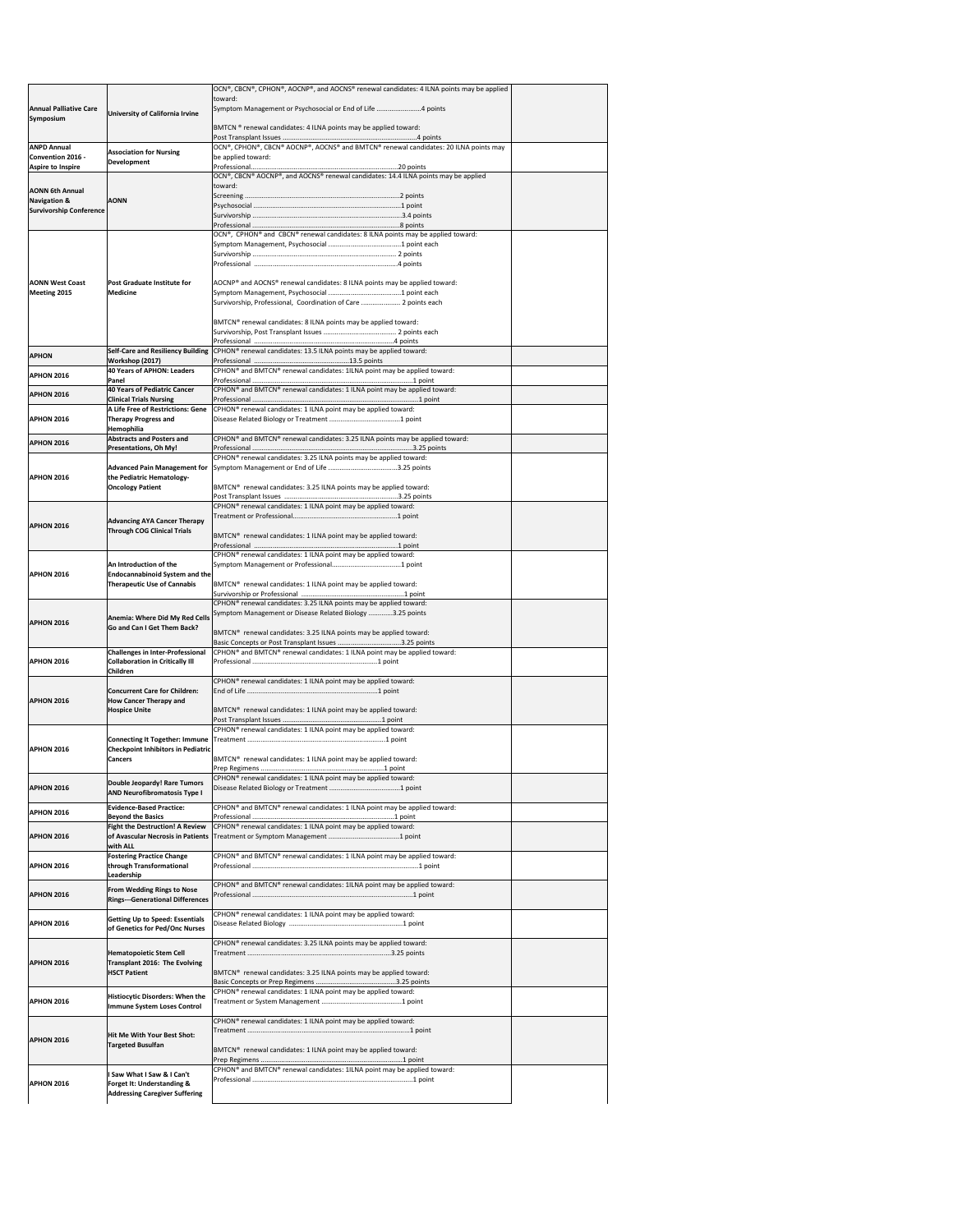|                                                           |                                                                                | OCN®, CBCN®, CPHON®, AOCNP®, and AOCNS® renewal candidates: 4 ILNA points may be applied                                                    |
|-----------------------------------------------------------|--------------------------------------------------------------------------------|---------------------------------------------------------------------------------------------------------------------------------------------|
| <b>Annual Palliative Care</b><br>Symposium                |                                                                                | toward:<br>Symptom Management or Psychosocial or End of Life 4 points                                                                       |
|                                                           | University of California Irvine                                                |                                                                                                                                             |
|                                                           |                                                                                | BMTCN ® renewal candidates: 4 ILNA points may be applied toward:                                                                            |
| <b>ANPD Annual</b>                                        | <b>Association for Nursing</b>                                                 | OCN®, CPHON®, CBCN® AOCNP®, AOCNS® and BMTCN® renewal candidates: 20 ILNA points may                                                        |
| Convention 2016 -<br><b>Aspire to Inspire</b>             | <b>Development</b>                                                             | be applied toward:                                                                                                                          |
|                                                           |                                                                                | $\overline{)$ OCN®, CBCN® AOCNP®, and AOCNS® renewal candidates: 14.4 ILNA points may be applied                                            |
| <b>AONN 6th Annual</b>                                    |                                                                                | toward:                                                                                                                                     |
| <b>Navigation &amp;</b><br><b>Survivorship Conference</b> | <b>AONN</b>                                                                    |                                                                                                                                             |
|                                                           |                                                                                |                                                                                                                                             |
|                                                           |                                                                                | OCN®, CPHON® and CBCN® renewal candidates: 8 ILNA points may be applied toward:                                                             |
|                                                           |                                                                                |                                                                                                                                             |
|                                                           |                                                                                |                                                                                                                                             |
|                                                           |                                                                                |                                                                                                                                             |
| <b>AONN West Coast</b>                                    | <b>Post Graduate Institute for</b><br><b>Medicine</b>                          | AOCNP <sup>®</sup> and AOCNS <sup>®</sup> renewal candidates: 8 ILNA points may be applied toward:                                          |
| <b>Meeting 2015</b>                                       |                                                                                | Survivorship, Professional, Coordination of Care  2 points each                                                                             |
|                                                           |                                                                                |                                                                                                                                             |
|                                                           |                                                                                | BMTCN® renewal candidates: 8 ILNA points may be applied toward:                                                                             |
|                                                           |                                                                                |                                                                                                                                             |
| <b>APHON</b>                                              | <b>Self-Care and Resiliency Building</b><br>Workshop (2017)                    | CPHON® renewal candidates: 13.5 ILNA points may be applied toward:                                                                          |
| <b>APHON 2016</b>                                         | 40 Years of APHON: Leaders                                                     | CPHON® and BMTCN® renewal candidates: 1ILNA point may be applied toward:                                                                    |
|                                                           | <b>Panel</b><br>40 Years of Pediatric Cancer                                   |                                                                                                                                             |
| <b>APHON 2016</b>                                         | <b>Clinical Trials Nursing</b>                                                 | CPHON <sup>®</sup> and BMTCN <sup>®</sup> renewal candidates: 1 ILNA point may be applied toward:                                           |
|                                                           | A Life Free of Restrictions: Gene                                              | CPHON <sup>®</sup> renewal candidates: 1 ILNA point may be applied toward:                                                                  |
| <b>APHON 2016</b>                                         | <b>Therapy Progress and</b><br><b>Hemophilia</b>                               |                                                                                                                                             |
| <b>APHON 2016</b>                                         | <b>Abstracts and Posters and</b>                                               | CPHON <sup>®</sup> and BMTCN <sup>®</sup> renewal candidates: 3.25 ILNA points may be applied toward:                                       |
|                                                           | <b>Presentations, Oh My!</b>                                                   | CPHON <sup>®</sup> renewal candidates: 3.25 ILNA points may be applied toward:                                                              |
|                                                           | <b>Advanced Pain Management for</b>                                            |                                                                                                                                             |
| <b>APHON 2016</b>                                         | the Pediatric Hematology-<br><b>Oncology Patient</b>                           | BMTCN <sup>®</sup> renewal candidates: 3.25 ILNA points may be applied toward:                                                              |
|                                                           |                                                                                |                                                                                                                                             |
|                                                           |                                                                                | CPHON® renewal candidates: 1 ILNA point may be applied toward:                                                                              |
| <b>APHON 2016</b>                                         | <b>Advancing AYA Cancer Therapy</b>                                            |                                                                                                                                             |
|                                                           | <b>Through COG Clinical Trials</b>                                             | BMTCN <sup>®</sup> renewal candidates: 1 ILNA point may be applied toward:                                                                  |
|                                                           |                                                                                | CPHON® renewal candidates: 1 ILNA point may be applied toward:                                                                              |
|                                                           | An Introduction of the                                                         |                                                                                                                                             |
| <b>APHON 2016</b>                                         | <b>Endocannabinoid System and the</b><br><b>Therapeutic Use of Cannabis</b>    | BMTCN <sup>®</sup> renewal candidates: 1 ILNA point may be applied toward:                                                                  |
|                                                           |                                                                                |                                                                                                                                             |
|                                                           |                                                                                | CPHON <sup>®</sup> renewal candidates: 3.25 ILNA points may be applied toward:<br>Symptom Management or Disease Related Biology 3.25 points |
| <b>APHON 2016</b>                                         | Anemia: Where Did My Red Cells<br>Go and Can I Get Them Back?                  |                                                                                                                                             |
|                                                           |                                                                                | BMTCN <sup>®</sup> renewal candidates: 3.25 ILNA points may be applied toward:                                                              |
|                                                           | <b>Challenges in Inter-Professional</b>                                        | CPHON <sup>®</sup> and BMTCN <sup>®</sup> renewal candidates: 1 ILNA point may be applied toward:                                           |
| <b>APHON 2016</b>                                         | <b>Collaboration in Critically III</b><br><b>Children</b>                      |                                                                                                                                             |
|                                                           |                                                                                | CPHON <sup>®</sup> renewal candidates: 1 ILNA point may be applied toward:                                                                  |
| <b>APHON 2016</b>                                         | <b>Concurrent Care for Children:</b><br><b>How Cancer Therapy and</b>          |                                                                                                                                             |
|                                                           | <b>Hospice Unite</b>                                                           | BMTCN® renewal candidates: 1 ILNA point may be applied toward:                                                                              |
|                                                           |                                                                                |                                                                                                                                             |
|                                                           |                                                                                | CPHON <sup>®</sup> renewal candidates: 1 ILNA point may be applied toward:                                                                  |
| <b>APHON 2016</b>                                         | <b>Checkpoint Inhibitors in Pediatric</b>                                      |                                                                                                                                             |
|                                                           | <b>Cancers</b>                                                                 | BMTCN <sup>®</sup> renewal candidates: 1 ILNA point may be applied toward:                                                                  |
|                                                           | Double Jeopardy! Rare Tumors                                                   | CPHON <sup>®</sup> renewal candidates: 1 ILNA point may be applied toward:                                                                  |
| <b>APHON 2016</b>                                         | <b>AND Neurofibromatosis Type I</b>                                            |                                                                                                                                             |
| <b>APHON 2016</b>                                         | <b>Evidence-Based Practice:</b>                                                | CPHON® and BMTCN® renewal candidates: 1 ILNA point may be applied toward:                                                                   |
|                                                           | <b>Beyond the Basics</b><br><b>Fight the Destruction! A Review</b>             | CPHON <sup>®</sup> renewal candidates: 1 ILNA point may be applied toward:                                                                  |
| <b>APHON 2016</b>                                         |                                                                                |                                                                                                                                             |
|                                                           | with ALL<br><b>Fostering Practice Change</b>                                   | CPHON <sup>®</sup> and BMTCN <sup>®</sup> renewal candidates: 1 ILNA point may be applied toward:                                           |
| <b>APHON 2016</b>                                         | through Transformational                                                       |                                                                                                                                             |
|                                                           | Leadership                                                                     |                                                                                                                                             |
| <b>APHON 2016</b>                                         | <b>From Wedding Rings to Nose</b>                                              | CPHON® and BMTCN® renewal candidates: 1ILNA point may be applied toward:                                                                    |
|                                                           | <b>Rings---Generational Differences</b>                                        |                                                                                                                                             |
| <b>APHON 2016</b>                                         |                                                                                |                                                                                                                                             |
|                                                           | <b>Getting Up to Speed: Essentials</b>                                         | CPHON <sup>®</sup> renewal candidates: 1 ILNA point may be applied toward:                                                                  |
|                                                           | of Genetics for Ped/Onc Nurses                                                 |                                                                                                                                             |
|                                                           |                                                                                | CPHON <sup>®</sup> renewal candidates: 3.25 ILNA points may be applied toward:                                                              |
|                                                           | <b>Hematopoietic Stem Cell</b><br><b>Transplant 2016: The Evolving</b>         |                                                                                                                                             |
| <b>APHON 2016</b>                                         | <b>HSCT Patient</b>                                                            | BMTCN <sup>®</sup> renewal candidates: 3.25 ILNA points may be applied toward:                                                              |
|                                                           |                                                                                | CPHON <sup>®</sup> renewal candidates: 1 ILNA point may be applied toward:                                                                  |
|                                                           | <b>Histiocytic Disorders: When the</b><br>Immune System Loses Control          |                                                                                                                                             |
|                                                           |                                                                                | CPHON <sup>®</sup> renewal candidates: 1 ILNA point may be applied toward:                                                                  |
|                                                           | Hit Me With Your Best Shot:                                                    |                                                                                                                                             |
| <b>APHON 2016</b><br><b>APHON 2016</b>                    | <b>Targeted Busulfan</b>                                                       | BMTCN <sup>®</sup> renewal candidates: 1 ILNA point may be applied toward:                                                                  |
|                                                           |                                                                                |                                                                                                                                             |
|                                                           | I Saw What I Saw & I Can't                                                     | CPHON® and BMTCN® renewal candidates: 1ILNA point may be applied toward:                                                                    |
| <b>APHON 2016</b>                                         | <b>Forget It: Understanding &amp;</b><br><b>Addressing Caregiver Suffering</b> |                                                                                                                                             |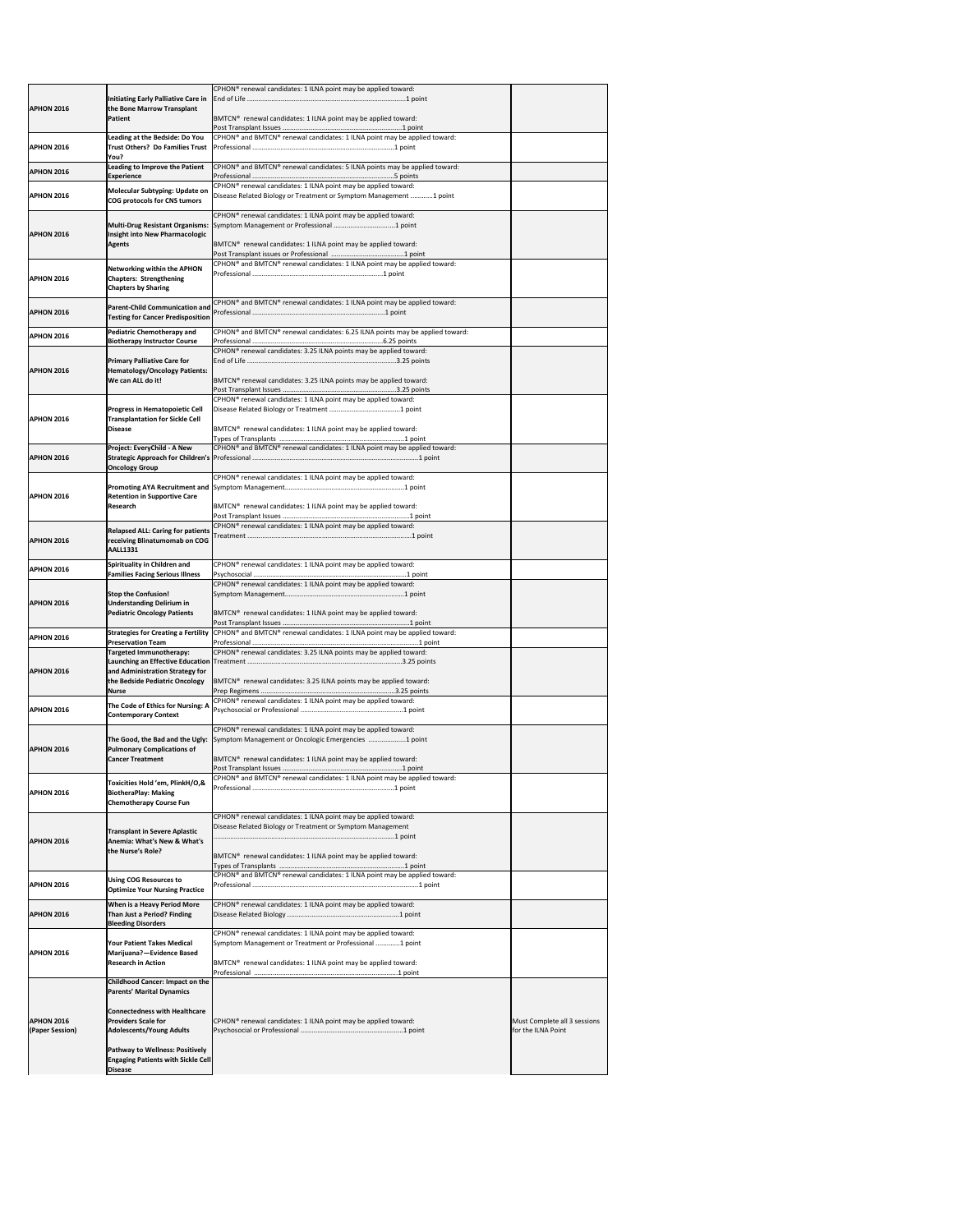| <b>APHON 2016</b>                    | Initiating Early Palliative Care in<br>the Bone Marrow Transplant                                     | CPHON <sup>®</sup> renewal candidates: 1 ILNA point may be applied toward:                                                                       |                                                    |
|--------------------------------------|-------------------------------------------------------------------------------------------------------|--------------------------------------------------------------------------------------------------------------------------------------------------|----------------------------------------------------|
|                                      | Patient                                                                                               | BMTCN® renewal candidates: 1 ILNA point may be applied toward:                                                                                   |                                                    |
| <b>APHON 2016</b>                    | Leading at the Bedside: Do You<br><b>Trust Others? Do Families Trust</b><br>You?                      | CPHON® and BMTCN® renewal candidates: 1 ILNA point may be applied toward:                                                                        |                                                    |
| <b>APHON 2016</b>                    | <b>Leading to Improve the Patient</b><br><b>Experience</b>                                            | CPHON <sup>®</sup> and BMTCN <sup>®</sup> renewal candidates: 5 ILNA points may be applied toward:                                               |                                                    |
| <b>APHON 2016</b>                    | Molecular Subtyping: Update on<br>COG protocols for CNS tumors                                        | CPHON <sup>®</sup> renewal candidates: 1 ILNA point may be applied toward:<br>Disease Related Biology or Treatment or Symptom Management 1 point |                                                    |
| <b>APHON 2016</b>                    | Multi-Drug Resistant Organisms:<br>Insight into New Pharmacologic                                     | CPHON <sup>®</sup> renewal candidates: 1 ILNA point may be applied toward:                                                                       |                                                    |
|                                      | <b>Agents</b>                                                                                         | BMTCN <sup>®</sup> renewal candidates: 1 ILNA point may be applied toward:                                                                       |                                                    |
| <b>APHON 2016</b>                    | <b>Networking within the APHON</b><br><b>Chapters: Strengthening</b><br><b>Chapters by Sharing</b>    | CPHON <sup>®</sup> and BMTCN <sup>®</sup> renewal candidates: 1 ILNA point may be applied toward:                                                |                                                    |
| <b>APHON 2016</b>                    | <b>Parent-Child Communication and</b><br><b>Testing for Cancer Predisposition</b>                     | CPHON® and BMTCN® renewal candidates: 1 ILNA point may be applied toward:                                                                        |                                                    |
| <b>APHON 2016</b>                    | <b>Pediatric Chemotherapy and</b>                                                                     | CPHON® and BMTCN® renewal candidates: 6.25 ILNA points may be applied toward:                                                                    |                                                    |
|                                      | <b>Biotherapy Instructor Course</b><br><b>Primary Palliative Care for</b>                             | CPHON® renewal candidates: 3.25 ILNA points may be applied toward:                                                                               |                                                    |
| <b>APHON 2016</b>                    | <b>Hematology/Oncology Patients:</b><br>We can ALL do it!                                             | BMTCN® renewal candidates: 3.25 ILNA points may be applied toward:                                                                               |                                                    |
|                                      |                                                                                                       | CPHON <sup>®</sup> renewal candidates: 1 ILNA point may be applied toward:                                                                       |                                                    |
| <b>APHON 2016</b>                    | <b>Progress in Hematopoietic Cell</b><br><b>Transplantation for Sickle Cell</b><br><b>Disease</b>     | BMTCN® renewal candidates: 1 ILNA point may be applied toward:                                                                                   |                                                    |
|                                      | Project: EveryChild - A New                                                                           | CPHON® and BMTCN® renewal candidates: 1 ILNA point may be applied toward:                                                                        |                                                    |
| <b>APHON 2016</b>                    | <b>Oncology Group</b>                                                                                 |                                                                                                                                                  |                                                    |
|                                      |                                                                                                       | CPHON <sup>®</sup> renewal candidates: 1 ILNA point may be applied toward:                                                                       |                                                    |
| <b>APHON 2016</b>                    | <b>Retention in Supportive Care</b><br><b>Research</b>                                                | BMTCN® renewal candidates: 1 ILNA point may be applied toward:                                                                                   |                                                    |
| <b>APHON 2016</b>                    | <b>Relapsed ALL: Caring for patients</b><br>receiving Blinatumomab on COG<br><b>AALL1331</b>          | CPHON <sup>®</sup> renewal candidates: 1 ILNA point may be applied toward:                                                                       |                                                    |
| <b>APHON 2016</b>                    | Spirituality in Children and<br><b>Families Facing Serious Illness</b>                                | CPHON® renewal candidates: 1 ILNA point may be applied toward:                                                                                   |                                                    |
|                                      |                                                                                                       | CPHON <sup>®</sup> renewal candidates: 1 ILNA point may be applied toward:                                                                       |                                                    |
| <b>APHON 2016</b>                    | <b>Stop the Confusion!</b><br><b>Understanding Delirium in</b><br><b>Pediatric Oncology Patients</b>  | BMTCN® renewal candidates: 1 ILNA point may be applied toward:                                                                                   |                                                    |
| <b>APHON 2016</b>                    | <b>Strategies for Creating a Fertility</b><br><b>Preservation Team</b>                                | CPHON <sup>®</sup> and BMTCN <sup>®</sup> renewal candidates: 1 ILNA point may be applied toward:                                                |                                                    |
|                                      | <b>Targeted Immunotherapy:</b>                                                                        | CPHON <sup>®</sup> renewal candidates: 3.25 ILNA points may be applied toward:                                                                   |                                                    |
| <b>APHON 2016</b>                    | and Administration Strategy for<br>the Bedside Pediatric Oncology                                     | BMTCN <sup>®</sup> renewal candidates: 3.25 ILNA points may be applied toward:                                                                   |                                                    |
|                                      | <b>Nurse</b>                                                                                          | CPHON <sup>®</sup> renewal candidates: 1 ILNA point may be applied toward:                                                                       |                                                    |
| <b>APHON 2016</b>                    | The Code of Ethics for Nursing: A<br><b>Contemporary Context</b>                                      |                                                                                                                                                  |                                                    |
| <b>APHON 2016</b>                    | The Good, the Bad and the Ugly:<br><b>Pulmonary Complications of</b>                                  | CPHON <sup>®</sup> renewal candidates: 1 ILNA point may be applied toward:<br>Symptom Management or Oncologic Emergencies 1 point                |                                                    |
|                                      | <b>Cancer Treatment</b>                                                                               | BMTCN® renewal candidates: 1 ILNA point may be applied toward:                                                                                   |                                                    |
|                                      | Toxicities Hold 'em, PlinkH/O,&                                                                       | CPHON® and BMTCN® renewal candidates: 1 ILNA point may be applied toward:                                                                        |                                                    |
| <b>APHON 2016</b>                    | <b>BiotheraPlay: Making</b><br><b>Chemotherapy Course Fun</b>                                         |                                                                                                                                                  |                                                    |
| <b>APHON 2016</b>                    | <b>Transplant in Severe Aplastic</b><br>Anemia: What's New & What's                                   | CPHON <sup>®</sup> renewal candidates: 1 ILNA point may be applied toward:<br>Disease Related Biology or Treatment or Symptom Management         |                                                    |
|                                      | the Nurse's Role?                                                                                     | BMTCN® renewal candidates: 1 ILNA point may be applied toward:                                                                                   |                                                    |
| <b>APHON 2016</b>                    | <b>Using COG Resources to</b><br><b>Optimize Your Nursing Practice</b>                                | CPHON® and BMTCN® renewal candidates: 1 ILNA point may be applied toward:                                                                        |                                                    |
| <b>APHON 2016</b>                    | When is a Heavy Period More<br>Than Just a Period? Finding                                            | CPHON <sup>®</sup> renewal candidates: 1 ILNA point may be applied toward:                                                                       |                                                    |
|                                      | <b>Bleeding Disorders</b>                                                                             | CPHON® renewal candidates: 1 ILNA point may be applied toward:                                                                                   |                                                    |
| <b>APHON 2016</b>                    | <b>Your Patient Takes Medical</b><br>Marijuana?-Evidence Based<br><b>Research in Action</b>           | Symptom Management or Treatment or Professional 1 point<br>BMTCN® renewal candidates: 1 ILNA point may be applied toward:                        |                                                    |
|                                      |                                                                                                       |                                                                                                                                                  |                                                    |
|                                      | <b>Childhood Cancer: Impact on the</b><br><b>Parents' Marital Dynamics</b>                            |                                                                                                                                                  |                                                    |
| <b>APHON 2016</b><br>(Paper Session) | <b>Connectedness with Healthcare</b><br><b>Providers Scale for</b><br><b>Adolescents/Young Adults</b> | CPHON <sup>®</sup> renewal candidates: 1 ILNA point may be applied toward:                                                                       | Must Complete all 3 sessions<br>for the ILNA Point |
|                                      | <b>Pathway to Wellness: Positively</b><br><b>Engaging Patients with Sickle Cell</b><br><b>Disease</b> |                                                                                                                                                  |                                                    |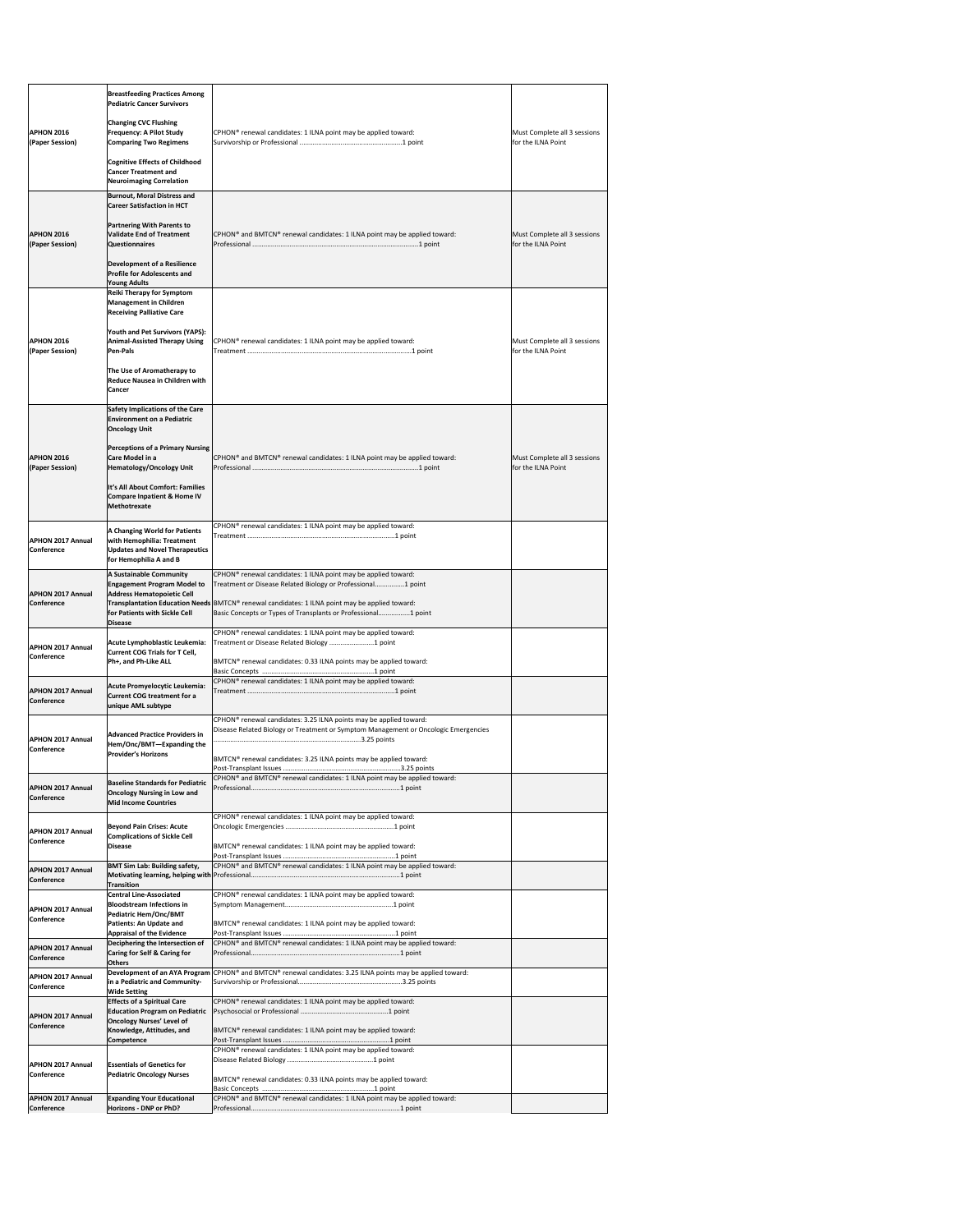|                                                                    | <b>Breastfeeding Practices Among</b><br><b>Pediatric Cancer Survivors</b>                                                              |                                                                                                                                                                                                                                             |                                                    |
|--------------------------------------------------------------------|----------------------------------------------------------------------------------------------------------------------------------------|---------------------------------------------------------------------------------------------------------------------------------------------------------------------------------------------------------------------------------------------|----------------------------------------------------|
| <b>APHON 2016</b><br>(Paper Session)                               | <b>Changing CVC Flushing</b><br>Frequency: A Pilot Study<br><b>Comparing Two Regimens</b>                                              | CPHON® renewal candidates: 1 ILNA point may be applied toward:                                                                                                                                                                              | Must Complete all 3 sessions<br>for the ILNA Point |
|                                                                    | <b>Cognitive Effects of Childhood</b><br><b>Cancer Treatment and</b><br><b>Neuroimaging Correlation</b>                                |                                                                                                                                                                                                                                             |                                                    |
|                                                                    | <b>Burnout, Moral Distress and</b><br><b>Career Satisfaction in HCT</b>                                                                |                                                                                                                                                                                                                                             |                                                    |
| <b>APHON 2016</b><br>(Paper Session)                               | <b>Partnering With Parents to</b><br>Validate End of Treatment<br><b>Questionnaires</b>                                                | CPHON® and BMTCN® renewal candidates: 1 ILNA point may be applied toward:                                                                                                                                                                   | Must Complete all 3 sessions<br>for the ILNA Point |
|                                                                    | <b>Development of a Resilience</b><br><b>Profile for Adolescents and</b><br><b>Young Adults</b>                                        |                                                                                                                                                                                                                                             |                                                    |
|                                                                    | <b>Reiki Therapy for Symptom</b><br><b>Management in Children</b><br><b>Receiving Palliative Care</b>                                  |                                                                                                                                                                                                                                             |                                                    |
| <b>APHON 2016</b><br>(Paper Session)                               | <b>Youth and Pet Survivors (YAPS):</b><br><b>Animal-Assisted Therapy Using</b><br><b>Pen-Pals</b>                                      | CPHON <sup>®</sup> renewal candidates: 1 ILNA point may be applied toward:                                                                                                                                                                  | Must Complete all 3 sessions<br>for the ILNA Point |
|                                                                    | The Use of Aromatherapy to<br><b>Reduce Nausea in Children with</b><br><b>Cancer</b>                                                   |                                                                                                                                                                                                                                             |                                                    |
|                                                                    | <b>Safety Implications of the Care</b><br><b>Environment on a Pediatric</b><br><b>Oncology Unit</b>                                    |                                                                                                                                                                                                                                             |                                                    |
| <b>APHON 2016</b><br>(Paper Session)                               | <b>Perceptions of a Primary Nursing</b><br><b>Care Model in a</b><br><b>Hematology/Oncology Unit</b>                                   | CPHON® and BMTCN® renewal candidates: 1 ILNA point may be applied toward:                                                                                                                                                                   | Must Complete all 3 sessions<br>for the ILNA Point |
|                                                                    | It's All About Comfort: Families<br><b>Compare Inpatient &amp; Home IV</b><br><b>Methotrexate</b>                                      |                                                                                                                                                                                                                                             |                                                    |
| <b>APHON 2017 Annual</b><br><b>Conference</b>                      | A Changing World for Patients<br>with Hemophilia: Treatment<br><b>Updates and Novel Therapeutics</b><br>for Hemophilia A and B         | CPHON <sup>®</sup> renewal candidates: 1 ILNA point may be applied toward:                                                                                                                                                                  |                                                    |
|                                                                    | <b>A Sustainable Community</b><br><b>Engagement Program Model to</b>                                                                   | CPHON <sup>®</sup> renewal candidates: 1 ILNA point may be applied toward:<br>Treatment or Disease Related Biology or Professional1 point                                                                                                   |                                                    |
| <b>APHON 2017 Annual</b><br><b>Conference</b>                      | <b>Address Hematopoietic Cell</b><br>for Patients with Sickle Cell<br><b>Disease</b>                                                   | Transplantation Education Needs BMTCN® renewal candidates: 1 ILNA point may be applied toward:<br>Basic Concepts or Types of Transplants or Professional1 point                                                                             |                                                    |
| <b>APHON 2017 Annual</b>                                           | Acute Lymphoblastic Leukemia:                                                                                                          | CPHON <sup>®</sup> renewal candidates: 1 ILNA point may be applied toward:<br>Treatment or Disease Related Biology  1 point                                                                                                                 |                                                    |
| <b>Conference</b>                                                  | <b>Current COG Trials for T Cell,</b><br>Ph+, and Ph-Like ALL                                                                          | BMTCN® renewal candidates: 0.33 ILNA points may be applied toward:                                                                                                                                                                          |                                                    |
| <b>APHON 2017 Annual</b><br><b>Conference</b>                      | Acute Promyelocytic Leukemia:<br><b>Current COG treatment for a</b><br>unique AML subtype                                              | CPHON <sup>®</sup> renewal candidates: 1 ILNA point may be applied toward:                                                                                                                                                                  |                                                    |
| <b>APHON 2017 Annual</b><br><b>Conference</b>                      | <b>Advanced Practice Providers in</b><br>Hem/Onc/BMT-Expanding the<br><b>Provider's Horizons</b>                                       | CPHON <sup>®</sup> renewal candidates: 3.25 ILNA points may be applied toward:<br>Disease Related Biology or Treatment or Symptom Management or Oncologic Emergencies<br>BMTCN® renewal candidates: 3.25 ILNA points may be applied toward: |                                                    |
|                                                                    |                                                                                                                                        | CPHON® and BMTCN® renewal candidates: 1 ILNA point may be applied toward:                                                                                                                                                                   |                                                    |
| <b>APHON 2017 Annual</b><br><b>Conference</b>                      | <b>Baseline Standards for Pediatric</b><br><b>Oncology Nursing in Low and</b><br>Mid Income Countries                                  |                                                                                                                                                                                                                                             |                                                    |
| <b>APHON 2017 Annual</b><br><b>Conference</b>                      | <b>Beyond Pain Crises: Acute</b><br><b>Complications of Sickle Cell</b><br><b>Disease</b>                                              | CPHON <sup>®</sup> renewal candidates: 1 ILNA point may be applied toward:<br>BMTCN <sup>®</sup> renewal candidates: 1 ILNA point may be applied toward:                                                                                    |                                                    |
| <b>APHON 2017 Annual</b>                                           | <b>BMT Sim Lab: Building safety,</b>                                                                                                   | CPHON® and BMTCN® renewal candidates: 1 ILNA point may be applied toward:                                                                                                                                                                   |                                                    |
| <b>Conference</b>                                                  | <b>Transition</b><br><b>Central Line-Associated</b>                                                                                    | CPHON <sup>®</sup> renewal candidates: 1 ILNA point may be applied toward:                                                                                                                                                                  |                                                    |
| <b>APHON 2017 Annual</b><br><b>Conference</b>                      | <b>Bloodstream Infections in</b><br>Pediatric Hem/Onc/BMT<br><b>Patients: An Update and</b>                                            | BMTCN® renewal candidates: 1 ILNA point may be applied toward:                                                                                                                                                                              |                                                    |
| <b>APHON 2017 Annual</b>                                           | <b>Appraisal of the Evidence</b><br>Deciphering the Intersection of<br><b>Caring for Self &amp; Caring for</b>                         | CPHON® and BMTCN® renewal candidates: 1 ILNA point may be applied toward:                                                                                                                                                                   |                                                    |
| <b>Conference</b><br><b>APHON 2017 Annual</b><br><b>Conference</b> | <b>Others</b><br>in a Pediatric and Community-                                                                                         | Development of an AYA Program CPHON® and BMTCN® renewal candidates: 3.25 ILNA points may be applied toward:                                                                                                                                 |                                                    |
| <b>APHON 2017 Annual</b><br><b>Conference</b>                      | <b>Wide Setting</b><br><b>Effects of a Spiritual Care</b><br><b>Education Program on Pediatric</b><br><b>Oncology Nurses' Level of</b> | CPHON® renewal candidates: 1 ILNA point may be applied toward:                                                                                                                                                                              |                                                    |
|                                                                    | Knowledge, Attitudes, and<br><b>Competence</b>                                                                                         | BMTCN® renewal candidates: 1 ILNA point may be applied toward:                                                                                                                                                                              |                                                    |
| <b>APHON 2017 Annual</b><br><b>Conference</b>                      | <b>Essentials of Genetics for</b><br><b>Pediatric Oncology Nurses</b>                                                                  | CPHON <sup>®</sup> renewal candidates: 1 ILNA point may be applied toward:<br>BMTCN® renewal candidates: 0.33 ILNA points may be applied toward:                                                                                            |                                                    |
| <b>APHON 2017 Annual</b>                                           | <b>Expanding Your Educational</b>                                                                                                      | CPHON® and BMTCN® renewal candidates: 1 ILNA point may be applied toward:                                                                                                                                                                   |                                                    |
| <b>Conference</b>                                                  | Horizons - DNP or PhD?                                                                                                                 |                                                                                                                                                                                                                                             |                                                    |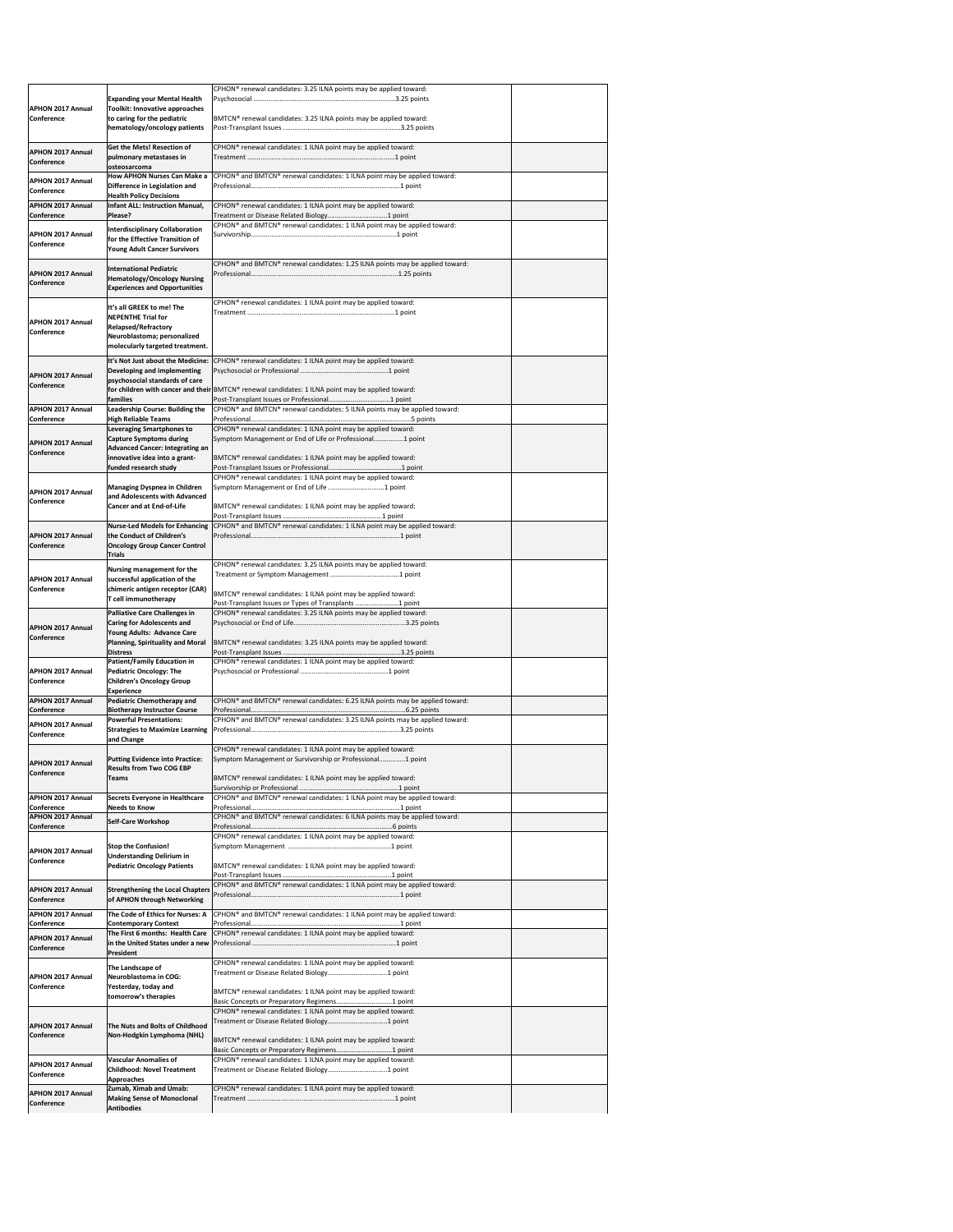|                                               |                                                                           | CPHON <sup>®</sup> renewal candidates: 3.25 ILNA points may be applied toward:                                           |  |
|-----------------------------------------------|---------------------------------------------------------------------------|--------------------------------------------------------------------------------------------------------------------------|--|
| <b>APHON 2017 Annual</b>                      | <b>Expanding your Mental Health</b><br>Toolkit: Innovative approaches     |                                                                                                                          |  |
| <b>Conference</b>                             | to caring for the pediatric                                               | BMTCN <sup>®</sup> renewal candidates: 3.25 ILNA points may be applied toward:                                           |  |
|                                               | hematology/oncology patients                                              |                                                                                                                          |  |
|                                               | <b>Get the Mets! Resection of</b>                                         | CPHON <sup>®</sup> renewal candidates: 1 ILNA point may be applied toward:                                               |  |
| <b>APHON 2017 Annual</b><br><b>Conference</b> | pulmonary metastases in                                                   |                                                                                                                          |  |
|                                               | <b>losteosarcoma</b><br><b>How APHON Nurses Can Make a</b>                | CPHON <sup>®</sup> and BMTCN <sup>®</sup> renewal candidates: 1 ILNA point may be applied toward:                        |  |
| <b>APHON 2017 Annual</b><br><b>Conference</b> | Difference in Legislation and                                             |                                                                                                                          |  |
| <b>APHON 2017 Annual</b>                      | <b>Health Policy Decisions</b><br>Infant ALL: Instruction Manual,         | CPHON <sup>®</sup> renewal candidates: 1 ILNA point may be applied toward:                                               |  |
| <b>Conference</b>                             | Please?                                                                   |                                                                                                                          |  |
| <b>APHON 2017 Annual</b>                      | <b>Interdisciplinary Collaboration</b>                                    | CPHON <sup>®</sup> and BMTCN <sup>®</sup> renewal candidates: 1 ILNA point may be applied toward:                        |  |
| <b>Conference</b>                             | for the Effective Transition of<br><b>Young Adult Cancer Survivors</b>    |                                                                                                                          |  |
|                                               | <b>International Pediatric</b>                                            | CPHON® and BMTCN® renewal candidates: 1.25 ILNA points may be applied toward:                                            |  |
| <b>APHON 2017 Annual</b>                      | <b>Hematology/Oncology Nursing</b>                                        |                                                                                                                          |  |
| <b>Conference</b>                             | <b>Experiences and Opportunities</b>                                      |                                                                                                                          |  |
|                                               | It's all GREEK to me! The                                                 | CPHON <sup>®</sup> renewal candidates: 1 ILNA point may be applied toward:                                               |  |
| <b>APHON 2017 Annual</b>                      | <b>NEPENTHE Trial for</b>                                                 |                                                                                                                          |  |
| <b>Conference</b>                             | <b>Relapsed/Refractory</b><br>Neuroblastoma; personalized                 |                                                                                                                          |  |
|                                               | molecularly targeted treatment.                                           |                                                                                                                          |  |
|                                               | It's Not Just about the Medicine:<br>Developing and implementing          | CPHON <sup>®</sup> renewal candidates: 1 ILNA point may be applied toward:                                               |  |
| <b>APHON 2017 Annual</b><br><b>Conference</b> | psychosocial standards of care                                            |                                                                                                                          |  |
|                                               | <b>families</b>                                                           | for children with cancer and their BMTCN® renewal candidates: 1 ILNA point may be applied toward:                        |  |
| <b>APHON 2017 Annual</b>                      | <b>Leadership Course: Building the</b>                                    | CPHON® and BMTCN® renewal candidates: 5 ILNA points may be applied toward:                                               |  |
| <b>Conference</b>                             | <b>High Reliable Teams</b><br><b>Leveraging Smartphones to</b>            | CPHON <sup>®</sup> renewal candidates: 1 ILNA point may be applied toward:                                               |  |
| <b>APHON 2017 Annual</b>                      | <b>Capture Symptoms during</b>                                            | Symptom Management or End of Life or Professional1 point                                                                 |  |
| <b>Conference</b>                             | <b>Advanced Cancer: Integrating an</b><br>innovative idea into a grant-   | BMTCN <sup>®</sup> renewal candidates: 1 ILNA point may be applied toward:                                               |  |
|                                               | funded research study                                                     |                                                                                                                          |  |
|                                               | <b>Managing Dyspnea in Children</b>                                       | CPHON <sup>®</sup> renewal candidates: 1 ILNA point may be applied toward:                                               |  |
| <b>APHON 2017 Annual</b><br><b>Conference</b> | and Adolescents with Advanced                                             |                                                                                                                          |  |
|                                               | <b>Cancer and at End-of-Life</b>                                          | BMTCN® renewal candidates: 1 ILNA point may be applied toward:                                                           |  |
|                                               | <b>Nurse-Led Models for Enhancing</b>                                     | CPHON <sup>®</sup> and BMTCN <sup>®</sup> renewal candidates: 1 ILNA point may be applied toward:                        |  |
| <b>APHON 2017 Annual</b><br><b>Conference</b> | the Conduct of Children's<br><b>Oncology Group Cancer Control</b>         |                                                                                                                          |  |
|                                               | <b>Trials</b>                                                             |                                                                                                                          |  |
|                                               | Nursing management for the                                                | CPHON® renewal candidates: 3.25 ILNA points may be applied toward:                                                       |  |
| <b>APHON 2017 Annual</b><br><b>Conference</b> | successful application of the<br>chimeric antigen receptor (CAR)          |                                                                                                                          |  |
|                                               | T cell immunotherapy                                                      | BMTCN® renewal candidates: 1 ILNA point may be applied toward:<br>Post-Transplant Issues or Types of Transplants 1 point |  |
|                                               | Palliative Care Challenges in                                             | CPHON <sup>®</sup> renewal candidates: 3.25 ILNA points may be applied toward:                                           |  |
| <b>APHON 2017 Annual</b>                      | <b>Caring for Adolescents and</b><br>Young Adults: Advance Care           |                                                                                                                          |  |
| <b>Conference</b>                             | <b>Planning, Spirituality and Moral</b>                                   | BMTCN <sup>®</sup> renewal candidates: 3.25 ILNA points may be applied toward:                                           |  |
|                                               | <b>Distress</b><br><b>Patient/Family Education in</b>                     | CPHON® renewal candidates: 1 ILNA point may be applied toward:                                                           |  |
| <b>APHON 2017 Annual</b><br><b>Conference</b> | <b>Pediatric Oncology: The</b><br><b>Children's Oncology Group</b>        |                                                                                                                          |  |
|                                               | <b>Experience</b>                                                         |                                                                                                                          |  |
| <b>APHON 2017 Annual</b><br><b>Conference</b> | Pediatric Chemotherapy and<br><b>Biotherapy Instructor Course</b>         | CPHON <sup>®</sup> and BMTCN <sup>®</sup> renewal candidates: 6.25 ILNA points may be applied toward:                    |  |
| <b>APHON 2017 Annual</b>                      | <b>Powerful Presentations:</b>                                            | CPHON <sup>®</sup> and BMTCN <sup>®</sup> renewal candidates: 3.25 ILNA points may be applied toward:                    |  |
| Conference                                    | <b>Strategies to Maximize Learning</b><br>and Change                      |                                                                                                                          |  |
|                                               |                                                                           | CPHON <sup>®</sup> renewal candidates: 1 ILNA point may be applied toward:                                               |  |
| <b>APHON 2017 Annual</b>                      | <b>Putting Evidence into Practice:</b><br><b>Results from Two COG EBP</b> | Symptom Management or Survivorship or Professional1 point                                                                |  |
| <b>Conference</b>                             | Teams                                                                     | BMTCN® renewal candidates: 1 ILNA point may be applied toward:                                                           |  |
| <b>APHON 2017 Annual</b>                      | <b>Secrets Everyone in Healthcare</b>                                     | CPHON® and BMTCN® renewal candidates: 1 ILNA point may be applied toward:                                                |  |
| Conference                                    | <b>Needs to Know</b>                                                      |                                                                                                                          |  |
| <b>APHON 2017 Annual</b><br><b>Conference</b> | <b>Self-Care Workshop</b>                                                 | CPHON® and BMTCN® renewal candidates: 6 ILNA points may be applied toward:                                               |  |
|                                               |                                                                           | CPHON® renewal candidates: 1 ILNA point may be applied toward:                                                           |  |
| <b>APHON 2017 Annual</b><br><b>Conference</b> | <b>Stop the Confusion!</b><br><b>Understanding Delirium in</b>            |                                                                                                                          |  |
|                                               | <b>Pediatric Oncology Patients</b>                                        | BMTCN <sup>®</sup> renewal candidates: 1 ILNA point may be applied toward:                                               |  |
| <b>APHON 2017 Annual</b>                      | <b>Strengthening the Local Chapters</b>                                   | CPHON® and BMTCN® renewal candidates: 1 ILNA point may be applied toward:                                                |  |
| <b>Conference</b>                             | of APHON through Networking                                               |                                                                                                                          |  |
| <b>APHON 2017 Annual</b>                      | The Code of Ethics for Nurses: A                                          | CPHON <sup>®</sup> and BMTCN <sup>®</sup> renewal candidates: 1 ILNA point may be applied toward:                        |  |
| Conference                                    | <b>Contemporary Context</b><br>The First 6 months: Health Care            | CPHON <sup>®</sup> renewal candidates: 1 ILNA point may be applied toward:                                               |  |
| <b>APHON 2017 Annual</b><br><b>Conference</b> |                                                                           |                                                                                                                          |  |
|                                               | <b>President</b>                                                          | CPHON® renewal candidates: 1 ILNA point may be applied toward:                                                           |  |
| <b>APHON 2017 Annual</b>                      | The Landscape of<br>Neuroblastoma in COG:                                 |                                                                                                                          |  |
| <b>Conference</b>                             | Yesterday, today and                                                      | BMTCN® renewal candidates: 1 ILNA point may be applied toward:                                                           |  |
|                                               | tomorrow's therapies                                                      | Basic Concepts or Preparatory Regimens1 point                                                                            |  |
|                                               |                                                                           | CPHON <sup>®</sup> renewal candidates: 1 ILNA point may be applied toward:                                               |  |
| <b>APHON 2017 Annual</b><br><b>Conference</b> | The Nuts and Bolts of Childhood<br>Non-Hodgkin Lymphoma (NHL)             |                                                                                                                          |  |
|                                               |                                                                           | BMTCN® renewal candidates: 1 ILNA point may be applied toward:                                                           |  |
| <b>APHON 2017 Annual</b>                      | <b>Vascular Anomalies of</b>                                              | CPHON® renewal candidates: 1 ILNA point may be applied toward:                                                           |  |
| Conference                                    | <b>Childhood: Novel Treatment</b><br><b>Approaches</b>                    |                                                                                                                          |  |
| <b>APHON 2017 Annual</b>                      | Zumab, Ximab and Umab:<br><b>Making Sense of Monoclonal</b>               | CPHON <sup>®</sup> renewal candidates: 1 ILNA point may be applied toward:                                               |  |
| Conference                                    | <b>Antibodies</b>                                                         |                                                                                                                          |  |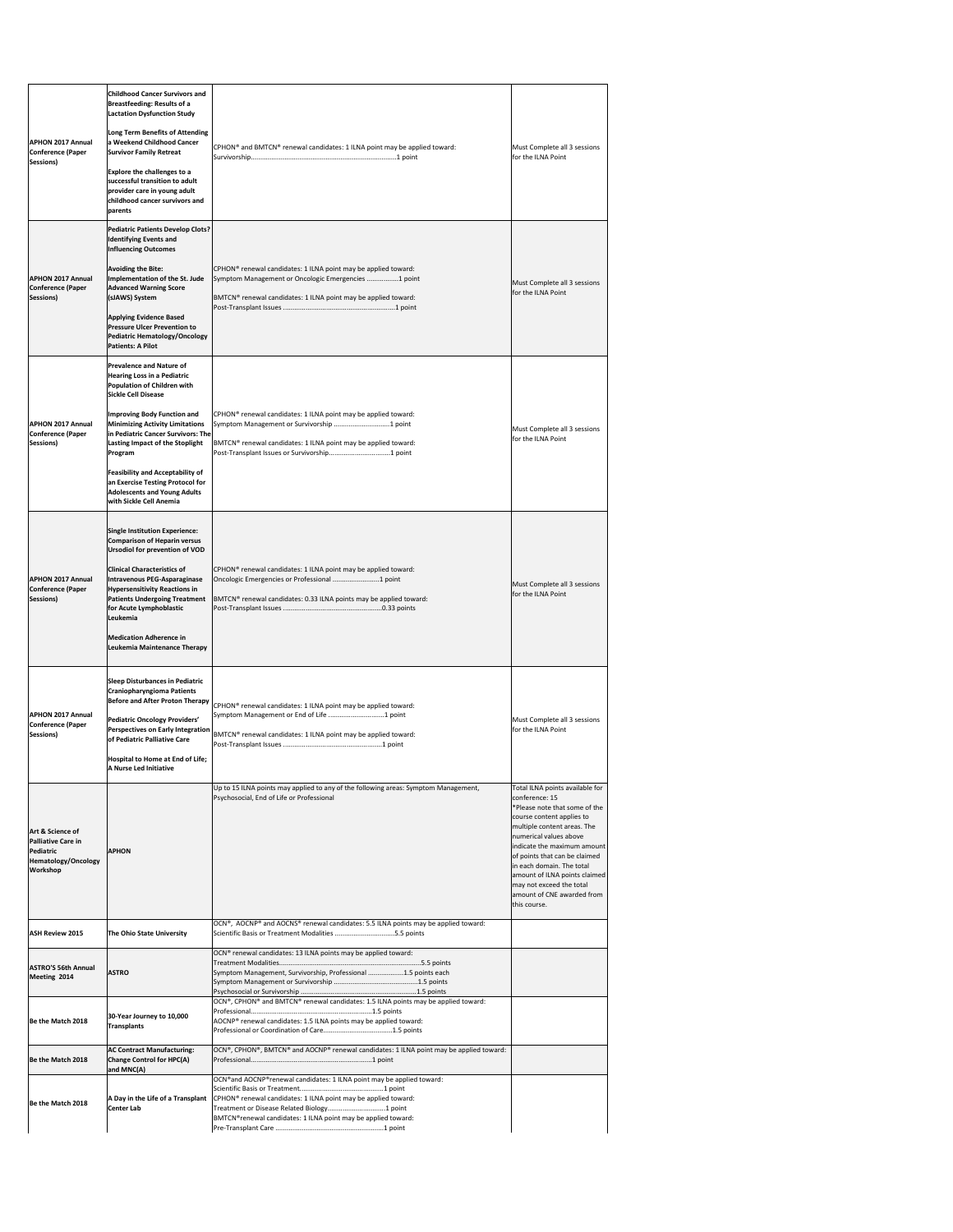| <b>APHON 2017 Annual</b><br><b>Conference (Paper</b><br>Sessions)                                    | <b>Childhood Cancer Survivors and</b><br><b>Breastfeeding: Results of a</b><br><b>Lactation Dysfunction Study</b><br>Long Term Benefits of Attending<br>a Weekend Childhood Cancer<br><b>Survivor Family Retreat</b><br><b>Explore the challenges to a</b><br>successful transition to adult<br>provider care in young adult<br>childhood cancer survivors and<br>parents                                                                               | CPHON® and BMTCN® renewal candidates: 1 ILNA point may be applied toward:                                                                                                                                                                                             | Must Complete all 3 sessions<br>for the ILNA Point                                                                                                                                                                                                                                                                                                                               |
|------------------------------------------------------------------------------------------------------|---------------------------------------------------------------------------------------------------------------------------------------------------------------------------------------------------------------------------------------------------------------------------------------------------------------------------------------------------------------------------------------------------------------------------------------------------------|-----------------------------------------------------------------------------------------------------------------------------------------------------------------------------------------------------------------------------------------------------------------------|----------------------------------------------------------------------------------------------------------------------------------------------------------------------------------------------------------------------------------------------------------------------------------------------------------------------------------------------------------------------------------|
| <b>APHON 2017 Annual</b><br><b>Conference (Paper</b><br>Sessions)                                    | <b>Pediatric Patients Develop Clots?</b><br><b>Identifying Events and</b><br><b>Influencing Outcomes</b><br><b>Avoiding the Bite:</b><br>Implementation of the St. Jude<br><b>Advanced Warning Score</b><br>(sJAWS) System<br><b>Applying Evidence Based</b><br><b>Pressure Ulcer Prevention to</b><br><b>Pediatric Hematology/Oncology</b><br><b>Patients: A Pilot</b>                                                                                 | CPHON <sup>®</sup> renewal candidates: 1 ILNA point may be applied toward:<br>Symptom Management or Oncologic Emergencies 1 point<br>BMTCN® renewal candidates: 1 ILNA point may be applied toward:                                                                   | Must Complete all 3 sessions<br>for the ILNA Point                                                                                                                                                                                                                                                                                                                               |
| <b>APHON 2017 Annual</b><br><b>Conference (Paper</b><br>Sessions)                                    | <b>Prevalence and Nature of</b><br><b>Hearing Loss in a Pediatric</b><br>Population of Children with<br><b>Sickle Cell Disease</b><br>Improving Body Function and<br><b>Minimizing Activity Limitations</b><br>in Pediatric Cancer Survivors: The<br><b>Lasting Impact of the Stoplight</b><br>Program<br><b>Feasibility and Acceptability of</b><br>an Exercise Testing Protocol for<br><b>Adolescents and Young Adults</b><br>with Sickle Cell Anemia | CPHON <sup>®</sup> renewal candidates: 1 ILNA point may be applied toward:<br>Symptom Management or Survivorship 1 point<br>BMTCN® renewal candidates: 1 ILNA point may be applied toward:                                                                            | Must Complete all 3 sessions<br>for the ILNA Point                                                                                                                                                                                                                                                                                                                               |
| <b>APHON 2017 Annual</b><br><b>Conference (Paper</b><br>Sessions)                                    | <b>Single Institution Experience:</b><br><b>Comparison of Heparin versus</b><br><b>Ursodiol for prevention of VOD</b><br><b>Clinical Characteristics of</b><br>Intravenous PEG-Asparaginase<br><b>Hypersensitivity Reactions in</b><br><b>Patients Undergoing Treatment</b><br>for Acute Lymphoblastic<br>Leukemia<br><b>Medication Adherence in</b><br>Leukemia Maintenance Therapy                                                                    | CPHON <sup>®</sup> renewal candidates: 1 ILNA point may be applied toward:<br>Oncologic Emergencies or Professional 1 point<br>BMTCN <sup>®</sup> renewal candidates: 0.33 ILNA points may be applied toward:                                                         | Must Complete all 3 sessions<br>for the ILNA Point                                                                                                                                                                                                                                                                                                                               |
| <b>APHON 2017 Annual</b><br><b>Conference (Paper</b><br>Sessions)                                    | <b>Sleep Disturbances in Pediatric</b><br>Craniopharyngioma Patients<br><b>Before and After Proton Therapy</b><br>Pediatric Oncology Providers'<br>Perspectives on Early Integration<br>of Pediatric Palliative Care<br>Hospital to Home at End of Life;<br><b>A Nurse Led Initiative</b>                                                                                                                                                               | CPHON <sup>®</sup> renewal candidates: 1 ILNA point may be applied toward:<br>Symptom Management or End of Life 1 point<br>BMTCN® renewal candidates: 1 ILNA point may be applied toward:                                                                             | Must Complete all 3 sessions<br>for the ILNA Point                                                                                                                                                                                                                                                                                                                               |
| Art & Science of<br><b>Palliative Care in</b><br>Pediatric<br><b>Hematology/Oncology</b><br>Workshop | <b>APHON</b>                                                                                                                                                                                                                                                                                                                                                                                                                                            | Up to 15 ILNA points may applied to any of the following areas: Symptom Management,<br>Psychosocial, End of Life or Professional                                                                                                                                      | Total ILNA points available for<br>conference: 15<br>*Please note that some of the<br>course content applies to<br>multiple content areas. The<br>numerical values above<br>indicate the maximum amount<br>of points that can be claimed<br>in each domain. The total<br>amount of ILNA points claimed<br>may not exceed the total<br>amount of CNE awarded from<br>this course. |
| <b>ASH Review 2015</b>                                                                               | The Ohio State University                                                                                                                                                                                                                                                                                                                                                                                                                               | OCN®, AOCNP® and AOCNS® renewal candidates: 5.5 ILNA points may be applied toward:<br>Scientific Basis or Treatment Modalities 5.5 points                                                                                                                             |                                                                                                                                                                                                                                                                                                                                                                                  |
| <b>ASTRO'S 56th Annual</b><br>Meeting 2014                                                           | <b>ASTRO</b>                                                                                                                                                                                                                                                                                                                                                                                                                                            | OCN® renewal candidates: 13 ILNA points may be applied toward:<br>Symptom Management, Survivorship, Professional 1.5 points each<br>OCN®, CPHON® and BMTCN® renewal candidates: 1.5 ILNA points may be applied toward:                                                |                                                                                                                                                                                                                                                                                                                                                                                  |
| Be the Match 2018                                                                                    | 30-Year Journey to 10,000<br><b>Transplants</b>                                                                                                                                                                                                                                                                                                                                                                                                         | AOCNP® renewal candidates: 1.5 ILNA points may be applied toward:                                                                                                                                                                                                     |                                                                                                                                                                                                                                                                                                                                                                                  |
| Be the Match 2018                                                                                    | <b>AC Contract Manufacturing:</b><br>Change Control for HPC(A)<br>and MNC(A)                                                                                                                                                                                                                                                                                                                                                                            | OCN®, CPHON®, BMTCN® and AOCNP® renewal candidates: 1 ILNA point may be applied toward:                                                                                                                                                                               |                                                                                                                                                                                                                                                                                                                                                                                  |
| Be the Match 2018                                                                                    | A Day in the Life of a Transplant<br><b>Center Lab</b>                                                                                                                                                                                                                                                                                                                                                                                                  | OCN® and AOCNP® renewal candidates: 1 ILNA point may be applied toward:<br>CPHON <sup>®</sup> renewal candidates: 1 ILNA point may be applied toward:<br>Treatment or Disease Related Biology1 point<br>BMTCN®renewal candidates: 1 ILNA point may be applied toward: |                                                                                                                                                                                                                                                                                                                                                                                  |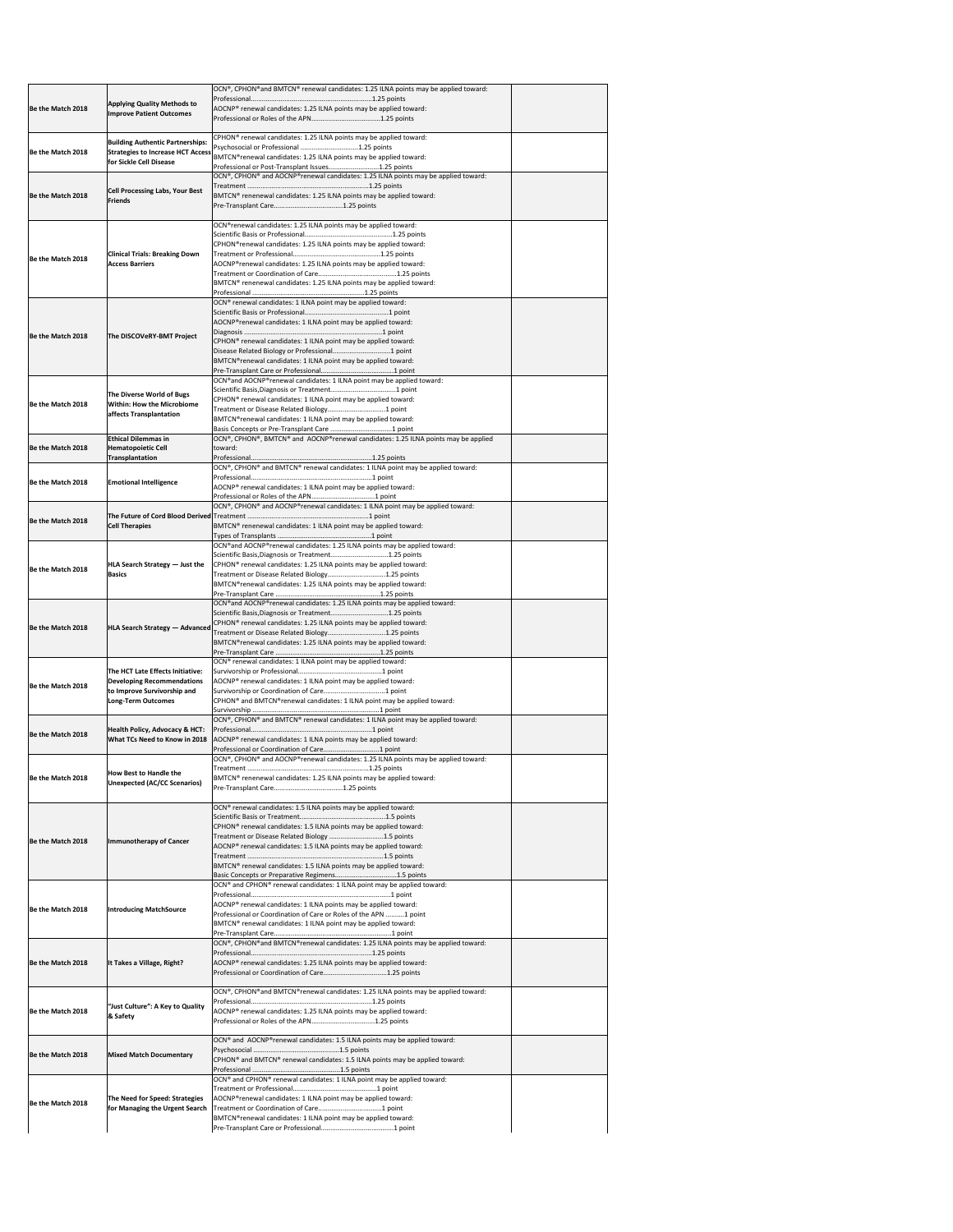| Be the Match 2018 | <b>Applying Quality Methods to</b><br><b>Improve Patient Outcomes</b>                                                      | OCN®, CPHON®and BMTCN® renewal candidates: 1.25 ILNA points may be applied toward:<br>AOCNP® renewal candidates: 1.25 ILNA points may be applied toward:                                                                                                                                                                                                                                                                              |  |
|-------------------|----------------------------------------------------------------------------------------------------------------------------|---------------------------------------------------------------------------------------------------------------------------------------------------------------------------------------------------------------------------------------------------------------------------------------------------------------------------------------------------------------------------------------------------------------------------------------|--|
| Be the Match 2018 | <b>Building Authentic Partnerships:</b><br><b>Strategies to Increase HCT Access</b><br>for Sickle Cell Disease             | CPHON® renewal candidates: 1.25 ILNA points may be applied toward:<br>Psychosocial or Professional 1.25 points<br>BMTCN®renewal candidates: 1.25 ILNA points may be applied toward:<br>Professional or Post-Transplant Issues1.25 points                                                                                                                                                                                              |  |
| Be the Match 2018 | <b>Cell Processing Labs, Your Best</b><br><b>Friends</b>                                                                   | OCN®, CPHON® and AOCNP®renewal candidates: 1.25 ILNA points may be applied toward:<br>BMTCN® renenewal candidates: 1.25 ILNA points may be applied toward:                                                                                                                                                                                                                                                                            |  |
| Be the Match 2018 | <b>Clinical Trials: Breaking Down</b><br><b>Access Barriers</b>                                                            | OCN®renewal candidates: 1.25 ILNA points may be applied toward:<br>CPHON®renewal candidates: 1.25 ILNA points may be applied toward:<br>AOCNP®renewal candidates: 1.25 ILNA points may be applied toward:<br>BMTCN® renenewal candidates: 1.25 ILNA points may be applied toward:                                                                                                                                                     |  |
| Be the Match 2018 | The DISCOVeRY-BMT Project                                                                                                  | OCN® renewal candidates: 1 ILNA point may be applied toward:<br>AOCNP®renewal candidates: 1 ILNA point may be applied toward:<br>CPHON <sup>®</sup> renewal candidates: 1 ILNA point may be applied toward:<br>BMTCN®renewal candidates: 1 ILNA point may be applied toward:                                                                                                                                                          |  |
| Be the Match 2018 | The Diverse World of Bugs<br><b>Within: How the Microbiome</b><br>affects Transplantation                                  | OCN® and AOCNP® renewal candidates: 1 ILNA point may be applied toward:<br>CPHON <sup>®</sup> renewal candidates: 1 ILNA point may be applied toward:<br>BMTCN®renewal candidates: 1 ILNA point may be applied toward:                                                                                                                                                                                                                |  |
| Be the Match 2018 | <b>Ethical Dilemmas in</b><br><b>Hematopoietic Cell</b><br><b>Transplantation</b>                                          | OCN®, CPHON®, BMTCN® and AOCNP®renewal candidates: 1.25 ILNA points may be applied<br>toward:                                                                                                                                                                                                                                                                                                                                         |  |
| Be the Match 2018 | <b>Emotional Intelligence</b>                                                                                              | OCN®, CPHON® and BMTCN® renewal candidates: 1 ILNA point may be applied toward:<br>AOCNP <sup>®</sup> renewal candidates: 1 ILNA point may be applied toward:                                                                                                                                                                                                                                                                         |  |
| Be the Match 2018 | <b>Cell Therapies</b>                                                                                                      | OCN®, CPHON® and AOCNP®renewal candidates: 1 ILNA point may be applied toward:<br>BMTCN® renenewal candidates: 1 ILNA point may be applied toward:                                                                                                                                                                                                                                                                                    |  |
| Be the Match 2018 | $ HLA$ Search Strategy $-$ Just the<br><b>Basics</b>                                                                       | OCN® and AOCNP® renewal candidates: 1.25 ILNA points may be applied toward:<br>Scientific Basis, Diagnosis or Treatment1.25 points<br>CPHON <sup>®</sup> renewal candidates: 1.25 ILNA points may be applied toward:<br>Treatment or Disease Related Biology1.25 points<br>BMTCN®renewal candidates: 1.25 ILNA points may be applied toward:                                                                                          |  |
| Be the Match 2018 | <b>HLA Search Strategy - Advanced</b>                                                                                      | OCN® and AOCNP® renewal candidates: 1.25 ILNA points may be applied toward:<br>Scientific Basis, Diagnosis or Treatment1.25 points<br>CPHON <sup>®</sup> renewal candidates: 1.25 ILNA points may be applied toward:<br>Treatment or Disease Related Biology1.25 points<br>BMTCN®renewal candidates: 1.25 ILNA points may be applied toward:                                                                                          |  |
| Be the Match 2018 | The HCT Late Effects Initiative:<br><b>Developing Recommendations</b><br>to Improve Survivorship and<br>Long-Term Outcomes | OCN® renewal candidates: 1 ILNA point may be applied toward:<br>AOCNP <sup>®</sup> renewal candidates: 1 ILNA point may be applied toward:<br>CPHON <sup>®</sup> and BMTCN®renewal candidates: 1 ILNA point may be applied toward:                                                                                                                                                                                                    |  |
| Be the Match 2018 | Health Policy, Advocacy & HCT:<br><b>What TCs Need to Know in 2018</b>                                                     | OCN®, CPHON® and BMTCN® renewal candidates: 1 ILNA point may be applied toward:<br>AOCNP <sup>®</sup> renewal candidates: 1 ILNA points may be applied toward:                                                                                                                                                                                                                                                                        |  |
| Be the Match 2018 | <b>How Best to Handle the</b><br>Unexpected (AC/CC Scenarios)                                                              | OCN®, CPHON® and AOCNP®renewal candidates: 1.25 ILNA points may be applied toward:<br>BMTCN® renenewal candidates: 1.25 ILNA points may be applied toward:                                                                                                                                                                                                                                                                            |  |
| Be the Match 2018 | Immunotherapy of Cancer                                                                                                    | OCN <sup>®</sup> renewal candidates: 1.5 ILNA points may be applied toward:<br>CPHON <sup>®</sup> renewal candidates: 1.5 ILNA points may be applied toward:<br>Treatment or Disease Related Biology 1.5 points<br>AOCNP <sup>®</sup> renewal candidates: 1.5 ILNA points may be applied toward:<br>BMTCN <sup>®</sup> renewal candidates: 1.5 ILNA points may be applied toward:<br>Basic Concepts or Preparative Regimens1.5 points |  |
| Be the Match 2018 | <b>Introducing MatchSource</b>                                                                                             | OCN® and CPHON® renewal candidates: 1 ILNA point may be applied toward:<br>AOCNP <sup>®</sup> renewal candidates: 1 ILNA points may be applied toward:<br>Professional or Coordination of Care or Roles of the APN 1 point<br>BMTCN® renewal candidates: 1 ILNA point may be applied toward:                                                                                                                                          |  |
| Be the Match 2018 | It Takes a Village, Right?                                                                                                 | OCN®, CPHON®and BMTCN®renewal candidates: 1.25 ILNA points may be applied toward:<br>AOCNP® renewal candidates: 1.25 ILNA points may be applied toward:<br>Professional or Coordination of Care1.25 points                                                                                                                                                                                                                            |  |
| Be the Match 2018 | "Just Culture": A Key to Quality<br>& Safety                                                                               | OCN®, CPHON® and BMTCN® renewal candidates: 1.25 ILNA points may be applied toward:<br>AOCNP <sup>®</sup> renewal candidates: 1.25 ILNA points may be applied toward:<br>Professional or Roles of the APN1.25 points                                                                                                                                                                                                                  |  |
| Be the Match 2018 | <b>Mixed Match Documentary</b>                                                                                             | OCN® and AOCNP®renewal candidates: 1.5 ILNA points may be applied toward:<br>CPHON® and BMTCN® renewal candidates: 1.5 ILNA points may be applied toward:                                                                                                                                                                                                                                                                             |  |
| Be the Match 2018 | The Need for Speed: Strategies<br>for Managing the Urgent Search                                                           | OCN® and CPHON® renewal candidates: 1 ILNA point may be applied toward:<br>AOCNP®renewal candidates: 1 ILNA point may be applied toward:<br>BMTCN®renewal candidates: 1 ILNA point may be applied toward:                                                                                                                                                                                                                             |  |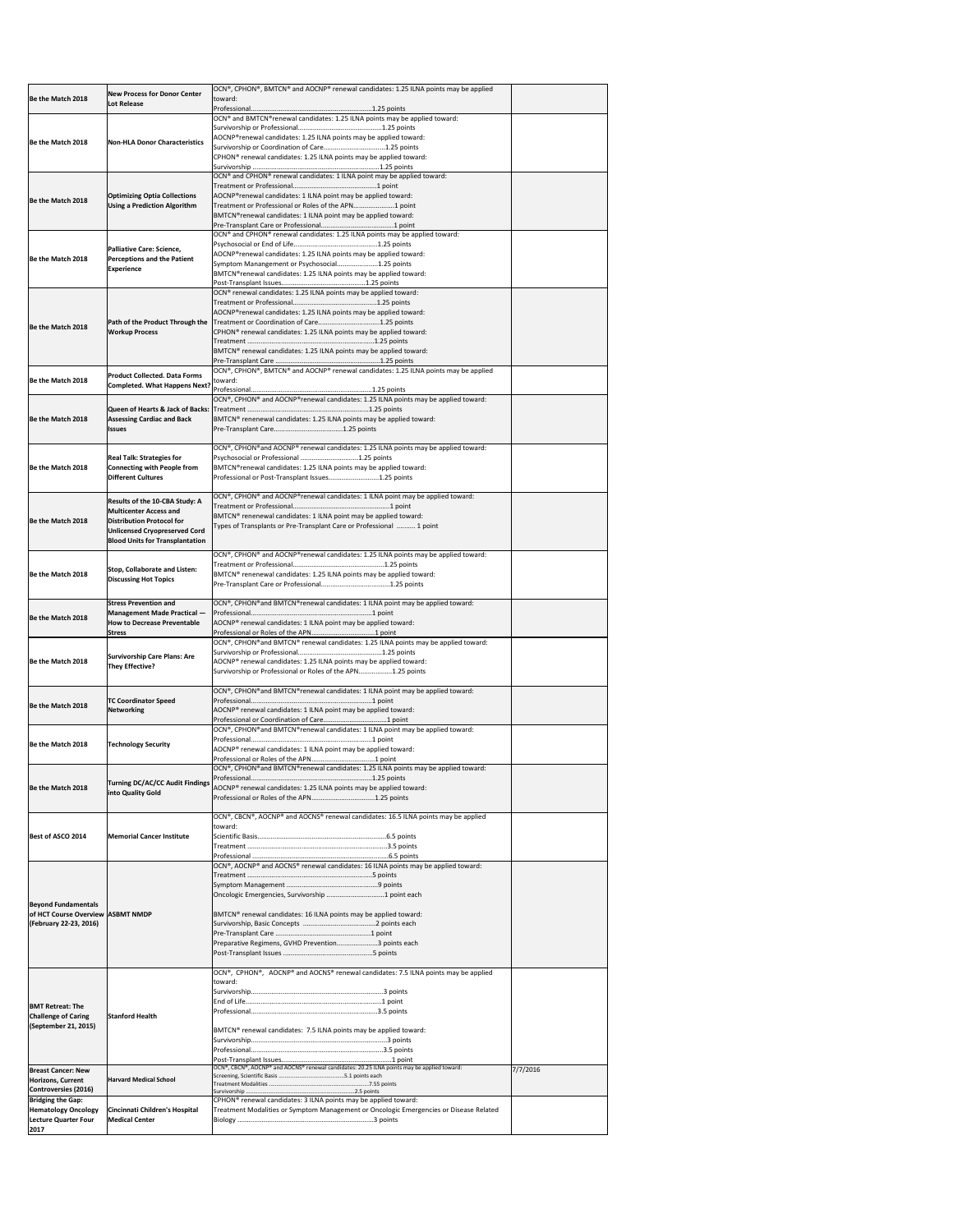| Be the Match 2018                                                                             | New Process for Donor Center<br>Lot Release                                                                                                                                           | OCN®, CPHON®, BMTCN® and AOCNP® renewal candidates: 1.25 ILNA points may be applied<br>toward:                                                                                                                                                                                                                        |          |
|-----------------------------------------------------------------------------------------------|---------------------------------------------------------------------------------------------------------------------------------------------------------------------------------------|-----------------------------------------------------------------------------------------------------------------------------------------------------------------------------------------------------------------------------------------------------------------------------------------------------------------------|----------|
| <b>IBe the Match 2018</b>                                                                     | Non-HLA Donor Characteristics                                                                                                                                                         | OCN® and BMTCN®renewal candidates: 1.25 ILNA points may be applied toward:<br>AOCNP®renewal candidates: 1.25 ILNA points may be applied toward:<br>Survivorship or Coordination of Care1.25 points<br>CPHON <sup>®</sup> renewal candidates: 1.25 ILNA points may be applied toward:                                  |          |
| Be the Match 2018                                                                             | <b>Optimizing Optia Collections</b><br><b>Using a Prediction Algorithm</b>                                                                                                            | OCN® and CPHON® renewal candidates: 1 ILNA point may be applied toward:<br>AOCNP®renewal candidates: 1 ILNA point may be applied toward:<br>Treatment or Professional or Roles of the APN1 point<br>BMTCN®renewal candidates: 1 ILNA point may be applied toward:                                                     |          |
| Be the Match 2018                                                                             | Palliative Care: Science,<br><b>Perceptions and the Patient</b><br><b>Experience</b>                                                                                                  | OCN® and CPHON® renewal candidates: 1.25 ILNA points may be applied toward:<br>AOCNP®renewal candidates: 1.25 ILNA points may be applied toward:<br>Symptom Manangement or Psychosocial1.25 points<br>BMTCN®renewal candidates: 1.25 ILNA points may be applied toward:                                               |          |
| Be the Match 2018                                                                             | <b>Path of the Product Through the</b><br><b>Workup Process</b>                                                                                                                       | OCN <sup>®</sup> renewal candidates: 1.25 ILNA points may be applied toward:<br>AOCNP®renewal candidates: 1.25 ILNA points may be applied toward:<br>CPHON <sup>®</sup> renewal candidates: 1.25 ILNA points may be applied toward:<br>BMTCN <sup>®</sup> renewal candidates: 1.25 ILNA points may be applied toward: |          |
| Be the Match 2018                                                                             | <b>Product Collected. Data Forms</b><br>Completed. What Happens Next?                                                                                                                 | OCN®, CPHON®, BMTCN® and AOCNP® renewal candidates: 1.25 ILNA points may be applied<br>toward:                                                                                                                                                                                                                        |          |
| Be the Match 2018                                                                             | <b>Assessing Cardiac and Back</b><br><b>Issues</b>                                                                                                                                    | OCN®, CPHON® and AOCNP®renewal candidates: 1.25 ILNA points may be applied toward:<br>BMTCN <sup>®</sup> renenewal candidates: 1.25 ILNA points may be applied toward:                                                                                                                                                |          |
| Be the Match 2018                                                                             | <b>Real Talk: Strategies for</b><br>Connecting with People from<br><b>Different Cultures</b>                                                                                          | OCN®, CPHON® and AOCNP® renewal candidates: 1.25 ILNA points may be applied toward:<br>Psychosocial or Professional 1.25 points<br>BMTCN®renewal candidates: 1.25 ILNA points may be applied toward:<br>Professional or Post-Transplant Issues1.25 points                                                             |          |
| Be the Match 2018                                                                             | <b>Results of the 10-CBA Study: A</b><br><b>Multicenter Access and</b><br>Distribution Protocol for<br><b>Unlicensed Cryopreserved Cord</b><br><b>Blood Units for Transplantation</b> | OCN®, CPHON® and AOCNP®renewal candidates: 1 ILNA point may be applied toward:<br>BMTCN® renenewal candidates: 1 ILNA point may be applied toward:<br>Types of Transplants or Pre-Transplant Care or Professional  1 point                                                                                            |          |
| Be the Match 2018                                                                             | <b>Stop, Collaborate and Listen:</b><br><b>Discussing Hot Topics</b>                                                                                                                  | OCN®, CPHON® and AOCNP®renewal candidates: 1.25 ILNA points may be applied toward:<br>BMTCN <sup>®</sup> renenewal candidates: 1.25 ILNA points may be applied toward:                                                                                                                                                |          |
| Be the Match 2018                                                                             | <b>Stress Prevention and</b><br><b>Management Made Practical -</b><br><b>How to Decrease Preventable</b><br><b>Stress</b>                                                             | OCN®, CPHON® and BMTCN® renewal candidates: 1 ILNA point may be applied toward:<br>AOCNP® renewal candidates: 1 ILNA point may be applied toward:                                                                                                                                                                     |          |
| Be the Match 2018                                                                             | <b>Survivorship Care Plans: Are</b><br><b>They Effective?</b>                                                                                                                         | OCN®, CPHON® and BMTCN® renewal candidates: 1.25 ILNA points may be applied toward:<br>AOCNP® renewal candidates: 1.25 ILNA points may be applied toward:<br>Survivorship or Professional or Roles of the APN1.25 points                                                                                              |          |
| Be the Match 2018                                                                             | <b>TC Coordinator Speed</b><br>Networking                                                                                                                                             | OCN®, CPHON® and BMTCN® renewal candidates: 1 ILNA point may be applied toward:<br>AOCNP <sup>®</sup> renewal candidates: 1 ILNA point may be applied toward:                                                                                                                                                         |          |
| Be the Match 2018                                                                             | <b>Technology Security</b>                                                                                                                                                            | OCN®, CPHON® and BMTCN® renewal candidates: 1 ILNA point may be applied toward:<br>AOCNP® renewal candidates: 1 ILNA point may be applied toward:<br>OCN®, CPHON® and BMTCN® renewal candidates: 1.25 ILNA points may be applied toward:                                                                              |          |
| Be the Match 2018                                                                             | <b>Turning DC/AC/CC Audit Findings</b><br>into Quality Gold                                                                                                                           | AOCNP® renewal candidates: 1.25 ILNA points may be applied toward:                                                                                                                                                                                                                                                    |          |
| Best of ASCO 2014                                                                             | <b>Memorial Cancer Institute</b>                                                                                                                                                      | OCN®, CBCN®, AOCNP® and AOCNS® renewal candidates: 16.5 ILNA points may be applied<br>toward:<br>OCN®, AOCNP® and AOCNS® renewal candidates: 16 ILNA points may be applied toward:                                                                                                                                    |          |
| <b>Beyond Fundamentals</b><br>of HCT Course Overview ASBMT NMDP<br>(February 22-23, 2016)     |                                                                                                                                                                                       | Oncologic Emergencies, Survivorship 1 point each<br>BMTCN® renewal candidates: 16 ILNA points may be applied toward:<br>Preparative Regimens, GVHD Prevention3 points each                                                                                                                                            |          |
| <b>BMT Retreat: The</b><br><b>Challenge of Caring</b><br>(September 21, 2015)                 | <b>Stanford Health</b>                                                                                                                                                                | OCN®, CPHON®, AOCNP® and AOCNS® renewal candidates: 7.5 ILNA points may be applied<br>toward:<br>BMTCN <sup>®</sup> renewal candidates: 7.5 ILNA points may be applied toward:                                                                                                                                        |          |
| <b>Breast Cancer: New</b><br>Horizons, Current<br><b>Controversies (2016)</b>                 | <b>Harvard Medical School</b>                                                                                                                                                         | OCN®, CBCN®, AOCNP® and AOCNS® renewal candidates: 20.25 ILNA points may be applied toward:                                                                                                                                                                                                                           | 7/7/2016 |
| <b>Bridging the Gap:</b><br><b>Hematology Oncology</b><br><b>Lecture Quarter Four</b><br>2017 | Cincinnati Children's Hospital<br><b>Medical Center</b>                                                                                                                               | CPHON <sup>®</sup> renewal candidates: 3 ILNA points may be applied toward:<br>Treatment Modalities or Symptom Management or Oncologic Emergencies or Disease Related                                                                                                                                                 |          |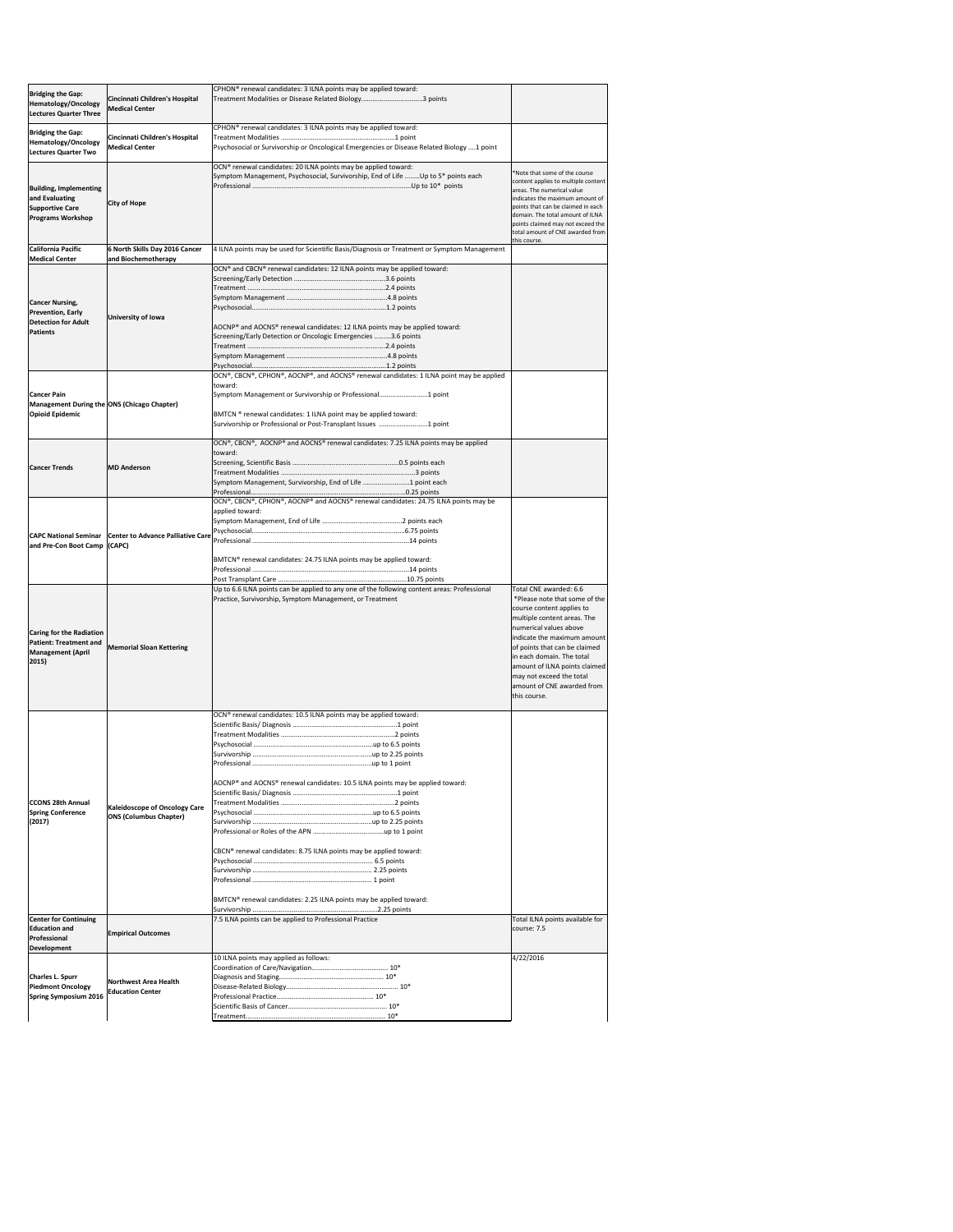| <b>Bridging the Gap:</b><br>Hematology/Oncology<br><b>Lectures Quarter Three</b>                                              | Cincinnati Children's Hospital<br><b>Medical Center</b>               | CPHON <sup>®</sup> renewal candidates: 3 ILNA points may be applied toward:<br>Treatment Modalities or Disease Related Biology3 points                                                                                                                                                               |                                                                                                                                                                                                                                                                                                                                                       |
|-------------------------------------------------------------------------------------------------------------------------------|-----------------------------------------------------------------------|------------------------------------------------------------------------------------------------------------------------------------------------------------------------------------------------------------------------------------------------------------------------------------------------------|-------------------------------------------------------------------------------------------------------------------------------------------------------------------------------------------------------------------------------------------------------------------------------------------------------------------------------------------------------|
| <b>Bridging the Gap:</b><br>Hematology/Oncology                                                                               | Cincinnati Children's Hospital<br><b>Medical Center</b>               | CPHON <sup>®</sup> renewal candidates: 3 ILNA points may be applied toward:<br>Psychosocial or Survivorship or Oncological Emergencies or Disease Related Biology 1 point                                                                                                                            |                                                                                                                                                                                                                                                                                                                                                       |
| Lectures Quarter Two<br><b>Building, Implementing</b><br>and Evaluating<br><b>Supportive Care</b><br><b>Programs Workshop</b> | <b>City of Hope</b>                                                   | OCN® renewal candidates: 20 ILNA points may be applied toward:<br>Symptom Management, Psychosocial, Survivorship, End of Life Up to 5* points each                                                                                                                                                   | *Note that some of the course<br>content applies to multiple content<br>areas. The numerical value<br>indicates the maximum amount of<br>points that can be claimed in each<br>domain. The total amount of ILNA<br>points claimed may not exceed the<br>total amount of CNE awarded from                                                              |
| California Pacific<br><b>Medical Center</b>                                                                                   | 6 North Skills Day 2016 Cancer<br>and Biochemotherapy                 | 4 ILNA points may be used for Scientific Basis/Diagnosis or Treatment or Symptom Management                                                                                                                                                                                                          | this course.                                                                                                                                                                                                                                                                                                                                          |
| <b>Cancer Nursing,</b><br><b>Prevention, Early</b><br><b>Detection for Adult</b><br><b>Patients</b>                           | University of Iowa                                                    | OCN® and CBCN® renewal candidates: 12 ILNA points may be applied toward:<br>AOCNP® and AOCNS® renewal candidates: 12 ILNA points may be applied toward:<br>Screening/Early Detection or Oncologic Emergencies 3.6 points                                                                             |                                                                                                                                                                                                                                                                                                                                                       |
| <b>Cancer Pain</b><br>Management During the ONS (Chicago Chapter)<br><b>Opioid Epidemic</b>                                   |                                                                       | OCN®, CBCN®, CPHON®, AOCNP®, and AOCNS® renewal candidates: 1 ILNA point may be applied<br>toward:<br>Symptom Management or Survivorship or Professional1 point<br>BMTCN ® renewal candidates: 1 ILNA point may be applied toward:<br>Survivorship or Professional or Post-Transplant Issues 1 point |                                                                                                                                                                                                                                                                                                                                                       |
| <b>Cancer Trends</b>                                                                                                          | <b>MD</b> Anderson                                                    | OCN®, CBCN®, AOCNP® and AOCNS® renewal candidates: 7.25 ILNA points may be applied<br>toward:<br>Symptom Management, Survivorship, End of Life 1 point each                                                                                                                                          |                                                                                                                                                                                                                                                                                                                                                       |
| and Pre-Con Boot Camp (CAPC)                                                                                                  | CAPC National Seminar   Center to Advance Palliative Care             | OCN®, CBCN®, CPHON®, AOCNP® and AOCNS® renewal candidates: 24.75 ILNA points may be<br>applied toward:<br>BMTCN <sup>®</sup> renewal candidates: 24.75 ILNA points may be applied toward:                                                                                                            |                                                                                                                                                                                                                                                                                                                                                       |
| Caring for the Radiation<br><b>Patient: Treatment and</b><br><b>Management (April</b><br>2015)                                | <b>Memorial Sloan Kettering</b>                                       | Up to 6.6 ILNA points can be applied to any one of the following content areas: Professional<br>Practice, Survivorship, Symptom Management, or Treatment                                                                                                                                             | Total CNE awarded: 6.6<br>*Please note that some of the<br>course content applies to<br>multiple content areas. The<br>numerical values above<br>indicate the maximum amount<br>of points that can be claimed<br>in each domain. The total<br>amount of ILNA points claimed<br>may not exceed the total<br>amount of CNE awarded from<br>this course. |
| <b>CCONS 28th Annual</b><br><b>Spring Conference</b><br>(2017)                                                                | <b>Kaleidoscope of Oncology Care</b><br><b>ONS (Columbus Chapter)</b> | OCN® renewal candidates: 10.5 ILNA points may be applied toward:<br>AOCNP® and AOCNS® renewal candidates: 10.5 ILNA points may be applied toward:<br>CBCN® renewal candidates: 8.75 ILNA points may be applied toward:<br>BMTCN® renewal candidates: 2.25 ILNA points may be applied toward:         |                                                                                                                                                                                                                                                                                                                                                       |
| <b>Center for Continuing</b><br><b>Education and</b><br>Professional<br>Development                                           | <b>Empirical Outcomes</b>                                             | 7.5 ILNA points can be applied to Professional Practice                                                                                                                                                                                                                                              | Total ILNA points available for<br>course: 7.5                                                                                                                                                                                                                                                                                                        |
| <b>Charles L. Spurr</b><br><b>Piedmont Oncology</b><br><b>Spring Symposium 2016</b>                                           | Northwest Area Health<br><b>Education Center</b>                      | 10 ILNA points may applied as follows:                                                                                                                                                                                                                                                               | 4/22/2016                                                                                                                                                                                                                                                                                                                                             |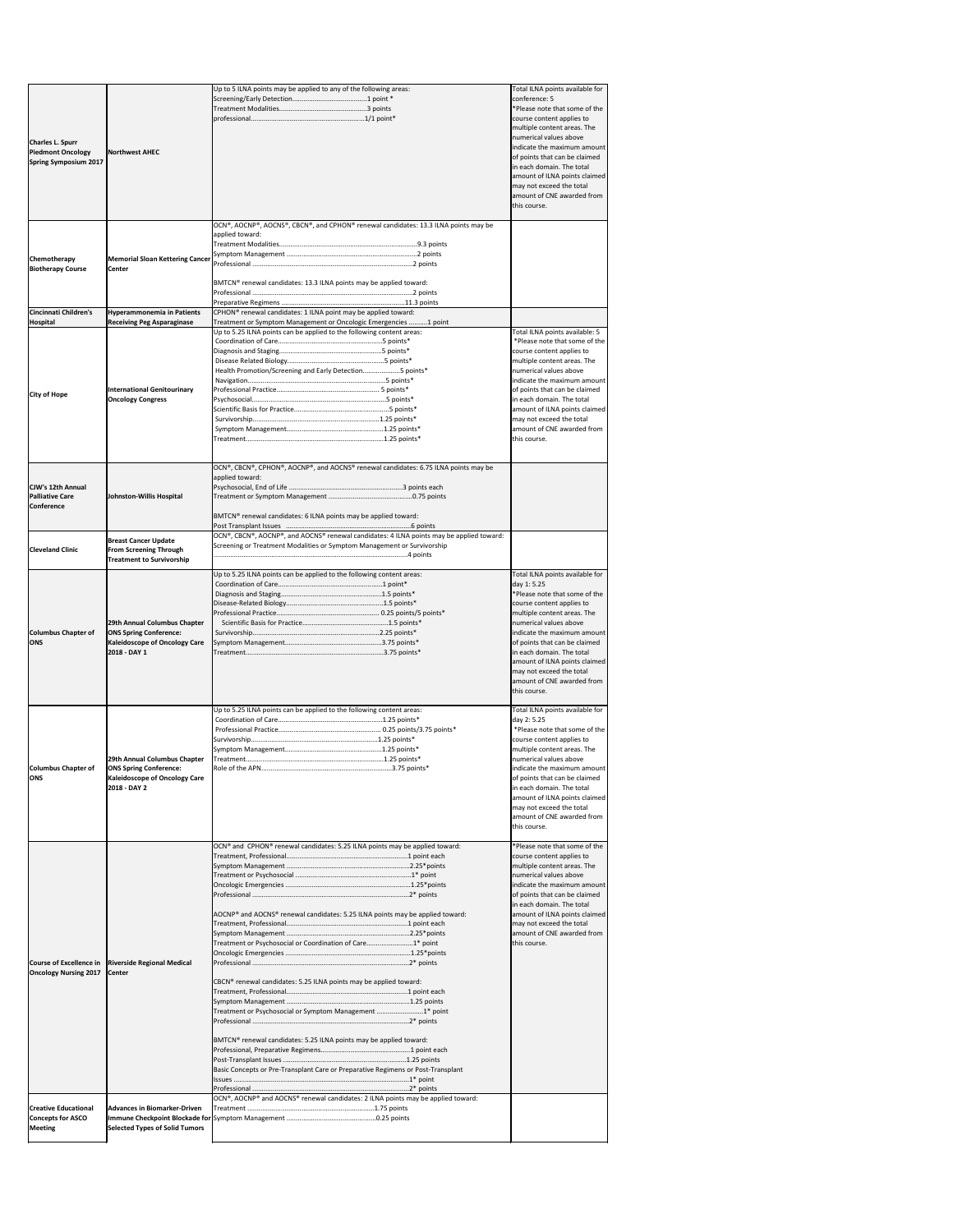|                                                                                     |                                                                                                                       | Up to 5 ILNA points may be applied to any of the following areas:                                                                                                                                                  | Total ILNA points available for<br>conference: 5                                                                                                                                                                                                                                                                                                                             |
|-------------------------------------------------------------------------------------|-----------------------------------------------------------------------------------------------------------------------|--------------------------------------------------------------------------------------------------------------------------------------------------------------------------------------------------------------------|------------------------------------------------------------------------------------------------------------------------------------------------------------------------------------------------------------------------------------------------------------------------------------------------------------------------------------------------------------------------------|
|                                                                                     |                                                                                                                       |                                                                                                                                                                                                                    | *Please note that some of the<br>course content applies to<br>multiple content areas. The                                                                                                                                                                                                                                                                                    |
| <b>Charles L. Spurr</b><br><b>Piedmont Oncology</b><br><b>Spring Symposium 2017</b> | Northwest AHEC                                                                                                        |                                                                                                                                                                                                                    | numerical values above<br>indicate the maximum amount<br>of points that can be claimed<br>in each domain. The total<br>amount of ILNA points claimed<br>may not exceed the total<br>amount of CNE awarded from<br>this course.                                                                                                                                               |
|                                                                                     |                                                                                                                       | OCN®, AOCNP®, AOCNS®, CBCN®, and CPHON® renewal candidates: 13.3 ILNA points may be<br>applied toward:                                                                                                             |                                                                                                                                                                                                                                                                                                                                                                              |
| Chemotherapy<br><b>Biotherapy Course</b>                                            | <b>Memorial Sloan Kettering Cancer</b><br><b>Center</b>                                                               |                                                                                                                                                                                                                    |                                                                                                                                                                                                                                                                                                                                                                              |
|                                                                                     |                                                                                                                       | BMTCN® renewal candidates: 13.3 ILNA points may be applied toward:                                                                                                                                                 |                                                                                                                                                                                                                                                                                                                                                                              |
| <b>Cincinnati Children's</b>                                                        | <b>Hyperammonemia in Patients</b>                                                                                     | CPHON® renewal candidates: 1 ILNA point may be applied toward:                                                                                                                                                     |                                                                                                                                                                                                                                                                                                                                                                              |
| Hospital                                                                            | <b>Receiving Peg Asparaginase</b>                                                                                     | Treatment or Symptom Management or Oncologic Emergencies  1 point<br>Up to 5.25 ILNA points can be applied to the following content areas:                                                                         | Total ILNA points available: 5                                                                                                                                                                                                                                                                                                                                               |
| <b>City of Hope</b>                                                                 | <b>International Genitourinary</b>                                                                                    | Health Promotion/Screening and Early Detection5 points*                                                                                                                                                            | *Please note that some of the<br>course content applies to<br>multiple content areas. The<br>numerical values above<br>indicate the maximum amount<br>of points that can be claimed                                                                                                                                                                                          |
|                                                                                     | <b>Oncology Congress</b>                                                                                              |                                                                                                                                                                                                                    | in each domain. The total<br>amount of ILNA points claimed<br>may not exceed the total<br>amount of CNE awarded from<br>this course.                                                                                                                                                                                                                                         |
|                                                                                     |                                                                                                                       | OCN®, CBCN®, CPHON®, AOCNP®, and AOCNS® renewal candidates: 6.75 ILNA points may be                                                                                                                                |                                                                                                                                                                                                                                                                                                                                                                              |
| <b>CJW's 12th Annual</b><br><b>Palliative Care</b><br><b>Conference</b>             | Johnston-Willis Hospital                                                                                              | applied toward:<br>BMTCN® renewal candidates: 6 ILNA points may be applied toward:                                                                                                                                 |                                                                                                                                                                                                                                                                                                                                                                              |
| <b>Cleveland Clinic</b>                                                             | <b>Breast Cancer Update</b><br><b>From Screening Through</b><br><b>Treatment to Survivorship</b>                      | OCN®, CBCN®, AOCNP®, and AOCNS® renewal candidates: 4 ILNA points may be applied toward:<br>Screening or Treatment Modalities or Symptom Management or Survivorship                                                |                                                                                                                                                                                                                                                                                                                                                                              |
| <b>Columbus Chapter of</b><br><b>ONS</b>                                            | 29th Annual Columbus Chapter<br><b>ONS Spring Conference:</b><br><b>Kaleidoscope of Oncology Care</b><br>2018 - DAY 1 | Up to 5.25 ILNA points can be applied to the following content areas:                                                                                                                                              | Total ILNA points available for<br>day 1:5.25<br>*Please note that some of the<br>course content applies to<br>multiple content areas. The<br>numerical values above<br>indicate the maximum amount<br>of points that can be claimed<br>in each domain. The total<br>amount of ILNA points claimed<br>may not exceed the total<br>amount of CNE awarded from<br>this course. |
|                                                                                     |                                                                                                                       | Up to 5.25 ILNA points can be applied to the following content areas:                                                                                                                                              | Total ILNA points available for<br>day 2:5.25<br>*Please note that some of the                                                                                                                                                                                                                                                                                               |
| <b>Columbus Chapter of</b><br><b>ONS</b>                                            | 29th Annual Columbus Chapter<br><b>ONS Spring Conference:</b><br><b>Kaleidoscope of Oncology Care</b><br>2018 - DAY 2 |                                                                                                                                                                                                                    | course content applies to<br>multiple content areas. The<br>numerical values above<br>indicate the maximum amount<br>of points that can be claimed<br>in each domain. The total<br>amount of ILNA points claimed<br>may not exceed the total<br>amount of CNE awarded from<br>this course.                                                                                   |
| <b>Course of Excellence in</b><br><b>Oncology Nursing 2017</b>                      | <b>Riverside Regional Medical</b><br><b>Center</b>                                                                    | OCN® and CPHON® renewal candidates: 5.25 ILNA points may be applied toward:                                                                                                                                        | *Please note that some of the<br>course content applies to<br>multiple content areas. The<br>numerical values above<br>indicate the maximum amount<br>of points that can be claimed<br>in each domain. The total                                                                                                                                                             |
|                                                                                     |                                                                                                                       | AOCNP® and AOCNS® renewal candidates: 5.25 ILNA points may be applied toward:<br>Treatment or Psychosocial or Coordination of Care1* point<br>CBCN® renewal candidates: 5.25 ILNA points may be applied toward:    | amount of ILNA points claimed<br>may not exceed the total<br>amount of CNE awarded from<br>this course.                                                                                                                                                                                                                                                                      |
|                                                                                     |                                                                                                                       | Treatment or Psychosocial or Symptom Management 1* point<br>BMTCN® renewal candidates: 5.25 ILNA points may be applied toward:<br>Basic Concepts or Pre-Transplant Care or Preparative Regimens or Post-Transplant |                                                                                                                                                                                                                                                                                                                                                                              |
|                                                                                     |                                                                                                                       | OCN®, AOCNP® and AOCNS® renewal candidates: 2 ILNA points may be applied toward:                                                                                                                                   |                                                                                                                                                                                                                                                                                                                                                                              |
| <b>Creative Educational</b><br><b>Concepts for ASCO</b><br><b>Meeting</b>           | <b>Advances in Biomarker-Driven</b><br><b>Selected Types of Solid Tumors</b>                                          |                                                                                                                                                                                                                    |                                                                                                                                                                                                                                                                                                                                                                              |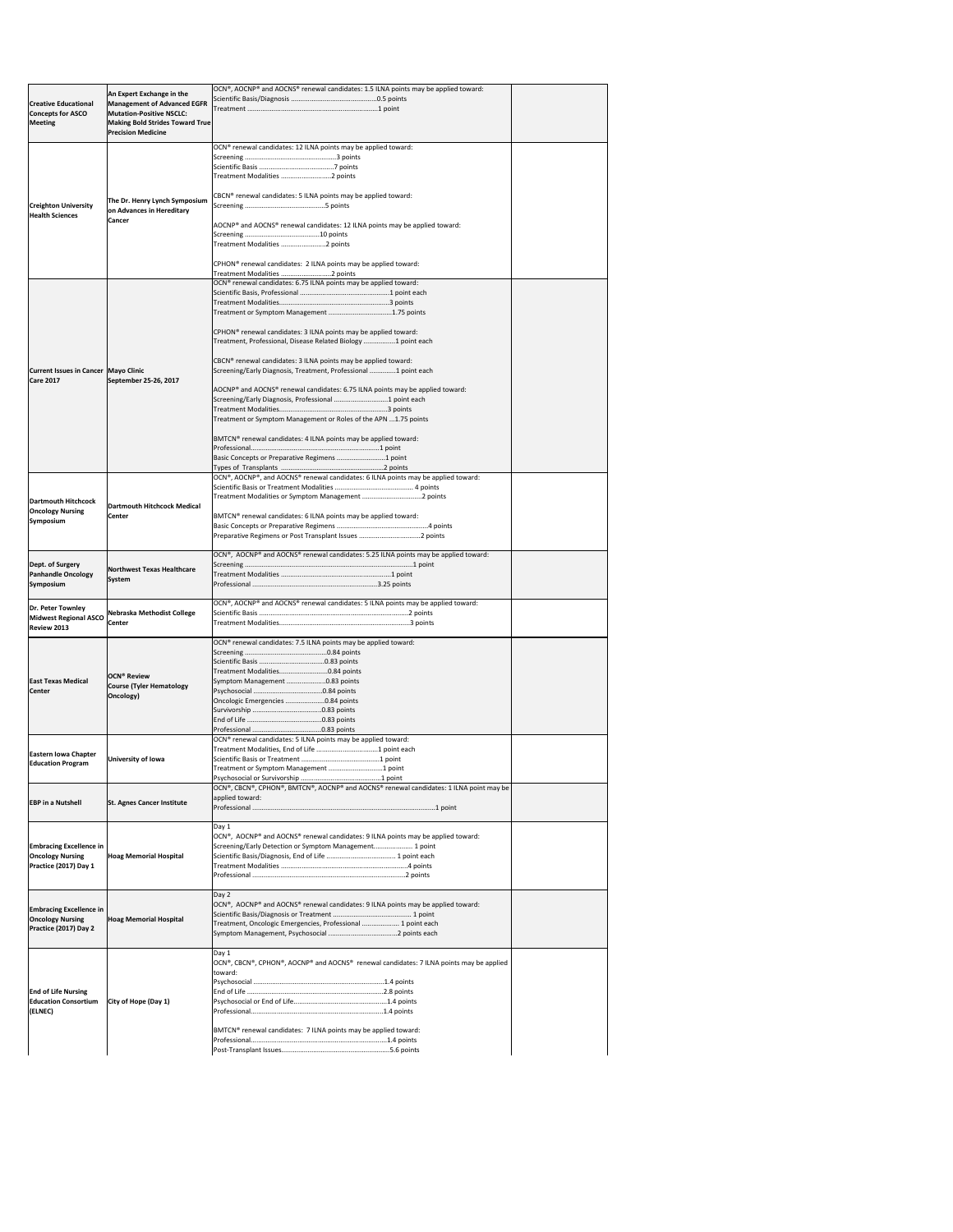|                                        |                                        | OCN®, AOCNP® and AOCNS® renewal candidates: 1.5 ILNA points may be applied toward:      |  |
|----------------------------------------|----------------------------------------|-----------------------------------------------------------------------------------------|--|
|                                        | An Expert Exchange in the              |                                                                                         |  |
| <b>Creative Educational</b>            | <b>Management of Advanced EGFR</b>     |                                                                                         |  |
| <b>Concepts for ASCO</b>               | <b>Mutation-Positive NSCLC:</b>        |                                                                                         |  |
| Meeting                                | <b>Making Bold Strides Toward True</b> |                                                                                         |  |
|                                        | <b>Precision Medicine</b>              |                                                                                         |  |
|                                        |                                        | OCN <sup>®</sup> renewal candidates: 12 ILNA points may be applied toward:              |  |
|                                        |                                        |                                                                                         |  |
|                                        |                                        |                                                                                         |  |
|                                        |                                        | Treatment Modalities 2 points                                                           |  |
|                                        |                                        |                                                                                         |  |
|                                        |                                        | CBCN <sup>®</sup> renewal candidates: 5 ILNA points may be applied toward:              |  |
| <b>Creighton University</b>            | The Dr. Henry Lynch Symposium          |                                                                                         |  |
| <b>Health Sciences</b>                 | on Advances in Hereditary              |                                                                                         |  |
|                                        | Cancer                                 | AOCNP® and AOCNS® renewal candidates: 12 ILNA points may be applied toward:             |  |
|                                        |                                        |                                                                                         |  |
|                                        |                                        | Treatment Modalities 2 points                                                           |  |
|                                        |                                        |                                                                                         |  |
|                                        |                                        | CPHON <sup>®</sup> renewal candidates: 2 ILNA points may be applied toward:             |  |
|                                        |                                        | Treatment Modalities 2 points                                                           |  |
|                                        |                                        | OCN <sup>®</sup> renewal candidates: 6.75 ILNA points may be applied toward:            |  |
|                                        |                                        |                                                                                         |  |
|                                        |                                        |                                                                                         |  |
|                                        |                                        | Treatment or Symptom Management 1.75 points                                             |  |
|                                        |                                        |                                                                                         |  |
|                                        |                                        | CPHON <sup>®</sup> renewal candidates: 3 ILNA points may be applied toward:             |  |
|                                        |                                        | Treatment, Professional, Disease Related Biology 1 point each                           |  |
|                                        |                                        |                                                                                         |  |
|                                        |                                        | CBCN <sup>®</sup> renewal candidates: 3 ILNA points may be applied toward:              |  |
| Current Issues in Cancer   Mayo Clinic |                                        | Screening/Early Diagnosis, Treatment, Professional 1 point each                         |  |
| <b>Care 2017</b>                       | September 25-26, 2017                  |                                                                                         |  |
|                                        |                                        | AOCNP® and AOCNS® renewal candidates: 6.75 ILNA points may be applied toward:           |  |
|                                        |                                        | Screening/Early Diagnosis, Professional 1 point each                                    |  |
|                                        |                                        |                                                                                         |  |
|                                        |                                        | Treatment or Symptom Management or Roles of the APN  1.75 points                        |  |
|                                        |                                        |                                                                                         |  |
|                                        |                                        | BMTCN® renewal candidates: 4 ILNA points may be applied toward:                         |  |
|                                        |                                        |                                                                                         |  |
|                                        |                                        | Basic Concepts or Preparative Regimens 1 point                                          |  |
|                                        |                                        |                                                                                         |  |
|                                        |                                        | OCN®, AOCNP®, and AOCNS® renewal candidates: 6 ILNA points may be applied toward:       |  |
|                                        |                                        |                                                                                         |  |
| Dartmouth Hitchcock                    |                                        |                                                                                         |  |
| <b>Oncology Nursing</b>                | <b>Dartmouth Hitchcock Medical</b>     |                                                                                         |  |
| Symposium                              | <b>Center</b>                          | BMTCN® renewal candidates: 6 ILNA points may be applied toward:                         |  |
|                                        |                                        |                                                                                         |  |
|                                        |                                        |                                                                                         |  |
|                                        |                                        |                                                                                         |  |
|                                        |                                        | OCN®, AOCNP® and AOCNS® renewal candidates: 5.25 ILNA points may be applied toward:     |  |
| Dept. of Surgery                       | <b>Northwest Texas Healthcare</b>      |                                                                                         |  |
| <b>Panhandle Oncology</b>              | <b>System</b>                          |                                                                                         |  |
| <b>Symposium</b>                       |                                        |                                                                                         |  |
|                                        |                                        |                                                                                         |  |
| Dr. Peter Townley                      |                                        | OCN®, AOCNP® and AOCNS® renewal candidates: 5 ILNA points may be applied toward:        |  |
| Midwest Regional ASCO                  | Nebraska Methodist College             |                                                                                         |  |
| Review 2013                            | <b>Center</b>                          |                                                                                         |  |
|                                        |                                        |                                                                                         |  |
|                                        |                                        | OCN <sup>®</sup> renewal candidates: 7.5 ILNA points may be applied toward:             |  |
|                                        |                                        |                                                                                         |  |
|                                        |                                        |                                                                                         |  |
|                                        | <b>OCN<sup>®</sup> Review</b>          | Treatment Modalities0.84 points                                                         |  |
| <b>East Texas Medical</b>              | <b>Course (Tyler Hematology</b>        | Symptom Management 0.83 points                                                          |  |
| Center                                 | Oncology)                              |                                                                                         |  |
|                                        |                                        | Oncologic Emergencies 0.84 points                                                       |  |
|                                        |                                        |                                                                                         |  |
|                                        |                                        |                                                                                         |  |
|                                        |                                        | OCN <sup>®</sup> renewal candidates: 5 ILNA points may be applied toward:               |  |
|                                        |                                        |                                                                                         |  |
| <b>Eastern Iowa Chapter</b>            | University of Iowa                     |                                                                                         |  |
| <b>Education Program</b>               |                                        |                                                                                         |  |
|                                        |                                        |                                                                                         |  |
|                                        |                                        | OCN®, CBCN®, CPHON®, BMTCN®, AOCNP® and AOCNS® renewal candidates: 1 ILNA point may be  |  |
|                                        |                                        | applied toward:                                                                         |  |
| <b>EBP</b> in a Nutshell               | <b>St. Agnes Cancer Institute</b>      |                                                                                         |  |
|                                        |                                        |                                                                                         |  |
|                                        |                                        | Day 1                                                                                   |  |
|                                        |                                        | OCN®, AOCNP® and AOCNS® renewal candidates: 9 ILNA points may be applied toward:        |  |
| <b>Embracing Excellence in</b>         |                                        | Screening/Early Detection or Symptom Management 1 point                                 |  |
| <b>Oncology Nursing</b>                | <b>Hoag Memorial Hospital</b>          |                                                                                         |  |
| Practice (2017) Day 1                  |                                        |                                                                                         |  |
|                                        |                                        |                                                                                         |  |
|                                        |                                        |                                                                                         |  |
|                                        |                                        | Day 2                                                                                   |  |
| <b>Embracing Excellence in</b>         |                                        | OCN®, AOCNP® and AOCNS® renewal candidates: 9 ILNA points may be applied toward:        |  |
| <b>Oncology Nursing</b>                | <b>Hoag Memorial Hospital</b>          |                                                                                         |  |
| Practice (2017) Day 2                  |                                        | Treatment, Oncologic Emergencies, Professional  1 point each                            |  |
|                                        |                                        |                                                                                         |  |
|                                        |                                        |                                                                                         |  |
|                                        |                                        | Day 1                                                                                   |  |
|                                        |                                        | OCN®, CBCN®, CPHON®, AOCNP® and AOCNS® renewal candidates: 7 ILNA points may be applied |  |
|                                        |                                        | toward:                                                                                 |  |
|                                        |                                        |                                                                                         |  |
| <b>End of Life Nursing</b>             |                                        |                                                                                         |  |
| <b>Education Consortium</b>            | City of Hope (Day 1)                   |                                                                                         |  |
| (ELNEC)                                |                                        |                                                                                         |  |
|                                        |                                        |                                                                                         |  |
|                                        |                                        | BMTCN® renewal candidates: 7 ILNA points may be applied toward:                         |  |
|                                        |                                        |                                                                                         |  |
|                                        |                                        |                                                                                         |  |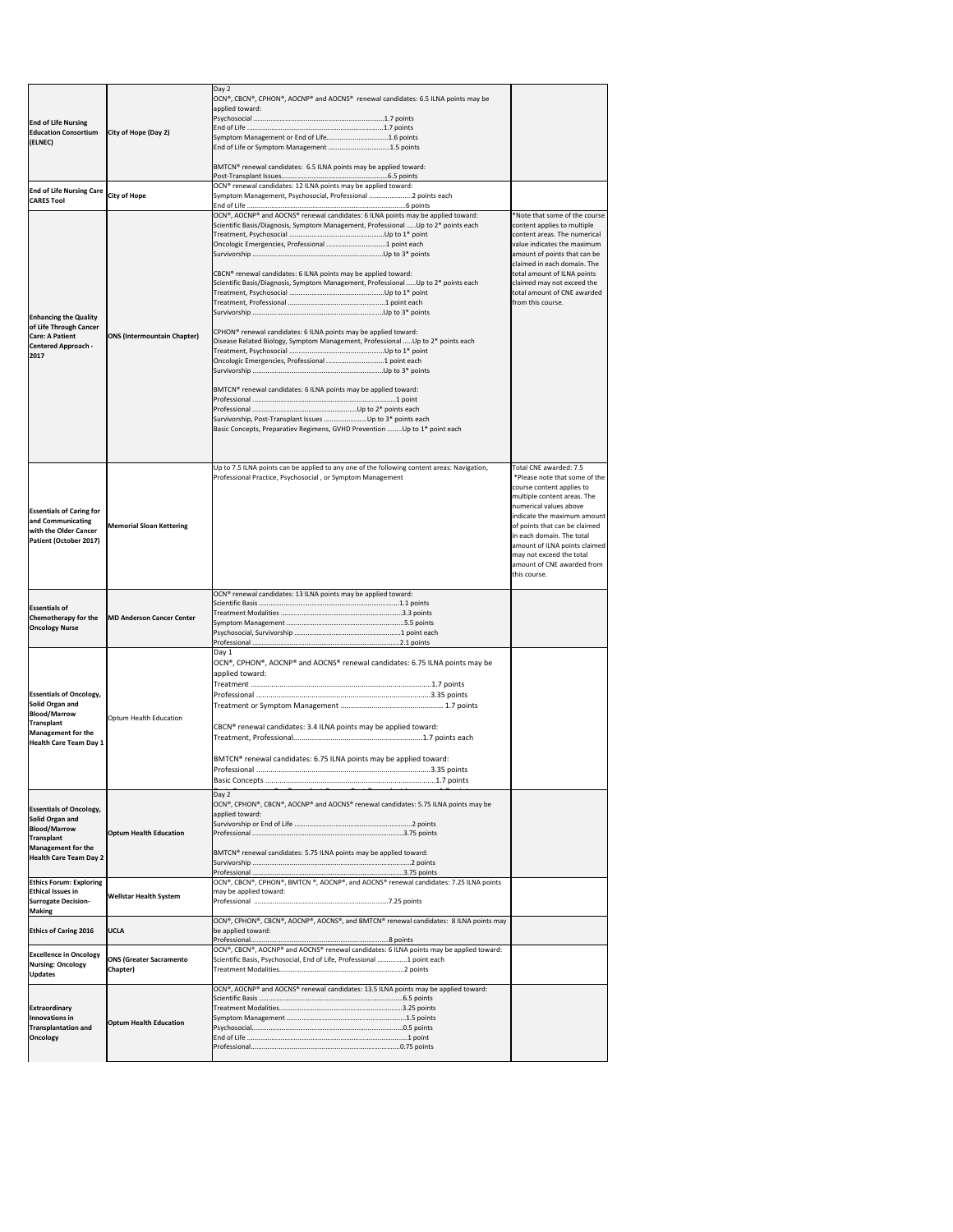| <b>End of Life Nursing</b><br><b>Education Consortium</b><br>(ELNEC)                                                                                        | City of Hope (Day 2)                       | Day 2<br> OCN®, CBCN®, CPHON®, AOCNP® and AOCNS® renewal candidates: 6.5 ILNA points may be<br>applied toward:<br>Symptom Management or End of Life1.6 points<br>End of Life or Symptom Management 1.5 points<br>BMTCN <sup>®</sup> renewal candidates: 6.5 ILNA points may be applied toward:                                                                                                                                                                                                                                                                                                                                                               |                                                                                                                                                                                                                                                                                                                                                       |
|-------------------------------------------------------------------------------------------------------------------------------------------------------------|--------------------------------------------|--------------------------------------------------------------------------------------------------------------------------------------------------------------------------------------------------------------------------------------------------------------------------------------------------------------------------------------------------------------------------------------------------------------------------------------------------------------------------------------------------------------------------------------------------------------------------------------------------------------------------------------------------------------|-------------------------------------------------------------------------------------------------------------------------------------------------------------------------------------------------------------------------------------------------------------------------------------------------------------------------------------------------------|
| <b>End of Life Nursing Care</b><br><b>CARES Tool</b>                                                                                                        | <b>City of Hope</b>                        | OCN <sup>®</sup> renewal candidates: 12 ILNA points may be applied toward:<br>Symptom Management, Psychosocial, Professional 2 points each                                                                                                                                                                                                                                                                                                                                                                                                                                                                                                                   |                                                                                                                                                                                                                                                                                                                                                       |
| <b>Enhancing the Quality</b><br>of Life Through Cancer<br><b>Care: A Patient</b><br><b>Centered Approach -</b><br>2017                                      | <b>ONS (Intermountain Chapter)</b>         | OCN®, AOCNP® and AOCNS® renewal candidates: 6 ILNA points may be applied toward:<br>Scientific Basis/Diagnosis, Symptom Management, Professional  Up to 2* points each<br>CBCN <sup>®</sup> renewal candidates: 6 ILNA points may be applied toward:<br>Scientific Basis/Diagnosis, Symptom Management, Professional  Up to 2* points each<br>CPHON <sup>®</sup> renewal candidates: 6 ILNA points may be applied toward:<br>Disease Related Biology, Symptom Management, Professional  Up to 2* points each<br>BMTCN® renewal candidates: 6 ILNA points may be applied toward:<br>Basic Concepts, Preparatiev Regimens, GVHD Prevention Up to 1* point each | Note that some of the course<br>content applies to multiple<br>content areas. The numerical<br>value indicates the maximum<br>amount of points that can be<br>claimed in each domain. The<br>total amount of ILNA points<br>claimed may not exceed the<br>total amount of CNE awarded<br>from this course.                                            |
| <b>Essentials of Caring for</b><br>and Communicating<br>with the Older Cancer<br>Patient (October 2017)                                                     | <b>Memorial Sloan Kettering</b>            | Up to 7.5 ILNA points can be applied to any one of the following content areas: Navigation,<br>Professional Practice, Psychosocial, or Symptom Management                                                                                                                                                                                                                                                                                                                                                                                                                                                                                                    | Total CNE awarded: 7.5<br>*Please note that some of the<br>course content applies to<br>multiple content areas. The<br>numerical values above<br>indicate the maximum amount<br>of points that can be claimed<br>in each domain. The total<br>amount of ILNA points claimed<br>may not exceed the total<br>amount of CNE awarded from<br>this course. |
| <b>Essentials of</b><br><b>Chemotherapy for the</b><br><b>Oncology Nurse</b>                                                                                | <b>MD Anderson Cancer Center</b>           | OCN® renewal candidates: 13 ILNA points may be applied toward:                                                                                                                                                                                                                                                                                                                                                                                                                                                                                                                                                                                               |                                                                                                                                                                                                                                                                                                                                                       |
| <b>Essentials of Oncology,</b><br>Solid Organ and<br><b>Blood/Marrow</b><br><b>Transplant</b><br>Management for the<br>Health Care Team Day 1               | Optum Health Education                     | Day 1<br> OCN®, CPHON®, AOCNP® and AOCNS® renewal candidates: 6.75 ILNA points may be<br>applied toward:<br>CBCN <sup>®</sup> renewal candidates: 3.4 ILNA points may be applied toward:<br>BMTCN® renewal candidates: 6.75 ILNA points may be applied toward:                                                                                                                                                                                                                                                                                                                                                                                               |                                                                                                                                                                                                                                                                                                                                                       |
| <b>Essentials of Oncology,</b><br>Solid Organ and<br><b>Blood/Marrow</b><br><b>Transplant</b><br><b>Management for the</b><br><b>Health Care Team Day 2</b> | <b>Optum Health Education</b>              | Day 2<br>OCN®, CPHON®, CBCN®, AOCNP® and AOCNS® renewal candidates: 5.75 ILNA points may be<br>applied toward:<br>BMTCN® renewal candidates: 5.75 ILNA points may be applied toward:                                                                                                                                                                                                                                                                                                                                                                                                                                                                         |                                                                                                                                                                                                                                                                                                                                                       |
| <b>Ethics Forum: Exploring</b><br><b>Ethical Issues in</b><br><b>Surrogate Decision-</b><br><b>Making</b>                                                   | <b>Wellstar Health System</b>              | OCN®, CBCN®, CPHON®, BMTCN ®, AOCNP®, and AOCNS® renewal candidates: 7.25 ILNA points<br>may be applied toward:                                                                                                                                                                                                                                                                                                                                                                                                                                                                                                                                              |                                                                                                                                                                                                                                                                                                                                                       |
| <b>Ethics of Caring 2016</b>                                                                                                                                | <b>UCLA</b>                                | OCN®, CPHON®, CBCN®, AOCNP®, AOCNS®, and BMTCN® renewal candidates: 8 ILNA points may<br>be applied toward:                                                                                                                                                                                                                                                                                                                                                                                                                                                                                                                                                  |                                                                                                                                                                                                                                                                                                                                                       |
| <b>Excellence in Oncology</b><br><b>Nursing: Oncology</b><br><b>Updates</b>                                                                                 | <b>ONS (Greater Sacramento</b><br>Chapter) | OCN®, CBCN®, AOCNP® and AOCNS® renewal candidates: 6 ILNA points may be applied toward:<br>Scientific Basis, Psychosocial, End of Life, Professional 1 point each                                                                                                                                                                                                                                                                                                                                                                                                                                                                                            |                                                                                                                                                                                                                                                                                                                                                       |
| <b>Extraordinary</b><br>Innovations in<br>Transplantation and<br><b>Oncology</b>                                                                            | <b>Optum Health Education</b>              | OCN®, AOCNP® and AOCNS® renewal candidates: 13.5 ILNA points may be applied toward:                                                                                                                                                                                                                                                                                                                                                                                                                                                                                                                                                                          |                                                                                                                                                                                                                                                                                                                                                       |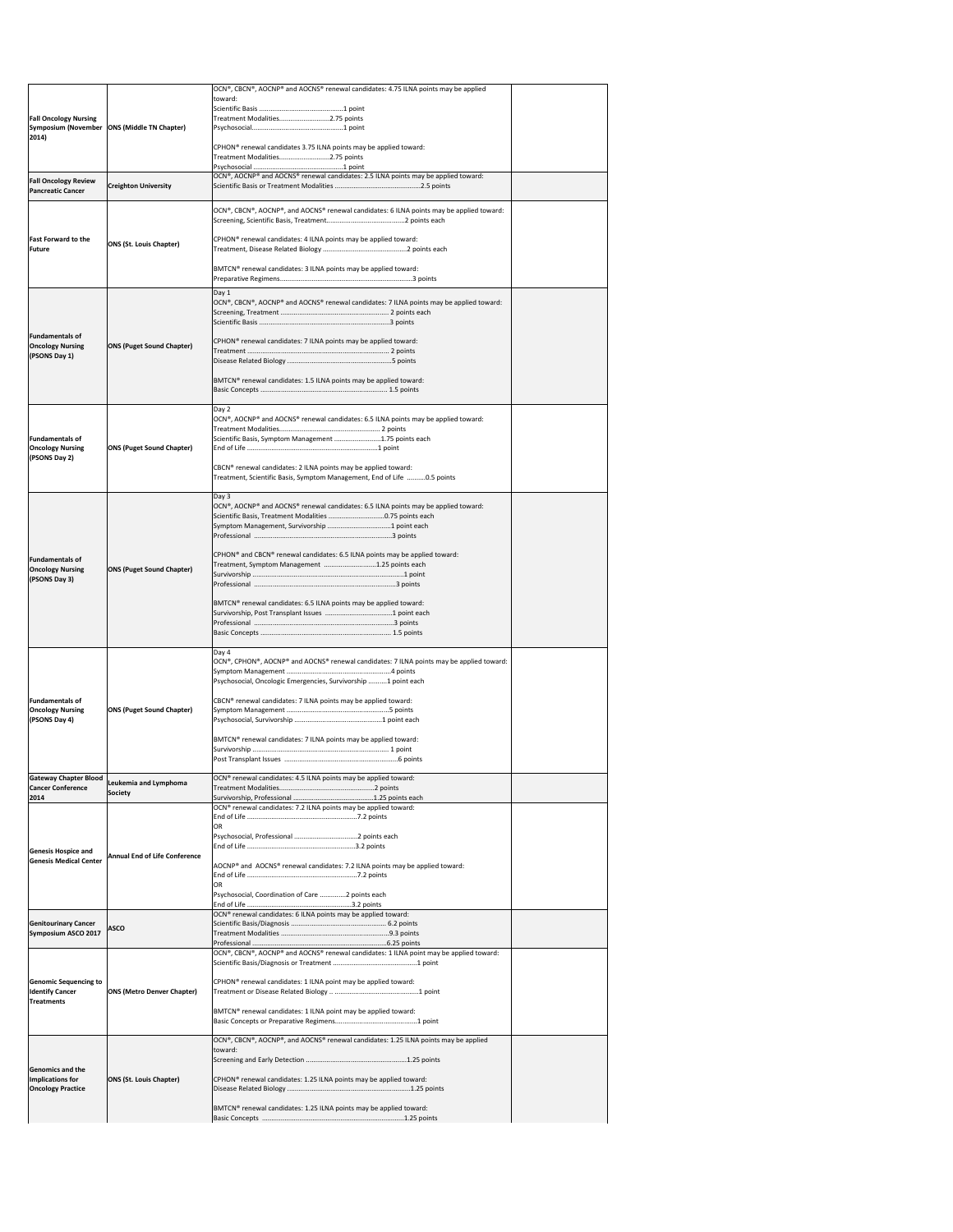|                                                   |                                               | OCN®, CBCN®, AOCNP® and AOCNS® renewal candidates: 4.75 ILNA points may be applied<br>toward:                                                         |  |
|---------------------------------------------------|-----------------------------------------------|-------------------------------------------------------------------------------------------------------------------------------------------------------|--|
|                                                   |                                               |                                                                                                                                                       |  |
| <b>Fall Oncology Nursing</b>                      | Symposium (November   ONS (Middle TN Chapter) | Treatment Modalities2.75 points                                                                                                                       |  |
| 2014)                                             |                                               | CPHON <sup>®</sup> renewal candidates 3.75 ILNA points may be applied toward:                                                                         |  |
|                                                   |                                               | Treatment Modalities2.75 points                                                                                                                       |  |
| <b>Fall Oncology Review</b>                       |                                               | OCN®, AOCNP® and AOCNS® renewal candidates: 2.5 ILNA points may be applied toward:                                                                    |  |
| <b>Pancreatic Cancer</b>                          | <b>Creighton University</b>                   |                                                                                                                                                       |  |
|                                                   |                                               | $[OCN®, CBCN®, AOCNP®, and AOCNS® renewal candidates: 6 ILNA points may be applied toward:$                                                           |  |
|                                                   |                                               |                                                                                                                                                       |  |
| <b>Fast Forward to the</b><br><b>Future</b>       | <b>ONS (St. Louis Chapter)</b>                | CPHON <sup>®</sup> renewal candidates: 4 ILNA points may be applied toward:                                                                           |  |
|                                                   |                                               |                                                                                                                                                       |  |
|                                                   |                                               | BMTCN® renewal candidates: 3 ILNA points may be applied toward:                                                                                       |  |
|                                                   |                                               | Day 1<br>OCN®, CBCN®, AOCNP® and AOCNS® renewal candidates: 7 ILNA points may be applied toward:                                                      |  |
|                                                   |                                               |                                                                                                                                                       |  |
| <b>Fundamentals of</b>                            |                                               |                                                                                                                                                       |  |
| <b>Oncology Nursing</b>                           | <b>ONS (Puget Sound Chapter)</b>              | CPHON <sup>®</sup> renewal candidates: 7 ILNA points may be applied toward:                                                                           |  |
| (PSONS Day 1)                                     |                                               |                                                                                                                                                       |  |
|                                                   |                                               | BMTCN® renewal candidates: 1.5 ILNA points may be applied toward:                                                                                     |  |
|                                                   |                                               |                                                                                                                                                       |  |
|                                                   |                                               | Day 2<br>OCN®, AOCNP® and AOCNS® renewal candidates: 6.5 ILNA points may be applied toward:                                                           |  |
| <b>Fundamentals of</b>                            |                                               | Scientific Basis, Symptom Management 1.75 points each                                                                                                 |  |
| <b>Oncology Nursing</b><br>(PSONS Day 2)          | <b>ONS (Puget Sound Chapter)</b>              |                                                                                                                                                       |  |
|                                                   |                                               | CBCN® renewal candidates: 2 ILNA points may be applied toward:<br>Treatment, Scientific Basis, Symptom Management, End of Life 0.5 points             |  |
|                                                   |                                               |                                                                                                                                                       |  |
|                                                   |                                               | Day 3<br>OCN®, AOCNP® and AOCNS® renewal candidates: 6.5 ILNA points may be applied toward:                                                           |  |
|                                                   |                                               | Scientific Basis, Treatment Modalities 0.75 points each                                                                                               |  |
|                                                   |                                               |                                                                                                                                                       |  |
| <b>Fundamentals of</b>                            |                                               | CPHON <sup>®</sup> and CBCN <sup>®</sup> renewal candidates: 6.5 ILNA points may be applied toward:<br>Treatment, Symptom Management 1.25 points each |  |
| <b>Oncology Nursing</b><br>(PSONS Day 3)          | <b>ONS (Puget Sound Chapter)</b>              |                                                                                                                                                       |  |
|                                                   |                                               |                                                                                                                                                       |  |
|                                                   |                                               | BMTCN® renewal candidates: 6.5 ILNA points may be applied toward:                                                                                     |  |
|                                                   |                                               |                                                                                                                                                       |  |
|                                                   |                                               | Day 4                                                                                                                                                 |  |
|                                                   |                                               | OCN®, CPHON®, AOCNP® and AOCNS® renewal candidates: 7 ILNA points may be applied toward:                                                              |  |
|                                                   |                                               | Psychosocial, Oncologic Emergencies, Survivorship 1 point each                                                                                        |  |
| <b>Fundamentals of</b><br><b>Oncology Nursing</b> | <b>ONS (Puget Sound Chapter)</b>              | CBCN® renewal candidates: 7 ILNA points may be applied toward:                                                                                        |  |
| (PSONS Day 4)                                     |                                               |                                                                                                                                                       |  |
|                                                   |                                               | BMTCN® renewal candidates: 7 ILNA points may be applied toward:                                                                                       |  |
|                                                   |                                               |                                                                                                                                                       |  |
| <b>Gateway Chapter Blood</b>                      | Leukemia and Lymphoma                         | OCN® renewal candidates: 4.5 ILNA points may be applied toward:                                                                                       |  |
| <b>Cancer Conference</b><br>2014                  | Society                                       |                                                                                                                                                       |  |
|                                                   |                                               | OCN® renewal candidates: 7.2 ILNA points may be applied toward:                                                                                       |  |
|                                                   |                                               | ΩR                                                                                                                                                    |  |
| <b>Genesis Hospice and</b>                        | <b>Annual End of Life Conference</b>          |                                                                                                                                                       |  |
| <b>Genesis Medical Center</b>                     |                                               | AOCNP® and AOCNS® renewal candidates: 7.2 ILNA points may be applied toward:                                                                          |  |
|                                                   |                                               | OR                                                                                                                                                    |  |
|                                                   |                                               | Psychosocial, Coordination of Care 2 points each                                                                                                      |  |
| <b>Genitourinary Cancer</b>                       | <b>ASCO</b>                                   | OCN <sup>®</sup> renewal candidates: 6 ILNA points may be applied toward:                                                                             |  |
| Symposium ASCO 2017                               |                                               |                                                                                                                                                       |  |
|                                                   |                                               | OCN®, CBCN®, AOCNP® and AOCNS® renewal candidates: 1 ILNA point may be applied toward:                                                                |  |
| <b>Genomic Sequencing to</b>                      |                                               | CPHON <sup>®</sup> renewal candidates: 1 ILNA point may be applied toward:                                                                            |  |
| <b>Identify Cancer</b><br>Treatments              | <b>ONS (Metro Denver Chapter)</b>             |                                                                                                                                                       |  |
|                                                   |                                               | BMTCN® renewal candidates: 1 ILNA point may be applied toward:                                                                                        |  |
|                                                   |                                               |                                                                                                                                                       |  |
|                                                   |                                               | OCN®, CBCN®, AOCNP®, and AOCNS® renewal candidates: 1.25 ILNA points may be applied<br>toward:                                                        |  |
| <b>Genomics and the</b>                           |                                               |                                                                                                                                                       |  |
| Implications for<br><b>Oncology Practice</b>      | <b>ONS (St. Louis Chapter)</b>                | CPHON <sup>®</sup> renewal candidates: 1.25 ILNA points may be applied toward:                                                                        |  |
|                                                   |                                               | BMTCN® renewal candidates: 1.25 ILNA points may be applied toward:                                                                                    |  |
|                                                   |                                               |                                                                                                                                                       |  |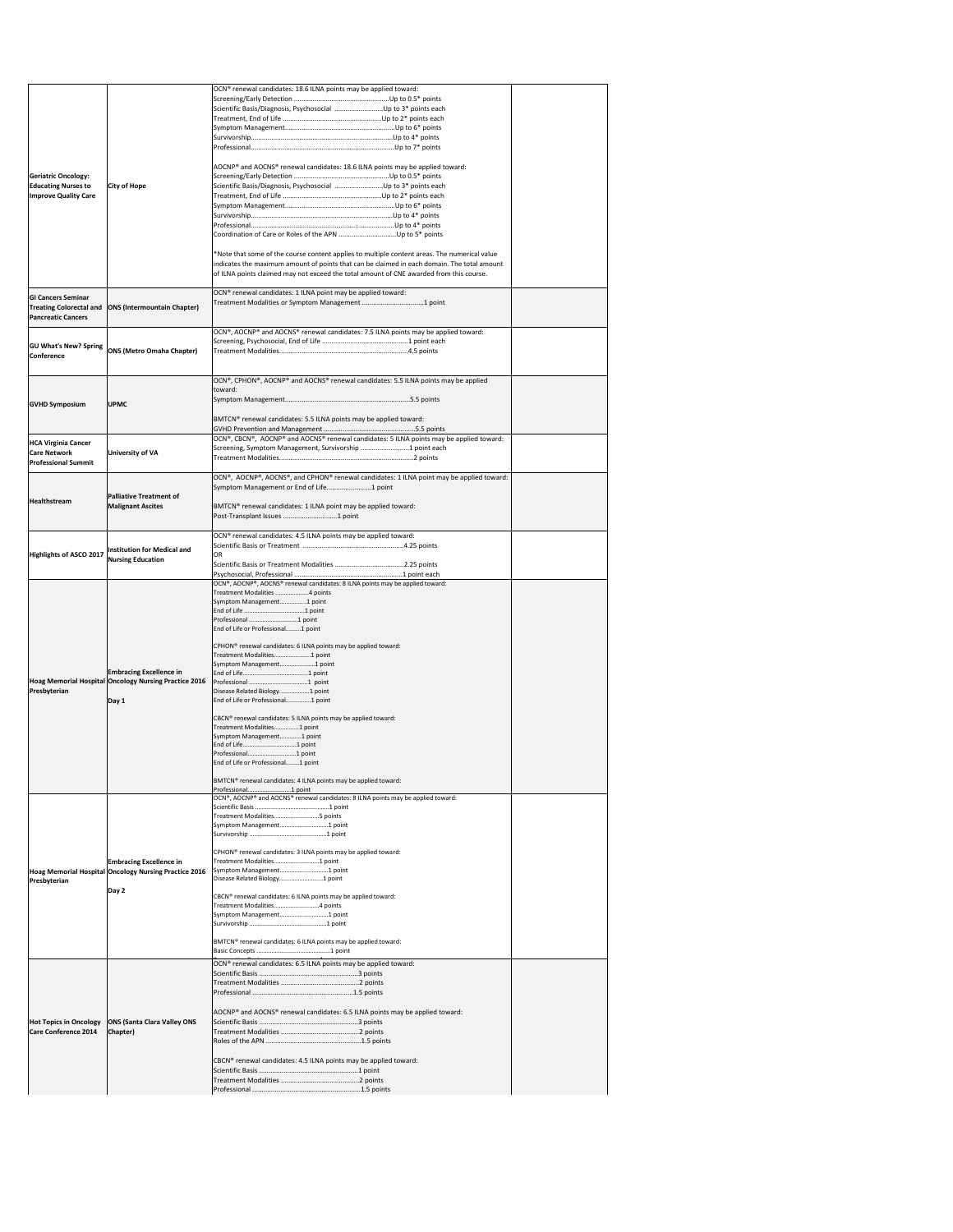|                                |                                                                                         | OCN® renewal candidates: 18.6 ILNA points may be applied toward:                                           |  |
|--------------------------------|-----------------------------------------------------------------------------------------|------------------------------------------------------------------------------------------------------------|--|
|                                |                                                                                         | Scientific Basis/Diagnosis, Psychosocial Up to 3* points each                                              |  |
|                                |                                                                                         |                                                                                                            |  |
|                                |                                                                                         |                                                                                                            |  |
|                                |                                                                                         |                                                                                                            |  |
|                                |                                                                                         |                                                                                                            |  |
| <b>Geriatric Oncology:</b>     |                                                                                         | AOCNP® and AOCNS® renewal candidates: 18.6 ILNA points may be applied toward:                              |  |
| <b>Educating Nurses to</b>     | <b>City of Hope</b>                                                                     | Scientific Basis/Diagnosis, Psychosocial Up to 3* points each                                              |  |
| <b>Improve Quality Care</b>    |                                                                                         |                                                                                                            |  |
|                                |                                                                                         |                                                                                                            |  |
|                                |                                                                                         |                                                                                                            |  |
|                                |                                                                                         |                                                                                                            |  |
|                                |                                                                                         | *Note that some of the course content applies to multiple content areas. The numerical value               |  |
|                                |                                                                                         | indicates the maximum amount of points that can be claimed in each domain. The total amount                |  |
|                                |                                                                                         | of ILNA points claimed may not exceed the total amount of CNE awarded from this course.                    |  |
| <b>GI Cancers Seminar</b>      |                                                                                         | OCN® renewal candidates: 1 ILNA point may be applied toward:                                               |  |
| <b>Treating Colorectal and</b> | <b>ONS (Intermountain Chapter)</b>                                                      | Treatment Modalities or Symptom Management 1 point                                                         |  |
| <b>Pancreatic Cancers</b>      |                                                                                         |                                                                                                            |  |
|                                |                                                                                         | OCN®, AOCNP® and AOCNS® renewal candidates: 7.5 ILNA points may be applied toward:                         |  |
| <b>GU What's New? Spring</b>   | <b>ONS (Metro Omaha Chapter)</b>                                                        |                                                                                                            |  |
| <b>Conference</b>              |                                                                                         |                                                                                                            |  |
|                                |                                                                                         |                                                                                                            |  |
|                                |                                                                                         | OCN®, CPHON®, AOCNP® and AOCNS® renewal candidates: 5.5 ILNA points may be applied<br>toward:              |  |
| <b>GVHD Symposium</b>          | <b>UPMC</b>                                                                             |                                                                                                            |  |
|                                |                                                                                         |                                                                                                            |  |
|                                |                                                                                         | BMTCN® renewal candidates: 5.5 ILNA points may be applied toward:                                          |  |
| <b>HCA Virginia Cancer</b>     |                                                                                         | OCN®, CBCN®, AOCNP® and AOCNS® renewal candidates: 5 ILNA points may be applied toward:                    |  |
| <b>Care Network</b>            | <b>University of VA</b>                                                                 | Screening, Symptom Management, Survivorship 1 point each                                                   |  |
| <b>Professional Summit</b>     |                                                                                         |                                                                                                            |  |
|                                |                                                                                         | OCN®, AOCNP®, AOCNS®, and CPHON® renewal candidates: 1 ILNA point may be applied toward:                   |  |
|                                | <b>Palliative Treatment of</b>                                                          | Symptom Management or End of Life1 point                                                                   |  |
| <b>Healthstream</b>            | <b>Malignant Ascites</b>                                                                | BMTCN® renewal candidates: 1 ILNA point may be applied toward:                                             |  |
|                                |                                                                                         |                                                                                                            |  |
|                                |                                                                                         | OCN® renewal candidates: 4.5 ILNA points may be applied toward:                                            |  |
|                                | Institution for Medical and                                                             |                                                                                                            |  |
| Highlights of ASCO 2017        | <b>Nursing Education</b>                                                                | <b>OR</b>                                                                                                  |  |
|                                |                                                                                         |                                                                                                            |  |
|                                |                                                                                         | OCN®, AOCNP®, AOCNS® renewal candidates: 8 ILNA points may be applied toward:                              |  |
|                                |                                                                                         | Treatment Modalities 4 points<br>Symptom Management1 point                                                 |  |
|                                |                                                                                         |                                                                                                            |  |
|                                | <b>Embracing Excellence in</b><br>Hoag Memorial Hospital Oncology Nursing Practice 2016 | Professional 1 point<br>End of Life or Professional1 point                                                 |  |
|                                |                                                                                         |                                                                                                            |  |
|                                |                                                                                         | CPHON <sup>®</sup> renewal candidates: 6 ILNA points may be applied toward:<br>Treatment Modalities1 point |  |
|                                |                                                                                         | Symptom Management1 point                                                                                  |  |
|                                |                                                                                         |                                                                                                            |  |
| Presbyterian                   |                                                                                         | Disease Related Biology1 point                                                                             |  |
|                                | Day 1                                                                                   | End of Life or Professional1 point                                                                         |  |
|                                |                                                                                         | CBCN® renewal candidates: 5 ILNA points may be applied toward:                                             |  |
|                                |                                                                                         | Treatment Modalities1 point                                                                                |  |
|                                |                                                                                         |                                                                                                            |  |
|                                |                                                                                         | Symptom Management1 point                                                                                  |  |
|                                |                                                                                         |                                                                                                            |  |
|                                |                                                                                         | End of Life or Professional1 point                                                                         |  |
|                                |                                                                                         | BMTCN® renewal candidates: 4 ILNA points may be applied toward:                                            |  |
|                                |                                                                                         | OCN®, AOCNP® and AOCNS® renewal candidates: 8 ILNA points may be applied toward:                           |  |
|                                |                                                                                         |                                                                                                            |  |
|                                |                                                                                         | Treatment Modalities5 points<br>Symptom Management1 point                                                  |  |
|                                |                                                                                         |                                                                                                            |  |
|                                |                                                                                         | CPHON® renewal candidates: 3 ILNA points may be applied toward:                                            |  |
|                                | <b>Embracing Excellence in</b>                                                          | Treatment Modalities1 point                                                                                |  |
|                                | Hoag Memorial Hospital Oncology Nursing Practice 2016                                   | Symptom Management1 point<br>Disease Related Biology1 point                                                |  |
| <b>Presbyterian</b>            | Day 2                                                                                   |                                                                                                            |  |
|                                |                                                                                         | CBCN® renewal candidates: 6 ILNA points may be applied toward:<br>Treatment Modalities4 points             |  |
|                                |                                                                                         | Symptom Management1 point                                                                                  |  |
|                                |                                                                                         |                                                                                                            |  |
|                                |                                                                                         | BMTCN® renewal candidates: 6 ILNA points may be applied toward:                                            |  |
|                                |                                                                                         |                                                                                                            |  |
|                                |                                                                                         | OCN <sup>®</sup> renewal candidates: 6.5 ILNA points may be applied toward:                                |  |
|                                |                                                                                         |                                                                                                            |  |
|                                |                                                                                         |                                                                                                            |  |
|                                |                                                                                         | AOCNP® and AOCNS® renewal candidates: 6.5 ILNA points may be applied toward:                               |  |
| <b>Hot Topics in Oncology</b>  | <b>ONS (Santa Clara Valley ONS</b>                                                      |                                                                                                            |  |
| Care Conference 2014           | Chapter)                                                                                |                                                                                                            |  |
|                                |                                                                                         |                                                                                                            |  |
|                                |                                                                                         | CBCN® renewal candidates: 4.5 ILNA points may be applied toward:                                           |  |
|                                |                                                                                         |                                                                                                            |  |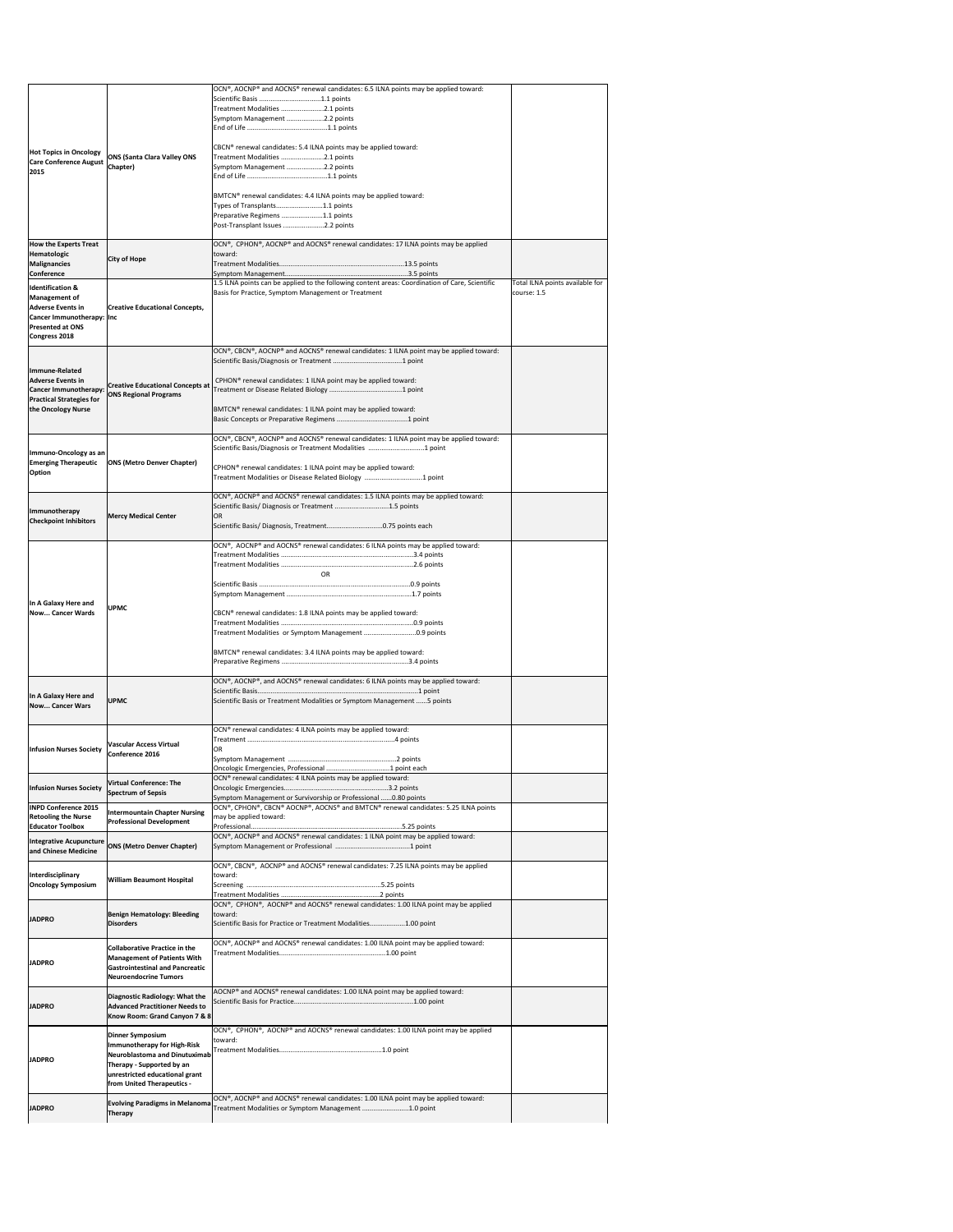|                                                                                                                                                     |                                                                              | OCN®, AOCNP® and AOCNS® renewal candidates: 6.5 ILNA points may be applied toward:                                                                                        |                                                |
|-----------------------------------------------------------------------------------------------------------------------------------------------------|------------------------------------------------------------------------------|---------------------------------------------------------------------------------------------------------------------------------------------------------------------------|------------------------------------------------|
|                                                                                                                                                     |                                                                              | Treatment Modalities 2.1 points                                                                                                                                           |                                                |
|                                                                                                                                                     |                                                                              | Symptom Management 2.2 points                                                                                                                                             |                                                |
|                                                                                                                                                     |                                                                              |                                                                                                                                                                           |                                                |
| <b>Hot Topics in Oncology</b>                                                                                                                       |                                                                              | CBCN® renewal candidates: 5.4 ILNA points may be applied toward:                                                                                                          |                                                |
| <b>Care Conference August</b>                                                                                                                       | <b>ONS (Santa Clara Valley ONS</b>                                           | Treatment Modalities 2.1 points                                                                                                                                           |                                                |
| 2015                                                                                                                                                | Chapter)                                                                     | Symptom Management 2.2 points                                                                                                                                             |                                                |
|                                                                                                                                                     |                                                                              |                                                                                                                                                                           |                                                |
|                                                                                                                                                     |                                                                              | BMTCN® renewal candidates: 4.4 ILNA points may be applied toward:<br>Types of Transplants1.1 points                                                                       |                                                |
|                                                                                                                                                     |                                                                              | Preparative Regimens 1.1 points                                                                                                                                           |                                                |
|                                                                                                                                                     |                                                                              | Post-Transplant Issues 2.2 points                                                                                                                                         |                                                |
| <b>How the Experts Treat</b>                                                                                                                        |                                                                              | OCN®, CPHON®, AOCNP® and AOCNS® renewal candidates: 17 ILNA points may be applied                                                                                         |                                                |
| <b>Hematologic</b>                                                                                                                                  | <b>City of Hope</b>                                                          | toward:                                                                                                                                                                   |                                                |
| Malignancies<br><b>Conference</b>                                                                                                                   |                                                                              |                                                                                                                                                                           |                                                |
| <b>Identification &amp;</b><br>Management of<br><b>Adverse Events in</b><br>Cancer Immunotherapy:   Inc<br><b>Presented at ONS</b><br>Congress 2018 | <b>Creative Educational Concepts,</b>                                        | 1.5 ILNA points can be applied to the following content areas: Coordination of Care, Scientific<br>Basis for Practice, Symptom Management or Treatment                    | Total ILNA points available for<br>course: 1.5 |
|                                                                                                                                                     |                                                                              | OCN®, CBCN®, AOCNP® and AOCNS® renewal candidates: 1 ILNA point may be applied toward:                                                                                    |                                                |
|                                                                                                                                                     |                                                                              |                                                                                                                                                                           |                                                |
| Immune-Related<br><b>Adverse Events in</b>                                                                                                          |                                                                              | CPHON® renewal candidates: 1 ILNA point may be applied toward:                                                                                                            |                                                |
| Cancer Immunotherapy: ONS Regional Programs                                                                                                         | <b>Creative Educational Concepts at</b>                                      |                                                                                                                                                                           |                                                |
| <b>Practical Strategies for</b>                                                                                                                     |                                                                              |                                                                                                                                                                           |                                                |
| the Oncology Nurse                                                                                                                                  |                                                                              | BMTCN <sup>®</sup> renewal candidates: 1 ILNA point may be applied toward:                                                                                                |                                                |
|                                                                                                                                                     |                                                                              |                                                                                                                                                                           |                                                |
|                                                                                                                                                     |                                                                              | $\overline{OCN^{\circ}}$ , CBCN°, AOCNP® and AOCNS® renewal candidates: 1 ILNA point may be applied toward:<br>Scientific Basis/Diagnosis or Treatment Modalities 1 point |                                                |
| Immuno-Oncology as an<br><b>Emerging Therapeutic</b>                                                                                                | <b>ONS (Metro Denver Chapter)</b>                                            |                                                                                                                                                                           |                                                |
| <b>Option</b>                                                                                                                                       |                                                                              | CPHON <sup>®</sup> renewal candidates: 1 ILNA point may be applied toward:<br>Treatment Modalities or Disease Related Biology 1 point                                     |                                                |
|                                                                                                                                                     |                                                                              |                                                                                                                                                                           |                                                |
|                                                                                                                                                     |                                                                              | OCN®, AOCNP® and AOCNS® renewal candidates: 1.5 ILNA points may be applied toward:<br>Scientific Basis/ Diagnosis or Treatment 1.5 points                                 |                                                |
| Immunotherapy<br><b>Checkpoint Inhibitors</b>                                                                                                       | <b>Mercy Medical Center</b>                                                  | <b>IOR</b>                                                                                                                                                                |                                                |
|                                                                                                                                                     |                                                                              |                                                                                                                                                                           |                                                |
|                                                                                                                                                     |                                                                              | OCN®, AOCNP® and AOCNS® renewal candidates: 6 ILNA points may be applied toward:                                                                                          |                                                |
|                                                                                                                                                     |                                                                              |                                                                                                                                                                           |                                                |
|                                                                                                                                                     |                                                                              | <b>OR</b>                                                                                                                                                                 |                                                |
|                                                                                                                                                     |                                                                              |                                                                                                                                                                           |                                                |
| In A Galaxy Here and                                                                                                                                |                                                                              |                                                                                                                                                                           |                                                |
| Now Cancer Wards                                                                                                                                    | <b>UPMC</b>                                                                  | CBCN® renewal candidates: 1.8 ILNA points may be applied toward:                                                                                                          |                                                |
|                                                                                                                                                     |                                                                              | Treatment Modalities or Symptom Management 0.9 points                                                                                                                     |                                                |
|                                                                                                                                                     |                                                                              |                                                                                                                                                                           |                                                |
|                                                                                                                                                     |                                                                              | BMTCN® renewal candidates: 3.4 ILNA points may be applied toward:                                                                                                         |                                                |
|                                                                                                                                                     |                                                                              |                                                                                                                                                                           |                                                |
|                                                                                                                                                     |                                                                              | $\overline{OCN^{\circ}}$ , AOCNP®, and AOCNS® renewal candidates: 6 ILNA points may be applied toward:                                                                    |                                                |
| In A Galaxy Here and<br>Now Cancer Wars                                                                                                             | <b>UPMC</b>                                                                  | Scientific Basis or Treatment Modalities or Symptom Management 5 points                                                                                                   |                                                |
|                                                                                                                                                     |                                                                              |                                                                                                                                                                           |                                                |
|                                                                                                                                                     |                                                                              | OCN® renewal candidates: 4 ILNA points may be applied toward:                                                                                                             |                                                |
| <b>Infusion Nurses Society</b>                                                                                                                      | <b>Vascular Access Virtual</b>                                               | <b>OR</b>                                                                                                                                                                 |                                                |
|                                                                                                                                                     | Conference 2016                                                              |                                                                                                                                                                           |                                                |
|                                                                                                                                                     |                                                                              | OCN® renewal candidates: 4 ILNA points may be applied toward:                                                                                                             |                                                |
| <b>Infusion Nurses Society</b>                                                                                                                      | <b>Virtual Conference: The</b><br><b>Spectrum of Sepsis</b>                  |                                                                                                                                                                           |                                                |
| <b>INPD Conference 2015</b>                                                                                                                         |                                                                              | Symptom Management or Survivorship or Professional  0.80 points<br>OCN®, CPHON®, CBCN® AOCNP®, AOCNS® and BMTCN® renewal candidates: 5.25 ILNA points                     |                                                |
| <b>Retooling the Nurse</b>                                                                                                                          | <b>Intermountain Chapter Nursing</b><br><b>Professional Development</b>      | may be applied toward:                                                                                                                                                    |                                                |
| <b>Educator Toolbox</b>                                                                                                                             |                                                                              | OCN®, AOCNP® and AOCNS® renewal candidates: 1 ILNA point may be applied toward:                                                                                           |                                                |
| <b>Integrative Acupuncture</b><br>and Chinese Medicine                                                                                              | <b>ONS (Metro Denver Chapter)</b>                                            |                                                                                                                                                                           |                                                |
|                                                                                                                                                     |                                                                              | $\vert$ OCN®, CBCN®, AOCNP® and AOCNS® renewal candidates: 7.25 ILNA points may be applied                                                                                |                                                |
| Interdisciplinary                                                                                                                                   | <b>William Beaumont Hospital</b>                                             | toward:                                                                                                                                                                   |                                                |
| <b>Oncology Symposium</b>                                                                                                                           |                                                                              |                                                                                                                                                                           |                                                |
|                                                                                                                                                     |                                                                              | OCN®, CPHON®, AOCNP® and AOCNS® renewal candidates: 1.00 ILNA point may be applied                                                                                        |                                                |
| <b>JADPRO</b>                                                                                                                                       | <b>Benign Hematology: Bleeding</b><br><b>Disorders</b>                       | toward:<br>Scientific Basis for Practice or Treatment Modalities1.00 point                                                                                                |                                                |
|                                                                                                                                                     |                                                                              |                                                                                                                                                                           |                                                |
|                                                                                                                                                     | <b>Collaborative Practice in the</b>                                         | OCN®, AOCNP® and AOCNS® renewal candidates: 1.00 ILNA point may be applied toward:                                                                                        |                                                |
| <b>JADPRO</b>                                                                                                                                       | <b>Management of Patients With</b><br><b>Gastrointestinal and Pancreatic</b> |                                                                                                                                                                           |                                                |
|                                                                                                                                                     | <b>Neuroendocrine Tumors</b>                                                 |                                                                                                                                                                           |                                                |
|                                                                                                                                                     | Diagnostic Radiology: What the                                               | $AOCNP®$ and $AOCNS®$ renewal candidates: 1.00 ILNA point may be applied toward:                                                                                          |                                                |
| <b>JADPRO</b>                                                                                                                                       | <b>Advanced Practitioner Needs to</b>                                        |                                                                                                                                                                           |                                                |
|                                                                                                                                                     | Know Room: Grand Canyon 7 & 8                                                |                                                                                                                                                                           |                                                |
|                                                                                                                                                     | <b>Dinner Symposium</b>                                                      | $\overline{OCN^{\circ}}$ , CPHON <sup>®</sup> , AOCNP® and AOCNS® renewal candidates: 1.00 ILNA point may be applied<br>toward:                                           |                                                |
|                                                                                                                                                     | <b>Immunotherapy for High-Risk</b><br><b>Neuroblastoma and Dinutuximab</b>   |                                                                                                                                                                           |                                                |
| <b>JADPRO</b>                                                                                                                                       | Therapy - Supported by an                                                    |                                                                                                                                                                           |                                                |
|                                                                                                                                                     | unrestricted educational grant                                               |                                                                                                                                                                           |                                                |
|                                                                                                                                                     |                                                                              |                                                                                                                                                                           |                                                |
|                                                                                                                                                     | from United Therapeutics -                                                   |                                                                                                                                                                           |                                                |
| <b>JADPRO</b>                                                                                                                                       | <b>Evolving Paradigms in Melanoma</b><br><b>Therapy</b>                      | OCN®, AOCNP® and AOCNS® renewal candidates: 1.00 ILNA point may be applied toward:<br>Treatment Modalities or Symptom Management 1.0 point                                |                                                |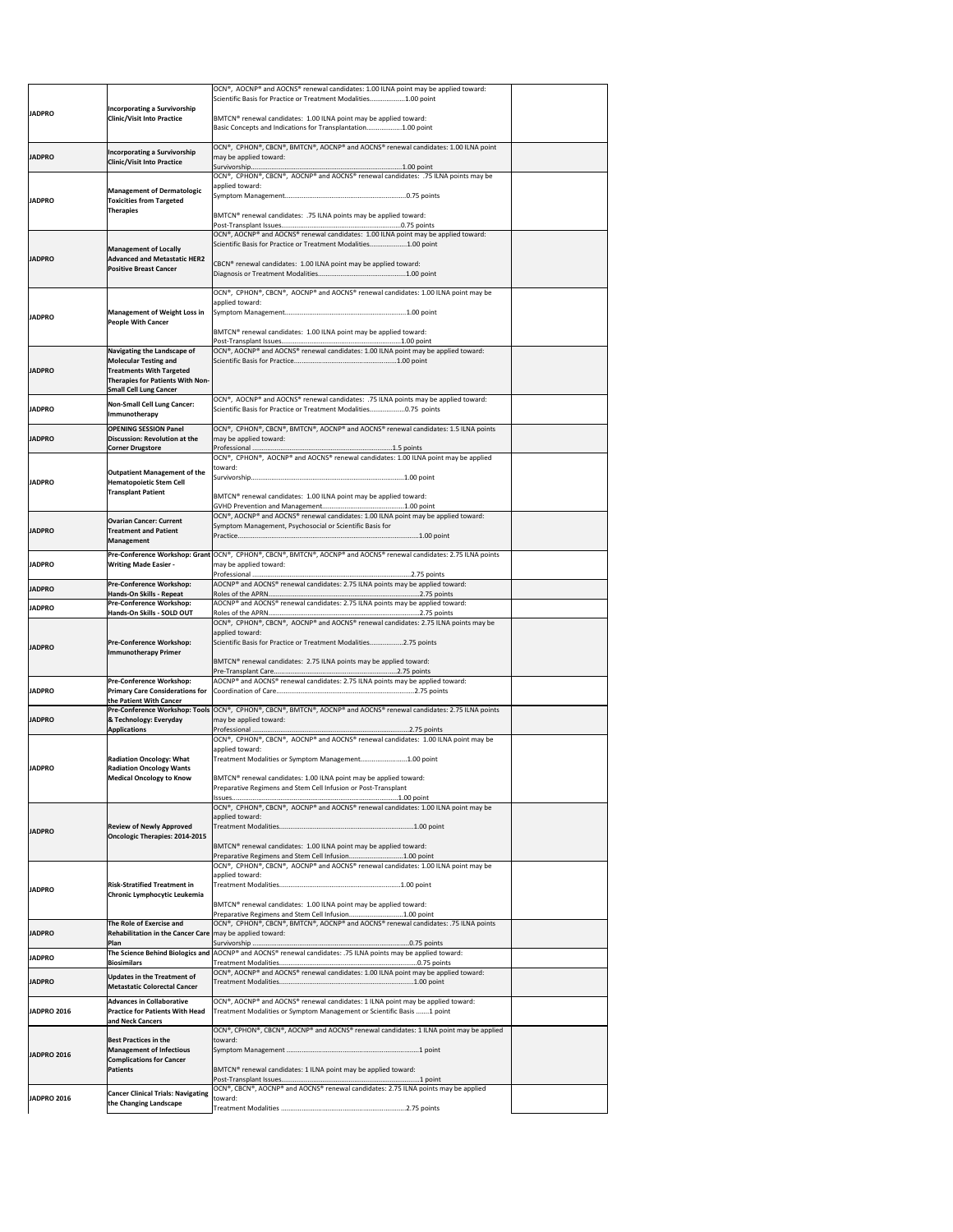|                    |                                                                                        | OCN®, AOCNP® and AOCNS® renewal candidates: 1.00 ILNA point may be applied toward:<br>Scientific Basis for Practice or Treatment Modalities1.00 point                                         |  |
|--------------------|----------------------------------------------------------------------------------------|-----------------------------------------------------------------------------------------------------------------------------------------------------------------------------------------------|--|
| <b>JADPRO</b>      | <b>Incorporating a Survivorship</b><br><b>Clinic/Visit Into Practice</b>               | BMTCN® renewal candidates: 1.00 ILNA point may be applied toward:                                                                                                                             |  |
|                    |                                                                                        | Basic Concepts and Indications for Transplantation1.00 point                                                                                                                                  |  |
| <b>JADPRO</b>      | <b>Incorporating a Survivorship</b>                                                    | OCN®, CPHON®, CBCN®, BMTCN®, AOCNP® and AOCNS® renewal candidates: 1.00 ILNA point<br>may be applied toward:                                                                                  |  |
|                    | <b>Clinic/Visit Into Practice</b>                                                      | OCN®, CPHON®, CBCN®, AOCNP® and AOCNS® renewal candidates: .75 ILNA points may be                                                                                                             |  |
|                    | <b>Management of Dermatologic</b>                                                      | applied toward:                                                                                                                                                                               |  |
| <b>JADPRO</b>      | <b>Toxicities from Targeted</b><br><b>Therapies</b>                                    |                                                                                                                                                                                               |  |
|                    |                                                                                        | BMTCN® renewal candidates: .75 ILNA points may be applied toward:                                                                                                                             |  |
|                    |                                                                                        | OCN®, AOCNP® and AOCNS® renewal candidates: 1.00 ILNA point may be applied toward:<br>Scientific Basis for Practice or Treatment Modalities1.00 point                                         |  |
| <b>JADPRO</b>      | <b>Management of Locally</b><br><b>Advanced and Metastatic HER2</b>                    | CBCN® renewal candidates: 1.00 ILNA point may be applied toward:                                                                                                                              |  |
|                    | <b>Positive Breast Cancer</b>                                                          |                                                                                                                                                                                               |  |
|                    |                                                                                        | OCN®, CPHON®, CBCN®, AOCNP® and AOCNS® renewal candidates: 1.00 ILNA point may be                                                                                                             |  |
|                    | <b>Management of Weight Loss in</b>                                                    | applied toward:                                                                                                                                                                               |  |
| <b>JADPRO</b>      | <b>People With Cancer</b>                                                              | BMTCN® renewal candidates: 1.00 ILNA point may be applied toward:                                                                                                                             |  |
|                    | Navigating the Landscape of                                                            | OCN®, AOCNP® and AOCNS® renewal candidates: 1.00 ILNA point may be applied toward:                                                                                                            |  |
|                    | <b>Molecular Testing and</b>                                                           |                                                                                                                                                                                               |  |
| <b>JADPRO</b>      | <b>Treatments With Targeted</b><br>Therapies for Patients With Non-                    |                                                                                                                                                                                               |  |
|                    | <b>Small Cell Lung Cancer</b>                                                          | OCN®, AOCNP® and AOCNS® renewal candidates: .75 ILNA points may be applied toward:                                                                                                            |  |
| <b>JADPRO</b>      | <b>Non-Small Cell Lung Cancer:</b><br>Immunotherapy                                    | Scientific Basis for Practice or Treatment Modalities0.75 points                                                                                                                              |  |
| <b>JADPRO</b>      | <b>OPENING SESSION Panel</b><br>Discussion: Revolution at the                          | OCN®, CPHON®, CBCN®, BMTCN®, AOCNP® and AOCNS® renewal candidates: 1.5 ILNA points<br>may be applied toward:                                                                                  |  |
|                    | <b>Corner Drugstore</b>                                                                | OCN®, CPHON®, AOCNP® and AOCNS® renewal candidates: 1.00 ILNA point may be applied                                                                                                            |  |
|                    | <b>Outpatient Management of the</b>                                                    | toward:                                                                                                                                                                                       |  |
| <b>JADPRO</b>      | <b>Hematopoietic Stem Cell</b><br><b>Transplant Patient</b>                            |                                                                                                                                                                                               |  |
|                    |                                                                                        | BMTCN <sup>®</sup> renewal candidates: 1.00 ILNA point may be applied toward:                                                                                                                 |  |
|                    | <b>Ovarian Cancer: Current</b>                                                         | OCN®, AOCNP® and AOCNS® renewal candidates: 1.00 ILNA point may be applied toward:<br>Symptom Management, Psychosocial or Scientific Basis for                                                |  |
| <b>JADPRO</b>      | <b>Treatment and Patient</b><br>Management                                             |                                                                                                                                                                                               |  |
|                    |                                                                                        | Pre-Conference Workshop: Grant $ OCN^{\circ} $ , CPHON <sup>®</sup> , CBCN <sup>®</sup> , BMTCN <sup>®</sup> , AOCNP <sup>®</sup> and AOCNS <sup>®</sup> renewal candidates: 2.75 ILNA points |  |
| <b>JADPRO</b>      | <b>Writing Made Easier -</b>                                                           | may be applied toward:                                                                                                                                                                        |  |
| <b>JADPRO</b>      | <b>Pre-Conference Workshop:</b><br>Hands-On Skills - Repeat                            | AOCNP® and AOCNS® renewal candidates: 2.75 ILNA points may be applied toward:                                                                                                                 |  |
| <b>JADPRO</b>      | <b>Pre-Conference Workshop:</b><br>Hands-On Skills - SOLD OUT                          | AOCNP® and AOCNS® renewal candidates: 2.75 ILNA points may be applied toward:                                                                                                                 |  |
|                    |                                                                                        | OCN®, CPHON®, CBCN®, AOCNP® and AOCNS® renewal candidates: 2.75 ILNA points may be<br>applied toward:                                                                                         |  |
| <b>JADPRO</b>      | <b>Pre-Conference Workshop:</b><br>Immunotherapy Primer                                | Scientific Basis for Practice or Treatment Modalities2.75 points                                                                                                                              |  |
|                    |                                                                                        | BMTCN® renewal candidates: 2.75 ILNA points may be applied toward:                                                                                                                            |  |
|                    | <b>Pre-Conference Workshop:</b>                                                        | AOCNP® and AOCNS® renewal candidates: 2.75 ILNA points may be applied toward:                                                                                                                 |  |
| <b>JADPRO</b>      | <b>Primary Care Considerations for</b><br>the Patient With Cancer                      |                                                                                                                                                                                               |  |
| <b>JADPRO</b>      | <b>&amp; Technology: Everyday</b>                                                      | Pre-Conference Workshop: Tools OCN®, CPHON®, CBCN®, BMTCN®, AOCNP® and AOCNS® renewal candidates: 2.75 ILNA points<br>may be applied toward:                                                  |  |
|                    | <b>Applications</b>                                                                    | OCN®, CPHON®, CBCN®, AOCNP® and AOCNS® renewal candidates: 1.00 ILNA point may be                                                                                                             |  |
|                    |                                                                                        | applied toward:                                                                                                                                                                               |  |
| <b>JADPRO</b>      | <b>Radiation Oncology: What</b><br><b>Radiation Oncology Wants</b>                     | Treatment Modalities or Symptom Management1.00 point                                                                                                                                          |  |
|                    | <b>Medical Oncology to Know</b>                                                        | BMTCN® renewal candidates: 1.00 ILNA point may be applied toward:<br>Preparative Regimens and Stem Cell Infusion or Post-Transplant                                                           |  |
|                    |                                                                                        | OCN®, CPHON®, CBCN®, AOCNP® and AOCNS® renewal candidates: 1.00 ILNA point may be                                                                                                             |  |
|                    | <b>Review of Newly Approved</b>                                                        | applied toward:                                                                                                                                                                               |  |
| <b>JADPRO</b>      | Oncologic Therapies: 2014-2015                                                         | BMTCN <sup>®</sup> renewal candidates: 1.00 ILNA point may be applied toward:                                                                                                                 |  |
|                    |                                                                                        | Preparative Regimens and Stem Cell Infusion1.00 point<br>OCN®, CPHON®, CBCN®, AOCNP® and AOCNS® renewal candidates: 1.00 ILNA point may be                                                    |  |
|                    |                                                                                        | applied toward:                                                                                                                                                                               |  |
| <b>JADPRO</b>      | <b>Risk-Stratified Treatment in</b><br>Chronic Lymphocytic Leukemia                    |                                                                                                                                                                                               |  |
|                    |                                                                                        | BMTCN® renewal candidates: 1.00 ILNA point may be applied toward:<br>Preparative Regimens and Stem Cell Infusion1.00 point                                                                    |  |
| <b>JADPRO</b>      | The Role of Exercise and<br>Rehabilitation in the Cancer Care   may be applied toward: | OCN®, CPHON®, CBCN®, BMTCN®, AOCNP® and AOCNS® renewal candidates: .75 ILNA points                                                                                                            |  |
|                    | Plan                                                                                   | The Science Behind Biologics and AOCNP® and AOCNS® renewal candidates: .75 ILNA points may be applied toward:                                                                                 |  |
| <b>JADPRO</b>      | <b>Biosimilars</b>                                                                     | OCN®, AOCNP® and AOCNS® renewal candidates: 1.00 ILNA point may be applied toward:                                                                                                            |  |
| <b>JADPRO</b>      | Updates in the Treatment of<br><b>Metastatic Colorectal Cancer</b>                     |                                                                                                                                                                                               |  |
|                    | <b>Advances in Collaborative</b>                                                       | OCN®, AOCNP® and AOCNS® renewal candidates: 1 ILNA point may be applied toward:                                                                                                               |  |
| <b>JADPRO 2016</b> | <b>Practice for Patients With Head</b>                                                 | Treatment Modalities or Symptom Management or Scientific Basis 1 point                                                                                                                        |  |
|                    | and Neck Cancers                                                                       |                                                                                                                                                                                               |  |
|                    | <b>Best Practices in the</b>                                                           | OCN®, CPHON®, CBCN®, AOCNP® and AOCNS® renewal candidates: 1 ILNA point may be applied<br>toward:                                                                                             |  |
| JADPRO 2016        | <b>Management of Infectious</b>                                                        |                                                                                                                                                                                               |  |
|                    | <b>Complications for Cancer</b><br>Patients                                            | BMTCN® renewal candidates: 1 ILNA point may be applied toward:                                                                                                                                |  |
| <b>JADPRO 2016</b> | <b>Cancer Clinical Trials: Navigating</b>                                              | OCN®, CBCN®, AOCNP® and AOCNS® renewal candidates: 2.75 ILNA points may be applied<br>toward:                                                                                                 |  |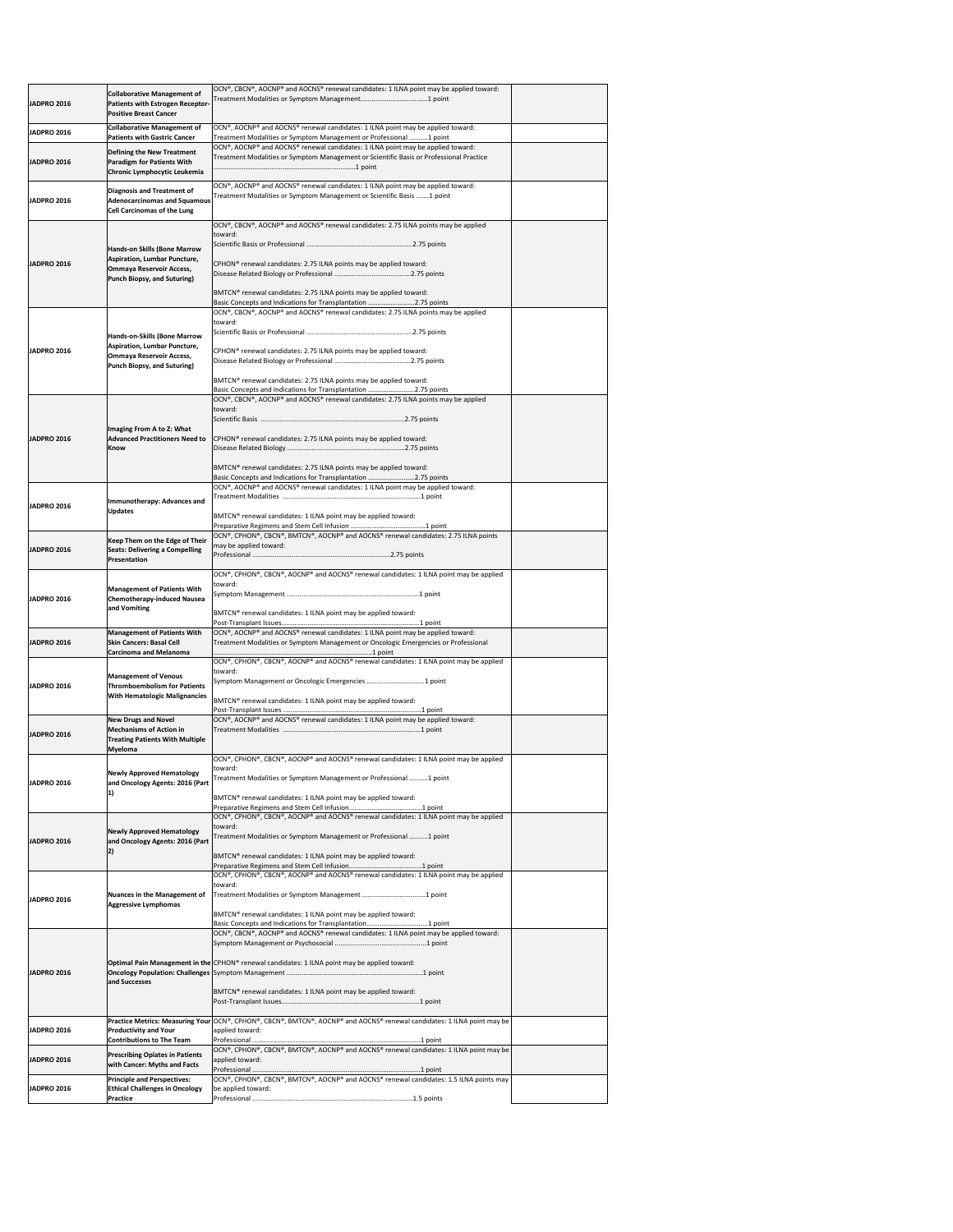|                    | with Cancer: Myths and Facts<br><b>Principle and Perspectives:</b>                                                             | OCN®, CPHON®, CBCN®, BMTCN®, AOCNP® and AOCNS® renewal candidates: 1.5 ILNA points may                                                                                                                                                             |  |
|--------------------|--------------------------------------------------------------------------------------------------------------------------------|----------------------------------------------------------------------------------------------------------------------------------------------------------------------------------------------------------------------------------------------------|--|
| <b>JADPRO 2016</b> | <b>Contributions to The Team</b><br><b>Prescribing Opiates in Patients</b>                                                     | OCN®, CPHON®, CBCN®, BMTCN®, AOCNP® and AOCNS® renewal candidates: 1 ILNA point may be<br>applied toward:                                                                                                                                          |  |
| <b>JADPRO 2016</b> | <b>Productivity and Your</b>                                                                                                   | Practice Metrics: Measuring Your OCN®, CPHON®, CBCN®, BMTCN®, AOCNP® and AOCNS® renewal candidates: 1 ILNA point may be<br>applied toward:                                                                                                         |  |
| <b>JADPRO 2016</b> | and Successes                                                                                                                  | Optimal Pain Management in the CPHON® renewal candidates: 1 ILNA point may be applied toward:<br>BMTCN® renewal candidates: 1 ILNA point may be applied toward:                                                                                    |  |
|                    |                                                                                                                                | $[OCN®, CBCN®, AOCNP® and AOCNS® renewal candidates: 1 ILNA point may be applied toward:$                                                                                                                                                          |  |
| <b>JADPRO 2016</b> | <b>Nuances in the Management of</b><br><b>Aggressive Lymphomas</b>                                                             | $\vert$ OCN®, CPHON®, CBCN®, AOCNP® and AOCNS® renewal candidates: 1 ILNA point may be applied<br>toward:<br>BMTCN® renewal candidates: 1 ILNA point may be applied toward:                                                                        |  |
| <b>JADPRO 2016</b> | <b>Newly Approved Hematology</b><br>and Oncology Agents: 2016 (Part                                                            | toward:<br>Treatment Modalities or Symptom Management or Professional 1 point<br>BMTCN® renewal candidates: 1 ILNA point may be applied toward:                                                                                                    |  |
| <b>JADPRO 2016</b> | and Oncology Agents: 2016 (Part                                                                                                | Treatment Modalities or Symptom Management or Professional 1 point<br>BMTCN <sup>®</sup> renewal candidates: 1 ILNA point may be applied toward:<br>$\vert$ OCN®, CPHON®, CBCN®, AOCNP® and AOCNS® renewal candidates: 1 ILNA point may be applied |  |
| <b>JADPRO 2016</b> | <b>Mechanisms of Action in</b><br><b>Treating Patients With Multiple</b><br><b>Myeloma</b><br><b>Newly Approved Hematology</b> | OCN®, CPHON®, CBCN®, AOCNP® and AOCNS® renewal candidates: 1 ILNA point may be applied<br>toward:                                                                                                                                                  |  |
|                    | <b>With Hematologic Malignancies</b><br><b>New Drugs and Novel</b>                                                             | BMTCN® renewal candidates: 1 ILNA point may be applied toward:<br>OCN®, AOCNP® and AOCNS® renewal candidates: 1 ILNA point may be applied toward:                                                                                                  |  |
| JADPRO 2016        | <b>Management of Venous</b><br><b>Thromboembolism for Patients</b>                                                             | OCN®, CPHON®, CBCN®, AOCNP® and AOCNS® renewal candidates: 1 ILNA point may be applied<br>toward:<br>Symptom Management or Oncologic Emergencies 1 point                                                                                           |  |
| <b>JADPRO 2016</b> | <b>Management of Patients With</b><br><b>Skin Cancers: Basal Cell</b><br><b>Carcinoma and Melanoma</b>                         | OCN®, AOCNP® and AOCNS® renewal candidates: 1 ILNA point may be applied toward:<br>Treatment Modalities or Symptom Management or Oncologic Emergencies or Professional                                                                             |  |
| <b>JADPRO 2016</b> | <b>Management of Patients With</b><br><b>Chemotherapy-induced Nausea</b><br>and Vomiting                                       | toward:<br>BMTCN <sup>®</sup> renewal candidates: 1 ILNA point may be applied toward:                                                                                                                                                              |  |
| <b>JADPRO 2016</b> | Keep Them on the Edge of Their<br><b>Seats: Delivering a Compelling</b><br>Presentation                                        | may be applied toward:<br>$\vert$ OCN®, CPHON®, CBCN®, AOCNP® and AOCNS® renewal candidates: 1 ILNA point may be applied                                                                                                                           |  |
| <b>JADPRO 2016</b> | <b>Updates</b>                                                                                                                 | BMTCN <sup>®</sup> renewal candidates: 1 ILNA point may be applied toward:<br>OCN®, CPHON®, CBCN®, BMTCN®, AOCNP® and AOCNS® renewal candidates: 2.75 ILNA points                                                                                  |  |
|                    | <b>Immunotherapy: Advances and</b>                                                                                             | BMTCN <sup>®</sup> renewal candidates: 2.75 ILNA points may be applied toward:<br>Basic Concepts and Indications for Transplantation 2.75 points<br>OCN®, AOCNP® and AOCNS® renewal candidates: 1 ILNA point may be applied toward:                |  |
| <b>JADPRO 2016</b> | Imaging From A to Z: What<br><b>Advanced Practitioners Need to</b><br><b>Know</b>                                              | CPHON <sup>®</sup> renewal candidates: 2.75 ILNA points may be applied toward:                                                                                                                                                                     |  |
|                    |                                                                                                                                | Basic Concepts and Indications for Transplantation 2.75 points<br>$\vert$ OCN®, CBCN®, AOCNP® and AOCNS® renewal candidates: 2.75 ILNA points may be applied<br>toward:                                                                            |  |
| <b>JADPRO 2016</b> | <b>Ommaya Reservoir Access,</b><br><b>Punch Biopsy, and Suturing)</b>                                                          | CPHON <sup>®</sup> renewal candidates: 2.75 ILNA points may be applied toward:<br>BMTCN <sup>®</sup> renewal candidates: 2.75 ILNA points may be applied toward:                                                                                   |  |
|                    | <b>Hands-on-Skills (Bone Marrow</b><br><b>Aspiration, Lumbar Puncture,</b>                                                     | $[OCN®, CBCN®, AOCNP® and AOCNS® renewal candidates: 2.75 ILNA points may be applied$<br>toward:                                                                                                                                                   |  |
|                    | <b>Ommaya Reservoir Access,</b><br><b>Punch Biopsy, and Suturing)</b>                                                          | CPHON <sup>®</sup> renewal candidates: 2.75 ILNA points may be applied toward:<br>BMTCN® renewal candidates: 2.75 ILNA points may be applied toward:<br>Basic Concepts and Indications for Transplantation 2.75 points                             |  |
| <b>JADPRO 2016</b> | <b>Hands-on Skills (Bone Marrow</b><br><b>Aspiration, Lumbar Puncture,</b>                                                     | OCN®, CBCN®, AOCNP® and AOCNS® renewal candidates: 2.75 ILNA points may be applied<br>toward:                                                                                                                                                      |  |
| <b>JADPRO 2016</b> | <b>Diagnosis and Treatment of</b><br><b>Adenocarcinomas and Squamous</b><br><b>Cell Carcinomas of the Lung</b>                 | $\vert$ OCN®, AOCNP® and AOCNS® renewal candidates: 1 ILNA point may be applied toward:<br>Treatment Modalities or Symptom Management or Scientific Basis 1 point                                                                                  |  |
| <b>JADPRO 2016</b> | <b>Defining the New Treatment</b><br><b>Paradigm for Patients With</b><br>Chronic Lymphocytic Leukemia                         | OCN®, AOCNP® and AOCNS® renewal candidates: 1 ILNA point may be applied toward:<br>Treatment Modalities or Symptom Management or Scientific Basis or Professional Practice                                                                         |  |
| JADPRO 2016        | <b>Collaborative Management of</b><br><b>Patients with Gastric Cancer</b>                                                      | OCN®, AOCNP® and AOCNS® renewal candidates: 1 ILNA point may be applied toward:<br>Treatment Modalities or Symptom Management or Professional 1 point                                                                                              |  |
| <b>JADPRO 2016</b> | <b>Collaborative Management of</b><br>Patients with Estrogen Receptor-<br><b>Positive Breast Cancer</b>                        | OCN®, CBCN®, AOCNP® and AOCNS® renewal candidates: 1 ILNA point may be applied toward:                                                                                                                                                             |  |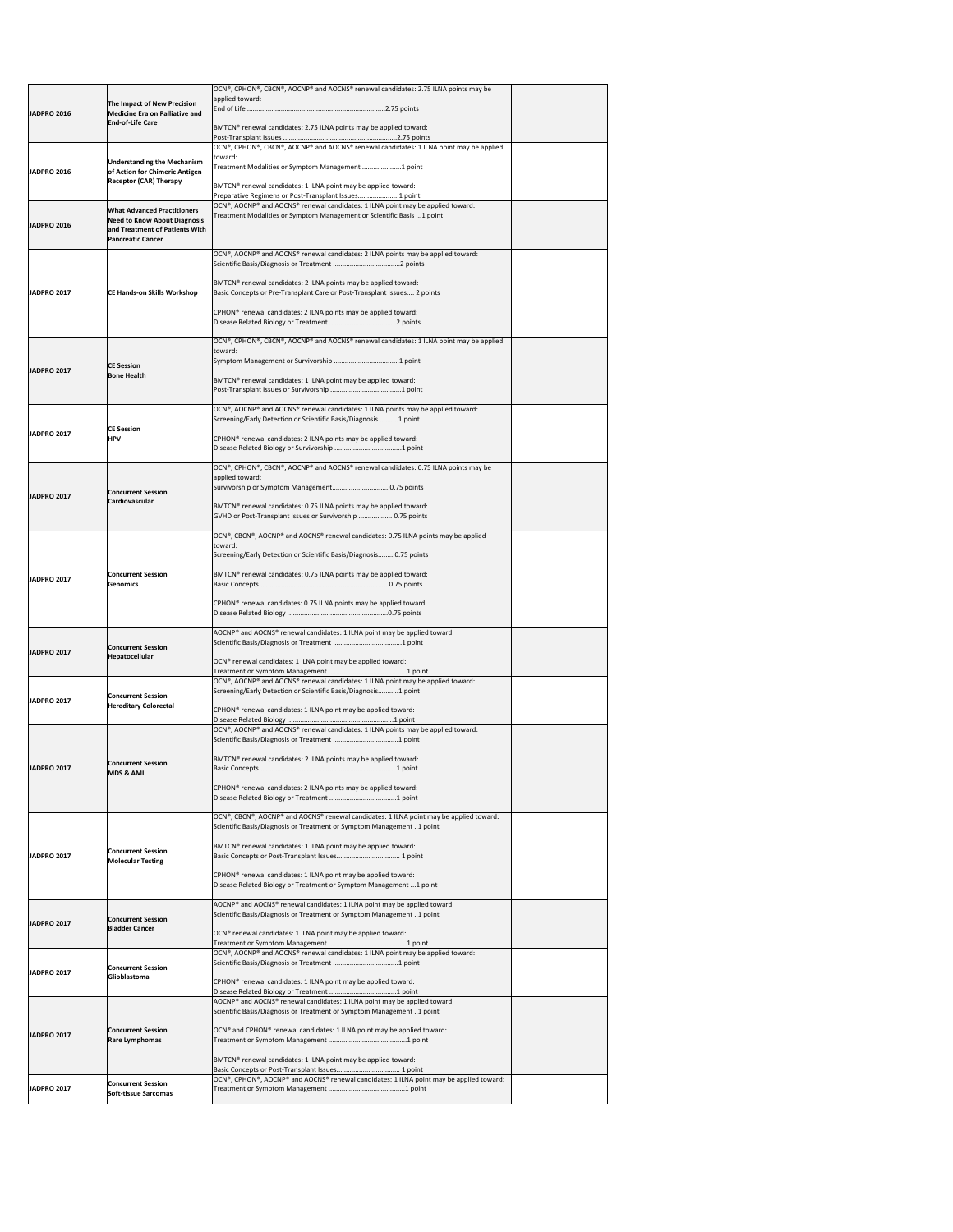| <b>JADPRO 2016</b>  | The Impact of New Precision                                                                       | OCN®, CPHON®, CBCN®, AOCNP® and AOCNS® renewal candidates: 2.75 ILNA points may be<br>applied toward:                                                      |  |
|---------------------|---------------------------------------------------------------------------------------------------|------------------------------------------------------------------------------------------------------------------------------------------------------------|--|
|                     | <b>Medicine Era on Palliative and</b><br><b>End-of-Life Care</b>                                  |                                                                                                                                                            |  |
|                     |                                                                                                   | BMTCN® renewal candidates: 2.75 ILNA points may be applied toward:                                                                                         |  |
|                     | <b>Understanding the Mechanism</b>                                                                | OCN®, CPHON®, CBCN®, AOCNP® and AOCNS® renewal candidates: 1 ILNA point may be applied<br>toward:                                                          |  |
| <b>IJADPRO 2016</b> | of Action for Chimeric Antigen<br><b>Receptor (CAR) Therapy</b>                                   | Treatment Modalities or Symptom Management  1 point                                                                                                        |  |
|                     |                                                                                                   | BMTCN® renewal candidates: 1 ILNA point may be applied toward:<br>Preparative Regimens or Post-Transplant Issues1 point                                    |  |
|                     | <b>What Advanced Practitioners</b>                                                                | OCN®, AOCNP® and AOCNS® renewal candidates: 1 ILNA point may be applied toward:<br>Treatment Modalities or Symptom Management or Scientific Basis  1 point |  |
| <b>JADPRO 2016</b>  | <b>Need to Know About Diagnosis</b><br>and Treatment of Patients With<br><b>Pancreatic Cancer</b> |                                                                                                                                                            |  |
|                     |                                                                                                   | OCN®, AOCNP® and AOCNS® renewal candidates: 2 ILNA points may be applied toward:                                                                           |  |
|                     |                                                                                                   |                                                                                                                                                            |  |
| <b>JADPRO 2017</b>  | <b>CE Hands-on Skills Workshop</b>                                                                | BMTCN® renewal candidates: 2 ILNA points may be applied toward:<br>Basic Concepts or Pre-Transplant Care or Post-Transplant Issues 2 points                |  |
|                     |                                                                                                   | CPHON <sup>®</sup> renewal candidates: 2 ILNA points may be applied toward:                                                                                |  |
|                     |                                                                                                   | OCN®, CPHON®, CBCN®, AOCNP® and AOCNS® renewal candidates: 1 ILNA point may be applied                                                                     |  |
|                     |                                                                                                   | toward:                                                                                                                                                    |  |
| <b>JADPRO 2017</b>  | <b>CE Session</b><br><b>Bone Health</b>                                                           | BMTCN® renewal candidates: 1 ILNA point may be applied toward:                                                                                             |  |
|                     |                                                                                                   |                                                                                                                                                            |  |
|                     |                                                                                                   | OCN®, AOCNP® and AOCNS® renewal candidates: 1 ILNA points may be applied toward:<br>Screening/Early Detection or Scientific Basis/Diagnosis 1 point        |  |
| <b>JADPRO 2017</b>  | <b>CE Session</b><br><b>HPV</b>                                                                   | CPHON <sup>®</sup> renewal candidates: 2 ILNA points may be applied toward:                                                                                |  |
|                     |                                                                                                   |                                                                                                                                                            |  |
|                     |                                                                                                   | OCN®, CPHON®, CBCN®, AOCNP® and AOCNS® renewal candidates: 0.75 ILNA points may be<br>applied toward:                                                      |  |
| <b>JADPRO 2017</b>  | <b>Concurrent Session</b><br><b>Cardiovascular</b>                                                |                                                                                                                                                            |  |
|                     |                                                                                                   | BMTCN® renewal candidates: 0.75 ILNA points may be applied toward:<br>GVHD or Post-Transplant Issues or Survivorship  0.75 points                          |  |
|                     |                                                                                                   | $\overline{OCN^{\circ}}$ , CBCN°, AOCNP® and AOCNS® renewal candidates: 0.75 ILNA points may be applied                                                    |  |
|                     |                                                                                                   | toward:<br>Screening/Early Detection or Scientific Basis/Diagnosis0.75 points                                                                              |  |
| <b>IJADPRO 2017</b> | <b>Concurrent Session</b>                                                                         | BMTCN® renewal candidates: 0.75 ILNA points may be applied toward:                                                                                         |  |
|                     | <b>Genomics</b>                                                                                   | CPHON <sup>®</sup> renewal candidates: 0.75 ILNA points may be applied toward:                                                                             |  |
|                     |                                                                                                   |                                                                                                                                                            |  |
|                     | <b>Concurrent Session</b><br><b>Hepatocellular</b>                                                | AOCNP® and AOCNS® renewal candidates: 1 ILNA point may be applied toward:                                                                                  |  |
| <b>JADPRO 2017</b>  |                                                                                                   | OCN® renewal candidates: 1 ILNA point may be applied toward:                                                                                               |  |
|                     |                                                                                                   | OCN®, AOCNP® and AOCNS® renewal candidates: 1 ILNA point may be applied toward:                                                                            |  |
| <b>JADPRO 2017</b>  | <b>Concurrent Session</b><br><b>Hereditary Colorectal</b>                                         | Screening/Early Detection or Scientific Basis/Diagnosis1 point                                                                                             |  |
|                     |                                                                                                   | CPHON <sup>®</sup> renewal candidates: 1 ILNA point may be applied toward:                                                                                 |  |
|                     |                                                                                                   | OCN®, AOCNP® and AOCNS® renewal candidates: 1 ILNA points may be applied toward:                                                                           |  |
|                     |                                                                                                   | BMTCN <sup>®</sup> renewal candidates: 2 ILNA points may be applied toward:                                                                                |  |
| <b>JADPRO 2017</b>  | <b>Concurrent Session</b><br><b>MDS &amp; AML</b>                                                 |                                                                                                                                                            |  |
|                     |                                                                                                   | CPHON <sup>®</sup> renewal candidates: 2 ILNA points may be applied toward:                                                                                |  |
|                     |                                                                                                   | OCN®, CBCN®, AOCNP® and AOCNS® renewal candidates: 1 ILNA point may be applied toward:                                                                     |  |
|                     |                                                                                                   | Scientific Basis/Diagnosis or Treatment or Symptom Management 1 point<br>BMTCN® renewal candidates: 1 ILNA point may be applied toward:                    |  |
| <b>JADPRO 2017</b>  | <b>Concurrent Session</b><br><b>Molecular Testing</b>                                             |                                                                                                                                                            |  |
|                     |                                                                                                   | CPHON <sup>®</sup> renewal candidates: 1 ILNA point may be applied toward:                                                                                 |  |
|                     |                                                                                                   | Disease Related Biology or Treatment or Symptom Management  1 point<br>AOCNP® and AOCNS® renewal candidates: 1 ILNA point may be applied toward:           |  |
| <b>JADPRO 2017</b>  | <b>Concurrent Session</b>                                                                         | Scientific Basis/Diagnosis or Treatment or Symptom Management 1 point                                                                                      |  |
|                     | <b>Bladder Cancer</b>                                                                             | OCN® renewal candidates: 1 ILNA point may be applied toward:                                                                                               |  |
|                     |                                                                                                   | OCN®, AOCNP® and AOCNS® renewal candidates: 1 ILNA point may be applied toward:                                                                            |  |
| <b>JADPRO 2017</b>  | <b>Concurrent Session</b><br>Glioblastoma                                                         | CPHON <sup>®</sup> renewal candidates: 1 ILNA point may be applied toward:                                                                                 |  |
|                     |                                                                                                   | AOCNP® and AOCNS® renewal candidates: 1 ILNA point may be applied toward:                                                                                  |  |
|                     |                                                                                                   | Scientific Basis/Diagnosis or Treatment or Symptom Management 1 point                                                                                      |  |
| <b>JADPRO 2017</b>  | <b>Concurrent Session</b><br><b>Rare Lymphomas</b>                                                | OCN® and CPHON® renewal candidates: 1 ILNA point may be applied toward:                                                                                    |  |
|                     |                                                                                                   | BMTCN® renewal candidates: 1 ILNA point may be applied toward:                                                                                             |  |
|                     |                                                                                                   | OCN®, CPHON®, AOCNP® and AOCNS® renewal candidates: 1 ILNA point may be applied toward:                                                                    |  |
| <b>JADPRO 2017</b>  | <b>Concurrent Session</b><br><b>Soft-tissue Sarcomas</b>                                          |                                                                                                                                                            |  |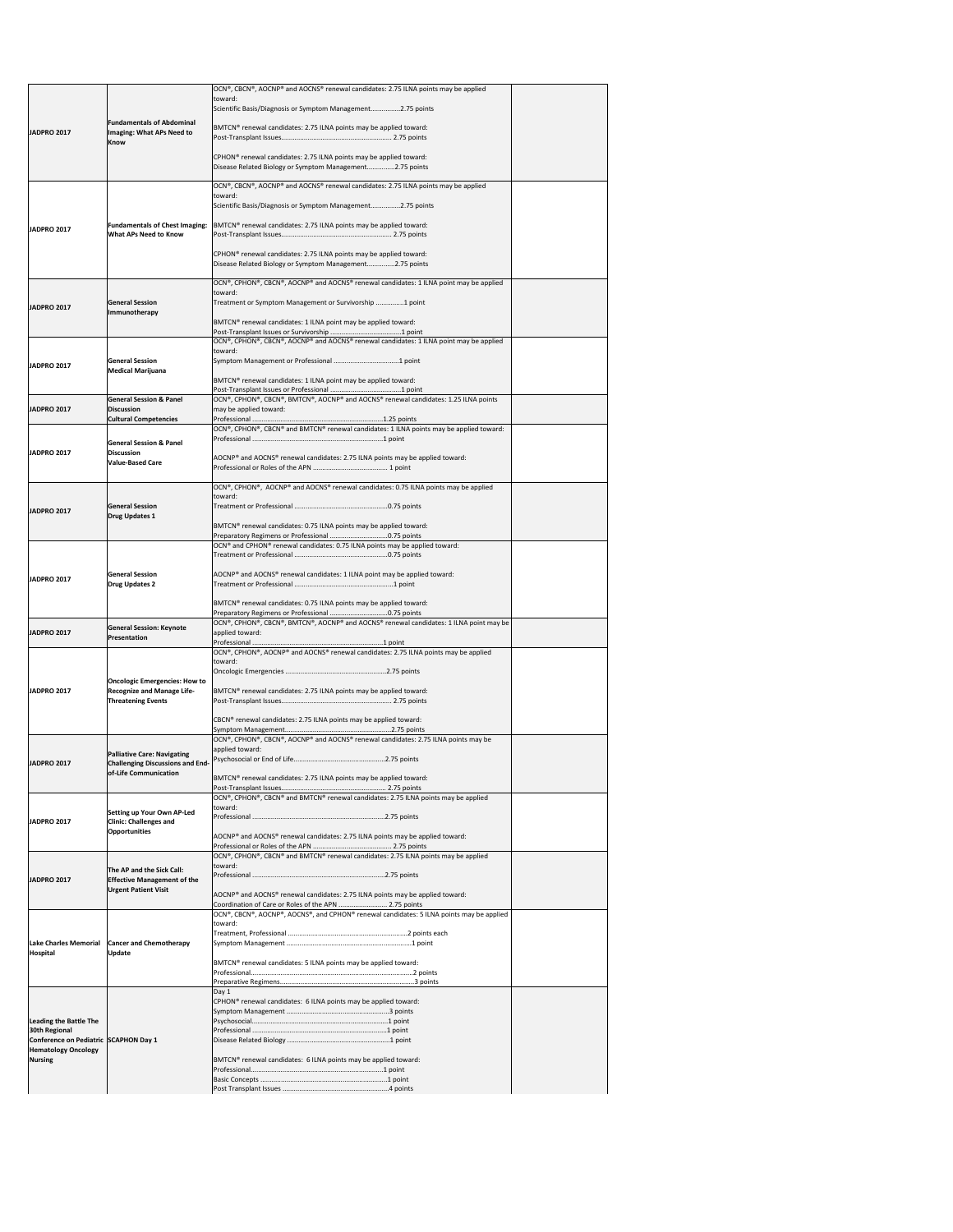|                                                                     |                                                                                         | OCN®, CBCN®, AOCNP® and AOCNS® renewal candidates: 2.75 ILNA points may be applied                                                                |  |
|---------------------------------------------------------------------|-----------------------------------------------------------------------------------------|---------------------------------------------------------------------------------------------------------------------------------------------------|--|
|                                                                     |                                                                                         | toward:<br>Scientific Basis/Diagnosis or Symptom Management2.75 points                                                                            |  |
|                                                                     | <b>Fundamentals of Abdominal</b>                                                        |                                                                                                                                                   |  |
| <b>JADPRO 2017</b>                                                  | Imaging: What APs Need to<br><b>Know</b>                                                | BMTCN® renewal candidates: 2.75 ILNA points may be applied toward:                                                                                |  |
|                                                                     |                                                                                         | CPHON <sup>®</sup> renewal candidates: 2.75 ILNA points may be applied toward:<br>Disease Related Biology or Symptom Management2.75 points        |  |
|                                                                     |                                                                                         | OCN®, CBCN®, AOCNP® and AOCNS® renewal candidates: 2.75 ILNA points may be applied                                                                |  |
|                                                                     |                                                                                         | toward:                                                                                                                                           |  |
|                                                                     |                                                                                         | Scientific Basis/Diagnosis or Symptom Management2.75 points                                                                                       |  |
| <b>JADPRO 2017</b>                                                  | <b>Fundamentals of Chest Imaging:</b><br><b>What APs Need to Know</b>                   | BMTCN® renewal candidates: 2.75 ILNA points may be applied toward:                                                                                |  |
|                                                                     |                                                                                         | CPHON <sup>®</sup> renewal candidates: 2.75 ILNA points may be applied toward:                                                                    |  |
|                                                                     |                                                                                         | Disease Related Biology or Symptom Management2.75 points                                                                                          |  |
|                                                                     |                                                                                         | OCN®, CPHON®, CBCN®, AOCNP® and AOCNS® renewal candidates: 1 ILNA point may be applied                                                            |  |
| <b>JADPRO 2017</b>                                                  | <b>General Session</b>                                                                  | toward:<br>Treatment or Symptom Management or Survivorship 1 point                                                                                |  |
|                                                                     | Immunotherapy                                                                           | BMTCN® renewal candidates: 1 ILNA point may be applied toward:                                                                                    |  |
|                                                                     |                                                                                         |                                                                                                                                                   |  |
|                                                                     |                                                                                         | OCN®, CPHON®, CBCN®, AOCNP® and AOCNS® renewal candidates: 1 ILNA point may be applied<br>toward:                                                 |  |
| <b>JADPRO 2017</b>                                                  | <b>General Session</b>                                                                  |                                                                                                                                                   |  |
|                                                                     | <b>Medical Marijuana</b>                                                                | BMTCN® renewal candidates: 1 ILNA point may be applied toward:                                                                                    |  |
|                                                                     |                                                                                         |                                                                                                                                                   |  |
| <b>JADPRO 2017</b>                                                  | <b>General Session &amp; Panel</b><br><b>Discussion</b><br><b>Cultural Competencies</b> | OCN®, CPHON®, CBCN®, BMTCN®, AOCNP® and AOCNS® renewal candidates: 1.25 ILNA points<br>may be applied toward:                                     |  |
|                                                                     |                                                                                         | OCN®, CPHON®, CBCN® and BMTCN® renewal candidates: 1 ILNA points may be applied toward:                                                           |  |
| <b>JADPRO 2017</b>                                                  | <b>General Session &amp; Panel</b><br><b>Discussion</b>                                 |                                                                                                                                                   |  |
|                                                                     | <b>Value-Based Care</b>                                                                 | AOCNP® and AOCNS® renewal candidates: 2.75 ILNA points may be applied toward:                                                                     |  |
|                                                                     |                                                                                         | OCN®, CPHON®, AOCNP® and AOCNS® renewal candidates: 0.75 ILNA points may be applied                                                               |  |
|                                                                     |                                                                                         | toward:                                                                                                                                           |  |
| JADPRO 2017                                                         | <b>General Session</b><br>Drug Updates 1                                                |                                                                                                                                                   |  |
|                                                                     |                                                                                         | BMTCN <sup>®</sup> renewal candidates: 0.75 ILNA points may be applied toward:                                                                    |  |
|                                                                     |                                                                                         | OCN <sup>®</sup> and CPHON <sup>®</sup> renewal candidates: 0.75 ILNA points may be applied toward:                                               |  |
|                                                                     |                                                                                         |                                                                                                                                                   |  |
| <b>JADPRO 2017</b>                                                  | <b>General Session</b><br><b>Drug Updates 2</b>                                         | AOCNP® and AOCNS® renewal candidates: 1 ILNA point may be applied toward:                                                                         |  |
|                                                                     |                                                                                         |                                                                                                                                                   |  |
|                                                                     |                                                                                         | BMTCN® renewal candidates: 0.75 ILNA points may be applied toward:                                                                                |  |
| <b>JADPRO 2017</b>                                                  | <b>General Session: Keynote</b>                                                         | OCN®, CPHON®, CBCN®, BMTCN®, AOCNP® and AOCNS® renewal candidates: 1 ILNA point may be<br>applied toward:                                         |  |
|                                                                     | Presentation                                                                            |                                                                                                                                                   |  |
|                                                                     |                                                                                         | OCN®, CPHON®, AOCNP® and AOCNS® renewal candidates: 2.75 ILNA points may be applied<br>toward:                                                    |  |
|                                                                     |                                                                                         |                                                                                                                                                   |  |
| <b>JADPRO 2017</b>                                                  | <b>Oncologic Emergencies: How to</b><br><b>Recognize and Manage Life-</b>               | BMTCN <sup>®</sup> renewal candidates: 2.75 ILNA points may be applied toward:                                                                    |  |
|                                                                     | <b>Threatening Events</b>                                                               |                                                                                                                                                   |  |
|                                                                     |                                                                                         | CBCN® renewal candidates: 2.75 ILNA points may be applied toward:                                                                                 |  |
|                                                                     |                                                                                         | OCN®, CPHON®, CBCN®, AOCNP® and AOCNS® renewal candidates: 2.75 ILNA points may be                                                                |  |
|                                                                     | <b>Palliative Care: Navigating</b>                                                      | applied toward:                                                                                                                                   |  |
| <b>JADPRO 2017</b>                                                  | <b>Challenging Discussions and End-</b><br>of-Life Communication                        |                                                                                                                                                   |  |
|                                                                     |                                                                                         | BMTCN® renewal candidates: 2.75 ILNA points may be applied toward:                                                                                |  |
|                                                                     |                                                                                         | OCN®, CPHON®, CBCN® and BMTCN® renewal candidates: 2.75 ILNA points may be applied                                                                |  |
| <b>JADPRO 2017</b>                                                  | <b>Setting up Your Own AP-Led</b><br><b>Clinic: Challenges and</b>                      | toward:                                                                                                                                           |  |
|                                                                     | <b>Opportunities</b>                                                                    | AOCNP® and AOCNS® renewal candidates: 2.75 ILNA points may be applied toward:                                                                     |  |
|                                                                     |                                                                                         |                                                                                                                                                   |  |
|                                                                     |                                                                                         | OCN®, CPHON®, CBCN® and BMTCN® renewal candidates: 2.75 ILNA points may be applied<br>toward:                                                     |  |
| <b>JADPRO 2017</b>                                                  | The AP and the Sick Call:<br><b>Effective Management of the</b>                         |                                                                                                                                                   |  |
|                                                                     | <b>Urgent Patient Visit</b>                                                             | AOCNP® and AOCNS® renewal candidates: 2.75 ILNA points may be applied toward:                                                                     |  |
|                                                                     |                                                                                         | Coordination of Care or Roles of the APN  2.75 points<br>OCN®, CBCN®, AOCNP®, AOCNS®, and CPHON® renewal candidates: 5 ILNA points may be applied |  |
|                                                                     |                                                                                         | toward:                                                                                                                                           |  |
|                                                                     | Lake Charles Memorial   Cancer and Chemotherapy                                         |                                                                                                                                                   |  |
| <b>Hospital</b>                                                     | <b>Update</b>                                                                           |                                                                                                                                                   |  |
|                                                                     |                                                                                         | BMTCN <sup>®</sup> renewal candidates: 5 ILNA points may be applied toward:                                                                       |  |
|                                                                     |                                                                                         | Day 1                                                                                                                                             |  |
|                                                                     |                                                                                         | CPHON <sup>®</sup> renewal candidates: 6 ILNA points may be applied toward:                                                                       |  |
| <b>Leading the Battle The</b>                                       |                                                                                         |                                                                                                                                                   |  |
| 30th Regional                                                       |                                                                                         |                                                                                                                                                   |  |
| Conference on Pediatric SCAPHON Day 1<br><b>Hematology Oncology</b> |                                                                                         |                                                                                                                                                   |  |
| Nursing                                                             |                                                                                         |                                                                                                                                                   |  |
|                                                                     |                                                                                         | BMTCN® renewal candidates: 6 ILNA points may be applied toward:                                                                                   |  |
|                                                                     |                                                                                         |                                                                                                                                                   |  |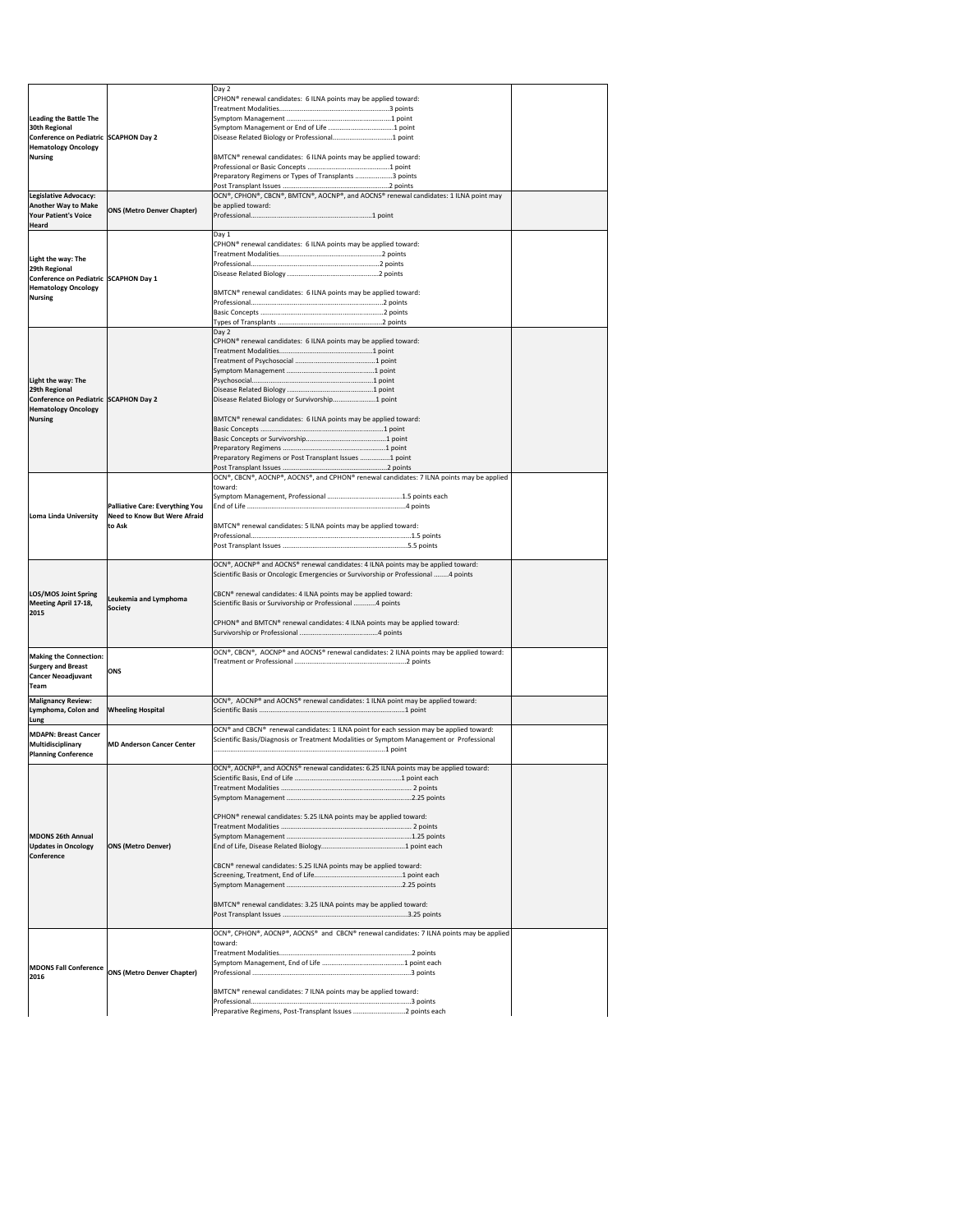|                                                                     |                                                                        | Day 2<br>CPHON <sup>®</sup> renewal candidates: 6 ILNA points may be applied toward:                                                                                   |  |
|---------------------------------------------------------------------|------------------------------------------------------------------------|------------------------------------------------------------------------------------------------------------------------------------------------------------------------|--|
| <b>Leading the Battle The</b>                                       |                                                                        |                                                                                                                                                                        |  |
| 30th Regional                                                       |                                                                        |                                                                                                                                                                        |  |
| Conference on Pediatric SCAPHON Day 2                               |                                                                        |                                                                                                                                                                        |  |
| <b>Hematology Oncology</b><br>Nursing                               |                                                                        | BMTCN® renewal candidates: 6 ILNA points may be applied toward:                                                                                                        |  |
|                                                                     |                                                                        |                                                                                                                                                                        |  |
|                                                                     |                                                                        | Preparatory Regimens or Types of Transplants 3 points                                                                                                                  |  |
| Legislative Advocacy:                                               |                                                                        | OCN®, CPHON®, CBCN®, BMTCN®, AOCNP®, and AOCNS® renewal candidates: 1 ILNA point may                                                                                   |  |
| <b>Another Way to Make</b><br><b>Your Patient's Voice</b><br>Heard  | <b>ONS (Metro Denver Chapter)</b>                                      | be applied toward:                                                                                                                                                     |  |
|                                                                     |                                                                        | Day 1                                                                                                                                                                  |  |
|                                                                     |                                                                        | CPHON <sup>®</sup> renewal candidates: 6 ILNA points may be applied toward:                                                                                            |  |
| Light the way: The<br>29th Regional                                 |                                                                        |                                                                                                                                                                        |  |
| Conference on Pediatric SCAPHON Day 1                               |                                                                        |                                                                                                                                                                        |  |
| <b>Hematology Oncology</b><br>Nursing                               |                                                                        | BMTCN® renewal candidates: 6 ILNA points may be applied toward:                                                                                                        |  |
|                                                                     |                                                                        |                                                                                                                                                                        |  |
|                                                                     |                                                                        |                                                                                                                                                                        |  |
|                                                                     |                                                                        | Day 2                                                                                                                                                                  |  |
|                                                                     |                                                                        | CPHON <sup>®</sup> renewal candidates: 6 ILNA points may be applied toward:                                                                                            |  |
|                                                                     |                                                                        |                                                                                                                                                                        |  |
| Light the way: The                                                  |                                                                        |                                                                                                                                                                        |  |
| 29th Regional                                                       |                                                                        |                                                                                                                                                                        |  |
| Conference on Pediatric SCAPHON Day 2<br><b>Hematology Oncology</b> |                                                                        | Disease Related Biology or Survivorship1 point                                                                                                                         |  |
| Nursing                                                             |                                                                        | BMTCN <sup>®</sup> renewal candidates: 6 ILNA points may be applied toward:                                                                                            |  |
|                                                                     |                                                                        |                                                                                                                                                                        |  |
|                                                                     |                                                                        |                                                                                                                                                                        |  |
|                                                                     |                                                                        | Preparatory Regimens or Post Transplant Issues 1 point                                                                                                                 |  |
|                                                                     |                                                                        | OCN®, CBCN®, AOCNP®, AOCNS®, and CPHON® renewal candidates: 7 ILNA points may be applied                                                                               |  |
|                                                                     |                                                                        | toward:                                                                                                                                                                |  |
|                                                                     | Palliative Care: Everything You<br><b>Need to Know But Were Afraid</b> |                                                                                                                                                                        |  |
| Loma Linda University                                               |                                                                        |                                                                                                                                                                        |  |
|                                                                     | to Ask                                                                 | BMTCN <sup>®</sup> renewal candidates: 5 ILNA points may be applied toward:                                                                                            |  |
|                                                                     |                                                                        |                                                                                                                                                                        |  |
|                                                                     |                                                                        |                                                                                                                                                                        |  |
|                                                                     |                                                                        | OCN®, AOCNP® and AOCNS® renewal candidates: 4 ILNA points may be applied toward:<br>Scientific Basis or Oncologic Emergencies or Survivorship or Professional 4 points |  |
|                                                                     |                                                                        |                                                                                                                                                                        |  |
| LOS/MOS Joint Spring                                                | Leukemia and Lymphoma                                                  | CBCN <sup>®</sup> renewal candidates: 4 ILNA points may be applied toward:                                                                                             |  |
| Meeting April 17-18,<br>2015                                        | <b>Society</b>                                                         | Scientific Basis or Survivorship or Professional 4 points                                                                                                              |  |
|                                                                     |                                                                        | CPHON <sup>®</sup> and BMTCN <sup>®</sup> renewal candidates: 4 ILNA points may be applied toward:                                                                     |  |
| <b>Making the Connection:</b>                                       |                                                                        | OCN®, CBCN®, AOCNP® and AOCNS® renewal candidates: 2 ILNA points may be applied toward:                                                                                |  |
| <b>Surgery and Breast</b>                                           | <b>ONS</b>                                                             |                                                                                                                                                                        |  |
| <b>Cancer Neoadjuvant</b>                                           |                                                                        |                                                                                                                                                                        |  |
| Team<br><b>Malignancy Review:</b>                                   |                                                                        | OCN®, AOCNP® and AOCNS® renewal candidates: 1 ILNA point may be applied toward:                                                                                        |  |
| Lymphoma, Colon and                                                 | <b>Wheeling Hospital</b>                                               |                                                                                                                                                                        |  |
| Lung                                                                |                                                                        | OCN® and CBCN® renewal candidates: 1 ILNA point for each session may be applied toward:                                                                                |  |
| <b>MDAPN: Breast Cancer</b><br>Multidisciplinary                    | <b>MD Anderson Cancer Center</b>                                       | Scientific Basis/Diagnosis or Treatment Modalities or Symptom Management or Professional                                                                               |  |
| <b>Planning Conference</b>                                          |                                                                        |                                                                                                                                                                        |  |
|                                                                     |                                                                        | OCN®, AOCNP®, and AOCNS® renewal candidates: 6.25 ILNA points may be applied toward:                                                                                   |  |
|                                                                     |                                                                        |                                                                                                                                                                        |  |
|                                                                     |                                                                        |                                                                                                                                                                        |  |
|                                                                     |                                                                        | CPHON <sup>®</sup> renewal candidates: 5.25 ILNA points may be applied toward:                                                                                         |  |
|                                                                     |                                                                        |                                                                                                                                                                        |  |
| MDONS 26th Annual                                                   |                                                                        |                                                                                                                                                                        |  |
| <b>Updates in Oncology</b><br><b>Conference</b>                     | <b>ONS (Metro Denver)</b>                                              |                                                                                                                                                                        |  |
|                                                                     |                                                                        | CBCN <sup>®</sup> renewal candidates: 5.25 ILNA points may be applied toward:                                                                                          |  |
|                                                                     |                                                                        |                                                                                                                                                                        |  |
|                                                                     |                                                                        |                                                                                                                                                                        |  |
|                                                                     |                                                                        | BMTCN <sup>®</sup> renewal candidates: 3.25 ILNA points may be applied toward:                                                                                         |  |
|                                                                     |                                                                        |                                                                                                                                                                        |  |
|                                                                     |                                                                        | OCN®, CPHON®, AOCNP®, AOCNS® and CBCN® renewal candidates: 7 ILNA points may be applied<br>toward:                                                                     |  |
|                                                                     |                                                                        |                                                                                                                                                                        |  |
| <b>MDONS Fall Conference</b>                                        | <b>ONS (Metro Denver Chapter)</b>                                      |                                                                                                                                                                        |  |
| 2016                                                                |                                                                        |                                                                                                                                                                        |  |
|                                                                     |                                                                        | BMTCN® renewal candidates: 7 ILNA points may be applied toward:                                                                                                        |  |
|                                                                     |                                                                        |                                                                                                                                                                        |  |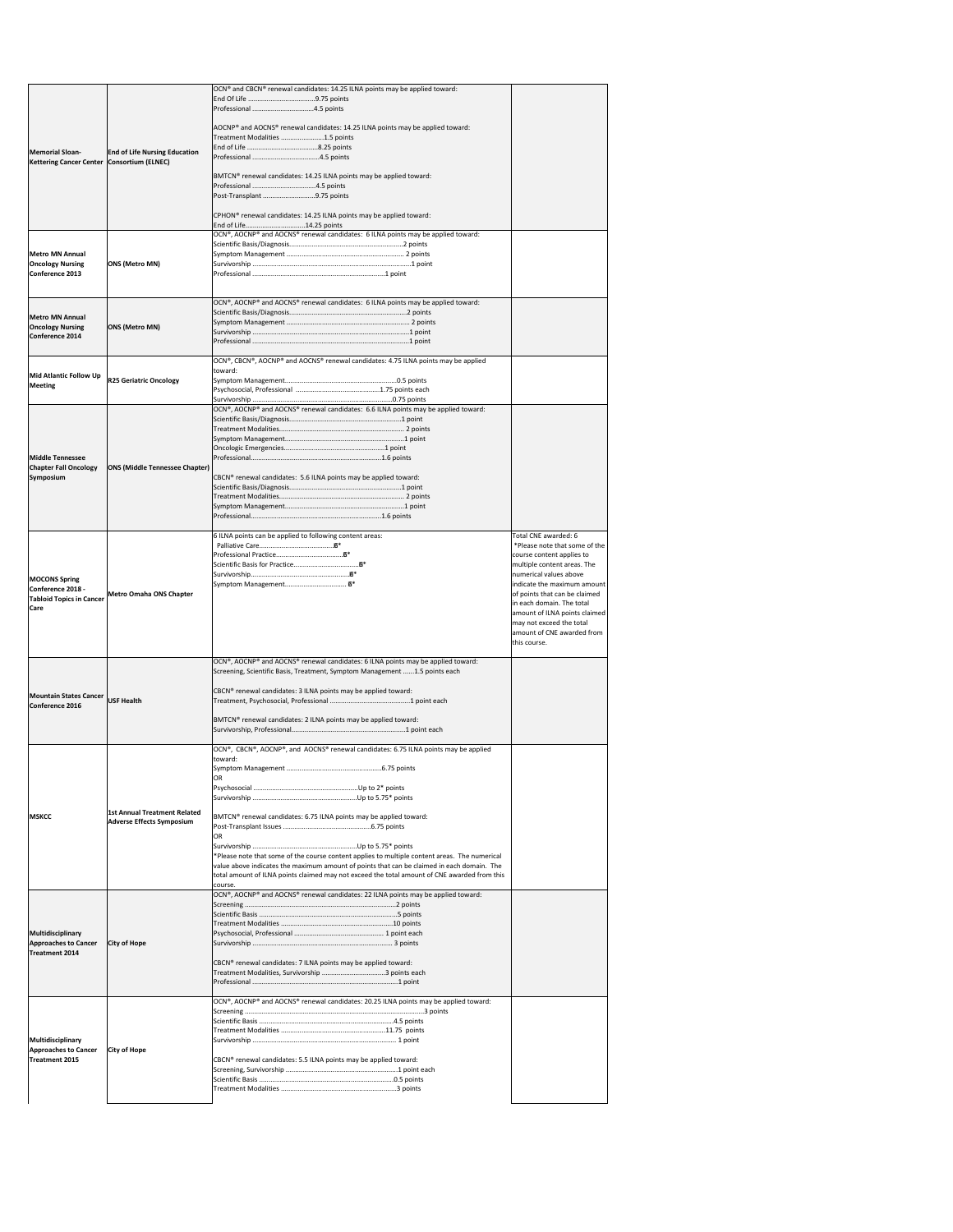| Memorial Sloan-<br>Kettering Cancer Center   Consortium (ELNEC)                      | <b>End of Life Nursing Education</b>                                    | OCN® and CBCN® renewal candidates: 14.25 ILNA points may be applied toward:<br>AOCNP® and AOCNS® renewal candidates: 14.25 ILNA points may be applied toward:<br>Treatment Modalities 1.5 points<br>BMTCN <sup>®</sup> renewal candidates: 14.25 ILNA points may be applied toward:<br>Post-Transplant 9.75 points<br>CPHON <sup>®</sup> renewal candidates: 14.25 ILNA points may be applied toward:<br>End of Life14.25 points                                                                               |                                                                                                                                                                                                                                                                                                                                                     |
|--------------------------------------------------------------------------------------|-------------------------------------------------------------------------|----------------------------------------------------------------------------------------------------------------------------------------------------------------------------------------------------------------------------------------------------------------------------------------------------------------------------------------------------------------------------------------------------------------------------------------------------------------------------------------------------------------|-----------------------------------------------------------------------------------------------------------------------------------------------------------------------------------------------------------------------------------------------------------------------------------------------------------------------------------------------------|
| <b>Metro MN Annual</b><br><b>Oncology Nursing</b><br><b>Conference 2013</b>          | <b>ONS (Metro MN)</b>                                                   | OCN®, AOCNP® and AOCNS® renewal candidates: 6 ILNA points may be applied toward:                                                                                                                                                                                                                                                                                                                                                                                                                               |                                                                                                                                                                                                                                                                                                                                                     |
| <b>Metro MN Annual</b><br><b>Oncology Nursing</b><br>Conference 2014                 | <b>ONS (Metro MN)</b>                                                   | OCN®, AOCNP® and AOCNS® renewal candidates: 6 ILNA points may be applied toward:                                                                                                                                                                                                                                                                                                                                                                                                                               |                                                                                                                                                                                                                                                                                                                                                     |
| Mid Atlantic Follow Up<br><b>Meeting</b>                                             | <b>R25 Geriatric Oncology</b>                                           | OCN®, CBCN®, AOCNP® and AOCNS® renewal candidates: 4.75 ILNA points may be applied<br>toward:<br>OCN®, AOCNP® and AOCNS® renewal candidates: 6.6 ILNA points may be applied toward:                                                                                                                                                                                                                                                                                                                            |                                                                                                                                                                                                                                                                                                                                                     |
| <b>Middle Tennessee</b><br><b>Chapter Fall Oncology</b><br><b>Symposium</b>          | <b>ONS (Middle Tennessee Chapter)</b>                                   | CBCN® renewal candidates: 5.6 ILNA points may be applied toward:                                                                                                                                                                                                                                                                                                                                                                                                                                               |                                                                                                                                                                                                                                                                                                                                                     |
| <b>MOCONS Spring</b><br>Conference 2018 -<br><b>Tabloid Topics in Cancer</b><br>Care | <b>Metro Omaha ONS Chapter</b>                                          | 6 ILNA points can be applied to following content areas:                                                                                                                                                                                                                                                                                                                                                                                                                                                       | Total CNE awarded: 6<br>*Please note that some of the<br>course content applies to<br>multiple content areas. The<br>numerical values above<br>indicate the maximum amount<br>of points that can be claimed<br>in each domain. The total<br>amount of ILNA points claimed<br>may not exceed the total<br>amount of CNE awarded from<br>this course. |
| Mountain States Cancer USF Health<br>Conference 2016                                 |                                                                         | OCN®, AOCNP® and AOCNS® renewal candidates: 6 ILNA points may be applied toward:<br>Screening, Scientific Basis, Treatment, Symptom Management 1.5 points each<br>CBCN <sup>®</sup> renewal candidates: 3 ILNA points may be applied toward:<br>BMTCN® renewal candidates: 2 ILNA points may be applied toward:                                                                                                                                                                                                |                                                                                                                                                                                                                                                                                                                                                     |
| <b>MSKCC</b>                                                                         | <b>1st Annual Treatment Related</b><br><b>Adverse Effects Symposium</b> | OCN®, CBCN®, AOCNP®, and AOCNS® renewal candidates: 6.75 ILNA points may be applied<br>toward:<br><b>OR</b><br>BMTCN <sup>®</sup> renewal candidates: 6.75 ILNA points may be applied toward:<br>IOR<br>*Please note that some of the course content applies to multiple content areas. The numerical<br>value above indicates the maximum amount of points that can be claimed in each domain. The<br>total amount of ILNA points claimed may not exceed the total amount of CNE awarded from this<br>course. |                                                                                                                                                                                                                                                                                                                                                     |
| Multidisciplinary<br><b>Approaches to Cancer</b><br><b>Treatment 2014</b>            | <b>City of Hope</b>                                                     | OCN®, AOCNP® and AOCNS® renewal candidates: 22 ILNA points may be applied toward:<br>CBCN <sup>®</sup> renewal candidates: 7 ILNA points may be applied toward:                                                                                                                                                                                                                                                                                                                                                |                                                                                                                                                                                                                                                                                                                                                     |
| Multidisciplinary<br><b>Approaches to Cancer</b><br><b>Treatment 2015</b>            | <b>City of Hope</b>                                                     | OCN®, AOCNP® and AOCNS® renewal candidates: 20.25 ILNA points may be applied toward:<br>CBCN® renewal candidates: 5.5 ILNA points may be applied toward:                                                                                                                                                                                                                                                                                                                                                       |                                                                                                                                                                                                                                                                                                                                                     |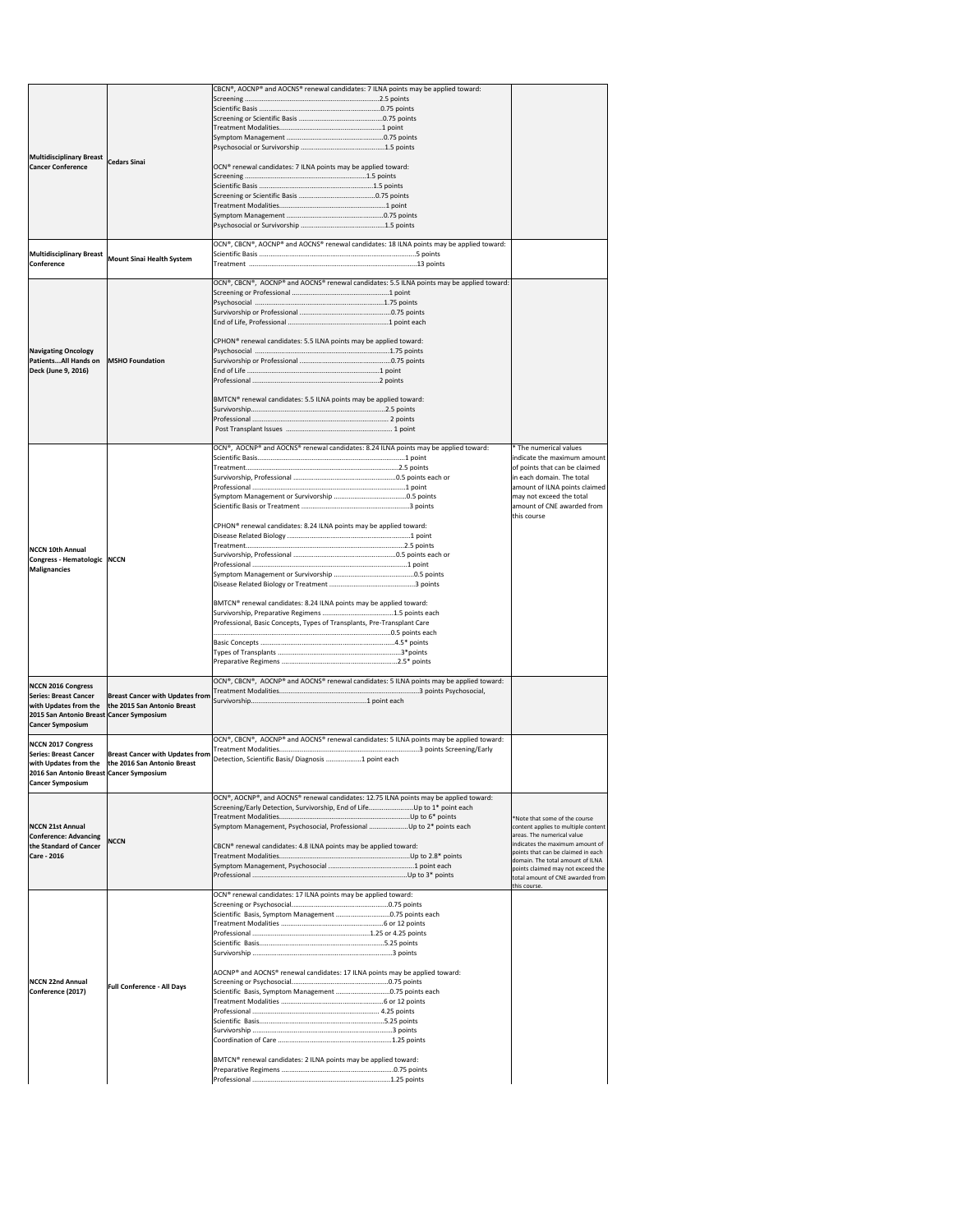|                                          |                                                     | CBCN®, AOCNP® and AOCNS® renewal candidates: 7 ILNA points may be applied toward:          |                                                                       |
|------------------------------------------|-----------------------------------------------------|--------------------------------------------------------------------------------------------|-----------------------------------------------------------------------|
|                                          |                                                     |                                                                                            |                                                                       |
|                                          |                                                     |                                                                                            |                                                                       |
|                                          |                                                     |                                                                                            |                                                                       |
|                                          |                                                     |                                                                                            |                                                                       |
|                                          |                                                     |                                                                                            |                                                                       |
| <b>Multidisciplinary Breast</b>          | <b>Cedars Sinai</b>                                 |                                                                                            |                                                                       |
| <b>Cancer Conference</b>                 |                                                     | OCN <sup>®</sup> renewal candidates: 7 ILNA points may be applied toward:                  |                                                                       |
|                                          |                                                     |                                                                                            |                                                                       |
|                                          |                                                     |                                                                                            |                                                                       |
|                                          |                                                     |                                                                                            |                                                                       |
|                                          |                                                     |                                                                                            |                                                                       |
|                                          |                                                     |                                                                                            |                                                                       |
|                                          |                                                     | OCN®, CBCN®, AOCNP® and AOCNS® renewal candidates: 18 ILNA points may be applied toward:   |                                                                       |
| Multidisciplinary Breast                 | <b>Mount Sinai Health System</b>                    |                                                                                            |                                                                       |
| <b>Conference</b>                        |                                                     |                                                                                            |                                                                       |
|                                          |                                                     | OCN®, CBCN®, AOCNP® and AOCNS® renewal candidates: 5.5 ILNA points may be applied toward:  |                                                                       |
|                                          |                                                     |                                                                                            |                                                                       |
|                                          |                                                     |                                                                                            |                                                                       |
|                                          |                                                     |                                                                                            |                                                                       |
|                                          |                                                     |                                                                                            |                                                                       |
|                                          |                                                     | CPHON <sup>®</sup> renewal candidates: 5.5 ILNA points may be applied toward:              |                                                                       |
| <b>Navigating Oncology</b>               |                                                     |                                                                                            |                                                                       |
| PatientsAll Hands on                     | <b>MSHO Foundation</b>                              |                                                                                            |                                                                       |
| Deck (June 9, 2016)                      |                                                     |                                                                                            |                                                                       |
|                                          |                                                     |                                                                                            |                                                                       |
|                                          |                                                     | BMTCN® renewal candidates: 5.5 ILNA points may be applied toward:                          |                                                                       |
|                                          |                                                     |                                                                                            |                                                                       |
|                                          |                                                     |                                                                                            |                                                                       |
|                                          |                                                     |                                                                                            |                                                                       |
|                                          |                                                     |                                                                                            |                                                                       |
|                                          |                                                     | OCN®, AOCNP® and AOCNS® renewal candidates: 8.24 ILNA points may be applied toward:        | * The numerical values<br>indicate the maximum amount                 |
|                                          |                                                     |                                                                                            | of points that can be claimed                                         |
|                                          |                                                     |                                                                                            | in each domain. The total                                             |
|                                          |                                                     |                                                                                            | amount of ILNA points claimed                                         |
|                                          |                                                     |                                                                                            | may not exceed the total                                              |
|                                          |                                                     |                                                                                            | amount of CNE awarded from                                            |
|                                          |                                                     | CPHON® renewal candidates: 8.24 ILNA points may be applied toward:                         | this course                                                           |
|                                          |                                                     |                                                                                            |                                                                       |
| <b>NCCN 10th Annual</b>                  |                                                     |                                                                                            |                                                                       |
| Congress - Hematologic   NCCN            |                                                     |                                                                                            |                                                                       |
| Malignancies                             |                                                     |                                                                                            |                                                                       |
|                                          |                                                     |                                                                                            |                                                                       |
|                                          |                                                     |                                                                                            |                                                                       |
|                                          |                                                     | BMTCN® renewal candidates: 8.24 ILNA points may be applied toward:                         |                                                                       |
|                                          |                                                     |                                                                                            |                                                                       |
|                                          |                                                     | Professional, Basic Concepts, Types of Transplants, Pre-Transplant Care                    |                                                                       |
|                                          |                                                     |                                                                                            |                                                                       |
|                                          |                                                     |                                                                                            |                                                                       |
|                                          |                                                     |                                                                                            |                                                                       |
|                                          |                                                     |                                                                                            |                                                                       |
| NCCN 2016 Congress                       |                                                     | $[OCN®, CBCN®, AOCNP® and AOCNS® renewal candidates: 5 ILNA points may be applied toward:$ |                                                                       |
| Series: Breast Cancer                    | <b>Breast Cancer with Updates from</b>              |                                                                                            |                                                                       |
|                                          | with Updates from the   the 2015 San Antonio Breast |                                                                                            |                                                                       |
| 2015 San Antonio Breast Cancer Symposium |                                                     |                                                                                            |                                                                       |
| <b>Cancer Symposium</b>                  |                                                     |                                                                                            |                                                                       |
| <b>NCCN 2017 Congress</b>                |                                                     | OCN®, CBCN®, AOCNP® and AOCNS® renewal candidates: 5 ILNA points may be applied toward:    |                                                                       |
| <b>Series: Breast Cancer</b>             | <b>Breast Cancer with Updates from</b>              |                                                                                            |                                                                       |
| with Updates from the                    | the 2016 San Antonio Breast                         | Detection, Scientific Basis/ Diagnosis 1 point each                                        |                                                                       |
| 2016 San Antonio Breast Cancer Symposium |                                                     |                                                                                            |                                                                       |
| <b>Cancer Symposium</b>                  |                                                     |                                                                                            |                                                                       |
|                                          |                                                     | OCN®, AOCNP®, and AOCNS® renewal candidates: 12.75 ILNA points may be applied toward:      |                                                                       |
|                                          |                                                     |                                                                                            |                                                                       |
| <b>NCCN 21st Annual</b>                  |                                                     | Symptom Management, Psychosocial, Professional Up to 2* points each                        | *Note that some of the course<br>content applies to multiple content  |
| <b>Conference: Advancing</b>             |                                                     |                                                                                            | areas. The numerical value                                            |
| the Standard of Cancer                   | <b>NCCN</b>                                         | CBCN® renewal candidates: 4.8 ILNA points may be applied toward:                           | indicates the maximum amount of<br>points that can be claimed in each |
| <b>Care - 2016</b>                       |                                                     |                                                                                            | domain. The total amount of ILNA                                      |
|                                          |                                                     |                                                                                            | points claimed may not exceed the                                     |
|                                          |                                                     |                                                                                            | total amount of CNE awarded from<br>this course.                      |
|                                          |                                                     | OCN® renewal candidates: 17 ILNA points may be applied toward:                             |                                                                       |
|                                          |                                                     |                                                                                            |                                                                       |
|                                          |                                                     | Scientific Basis, Symptom Management 0.75 points each                                      |                                                                       |
|                                          |                                                     |                                                                                            |                                                                       |
|                                          |                                                     |                                                                                            |                                                                       |
|                                          |                                                     |                                                                                            |                                                                       |
|                                          |                                                     |                                                                                            |                                                                       |
|                                          |                                                     | AOCNP® and AOCNS® renewal candidates: 17 ILNA points may be applied toward:                |                                                                       |
| <b>NCCN 22nd Annual</b>                  | <b>Full Conference - All Days</b>                   |                                                                                            |                                                                       |
| Conference (2017)                        |                                                     | Scientific Basis, Symptom Management 0.75 points each                                      |                                                                       |
|                                          |                                                     |                                                                                            |                                                                       |
|                                          |                                                     |                                                                                            |                                                                       |
|                                          |                                                     |                                                                                            |                                                                       |
|                                          |                                                     |                                                                                            |                                                                       |
|                                          |                                                     |                                                                                            |                                                                       |
|                                          |                                                     |                                                                                            |                                                                       |
|                                          |                                                     | BMTCN® renewal candidates: 2 ILNA points may be applied toward:                            |                                                                       |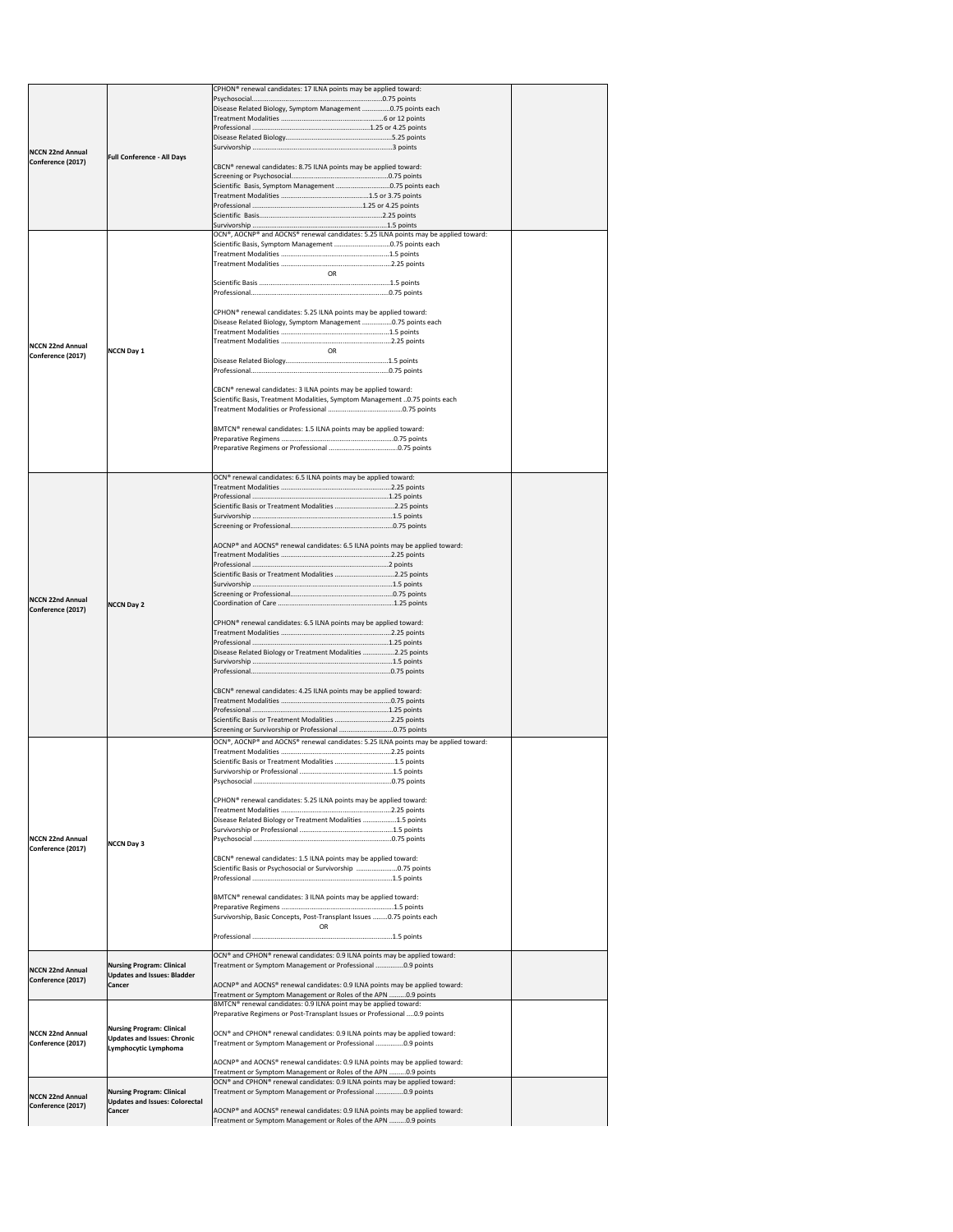|                                               |                                                        | CPHON <sup>®</sup> renewal candidates: 17 ILNA points may be applied toward:                                                                                 |  |
|-----------------------------------------------|--------------------------------------------------------|--------------------------------------------------------------------------------------------------------------------------------------------------------------|--|
|                                               |                                                        | Disease Related Biology, Symptom Management 0.75 points each                                                                                                 |  |
|                                               |                                                        |                                                                                                                                                              |  |
|                                               |                                                        |                                                                                                                                                              |  |
|                                               |                                                        |                                                                                                                                                              |  |
| <b>NCCN 22nd Annual</b><br>Conference (2017)  | <b>Full Conference - All Days</b>                      |                                                                                                                                                              |  |
|                                               |                                                        | CBCN® renewal candidates: 8.75 ILNA points may be applied toward:                                                                                            |  |
|                                               |                                                        | Scientific Basis, Symptom Management 0.75 points each                                                                                                        |  |
|                                               |                                                        |                                                                                                                                                              |  |
|                                               |                                                        |                                                                                                                                                              |  |
|                                               |                                                        |                                                                                                                                                              |  |
|                                               |                                                        | OCN®, AOCNP® and AOCNS® renewal candidates: 5.25 ILNA points may be applied toward:                                                                          |  |
|                                               |                                                        | Scientific Basis, Symptom Management 0.75 points each                                                                                                        |  |
|                                               |                                                        |                                                                                                                                                              |  |
|                                               |                                                        | <b>OR</b>                                                                                                                                                    |  |
|                                               |                                                        |                                                                                                                                                              |  |
|                                               |                                                        |                                                                                                                                                              |  |
|                                               |                                                        | CPHON <sup>®</sup> renewal candidates: 5.25 ILNA points may be applied toward:<br>Disease Related Biology, Symptom Management 0.75 points each               |  |
|                                               |                                                        |                                                                                                                                                              |  |
| <b>NCCN 22nd Annual</b>                       |                                                        |                                                                                                                                                              |  |
| Conference (2017)                             | <b>NCCN Day 1</b>                                      | OR.                                                                                                                                                          |  |
|                                               |                                                        |                                                                                                                                                              |  |
|                                               |                                                        |                                                                                                                                                              |  |
|                                               |                                                        | CBCN <sup>®</sup> renewal candidates: 3 ILNA points may be applied toward:<br>Scientific Basis, Treatment Modalities, Symptom Management 0.75 points each    |  |
|                                               |                                                        |                                                                                                                                                              |  |
|                                               |                                                        |                                                                                                                                                              |  |
|                                               |                                                        | BMTCN <sup>®</sup> renewal candidates: 1.5 ILNA points may be applied toward:                                                                                |  |
|                                               |                                                        |                                                                                                                                                              |  |
|                                               |                                                        |                                                                                                                                                              |  |
|                                               |                                                        | OCN® renewal candidates: 6.5 ILNA points may be applied toward:                                                                                              |  |
|                                               |                                                        |                                                                                                                                                              |  |
|                                               |                                                        | Scientific Basis or Treatment Modalities 2.25 points                                                                                                         |  |
|                                               |                                                        |                                                                                                                                                              |  |
|                                               |                                                        |                                                                                                                                                              |  |
|                                               |                                                        | $AOCNP®$ and AOCNS <sup>®</sup> renewal candidates: 6.5 ILNA points may be applied toward:                                                                   |  |
|                                               |                                                        |                                                                                                                                                              |  |
|                                               |                                                        | Scientific Basis or Treatment Modalities 2.25 points                                                                                                         |  |
|                                               |                                                        |                                                                                                                                                              |  |
| <b>NCCN 22nd Annual</b>                       |                                                        |                                                                                                                                                              |  |
| Conference (2017)                             | <b>NCCN Day 2</b>                                      |                                                                                                                                                              |  |
|                                               |                                                        | CPHON <sup>®</sup> renewal candidates: 6.5 ILNA points may be applied toward:                                                                                |  |
|                                               |                                                        |                                                                                                                                                              |  |
|                                               |                                                        | Disease Related Biology or Treatment Modalities 2.25 points                                                                                                  |  |
|                                               |                                                        |                                                                                                                                                              |  |
|                                               |                                                        |                                                                                                                                                              |  |
|                                               |                                                        | CBCN® renewal candidates: 4.25 ILNA points may be applied toward:                                                                                            |  |
|                                               |                                                        |                                                                                                                                                              |  |
|                                               |                                                        |                                                                                                                                                              |  |
|                                               |                                                        | Scientific Basis or Treatment Modalities 2.25 points<br>Screening or Survivorship or Professional 0.75 points                                                |  |
|                                               |                                                        | OCN®, AOCNP® and AOCNS® renewal candidates: 5.25 ILNA points may be applied toward:                                                                          |  |
|                                               |                                                        |                                                                                                                                                              |  |
|                                               |                                                        | Scientific Basis or Treatment Modalities 1.5 points                                                                                                          |  |
|                                               |                                                        |                                                                                                                                                              |  |
|                                               |                                                        |                                                                                                                                                              |  |
|                                               |                                                        | CPHON <sup>®</sup> renewal candidates: 5.25 ILNA points may be applied toward:                                                                               |  |
|                                               |                                                        | Disease Related Biology or Treatment Modalities 1.5 points                                                                                                   |  |
|                                               |                                                        |                                                                                                                                                              |  |
| <b>INCCN 22nd Annual</b><br>Conference (2017) | <b>NCCN Day 3</b>                                      |                                                                                                                                                              |  |
|                                               |                                                        | CBCN® renewal candidates: 1.5 ILNA points may be applied toward:                                                                                             |  |
|                                               |                                                        | Scientific Basis or Psychosocial or Survivorship 0.75 points                                                                                                 |  |
|                                               |                                                        |                                                                                                                                                              |  |
|                                               |                                                        | BMTCN® renewal candidates: 3 ILNA points may be applied toward:                                                                                              |  |
|                                               |                                                        |                                                                                                                                                              |  |
|                                               |                                                        | Survivorship, Basic Concepts, Post-Transplant Issues 0.75 points each<br>OR.                                                                                 |  |
|                                               |                                                        |                                                                                                                                                              |  |
|                                               |                                                        |                                                                                                                                                              |  |
|                                               | <b>Nursing Program: Clinical</b>                       | OCN® and CPHON® renewal candidates: 0.9 ILNA points may be applied toward:<br>Treatment or Symptom Management or Professional 0.9 points                     |  |
| <b>NCCN 22nd Annual</b><br>Conference (2017)  | <b>Updates and Issues: Bladder</b>                     |                                                                                                                                                              |  |
|                                               | <b>Cancer</b>                                          | $AOCNP®$ and AOCNS <sup>®</sup> renewal candidates: 0.9 ILNA points may be applied toward:<br>Treatment or Symptom Management or Roles of the APN 0.9 points |  |
|                                               |                                                        | BMTCN® renewal candidates: 0.9 ILNA point may be applied toward:                                                                                             |  |
|                                               |                                                        | Preparative Regimens or Post-Transplant Issues or Professional  0.9 points                                                                                   |  |
| NCCN 22nd Annual                              | <b>Nursing Program: Clinical</b>                       | OCN® and CPHON® renewal candidates: 0.9 ILNA points may be applied toward:                                                                                   |  |
| Conference (2017)                             | <b>Updates and Issues: Chronic</b>                     | Treatment or Symptom Management or Professional 0.9 points                                                                                                   |  |
|                                               | Lymphocytic Lymphoma                                   |                                                                                                                                                              |  |
|                                               |                                                        | AOCNP® and AOCNS® renewal candidates: 0.9 ILNA points may be applied toward:<br>Treatment or Symptom Management or Roles of the APN 0.9 points               |  |
|                                               |                                                        | OCN® and CPHON® renewal candidates: 0.9 ILNA points may be applied toward:                                                                                   |  |
| NCCN 22nd Annual                              | <b>Nursing Program: Clinical</b>                       | Treatment or Symptom Management or Professional 0.9 points                                                                                                   |  |
| Conference (2017)                             | <b>Updates and Issues: Colorectal</b><br><b>Cancer</b> | $AOCNP®$ and AOCNS <sup>®</sup> renewal candidates: 0.9 ILNA points may be applied toward:                                                                   |  |
|                                               |                                                        | Treatment or Symptom Management or Roles of the APN 0.9 points                                                                                               |  |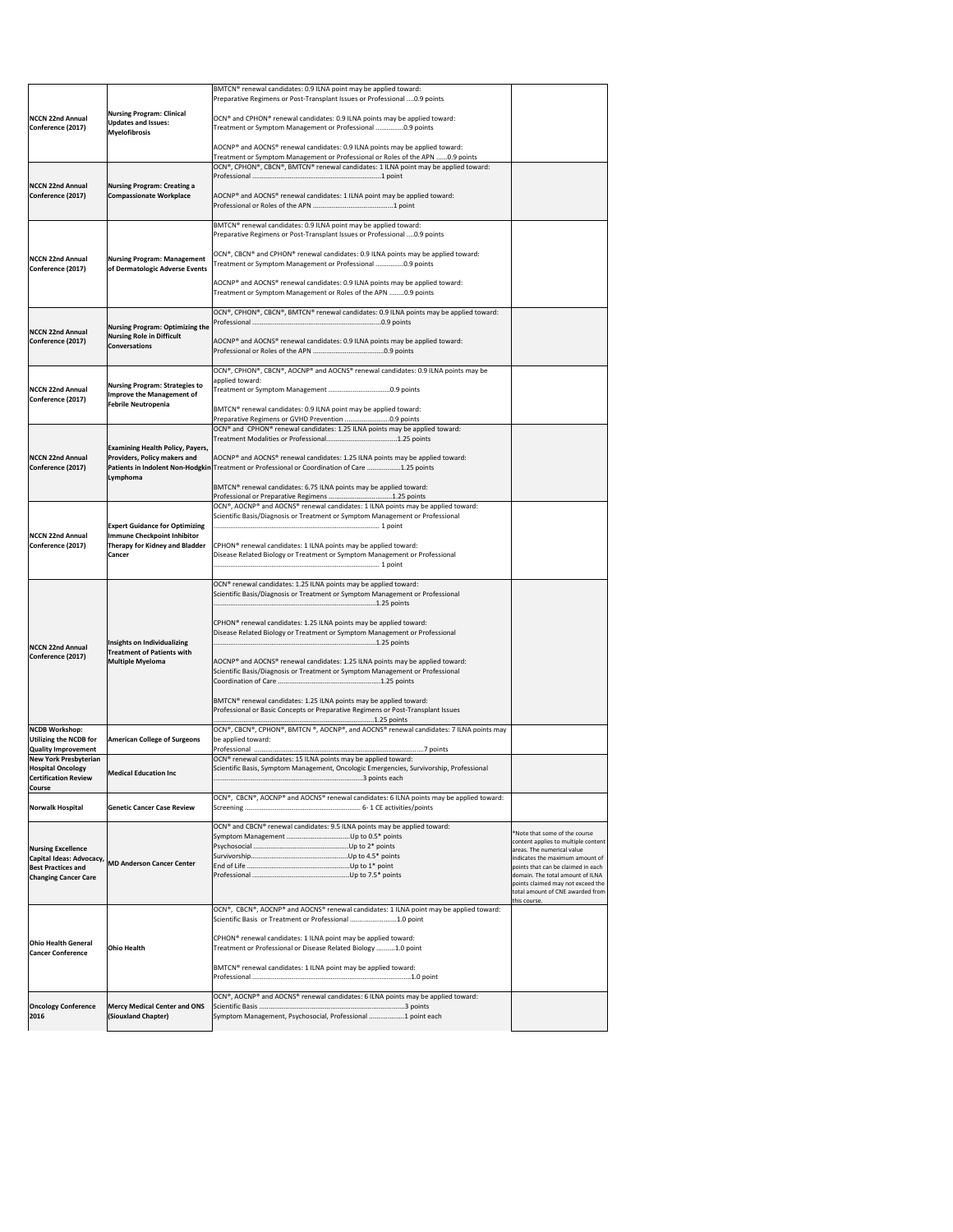|                                                                                                                       |                                                                                                                         | BMTCN® renewal candidates: 0.9 ILNA point may be applied toward:<br>Preparative Regimens or Post-Transplant Issues or Professional  0.9 points                                  |                                                                                                                                                                 |
|-----------------------------------------------------------------------------------------------------------------------|-------------------------------------------------------------------------------------------------------------------------|---------------------------------------------------------------------------------------------------------------------------------------------------------------------------------|-----------------------------------------------------------------------------------------------------------------------------------------------------------------|
| NCCN 22nd Annual<br>Conference (2017)                                                                                 | <b>Nursing Program: Clinical</b><br><b>Updates and Issues:</b><br><b>Myelofibrosis</b>                                  | OCN® and CPHON® renewal candidates: 0.9 ILNA points may be applied toward:<br>Treatment or Symptom Management or Professional 0.9 points                                        |                                                                                                                                                                 |
|                                                                                                                       |                                                                                                                         | AOCNP® and AOCNS® renewal candidates: 0.9 ILNA points may be applied toward:<br>Treatment or Symptom Management or Professional or Roles of the APN 0.9 points                  |                                                                                                                                                                 |
|                                                                                                                       |                                                                                                                         | OCN®, CPHON®, CBCN®, BMTCN® renewal candidates: 1 ILNA point may be applied toward:                                                                                             |                                                                                                                                                                 |
| <b>NCCN 22nd Annual</b><br>Conference (2017)                                                                          | <b>Nursing Program: Creating a</b><br><b>Compassionate Workplace</b>                                                    | AOCNP® and AOCNS® renewal candidates: 1 ILNA point may be applied toward:                                                                                                       |                                                                                                                                                                 |
|                                                                                                                       |                                                                                                                         | BMTCN® renewal candidates: 0.9 ILNA point may be applied toward:<br>Preparative Regimens or Post-Transplant Issues or Professional  0.9 points                                  |                                                                                                                                                                 |
| NCCN 22nd Annual<br>Conference (2017)                                                                                 | <b>Nursing Program: Management</b><br>of Dermatologic Adverse Events                                                    | OCN®, CBCN® and CPHON® renewal candidates: 0.9 ILNA points may be applied toward:<br>Treatment or Symptom Management or Professional 0.9 points                                 |                                                                                                                                                                 |
|                                                                                                                       |                                                                                                                         | AOCNP® and AOCNS® renewal candidates: 0.9 ILNA points may be applied toward:<br>Treatment or Symptom Management or Roles of the APN 0.9 points                                  |                                                                                                                                                                 |
| NCCN 22nd Annual                                                                                                      | <b>Nursing Program: Optimizing the</b>                                                                                  | OCN®, CPHON®, CBCN®, BMTCN® renewal candidates: 0.9 ILNA points may be applied toward:                                                                                          |                                                                                                                                                                 |
| Conference (2017)                                                                                                     | <b>Nursing Role in Difficult</b><br><b>Conversations</b>                                                                | AOCNP® and AOCNS® renewal candidates: 0.9 ILNA points may be applied toward:                                                                                                    |                                                                                                                                                                 |
| NCCN 22nd Annual                                                                                                      | Nursing Program: Strategies to<br>Improve the Management of                                                             | OCN®, CPHON®, CBCN®, AOCNP® and AOCNS® renewal candidates: 0.9 ILNA points may be<br>applied toward:                                                                            |                                                                                                                                                                 |
| Conference (2017)                                                                                                     | <b>Febrile Neutropenia</b>                                                                                              | BMTCN® renewal candidates: 0.9 ILNA point may be applied toward:<br>Preparative Regimens or GVHD Prevention 0.9 points                                                          |                                                                                                                                                                 |
|                                                                                                                       |                                                                                                                         | OCN® and CPHON® renewal candidates: 1.25 ILNA points may be applied toward:                                                                                                     |                                                                                                                                                                 |
| NCCN 22nd Annual<br>Conference (2017)                                                                                 | <b>Examining Health Policy, Payers,</b><br><b>Providers, Policy makers and</b>                                          | AOCNP® and AOCNS® renewal candidates: 1.25 ILNA points may be applied toward:<br>Patients in Indolent Non-Hodgkin Treatment or Professional or Coordination of Care 1.25 points |                                                                                                                                                                 |
|                                                                                                                       | Lymphoma                                                                                                                | BMTCN® renewal candidates: 6.75 ILNA points may be applied toward:<br>Professional or Preparative Regimens 1.25 points                                                          |                                                                                                                                                                 |
|                                                                                                                       |                                                                                                                         | OCN®, AOCNP® and AOCNS® renewal candidates: 1 ILNA points may be applied toward:<br>Scientific Basis/Diagnosis or Treatment or Symptom Management or Professional               |                                                                                                                                                                 |
| NCCN 22nd Annual<br>Conference (2017)                                                                                 | <b>Expert Guidance for Optimizing</b><br>Immune Checkpoint Inhibitor<br><b>Therapy for Kidney and Bladder</b><br>Cancer | CPHON <sup>®</sup> renewal candidates: 1 ILNA points may be applied toward:<br>Disease Related Biology or Treatment or Symptom Management or Professional                       |                                                                                                                                                                 |
|                                                                                                                       |                                                                                                                         | OCN <sup>®</sup> renewal candidates: 1.25 ILNA points may be applied toward:<br>Scientific Basis/Diagnosis or Treatment or Symptom Management or Professional                   |                                                                                                                                                                 |
| <b>NCCN 22nd Annual</b>                                                                                               | Insights on Individualizing                                                                                             | CPHON <sup>®</sup> renewal candidates: 1.25 ILNA points may be applied toward:<br>Disease Related Biology or Treatment or Symptom Management or Professional                    |                                                                                                                                                                 |
| Conference (2017)                                                                                                     | <b>Treatment of Patients with</b><br><b>Multiple Myeloma</b>                                                            | AOCNP® and AOCNS® renewal candidates: 1.25 ILNA points may be applied toward:<br>Scientific Basis/Diagnosis or Treatment or Symptom Management or Professional                  |                                                                                                                                                                 |
|                                                                                                                       |                                                                                                                         | BMTCN® renewal candidates: 1.25 ILNA points may be applied toward:<br>Professional or Basic Concepts or Preparative Regimens or Post-Transplant Issues                          |                                                                                                                                                                 |
| NCDB Workshop:<br><b>Utilizing the NCDB for</b>                                                                       | <b>American College of Surgeons</b>                                                                                     | OCN®, CBCN®, CPHON®, BMTCN®, AOCNP®, and AOCNS® renewal candidates: 7 ILNA points may<br>be applied toward:                                                                     |                                                                                                                                                                 |
| <b>Quality Improvement</b><br><b>New York Presbyterian</b><br><b>Hospital Oncology</b><br><b>Certification Review</b> | <b>Medical Education Inc</b>                                                                                            | OCN® renewal candidates: 15 ILNA points may be applied toward:<br>Scientific Basis, Symptom Management, Oncologic Emergencies, Survivorship, Professional                       |                                                                                                                                                                 |
| <b>Course</b><br>Norwalk Hospital                                                                                     | <b>Genetic Cancer Case Review</b>                                                                                       | OCN®, CBCN®, AOCNP® and AOCNS® renewal candidates: 6 ILNA points may be applied toward:                                                                                         |                                                                                                                                                                 |
| <b>Nursing Excellence</b><br>Capital Ideas: Advocacy,                                                                 |                                                                                                                         | OCN® and CBCN® renewal candidates: 9.5 ILNA points may be applied toward:                                                                                                       | *Note that some of the course<br>content applies to multiple content<br>areas. The numerical value<br>indicates the maximum amount of                           |
| <b>Best Practices and</b><br><b>Changing Cancer Care</b>                                                              | <b>MD Anderson Cancer Center</b>                                                                                        |                                                                                                                                                                                 | points that can be claimed in each<br>domain. The total amount of ILNA<br>points claimed may not exceed the<br>total amount of CNE awarded from<br>this course. |
|                                                                                                                       |                                                                                                                         | OCN®, CBCN®, AOCNP® and AOCNS® renewal candidates: 1 ILNA point may be applied toward:<br>Scientific Basis or Treatment or Professional 1.0 point                               |                                                                                                                                                                 |
| <b>Ohio Health General</b><br><b>Cancer Conference</b>                                                                | <b>Ohio Health</b>                                                                                                      | CPHON <sup>®</sup> renewal candidates: 1 ILNA point may be applied toward:<br>Treatment or Professional or Disease Related Biology 1.0 point                                    |                                                                                                                                                                 |
|                                                                                                                       |                                                                                                                         | BMTCN® renewal candidates: 1 ILNA point may be applied toward:                                                                                                                  |                                                                                                                                                                 |
| <b>Oncology Conference</b><br>2016                                                                                    | <b>Mercy Medical Center and ONS</b><br>(Siouxland Chapter)                                                              | OCN®, AOCNP® and AOCNS® renewal candidates: 6 ILNA points may be applied toward:<br>Symptom Management, Psychosocial, Professional 1 point each                                 |                                                                                                                                                                 |
|                                                                                                                       |                                                                                                                         |                                                                                                                                                                                 |                                                                                                                                                                 |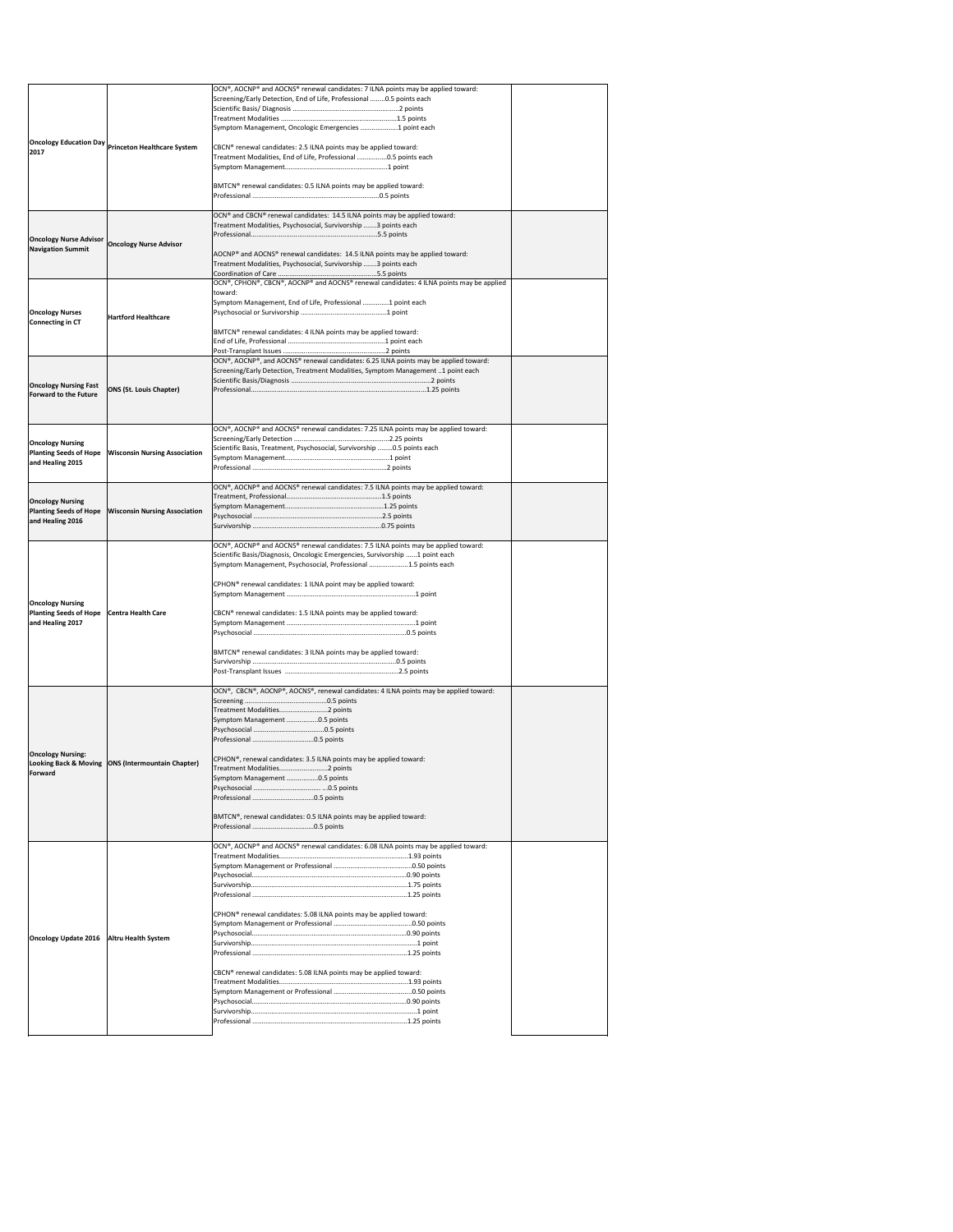|                                                              |                                                    | OCN®, AOCNP® and AOCNS® renewal candidates: 7 ILNA points may be applied toward:<br>Screening/Early Detection, End of Life, Professional 0.5 points each                   |  |
|--------------------------------------------------------------|----------------------------------------------------|----------------------------------------------------------------------------------------------------------------------------------------------------------------------------|--|
|                                                              |                                                    |                                                                                                                                                                            |  |
|                                                              |                                                    | Symptom Management, Oncologic Emergencies  1 point each                                                                                                                    |  |
|                                                              |                                                    |                                                                                                                                                                            |  |
| 2017                                                         | Oncology Education Day Princeton Healthcare System | CBCN® renewal candidates: 2.5 ILNA points may be applied toward:<br>Treatment Modalities, End of Life, Professional 0.5 points each                                        |  |
|                                                              |                                                    |                                                                                                                                                                            |  |
|                                                              |                                                    | BMTCN® renewal candidates: 0.5 ILNA points may be applied toward:                                                                                                          |  |
|                                                              |                                                    |                                                                                                                                                                            |  |
|                                                              |                                                    | OCN® and CBCN® renewal candidates: 14.5 ILNA points may be applied toward:                                                                                                 |  |
|                                                              |                                                    | Treatment Modalities, Psychosocial, Survivorship 3 points each                                                                                                             |  |
| <b>Oncology Nurse Advisor</b>                                | <b>Oncology Nurse Advisor</b>                      |                                                                                                                                                                            |  |
| <b>Navigation Summit</b>                                     |                                                    | AOCNP® and AOCNS® renewal candidates: 14.5 ILNA points may be applied toward:                                                                                              |  |
|                                                              |                                                    | Treatment Modalities, Psychosocial, Survivorship 3 points each                                                                                                             |  |
|                                                              |                                                    | OCN®, CPHON®, CBCN®, AOCNP® and AOCNS® renewal candidates: 4 ILNA points may be applied                                                                                    |  |
|                                                              |                                                    | toward:<br>Symptom Management, End of Life, Professional 1 point each                                                                                                      |  |
| <b>Oncology Nurses</b>                                       | <b>Hartford Healthcare</b>                         |                                                                                                                                                                            |  |
| Connecting in CT                                             |                                                    | BMTCN® renewal candidates: 4 ILNA points may be applied toward:                                                                                                            |  |
|                                                              |                                                    |                                                                                                                                                                            |  |
|                                                              |                                                    | OCN®, AOCNP®, and AOCNS® renewal candidates: 6.25 ILNA points may be applied toward:                                                                                       |  |
|                                                              |                                                    | Screening/Early Detection, Treatment Modalities, Symptom Management 1 point each                                                                                           |  |
| <b>Oncology Nursing Fast</b>                                 | <b>ONS (St. Louis Chapter)</b>                     |                                                                                                                                                                            |  |
| <b>Forward to the Future</b>                                 |                                                    |                                                                                                                                                                            |  |
|                                                              |                                                    |                                                                                                                                                                            |  |
|                                                              |                                                    | OCN®, AOCNP® and AOCNS® renewal candidates: 7.25 ILNA points may be applied toward:                                                                                        |  |
| <b>Oncology Nursing</b>                                      |                                                    | Scientific Basis, Treatment, Psychosocial, Survivorship 0.5 points each                                                                                                    |  |
| <b>Planting Seeds of Hope</b><br>and Healing 2015            | <b>Wisconsin Nursing Association</b>               |                                                                                                                                                                            |  |
|                                                              |                                                    |                                                                                                                                                                            |  |
|                                                              |                                                    | OCN®, AOCNP® and AOCNS® renewal candidates: 7.5 ILNA points may be applied toward:                                                                                         |  |
| <b>Oncology Nursing</b>                                      |                                                    |                                                                                                                                                                            |  |
| <b>Planting Seeds of Hope</b><br>and Healing 2016            | <b>Wisconsin Nursing Association</b>               |                                                                                                                                                                            |  |
|                                                              |                                                    |                                                                                                                                                                            |  |
|                                                              |                                                    | $\vert$ OCN®, AOCNP® and AOCNS® renewal candidates: 7.5 ILNA points may be applied toward:<br>Scientific Basis/Diagnosis, Oncologic Emergencies, Survivorship 1 point each |  |
|                                                              |                                                    | Symptom Management, Psychosocial, Professional 1.5 points each                                                                                                             |  |
|                                                              |                                                    | CPHON <sup>®</sup> renewal candidates: 1 ILNA point may be applied toward:                                                                                                 |  |
|                                                              |                                                    |                                                                                                                                                                            |  |
| <b>Oncology Nursing</b><br><b>Planting Seeds of Hope</b>     | <b>Centra Health Care</b>                          | CBCN® renewal candidates: 1.5 ILNA points may be applied toward:                                                                                                           |  |
| and Healing 2017                                             |                                                    |                                                                                                                                                                            |  |
|                                                              |                                                    |                                                                                                                                                                            |  |
|                                                              |                                                    | BMTCN® renewal candidates: 3 ILNA points may be applied toward:                                                                                                            |  |
|                                                              |                                                    |                                                                                                                                                                            |  |
|                                                              |                                                    |                                                                                                                                                                            |  |
|                                                              |                                                    | OCN®, CBCN®, AOCNP®, AOCNS®, renewal candidates: 4 ILNA points may be applied toward:                                                                                      |  |
|                                                              |                                                    | Treatment Modalities2 points                                                                                                                                               |  |
|                                                              |                                                    | Symptom Management 0.5 points                                                                                                                                              |  |
|                                                              |                                                    |                                                                                                                                                                            |  |
| <b>Oncology Nursing:</b><br><b>Looking Back &amp; Moving</b> | <b>ONS (Intermountain Chapter)</b>                 | CPHON®, renewal candidates: 3.5 ILNA points may be applied toward:                                                                                                         |  |
| Forward                                                      |                                                    | Treatment Modalities2 points<br>Symptom Management 0.5 points                                                                                                              |  |
|                                                              |                                                    |                                                                                                                                                                            |  |
|                                                              |                                                    |                                                                                                                                                                            |  |
|                                                              |                                                    | BMTCN <sup>®</sup> , renewal candidates: 0.5 ILNA points may be applied toward:                                                                                            |  |
|                                                              |                                                    |                                                                                                                                                                            |  |
|                                                              |                                                    | OCN®, AOCNP® and AOCNS® renewal candidates: 6.08 ILNA points may be applied toward:                                                                                        |  |
|                                                              |                                                    |                                                                                                                                                                            |  |
|                                                              |                                                    |                                                                                                                                                                            |  |
|                                                              |                                                    |                                                                                                                                                                            |  |
|                                                              |                                                    |                                                                                                                                                                            |  |
|                                                              |                                                    | CPHON <sup>®</sup> renewal candidates: 5.08 ILNA points may be applied toward:                                                                                             |  |
| <b>Oncology Update 2016</b>                                  | <b>Altru Health System</b>                         |                                                                                                                                                                            |  |
|                                                              |                                                    |                                                                                                                                                                            |  |
|                                                              |                                                    |                                                                                                                                                                            |  |
|                                                              |                                                    | CBCN® renewal candidates: 5.08 ILNA points may be applied toward:                                                                                                          |  |
|                                                              |                                                    |                                                                                                                                                                            |  |
|                                                              |                                                    |                                                                                                                                                                            |  |
|                                                              |                                                    |                                                                                                                                                                            |  |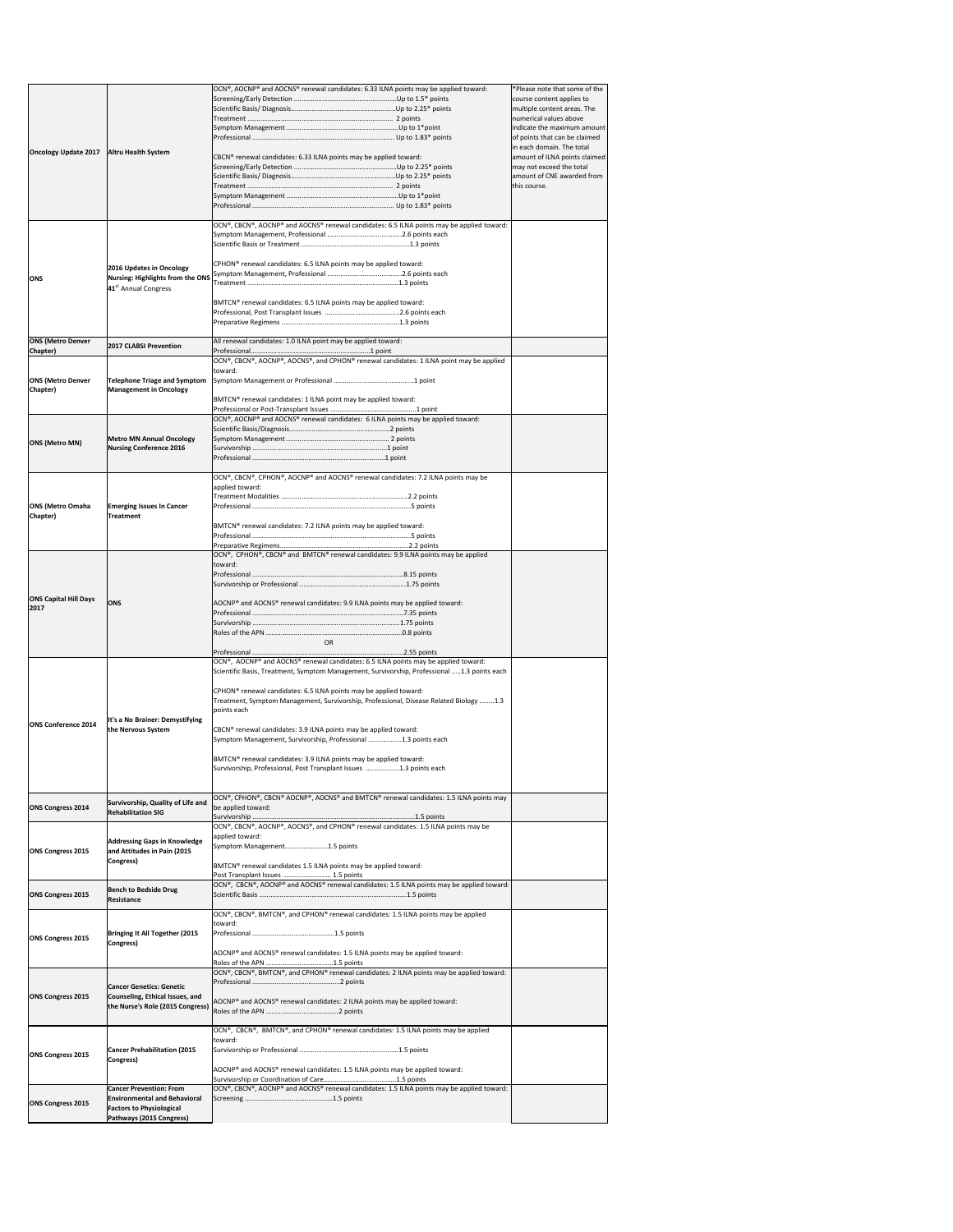| <b>Oncology Update 2017</b><br><b>Altru Health System</b><br>CBCN <sup>®</sup> renewal candidates: 6.33 ILNA points may be applied toward:<br> OCN®, CBCN®, AOCNP® and AOCNS® renewal candidates: 6.5 ILNA points may be applied toward:<br>CPHON <sup>®</sup> renewal candidates: 6.5 ILNA points may be applied toward:<br>2016 Updates in Oncology<br><b>Nursing: Highlights from the ONS</b><br><b>ONS</b><br>41 <sup>st</sup> Annual Congress<br>BMTCN® renewal candidates: 6.5 ILNA points may be applied toward:<br><b>ONS (Metro Denver</b><br>All renewal candidates: 1.0 ILNA point may be applied toward:<br><b>2017 CLABSI Prevention</b><br>Chapter)<br>$[OCN®, CBCN®, AOCNP®, AOCNS®, and CPHON® renewal candidates: 1 ILNA point may be applied$<br>toward:<br><b>ONS (Metro Denver</b><br>Telephone Triage and Symptom<br>Chapter)<br><b>Management in Oncology</b><br>BMTCN <sup>®</sup> renewal candidates: 1 ILNA point may be applied toward:<br>OCN®, AOCNP® and AOCNS® renewal candidates: 6 ILNA points may be applied toward:<br><b>Metro MN Annual Oncology</b><br><b>ONS (Metro MN)</b><br><b>Nursing Conference 2016</b> | indicate the maximum amount<br>of points that can be claimed<br>in each domain. The total<br>amount of ILNA points claimed<br>may not exceed the total<br>amount of CNE awarded from<br>this course. |
|-----------------------------------------------------------------------------------------------------------------------------------------------------------------------------------------------------------------------------------------------------------------------------------------------------------------------------------------------------------------------------------------------------------------------------------------------------------------------------------------------------------------------------------------------------------------------------------------------------------------------------------------------------------------------------------------------------------------------------------------------------------------------------------------------------------------------------------------------------------------------------------------------------------------------------------------------------------------------------------------------------------------------------------------------------------------------------------------------------------------------------------------------------|------------------------------------------------------------------------------------------------------------------------------------------------------------------------------------------------------|
|                                                                                                                                                                                                                                                                                                                                                                                                                                                                                                                                                                                                                                                                                                                                                                                                                                                                                                                                                                                                                                                                                                                                                     |                                                                                                                                                                                                      |
|                                                                                                                                                                                                                                                                                                                                                                                                                                                                                                                                                                                                                                                                                                                                                                                                                                                                                                                                                                                                                                                                                                                                                     |                                                                                                                                                                                                      |
|                                                                                                                                                                                                                                                                                                                                                                                                                                                                                                                                                                                                                                                                                                                                                                                                                                                                                                                                                                                                                                                                                                                                                     |                                                                                                                                                                                                      |
|                                                                                                                                                                                                                                                                                                                                                                                                                                                                                                                                                                                                                                                                                                                                                                                                                                                                                                                                                                                                                                                                                                                                                     |                                                                                                                                                                                                      |
|                                                                                                                                                                                                                                                                                                                                                                                                                                                                                                                                                                                                                                                                                                                                                                                                                                                                                                                                                                                                                                                                                                                                                     |                                                                                                                                                                                                      |
|                                                                                                                                                                                                                                                                                                                                                                                                                                                                                                                                                                                                                                                                                                                                                                                                                                                                                                                                                                                                                                                                                                                                                     |                                                                                                                                                                                                      |
|                                                                                                                                                                                                                                                                                                                                                                                                                                                                                                                                                                                                                                                                                                                                                                                                                                                                                                                                                                                                                                                                                                                                                     |                                                                                                                                                                                                      |
|                                                                                                                                                                                                                                                                                                                                                                                                                                                                                                                                                                                                                                                                                                                                                                                                                                                                                                                                                                                                                                                                                                                                                     |                                                                                                                                                                                                      |
|                                                                                                                                                                                                                                                                                                                                                                                                                                                                                                                                                                                                                                                                                                                                                                                                                                                                                                                                                                                                                                                                                                                                                     |                                                                                                                                                                                                      |
| OCN®, CBCN®, CPHON®, AOCNP® and AOCNS® renewal candidates: 7.2 ILNA points may be<br>applied toward:                                                                                                                                                                                                                                                                                                                                                                                                                                                                                                                                                                                                                                                                                                                                                                                                                                                                                                                                                                                                                                                |                                                                                                                                                                                                      |
| <b>ONS (Metro Omaha</b><br><b>Emerging Issues In Cancer</b><br>Chapter)<br><b>Treatment</b><br>BMTCN <sup>®</sup> renewal candidates: 7.2 ILNA points may be applied toward:                                                                                                                                                                                                                                                                                                                                                                                                                                                                                                                                                                                                                                                                                                                                                                                                                                                                                                                                                                        |                                                                                                                                                                                                      |
| OCN®, CPHON®, CBCN® and BMTCN® renewal candidates: 9.9 ILNA points may be applied                                                                                                                                                                                                                                                                                                                                                                                                                                                                                                                                                                                                                                                                                                                                                                                                                                                                                                                                                                                                                                                                   |                                                                                                                                                                                                      |
| toward:<br><b>ONS Capital Hill Days</b>                                                                                                                                                                                                                                                                                                                                                                                                                                                                                                                                                                                                                                                                                                                                                                                                                                                                                                                                                                                                                                                                                                             |                                                                                                                                                                                                      |
| AOCNP® and AOCNS® renewal candidates: 9.9 ILNA points may be applied toward:<br><b>ONS</b><br> 2017<br><b>OR</b>                                                                                                                                                                                                                                                                                                                                                                                                                                                                                                                                                                                                                                                                                                                                                                                                                                                                                                                                                                                                                                    |                                                                                                                                                                                                      |
| OCN®, AOCNP® and AOCNS® renewal candidates: 6.5 ILNA points may be applied toward:                                                                                                                                                                                                                                                                                                                                                                                                                                                                                                                                                                                                                                                                                                                                                                                                                                                                                                                                                                                                                                                                  |                                                                                                                                                                                                      |
| Scientific Basis, Treatment, Symptom Management, Survivorship, Professional 1.3 points each<br>CPHON <sup>®</sup> renewal candidates: 6.5 ILNA points may be applied toward:<br>Treatment, Symptom Management, Survivorship, Professional, Disease Related Biology 1.3<br>points each                                                                                                                                                                                                                                                                                                                                                                                                                                                                                                                                                                                                                                                                                                                                                                                                                                                               |                                                                                                                                                                                                      |
| It's a No Brainer: Demystifying<br><b>ONS Conference 2014</b><br>the Nervous System<br>CBCN <sup>®</sup> renewal candidates: 3.9 ILNA points may be applied toward:<br>Symptom Management, Survivorship, Professional 1.3 points each                                                                                                                                                                                                                                                                                                                                                                                                                                                                                                                                                                                                                                                                                                                                                                                                                                                                                                               |                                                                                                                                                                                                      |
| BMTCN® renewal candidates: 3.9 ILNA points may be applied toward:<br>Survivorship, Professional, Post Transplant Issues 1.3 points each                                                                                                                                                                                                                                                                                                                                                                                                                                                                                                                                                                                                                                                                                                                                                                                                                                                                                                                                                                                                             |                                                                                                                                                                                                      |
| OCN®, CPHON®, CBCN® AOCNP®, AOCNS® and BMTCN® renewal candidates: 1.5 ILNA points may<br>Survivorship, Quality of Life and<br>be applied toward:<br><b>ONS Congress 2014</b><br><b>Rehabilitation SIG</b><br>$[OCN®, CBCN®, AOCNP®, AOCNS®, and CPHON® renewal candidates: 1.5 ILNA points may be$                                                                                                                                                                                                                                                                                                                                                                                                                                                                                                                                                                                                                                                                                                                                                                                                                                                  |                                                                                                                                                                                                      |
| applied toward:<br><b>Addressing Gaps in Knowledge</b><br>Symptom Management1.5 points<br><b>ONS Congress 2015</b><br>and Attitudes in Pain (2015<br>Congress)<br>BMTCN® renewal candidates 1.5 ILNA points may be applied toward:                                                                                                                                                                                                                                                                                                                                                                                                                                                                                                                                                                                                                                                                                                                                                                                                                                                                                                                  |                                                                                                                                                                                                      |
| Post Transplant Issues  1.5 points<br>OCN®, CBCN®, AOCNP® and AOCNS® renewal candidates: 1.5 ILNA points may be applied toward:<br><b>Bench to Bedside Drug</b><br><b>ONS Congress 2015</b><br>Resistance                                                                                                                                                                                                                                                                                                                                                                                                                                                                                                                                                                                                                                                                                                                                                                                                                                                                                                                                           |                                                                                                                                                                                                      |
| OCN®, CBCN®, BMTCN®, and CPHON® renewal candidates: 1.5 ILNA points may be applied<br>toward:<br>Bringing It All Together (2015<br><b>ONS Congress 2015</b><br>Congress)<br>AOCNP® and AOCNS® renewal candidates: 1.5 ILNA points may be applied toward:                                                                                                                                                                                                                                                                                                                                                                                                                                                                                                                                                                                                                                                                                                                                                                                                                                                                                            |                                                                                                                                                                                                      |
|                                                                                                                                                                                                                                                                                                                                                                                                                                                                                                                                                                                                                                                                                                                                                                                                                                                                                                                                                                                                                                                                                                                                                     |                                                                                                                                                                                                      |
| OCN®, CBCN®, BMTCN®, and CPHON® renewal candidates: 2 ILNA points may be applied toward:<br><b>Cancer Genetics: Genetic</b><br><b>ONS Congress 2015</b><br>Counseling, Ethical Issues, and                                                                                                                                                                                                                                                                                                                                                                                                                                                                                                                                                                                                                                                                                                                                                                                                                                                                                                                                                          |                                                                                                                                                                                                      |
| OCN®, CBCN®, BMTCN®, and CPHON® renewal candidates: 1.5 ILNA points may be applied<br>toward:<br><b>Cancer Prehabilitation (2015</b><br><b>ONS Congress 2015</b>                                                                                                                                                                                                                                                                                                                                                                                                                                                                                                                                                                                                                                                                                                                                                                                                                                                                                                                                                                                    |                                                                                                                                                                                                      |
| Congress)<br>AOCNP® and AOCNS® renewal candidates: 1.5 ILNA points may be applied toward:                                                                                                                                                                                                                                                                                                                                                                                                                                                                                                                                                                                                                                                                                                                                                                                                                                                                                                                                                                                                                                                           |                                                                                                                                                                                                      |
| OCN®, CBCN®, AOCNP® and AOCNS® renewal candidates: 1.5 ILNA points may be applied toward:<br><b>Cancer Prevention: From</b><br><b>Environmental and Behavioral</b><br><b>ONS Congress 2015</b><br><b>Factors to Physiological</b>                                                                                                                                                                                                                                                                                                                                                                                                                                                                                                                                                                                                                                                                                                                                                                                                                                                                                                                   |                                                                                                                                                                                                      |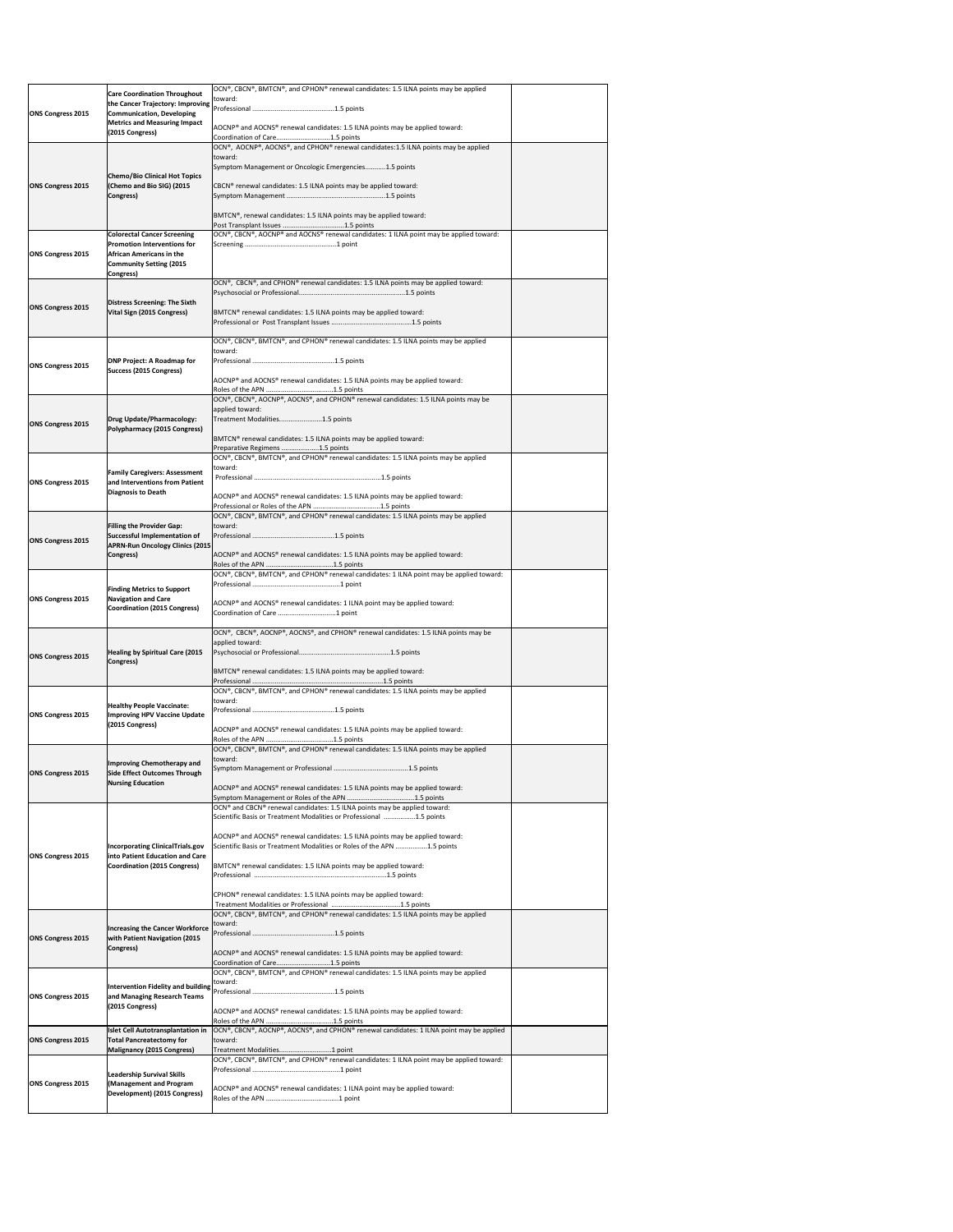| <b>ONS Congress 2015</b> | <b>Care Coordination Throughout</b><br>the Cancer Trajectory: Improving<br><b>Communication, Developing</b><br><b>Metrics and Measuring Impact</b><br>(2015 Congress) | OCN®, CBCN®, BMTCN®, and CPHON® renewal candidates: 1.5 ILNA points may be applied<br>toward:<br>AOCNP® and AOCNS® renewal candidates: 1.5 ILNA points may be applied toward:                                                                                                                                                                                                                                                                                     |  |
|--------------------------|-----------------------------------------------------------------------------------------------------------------------------------------------------------------------|-------------------------------------------------------------------------------------------------------------------------------------------------------------------------------------------------------------------------------------------------------------------------------------------------------------------------------------------------------------------------------------------------------------------------------------------------------------------|--|
| <b>ONS Congress 2015</b> | <b>Chemo/Bio Clinical Hot Topics</b><br>(Chemo and Bio SIG) (2015<br>Congress)                                                                                        | Coordination of Care1.5 points<br>OCN®, AOCNP®, AOCNS®, and CPHON® renewal candidates:1.5 ILNA points may be applied<br>toward:<br>Symptom Management or Oncologic Emergencies1.5 points<br>CBCN® renewal candidates: 1.5 ILNA points may be applied toward:<br>BMTCN®, renewal candidates: 1.5 ILNA points may be applied toward:                                                                                                                                |  |
| <b>ONS Congress 2015</b> | <b>Colorectal Cancer Screening</b><br><b>Promotion Interventions for</b><br><b>African Americans in the</b><br><b>Community Setting (2015</b><br>Congress)            | OCN®, CBCN®, AOCNP® and AOCNS® renewal candidates: 1 ILNA point may be applied toward:                                                                                                                                                                                                                                                                                                                                                                            |  |
| <b>ONS Congress 2015</b> | Distress Screening: The Sixth<br>Vital Sign (2015 Congress)                                                                                                           | OCN®, CBCN®, and CPHON® renewal candidates: 1.5 ILNA points may be applied toward:<br>BMTCN <sup>®</sup> renewal candidates: 1.5 ILNA points may be applied toward:                                                                                                                                                                                                                                                                                               |  |
| <b>ONS Congress 2015</b> | <b>DNP Project: A Roadmap for</b><br><b>Success (2015 Congress)</b>                                                                                                   | OCN®, CBCN®, BMTCN®, and CPHON® renewal candidates: 1.5 ILNA points may be applied<br>toward:<br>AOCNP® and AOCNS® renewal candidates: 1.5 ILNA points may be applied toward:                                                                                                                                                                                                                                                                                     |  |
| <b>ONS Congress 2015</b> | Drug Update/Pharmacology:<br>Polypharmacy (2015 Congress)                                                                                                             | OCN®, CBCN®, AOCNP®, AOCNS®, and CPHON® renewal candidates: 1.5 ILNA points may be<br>applied toward:<br>Treatment Modalities1.5 points<br>BMTCN <sup>®</sup> renewal candidates: 1.5 ILNA points may be applied toward:<br>Preparative Regimens 1.5 points                                                                                                                                                                                                       |  |
| <b>ONS Congress 2015</b> | <b>Family Caregivers: Assessment</b><br>and Interventions from Patient<br>Diagnosis to Death                                                                          | OCN®, CBCN®, BMTCN®, and CPHON® renewal candidates: 1.5 ILNA points may be applied<br>toward:<br>AOCNP® and AOCNS® renewal candidates: 1.5 ILNA points may be applied toward:                                                                                                                                                                                                                                                                                     |  |
| <b>ONS Congress 2015</b> | <b>Filling the Provider Gap:</b><br>Successful Implementation of<br><b>APRN-Run Oncology Clinics (2015</b><br>Congress)                                               | OCN®, CBCN®, BMTCN®, and CPHON® renewal candidates: 1.5 ILNA points may be applied<br>toward:<br>AOCNP® and AOCNS® renewal candidates: 1.5 ILNA points may be applied toward:                                                                                                                                                                                                                                                                                     |  |
| <b>ONS Congress 2015</b> | <b>Finding Metrics to Support</b><br><b>Navigation and Care</b><br><b>Coordination (2015 Congress)</b>                                                                | OCN®, CBCN®, BMTCN®, and CPHON® renewal candidates: 1 ILNA point may be applied toward:<br>AOCNP® and AOCNS® renewal candidates: 1 ILNA point may be applied toward:                                                                                                                                                                                                                                                                                              |  |
| <b>ONS Congress 2015</b> | <b>Healing by Spiritual Care (2015)</b><br>Congress)                                                                                                                  | OCN®, CBCN®, AOCNP®, AOCNS®, and CPHON® renewal candidates: 1.5 ILNA points may be<br>applied toward:<br>BMTCN <sup>®</sup> renewal candidates: 1.5 ILNA points may be applied toward:                                                                                                                                                                                                                                                                            |  |
| <b>ONS Congress 2015</b> | <b>Healthy People Vaccinate:</b><br><b>Improving HPV Vaccine Update</b><br>(2015 Congress)                                                                            | OCN®, CBCN®, BMTCN®, and CPHON® renewal candidates: 1.5 ILNA points may be applied<br>toward:<br>$ AOCNP^{\circ} $ and $AOCNS^{\circ} $ renewal candidates: 1.5 ILNA points may be applied toward:                                                                                                                                                                                                                                                                |  |
| <b>ONS Congress 2015</b> | Improving Chemotherapy and<br><b>Side Effect Outcomes Through</b><br><b>Nursing Education</b>                                                                         | OCN®, CBCN®, BMTCN®, and CPHON® renewal candidates: 1.5 ILNA points may be applied<br>toward:<br>AOCNP® and AOCNS® renewal candidates: 1.5 ILNA points may be applied toward:                                                                                                                                                                                                                                                                                     |  |
| <b>ONS Congress 2015</b> | <b>Incorporating ClinicalTrials.gov</b><br>into Patient Education and Care<br><b>Coordination (2015 Congress)</b>                                                     | OCN® and CBCN® renewal candidates: 1.5 ILNA points may be applied toward:<br>Scientific Basis or Treatment Modalities or Professional 1.5 points<br>AOCNP® and AOCNS® renewal candidates: 1.5 ILNA points may be applied toward:<br>Scientific Basis or Treatment Modalities or Roles of the APN 1.5 points<br>BMTCN® renewal candidates: 1.5 ILNA points may be applied toward:<br>CPHON <sup>®</sup> renewal candidates: 1.5 ILNA points may be applied toward: |  |
| <b>ONS Congress 2015</b> | <b>Increasing the Cancer Workforce</b><br><b>with Patient Navigation (2015</b><br>Congress)                                                                           | OCN®, CBCN®, BMTCN®, and CPHON® renewal candidates: 1.5 ILNA points may be applied<br>toward:<br>AOCNP® and AOCNS® renewal candidates: 1.5 ILNA points may be applied toward:<br>Coordination of Care1.5 points                                                                                                                                                                                                                                                   |  |
| <b>ONS Congress 2015</b> | and Managing Research Teams<br>(2015 Congress)                                                                                                                        | OCN®, CBCN®, BMTCN®, and CPHON® renewal candidates: 1.5 ILNA points may be applied<br>toward:<br>Intervention Fidelity and building reference material measurement and 1.5 points<br>AOCNP® and AOCNS® renewal candidates: 1.5 ILNA points may be applied toward:                                                                                                                                                                                                 |  |
| <b>ONS Congress 2015</b> | <b>Islet Cell Autotransplantation in</b><br><b>Total Pancreatectomy for</b><br>Malignancy (2015 Congress)                                                             | OCN®, CBCN®, AOCNP®, AOCNS®, and CPHON® renewal candidates: 1 ILNA point may be applied<br>toward:<br>Treatment Modalities1 point                                                                                                                                                                                                                                                                                                                                 |  |
| <b>ONS Congress 2015</b> | <b>Leadership Survival Skills</b><br>(Management and Program<br>Development) (2015 Congress)                                                                          | OCN®, CBCN®, BMTCN®, and CPHON® renewal candidates: 1 ILNA point may be applied toward:<br>AOCNP® and AOCNS® renewal candidates: 1 ILNA point may be applied toward:                                                                                                                                                                                                                                                                                              |  |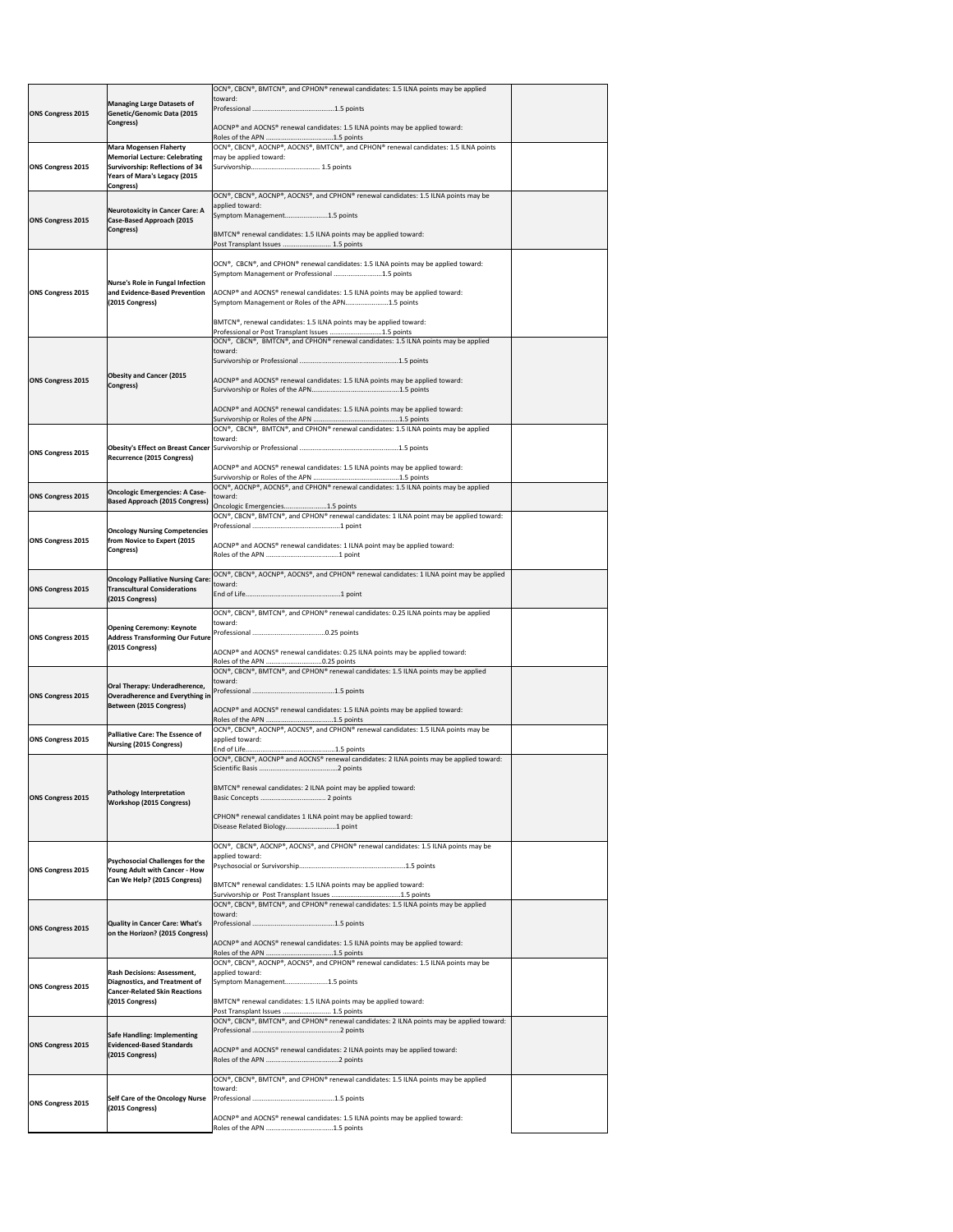|                          |                                                                                 | OCN®, CBCN®, BMTCN®, and CPHON® renewal candidates: 1.5 ILNA points may be applied<br>toward:                                           |  |
|--------------------------|---------------------------------------------------------------------------------|-----------------------------------------------------------------------------------------------------------------------------------------|--|
| <b>ONS Congress 2015</b> | <b>Managing Large Datasets of</b><br><b>Genetic/Genomic Data (2015</b>          |                                                                                                                                         |  |
|                          | Congress)                                                                       | AOCNP® and AOCNS® renewal candidates: 1.5 ILNA points may be applied toward:                                                            |  |
|                          | <b>Mara Mogensen Flaherty</b>                                                   | OCN®, CBCN®, AOCNP®, AOCNS®, BMTCN®, and CPHON® renewal candidates: 1.5 ILNA points                                                     |  |
| <b>ONS Congress 2015</b> | <b>Memorial Lecture: Celebrating</b><br>Survivorship: Reflections of 34         | may be applied toward:                                                                                                                  |  |
|                          | Years of Mara's Legacy (2015<br>Congress)                                       |                                                                                                                                         |  |
|                          |                                                                                 | OCN®, CBCN®, AOCNP®, AOCNS®, and CPHON® renewal candidates: 1.5 ILNA points may be<br>applied toward:                                   |  |
| <b>ONS Congress 2015</b> | <b>Neurotoxicity in Cancer Care: A</b><br><b>Case-Based Approach (2015</b>      | Symptom Management1.5 points                                                                                                            |  |
|                          | Congress)                                                                       | BMTCN® renewal candidates: 1.5 ILNA points may be applied toward:                                                                       |  |
|                          |                                                                                 | Post Transplant Issues  1.5 points                                                                                                      |  |
|                          |                                                                                 | OCN®, CBCN®, and CPHON® renewal candidates: 1.5 ILNA points may be applied toward:<br>Symptom Management or Professional 1.5 points     |  |
|                          | Nurse's Role in Fungal Infection                                                |                                                                                                                                         |  |
| <b>ONS Congress 2015</b> | and Evidence-Based Prevention<br>(2015 Congress)                                | AOCNP® and AOCNS® renewal candidates: 1.5 ILNA points may be applied toward:<br>Symptom Management or Roles of the APN1.5 points        |  |
|                          |                                                                                 | BMTCN®, renewal candidates: 1.5 ILNA points may be applied toward:                                                                      |  |
|                          |                                                                                 | Professional or Post Transplant Issues 1.5 points<br>OCN®, CBCN®, BMTCN®, and CPHON® renewal candidates: 1.5 ILNA points may be applied |  |
|                          |                                                                                 | toward:                                                                                                                                 |  |
|                          | <b>Obesity and Cancer (2015</b>                                                 |                                                                                                                                         |  |
| <b>ONS Congress 2015</b> | Congress)                                                                       | AOCNP® and AOCNS® renewal candidates: 1.5 ILNA points may be applied toward:                                                            |  |
|                          |                                                                                 | AOCNP® and AOCNS® renewal candidates: 1.5 ILNA points may be applied toward:                                                            |  |
|                          |                                                                                 | OCN®, CBCN®, BMTCN®, and CPHON® renewal candidates: 1.5 ILNA points may be applied                                                      |  |
|                          |                                                                                 | toward:                                                                                                                                 |  |
| <b>ONS Congress 2015</b> | <b>Recurrence (2015 Congress)</b>                                               |                                                                                                                                         |  |
|                          |                                                                                 | AOCNP® and AOCNS® renewal candidates: 1.5 ILNA points may be applied toward:                                                            |  |
| <b>ONS Congress 2015</b> | <b>Oncologic Emergencies: A Case-</b>                                           | OCN®, AOCNP®, AOCNS®, and CPHON® renewal candidates: 1.5 ILNA points may be applied<br>toward:                                          |  |
|                          | <b>Based Approach (2015 Congress)</b>                                           | Oncologic Emergencies1.5 points<br>OCN®, CBCN®, BMTCN®, and CPHON® renewal candidates: 1 ILNA point may be applied toward:              |  |
|                          | <b>Oncology Nursing Competencies</b>                                            |                                                                                                                                         |  |
| <b>ONS Congress 2015</b> | from Novice to Expert (2015<br>Congress)                                        | AOCNP® and AOCNS® renewal candidates: 1 ILNA point may be applied toward:                                                               |  |
|                          |                                                                                 |                                                                                                                                         |  |
| <b>ONS Congress 2015</b> | <b>Oncology Palliative Nursing Care:</b><br><b>Transcultural Considerations</b> | OCN®, CBCN®, AOCNP®, AOCNS®, and CPHON® renewal candidates: 1 ILNA point may be applied<br>toward:                                      |  |
|                          | (2015 Congress)                                                                 |                                                                                                                                         |  |
|                          |                                                                                 | $[OCN®, CBCN®, BMTCN®, and CPHON® renewal candidates: 0.25 ILNA points may be applied$<br>toward:                                       |  |
| <b>ONS Congress 2015</b> | <b>Opening Ceremony: Keynote</b><br><b>Address Transforming Our Future</b>      |                                                                                                                                         |  |
|                          | (2015 Congress)                                                                 | AOCNP® and AOCNS® renewal candidates: 0.25 ILNA points may be applied toward:                                                           |  |
|                          |                                                                                 | OCN®, CBCN®, BMTCN®, and CPHON® renewal candidates: 1.5 ILNA points may be applied                                                      |  |
| <b>ONS Congress 2015</b> | Oral Therapy: Underadherence,<br>Overadherence and Everything in                | toward:                                                                                                                                 |  |
|                          | Between (2015 Congress)                                                         | AOCNP® and AOCNS® renewal candidates: 1.5 ILNA points may be applied toward:                                                            |  |
|                          |                                                                                 | OCN®, CBCN®, AOCNP®, AOCNS®, and CPHON® renewal candidates: 1.5 ILNA points may be                                                      |  |
| <b>ONS Congress 2015</b> | <b>Palliative Care: The Essence of</b><br><b>Nursing (2015 Congress)</b>        | applied toward:                                                                                                                         |  |
|                          |                                                                                 | OCN®, CBCN®, AOCNP® and AOCNS® renewal candidates: 2 ILNA points may be applied toward:                                                 |  |
|                          |                                                                                 |                                                                                                                                         |  |
| <b>ONS Congress 2015</b> | <b>Pathology Interpretation</b><br><b>Workshop (2015 Congress)</b>              | BMTCN <sup>®</sup> renewal candidates: 2 ILNA point may be applied toward:                                                              |  |
|                          |                                                                                 | CPHON <sup>®</sup> renewal candidates 1 ILNA point may be applied toward:                                                               |  |
|                          |                                                                                 | Disease Related Biology1 point                                                                                                          |  |
|                          |                                                                                 | $\overline{OCN^{\circ}}$ , CBCN <sup>®</sup> , AOCNP®, AOCNS®, and CPHON® renewal candidates: 1.5 ILNA points may be<br>applied toward: |  |
| <b>ONS Congress 2015</b> | <b>Psychosocial Challenges for the</b><br>Young Adult with Cancer - How         |                                                                                                                                         |  |
|                          | Can We Help? (2015 Congress)                                                    | BMTCN <sup>®</sup> renewal candidates: 1.5 ILNA points may be applied toward:                                                           |  |
|                          |                                                                                 | OCN®, CBCN®, BMTCN®, and CPHON® renewal candidates: 1.5 ILNA points may be applied                                                      |  |
| <b>ONS Congress 2015</b> | Quality in Cancer Care: What's                                                  | toward:                                                                                                                                 |  |
|                          | on the Horizon? (2015 Congress)                                                 | AOCNP® and AOCNS® renewal candidates: 1.5 ILNA points may be applied toward:                                                            |  |
|                          |                                                                                 | $[OCN®, CBCN®, AOCNP®, AOCNS®, and CPHON® renewal candidates: 1.5 ILNA points may be$                                                   |  |
|                          | <b>Rash Decisions: Assessment,</b><br>Diagnostics, and Treatment of             | applied toward:<br>Symptom Management1.5 points                                                                                         |  |
| <b>ONS Congress 2015</b> | <b>Cancer-Related Skin Reactions</b>                                            |                                                                                                                                         |  |
|                          | (2015 Congress)                                                                 | BMTCN <sup>®</sup> renewal candidates: 1.5 ILNA points may be applied toward:<br>Post Transplant Issues  1.5 points                     |  |
|                          | <b>Safe Handling: Implementing</b>                                              | OCN®, CBCN®, BMTCN®, and CPHON® renewal candidates: 2 ILNA points may be applied toward:                                                |  |
| <b>ONS Congress 2015</b> | <b>Evidenced-Based Standards</b>                                                | AOCNP <sup>®</sup> and AOCNS <sup>®</sup> renewal candidates: 2 ILNA points may be applied toward:                                      |  |
|                          | (2015 Congress)                                                                 |                                                                                                                                         |  |
|                          |                                                                                 | OCN®, CBCN®, BMTCN®, and CPHON® renewal candidates: 1.5 ILNA points may be applied<br>toward:                                           |  |
|                          |                                                                                 |                                                                                                                                         |  |
| <b>ONS Congress 2015</b> | <b>Self Care of the Oncology Nurse</b>                                          |                                                                                                                                         |  |
|                          | (2015 Congress)                                                                 | AOCNP® and AOCNS® renewal candidates: 1.5 ILNA points may be applied toward:                                                            |  |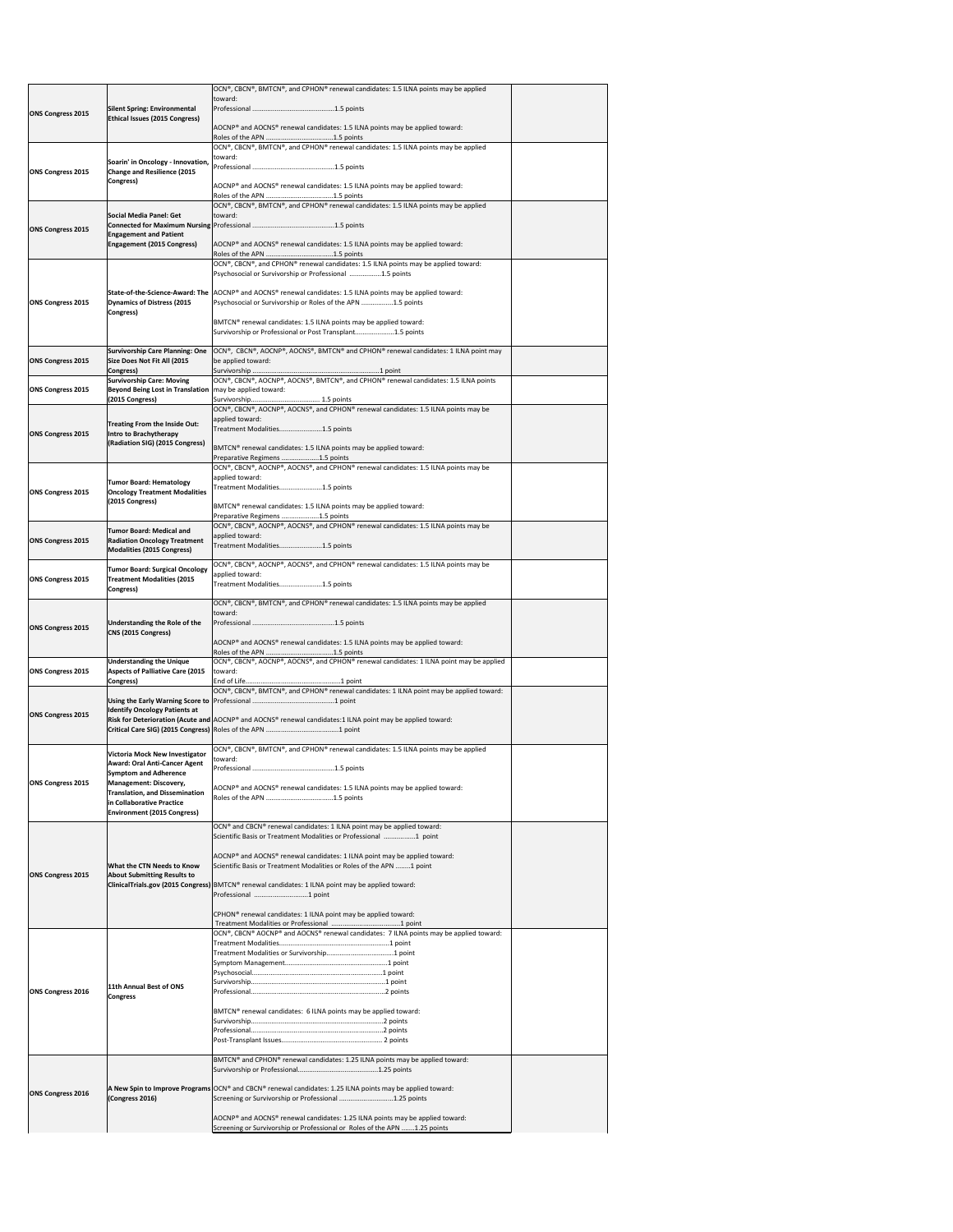|                                                                                                              |                                                                                                          | OCN®, CBCN®, BMTCN®, and CPHON® renewal candidates: 1.5 ILNA points may be applied<br>toward:                                                                             |  |
|--------------------------------------------------------------------------------------------------------------|----------------------------------------------------------------------------------------------------------|---------------------------------------------------------------------------------------------------------------------------------------------------------------------------|--|
| <b>ONS Congress 2015</b>                                                                                     | <b>Silent Spring: Environmental</b><br><b>Ethical Issues (2015 Congress)</b>                             |                                                                                                                                                                           |  |
|                                                                                                              |                                                                                                          | AOCNP® and AOCNS® renewal candidates: 1.5 ILNA points may be applied toward:                                                                                              |  |
|                                                                                                              | Soarin' in Oncology - Innovation,                                                                        | OCN®, CBCN®, BMTCN®, and CPHON® renewal candidates: 1.5 ILNA points may be applied<br>toward:                                                                             |  |
| <b>ONS Congress 2015</b>                                                                                     | <b>Change and Resilience (2015</b><br><b>Congress)</b>                                                   |                                                                                                                                                                           |  |
|                                                                                                              |                                                                                                          | $ AOCNP^{\circ} $ and $AOCNS^{\circ} $ renewal candidates: 1.5 ILNA points may be applied toward:                                                                         |  |
|                                                                                                              | Social Media Panel: Get                                                                                  | $ OCN^{\circ}$ , CBCN <sup>®</sup> , BMTCN <sup>®</sup> , and CPHON <sup>®</sup> renewal candidates: 1.5 ILNA points may be applied<br>toward:                            |  |
| <b>ONS Congress 2015</b>                                                                                     | <b>Engagement and Patient</b>                                                                            |                                                                                                                                                                           |  |
|                                                                                                              | <b>Engagement (2015 Congress)</b>                                                                        | AOCNP® and AOCNS® renewal candidates: 1.5 ILNA points may be applied toward:                                                                                              |  |
|                                                                                                              |                                                                                                          | OCN®, CBCN®, and CPHON® renewal candidates: 1.5 ILNA points may be applied toward:<br>Psychosocial or Survivorship or Professional 1.5 points                             |  |
|                                                                                                              |                                                                                                          | State-of-the-Science-Award: The AOCNP® and AOCNS® renewal candidates: 1.5 ILNA points may be applied toward:                                                              |  |
| <b>ONS Congress 2015</b>                                                                                     | Dynamics of Distress (2015<br>Congress)                                                                  | Psychosocial or Survivorship or Roles of the APN 1.5 points                                                                                                               |  |
|                                                                                                              |                                                                                                          | BMTCN® renewal candidates: 1.5 ILNA points may be applied toward:<br>Survivorship or Professional or Post Transplant1.5 points                                            |  |
|                                                                                                              | <b>Survivorship Care Planning: One</b>                                                                   | OCN®, CBCN®, AOCNP®, AOCNS®, BMTCN® and CPHON® renewal candidates: 1 ILNA point may                                                                                       |  |
| <b>ONS Congress 2015</b>                                                                                     | Size Does Not Fit All (2015<br>Congress)                                                                 | be applied toward:                                                                                                                                                        |  |
| <b>ONS Congress 2015</b>                                                                                     | <b>Survivorship Care: Moving</b><br>Beyond Being Lost in Translation   may be applied toward:            | OCN®, CBCN®, AOCNP®, AOCNS®, BMTCN®, and CPHON® renewal candidates: 1.5 ILNA points                                                                                       |  |
|                                                                                                              | (2015 Congress)                                                                                          | OCN®, CBCN®, AOCNP®, AOCNS®, and CPHON® renewal candidates: 1.5 ILNA points may be                                                                                        |  |
| <b>ONS Congress 2015</b>                                                                                     | Treating From the Inside Out:<br>Intro to Brachytherapy                                                  | applied toward:<br>Treatment Modalities1.5 points                                                                                                                         |  |
|                                                                                                              | (Radiation SIG) (2015 Congress)                                                                          | BMTCN® renewal candidates: 1.5 ILNA points may be applied toward:                                                                                                         |  |
|                                                                                                              |                                                                                                          | Preparative Regimens 1.5 points<br>OCN®, CBCN®, AOCNP®, AOCNS®, and CPHON® renewal candidates: 1.5 ILNA points may be                                                     |  |
| <b>ONS Congress 2015</b>                                                                                     | <b>Tumor Board: Hematology</b><br><b>Oncology Treatment Modalities</b>                                   | applied toward:<br>Treatment Modalities1.5 points                                                                                                                         |  |
|                                                                                                              | (2015 Congress)                                                                                          | BMTCN® renewal candidates: 1.5 ILNA points may be applied toward:                                                                                                         |  |
|                                                                                                              | <b>Tumor Board: Medical and</b>                                                                          | Preparative Regimens 1.5 points<br>OCN®, CBCN®, AOCNP®, AOCNS®, and CPHON® renewal candidates: 1.5 ILNA points may be<br>applied toward:                                  |  |
| <b>ONS Congress 2015</b>                                                                                     | <b>Radiation Oncology Treatment</b><br>Modalities (2015 Congress)                                        | Treatment Modalities1.5 points                                                                                                                                            |  |
|                                                                                                              | <b>Tumor Board: Surgical Oncology</b>                                                                    | $[OCN®, CBCN®, AOCNP®, AOCNS®, and CPHON® renewal candidates: 1.5 ILNA points may be$<br>applied toward:                                                                  |  |
| <b>ONS Congress 2015</b>                                                                                     | <b>Treatment Modalities (2015</b><br>Congress)                                                           | Treatment Modalities1.5 points                                                                                                                                            |  |
|                                                                                                              |                                                                                                          | OCN®, CBCN®, BMTCN®, and CPHON® renewal candidates: 1.5 ILNA points may be applied<br>toward:                                                                             |  |
| <b>ONS Congress 2015</b>                                                                                     | Understanding the Role of the<br>CNS (2015 Congress)                                                     |                                                                                                                                                                           |  |
|                                                                                                              |                                                                                                          | AOCNP® and AOCNS® renewal candidates: 1.5 ILNA points may be applied toward:                                                                                              |  |
| <b>ONS Congress 2015</b>                                                                                     | <b>Understanding the Unique</b><br><b>Aspects of Palliative Care (2015</b>                               | OCN®, CBCN®, AOCNP®, AOCNS®, and CPHON® renewal candidates: 1 ILNA point may be applied<br>toward:                                                                        |  |
|                                                                                                              | Congress)                                                                                                | OCN®, CBCN®, BMTCN®, and CPHON® renewal candidates: 1 ILNA point may be applied toward:                                                                                   |  |
|                                                                                                              |                                                                                                          |                                                                                                                                                                           |  |
| <b>ONS Congress 2015</b>                                                                                     | <b>Identify Oncology Patients at</b>                                                                     |                                                                                                                                                                           |  |
|                                                                                                              |                                                                                                          | Risk for Deterioration (Acute and AOCNP® and AOCNS® renewal candidates:1 ILNA point may be applied toward:                                                                |  |
|                                                                                                              |                                                                                                          | OCN®, CBCN®, BMTCN®, and CPHON® renewal candidates: 1.5 ILNA points may be applied                                                                                        |  |
|                                                                                                              | <b>Victoria Mock New Investigator</b><br><b>Award: Oral Anti-Cancer Agent</b>                            | toward:                                                                                                                                                                   |  |
|                                                                                                              | <b>Symptom and Adherence</b><br><b>Management: Discovery,</b>                                            | AOCNP® and AOCNS® renewal candidates: 1.5 ILNA points may be applied toward:                                                                                              |  |
|                                                                                                              | <b>Translation, and Dissemination</b><br>in Collaborative Practice<br><b>Environment (2015 Congress)</b> |                                                                                                                                                                           |  |
|                                                                                                              |                                                                                                          | OCN® and CBCN® renewal candidates: 1 ILNA point may be applied toward:                                                                                                    |  |
|                                                                                                              |                                                                                                          | Scientific Basis or Treatment Modalities or Professional 1 point                                                                                                          |  |
|                                                                                                              | <b>What the CTN Needs to Know</b>                                                                        | AOCNP <sup>®</sup> and AOCNS <sup>®</sup> renewal candidates: 1 ILNA point may be applied toward:<br>Scientific Basis or Treatment Modalities or Roles of the APN 1 point |  |
|                                                                                                              | <b>About Submitting Results to</b>                                                                       | ClinicalTrials.gov (2015 Congress) BMTCN® renewal candidates: 1 ILNA point may be applied toward:                                                                         |  |
|                                                                                                              |                                                                                                          | Professional 1 point                                                                                                                                                      |  |
|                                                                                                              |                                                                                                          | CPHON <sup>®</sup> renewal candidates: 1 ILNA point may be applied toward:                                                                                                |  |
|                                                                                                              |                                                                                                          | OCN®, CBCN® AOCNP® and AOCNS® renewal candidates: 7 ILNA points may be applied toward:                                                                                    |  |
|                                                                                                              |                                                                                                          |                                                                                                                                                                           |  |
|                                                                                                              | 11th Annual Best of ONS                                                                                  |                                                                                                                                                                           |  |
|                                                                                                              | <b>Congress</b>                                                                                          |                                                                                                                                                                           |  |
|                                                                                                              |                                                                                                          | BMTCN® renewal candidates: 6 ILNA points may be applied toward:                                                                                                           |  |
|                                                                                                              |                                                                                                          |                                                                                                                                                                           |  |
|                                                                                                              |                                                                                                          | BMTCN® and CPHON® renewal candidates: 1.25 ILNA points may be applied toward:                                                                                             |  |
|                                                                                                              |                                                                                                          | A New Spin to Improve Programs OCN® and CBCN® renewal candidates: 1.25 ILNA points may be applied toward:                                                                 |  |
| <b>ONS Congress 2015</b><br><b>ONS Congress 2015</b><br><b>ONS Congress 2016</b><br><b>ONS Congress 2016</b> | (Congress 2016)                                                                                          | Screening or Survivorship or Professional 1.25 points                                                                                                                     |  |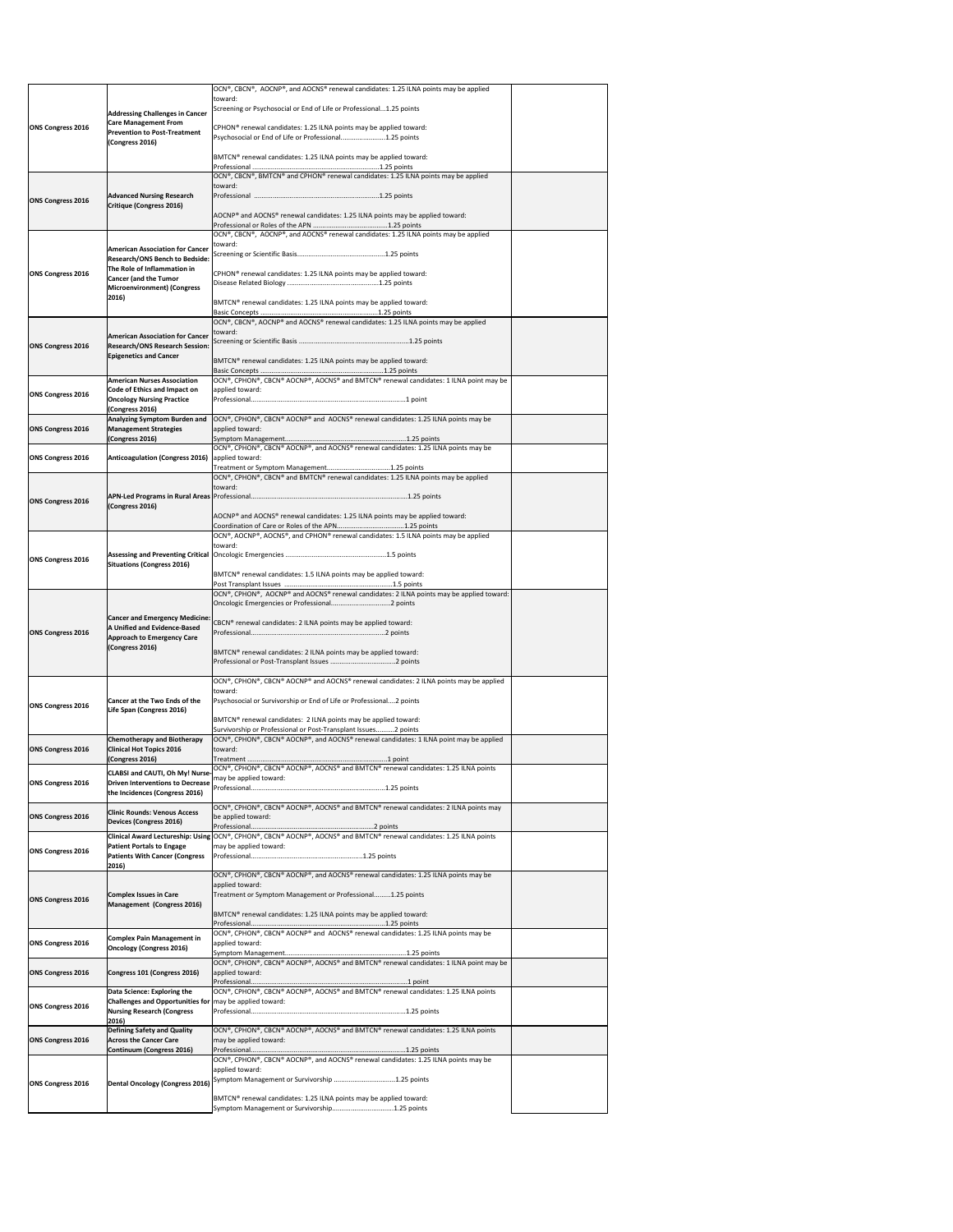|                          |                                                                                                | OCN®, CBCN®, AOCNP®, and AOCNS® renewal candidates: 1.25 ILNA points may be applied                                                                      |  |
|--------------------------|------------------------------------------------------------------------------------------------|----------------------------------------------------------------------------------------------------------------------------------------------------------|--|
|                          |                                                                                                | toward:<br>Screening or Psychosocial or End of Life or Professional1.25 points                                                                           |  |
|                          | <b>Addressing Challenges in Cancer</b><br><b>Care Management From</b>                          |                                                                                                                                                          |  |
| <b>ONS Congress 2016</b> | <b>Prevention to Post-Treatment</b><br>(Congress 2016)                                         | CPHON <sup>®</sup> renewal candidates: 1.25 ILNA points may be applied toward:<br>Psychosocial or End of Life or Professional1.25 points                 |  |
|                          |                                                                                                | BMTCN® renewal candidates: 1.25 ILNA points may be applied toward:                                                                                       |  |
|                          |                                                                                                |                                                                                                                                                          |  |
|                          |                                                                                                | OCN®, CBCN®, BMTCN® and CPHON® renewal candidates: 1.25 ILNA points may be applied<br>toward:                                                            |  |
| <b>ONS Congress 2016</b> | <b>Advanced Nursing Research</b>                                                               |                                                                                                                                                          |  |
|                          | Critique (Congress 2016)                                                                       | AOCNP® and AOCNS® renewal candidates: 1.25 ILNA points may be applied toward:                                                                            |  |
|                          |                                                                                                |                                                                                                                                                          |  |
|                          | <b>American Association for Cancer</b>                                                         | OCN®, CBCN®, AOCNP®, and AOCNS® renewal candidates: 1.25 ILNA points may be applied<br>toward:                                                           |  |
|                          | <b>Research/ONS Bench to Bedside:</b>                                                          |                                                                                                                                                          |  |
| <b>ONS Congress 2016</b> | The Role of Inflammation in<br><b>Cancer (and the Tumor</b>                                    | CPHON <sup>®</sup> renewal candidates: 1.25 ILNA points may be applied toward:                                                                           |  |
|                          | <b>Microenvironment) (Congress</b>                                                             |                                                                                                                                                          |  |
|                          | 2016)                                                                                          | BMTCN <sup>®</sup> renewal candidates: 1.25 ILNA points may be applied toward:                                                                           |  |
|                          |                                                                                                | OCN®, CBCN®, AOCNP® and AOCNS® renewal candidates: 1.25 ILNA points may be applied                                                                       |  |
|                          | <b>American Association for Cancer</b>                                                         | toward:                                                                                                                                                  |  |
| <b>ONS Congress 2016</b> | <b>Research/ONS Research Session:</b><br><b>Epigenetics and Cancer</b>                         |                                                                                                                                                          |  |
|                          |                                                                                                | BMTCN <sup>®</sup> renewal candidates: 1.25 ILNA points may be applied toward:                                                                           |  |
|                          | <b>American Nurses Association</b>                                                             | OCN®, CPHON®, CBCN® AOCNP®, AOCNS® and BMTCN® renewal candidates: 1 ILNA point may be                                                                    |  |
| <b>ONS Congress 2016</b> | <b>Code of Ethics and Impact on</b><br><b>Oncology Nursing Practice</b>                        | applied toward:                                                                                                                                          |  |
|                          | (Congress 2016)                                                                                |                                                                                                                                                          |  |
| <b>ONS Congress 2016</b> | Analyzing Symptom Burden and<br><b>Management Strategies</b>                                   | OCN®, CPHON®, CBCN® AOCNP® and AOCNS® renewal candidates: 1.25 ILNA points may be<br>applied toward:                                                     |  |
|                          | (Congress 2016)                                                                                | OCN®, CPHON®, CBCN® AOCNP®, and AOCNS® renewal candidates: 1.25 ILNA points may be                                                                       |  |
| <b>ONS Congress 2016</b> | <b>Anticoagulation (Congress 2016)</b>                                                         | applied toward:                                                                                                                                          |  |
|                          |                                                                                                | OCN®, CPHON®, CBCN® and BMTCN® renewal candidates: 1.25 ILNA points may be applied                                                                       |  |
|                          |                                                                                                | toward:                                                                                                                                                  |  |
| <b>ONS Congress 2016</b> | (Congress 2016)                                                                                |                                                                                                                                                          |  |
|                          |                                                                                                | AOCNP® and AOCNS® renewal candidates: 1.25 ILNA points may be applied toward:                                                                            |  |
|                          |                                                                                                | OCN®, AOCNP®, AOCNS®, and CPHON® renewal candidates: 1.5 ILNA points may be applied                                                                      |  |
|                          |                                                                                                | toward:                                                                                                                                                  |  |
| <b>ONS Congress 2016</b> | <b>Situations (Congress 2016)</b>                                                              |                                                                                                                                                          |  |
|                          |                                                                                                | BMTCN® renewal candidates: 1.5 ILNA points may be applied toward:                                                                                        |  |
|                          |                                                                                                | OCN®, CPHON®, AOCNP® and AOCNS® renewal candidates: 2 ILNA points may be applied toward:                                                                 |  |
|                          |                                                                                                |                                                                                                                                                          |  |
| <b>ONS Congress 2016</b> | <b>Cancer and Emergency Medicine:</b><br>A Unified and Evidence-Based                          | CBCN® renewal candidates: 2 ILNA points may be applied toward:                                                                                           |  |
|                          | <b>Approach to Emergency Care</b><br>(Congress 2016)                                           |                                                                                                                                                          |  |
|                          |                                                                                                | BMTCN® renewal candidates: 2 ILNA points may be applied toward:                                                                                          |  |
|                          |                                                                                                |                                                                                                                                                          |  |
|                          |                                                                                                | OCN®, CPHON®, CBCN® AOCNP® and AOCNS® renewal candidates: 2 ILNA points may be applied<br>toward:                                                        |  |
| <b>ONS Congress 2016</b> | <b>Cancer at the Two Ends of the</b><br>Life Span (Congress 2016)                              | Psychosocial or Survivorship or End of Life or Professional2 points                                                                                      |  |
|                          |                                                                                                | BMTCN® renewal candidates: 2 ILNA points may be applied toward:                                                                                          |  |
|                          | <b>Chemotherapy and Biotherapy</b>                                                             | Survivorship or Professional or Post-Transplant Issues2 points<br>OCN®, CPHON®, CBCN® AOCNP®, and AOCNS® renewal candidates: 1 ILNA point may be applied |  |
| <b>ONS Congress 2016</b> | <b>Clinical Hot Topics 2016</b>                                                                | toward:                                                                                                                                                  |  |
|                          | (Congress 2016)                                                                                | OCN®, CPHON®, CBCN® AOCNP®, AOCNS® and BMTCN® renewal candidates: 1.25 ILNA points                                                                       |  |
| <b>ONS Congress 2016</b> | <b>CLABSI and CAUTI, Oh My! Nurse-</b><br><b>Driven Interventions to Decrease</b>              | may be applied toward:                                                                                                                                   |  |
|                          |                                                                                                |                                                                                                                                                          |  |
|                          | the Incidences (Congress 2016)                                                                 |                                                                                                                                                          |  |
| <b>ONS Congress 2016</b> | <b>Clinic Rounds: Venous Access</b>                                                            | OCN®, CPHON®, CBCN® AOCNP®, AOCNS® and BMTCN® renewal candidates: 2 ILNA points may<br>be applied toward:                                                |  |
|                          | <b>Devices (Congress 2016)</b>                                                                 |                                                                                                                                                          |  |
|                          | <b>Patient Portals to Engage</b>                                                               | Clinical Award Lectureship: Using OCN®, CPHON®, CBCN® AOCNP®, AOCNS® and BMTCN® renewal candidates: 1.25 ILNA points<br>may be applied toward:           |  |
| <b>ONS Congress 2016</b> | <b>Patients With Cancer (Congress</b>                                                          |                                                                                                                                                          |  |
|                          | 2016)                                                                                          | OCN®, CPHON®, CBCN® AOCNP®, and AOCNS® renewal candidates: 1.25 ILNA points may be                                                                       |  |
|                          | <b>Complex Issues in Care</b>                                                                  | applied toward:<br>Treatment or Symptom Management or Professional1.25 points                                                                            |  |
| <b>ONS Congress 2016</b> | Management (Congress 2016)                                                                     |                                                                                                                                                          |  |
|                          |                                                                                                | BMTCN <sup>®</sup> renewal candidates: 1.25 ILNA points may be applied toward:                                                                           |  |
|                          | <b>Complex Pain Management in</b>                                                              | OCN®, CPHON®, CBCN® AOCNP® and AOCNS® renewal candidates: 1.25 ILNA points may be                                                                        |  |
| <b>ONS Congress 2016</b> | <b>Oncology (Congress 2016)</b>                                                                | applied toward:                                                                                                                                          |  |
| <b>ONS Congress 2016</b> | Congress 101 (Congress 2016)                                                                   | OCN®, CPHON®, CBCN® AOCNP®, AOCNS® and BMTCN® renewal candidates: 1 ILNA point may be<br>applied toward:                                                 |  |
|                          |                                                                                                |                                                                                                                                                          |  |
|                          | Data Science: Exploring the<br>Challenges and Opportunities for $\vert$ may be applied toward: | OCN®, CPHON®, CBCN® AOCNP®, AOCNS® and BMTCN® renewal candidates: 1.25 ILNA points                                                                       |  |
| <b>ONS Congress 2016</b> | <b>Nursing Research (Congress</b>                                                              |                                                                                                                                                          |  |
|                          | 2016)<br><b>Defining Safety and Quality</b>                                                    | OCN®, CPHON®, CBCN® AOCNP®, AOCNS® and BMTCN® renewal candidates: 1.25 ILNA points                                                                       |  |
| <b>ONS Congress 2016</b> | <b>Across the Cancer Care</b><br>Continuum (Congress 2016)                                     | may be applied toward:                                                                                                                                   |  |
|                          |                                                                                                | OCN®, CPHON®, CBCN® AOCNP®, and AOCNS® renewal candidates: 1.25 ILNA points may be                                                                       |  |
|                          |                                                                                                | applied toward:<br>Symptom Management or Survivorship 1.25 points                                                                                        |  |
| <b>ONS Congress 2016</b> | <b>Dental Oncology (Congress 2016)</b>                                                         | BMTCN® renewal candidates: 1.25 ILNA points may be applied toward:                                                                                       |  |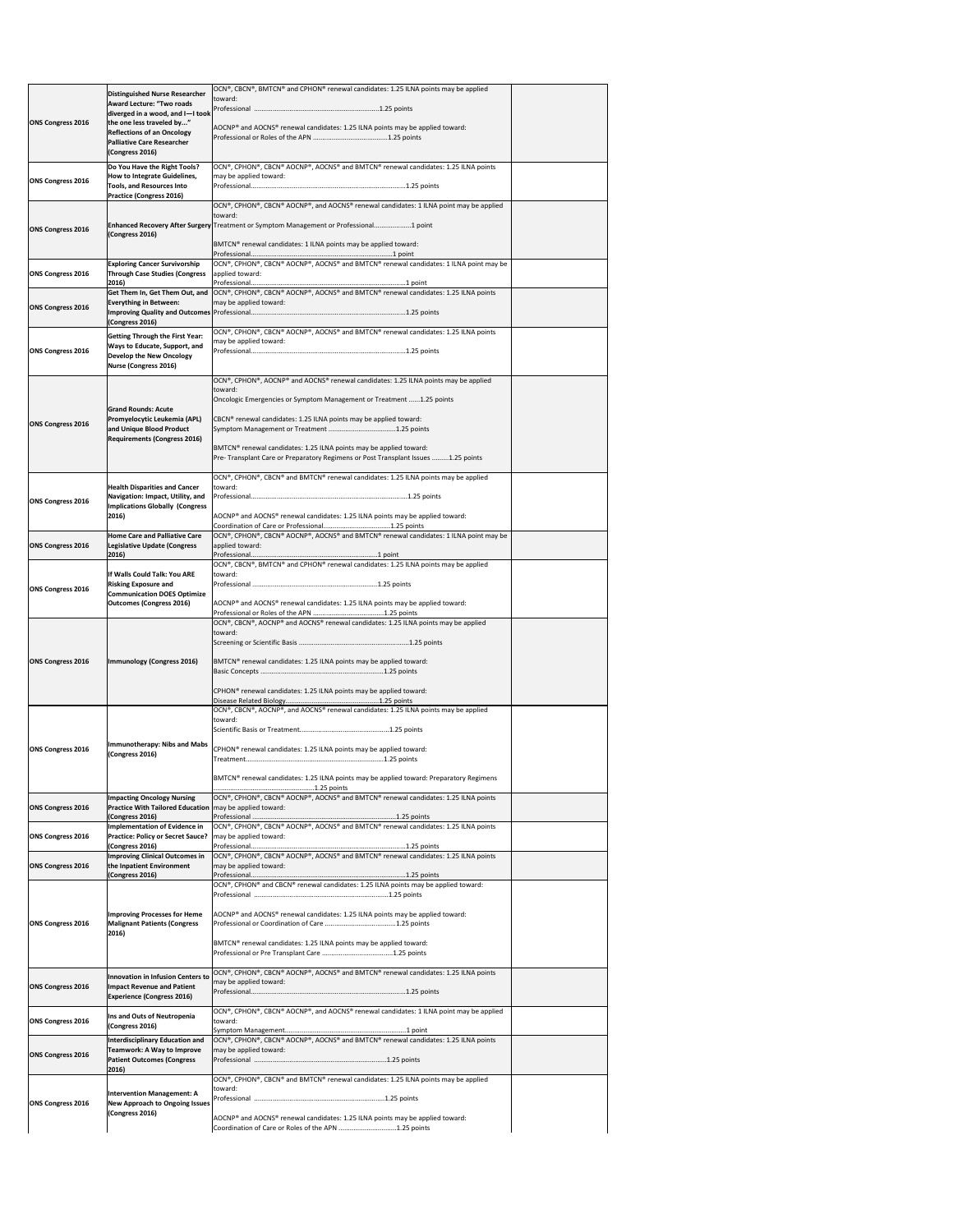|                          | <b>Distinguished Nurse Researcher</b>                                                               | OCN®, CBCN®, BMTCN® and CPHON® renewal candidates: 1.25 ILNA points may be applied                                 |  |
|--------------------------|-----------------------------------------------------------------------------------------------------|--------------------------------------------------------------------------------------------------------------------|--|
|                          | <b>Award Lecture: "Two roads</b>                                                                    | toward:                                                                                                            |  |
|                          | diverged in a wood, and $I-I$ took<br>the one less traveled by"                                     |                                                                                                                    |  |
| <b>ONS Congress 2016</b> | <b>Reflections of an Oncology</b>                                                                   | AOCNP® and AOCNS® renewal candidates: 1.25 ILNA points may be applied toward:                                      |  |
|                          | <b>Palliative Care Researcher</b>                                                                   |                                                                                                                    |  |
|                          | (Congress 2016)                                                                                     |                                                                                                                    |  |
| <b>ONS Congress 2016</b> | Do You Have the Right Tools?<br>How to Integrate Guidelines,                                        | OCN®, CPHON®, CBCN® AOCNP®, AOCNS® and BMTCN® renewal candidates: 1.25 ILNA points<br>may be applied toward:       |  |
|                          | <b>Tools, and Resources Into</b><br><b>Practice (Congress 2016)</b>                                 |                                                                                                                    |  |
|                          |                                                                                                     | OCN®, CPHON®, CBCN® AOCNP®, and AOCNS® renewal candidates: 1 ILNA point may be applied                             |  |
|                          |                                                                                                     | toward:<br>Enhanced Recovery After Surgery Treatment or Symptom Management or Professional 1 point                 |  |
| <b>ONS Congress 2016</b> | (Congress 2016)                                                                                     |                                                                                                                    |  |
|                          |                                                                                                     | BMTCN® renewal candidates: 1 ILNA points may be applied toward:                                                    |  |
|                          | <b>Exploring Cancer Survivorship</b>                                                                | OCN®, CPHON®, CBCN® AOCNP®, AOCNS® and BMTCN® renewal candidates: 1 ILNA point may be                              |  |
| <b>ONS Congress 2016</b> | <b>Through Case Studies (Congress</b><br>2016)                                                      | applied toward:                                                                                                    |  |
|                          |                                                                                                     | Get Them In, Get Them Out, and  OCN®, CPHON®, CBCN® AOCNP®, AOCNS® and BMTCN® renewal candidates: 1.25 ILNA points |  |
| <b>ONS Congress 2016</b> | <b>Everything in Between:</b>                                                                       | may be applied toward:                                                                                             |  |
|                          | (Congress 2016)                                                                                     |                                                                                                                    |  |
|                          | <b>Getting Through the First Year:</b>                                                              | OCN®, CPHON®, CBCN® AOCNP®, AOCNS® and BMTCN® renewal candidates: 1.25 ILNA points<br>may be applied toward:       |  |
| <b>ONS Congress 2016</b> | Ways to Educate, Support, and<br><b>Develop the New Oncology</b>                                    |                                                                                                                    |  |
|                          | <b>Nurse (Congress 2016)</b>                                                                        |                                                                                                                    |  |
|                          |                                                                                                     | OCN®, CPHON®, AOCNP® and AOCNS® renewal candidates: 1.25 ILNA points may be applied<br>toward:                     |  |
|                          |                                                                                                     | Oncologic Emergencies or Symptom Management or Treatment  1.25 points                                              |  |
|                          | <b>Grand Rounds: Acute</b><br><b>Promyelocytic Leukemia (APL)</b>                                   | CBCN <sup>®</sup> renewal candidates: 1.25 ILNA points may be applied toward:                                      |  |
| <b>ONS Congress 2016</b> | and Unique Blood Product                                                                            |                                                                                                                    |  |
|                          | <b>Requirements (Congress 2016)</b>                                                                 | BMTCN® renewal candidates: 1.25 ILNA points may be applied toward:                                                 |  |
|                          |                                                                                                     | Pre- Transplant Care or Preparatory Regimens or Post Transplant Issues 1.25 points                                 |  |
|                          |                                                                                                     | OCN®, CPHON®, CBCN® and BMTCN® renewal candidates: 1.25 ILNA points may be applied                                 |  |
|                          | <b>Health Disparities and Cancer</b>                                                                | toward:                                                                                                            |  |
| <b>ONS Congress 2016</b> | Navigation: Impact, Utility, and<br><b>Implications Globally (Congress</b>                          |                                                                                                                    |  |
|                          | 2016)                                                                                               | AOCNP® and AOCNS® renewal candidates: 1.25 ILNA points may be applied toward:                                      |  |
|                          | <b>Home Care and Palliative Care</b>                                                                | OCN®, CPHON®, CBCN® AOCNP®, AOCNS® and BMTCN® renewal candidates: 1 ILNA point may be                              |  |
| <b>ONS Congress 2016</b> | Legislative Update (Congress<br>2016)                                                               | applied toward:                                                                                                    |  |
|                          |                                                                                                     | OCN®, CBCN®, BMTCN® and CPHON® renewal candidates: 1.25 ILNA points may be applied                                 |  |
|                          | If Walls Could Talk: You ARE<br><b>Risking Exposure and</b>                                         | toward:                                                                                                            |  |
| <b>ONS Congress 2016</b> | <b>Communication DOES Optimize</b>                                                                  |                                                                                                                    |  |
|                          | <b>Outcomes (Congress 2016)</b>                                                                     | AOCNP® and AOCNS® renewal candidates: 1.25 ILNA points may be applied toward:                                      |  |
|                          |                                                                                                     | OCN®, CBCN®, AOCNP® and AOCNS® renewal candidates: 1.25 ILNA points may be applied                                 |  |
|                          |                                                                                                     | toward:                                                                                                            |  |
|                          |                                                                                                     |                                                                                                                    |  |
| <b>ONS Congress 2016</b> | Immunology (Congress 2016)                                                                          | BMTCN® renewal candidates: 1.25 ILNA points may be applied toward:                                                 |  |
|                          |                                                                                                     |                                                                                                                    |  |
|                          |                                                                                                     | CPHON <sup>®</sup> renewal candidates: 1.25 ILNA points may be applied toward:                                     |  |
|                          |                                                                                                     | OCN®, CBCN®, AOCNP®, and AOCNS® renewal candidates: 1.25 ILNA points may be applied                                |  |
|                          |                                                                                                     | toward:                                                                                                            |  |
|                          | Immunotherapy: Nibs and Mabs                                                                        |                                                                                                                    |  |
| <b>ONS Congress 2016</b> | (Congress 2016)                                                                                     | CPHON <sup>®</sup> renewal candidates: 1.25 ILNA points may be applied toward:                                     |  |
|                          |                                                                                                     | BMTCN® renewal candidates: 1.25 ILNA points may be applied toward: Preparatory Regimens                            |  |
|                          |                                                                                                     |                                                                                                                    |  |
| <b>ONS Congress 2016</b> | <b>Impacting Oncology Nursing</b><br><b>Practice With Tailored Education</b> may be applied toward: | OCN®, CPHON®, CBCN® AOCNP®, AOCNS® and BMTCN® renewal candidates: 1.25 ILNA points                                 |  |
|                          | (Congress 2016)                                                                                     |                                                                                                                    |  |
| <b>ONS Congress 2016</b> | Implementation of Evidence in<br><b>Practice: Policy or Secret Sauce?</b>   may be applied toward:  | OCN®, CPHON®, CBCN® AOCNP®, AOCNS® and BMTCN® renewal candidates: 1.25 ILNA points                                 |  |
|                          | (Congress 2016)                                                                                     |                                                                                                                    |  |
| <b>ONS Congress 2016</b> | Improving Clinical Outcomes in<br>the Inpatient Environment                                         | OCN®, CPHON®, CBCN® AOCNP®, AOCNS® and BMTCN® renewal candidates: 1.25 ILNA points<br>may be applied toward:       |  |
|                          | (Congress 2016)                                                                                     | OCN®, CPHON® and CBCN® renewal candidates: 1.25 ILNA points may be applied toward:                                 |  |
|                          |                                                                                                     |                                                                                                                    |  |
|                          | Improving Processes for Heme                                                                        | AOCNP® and AOCNS® renewal candidates: 1.25 ILNA points may be applied toward:                                      |  |
| <b>ONS Congress 2016</b> | <b>Malignant Patients (Congress</b>                                                                 |                                                                                                                    |  |
|                          | 2016)                                                                                               | BMTCN <sup>®</sup> renewal candidates: 1.25 ILNA points may be applied toward:                                     |  |
|                          |                                                                                                     |                                                                                                                    |  |
|                          |                                                                                                     | OCN®, CPHON®, CBCN® AOCNP®, AOCNS® and BMTCN® renewal candidates: 1.25 ILNA points                                 |  |
| <b>ONS Congress 2016</b> | Innovation in Infusion Centers to<br>Impact Revenue and Patient                                     | may be applied toward:                                                                                             |  |
|                          | <b>Experience (Congress 2016)</b>                                                                   |                                                                                                                    |  |
| <b>ONS Congress 2016</b> | Ins and Outs of Neutropenia                                                                         | $[OCN®, CPHON®, CBCN® AOCNP®, and AOCNS® renewal candidates: 1 ILNA point may be applied$<br>toward:               |  |
|                          | (Congress 2016)                                                                                     |                                                                                                                    |  |
|                          | <b>Interdisciplinary Education and</b><br><b>Teamwork: A Way to Improve</b>                         | OCN®, CPHON®, CBCN® AOCNP®, AOCNS® and BMTCN® renewal candidates: 1.25 ILNA points<br>may be applied toward:       |  |
| <b>ONS Congress 2016</b> | <b>Patient Outcomes (Congress</b>                                                                   |                                                                                                                    |  |
|                          | 2016)                                                                                               | OCN®, CPHON®, CBCN® and BMTCN® renewal candidates: 1.25 ILNA points may be applied                                 |  |
|                          | <b>Intervention Management: A</b>                                                                   | toward:                                                                                                            |  |
| <b>ONS Congress 2016</b> | <b>New Approach to Ongoing Issues</b>                                                               |                                                                                                                    |  |
|                          | (Congress 2016)                                                                                     | AOCNP® and AOCNS® renewal candidates: 1.25 ILNA points may be applied toward:                                      |  |
|                          |                                                                                                     | Coordination of Care or Roles of the APN 1.25 points                                                               |  |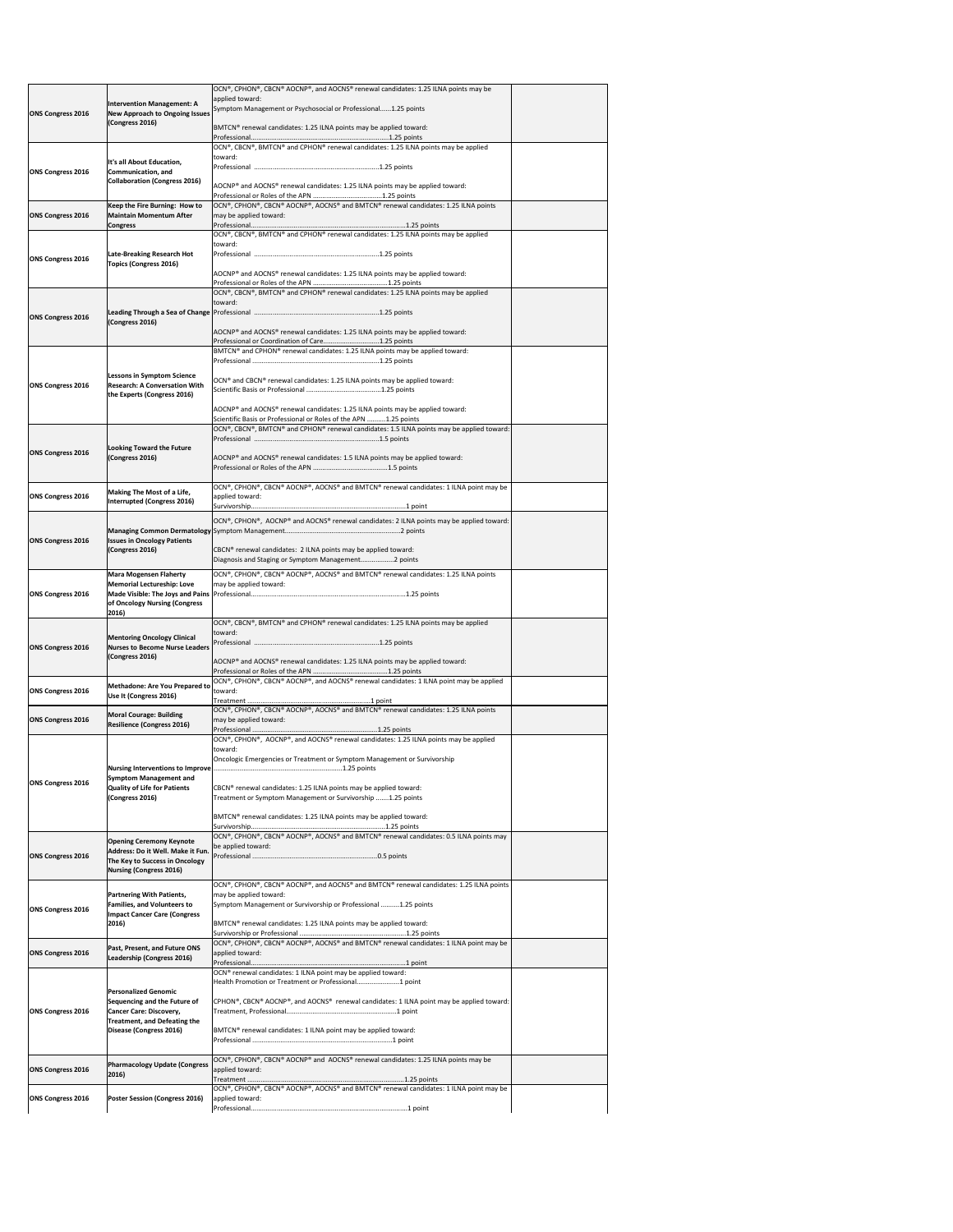|                          |                                                                           | OCN®, CPHON®, CBCN® AOCNP®, and AOCNS® renewal candidates: 1.25 ILNA points may be                                                             |  |
|--------------------------|---------------------------------------------------------------------------|------------------------------------------------------------------------------------------------------------------------------------------------|--|
|                          | <b>Intervention Management: A</b>                                         | applied toward:<br>Symptom Management or Psychosocial or Professional1.25 points                                                               |  |
| <b>ONS Congress 2016</b> | <b>New Approach to Ongoing Issues</b>                                     |                                                                                                                                                |  |
|                          | (Congress 2016)                                                           | BMTCN <sup>®</sup> renewal candidates: 1.25 ILNA points may be applied toward:                                                                 |  |
|                          |                                                                           |                                                                                                                                                |  |
|                          |                                                                           | $ OCN^{\circ} $ , CBCN <sup>®</sup> , BMTCN <sup>®</sup> and CPHON <sup>®</sup> renewal candidates: 1.25 ILNA points may be applied<br>toward: |  |
|                          | It's all About Education,                                                 |                                                                                                                                                |  |
| <b>ONS Congress 2016</b> | Communication, and<br><b>Collaboration (Congress 2016)</b>                |                                                                                                                                                |  |
|                          |                                                                           | AOCNP® and AOCNS® renewal candidates: 1.25 ILNA points may be applied toward:                                                                  |  |
|                          | Keep the Fire Burning: How to                                             | OCN®, CPHON®, CBCN® AOCNP®, AOCNS® and BMTCN® renewal candidates: 1.25 ILNA points                                                             |  |
| <b>ONS Congress 2016</b> | <b>Maintain Momentum After</b>                                            | may be applied toward:                                                                                                                         |  |
|                          | <b>Congress</b>                                                           |                                                                                                                                                |  |
|                          |                                                                           | $[OCN®, CBCN®, BMTCN® and CPHON® renewal candidates: 1.25 ILNA points may be applied$<br>toward:                                               |  |
| <b>ONS Congress 2016</b> | <b>Late-Breaking Research Hot</b>                                         |                                                                                                                                                |  |
|                          | <b>Topics (Congress 2016)</b>                                             |                                                                                                                                                |  |
|                          |                                                                           | AOCNP® and AOCNS® renewal candidates: 1.25 ILNA points may be applied toward:                                                                  |  |
|                          |                                                                           | $[OCN®, CBCN®, BMTCN® and CPHON® renewal candidates: 1.25 ILNA points may be applied$                                                          |  |
|                          |                                                                           | toward:                                                                                                                                        |  |
| <b>ONS Congress 2016</b> | (Congress 2016)                                                           |                                                                                                                                                |  |
|                          |                                                                           | AOCNP® and AOCNS® renewal candidates: 1.25 ILNA points may be applied toward:                                                                  |  |
|                          |                                                                           | Professional or Coordination of Care1.25 points                                                                                                |  |
|                          |                                                                           | BMTCN® and CPHON® renewal candidates: 1.25 ILNA points may be applied toward:                                                                  |  |
|                          |                                                                           |                                                                                                                                                |  |
|                          | <b>Lessons in Symptom Science</b><br><b>Research: A Conversation With</b> | OCN® and CBCN® renewal candidates: 1.25 ILNA points may be applied toward:                                                                     |  |
| <b>ONS Congress 2016</b> | the Experts (Congress 2016)                                               |                                                                                                                                                |  |
|                          |                                                                           | AOCNP® and AOCNS® renewal candidates: 1.25 ILNA points may be applied toward:                                                                  |  |
|                          |                                                                           | Scientific Basis or Professional or Roles of the APN 1.25 points                                                                               |  |
|                          |                                                                           | OCN®, CBCN®, BMTCN® and CPHON® renewal candidates: 1.5 ILNA points may be applied toward:                                                      |  |
|                          | <b>Looking Toward the Future</b>                                          |                                                                                                                                                |  |
| <b>ONS Congress 2016</b> | (Congress 2016)                                                           | AOCNP® and AOCNS® renewal candidates: 1.5 ILNA points may be applied toward:                                                                   |  |
|                          |                                                                           |                                                                                                                                                |  |
|                          |                                                                           |                                                                                                                                                |  |
| <b>ONS Congress 2016</b> | <b>Making The Most of a Life,</b>                                         | $[OCN®, CPHON®, CBCN® AOCNP®, AOCNS® and BMTCN® renewal candidates: 1 ILNA point may be$<br>applied toward:                                    |  |
|                          | <b>Interrupted (Congress 2016)</b>                                        |                                                                                                                                                |  |
|                          |                                                                           | OCN®, CPHON®, AOCNP® and AOCNS® renewal candidates: 2 ILNA points may be applied toward:                                                       |  |
|                          |                                                                           |                                                                                                                                                |  |
| <b>ONS Congress 2016</b> | <b>Issues in Oncology Patients</b>                                        |                                                                                                                                                |  |
|                          | (Congress 2016)                                                           | CBCN <sup>®</sup> renewal candidates: 2 ILNA points may be applied toward:<br>Diagnosis and Staging or Symptom Management2 points              |  |
|                          | <b>Mara Mogensen Flaherty</b>                                             | OCN®, CPHON®, CBCN® AOCNP®, AOCNS® and BMTCN® renewal candidates: 1.25 ILNA points                                                             |  |
|                          | <b>Memorial Lectureship: Love</b>                                         | may be applied toward:                                                                                                                         |  |
| <b>ONS Congress 2016</b> |                                                                           |                                                                                                                                                |  |
|                          | of Oncology Nursing (Congress                                             |                                                                                                                                                |  |
|                          | 2016)                                                                     | OCN®, CBCN®, BMTCN® and CPHON® renewal candidates: 1.25 ILNA points may be applied                                                             |  |
|                          | <b>Mentoring Oncology Clinical</b>                                        | toward:                                                                                                                                        |  |
| <b>ONS Congress 2016</b> | <b>Nurses to Become Nurse Leaders</b>                                     |                                                                                                                                                |  |
|                          | (Congress 2016)                                                           | AOCNP® and AOCNS® renewal candidates: 1.25 ILNA points may be applied toward:                                                                  |  |
|                          |                                                                           |                                                                                                                                                |  |
|                          | <b>Methadone: Are You Prepared to</b>                                     | OCN®, CPHON®, CBCN® AOCNP®, and AOCNS® renewal candidates: 1 ILNA point may be applied                                                         |  |
| <b>ONS Congress 2016</b> | Use It (Congress 2016)                                                    | toward:                                                                                                                                        |  |
|                          | <b>Moral Courage: Building</b>                                            | OCN®, CPHON®, CBCN® AOCNP®, AOCNS® and BMTCN® renewal candidates: 1.25 ILNA points                                                             |  |
| <b>ONS Congress 2016</b> | <b>Resilience (Congress 2016)</b>                                         | may be applied toward:                                                                                                                         |  |
|                          |                                                                           | OCN®, CPHON®, AOCNP®, and AOCNS® renewal candidates: 1.25 ILNA points may be applied                                                           |  |
|                          |                                                                           | toward:                                                                                                                                        |  |
|                          |                                                                           | Oncologic Emergencies or Treatment or Symptom Management or Survivorship                                                                       |  |
|                          | <b>Symptom Management and</b>                                             |                                                                                                                                                |  |
| <b>ONS Congress 2016</b> | <b>Quality of Life for Patients</b>                                       | CBCN <sup>®</sup> renewal candidates: 1.25 ILNA points may be applied toward:                                                                  |  |
|                          | (Congress 2016)                                                           | Treatment or Symptom Management or Survivorship 1.25 points                                                                                    |  |
|                          |                                                                           |                                                                                                                                                |  |
|                          |                                                                           | BMTCN® renewal candidates: 1.25 ILNA points may be applied toward:                                                                             |  |
|                          | <b>Opening Ceremony Keynote</b>                                           | OCN®, CPHON®, CBCN® AOCNP®, AOCNS® and BMTCN® renewal candidates: 0.5 ILNA points may                                                          |  |
|                          | Address: Do it Well. Make it Fun.                                         | be applied toward:                                                                                                                             |  |
| <b>ONS Congress 2016</b> | The Key to Success in Oncology                                            |                                                                                                                                                |  |
|                          | <b>Nursing (Congress 2016)</b>                                            |                                                                                                                                                |  |
|                          |                                                                           | OCN®, CPHON®, CBCN® AOCNP®, and AOCNS® and BMTCN® renewal candidates: 1.25 ILNA points                                                         |  |
|                          | <b>Partnering With Patients,</b><br><b>Families, and Volunteers to</b>    | may be applied toward:<br>Symptom Management or Survivorship or Professional 1.25 points                                                       |  |
| <b>ONS Congress 2016</b> | <b>Impact Cancer Care (Congress</b>                                       |                                                                                                                                                |  |
|                          | 2016)                                                                     | BMTCN® renewal candidates: 1.25 ILNA points may be applied toward:                                                                             |  |
|                          |                                                                           | OCN®, CPHON®, CBCN® AOCNP®, AOCNS® and BMTCN® renewal candidates: 1 ILNA point may be                                                          |  |
| <b>ONS Congress 2016</b> | Past, Present, and Future ONS                                             | applied toward:                                                                                                                                |  |
|                          | Leadership (Congress 2016)                                                |                                                                                                                                                |  |
|                          |                                                                           | OCN <sup>®</sup> renewal candidates: 1 ILNA point may be applied toward:<br>Health Promotion or Treatment or Professional1 point               |  |
|                          | <b>Personalized Genomic</b>                                               |                                                                                                                                                |  |
|                          | Sequencing and the Future of                                              | CPHON®, CBCN® AOCNP®, and AOCNS® renewal candidates: 1 ILNA point may be applied toward:                                                       |  |
| <b>ONS Congress 2016</b> | <b>Cancer Care: Discovery,</b><br><b>Treatment, and Defeating the</b>     |                                                                                                                                                |  |
|                          | Disease (Congress 2016)                                                   | BMTCN® renewal candidates: 1 ILNA point may be applied toward:                                                                                 |  |
|                          |                                                                           |                                                                                                                                                |  |
|                          |                                                                           | OCN®, CPHON®, CBCN® AOCNP® and AOCNS® renewal candidates: 1.25 ILNA points may be                                                              |  |
| <b>ONS Congress 2016</b> | <b>Pharmacology Update (Congress</b>                                      | applied toward:                                                                                                                                |  |
|                          | 2016)                                                                     |                                                                                                                                                |  |
|                          | <b>Poster Session (Congress 2016)</b>                                     | OCN®, CPHON®, CBCN® AOCNP®, AOCNS® and BMTCN® renewal candidates: 1 ILNA point may be                                                          |  |
| <b>ONS Congress 2016</b> |                                                                           | applied toward:                                                                                                                                |  |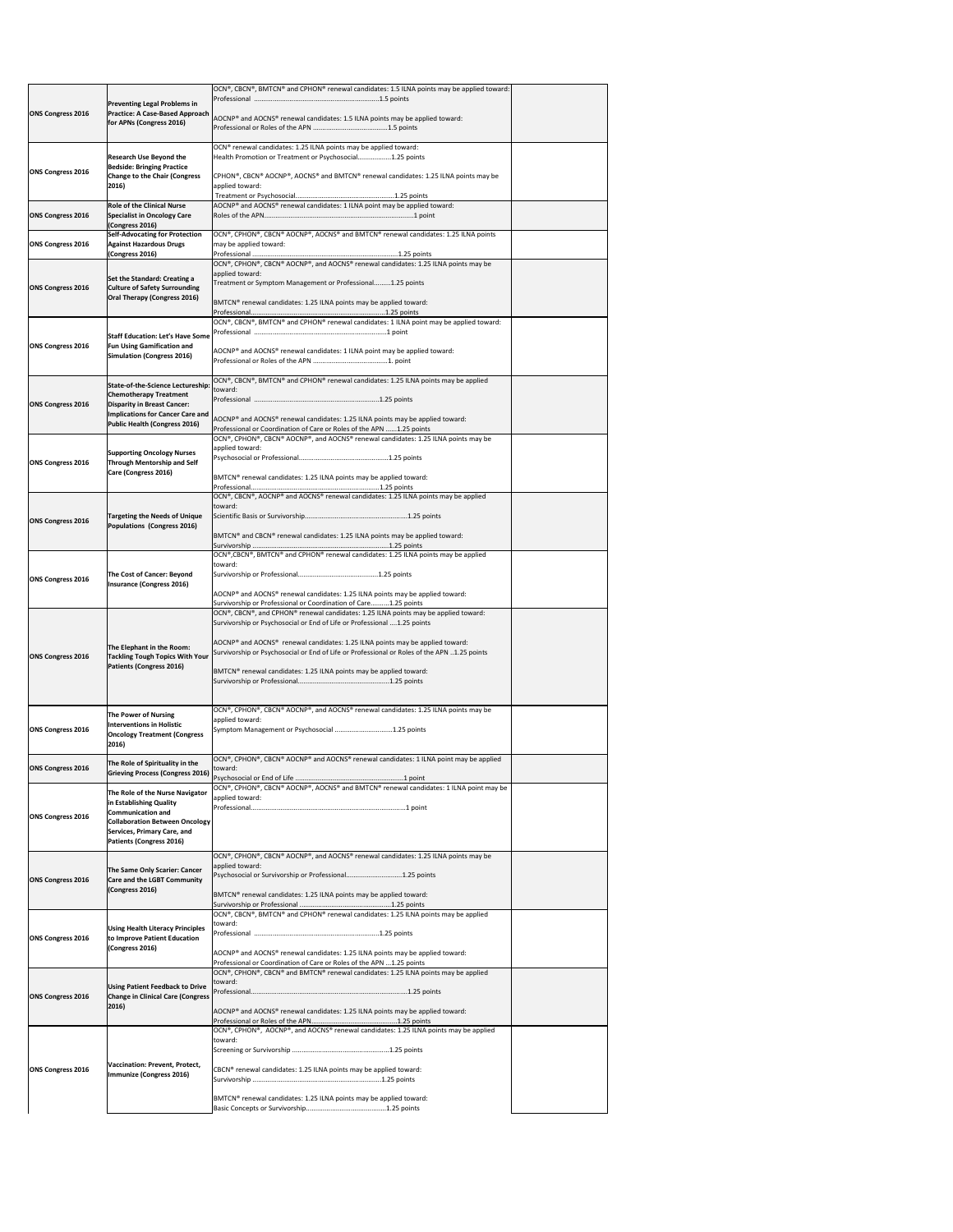| <b>ONS Congress 2016</b> | <b>Preventing Legal Problems in</b><br><b>Practice: A Case-Based Approach</b><br>for APNs (Congress 2016)                                                                                                | OCN®, CBCN®, BMTCN® and CPHON® renewal candidates: 1.5 ILNA points may be applied toward:<br>AOCNP® and AOCNS® renewal candidates: 1.5 ILNA points may be applied toward:                                                                                                                                                                                                                                            |  |
|--------------------------|----------------------------------------------------------------------------------------------------------------------------------------------------------------------------------------------------------|----------------------------------------------------------------------------------------------------------------------------------------------------------------------------------------------------------------------------------------------------------------------------------------------------------------------------------------------------------------------------------------------------------------------|--|
|                          | <b>Research Use Beyond the</b>                                                                                                                                                                           | OCN <sup>®</sup> renewal candidates: 1.25 ILNA points may be applied toward:<br>Health Promotion or Treatment or Psychosocial1.25 points                                                                                                                                                                                                                                                                             |  |
| <b>ONS Congress 2016</b> | <b>Bedside: Bringing Practice</b><br><b>Change to the Chair (Congress</b><br>2016)                                                                                                                       | CPHON®, CBCN® AOCNP®, AOCNS® and BMTCN® renewal candidates: 1.25 ILNA points may be<br>applied toward:                                                                                                                                                                                                                                                                                                               |  |
| <b>ONS Congress 2016</b> | <b>Role of the Clinical Nurse</b><br><b>Specialist in Oncology Care</b>                                                                                                                                  | AOCNP® and AOCNS® renewal candidates: 1 ILNA point may be applied toward:                                                                                                                                                                                                                                                                                                                                            |  |
| <b>ONS Congress 2016</b> | (Congress 2016)<br><b>Self-Advocating for Protection</b><br><b>Against Hazardous Drugs</b><br>(Congress 2016)                                                                                            | OCN®, CPHON®, CBCN® AOCNP®, AOCNS® and BMTCN® renewal candidates: 1.25 ILNA points<br>may be applied toward:                                                                                                                                                                                                                                                                                                         |  |
| <b>ONS Congress 2016</b> | Set the Standard: Creating a<br><b>Culture of Safety Surrounding</b><br><b>Oral Therapy (Congress 2016)</b>                                                                                              | OCN®, CPHON®, CBCN® AOCNP®, and AOCNS® renewal candidates: 1.25 ILNA points may be<br>applied toward:<br>Treatment or Symptom Management or Professional1.25 points<br>BMTCN® renewal candidates: 1.25 ILNA points may be applied toward:                                                                                                                                                                            |  |
| <b>ONS Congress 2016</b> | <b>Staff Education: Let's Have Some</b><br><b>Fun Using Gamification and</b><br><b>Simulation (Congress 2016)</b>                                                                                        | OCN®, CBCN®, BMTCN® and CPHON® renewal candidates: 1 ILNA point may be applied toward:<br>AOCNP® and AOCNS® renewal candidates: 1 ILNA point may be applied toward:                                                                                                                                                                                                                                                  |  |
| <b>ONS Congress 2016</b> | State-of-the-Science Lectureship: toward:<br><b>Chemotherapy Treatment</b><br><b>Disparity in Breast Cancer:</b><br><b>Implications for Cancer Care and</b><br><b>Public Health (Congress 2016)</b>      | $[OCN®, CBCN®, BMTCN® and CPHON® renewal candidates: 1.25 ILNA points may be applied$<br>AOCNP® and AOCNS® renewal candidates: 1.25 ILNA points may be applied toward:<br>Professional or Coordination of Care or Roles of the APN 1.25 points                                                                                                                                                                       |  |
| <b>ONS Congress 2016</b> | <b>Supporting Oncology Nurses</b><br><b>Through Mentorship and Self</b><br>Care (Congress 2016)                                                                                                          | OCN®, CPHON®, CBCN® AOCNP®, and AOCNS® renewal candidates: 1.25 ILNA points may be<br>applied toward:<br>BMTCN® renewal candidates: 1.25 ILNA points may be applied toward:                                                                                                                                                                                                                                          |  |
| <b>ONS Congress 2016</b> | <b>Targeting the Needs of Unique</b><br>Populations (Congress 2016)                                                                                                                                      | OCN®, CBCN®, AOCNP® and AOCNS® renewal candidates: 1.25 ILNA points may be applied<br>toward:<br>BMTCN <sup>®</sup> and CBCN <sup>®</sup> renewal candidates: 1.25 ILNA points may be applied toward:                                                                                                                                                                                                                |  |
| <b>ONS Congress 2016</b> | <b>The Cost of Cancer: Beyond</b><br><b>Insurance (Congress 2016)</b>                                                                                                                                    | OCN®,CBCN®, BMTCN® and CPHON® renewal candidates: 1.25 ILNA points may be applied<br>toward:<br>AOCNP® and AOCNS® renewal candidates: 1.25 ILNA points may be applied toward:<br>Survivorship or Professional or Coordination of Care1.25 points                                                                                                                                                                     |  |
| <b>ONS Congress 2016</b> | The Elephant in the Room:<br><b>Tackling Tough Topics With Your</b><br><b>Patients (Congress 2016)</b>                                                                                                   | OCN®, CBCN®, and CPHON® renewal candidates: 1.25 ILNA points may be applied toward:<br>Survivorship or Psychosocial or End of Life or Professional 1.25 points<br>AOCNP® and AOCNS® renewal candidates: 1.25 ILNA points may be applied toward:<br>Survivorship or Psychosocial or End of Life or Professional or Roles of the APN 1.25 points<br>BMTCN® renewal candidates: 1.25 ILNA points may be applied toward: |  |
| <b>ONS Congress 2016</b> | <b>The Power of Nursing</b><br><b>Interventions in Holistic</b><br><b>Oncology Treatment (Congress</b><br>2016)                                                                                          | OCN®, CPHON®, CBCN® AOCNP®, and AOCNS® renewal candidates: 1.25 ILNA points may be<br>applied toward:<br>Symptom Management or Psychosocial 1.25 points                                                                                                                                                                                                                                                              |  |
| <b>ONS Congress 2016</b> | The Role of Spirituality in the<br><b>Grieving Process (Congress 2016)</b>                                                                                                                               | $[OCN®, CPHON®, CBCN® AOCNP® and AOCNS® renewal candidates: 1 ILNA point may be applied$<br>toward:                                                                                                                                                                                                                                                                                                                  |  |
| <b>ONS Congress 2016</b> | The Role of the Nurse Navigator<br>in Establishing Quality<br><b>Communication and</b><br><b>Collaboration Between Oncology</b><br><b>Services, Primary Care, and</b><br><b>Patients (Congress 2016)</b> | OCN®, CPHON®, CBCN® AOCNP®, AOCNS® and BMTCN® renewal candidates: 1 ILNA point may be<br>applied toward:                                                                                                                                                                                                                                                                                                             |  |
| <b>ONS Congress 2016</b> | The Same Only Scarier: Cancer<br><b>Care and the LGBT Community</b><br>(Congress 2016)                                                                                                                   | OCN®, CPHON®, CBCN® AOCNP®, and AOCNS® renewal candidates: 1.25 ILNA points may be<br>applied toward:<br>Psychosocial or Survivorship or Professional1.25 points<br>BMTCN® renewal candidates: 1.25 ILNA points may be applied toward:                                                                                                                                                                               |  |
| <b>ONS Congress 2016</b> | <b>Using Health Literacy Principles</b><br>to Improve Patient Education<br>(Congress 2016)                                                                                                               | $[OCN®, CBCN®, BMTCN® and CPHON® renewal candidates: 1.25 ILNA points may be applied$<br>toward:<br>AOCNP® and AOCNS® renewal candidates: 1.25 ILNA points may be applied toward:<br>Professional or Coordination of Care or Roles of the APN  1.25 points                                                                                                                                                           |  |
| <b>ONS Congress 2016</b> | <b>Using Patient Feedback to Drive</b><br><b>Change in Clinical Care (Congress</b><br>2016)                                                                                                              | $[OCN®, CPHON®, CBCN® and BMTCN® renewal candidates: 1.25 ILNA points may be applied$<br>toward:<br>AOCNP® and AOCNS® renewal candidates: 1.25 ILNA points may be applied toward:                                                                                                                                                                                                                                    |  |
| <b>ONS Congress 2016</b> | Vaccination: Prevent, Protect,<br>Immunize (Congress 2016)                                                                                                                                               | $[OCN®, CPHON®, AOCNP®, and AOCNS® renewal candidates: 1.25 ILNA points may be applied$<br>toward:<br>CBCN <sup>®</sup> renewal candidates: 1.25 ILNA points may be applied toward:<br>BMTCN® renewal candidates: 1.25 ILNA points may be applied toward:                                                                                                                                                            |  |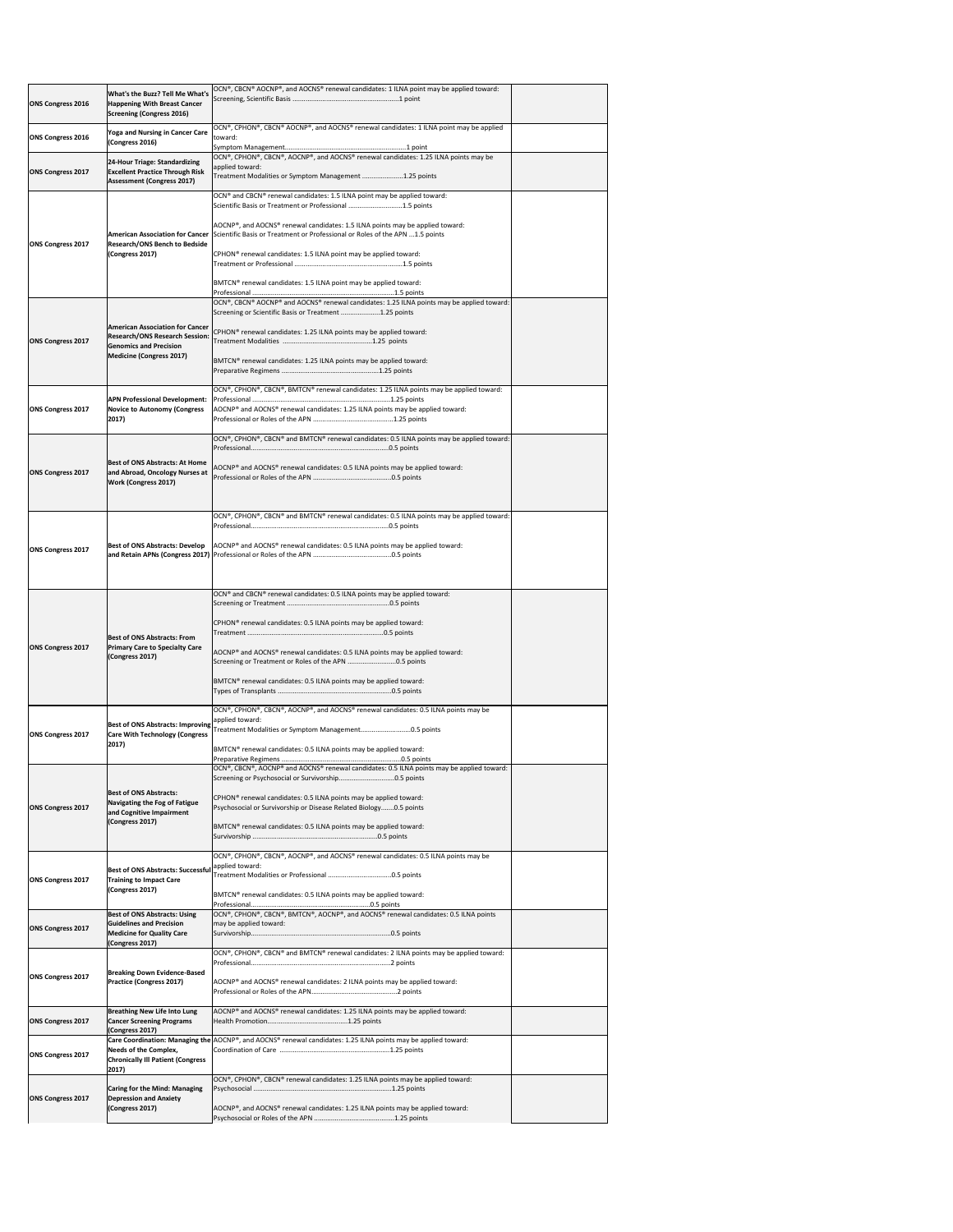| <b>ONS Congress 2016</b> | <b>What's the Buzz? Tell Me What's</b><br><b>Happening With Breast Cancer</b><br><b>Screening (Congress 2016)</b> | OCN®, CBCN® AOCNP®, and AOCNS® renewal candidates: 1 ILNA point may be applied toward:                                                                                                        |  |
|--------------------------|-------------------------------------------------------------------------------------------------------------------|-----------------------------------------------------------------------------------------------------------------------------------------------------------------------------------------------|--|
| <b>ONS Congress 2016</b> | <b>Yoga and Nursing in Cancer Care</b><br>(Congress 2016)                                                         | OCN®, CPHON®, CBCN® AOCNP®, and AOCNS® renewal candidates: 1 ILNA point may be applied<br>toward:                                                                                             |  |
|                          |                                                                                                                   | OCN®, CPHON®, CBCN®, AOCNP®, and AOCNS® renewal candidates: 1.25 ILNA points may be                                                                                                           |  |
| <b>ONS Congress 2017</b> | 24-Hour Triage: Standardizing<br><b>Excellent Practice Through Risk</b><br><b>Assessment (Congress 2017)</b>      | applied toward:<br>Treatment Modalities or Symptom Management 1.25 points                                                                                                                     |  |
|                          |                                                                                                                   | OCN® and CBCN® renewal candidates: 1.5 ILNA point may be applied toward:<br>Scientific Basis or Treatment or Professional 1.5 points                                                          |  |
|                          |                                                                                                                   | AOCNP®, and AOCNS® renewal candidates: 1.5 ILNA points may be applied toward:<br>American Association for Cancer Scientific Basis or Treatment or Professional or Roles of the APN 1.5 points |  |
| <b>ONS Congress 2017</b> | <b>Research/ONS Bench to Bedside</b><br>(Congress 2017)                                                           | CPHON <sup>®</sup> renewal candidates: 1.5 ILNA point may be applied toward:                                                                                                                  |  |
|                          |                                                                                                                   | BMTCN <sup>®</sup> renewal candidates: 1.5 ILNA point may be applied toward:                                                                                                                  |  |
|                          |                                                                                                                   | OCN®, CBCN® AOCNP® and AOCNS® renewal candidates: 1.25 ILNA points may be applied toward:<br>Screening or Scientific Basis or Treatment 1.25 points                                           |  |
| <b>ONS Congress 2017</b> | <b>American Association for Cancer</b><br><b>Research/ONS Research Session:</b><br><b>Genomics and Precision</b>  | CPHON <sup>®</sup> renewal candidates: 1.25 ILNA points may be applied toward:                                                                                                                |  |
|                          | <b>Medicine (Congress 2017)</b>                                                                                   | BMTCN® renewal candidates: 1.25 ILNA points may be applied toward:                                                                                                                            |  |
|                          |                                                                                                                   | OCN®, CPHON®, CBCN®, BMTCN® renewal candidates: 1.25 ILNA points may be applied toward:                                                                                                       |  |
| <b>ONS Congress 2017</b> | <b>APN Professional Development:</b><br><b>Novice to Autonomy (Congress</b><br>2017)                              | AOCNP® and AOCNS® renewal candidates: 1.25 ILNA points may be applied toward:                                                                                                                 |  |
|                          |                                                                                                                   |                                                                                                                                                                                               |  |
|                          |                                                                                                                   | OCN®, CPHON®, CBCN® and BMTCN® renewal candidates: 0.5 ILNA points may be applied toward:                                                                                                     |  |
|                          | <b>Best of ONS Abstracts: At Home</b>                                                                             | AOCNP® and AOCNS® renewal candidates: 0.5 ILNA points may be applied toward:                                                                                                                  |  |
| <b>ONS Congress 2017</b> | and Abroad, Oncology Nurses at<br><b>Work (Congress 2017)</b>                                                     |                                                                                                                                                                                               |  |
|                          |                                                                                                                   |                                                                                                                                                                                               |  |
|                          |                                                                                                                   |                                                                                                                                                                                               |  |
|                          |                                                                                                                   | OCN®, CPHON®, CBCN® and BMTCN® renewal candidates: 0.5 ILNA points may be applied toward:                                                                                                     |  |
| <b>ONS Congress 2017</b> |                                                                                                                   | Best of ONS Abstracts: Develop   AOCNP® and AOCNS® renewal candidates: 0.5 ILNA points may be applied toward:                                                                                 |  |
|                          |                                                                                                                   | OCN <sup>®</sup> and CBCN <sup>®</sup> renewal candidates: 0.5 ILNA points may be applied toward:                                                                                             |  |
|                          |                                                                                                                   |                                                                                                                                                                                               |  |
| <b>ONS Congress 2017</b> | <b>Best of ONS Abstracts: From</b><br><b>Primary Care to Specialty Care</b>                                       | CPHON <sup>®</sup> renewal candidates: 0.5 ILNA points may be applied toward:                                                                                                                 |  |
|                          | (Congress 2017)                                                                                                   | AOCNP® and AOCNS® renewal candidates: 0.5 ILNA points may be applied toward:                                                                                                                  |  |
|                          |                                                                                                                   | BMTCN® renewal candidates: 0.5 ILNA points may be applied toward:                                                                                                                             |  |
|                          | <b>Best of ONS Abstracts: Improving</b>                                                                           | OCN®, CPHON®, CBCN®, AOCNP®, and AOCNS® renewal candidates: 0.5 ILNA points may be<br>applied toward:<br>Treatment Modalities or Symptom Management0.5 points                                 |  |
| <b>ONS Congress 2017</b> | <b>Care With Technology (Congress</b><br>2017)                                                                    | BMTCN <sup>®</sup> renewal candidates: 0.5 ILNA points may be applied toward:                                                                                                                 |  |
|                          |                                                                                                                   | $\overline{OCN^{\circ}}$ , CBCN <sup>®</sup> , AOCNP® and AOCNS® renewal candidates: 0.5 ILNA points may be applied toward:                                                                   |  |
| <b>ONS Congress 2017</b> | <b>Best of ONS Abstracts:</b><br><b>Navigating the Fog of Fatigue</b><br>and Cognitive Impairment                 | CPHON <sup>®</sup> renewal candidates: 0.5 ILNA points may be applied toward:<br>Psychosocial or Survivorship or Disease Related Biology0.5 points                                            |  |
|                          | (Congress 2017)                                                                                                   | BMTCN <sup>®</sup> renewal candidates: 0.5 ILNA points may be applied toward:                                                                                                                 |  |
|                          |                                                                                                                   | OCN®, CPHON®, CBCN®, AOCNP®, and AOCNS® renewal candidates: 0.5 ILNA points may be                                                                                                            |  |
| <b>ONS Congress 2017</b> | <b>Best of ONS Abstracts: Successful</b><br><b>Training to Impact Care</b>                                        | applied toward:                                                                                                                                                                               |  |
|                          | (Congress 2017)                                                                                                   | BMTCN® renewal candidates: 0.5 ILNA points may be applied toward:                                                                                                                             |  |
| <b>ONS Congress 2017</b> | <b>Best of ONS Abstracts: Using</b><br><b>Guidelines and Precision</b>                                            | OCN®, CPHON®, CBCN®, BMTCN®, AOCNP®, and AOCNS® renewal candidates: 0.5 ILNA points<br>may be applied toward:                                                                                 |  |
|                          | <b>Medicine for Quality Care</b><br>(Congress 2017)                                                               | OCN®, CPHON®, CBCN® and BMTCN® renewal candidates: 2 ILNA points may be applied toward:                                                                                                       |  |
|                          | <b>Breaking Down Evidence-Based</b>                                                                               |                                                                                                                                                                                               |  |
| <b>ONS Congress 2017</b> | <b>Practice (Congress 2017)</b>                                                                                   | AOCNP <sup>®</sup> and AOCNS <sup>®</sup> renewal candidates: 2 ILNA points may be applied toward:                                                                                            |  |
| <b>ONS Congress 2017</b> | <b>Breathing New Life Into Lung</b><br><b>Cancer Screening Programs</b>                                           | AOCNP® and AOCNS® renewal candidates: 1.25 ILNA points may be applied toward:                                                                                                                 |  |
|                          | (Congress 2017)<br><b>Needs of the Complex,</b>                                                                   | Care Coordination: Managing the AOCNP®, and AOCNS® renewal candidates: 1.25 ILNA points may be applied toward:                                                                                |  |
| <b>ONS Congress 2017</b> | <b>Chronically III Patient (Congress</b><br>2017)                                                                 |                                                                                                                                                                                               |  |
|                          | <b>Caring for the Mind: Managing</b>                                                                              | OCN®, CPHON®, CBCN® renewal candidates: 1.25 ILNA points may be applied toward:                                                                                                               |  |
| <b>ONS Congress 2017</b> | <b>Depression and Anxiety</b><br>(Congress 2017)                                                                  | AOCNP®, and AOCNS® renewal candidates: 1.25 ILNA points may be applied toward:                                                                                                                |  |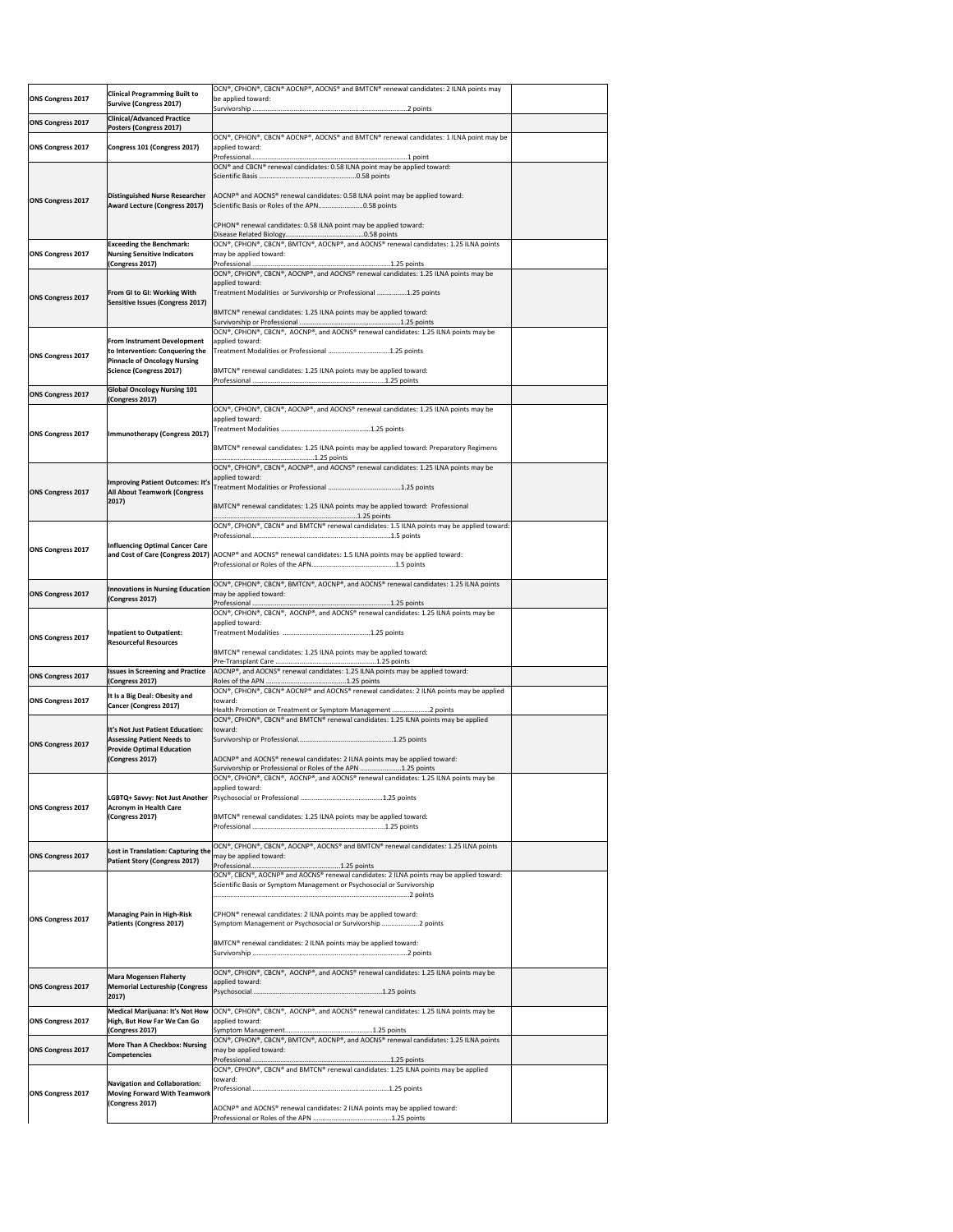| <b>ONS Congress 2017</b> | <b>Clinical Programming Built to</b><br>Survive (Congress 2017)                                              | OCN®, CPHON®, CBCN® AOCNP®, AOCNS® and BMTCN® renewal candidates: 2 ILNA points may<br>be applied toward:                                                                  |  |
|--------------------------|--------------------------------------------------------------------------------------------------------------|----------------------------------------------------------------------------------------------------------------------------------------------------------------------------|--|
| <b>ONS Congress 2017</b> | <b>Clinical/Advanced Practice</b><br>Posters (Congress 2017)                                                 |                                                                                                                                                                            |  |
| <b>ONS Congress 2017</b> | Congress 101 (Congress 2017)                                                                                 | OCN®, CPHON®, CBCN® AOCNP®, AOCNS® and BMTCN® renewal candidates: 1 ILNA point may be<br>applied toward:                                                                   |  |
|                          |                                                                                                              | OCN® and CBCN® renewal candidates: 0.58 ILNA point may be applied toward:                                                                                                  |  |
| <b>ONS Congress 2017</b> | Distinguished Nurse Researcher<br><b>Award Lecture (Congress 2017)</b>                                       | AOCNP <sup>®</sup> and AOCNS <sup>®</sup> renewal candidates: 0.58 ILNA point may be applied toward:<br>Scientific Basis or Roles of the APN0.58 points                    |  |
|                          |                                                                                                              | CPHON <sup>®</sup> renewal candidates: 0.58 ILNA point may be applied toward:                                                                                              |  |
|                          | <b>Exceeding the Benchmark:</b>                                                                              | OCN®, CPHON®, CBCN®, BMTCN®, AOCNP®, and AOCNS® renewal candidates: 1.25 ILNA points                                                                                       |  |
| <b>ONS Congress 2017</b> | <b>Nursing Sensitive Indicators</b><br>(Congress 2017)                                                       | may be applied toward:                                                                                                                                                     |  |
| <b>ONS Congress 2017</b> | From GI to GI: Working With<br>Sensitive Issues (Congress 2017)                                              | OCN®, CPHON®, CBCN®, AOCNP®, and AOCNS® renewal candidates: 1.25 ILNA points may be<br>applied toward:<br>Treatment Modalities or Survivorship or Professional 1.25 points |  |
|                          |                                                                                                              | BMTCN® renewal candidates: 1.25 ILNA points may be applied toward:                                                                                                         |  |
| <b>ONS Congress 2017</b> | <b>From Instrument Development</b><br>to Intervention: Conquering the<br><b>Pinnacle of Oncology Nursing</b> | OCN®, CPHON®, CBCN®, AOCNP®, and AOCNS® renewal candidates: 1.25 ILNA points may be<br>applied toward:<br>Treatment Modalities or Professional 1.25 points                 |  |
|                          | Science (Congress 2017)                                                                                      | BMTCN <sup>®</sup> renewal candidates: 1.25 ILNA points may be applied toward:                                                                                             |  |
| <b>ONS Congress 2017</b> | <b>Global Oncology Nursing 101</b><br>(Congress 2017)                                                        |                                                                                                                                                                            |  |
| <b>ONS Congress 2017</b> | Immunotherapy (Congress 2017)                                                                                | OCN®, CPHON®, CBCN®, AOCNP®, and AOCNS® renewal candidates: 1.25 ILNA points may be<br>applied toward:                                                                     |  |
|                          |                                                                                                              | BMTCN® renewal candidates: 1.25 ILNA points may be applied toward: Preparatory Regimens                                                                                    |  |
|                          | Improving Patient Outcomes: It's                                                                             | OCN®, CPHON®, CBCN®, AOCNP®, and AOCNS® renewal candidates: 1.25 ILNA points may be<br>applied toward:                                                                     |  |
| <b>ONS Congress 2017</b> | <b>All About Teamwork (Congress</b><br>2017)                                                                 | BMTCN® renewal candidates: 1.25 ILNA points may be applied toward: Professional                                                                                            |  |
|                          |                                                                                                              | OCN®, CPHON®, CBCN® and BMTCN® renewal candidates: 1.5 ILNA points may be applied toward:                                                                                  |  |
| <b>ONS Congress 2017</b> | Influencing Optimal Cancer Care                                                                              | and Cost of Care (Congress 2017) AOCNP® and AOCNS® renewal candidates: 1.5 ILNA points may be applied toward:                                                              |  |
| <b>ONS Congress 2017</b> | Innovations in Nursing Education<br>(Congress 2017)                                                          | OCN®, CPHON®, CBCN®, BMTCN®, AOCNP®, and AOCNS® renewal candidates: 1.25 ILNA points<br>may be applied toward:                                                             |  |
|                          |                                                                                                              | OCN®, CPHON®, CBCN®, AOCNP®, and AOCNS® renewal candidates: 1.25 ILNA points may be<br>applied toward:                                                                     |  |
| <b>ONS Congress 2017</b> | Inpatient to Outpatient:<br><b>Resourceful Resources</b>                                                     |                                                                                                                                                                            |  |
|                          | <b>Issues in Screening and Practice</b>                                                                      | BMTCN <sup>®</sup> renewal candidates: 1.25 ILNA points may be applied toward:<br>AOCNP®, and AOCNS® renewal candidates: 1.25 ILNA points may be applied toward:           |  |
| <b>ONS Congress 2017</b> | (Congress 2017)                                                                                              | OCN®, CPHON®, CBCN® AOCNP® and AOCNS® renewal candidates: 2 ILNA points may be applied                                                                                     |  |
| <b>ONS Congress 2017</b> | It Is a Big Deal: Obesity and<br>Cancer (Congress 2017)                                                      | toward:<br>Health Promotion or Treatment or Symptom Management 2 points                                                                                                    |  |
|                          | It's Not Just Patient Education:                                                                             | OCN®, CPHON®, CBCN® and BMTCN® renewal candidates: 1.25 ILNA points may be applied<br>toward:                                                                              |  |
| <b>ONS Congress 2017</b> | <b>Assessing Patient Needs to</b><br><b>Provide Optimal Education</b>                                        |                                                                                                                                                                            |  |
|                          | (Congress 2017)                                                                                              | AOCNP® and AOCNS® renewal candidates: 2 ILNA points may be applied toward:<br>Survivorship or Professional or Roles of the APN 1.25 points                                 |  |
|                          | LGBTQ+ Savvy: Not Just Another                                                                               | OCN®, CPHON®, CBCN®, AOCNP®, and AOCNS® renewal candidates: 1.25 ILNA points may be<br>applied toward:                                                                     |  |
| <b>ONS Congress 2017</b> | <b>Acronym in Health Care</b><br>(Congress 2017)                                                             | BMTCN <sup>®</sup> renewal candidates: 1.25 ILNA points may be applied toward:                                                                                             |  |
|                          |                                                                                                              |                                                                                                                                                                            |  |
| <b>ONS Congress 2017</b> | Lost in Translation: Capturing the<br><b>Patient Story (Congress 2017)</b>                                   | OCN®, CPHON®, CBCN®, AOCNP®, AOCNS® and BMTCN® renewal candidates: 1.25 ILNA points<br>may be applied toward:                                                              |  |
|                          |                                                                                                              | OCN®, CBCN®, AOCNP® and AOCNS® renewal candidates: 2 ILNA points may be applied toward:<br>Scientific Basis or Symptom Management or Psychosocial or Survivorship          |  |
| <b>ONS Congress 2017</b> | <b>Managing Pain in High-Risk</b><br>Patients (Congress 2017)                                                | CPHON <sup>®</sup> renewal candidates: 2 ILNA points may be applied toward:<br>Symptom Management or Psychosocial or Survivorship 2 points                                 |  |
|                          |                                                                                                              | BMTCN® renewal candidates: 2 ILNA points may be applied toward:                                                                                                            |  |
| <b>ONS Congress 2017</b> | <b>Mara Mogensen Flaherty</b><br><b>Memorial Lectureship (Congress</b><br>2017)                              | OCN®, CPHON®, CBCN®, AOCNP®, and AOCNS® renewal candidates: 1.25 ILNA points may be<br>applied toward:                                                                     |  |
| <b>ONS Congress 2017</b> | High, But How Far We Can Go                                                                                  | Medical Marijuana: It's Not How  OCN®, CPHON®, CBCN®, AOCNP®, and AOCNS® renewal candidates: 1.25 ILNA points may be<br>applied toward:                                    |  |
| <b>ONS Congress 2017</b> | (Congress 2017)<br><b>More Than A Checkbox: Nursing</b><br>Competencies                                      | OCN®, CPHON®, CBCN®, BMTCN®, AOCNP®, and AOCNS® renewal candidates: 1.25 ILNA points<br>may be applied toward:                                                             |  |
|                          |                                                                                                              | OCN®, CPHON®, CBCN® and BMTCN® renewal candidates: 1.25 ILNA points may be applied<br>toward:                                                                              |  |
| <b>ONS Congress 2017</b> | Navigation and Collaboration:<br><b>Moving Forward With Teamwork</b><br>(Congress 2017)                      |                                                                                                                                                                            |  |
|                          |                                                                                                              | AOCNP® and AOCNS® renewal candidates: 2 ILNA points may be applied toward:                                                                                                 |  |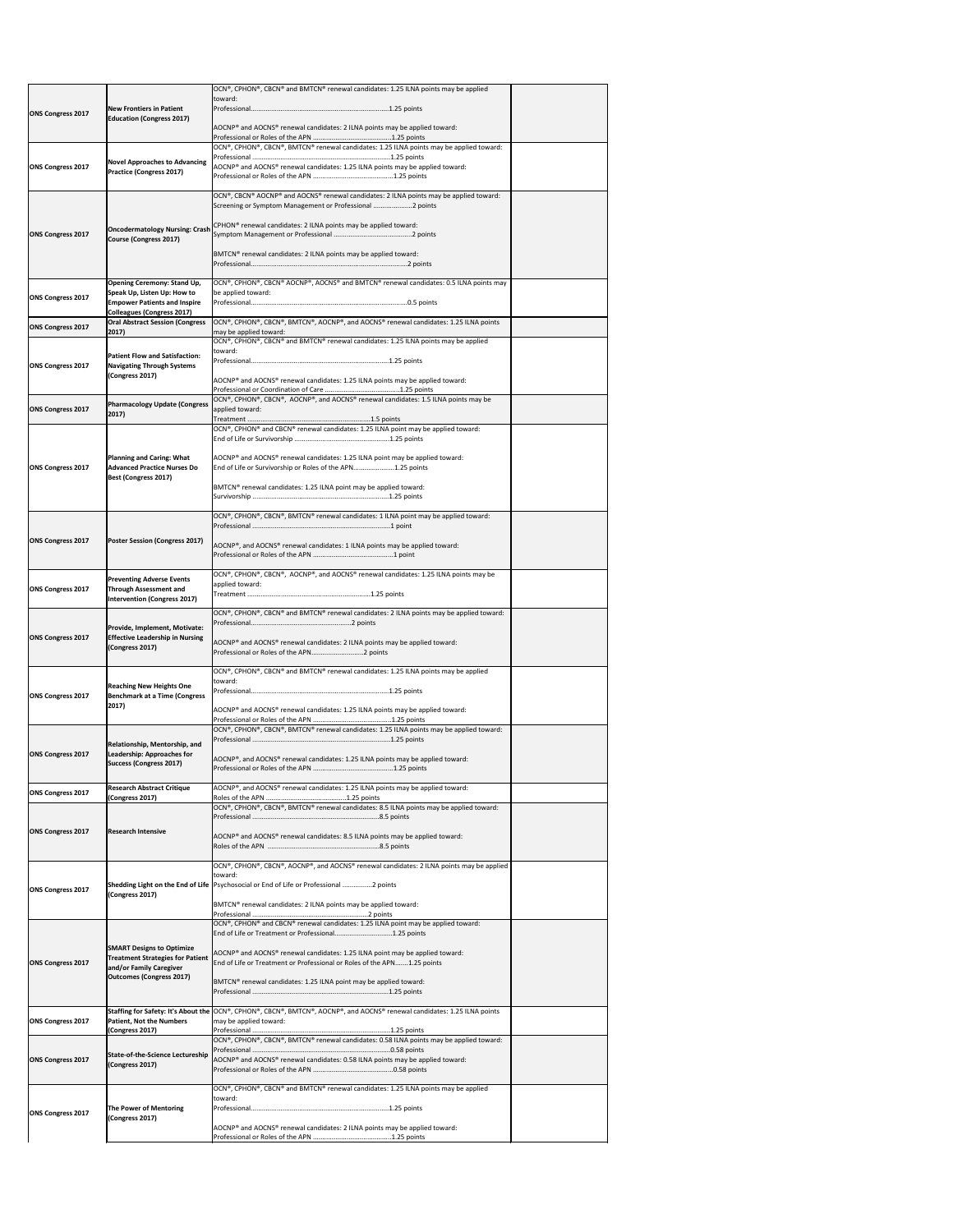| <b>ONS Congress 2017</b> | <b>New Frontiers in Patient</b><br><b>Education (Congress 2017)</b>                                                                           | OCN®, CPHON®, CBCN® and BMTCN® renewal candidates: 1.25 ILNA points may be applied<br>toward:                                                                                                      |  |
|--------------------------|-----------------------------------------------------------------------------------------------------------------------------------------------|----------------------------------------------------------------------------------------------------------------------------------------------------------------------------------------------------|--|
|                          |                                                                                                                                               |                                                                                                                                                                                                    |  |
|                          |                                                                                                                                               | $AOCNP^*$ and AOCNS® renewal candidates: 2 ILNA points may be applied toward:                                                                                                                      |  |
|                          |                                                                                                                                               | OCN®, CPHON®, CBCN®, BMTCN® renewal candidates: 1.25 ILNA points may be applied toward:                                                                                                            |  |
| <b>ONS Congress 2017</b> | <b>Novel Approaches to Advancing</b><br><b>Practice (Congress 2017)</b>                                                                       | AOCNP® and AOCNS® renewal candidates: 1.25 ILNA points may be applied toward:                                                                                                                      |  |
|                          |                                                                                                                                               | OCN®, CBCN® AOCNP® and AOCNS® renewal candidates: 2 ILNA points may be applied toward:<br>Screening or Symptom Management or Professional 2 points                                                 |  |
| <b>ONS Congress 2017</b> | <b>Oncodermatology Nursing: Crash</b><br><b>Course (Congress 2017)</b>                                                                        | CPHON® renewal candidates: 2 ILNA points may be applied toward:                                                                                                                                    |  |
|                          |                                                                                                                                               | BMTCN® renewal candidates: 2 ILNA points may be applied toward:                                                                                                                                    |  |
| <b>ONS Congress 2017</b> | <b>Opening Ceremony: Stand Up,</b><br>Speak Up, Listen Up: How to<br><b>Empower Patients and Inspire</b><br><b>Colleagues (Congress 2017)</b> | $\vert$ OCN®, CPHON®, CBCN® AOCNP®, AOCNS® and BMTCN® renewal candidates: 0.5 ILNA points may<br>be applied toward:                                                                                |  |
| <b>ONS Congress 2017</b> | <b>Oral Abstract Session (Congress</b><br>2017)                                                                                               | OCN®, CPHON®, CBCN®, BMTCN®, AOCNP®, and AOCNS® renewal candidates: 1.25 ILNA points<br>may be applied toward:                                                                                     |  |
|                          |                                                                                                                                               | OCN®, CPHON®, CBCN® and BMTCN® renewal candidates: 1.25 ILNA points may be applied<br>toward:                                                                                                      |  |
| <b>ONS Congress 2017</b> | <b>Patient Flow and Satisfaction:</b><br><b>Navigating Through Systems</b><br>(Congress 2017)                                                 | AOCNP® and AOCNS® renewal candidates: 1.25 ILNA points may be applied toward:                                                                                                                      |  |
|                          |                                                                                                                                               | OCN®, CPHON®, CBCN®, AOCNP®, and AOCNS® renewal candidates: 1.5 ILNA points may be                                                                                                                 |  |
| <b>ONS Congress 2017</b> | <b>Pharmacology Update (Congress</b><br>2017)                                                                                                 | applied toward:                                                                                                                                                                                    |  |
|                          |                                                                                                                                               | OCN®, CPHON® and CBCN® renewal candidates: 1.25 ILNA point may be applied toward:                                                                                                                  |  |
| <b>ONS Congress 2017</b> | Planning and Caring: What<br><b>Advanced Practice Nurses Do</b>                                                                               | AOCNP® and AOCNS® renewal candidates: 1.25 ILNA point may be applied toward:<br>End of Life or Survivorship or Roles of the APN1.25 points                                                         |  |
|                          | Best (Congress 2017)                                                                                                                          | BMTCN® renewal candidates: 1.25 ILNA point may be applied toward:                                                                                                                                  |  |
|                          |                                                                                                                                               |                                                                                                                                                                                                    |  |
|                          |                                                                                                                                               | OCN®, CPHON®, CBCN®, BMTCN® renewal candidates: 1 ILNA point may be applied toward:                                                                                                                |  |
| <b>ONS Congress 2017</b> | <b>Poster Session (Congress 2017)</b>                                                                                                         | AOCNP®, and AOCNS® renewal candidates: 1 ILNA points may be applied toward:                                                                                                                        |  |
| <b>ONS Congress 2017</b> | <b>Preventing Adverse Events</b><br><b>Through Assessment and</b><br><b>Intervention (Congress 2017)</b>                                      | OCN®, CPHON®, CBCN®, AOCNP®, and AOCNS® renewal candidates: 1.25 ILNA points may be<br>applied toward:                                                                                             |  |
|                          |                                                                                                                                               | OCN®, CPHON®, CBCN® and BMTCN® renewal candidates: 2 ILNA points may be applied toward:                                                                                                            |  |
| <b>ONS Congress 2017</b> | Provide, Implement, Motivate:<br><b>Effective Leadership in Nursing</b><br>(Congress 2017)                                                    | AOCNP® and AOCNS® renewal candidates: 2 ILNA points may be applied toward:<br>Professional or Roles of the APN2 points                                                                             |  |
|                          |                                                                                                                                               | $\vert$ OCN®, CPHON®, CBCN® and BMTCN® renewal candidates: 1.25 ILNA points may be applied                                                                                                         |  |
|                          | <b>Reaching New Heights One</b><br><b>Benchmark at a Time (Congress</b><br>2017)                                                              | toward:                                                                                                                                                                                            |  |
| <b>ONS Congress 2017</b> |                                                                                                                                               | $ AOCNP^* $ and $AOCNS^* $ renewal candidates: 1.25 ILNA points may be applied toward:                                                                                                             |  |
|                          |                                                                                                                                               | OCN®, CPHON®, CBCN®, BMTCN® renewal candidates: 1.25 ILNA points may be applied toward:                                                                                                            |  |
| <b>ONS Congress 2017</b> | Relationship, Mentorship, and<br>Leadership: Approaches for<br><b>Success (Congress 2017)</b>                                                 | AOCNP®, and AOCNS® renewal candidates: 1.25 ILNA points may be applied toward:                                                                                                                     |  |
| <b>ONS Congress 2017</b> | <b>Research Abstract Critique</b>                                                                                                             | AOCNP®, and AOCNS® renewal candidates: 1.25 ILNA points may be applied toward:                                                                                                                     |  |
|                          | (Congress 2017)                                                                                                                               | OCN®, CPHON®, CBCN®, BMTCN® renewal candidates: 8.5 ILNA points may be applied toward:                                                                                                             |  |
| <b>ONS Congress 2017</b> | <b>Research Intensive</b>                                                                                                                     | AOCNP® and AOCNS® renewal candidates: 8.5 ILNA points may be applied toward:                                                                                                                       |  |
|                          |                                                                                                                                               |                                                                                                                                                                                                    |  |
| <b>ONS Congress 2017</b> |                                                                                                                                               | $[OCN®, CPHON®, CBCN®, AOCNP®, and AOCNS® renewal candidates: 2 ILNA points may be applied$<br>toward:<br>Shedding Light on the End of Life   Psychosocial or End of Life or Professional 2 points |  |
|                          | (Congress 2017)                                                                                                                               | BMTCN® renewal candidates: 2 ILNA points may be applied toward:                                                                                                                                    |  |
|                          |                                                                                                                                               | OCN®, CPHON® and CBCN® renewal candidates: 1.25 ILNA point may be applied toward:                                                                                                                  |  |
|                          | <b>SMART Designs to Optimize</b>                                                                                                              | End of Life or Treatment or Professional1.25 points                                                                                                                                                |  |
| <b>ONS Congress 2017</b> | <b>Treatment Strategies for Patient</b><br>and/or Family Caregiver                                                                            | AOCNP® and AOCNS® renewal candidates: 1.25 ILNA point may be applied toward:<br>End of Life or Treatment or Professional or Roles of the APN1.25 points                                            |  |
|                          | <b>Outcomes (Congress 2017)</b>                                                                                                               | BMTCN® renewal candidates: 1.25 ILNA point may be applied toward:                                                                                                                                  |  |
| <b>ONS Congress 2017</b> | <b>Patient, Not the Numbers</b>                                                                                                               | Staffing for Safety: It's About the OCN®, CPHON®, CBCN®, BMTCN®, AOCNP®, and AOCNS® renewal candidates: 1.25 ILNA points<br>may be applied toward:                                                 |  |
|                          | (Congress 2017)                                                                                                                               | OCN®, CPHON®, CBCN®, BMTCN® renewal candidates: 0.58 ILNA points may be applied toward:                                                                                                            |  |
| <b>ONS Congress 2017</b> | State-of-the-Science Lectureship<br>(Congress 2017)                                                                                           | AOCNP® and AOCNS® renewal candidates: 0.58 ILNA points may be applied toward:                                                                                                                      |  |
|                          |                                                                                                                                               | $\vert$ OCN®, CPHON®, CBCN® and BMTCN® renewal candidates: 1.25 ILNA points may be applied                                                                                                         |  |
| ONS Congress 2017        | The Power of Mentoring<br>(Congress 2017)                                                                                                     | toward:                                                                                                                                                                                            |  |
|                          |                                                                                                                                               | AOCNP® and AOCNS® renewal candidates: 2 ILNA points may be applied toward:                                                                                                                         |  |
|                          |                                                                                                                                               |                                                                                                                                                                                                    |  |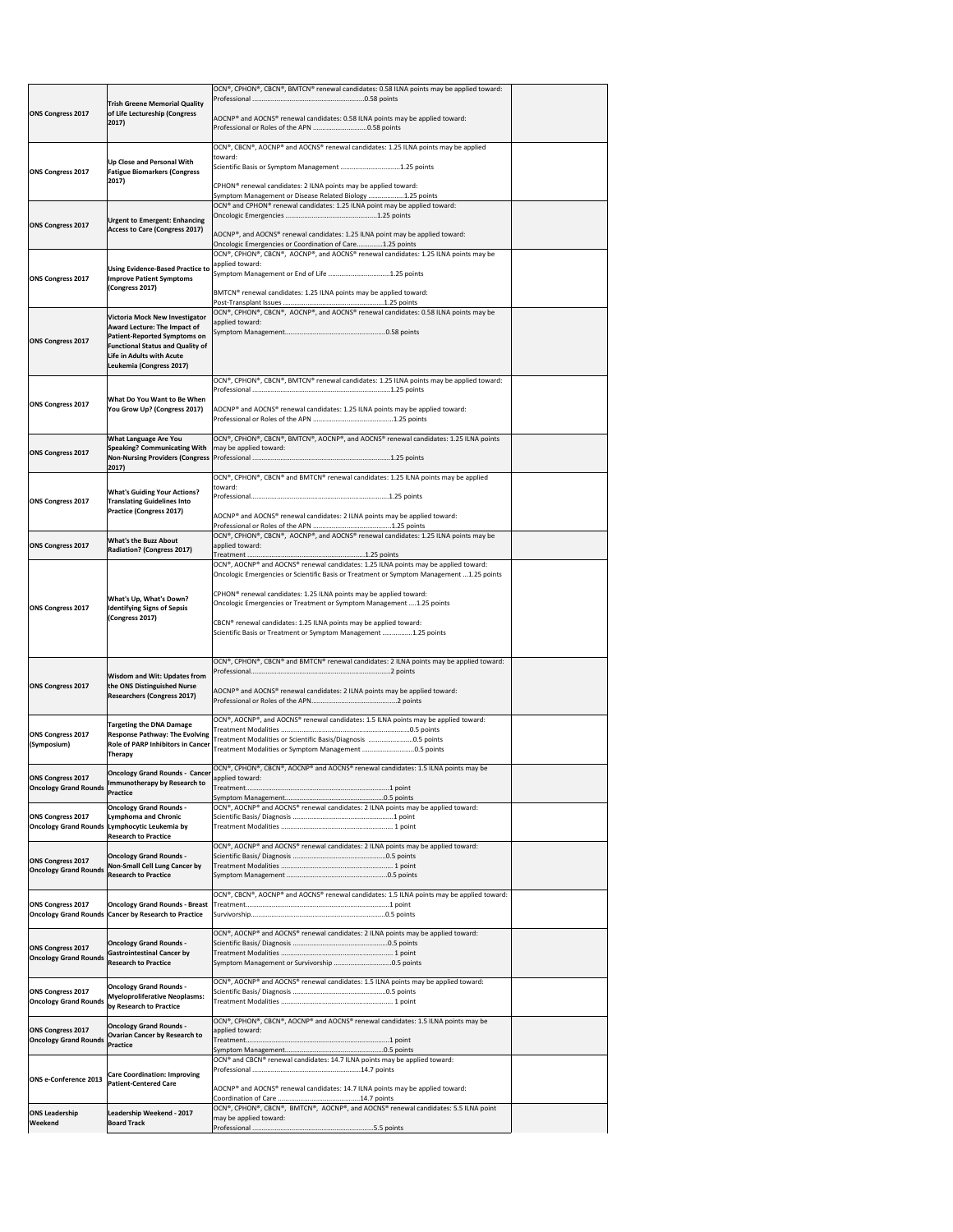|                                                          |                                                                                   | OCN®, CPHON®, CBCN®, BMTCN® renewal candidates: 0.58 ILNA points may be applied toward:                                                         |  |
|----------------------------------------------------------|-----------------------------------------------------------------------------------|-------------------------------------------------------------------------------------------------------------------------------------------------|--|
|                                                          | <b>Trish Greene Memorial Quality</b>                                              |                                                                                                                                                 |  |
| <b>ONS Congress 2017</b>                                 | of Life Lectureship (Congress                                                     | AOCNP® and AOCNS® renewal candidates: 0.58 ILNA points may be applied toward:                                                                   |  |
|                                                          | 2017)                                                                             |                                                                                                                                                 |  |
|                                                          |                                                                                   |                                                                                                                                                 |  |
|                                                          |                                                                                   | $\overline{OCN^{\circ}}$ , CBCN°, AOCNP® and AOCNS® renewal candidates: 1.25 ILNA points may be applied                                         |  |
|                                                          | Up Close and Personal With                                                        | toward:<br>Scientific Basis or Symptom Management 1.25 points                                                                                   |  |
| <b>ONS Congress 2017</b>                                 | <b>Fatigue Biomarkers (Congress</b>                                               |                                                                                                                                                 |  |
|                                                          | 2017)                                                                             | CPHON <sup>®</sup> renewal candidates: 2 ILNA points may be applied toward:                                                                     |  |
|                                                          |                                                                                   | Symptom Management or Disease Related Biology 1.25 points<br>OCN® and CPHON® renewal candidates: 1.25 ILNA point may be applied toward:         |  |
|                                                          |                                                                                   |                                                                                                                                                 |  |
| <b>ONS Congress 2017</b>                                 | <b>Urgent to Emergent: Enhancing</b><br><b>Access to Care (Congress 2017)</b>     |                                                                                                                                                 |  |
|                                                          |                                                                                   | AOCNP®, and AOCNS® renewal candidates: 1.25 ILNA point may be applied toward:                                                                   |  |
|                                                          |                                                                                   | Oncologic Emergencies or Coordination of Care1.25 points<br>OCN®, CPHON®, CBCN®, AOCNP®, and AOCNS® renewal candidates: 1.25 ILNA points may be |  |
|                                                          | <b>Using Evidence-Based Practice to</b>                                           | applied toward:                                                                                                                                 |  |
| <b>ONS Congress 2017</b>                                 | <b>Improve Patient Symptoms</b>                                                   | Symptom Management or End of Life 1.25 points                                                                                                   |  |
|                                                          | (Congress 2017)                                                                   | BMTCN® renewal candidates: 1.25 ILNA points may be applied toward:                                                                              |  |
|                                                          |                                                                                   |                                                                                                                                                 |  |
|                                                          | <b>Victoria Mock New Investigator</b>                                             | OCN®, CPHON®, CBCN®, AOCNP®, and AOCNS® renewal candidates: 0.58 ILNA points may be                                                             |  |
|                                                          | <b>Award Lecture: The Impact of</b>                                               | applied toward:                                                                                                                                 |  |
| <b>ONS Congress 2017</b>                                 | <b>Patient-Reported Symptoms on</b>                                               |                                                                                                                                                 |  |
|                                                          | <b>Functional Status and Quality of</b><br>Life in Adults with Acute              |                                                                                                                                                 |  |
|                                                          | Leukemia (Congress 2017)                                                          |                                                                                                                                                 |  |
|                                                          |                                                                                   | OCN®, CPHON®, CBCN®, BMTCN® renewal candidates: 1.25 ILNA points may be applied toward:                                                         |  |
|                                                          |                                                                                   |                                                                                                                                                 |  |
| <b>ONS Congress 2017</b>                                 | What Do You Want to Be When                                                       |                                                                                                                                                 |  |
|                                                          | You Grow Up? (Congress 2017)                                                      | AOCNP® and AOCNS® renewal candidates: 1.25 ILNA points may be applied toward:                                                                   |  |
|                                                          |                                                                                   |                                                                                                                                                 |  |
|                                                          | <b>What Language Are You</b>                                                      | OCN®, CPHON®, CBCN®, BMTCN®, AOCNP®, and AOCNS® renewal candidates: 1.25 ILNA points                                                            |  |
| <b>ONS Congress 2017</b>                                 | <b>Speaking? Communicating With</b>                                               | may be applied toward:                                                                                                                          |  |
|                                                          | 2017)                                                                             |                                                                                                                                                 |  |
|                                                          |                                                                                   | OCN®, CPHON®, CBCN® and BMTCN® renewal candidates: 1.25 ILNA points may be applied                                                              |  |
|                                                          | <b>What's Guiding Your Actions?</b>                                               | toward:                                                                                                                                         |  |
| <b>ONS Congress 2017</b>                                 | <b>Translating Guidelines Into</b>                                                |                                                                                                                                                 |  |
|                                                          | <b>Practice (Congress 2017)</b>                                                   | AOCNP® and AOCNS® renewal candidates: 2 ILNA points may be applied toward:                                                                      |  |
|                                                          |                                                                                   |                                                                                                                                                 |  |
|                                                          | <b>What's the Buzz About</b>                                                      | OCN®, CPHON®, CBCN®, AOCNP®, and AOCNS® renewal candidates: 1.25 ILNA points may be                                                             |  |
| <b>ONS Congress 2017</b>                                 | <b>Radiation? (Congress 2017)</b>                                                 | applied toward:                                                                                                                                 |  |
|                                                          |                                                                                   | OCN®, AOCNP® and AOCNS® renewal candidates: 1.25 ILNA points may be applied toward:                                                             |  |
|                                                          |                                                                                   | Oncologic Emergencies or Scientific Basis or Treatment or Symptom Management 1.25 points                                                        |  |
|                                                          |                                                                                   | CPHON <sup>®</sup> renewal candidates: 1.25 ILNA points may be applied toward:                                                                  |  |
|                                                          | <b>What's Up, What's Down?</b>                                                    | Oncologic Emergencies or Treatment or Symptom Management  1.25 points                                                                           |  |
| <b>ONS Congress 2017</b>                                 | <b>Identifying Signs of Sepsis</b><br>(Congress 2017)                             |                                                                                                                                                 |  |
|                                                          |                                                                                   | CBCN® renewal candidates: 1.25 ILNA points may be applied toward:                                                                               |  |
|                                                          |                                                                                   | Scientific Basis or Treatment or Symptom Management 1.25 points                                                                                 |  |
|                                                          |                                                                                   |                                                                                                                                                 |  |
|                                                          |                                                                                   | $[OCN®, CPHON®, CBCN® and BMTCN® renewal candidates: 2 ILNA points may be applied toward:$                                                      |  |
|                                                          | <b>Wisdom and Wit: Updates from</b>                                               |                                                                                                                                                 |  |
| <b>ONS Congress 2017</b>                                 | the ONS Distinguished Nurse                                                       | AOCNP® and AOCNS® renewal candidates: 2 ILNA points may be applied toward:                                                                      |  |
|                                                          | <b>Researchers (Congress 2017)</b>                                                |                                                                                                                                                 |  |
|                                                          |                                                                                   | OCN®, AOCNP®, and AOCNS® renewal candidates: 1.5 ILNA points may be applied toward:                                                             |  |
|                                                          | <b>Targeting the DNA Damage</b>                                                   |                                                                                                                                                 |  |
| <b>ONS Congress 2017</b><br>(Symposium)                  | <b>Response Pathway: The Evolving</b><br><b>Role of PARP Inhibitors in Cancer</b> | Treatment Modalities or Scientific Basis/Diagnosis 0.5 points                                                                                   |  |
|                                                          | <b>Therapy</b>                                                                    | Treatment Modalities or Symptom Management 0.5 points                                                                                           |  |
|                                                          |                                                                                   | OCN®, CPHON®, CBCN®, AOCNP® and AOCNS® renewal candidates: 1.5 ILNA points may be                                                               |  |
| <b>ONS Congress 2017</b>                                 | <b>Oncology Grand Rounds - Cancer</b><br>Immunotherapy by Research to             | applied toward:                                                                                                                                 |  |
| <b>Oncology Grand Rounds</b>                             | <b>Practice</b>                                                                   |                                                                                                                                                 |  |
|                                                          | <b>Oncology Grand Rounds -</b>                                                    | OCN®, AOCNP® and AOCNS® renewal candidates: 2 ILNA points may be applied toward:                                                                |  |
| <b>ONS Congress 2017</b>                                 | <b>Lymphoma and Chronic</b>                                                       |                                                                                                                                                 |  |
| <b>Oncology Grand Rounds</b>                             | Lymphocytic Leukemia by                                                           |                                                                                                                                                 |  |
|                                                          | <b>Research to Practice</b>                                                       | OCN®, AOCNP® and AOCNS® renewal candidates: 2 ILNA points may be applied toward:                                                                |  |
|                                                          | <b>Oncology Grand Rounds -</b>                                                    |                                                                                                                                                 |  |
| <b>ONS Congress 2017</b><br><b>Oncology Grand Rounds</b> | <b>Non-Small Cell Lung Cancer by</b>                                              |                                                                                                                                                 |  |
|                                                          | <b>Research to Practice</b>                                                       |                                                                                                                                                 |  |
|                                                          |                                                                                   | OCN®, CBCN®, AOCNP® and AOCNS® renewal candidates: 1.5 ILNA points may be applied toward:                                                       |  |
| <b>ONS Congress 2017</b>                                 | <b>Oncology Grand Rounds - Breast</b>                                             |                                                                                                                                                 |  |
| <b>Oncology Grand Rounds</b>                             | <b>Cancer by Research to Practice</b>                                             |                                                                                                                                                 |  |
|                                                          |                                                                                   | OCN®, AOCNP® and AOCNS® renewal candidates: 2 ILNA points may be applied toward:                                                                |  |
| <b>ONS Congress 2017</b>                                 | <b>Oncology Grand Rounds -</b>                                                    |                                                                                                                                                 |  |
| <b>Oncology Grand Rounds</b>                             | <b>Gastrointestinal Cancer by</b>                                                 |                                                                                                                                                 |  |
|                                                          | <b>Research to Practice</b>                                                       | Symptom Management or Survivorship 0.5 points                                                                                                   |  |
|                                                          |                                                                                   | OCN®, AOCNP® and AOCNS® renewal candidates: 1.5 ILNA points may be applied toward:                                                              |  |
| <b>ONS Congress 2017</b>                                 | <b>Oncology Grand Rounds -</b><br><b>Myeloproliferative Neoplasms:</b>            |                                                                                                                                                 |  |
| <b>Oncology Grand Rounds</b>                             | by Research to Practice                                                           |                                                                                                                                                 |  |
|                                                          |                                                                                   | OCN®, CPHON®, CBCN®, AOCNP® and AOCNS® renewal candidates: 1.5 ILNA points may be                                                               |  |
| <b>ONS Congress 2017</b>                                 | <b>Oncology Grand Rounds -</b><br><b>Ovarian Cancer by Research to</b>            | applied toward:                                                                                                                                 |  |
| <b>Oncology Grand Rounds</b>                             | <b>Practice</b>                                                                   |                                                                                                                                                 |  |
|                                                          |                                                                                   | OCN® and CBCN® renewal candidates: 14.7 ILNA points may be applied toward:                                                                      |  |
|                                                          |                                                                                   |                                                                                                                                                 |  |
| <b>ONS e-Conference 2013</b>                             | <b>Care Coordination: Improving</b><br><b>Patient-Centered Care</b>               |                                                                                                                                                 |  |
|                                                          |                                                                                   | AOCNP® and AOCNS® renewal candidates: 14.7 ILNA points may be applied toward:                                                                   |  |
|                                                          |                                                                                   | OCN®, CPHON®, CBCN®, BMTCN®, AOCNP®, and AOCNS® renewal candidates: 5.5 ILNA point                                                              |  |
| <b>ONS Leadership</b>                                    | Leadership Weekend - 2017                                                         | may be applied toward:                                                                                                                          |  |
| Weekend                                                  | <b>Board Track</b>                                                                |                                                                                                                                                 |  |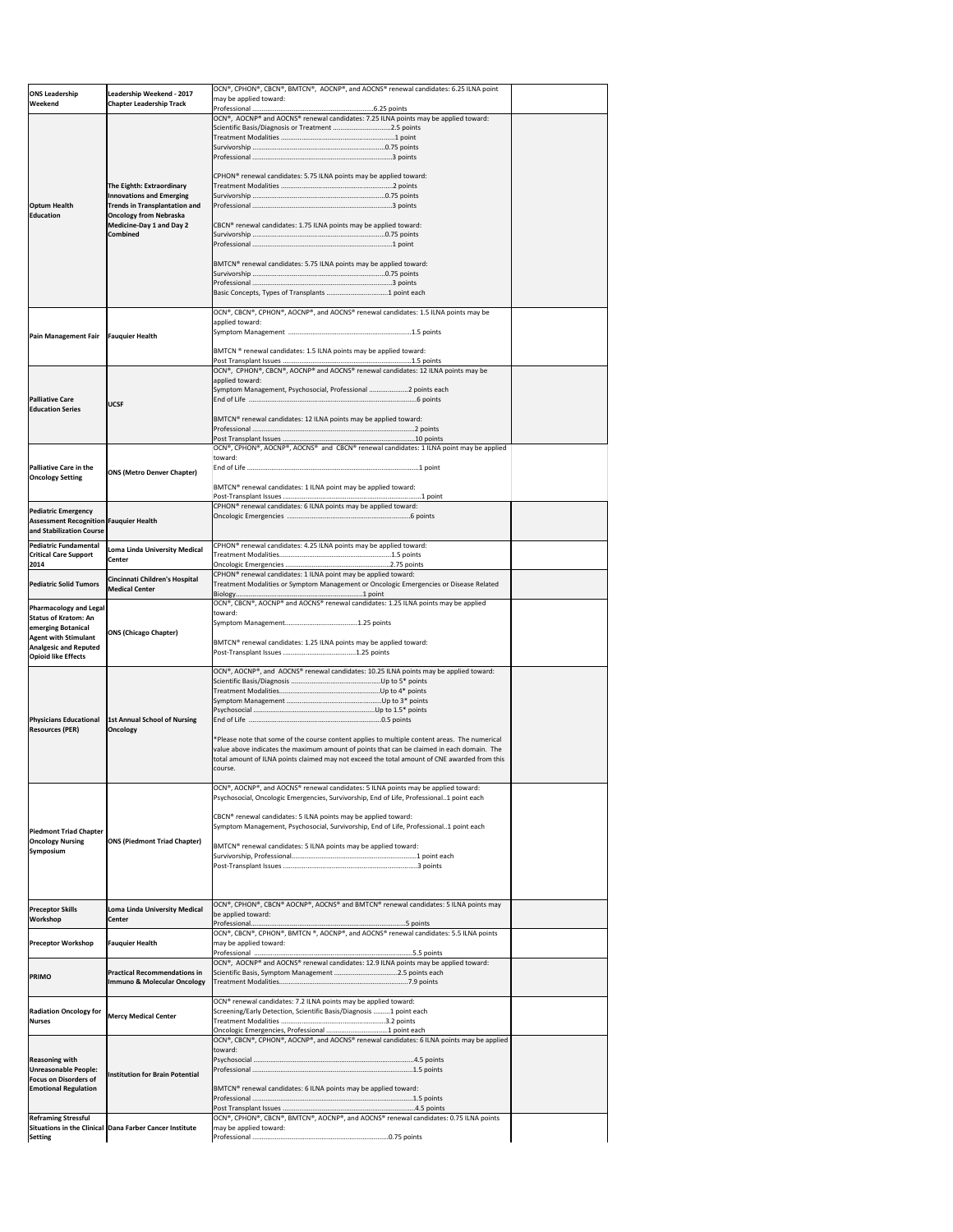| <b>ONS Leadership</b><br><b>Weekend</b>                                   | Leadership Weekend - 2017<br><b>Chapter Leadership Track</b>            | OCN®, CPHON®, CBCN®, BMTCN®, AOCNP®, and AOCNS® renewal candidates: 6.25 ILNA point<br>may be applied toward:                                                                               |  |
|---------------------------------------------------------------------------|-------------------------------------------------------------------------|---------------------------------------------------------------------------------------------------------------------------------------------------------------------------------------------|--|
|                                                                           |                                                                         | OCN®, AOCNP® and AOCNS® renewal candidates: 7.25 ILNA points may be applied toward:                                                                                                         |  |
|                                                                           |                                                                         | Scientific Basis/Diagnosis or Treatment 2.5 points                                                                                                                                          |  |
|                                                                           |                                                                         |                                                                                                                                                                                             |  |
|                                                                           |                                                                         |                                                                                                                                                                                             |  |
|                                                                           | The Eighth: Extraordinary                                               | CPHON® renewal candidates: 5.75 ILNA points may be applied toward:                                                                                                                          |  |
| <b>Optum Health</b>                                                       | <b>Innovations and Emerging</b><br><b>Trends in Transplantation and</b> |                                                                                                                                                                                             |  |
| <b>Education</b>                                                          | <b>Oncology from Nebraska</b><br>Medicine-Day 1 and Day 2               | CBCN® renewal candidates: 1.75 ILNA points may be applied toward:                                                                                                                           |  |
|                                                                           | <b>Combined</b>                                                         |                                                                                                                                                                                             |  |
|                                                                           |                                                                         | BMTCN <sup>®</sup> renewal candidates: 5.75 ILNA points may be applied toward:                                                                                                              |  |
|                                                                           |                                                                         |                                                                                                                                                                                             |  |
|                                                                           |                                                                         |                                                                                                                                                                                             |  |
|                                                                           |                                                                         | OCN®, CBCN®, CPHON®, AOCNP®, and AOCNS® renewal candidates: 1.5 ILNA points may be                                                                                                          |  |
| <b>Pain Management Fair</b>                                               | <b>Fauquier Health</b>                                                  | applied toward:                                                                                                                                                                             |  |
|                                                                           |                                                                         | BMTCN ® renewal candidates: 1.5 ILNA points may be applied toward:                                                                                                                          |  |
|                                                                           |                                                                         | OCN®, CPHON®, CBCN®, AOCNP® and AOCNS® renewal candidates: 12 ILNA points may be                                                                                                            |  |
|                                                                           |                                                                         | applied toward:<br>Symptom Management, Psychosocial, Professional 2 points each                                                                                                             |  |
| <b>Palliative Care</b><br><b>Education Series</b>                         | <b>UCSF</b>                                                             |                                                                                                                                                                                             |  |
|                                                                           |                                                                         | BMTCN® renewal candidates: 12 ILNA points may be applied toward:                                                                                                                            |  |
|                                                                           |                                                                         | OCN®, CPHON®, AOCNP®, AOCNS® and CBCN® renewal candidates: 1 ILNA point may be applied                                                                                                      |  |
| <b>Palliative Care in the</b>                                             | <b>ONS (Metro Denver Chapter)</b>                                       | toward:                                                                                                                                                                                     |  |
| <b>Oncology Setting</b>                                                   |                                                                         | BMTCN <sup>®</sup> renewal candidates: 1 ILNA point may be applied toward:                                                                                                                  |  |
| <b>Pediatric Emergency</b>                                                |                                                                         | CPHON® renewal candidates: 6 ILNA points may be applied toward:                                                                                                                             |  |
| <b>Assessment Recognition Fauquier Health</b><br>and Stabilization Course |                                                                         |                                                                                                                                                                                             |  |
| <b>Pediatric Fundamental</b><br><b>Critical Care Support</b><br>2014      | Loma Linda University Medical<br><b>Center</b>                          | CPHON <sup>®</sup> renewal candidates: 4.25 ILNA points may be applied toward:                                                                                                              |  |
| <b>Pediatric Solid Tumors</b>                                             | Cincinnati Children's Hospital<br><b>Medical Center</b>                 | CPHON <sup>®</sup> renewal candidates: 1 ILNA point may be applied toward:<br>Treatment Modalities or Symptom Management or Oncologic Emergencies or Disease Related                        |  |
| <b>Pharmacology and Legal</b><br><b>Status of Kratom: An</b>              |                                                                         | OCN®, CBCN®, AOCNP® and AOCNS® renewal candidates: 1.25 ILNA points may be applied<br>toward:                                                                                               |  |
| emerging Botanical<br><b>Agent with Stimulant</b>                         | <b>ONS (Chicago Chapter)</b>                                            |                                                                                                                                                                                             |  |
| <b>Analgesic and Reputed</b><br><b>Opioid like Effects</b>                |                                                                         | BMTCN® renewal candidates: 1.25 ILNA points may be applied toward:                                                                                                                          |  |
|                                                                           |                                                                         | $\overline{OCN^{\circ}}$ , AOCNP <sup>®</sup> , and AOCNS <sup>®</sup> renewal candidates: 10.25 ILNA points may be applied toward:                                                         |  |
|                                                                           |                                                                         |                                                                                                                                                                                             |  |
|                                                                           |                                                                         |                                                                                                                                                                                             |  |
| <b>Physicians Educational</b><br><b>Resources (PER)</b>                   | <b>1st Annual School of Nursing</b><br>Oncology                         |                                                                                                                                                                                             |  |
|                                                                           |                                                                         | *Please note that some of the course content applies to multiple content areas. The numerical<br>value above indicates the maximum amount of points that can be claimed in each domain. The |  |
|                                                                           |                                                                         | total amount of ILNA points claimed may not exceed the total amount of CNE awarded from this<br>course.                                                                                     |  |
|                                                                           |                                                                         | OCN®, AOCNP®, and AOCNS® renewal candidates: 5 ILNA points may be applied toward:                                                                                                           |  |
|                                                                           |                                                                         | Psychosocial, Oncologic Emergencies, Survivorship, End of Life, Professional1 point each                                                                                                    |  |
| <b>Piedmont Triad Chapter</b>                                             | <b>ONS (Piedmont Triad Chapter)</b>                                     | CBCN® renewal candidates: 5 ILNA points may be applied toward:<br>Symptom Management, Psychosocial, Survivorship, End of Life, Professional1 point each                                     |  |
| <b>Oncology Nursing</b><br><b>Symposium</b>                               |                                                                         | BMTCN® renewal candidates: 5 ILNA points may be applied toward:                                                                                                                             |  |
|                                                                           |                                                                         |                                                                                                                                                                                             |  |
|                                                                           |                                                                         |                                                                                                                                                                                             |  |
| <b>Preceptor Skills</b>                                                   | Loma Linda University Medical                                           | OCN®, CPHON®, CBCN® AOCNP®, AOCNS® and BMTCN® renewal candidates: 5 ILNA points may<br>be applied toward:                                                                                   |  |
| <b>Workshop</b>                                                           | <b>Center</b>                                                           | OCN®, CBCN®, CPHON®, BMTCN ®, AOCNP®, and AOCNS® renewal candidates: 5.5 ILNA points                                                                                                        |  |
| <b>Preceptor Workshop</b>                                                 | <b>Fauquier Health</b>                                                  | may be applied toward:                                                                                                                                                                      |  |
|                                                                           | <b>Practical Recommendations in</b>                                     | $\overline{OCN^{\circ}}$ , AOCNP® and AOCNS® renewal candidates: 12.9 ILNA points may be applied toward:                                                                                    |  |
| <b>PRIMO</b>                                                              | Immuno & Molecular Oncology                                             |                                                                                                                                                                                             |  |
| <b>Radiation Oncology for</b>                                             | <b>Mercy Medical Center</b>                                             | OCN® renewal candidates: 7.2 ILNA points may be applied toward:<br>Screening/Early Detection, Scientific Basis/Diagnosis 1 point each                                                       |  |
| <b>Nurses</b>                                                             |                                                                         |                                                                                                                                                                                             |  |
|                                                                           |                                                                         | OCN®, CBCN®, CPHON®, AOCNP®, and AOCNS® renewal candidates: 6 ILNA points may be applied<br>toward:                                                                                         |  |
| <b>Reasoning with</b><br><b>Unreasonable People:</b>                      |                                                                         |                                                                                                                                                                                             |  |
| <b>Focus on Disorders of</b><br><b>Emotional Regulation</b>               | Institution for Brain Potential                                         | BMTCN® renewal candidates: 6 ILNA points may be applied toward:                                                                                                                             |  |
|                                                                           |                                                                         |                                                                                                                                                                                             |  |
| <b>Reframing Stressful</b>                                                | Situations in the Clinical Dana Farber Cancer Institute                 | OCN®, CPHON®, CBCN®, BMTCN®, AOCNP®, and AOCNS® renewal candidates: 0.75 ILNA points<br>may be applied toward:                                                                              |  |
| Setting                                                                   |                                                                         |                                                                                                                                                                                             |  |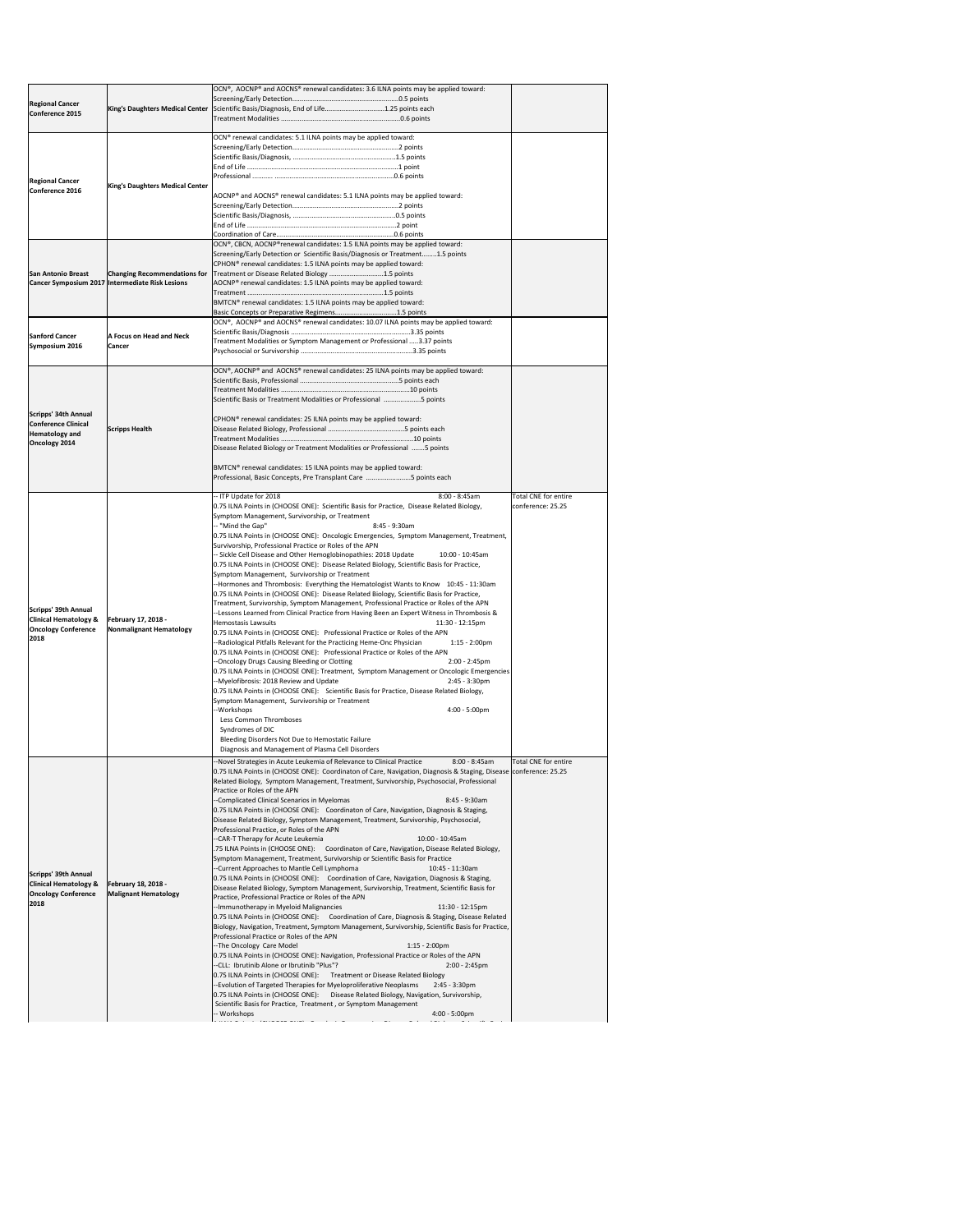|                                           |                                                 | OCN®, AOCNP® and AOCNS® renewal candidates: 3.6 ILNA points may be applied toward:                                                                                                                            |                             |
|-------------------------------------------|-------------------------------------------------|---------------------------------------------------------------------------------------------------------------------------------------------------------------------------------------------------------------|-----------------------------|
| <b>Regional Cancer</b>                    |                                                 |                                                                                                                                                                                                               |                             |
| Conference 2015                           |                                                 | King's Daughters Medical Center Scientific Basis/Diagnosis, End of Life1.25 points each                                                                                                                       |                             |
|                                           |                                                 |                                                                                                                                                                                                               |                             |
|                                           |                                                 |                                                                                                                                                                                                               |                             |
|                                           |                                                 | OCN <sup>®</sup> renewal candidates: 5.1 ILNA points may be applied toward:                                                                                                                                   |                             |
|                                           |                                                 |                                                                                                                                                                                                               |                             |
|                                           |                                                 |                                                                                                                                                                                                               |                             |
|                                           |                                                 |                                                                                                                                                                                                               |                             |
| <b>Regional Cancer</b><br>Conference 2016 | <b>King's Daughters Medical Center</b>          |                                                                                                                                                                                                               |                             |
|                                           |                                                 | AOCNP® and AOCNS® renewal candidates: 5.1 ILNA points may be applied toward:                                                                                                                                  |                             |
|                                           |                                                 |                                                                                                                                                                                                               |                             |
|                                           |                                                 |                                                                                                                                                                                                               |                             |
|                                           |                                                 |                                                                                                                                                                                                               |                             |
|                                           |                                                 | OCN®, CBCN, AOCNP®renewal candidates: 1.5 ILNA points may be applied toward:                                                                                                                                  |                             |
|                                           |                                                 | Screening/Early Detection or Scientific Basis/Diagnosis or Treatment1.5 points                                                                                                                                |                             |
|                                           |                                                 | CPHON <sup>®</sup> renewal candidates: 1.5 ILNA points may be applied toward:                                                                                                                                 |                             |
| <b>San Antonio Breast</b>                 | <b>Changing Recommendations for</b>             | Treatment or Disease Related Biology 1.5 points                                                                                                                                                               |                             |
|                                           | Cancer Symposium 2017 Intermediate Risk Lesions | AOCNP® renewal candidates: 1.5 ILNA points may be applied toward:                                                                                                                                             |                             |
|                                           |                                                 |                                                                                                                                                                                                               |                             |
|                                           |                                                 | BMTCN <sup>®</sup> renewal candidates: 1.5 ILNA points may be applied toward:                                                                                                                                 |                             |
|                                           |                                                 | Basic Concepts or Preparative Regimens1.5 points                                                                                                                                                              |                             |
|                                           |                                                 | OCN®, AOCNP® and AOCNS® renewal candidates: 10.07 ILNA points may be applied toward:                                                                                                                          |                             |
| <b>Sanford Cancer</b>                     | A Focus on Head and Neck                        |                                                                                                                                                                                                               |                             |
| Symposium 2016                            | <b>Cancer</b>                                   | Treatment Modalities or Symptom Management or Professional 3.37 points                                                                                                                                        |                             |
|                                           |                                                 |                                                                                                                                                                                                               |                             |
|                                           |                                                 | <b>OCN®</b> , AOCNP® and AOCNS® renewal candidates: 25 ILNA points may be applied toward:                                                                                                                     |                             |
|                                           |                                                 |                                                                                                                                                                                                               |                             |
|                                           |                                                 |                                                                                                                                                                                                               |                             |
|                                           |                                                 | Scientific Basis or Treatment Modalities or Professional 5 points                                                                                                                                             |                             |
| Scripps' 34th Annual                      |                                                 |                                                                                                                                                                                                               |                             |
| <b>Conference Clinical</b>                |                                                 | CPHON <sup>®</sup> renewal candidates: 25 ILNA points may be applied toward:                                                                                                                                  |                             |
| Hematology and                            | <b>Scripps Health</b>                           |                                                                                                                                                                                                               |                             |
| Oncology 2014                             |                                                 |                                                                                                                                                                                                               |                             |
|                                           |                                                 | Disease Related Biology or Treatment Modalities or Professional 5 points                                                                                                                                      |                             |
|                                           |                                                 | BMTCN <sup>®</sup> renewal candidates: 15 ILNA points may be applied toward:                                                                                                                                  |                             |
|                                           |                                                 | Professional, Basic Concepts, Pre Transplant Care 5 points each                                                                                                                                               |                             |
|                                           |                                                 |                                                                                                                                                                                                               |                             |
|                                           |                                                 | -- ITP Update for 2018<br>$8:00 - 8:45am$                                                                                                                                                                     | <b>Total CNE for entire</b> |
|                                           |                                                 | 0.75 ILNA Points in (CHOOSE ONE): Scientific Basis for Practice, Disease Related Biology,                                                                                                                     | conference: 25.25           |
|                                           |                                                 | Symptom Management, Survivorship, or Treatment                                                                                                                                                                |                             |
|                                           |                                                 | -- "Mind the Gap"<br>8:45 - 9:30am                                                                                                                                                                            |                             |
|                                           |                                                 | 0.75 ILNA Points in (CHOOSE ONE): Oncologic Emergencies, Symptom Management, Treatment,                                                                                                                       |                             |
|                                           |                                                 | Survivorship, Professional Practice or Roles of the APN                                                                                                                                                       |                             |
|                                           |                                                 | -- Sickle Cell Disease and Other Hemoglobinopathies: 2018 Update<br>10:00 - 10:45am                                                                                                                           |                             |
|                                           |                                                 | 0.75 ILNA Points in (CHOOSE ONE): Disease Related Biology, Scientific Basis for Practice,<br>Symptom Management, Survivorship or Treatment                                                                    |                             |
|                                           |                                                 | -Hormones and Thrombosis: Everything the Hematologist Wants to Know 10:45 - 11:30am                                                                                                                           |                             |
|                                           |                                                 | [0.75 ILNA Points in (CHOOSE ONE): Disease Related Biology, Scientific Basis for Practice,                                                                                                                    |                             |
|                                           |                                                 | Treatment, Survivorship, Symptom Management, Professional Practice or Roles of the APN                                                                                                                        |                             |
| Scripps' 39th Annual                      |                                                 | --Lessons Learned from Clinical Practice from Having Been an Expert Witness in Thrombosis &                                                                                                                   |                             |
| <b>Clinical Hematology &amp;</b>          | <b>February 17, 2018 -</b>                      | <b>Hemostasis Lawsuits</b><br>11:30 - 12:15pm                                                                                                                                                                 |                             |
| <b>Oncology Conference</b><br>2018        | Nonmalignant Hematology                         | 0.75 ILNA Points in (CHOOSE ONE): Professional Practice or Roles of the APN                                                                                                                                   |                             |
|                                           |                                                 | -Radiological Pitfalls Relevant for the Practicing Heme-Onc Physician<br>$1:15 - 2:00$ pm                                                                                                                     |                             |
|                                           |                                                 | 0.75 ILNA Points in (CHOOSE ONE): Professional Practice or Roles of the APN                                                                                                                                   |                             |
|                                           |                                                 | --Oncology Drugs Causing Bleeding or Clotting<br>$2:00 - 2:45$ pm                                                                                                                                             |                             |
|                                           |                                                 | 0.75 ILNA Points in (CHOOSE ONE): Treatment, Symptom Management or Oncologic Emergencies<br>--Myelofibrosis: 2018 Review and Update<br>$2:45 - 3:30$ pm                                                       |                             |
|                                           |                                                 | [0.75 ILNA Points in (CHOOSE ONE): Scientific Basis for Practice, Disease Related Biology,                                                                                                                    |                             |
|                                           |                                                 | Symptom Management, Survivorship or Treatment                                                                                                                                                                 |                             |
|                                           |                                                 | -Workshops<br>$4:00 - 5:00 \text{pm}$                                                                                                                                                                         |                             |
|                                           |                                                 | Less Common Thromboses                                                                                                                                                                                        |                             |
|                                           |                                                 | Syndromes of DIC                                                                                                                                                                                              |                             |
|                                           |                                                 | Bleeding Disorders Not Due to Hemostatic Failure                                                                                                                                                              |                             |
|                                           |                                                 | Diagnosis and Management of Plasma Cell Disorders                                                                                                                                                             |                             |
|                                           |                                                 | -Novel Strategies in Acute Leukemia of Relevance to Clinical Practice<br>$8:00 - 8:45am$                                                                                                                      | <b>Total CNE for entire</b> |
|                                           |                                                 | 0.75 ILNA Points in (CHOOSE ONE): Coordinaton of Care, Navigation, Diagnosis & Staging, Disease conference: 25.25<br>Related Biology, Symptom Management, Treatment, Survivorship, Psychosocial, Professional |                             |
|                                           |                                                 |                                                                                                                                                                                                               |                             |
|                                           |                                                 |                                                                                                                                                                                                               |                             |
|                                           |                                                 | Practice or Roles of the APN                                                                                                                                                                                  |                             |
|                                           |                                                 | -Complicated Clinical Scenarios in Myelomas<br>$8:45 - 9:30am$<br>0.75 ILNA Points in (CHOOSE ONE): Coordinaton of Care, Navigation, Diagnosis & Staging,                                                     |                             |
|                                           |                                                 | Disease Related Biology, Symptom Management, Treatment, Survivorship, Psychosocial,                                                                                                                           |                             |
|                                           |                                                 | Professional Practice, or Roles of the APN                                                                                                                                                                    |                             |
|                                           |                                                 | --CAR-T Therapy for Acute Leukemia<br>10:00 - 10:45am                                                                                                                                                         |                             |
|                                           |                                                 | .75 ILNA Points in (CHOOSE ONE): Coordinaton of Care, Navigation, Disease Related Biology,                                                                                                                    |                             |
|                                           |                                                 | Symptom Management, Treatment, Survivorship or Scientific Basis for Practice                                                                                                                                  |                             |
| Scripps' 39th Annual                      |                                                 | --Current Approaches to Mantle Cell Lymphoma<br>10:45 - 11:30am                                                                                                                                               |                             |
| <b>Clinical Hematology &amp;</b>          | <b>February 18, 2018 -</b>                      | 0.75 ILNA Points in (CHOOSE ONE): Coordination of Care, Navigation, Diagnosis & Staging,                                                                                                                      |                             |
| <b>Oncology Conference</b>                | <b>Malignant Hematology</b>                     | Disease Related Biology, Symptom Management, Survivorship, Treatment, Scientific Basis for                                                                                                                    |                             |
| 2018                                      |                                                 | Practice, Professional Practice or Roles of the APN                                                                                                                                                           |                             |
|                                           |                                                 | --Immunotherapy in Myeloid Malignancies<br>$11:30 - 12:15 \text{pm}$<br>0.75 ILNA Points in (CHOOSE ONE): Coordination of Care, Diagnosis & Staging, Disease Related                                          |                             |
|                                           |                                                 | Biology, Navigation, Treatment, Symptom Management, Survivorship, Scientific Basis for Practice,                                                                                                              |                             |
|                                           |                                                 | Professional Practice or Roles of the APN                                                                                                                                                                     |                             |
|                                           |                                                 | --The Oncology Care Model<br>$1:15 - 2:00$ pm                                                                                                                                                                 |                             |
|                                           |                                                 | 0.75 ILNA Points in (CHOOSE ONE): Navigation, Professional Practice or Roles of the APN                                                                                                                       |                             |
|                                           |                                                 | --CLL: Ibrutinib Alone or Ibrutinib "Plus"?<br>$2:00 - 2:45$ pm                                                                                                                                               |                             |
|                                           |                                                 | 0.75 ILNA Points in (CHOOSE ONE): Treatment or Disease Related Biology                                                                                                                                        |                             |
|                                           |                                                 | -Evolution of Targeted Therapies for Myeloproliferative Neoplasms<br>$2:45 - 3:30$ pm                                                                                                                         |                             |
|                                           |                                                 | 0.75 ILNA Points in (CHOOSE ONE): Disease Related Biology, Navigation, Survivorship,                                                                                                                          |                             |
|                                           |                                                 | Scientific Basis for Practice, Treatment, or Symptom Management<br>$4:00 - 5:00 \text{pm}$<br>- Workshops                                                                                                     |                             |

1 ILNA P I ILNA POSTAVA POSTAVA PODIJE U IZVORNOM SRADNJA U SRADNJA U SRADNJA U SRADNJA U SRADNJA U SRADNJA U<br>Dogodki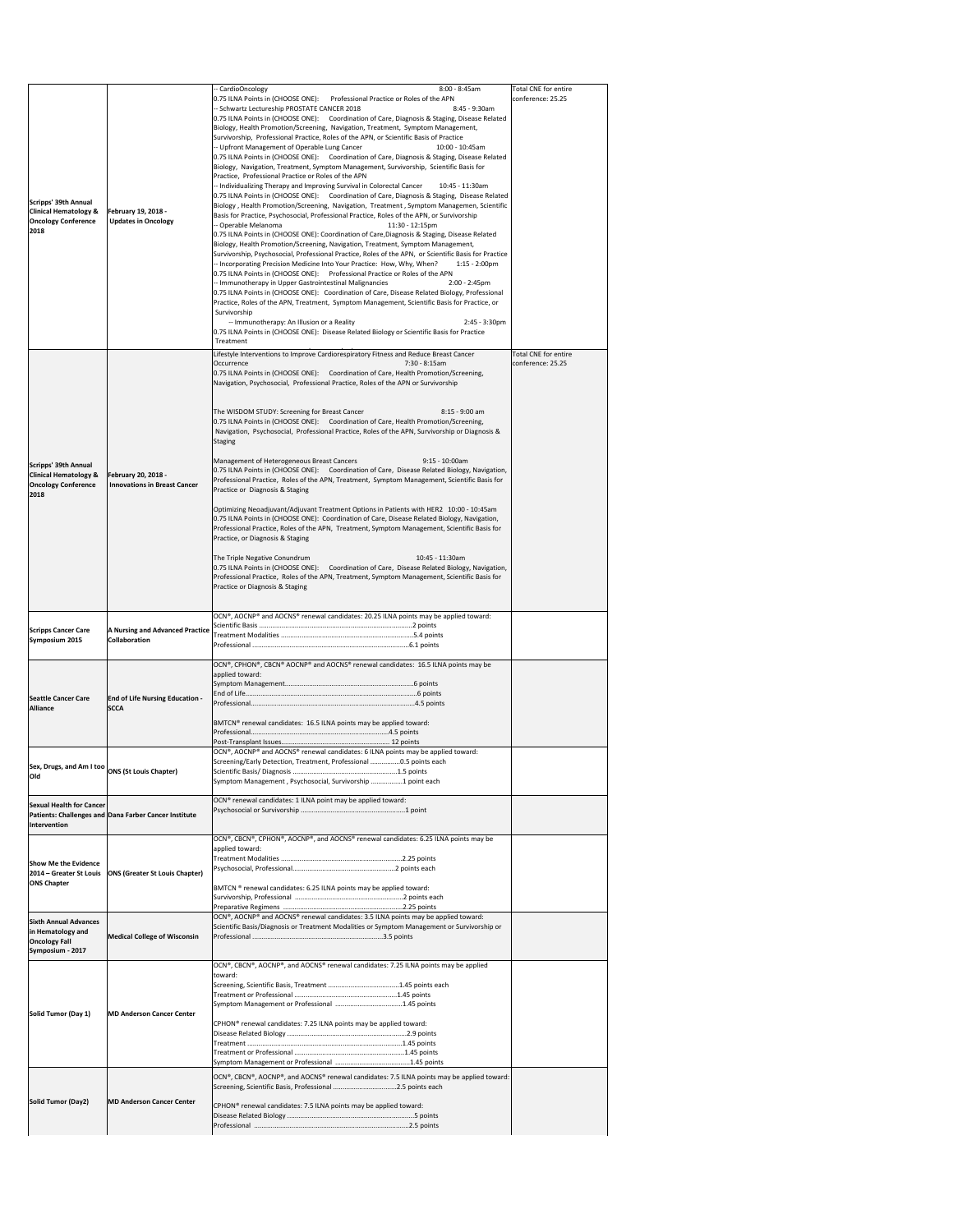|                                                          |                                                       | -- CardioOncology<br>$8:00 - 8:45am$                                                                                                                                                          | Total CNE for entire                             |
|----------------------------------------------------------|-------------------------------------------------------|-----------------------------------------------------------------------------------------------------------------------------------------------------------------------------------------------|--------------------------------------------------|
|                                                          |                                                       | Professional Practice or Roles of the APN<br>0.75 ILNA Points in (CHOOSE ONE):<br>-- Schwartz Lectureship PROSTATE CANCER 2018<br>8:45 - 9:30am                                               | conference: 25.25                                |
|                                                          |                                                       | 0.75 ILNA Points in (CHOOSE ONE): Coordination of Care, Diagnosis & Staging, Disease Related                                                                                                  |                                                  |
|                                                          |                                                       | Biology, Health Promotion/Screening, Navigation, Treatment, Symptom Management,<br>Survivorship, Professional Practice, Roles of the APN, or Scientific Basis of Practice                     |                                                  |
|                                                          |                                                       | -- Upfront Management of Operable Lung Cancer<br>10:00 - 10:45am                                                                                                                              |                                                  |
|                                                          |                                                       | 0.75 ILNA Points in (CHOOSE ONE): Coordination of Care, Diagnosis & Staging, Disease Related<br>Biology, Navigation, Treatment, Symptom Management, Survivorship, Scientific Basis for        |                                                  |
|                                                          |                                                       | Practice, Professional Practice or Roles of the APN                                                                                                                                           |                                                  |
|                                                          |                                                       | -- Individualizing Therapy and Improving Survival in Colorectal Cancer<br>10:45 - 11:30am<br>0.75 ILNA Points in (CHOOSE ONE): Coordination of Care, Diagnosis & Staging, Disease Related     |                                                  |
| Scripps' 39th Annual<br><b>Clinical Hematology &amp;</b> | <b>February 19, 2018 -</b>                            | Biology, Health Promotion/Screening, Navigation, Treatment, Symptom Managemen, Scientific                                                                                                     |                                                  |
| <b>Oncology Conference</b>                               | <b>Updates in Oncology</b>                            | Basis for Practice, Psychosocial, Professional Practice, Roles of the APN, or Survivorship<br>-- Operable Melanoma<br>11:30 - 12:15pm                                                         |                                                  |
| 2018                                                     |                                                       | 0.75 ILNA Points in (CHOOSE ONE): Coordination of Care, Diagnosis & Staging, Disease Related                                                                                                  |                                                  |
|                                                          |                                                       | Biology, Health Promotion/Screening, Navigation, Treatment, Symptom Management,<br>Survivorship, Psychosocial, Professional Practice, Roles of the APN, or Scientific Basis for Practice      |                                                  |
|                                                          |                                                       | -- Incorporating Precision Medicine Into Your Practice: How, Why, When?<br>$1:15 - 2:00 \text{pm}$                                                                                            |                                                  |
|                                                          |                                                       | 0.75 ILNA Points in (CHOOSE ONE): Professional Practice or Roles of the APN<br>-- Immunotherapy in Upper Gastrointestinal Malignancies<br>$2:00 - 2:45$ pm                                    |                                                  |
|                                                          |                                                       | 0.75 ILNA Points in (CHOOSE ONE): Coordination of Care, Disease Related Biology, Professional<br>Practice, Roles of the APN, Treatment, Symptom Management, Scientific Basis for Practice, or |                                                  |
|                                                          |                                                       | Survivorship                                                                                                                                                                                  |                                                  |
|                                                          |                                                       | -- Immunotherapy: An Illusion or a Reality<br>$2:45 - 3:30$ pm<br>0.75 ILNA Points in (CHOOSE ONE): Disease Related Biology or Scientific Basis for Practice                                  |                                                  |
|                                                          |                                                       | Treatment                                                                                                                                                                                     |                                                  |
|                                                          |                                                       | Lifestyle Interventions to Improve Cardiorespiratory Fitness and Reduce Breast Cancer<br>$7:30 - 8:15am$                                                                                      | <b>Total CNE for entire</b><br>conference: 25.25 |
|                                                          |                                                       | Occurrence<br>0.75 ILNA Points in (CHOOSE ONE): Coordination of Care, Health Promotion/Screening,                                                                                             |                                                  |
|                                                          |                                                       | Navigation, Psychosocial, Professional Practice, Roles of the APN or Survivorship                                                                                                             |                                                  |
|                                                          |                                                       |                                                                                                                                                                                               |                                                  |
|                                                          |                                                       | The WISDOM STUDY: Screening for Breast Cancer<br>8:15 - 9:00 am<br>0.75 ILNA Points in (CHOOSE ONE): Coordination of Care, Health Promotion/Screening,                                        |                                                  |
|                                                          |                                                       | Navigation, Psychosocial, Professional Practice, Roles of the APN, Survivorship or Diagnosis &                                                                                                |                                                  |
|                                                          |                                                       | <b>Staging</b>                                                                                                                                                                                |                                                  |
| Scripps' 39th Annual                                     |                                                       | Management of Heterogeneous Breast Cancers<br>$9:15 - 10:00$ am                                                                                                                               |                                                  |
| <b>Clinical Hematology &amp;</b>                         | <b>February 20, 2018 -</b>                            | 0.75 ILNA Points in (CHOOSE ONE): Coordination of Care, Disease Related Biology, Navigation,<br>Professional Practice, Roles of the APN, Treatment, Symptom Management, Scientific Basis for  |                                                  |
| <b>Oncology Conference</b><br>2018                       | <b>Innovations in Breast Cancer</b>                   | Practice or Diagnosis & Staging                                                                                                                                                               |                                                  |
|                                                          |                                                       | Optimizing Neoadjuvant/Adjuvant Treatment Options in Patients with HER2 10:00 - 10:45am                                                                                                       |                                                  |
|                                                          |                                                       | 0.75 ILNA Points in (CHOOSE ONE): Coordination of Care, Disease Related Biology, Navigation,<br>Professional Practice, Roles of the APN, Treatment, Symptom Management, Scientific Basis for  |                                                  |
|                                                          |                                                       | Practice, or Diagnosis & Staging                                                                                                                                                              |                                                  |
|                                                          |                                                       | The Triple Negative Conundrum<br>10:45 - 11:30am                                                                                                                                              |                                                  |
|                                                          |                                                       | 0.75 ILNA Points in (CHOOSE ONE): Coordination of Care, Disease Related Biology, Navigation,                                                                                                  |                                                  |
|                                                          |                                                       | Professional Practice, Roles of the APN, Treatment, Symptom Management, Scientific Basis for<br>Practice or Diagnosis & Staging                                                               |                                                  |
|                                                          |                                                       |                                                                                                                                                                                               |                                                  |
|                                                          |                                                       | OCN®, AOCNP® and AOCNS® renewal candidates: 20.25 ILNA points may be applied toward:                                                                                                          |                                                  |
| <b>Scripps Cancer Care</b>                               | <b>A Nursing and Advanced Practice</b>                |                                                                                                                                                                                               |                                                  |
| Symposium 2015                                           | <b>Collaboration</b>                                  |                                                                                                                                                                                               |                                                  |
|                                                          |                                                       | OCN®, CPHON®, CBCN® AOCNP® and AOCNS® renewal candidates: 16.5 ILNA points may be                                                                                                             |                                                  |
|                                                          |                                                       | applied toward:                                                                                                                                                                               |                                                  |
| <b>Seattle Cancer Care</b>                               | <b>End of Life Nursing Education -</b>                |                                                                                                                                                                                               |                                                  |
| <b>Alliance</b>                                          | <b>SCCA</b>                                           |                                                                                                                                                                                               |                                                  |
|                                                          |                                                       | BMTCN® renewal candidates: 16.5 ILNA points may be applied toward:                                                                                                                            |                                                  |
|                                                          |                                                       |                                                                                                                                                                                               |                                                  |
|                                                          |                                                       | OCN®, AOCNP® and AOCNS® renewal candidates: 6 ILNA points may be applied toward:<br>Screening/Early Detection, Treatment, Professional 0.5 points each                                        |                                                  |
| Sex, Drugs, and Am I too ONS (St Louis Chapter)<br> Old  |                                                       |                                                                                                                                                                                               |                                                  |
|                                                          |                                                       | Symptom Management, Psychosocial, Survivorship 1 point each                                                                                                                                   |                                                  |
| <b>Sexual Health for Cancer</b>                          |                                                       | OCN® renewal candidates: 1 ILNA point may be applied toward:                                                                                                                                  |                                                  |
|                                                          | Patients: Challenges and Dana Farber Cancer Institute |                                                                                                                                                                                               |                                                  |
| <b>Intervention</b>                                      |                                                       | OCN®, CBCN®, CPHON®, AOCNP®, and AOCNS® renewal candidates: 6.25 ILNA points may be                                                                                                           |                                                  |
|                                                          |                                                       | applied toward:                                                                                                                                                                               |                                                  |
| <b>Show Me the Evidence</b>                              |                                                       |                                                                                                                                                                                               |                                                  |
| 2014 – Greater St Louis<br><b>ONS Chapter</b>            | <b>ONS (Greater St Louis Chapter)</b>                 |                                                                                                                                                                                               |                                                  |
|                                                          |                                                       | BMTCN ® renewal candidates: 6.25 ILNA points may be applied toward:                                                                                                                           |                                                  |
|                                                          |                                                       | OCN®, AOCNP® and AOCNS® renewal candidates: 3.5 ILNA points may be applied toward:                                                                                                            |                                                  |
| <b>Sixth Annual Advances</b><br>in Hematology and        |                                                       | Scientific Basis/Diagnosis or Treatment Modalities or Symptom Management or Survivorship or                                                                                                   |                                                  |
| <b>Oncology Fall</b>                                     | <b>Medical College of Wisconsin</b>                   |                                                                                                                                                                                               |                                                  |
| Symposium - 2017                                         |                                                       |                                                                                                                                                                                               |                                                  |
|                                                          |                                                       | OCN®, CBCN®, AOCNP®, and AOCNS® renewal candidates: 7.25 ILNA points may be applied<br>toward:                                                                                                |                                                  |
|                                                          |                                                       |                                                                                                                                                                                               |                                                  |
|                                                          |                                                       |                                                                                                                                                                                               |                                                  |
| Solid Tumor (Day 1)                                      | <b>MD Anderson Cancer Center</b>                      |                                                                                                                                                                                               |                                                  |
|                                                          |                                                       | CPHON <sup>®</sup> renewal candidates: 7.25 ILNA points may be applied toward:                                                                                                                |                                                  |
|                                                          |                                                       |                                                                                                                                                                                               |                                                  |
|                                                          |                                                       |                                                                                                                                                                                               |                                                  |
|                                                          |                                                       |                                                                                                                                                                                               |                                                  |
|                                                          |                                                       | OCN®, CBCN®, AOCNP®, and AOCNS® renewal candidates: 7.5 ILNA points may be applied toward:                                                                                                    |                                                  |
|                                                          |                                                       |                                                                                                                                                                                               |                                                  |
| Solid Tumor (Day2)                                       | <b>MD Anderson Cancer Center</b>                      | CPHON® renewal candidates: 7.5 ILNA points may be applied toward:                                                                                                                             |                                                  |
|                                                          |                                                       |                                                                                                                                                                                               |                                                  |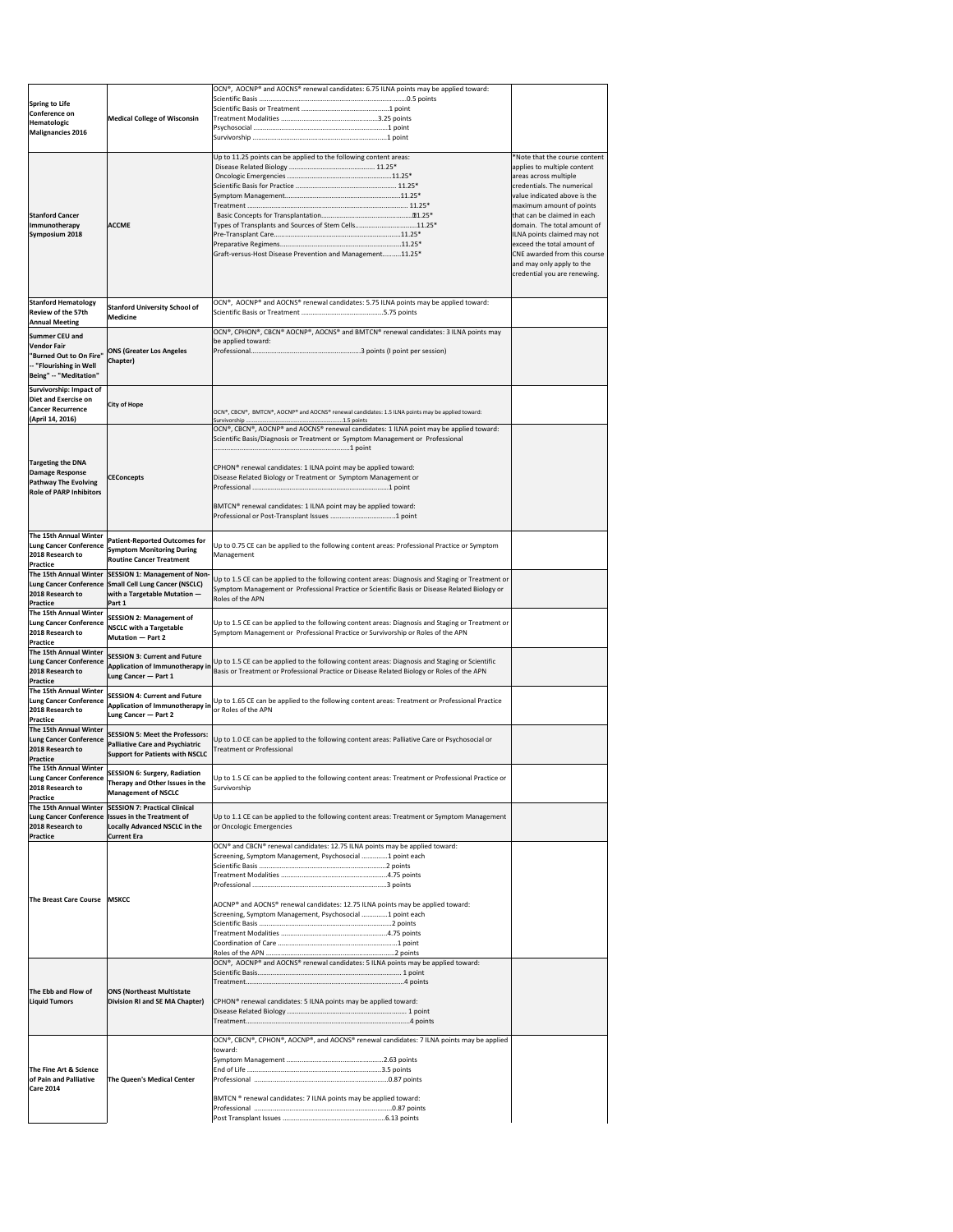|                                                   |                                                        | OCN®, AOCNP® and AOCNS® renewal candidates: 6.75 ILNA points may be applied toward:                                                |                                                            |
|---------------------------------------------------|--------------------------------------------------------|------------------------------------------------------------------------------------------------------------------------------------|------------------------------------------------------------|
| Spring to Life                                    |                                                        |                                                                                                                                    |                                                            |
| Conference on                                     |                                                        |                                                                                                                                    |                                                            |
| Hematologic                                       | <b>Medical College of Wisconsin</b>                    |                                                                                                                                    |                                                            |
| <b>Malignancies 2016</b>                          |                                                        |                                                                                                                                    |                                                            |
|                                                   |                                                        |                                                                                                                                    |                                                            |
|                                                   |                                                        |                                                                                                                                    |                                                            |
|                                                   |                                                        | Up to 11.25 points can be applied to the following content areas:                                                                  | *Note that the course content                              |
|                                                   |                                                        |                                                                                                                                    | applies to multiple content                                |
|                                                   |                                                        |                                                                                                                                    | areas across multiple<br>credentials. The numerical        |
|                                                   |                                                        |                                                                                                                                    | value indicated above is the                               |
|                                                   |                                                        |                                                                                                                                    |                                                            |
| <b>Stanford Cancer</b>                            |                                                        |                                                                                                                                    | maximum amount of points<br>that can be claimed in each    |
|                                                   |                                                        |                                                                                                                                    |                                                            |
| Immunotherapy                                     | <b>ACCME</b>                                           | Types of Transplants and Sources of Stem Cells11.25*                                                                               | domain. The total amount of                                |
| Symposium 2018                                    |                                                        |                                                                                                                                    | ILNA points claimed may not                                |
|                                                   |                                                        | Graft-versus-Host Disease Prevention and Management11.25*                                                                          | exceed the total amount of<br>CNE awarded from this course |
|                                                   |                                                        |                                                                                                                                    |                                                            |
|                                                   |                                                        |                                                                                                                                    | and may only apply to the                                  |
|                                                   |                                                        |                                                                                                                                    | credential you are renewing.                               |
|                                                   |                                                        |                                                                                                                                    |                                                            |
| <b>Stanford Hematology</b>                        |                                                        | OCN®, AOCNP® and AOCNS® renewal candidates: 5.75 ILNA points may be applied toward:                                                |                                                            |
| <b>Review of the 57th</b>                         | <b>Stanford University School of</b>                   |                                                                                                                                    |                                                            |
| <b>Annual Meeting</b>                             | <b>Medicine</b>                                        |                                                                                                                                    |                                                            |
|                                                   |                                                        | OCN®, CPHON®, CBCN® AOCNP®, AOCNS® and BMTCN® renewal candidates: 3 ILNA points may                                                |                                                            |
| <b>Summer CEU and</b>                             |                                                        | be applied toward:                                                                                                                 |                                                            |
| <b>Vendor Fair</b>                                | <b>ONS (Greater Los Angeles</b>                        |                                                                                                                                    |                                                            |
| "Burned Out to On Fire"                           | Chapter)                                               |                                                                                                                                    |                                                            |
| -- "Flourishing in Well                           |                                                        |                                                                                                                                    |                                                            |
| Being" -- "Meditation"                            |                                                        |                                                                                                                                    |                                                            |
| Survivorship: Impact of                           |                                                        |                                                                                                                                    |                                                            |
| <b>Diet and Exercise on</b>                       |                                                        |                                                                                                                                    |                                                            |
| <b>Cancer Recurrence</b>                          | <b>City of Hope</b>                                    | OCN®, CBCN®, BMTCN®, AOCNP® and AOCNS® renewal candidates: 1.5 ILNA points may be applied toward:                                  |                                                            |
| (April 14, 2016)                                  |                                                        |                                                                                                                                    |                                                            |
|                                                   |                                                        | OCN®, CBCN®, AOCNP® and AOCNS® renewal candidates: 1 ILNA point may be applied toward:                                             |                                                            |
|                                                   |                                                        | Scientific Basis/Diagnosis or Treatment or Symptom Management or Professional                                                      |                                                            |
|                                                   |                                                        |                                                                                                                                    |                                                            |
| <b>Targeting the DNA</b>                          |                                                        |                                                                                                                                    |                                                            |
| <b>Damage Response</b>                            |                                                        | CPHON <sup>®</sup> renewal candidates: 1 ILNA point may be applied toward:                                                         |                                                            |
| <b>Pathway The Evolving</b>                       | <b>CEConcepts</b>                                      | Disease Related Biology or Treatment or Symptom Management or                                                                      |                                                            |
| <b>Role of PARP Inhibitors</b>                    |                                                        |                                                                                                                                    |                                                            |
|                                                   |                                                        |                                                                                                                                    |                                                            |
|                                                   |                                                        | BMTCN <sup>®</sup> renewal candidates: 1 ILNA point may be applied toward:                                                         |                                                            |
|                                                   |                                                        |                                                                                                                                    |                                                            |
| The 15th Annual Winter                            |                                                        |                                                                                                                                    |                                                            |
| <b>Lung Cancer Conference</b>                     | <b>Patient-Reported Outcomes for</b>                   | Up to 0.75 CE can be applied to the following content areas: Professional Practice or Symptom                                      |                                                            |
| 2018 Research to                                  | <b>Symptom Monitoring During</b>                       | Management                                                                                                                         |                                                            |
| <b>Practice</b>                                   | <b>Routine Cancer Treatment</b>                        |                                                                                                                                    |                                                            |
|                                                   | The 15th Annual Winter   SESSION 1: Management of Non- |                                                                                                                                    |                                                            |
|                                                   | Lung Cancer Conference Small Cell Lung Cancer (NSCLC)  | Up to 1.5 CE can be applied to the following content areas: Diagnosis and Staging or Treatment or                                  |                                                            |
| 2018 Research to                                  | with a Targetable Mutation -                           | Symptom Management or Professional Practice or Scientific Basis or Disease Related Biology or                                      |                                                            |
| <b>Practice</b>                                   | Part 1                                                 | Roles of the APN                                                                                                                   |                                                            |
| The 15th Annual Winter                            |                                                        |                                                                                                                                    |                                                            |
| <b>Lung Cancer Conference</b>                     | <b>SESSION 2: Management of</b>                        | Up to 1.5 CE can be applied to the following content areas: Diagnosis and Staging or Treatment or                                  |                                                            |
| 2018 Research to                                  | <b>NSCLC with a Targetable</b>                         | Symptom Management or Professional Practice or Survivorship or Roles of the APN                                                    |                                                            |
| <b>Practice</b>                                   | Mutation - Part 2                                      |                                                                                                                                    |                                                            |
| The 15th Annual Winter                            | <b>SESSION 3: Current and Future</b>                   |                                                                                                                                    |                                                            |
| <b>Lung Cancer Conference</b>                     | Application of Immunotherapy in                        | Up to 1.5 CE can be applied to the following content areas: Diagnosis and Staging or Scientific                                    |                                                            |
| 2018 Research to                                  | Lung Cancer - Part 1                                   | Basis or Treatment or Professional Practice or Disease Related Biology or Roles of the APN                                         |                                                            |
| <b>Practice</b>                                   |                                                        |                                                                                                                                    |                                                            |
| The 15th Annual Winter                            | <b>SESSION 4: Current and Future</b>                   |                                                                                                                                    |                                                            |
| Lung Cancer Conference                            | Application of Immunotherapy in                        | Up to 1.65 CE can be applied to the following content areas: Treatment or Professional Practice                                    |                                                            |
| 2018 Research to                                  | Lung Cancer - Part 2                                   | or Roles of the APN                                                                                                                |                                                            |
| <b>Practice</b>                                   |                                                        |                                                                                                                                    |                                                            |
| The 15th Annual Winter                            | <b>SESSION 5: Meet the Professors:</b>                 |                                                                                                                                    |                                                            |
| <b>Lung Cancer Conference</b><br>2018 Research to | <b>Palliative Care and Psychiatric</b>                 | Up to 1.0 CE can be applied to the following content areas: Palliative Care or Psychosocial or<br><b>Treatment or Professional</b> |                                                            |
| <b>Practice</b>                                   | <b>Support for Patients with NSCLC</b>                 |                                                                                                                                    |                                                            |
| The 15th Annual Winter                            |                                                        |                                                                                                                                    |                                                            |
| <b>Lung Cancer Conference</b>                     | <b>SESSION 6: Surgery, Radiation</b>                   | Up to 1.5 CE can be applied to the following content areas: Treatment or Professional Practice or                                  |                                                            |
| 2018 Research to                                  | Therapy and Other Issues in the                        | Survivorship                                                                                                                       |                                                            |
| <b>Practice</b>                                   | <b>Management of NSCLC</b>                             |                                                                                                                                    |                                                            |
|                                                   | The 15th Annual Winter SESSION 7: Practical Clinical   |                                                                                                                                    |                                                            |
|                                                   | Lung Cancer Conference Issues in the Treatment of      | Up to 1.1 CE can be applied to the following content areas: Treatment or Symptom Management                                        |                                                            |
| 2018 Research to                                  | <b>Locally Advanced NSCLC in the</b>                   | or Oncologic Emergencies                                                                                                           |                                                            |
| <b>Practice</b>                                   | <b>Current Era</b>                                     |                                                                                                                                    |                                                            |
|                                                   |                                                        | OCN® and CBCN® renewal candidates: 12.75 ILNA points may be applied toward:                                                        |                                                            |
|                                                   |                                                        | Screening, Symptom Management, Psychosocial 1 point each                                                                           |                                                            |
|                                                   |                                                        |                                                                                                                                    |                                                            |
|                                                   |                                                        |                                                                                                                                    |                                                            |
|                                                   |                                                        |                                                                                                                                    |                                                            |
| The Breast Care Course   MSKCC                    |                                                        |                                                                                                                                    |                                                            |
|                                                   |                                                        | AOCNP® and AOCNS® renewal candidates: 12.75 ILNA points may be applied toward:                                                     |                                                            |
|                                                   |                                                        | Screening, Symptom Management, Psychosocial 1 point each                                                                           |                                                            |
|                                                   |                                                        |                                                                                                                                    |                                                            |
|                                                   |                                                        |                                                                                                                                    |                                                            |
|                                                   |                                                        |                                                                                                                                    |                                                            |
|                                                   |                                                        | $\overline{OCN^{\circ}}$ , AOCNP® and AOCNS® renewal candidates: 5 ILNA points may be applied toward:                              |                                                            |
|                                                   |                                                        |                                                                                                                                    |                                                            |
|                                                   |                                                        |                                                                                                                                    |                                                            |
| The Ebb and Flow of                               | <b>ONS (Northeast Multistate</b>                       |                                                                                                                                    |                                                            |
| <b>Liquid Tumors</b>                              | Division RI and SE MA Chapter)                         | CPHON <sup>®</sup> renewal candidates: 5 ILNA points may be applied toward:                                                        |                                                            |
|                                                   |                                                        |                                                                                                                                    |                                                            |
|                                                   |                                                        |                                                                                                                                    |                                                            |
|                                                   |                                                        |                                                                                                                                    |                                                            |
|                                                   |                                                        | OCN®, CBCN®, CPHON®, AOCNP®, and AOCNS® renewal candidates: 7 ILNA points may be applied                                           |                                                            |
|                                                   |                                                        | toward:                                                                                                                            |                                                            |
|                                                   |                                                        |                                                                                                                                    |                                                            |
| The Fine Art & Science                            |                                                        |                                                                                                                                    |                                                            |
| of Pain and Palliative                            | <b>The Queen's Medical Center</b>                      |                                                                                                                                    |                                                            |
| <b>Care 2014</b>                                  |                                                        |                                                                                                                                    |                                                            |
|                                                   |                                                        | BMTCN ® renewal candidates: 7 ILNA points may be applied toward:                                                                   |                                                            |
|                                                   |                                                        |                                                                                                                                    |                                                            |
|                                                   |                                                        |                                                                                                                                    |                                                            |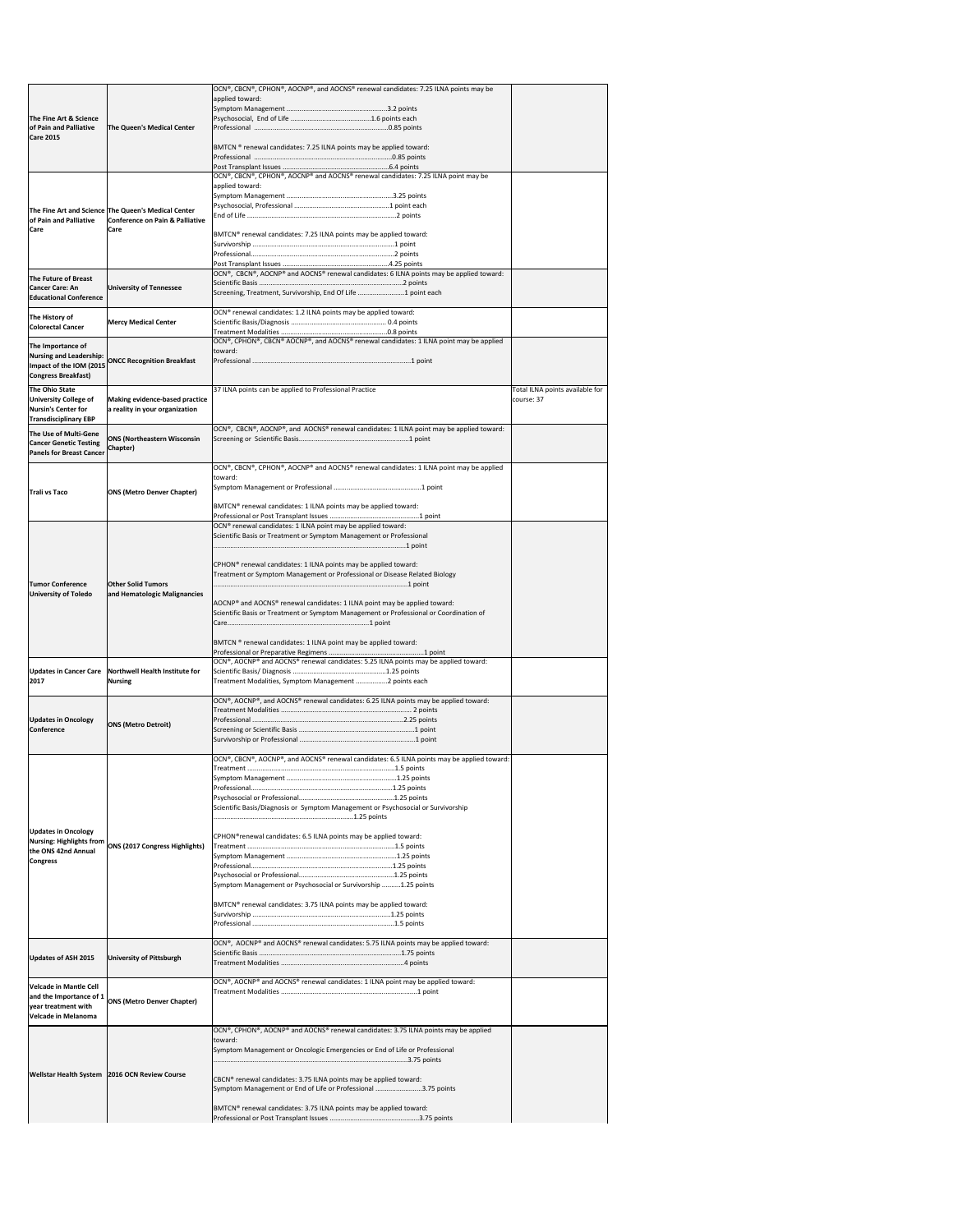|                                                               |                                                      | OCN®, CBCN®, CPHON®, AOCNP®, and AOCNS® renewal candidates: 7.25 ILNA points may be                                                                       |                                 |
|---------------------------------------------------------------|------------------------------------------------------|-----------------------------------------------------------------------------------------------------------------------------------------------------------|---------------------------------|
|                                                               |                                                      | applied toward:                                                                                                                                           |                                 |
|                                                               |                                                      |                                                                                                                                                           |                                 |
| The Fine Art & Science                                        |                                                      |                                                                                                                                                           |                                 |
| of Pain and Palliative<br><b>Care 2015</b>                    | <b>The Queen's Medical Center</b>                    |                                                                                                                                                           |                                 |
|                                                               |                                                      | BMTCN ® renewal candidates: 7.25 ILNA points may be applied toward:                                                                                       |                                 |
|                                                               |                                                      |                                                                                                                                                           |                                 |
|                                                               |                                                      |                                                                                                                                                           |                                 |
|                                                               |                                                      | OCN®, CBCN®, CPHON®, AOCNP® and AOCNS® renewal candidates: 7.25 ILNA point may be                                                                         |                                 |
|                                                               |                                                      | applied toward:                                                                                                                                           |                                 |
|                                                               |                                                      |                                                                                                                                                           |                                 |
|                                                               | The Fine Art and Science The Queen's Medical Center  |                                                                                                                                                           |                                 |
| of Pain and Palliative                                        | Conference on Pain & Palliative                      |                                                                                                                                                           |                                 |
| <b>Care</b>                                                   | Care                                                 | BMTCN® renewal candidates: 7.25 ILNA points may be applied toward:                                                                                        |                                 |
|                                                               |                                                      |                                                                                                                                                           |                                 |
|                                                               |                                                      |                                                                                                                                                           |                                 |
|                                                               |                                                      | OCN®, CBCN®, AOCNP® and AOCNS® renewal candidates: 6 ILNA points may be applied toward:                                                                   |                                 |
| <b>The Future of Breast</b>                                   |                                                      |                                                                                                                                                           |                                 |
| <b>Cancer Care: An</b><br><b>Educational Conference</b>       | <b>University of Tennessee</b>                       | Screening, Treatment, Survivorship, End Of Life 1 point each                                                                                              |                                 |
|                                                               |                                                      |                                                                                                                                                           |                                 |
| The History of                                                | <b>Mercy Medical Center</b>                          | OCN® renewal candidates: 1.2 ILNA points may be applied toward:                                                                                           |                                 |
| <b>Colorectal Cancer</b>                                      |                                                      |                                                                                                                                                           |                                 |
|                                                               |                                                      | OCN®, CPHON®, CBCN® AOCNP®, and AOCNS® renewal candidates: 1 ILNA point may be applied                                                                    |                                 |
| The Importance of<br><b>Nursing and Leadership:</b>           |                                                      | toward:                                                                                                                                                   |                                 |
| Impact of the IOM (2015)                                      | <b>ONCC Recognition Breakfast</b>                    |                                                                                                                                                           |                                 |
| <b>Congress Breakfast)</b>                                    |                                                      |                                                                                                                                                           |                                 |
| The Ohio State                                                |                                                      | 37 ILNA points can be applied to Professional Practice                                                                                                    | Total ILNA points available for |
| <b>University College of</b>                                  | <b>Making evidence-based practice</b>                |                                                                                                                                                           | course: 37                      |
| <b>Nursin's Center for</b>                                    | a reality in your organization                       |                                                                                                                                                           |                                 |
| <b>Transdisciplinary EBP</b>                                  |                                                      |                                                                                                                                                           |                                 |
| The Use of Multi-Gene                                         |                                                      | OCN®, CBCN®, AOCNP®, and AOCNS® renewal candidates: 1 ILNA point may be applied toward:                                                                   |                                 |
| <b>Cancer Genetic Testing</b>                                 | <b>ONS (Northeastern Wisconsin</b><br>Chapter)       |                                                                                                                                                           |                                 |
| <b>Panels for Breast Cancer</b>                               |                                                      |                                                                                                                                                           |                                 |
|                                                               |                                                      | OCN®, CBCN®, CPHON®, AOCNP® and AOCNS® renewal candidates: 1 ILNA point may be applied                                                                    |                                 |
|                                                               |                                                      | toward:                                                                                                                                                   |                                 |
| <b>Trali vs Taco</b>                                          | <b>ONS (Metro Denver Chapter)</b>                    |                                                                                                                                                           |                                 |
|                                                               |                                                      | BMTCN® renewal candidates: 1 ILNA points may be applied toward:                                                                                           |                                 |
|                                                               |                                                      |                                                                                                                                                           |                                 |
|                                                               |                                                      | OCN® renewal candidates: 1 ILNA point may be applied toward:                                                                                              |                                 |
|                                                               |                                                      | Scientific Basis or Treatment or Symptom Management or Professional                                                                                       |                                 |
|                                                               |                                                      |                                                                                                                                                           |                                 |
|                                                               |                                                      |                                                                                                                                                           |                                 |
|                                                               |                                                      | CPHON <sup>®</sup> renewal candidates: 1 ILNA points may be applied toward:<br>Treatment or Symptom Management or Professional or Disease Related Biology |                                 |
| <b>Tumor Conference</b>                                       | <b>Other Solid Tumors</b>                            |                                                                                                                                                           |                                 |
| <b>University of Toledo</b>                                   | and Hematologic Malignancies                         |                                                                                                                                                           |                                 |
|                                                               |                                                      | AOCNP® and AOCNS® renewal candidates: 1 ILNA point may be applied toward:                                                                                 |                                 |
|                                                               |                                                      | Scientific Basis or Treatment or Symptom Management or Professional or Coordination of                                                                    |                                 |
|                                                               |                                                      |                                                                                                                                                           |                                 |
|                                                               |                                                      | BMTCN ® renewal candidates: 1 ILNA point may be applied toward:                                                                                           |                                 |
|                                                               |                                                      |                                                                                                                                                           |                                 |
|                                                               |                                                      | OCN®, AOCNP® and AOCNS® renewal candidates: 5.25 ILNA points may be applied toward:                                                                       |                                 |
| <b>Updates in Cancer Care</b>                                 | Northwell Health Institute for                       |                                                                                                                                                           |                                 |
| 2017                                                          | <b>Nursing</b>                                       | Treatment Modalities, Symptom Management 2 points each                                                                                                    |                                 |
|                                                               |                                                      | OCN®, AOCNP®, and AOCNS® renewal candidates: 6.25 ILNA points may be applied toward:                                                                      |                                 |
|                                                               |                                                      |                                                                                                                                                           |                                 |
| <b>Updates in Oncology</b>                                    | <b>ONS (Metro Detroit)</b>                           |                                                                                                                                                           |                                 |
| Conference                                                    |                                                      |                                                                                                                                                           |                                 |
|                                                               |                                                      |                                                                                                                                                           |                                 |
|                                                               |                                                      | OCN®, CBCN®, AOCNP®, and AOCNS® renewal candidates: 6.5 ILNA points may be applied toward:                                                                |                                 |
|                                                               |                                                      |                                                                                                                                                           |                                 |
|                                                               |                                                      |                                                                                                                                                           |                                 |
|                                                               |                                                      |                                                                                                                                                           |                                 |
|                                                               |                                                      | Scientific Basis/Diagnosis or Symptom Management or Psychosocial or Survivorship                                                                          |                                 |
|                                                               |                                                      |                                                                                                                                                           |                                 |
|                                                               |                                                      |                                                                                                                                                           |                                 |
| <b>Updates in Oncology</b><br><b>Nursing: Highlights from</b> |                                                      | CPHON® renewal candidates: 6.5 ILNA points may be applied toward:                                                                                         |                                 |
| the ONS 42nd Annual                                           | <b>ONS (2017 Congress Highlights)</b>                |                                                                                                                                                           |                                 |
| <b>Congress</b>                                               |                                                      |                                                                                                                                                           |                                 |
|                                                               |                                                      |                                                                                                                                                           |                                 |
|                                                               |                                                      | Symptom Management or Psychosocial or Survivorship 1.25 points                                                                                            |                                 |
|                                                               |                                                      |                                                                                                                                                           |                                 |
|                                                               |                                                      | BMTCN® renewal candidates: 3.75 ILNA points may be applied toward:                                                                                        |                                 |
|                                                               |                                                      |                                                                                                                                                           |                                 |
|                                                               |                                                      |                                                                                                                                                           |                                 |
|                                                               |                                                      | OCN®, AOCNP® and AOCNS® renewal candidates: 5.75 ILNA points may be applied toward:                                                                       |                                 |
| <b>Updates of ASH 2015</b>                                    | <b>University of Pittsburgh</b>                      |                                                                                                                                                           |                                 |
|                                                               |                                                      |                                                                                                                                                           |                                 |
|                                                               |                                                      | $ OCN^{\circ} $ , AOCNP <sup>®</sup> and AOCNS <sup>®</sup> renewal candidates: 1 ILNA point may be applied toward:                                       |                                 |
| <b>Velcade in Mantle Cell</b>                                 |                                                      |                                                                                                                                                           |                                 |
|                                                               | and the Importance of $1$ ONS (Metro Denver Chapter) |                                                                                                                                                           |                                 |
| year treatment with                                           |                                                      |                                                                                                                                                           |                                 |
| <b>Velcade in Melanoma</b>                                    |                                                      |                                                                                                                                                           |                                 |
|                                                               |                                                      | OCN®, CPHON®, AOCNP® and AOCNS® renewal candidates: 3.75 ILNA points may be applied                                                                       |                                 |
|                                                               |                                                      | toward:<br>Symptom Management or Oncologic Emergencies or End of Life or Professional                                                                     |                                 |
|                                                               |                                                      |                                                                                                                                                           |                                 |
|                                                               |                                                      |                                                                                                                                                           |                                 |
|                                                               | Wellstar Health System   2016 OCN Review Course      | CBCN® renewal candidates: 3.75 ILNA points may be applied toward:                                                                                         |                                 |
|                                                               |                                                      | Symptom Management or End of Life or Professional 3.75 points                                                                                             |                                 |
|                                                               |                                                      | BMTCN® renewal candidates: 3.75 ILNA points may be applied toward:                                                                                        |                                 |
|                                                               |                                                      |                                                                                                                                                           |                                 |
|                                                               |                                                      |                                                                                                                                                           |                                 |